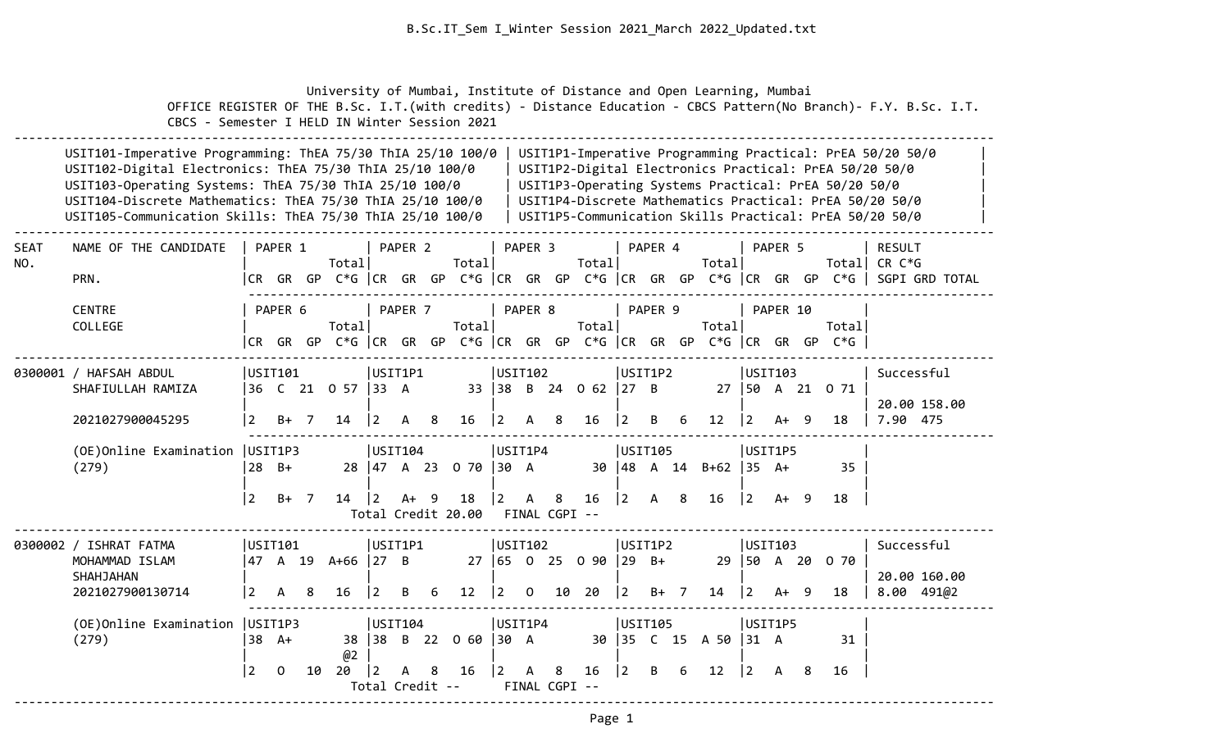University of Mumbai, Institute of Distance and Open Learning, Mumbai

 OFFICE REGISTER OF THE B.Sc. I.T.(with credits) - Distance Education - CBCS Pattern(No Branch)- F.Y. B.Sc. I.T. CBCS - Semester I HELD IN Winter Session 2021

|                    | USIT101-Imperative Programming: ThEA 75/30 ThIA 25/10 100/0<br>USIT1P1-Imperative Programming Practical: PrEA 50/20 50/0                                                                                                                                                                                                                                                                                                                                |                |                   |                |                         |             |                         |                  |                                    |                        |                    |  |                            |                |                                         |                                               |                    |             |                        |  |                                                                                 |                                                                                                                                                                              |
|--------------------|---------------------------------------------------------------------------------------------------------------------------------------------------------------------------------------------------------------------------------------------------------------------------------------------------------------------------------------------------------------------------------------------------------------------------------------------------------|----------------|-------------------|----------------|-------------------------|-------------|-------------------------|------------------|------------------------------------|------------------------|--------------------|--|----------------------------|----------------|-----------------------------------------|-----------------------------------------------|--------------------|-------------|------------------------|--|---------------------------------------------------------------------------------|------------------------------------------------------------------------------------------------------------------------------------------------------------------------------|
|                    | USIT102-Digital Electronics: ThEA 75/30 ThIA 25/10 100/0<br>USIT103-Operating Systems: ThEA 75/30 ThIA 25/10 100/0<br>USIT104-Discrete Mathematics: ThEA 75/30 ThIA 25/10 100/0<br>USIT105-Communication Skills: ThEA 75/30 ThIA 25/10 100/0                                                                                                                                                                                                            |                |                   |                |                         |             |                         |                  |                                    |                        |                    |  |                            |                |                                         |                                               |                    |             |                        |  | USIT1P3-Operating Systems Practical: PrEA 50/20 50/0                            | USIT1P2-Digital Electronics Practical: PrEA 50/20 50/0<br>USIT1P4-Discrete Mathematics Practical: PrEA 50/20 50/0<br>USIT1P5-Communication Skills Practical: PrEA 50/20 50/0 |
| <b>SEAT</b><br>NO. | NAME OF THE CANDIDATE<br>PRN.                                                                                                                                                                                                                                                                                                                                                                                                                           |                | PAPER 1           |                | Total                   |             | PAPER <sub>2</sub>      |                  | Total                              |                        | PAPER <sub>3</sub> |  | Totall                     |                | PAPER 4                                 |                                               | Total              |             | PAPER 5                |  |                                                                                 | <b>RESULT</b><br>Total CR $C*G$<br> CR GR GP C*G   CR GR GP C*G   CR GR GP C*G   CR GR GP C*G   CR GR GP C*G    SGPI GRD TOTAL                                               |
|                    | CENTRE<br>COLLEGE                                                                                                                                                                                                                                                                                                                                                                                                                                       |                | PAPER 6           |                | Total                   |             | PAPER 7                 |                  | Totall                             |                        | PAPER 8            |  | Total                      |                | PAPER 9                                 |                                               | Total              |             | PAPER 10               |  | Totall<br> CR GR GP C*G  CR GR GP C*G  CR GR GP C*G  CR GR GP C*G  CR GR GP C*G |                                                                                                                                                                              |
|                    | 0300001 / HAFSAH ABDUL<br>SHAFIULLAH RAMIZA<br>2021027900045295                                                                                                                                                                                                                                                                                                                                                                                         | $\overline{2}$ | USIT101<br>$B+ 7$ |                | 36 C 21 0 57 33 A<br>14 | $ 2\rangle$ | USIT1P1<br>$\mathsf{A}$ | 8 <sup>8</sup>   | 16                                 | USIT102<br>$ 2\rangle$ | A 8                |  | 33 38 B 24 0 62 27 B<br>16 | $\overline{2}$ | USIT1P2<br>B                            | 6                                             | 12                 | $ 2\rangle$ | USTI03<br>A+ 9         |  | 27   50 A 21 0 71<br>18                                                         | Successful<br>20.00 158.00<br>7.90 475                                                                                                                                       |
|                    | (OE) Online Examination   USIT1P3<br>(279)                                                                                                                                                                                                                                                                                                                                                                                                              | $\overline{2}$ | $28$ B+<br>B+ 7   |                | 14   2                  |             | USTI04 <br>A+ 9         |                  | 28 47 A 23 0 70 30 A<br>18   2 A 8 | USIT1P4                |                    |  | 16 <sup>1</sup>            | 2              | USIT105<br>30   48 A 14<br>$\mathsf{A}$ | 8                                             | $B+62$ 35 A+<br>16 |             | USIT1P5<br>$ 2 \tA+ 9$ |  | 35<br>18                                                                        |                                                                                                                                                                              |
|                    |                                                                                                                                                                                                                                                                                                                                                                                                                                                         |                |                   |                |                         |             |                         |                  | Total Credit 20.00                 |                        |                    |  | FINAL CGPI --              |                |                                         |                                               |                    |             |                        |  |                                                                                 |                                                                                                                                                                              |
|                    | 0300002 / ISHRAT FATMA<br>MOHAMMAD ISLAM<br>SHAHJAHAN<br>2021027900130714                                                                                                                                                                                                                                                                                                                                                                               | USIT1P1<br>6   | 12                | <b>USIT102</b> |                         |             | 27 65 0 25 0 90         | $ 29 \text{ B+}$ | USIT1P2                            |                        | 14                 |  | USIT103                    |                | 29   50 A 20 0 70<br>18                 | Successful<br>20.00 160.00<br>$8.00$ 491 $@2$ |                    |             |                        |  |                                                                                 |                                                                                                                                                                              |
|                    | $ 2\rangle$<br>$0$ 10 20<br>$ 2 \t B+7$<br>$\mathsf{A}$<br>-8<br>16<br>$\vert 2 \vert$<br>$ 2 \rangle$<br>A+ 9<br>2<br>B<br>(OE) Online Examination   USIT1P3<br>USIT1P4<br>USIT105<br>USIT1P5<br>USIT104<br>B 22 0 60 30 A<br>(279)<br>$38$ A+<br>38 38<br>30 35 C 15 A 50<br>$ 31 \ \text{A}$<br>@2<br>$\overline{2}$<br>20<br>$\vert$ 2<br>8<br>16<br>$ 2\rangle$<br>$\overline{2}$<br>B<br>6<br>12<br>$\Omega$<br>10<br>A<br>8<br>16<br>2<br>A<br>A |                |                   |                |                         |             |                         |                  |                                    |                        |                    |  |                            |                | 8                                       | 31<br>16                                      |                    |             |                        |  |                                                                                 |                                                                                                                                                                              |
|                    |                                                                                                                                                                                                                                                                                                                                                                                                                                                         |                |                   |                |                         |             |                         |                  | Total Credit --                    |                        |                    |  | FINAL CGPI --              |                |                                         |                                               |                    |             |                        |  |                                                                                 |                                                                                                                                                                              |

--------------------------------------------------------------------------------------------------------------------------------------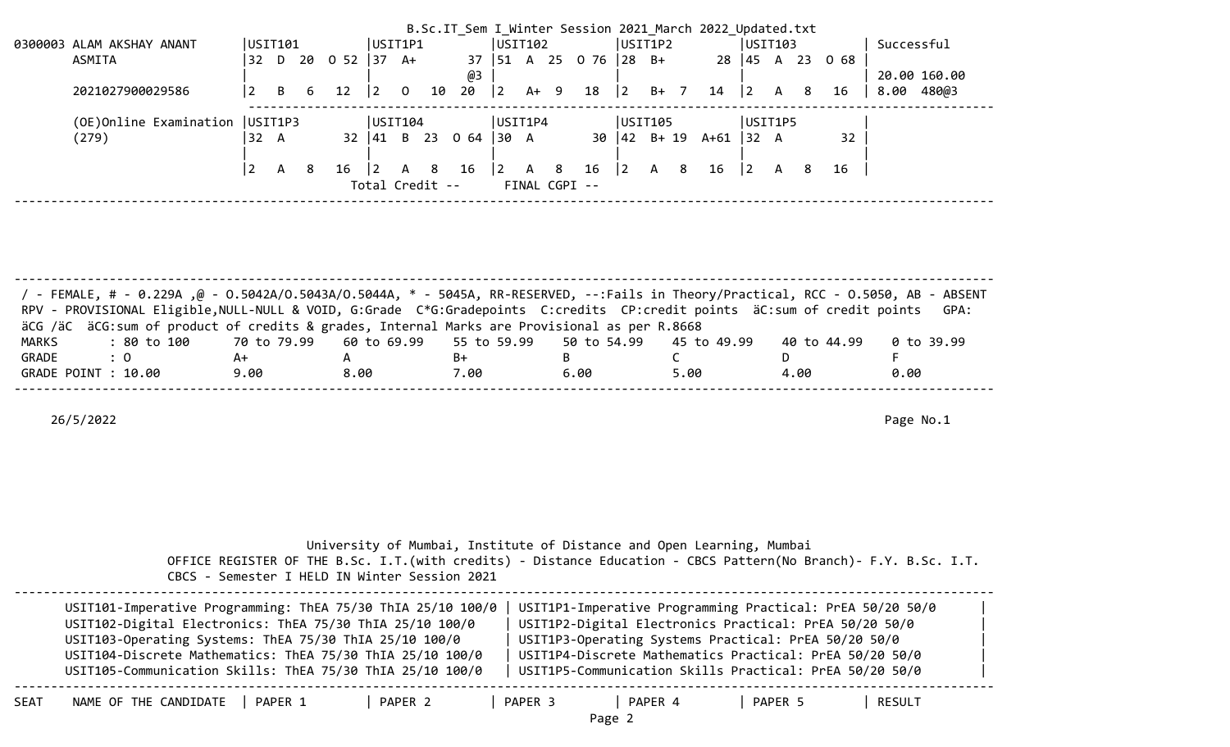|                                   |         |          |     |         |           |                |                 |                                            |           |        |               |                           |   |         | B.Sc.IT_Sem I_Winter Session 2021 March 2022 Updated.txt |           |   |   |                 |            |              |  |
|-----------------------------------|---------|----------|-----|---------|-----------|----------------|-----------------|--------------------------------------------|-----------|--------|---------------|---------------------------|---|---------|----------------------------------------------------------|-----------|---|---|-----------------|------------|--------------|--|
| 0300003 ALAM AKSHAY ANANT         | USIT101 |          |     |         | USIT1P1   |                |                 |                                            | USIT102   |        |               |                           |   | USIT1P2 |                                                          | USIT103   |   |   |                 | Successful |              |  |
| ASMITA                            | 32      | D.       |     | 20 0 52 | 137       | A+             |                 |                                            |           |        |               | 37   51 A 25 0 76   28 B+ |   |         |                                                          |           |   |   | 28 45 A 23 0 68 |            |              |  |
|                                   |         |          |     |         |           |                |                 | @3                                         |           |        |               |                           |   |         |                                                          |           |   |   |                 |            | 20.00 160.00 |  |
| 2021027900029586                  | 2       | B        | 6   | 12      | $\vert$ 2 | $\overline{0}$ | 10              | $20 \t 2$                                  |           | $A+ 9$ |               | 18                        | 2 | $B+$ 7  | 14                                                       | $\vert$ 2 | A | 8 | 16              | 8.00       | 480@3        |  |
|                                   |         |          |     |         |           |                |                 |                                            |           |        |               |                           |   |         |                                                          |           |   |   |                 |            |              |  |
|                                   |         |          |     |         | USTI104   |                |                 |                                            |           |        |               |                           |   |         |                                                          |           |   |   |                 |            |              |  |
| (OE) Online Examination   USIT1P3 |         |          |     |         |           |                |                 |                                            | USIT1P4   |        |               |                           |   | USIT105 |                                                          | USIT1P5   |   |   |                 |            |              |  |
| (279)                             | 32 A    |          |     |         |           |                |                 | $32 \mid 41 \mid B \mid 23 \mid 0 \mid 64$ | $ 30 \tA$ |        |               |                           |   |         | $30 \mid 42$ B+ 19 A+61                                  | 32 A      |   |   | 32              |            |              |  |
|                                   |         |          |     |         |           |                |                 |                                            |           |        |               |                           |   |         |                                                          |           |   |   |                 |            |              |  |
|                                   | l 2     | <b>A</b> | - 8 | 16      | 2         | A 8            |                 | 16   2 A 8 16                              |           |        |               |                           | 2 | A 8     | 16                                                       |           | A | 8 | - 16            |            |              |  |
|                                   |         |          |     |         |           |                | Total Credit -- |                                            |           |        | FINAL CGPI -- |                           |   |         |                                                          |           |   |   |                 |            |              |  |

| / - FEMALE, # - 0.229A ,@ - 0.5042A/0.5043A/0.5044A, * - 5045A, RR-RESERVED, --:Fails in Theory/Practical, RCC - 0.5050, AB - ABSENT<br>RPV - PROVISIONAL Eligible, NULL-NULL & VOID, G:Grade C*G:Gradepoints C:credits CP:credit points äC:sum of credit points GPA: |      |      |      |      |      |             |            |
|-----------------------------------------------------------------------------------------------------------------------------------------------------------------------------------------------------------------------------------------------------------------------|------|------|------|------|------|-------------|------------|
|                                                                                                                                                                                                                                                                       |      |      |      |      |      |             |            |
| äCG /äC äCG:sum of product of credits & grades, Internal Marks are Provisional as per R.8668                                                                                                                                                                          |      |      |      |      |      |             |            |
| : 80 to 100    70 to 79.99   60 to 69.99   55 to 59.99   50 to 54.99   45 to 49.99<br>MARKS                                                                                                                                                                           |      |      |      |      |      | 40 to 44.99 | 0 to 39.99 |
| GRADE<br>$\therefore$ 0                                                                                                                                                                                                                                               | A+   |      | B+   |      |      |             |            |
| GRADE POINT : 10.00                                                                                                                                                                                                                                                   | 9.00 | 8.00 | 7.00 | 6.00 | 5.00 | 4.00        | 0.00       |
|                                                                                                                                                                                                                                                                       |      |      |      |      |      |             |            |

|      | CBCS - Semester I HELD IN Winter Session 2021                                                                                                                                                                                                                                                               | University of Mumbai, Institute of Distance and Open Learning, Mumbai<br>OFFICE REGISTER OF THE B.Sc. I.T. (with credits) - Distance Education - CBCS Pattern (No Branch) - F.Y. B.Sc. I.T.                                                                                                       |  |
|------|-------------------------------------------------------------------------------------------------------------------------------------------------------------------------------------------------------------------------------------------------------------------------------------------------------------|---------------------------------------------------------------------------------------------------------------------------------------------------------------------------------------------------------------------------------------------------------------------------------------------------|--|
|      | USIT101-Imperative Programming: ThEA 75/30 ThIA 25/10 100/0<br>USIT102-Digital Electronics: ThEA 75/30 ThIA 25/10 100/0<br>USIT103-Operating Systems: ThEA 75/30 ThIA 25/10 100/0<br>USIT104-Discrete Mathematics: ThEA 75/30 ThIA 25/10 100/0<br>USIT105-Communication Skills: ThEA 75/30 ThIA 25/10 100/0 | USIT1P1-Imperative Programming Practical: PrEA 50/20 50/0<br>USIT1P2-Digital Electronics Practical: PrEA 50/20 50/0<br>USIT1P3-Operating Systems Practical: PrEA 50/20 50/0<br>USIT1P4-Discrete Mathematics Practical: PrEA 50/20 50/0<br>USIT1P5-Communication Skills Practical: PrEA 50/20 50/0 |  |
| SEAT | NAME OF THE CANDIDATE<br>PAPER 2<br>PAPER 1                                                                                                                                                                                                                                                                 | PAPER 3<br>PAPER 4<br>PAPER 5<br>RESULT<br>Page 2                                                                                                                                                                                                                                                 |  |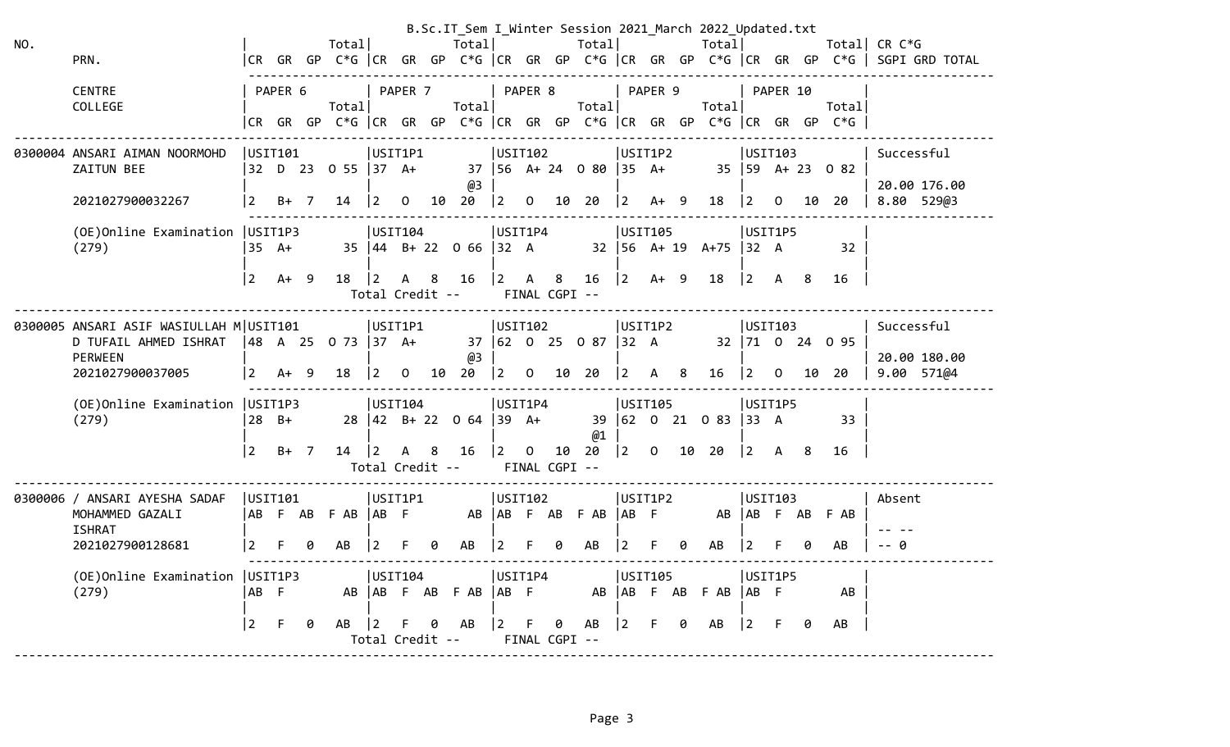|     |                                              |                |         |                    |                                    |                |    | B.Sc.IT_Sem I_Winter Session 2021_March 2022_Updated.txt     |             |                         |                    |                            |                 |                |                |                              |                                           |                |    |                                                                      |                                                                                       |
|-----|----------------------------------------------|----------------|---------|--------------------|------------------------------------|----------------|----|--------------------------------------------------------------|-------------|-------------------------|--------------------|----------------------------|-----------------|----------------|----------------|------------------------------|-------------------------------------------|----------------|----|----------------------------------------------------------------------|---------------------------------------------------------------------------------------|
| NO. |                                              |                |         | Total              |                                    |                |    | Totall                                                       |             |                         |                    | Total                      |                 |                |                | Totall                       |                                           |                |    |                                                                      | Total  CR C*G                                                                         |
|     | PRN.                                         |                |         |                    |                                    |                |    |                                                              |             |                         |                    |                            |                 |                |                |                              |                                           |                |    |                                                                      | CR GR GP C*G  CR GR GP C*G  CR GR GP C*G  CR GR GP C*G  CR GR GP C*G   SGPI GRD TOTAL |
|     | <b>CENTRE</b>                                |                | PAPER 6 |                    |                                    | PAPER 7        |    |                                                              | PAPER 8     |                         |                    |                            |                 | PAPER 9        |                |                              |                                           | PAPER 10       |    |                                                                      |                                                                                       |
|     | COLLEGE                                      |                |         | Totall             |                                    |                |    | Total                                                        |             |                         |                    | Totall                     |                 |                |                | Total                        |                                           |                |    | Total                                                                |                                                                                       |
|     |                                              |                |         |                    |                                    |                |    |                                                              |             |                         |                    |                            |                 |                |                |                              |                                           |                |    | CR GR GP C*G  CR GR GP C*G  CR GR GP C*G  CR GR GP C*G  CR GR GP C*G |                                                                                       |
|     |                                              |                |         |                    |                                    |                |    |                                                              |             |                         |                    |                            |                 |                |                |                              |                                           |                |    |                                                                      |                                                                                       |
|     | 0300004 ANSARI AIMAN NOORMOHD<br>ZAITUN BEE  |                | USIT101 | 32 D 23 O 55 37 A+ | USIT1P1                            |                |    |                                                              | USIT102     |                         |                    | 37   56 A+ 24 0 80   35 A+ |                 | USIT1P2        |                |                              | USIT103                                   |                |    | $35 \mid 59 \quad A + 23 \quad 0 \quad 82$                           | Successful                                                                            |
|     |                                              |                |         |                    |                                    |                |    | @3                                                           |             |                         |                    |                            |                 |                |                |                              |                                           |                |    |                                                                      | 20.00 176.00                                                                          |
|     | 2021027900032267                             | <u> 2</u>      | $B+ 7$  | 14                 | $ 2 \rangle$                       | $\overline{0}$ | 10 | 20                                                           | $\vert$ 2   |                         |                    | 0 10 20                    | $\vert 2 \vert$ | A+ 9           |                | 18                           | <u> 2</u>                                 | $\overline{0}$ | 10 | 20                                                                   | 8.80 529@3                                                                            |
|     | (OE) Online Examination   USIT1P3            |                |         |                    | USIT104                            |                |    |                                                              | USIT1P4     |                         |                    |                            |                 | USIT105        |                |                              | USIT1P5                                   |                |    |                                                                      |                                                                                       |
|     | (279)                                        |                | 35 A+   |                    |                                    |                |    | $35 \mid 44 \mid B + 22 \mid 0 \mid 66 \mid 32 \mid A$       |             |                         |                    |                            |                 |                |                | $32 \mid 56$ A+ 19 A+75 32 A |                                           |                |    | 32                                                                   |                                                                                       |
|     |                                              |                |         |                    |                                    |                |    |                                                              |             |                         |                    |                            |                 |                |                |                              |                                           |                |    |                                                                      |                                                                                       |
|     |                                              | l 2            | $A+ 9$  | 18   2             |                                    |                |    | A 8 16                                                       | $ 2\rangle$ | $\mathsf{A}$            | 8                  | 16                         | $ 2\rangle$     | $A+ 9$         |                | 18                           | $\begin{vmatrix} 2 & A & B \end{vmatrix}$ |                |    | 16                                                                   |                                                                                       |
|     |                                              |                |         |                    | Total Credit --                    |                |    |                                                              |             |                         | FINAL CGPI --      |                            |                 |                |                |                              |                                           |                |    |                                                                      |                                                                                       |
|     | 0300005 ANSARI ASIF WASIULLAH M USIT101      |                |         |                    | USIT1P1                            |                |    |                                                              | USTI102     |                         |                    |                            |                 | USIT1P2        |                |                              | USIT103                                   |                |    |                                                                      | Successful                                                                            |
|     | D TUFAIL AHMED ISHRAT   48 A 25 0 73   37 A+ |                |         |                    |                                    |                |    |                                                              |             |                         |                    | 37 62 0 25 0 87 32 A       |                 |                |                |                              |                                           |                |    | 32 71 0 24 0 95                                                      |                                                                                       |
|     | <b>PERWEEN</b>                               |                |         |                    |                                    |                |    | @3                                                           |             |                         |                    |                            |                 |                |                |                              |                                           |                |    |                                                                      | 20.00 180.00                                                                          |
|     | 2021027900037005                             | $\vert$ 2      | $A+ 9$  | 18                 | $ 2\rangle$                        | $\mathbf{O}$   | 10 | 20                                                           | $ 2\rangle$ |                         |                    | 0 10 20                    | $\vert 2 \vert$ | $\mathsf{A}$   | 8 <sup>8</sup> | 16                           | <u> 2</u>                                 | $\overline{0}$ | 10 | 20                                                                   | 9.00 571@4                                                                            |
|     | (OE) Online Examination   USIT1P3            |                |         |                    | USIT104                            |                |    |                                                              | USIT1P4     |                         |                    |                            |                 | USIT105        |                |                              | USIT1P5                                   |                |    |                                                                      |                                                                                       |
|     | (279)                                        | 28 B+          |         |                    |                                    |                |    | 28 $\begin{vmatrix} 42 & B+ 22 & 0 & 64 \end{vmatrix}$ 39 A+ |             |                         |                    |                            |                 |                |                | 39 62 0 21 0 83 33 A         |                                           |                |    | 33                                                                   |                                                                                       |
|     |                                              |                |         |                    |                                    |                |    |                                                              |             |                         |                    | @1                         |                 |                |                |                              |                                           |                |    |                                                                      |                                                                                       |
|     |                                              | $\overline{2}$ | $B+ 7$  | 14                 | $\overline{2}$                     | $\mathsf{A}$   | -8 | 16                                                           | $\vert$ 2   | $\overline{\mathbf{0}}$ | 10                 | 20                         | 2               | $\overline{O}$ |                | 10 20                        | $\begin{vmatrix} 2 & A & B \end{vmatrix}$ |                |    | 16                                                                   |                                                                                       |
|     |                                              |                |         |                    | Total Credit --                    |                |    |                                                              |             |                         | FINAL CGPI --      |                            |                 |                |                |                              |                                           |                |    |                                                                      |                                                                                       |
|     | 0300006 / ANSARI AYESHA SADAF                |                | USTI01  |                    | USIT1P1                            |                |    |                                                              | USTI02      |                         |                    |                            |                 | USIT1P2        |                |                              | USIT103                                   |                |    |                                                                      | Absent                                                                                |
|     | MOHAMMED GAZALI                              |                |         | AB F AB F AB AB F  |                                    |                |    | AB   AB FAB FAB   AB F                                       |             |                         |                    |                            |                 |                |                |                              |                                           |                |    | AB AB F AB F AB                                                      |                                                                                       |
|     | <b>ISHRAT</b>                                |                |         |                    |                                    |                |    |                                                              |             |                         |                    |                            |                 |                |                |                              |                                           |                |    |                                                                      |                                                                                       |
|     | 2021027900128681                             | $\overline{2}$ |         | AB                 |                                    |                |    | AB                                                           | 12          |                         |                    | AB                         |                 |                |                | AB                           | 2                                         |                | 0  | AB                                                                   | -- 0                                                                                  |
|     | (OE) Online Examination   USIT1P3            |                |         |                    | USIT104                            |                |    |                                                              | USIT1P4     |                         |                    |                            |                 | USIT105        |                |                              |                                           | USIT1P5        |    |                                                                      |                                                                                       |
|     | (279)                                        | AB F           |         |                    |                                    |                |    | AB   AB F AB F AB   AB F                                     |             |                         |                    |                            |                 | AB AB F AB     |                | F AB                         | AB F                                      |                |    | AB                                                                   |                                                                                       |
|     |                                              |                |         |                    |                                    |                |    |                                                              |             |                         |                    |                            |                 |                |                |                              |                                           |                |    |                                                                      |                                                                                       |
|     |                                              | 2              | F       | AB                 | $\vert 2 \vert$<br>Total Credit -- |                | 0  | AB                                                           | $ 2\rangle$ | F.                      | 0<br>FINAL CGPI -- | AB                         | $ 2\rangle$     | F.             | 0              | AB                           | <u> 2</u>                                 | F.             | 0  | AB                                                                   |                                                                                       |
|     |                                              |                |         |                    |                                    |                |    |                                                              |             |                         |                    |                            |                 |                |                |                              |                                           |                |    |                                                                      |                                                                                       |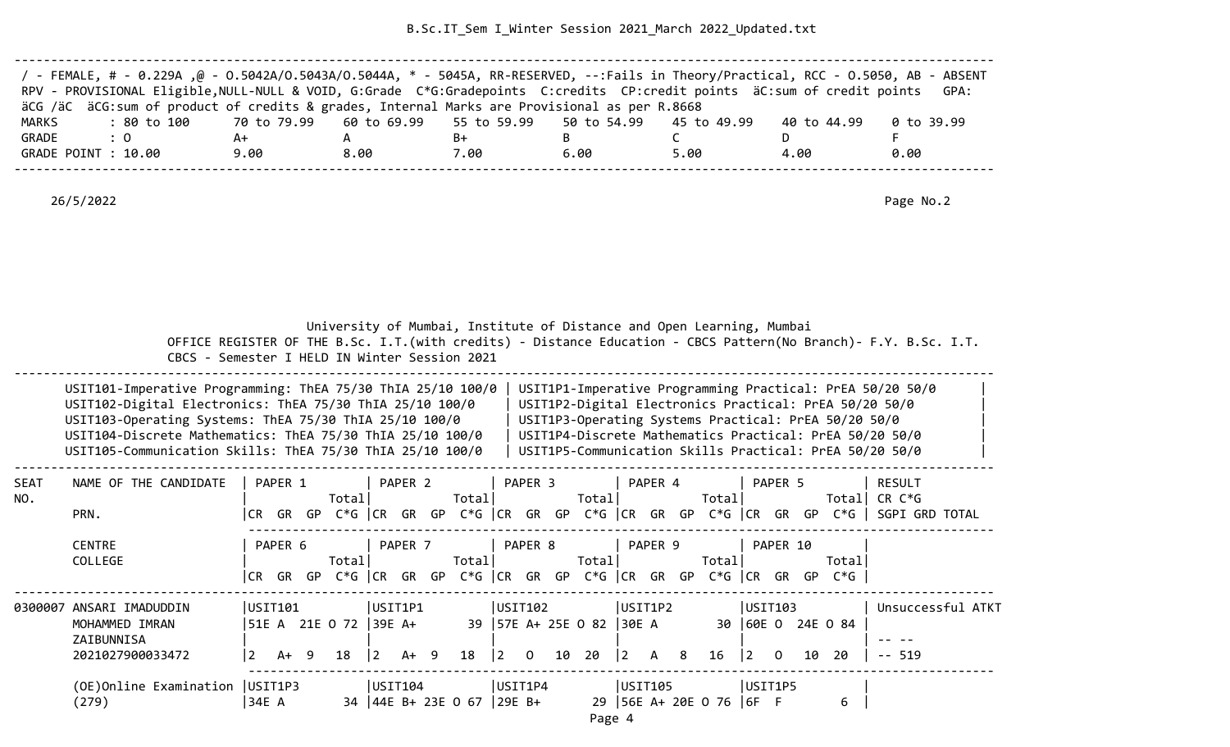B.Sc.IT\_Sem I\_Winter Session 2021\_March 2022\_Updated.txt

| / - FEMALE, # - 0.229A ,@ - 0.5042A/0.5043A/0.5044A, * - 5045A, RR-RESERVED, --:Fails in Theory/Practical, RCC - 0.5050, AB - ABSENT |      |      |      |      |      |             |            |
|--------------------------------------------------------------------------------------------------------------------------------------|------|------|------|------|------|-------------|------------|
| RPV - PROVISIONAL Eligible, NULL-NULL & VOID, G:Grade C*G:Gradepoints C:credits CP:credit points äC:sum of credit points             |      |      |      |      |      |             | GPA:       |
| äCG /äC äCG:sum of product of credits & grades, Internal Marks are Provisional as per R.8668                                         |      |      |      |      |      |             |            |
| : 80 to 100    70 to 79.99   60 to 69.99   55 to 59.99   50 to 54.99   45 to 49.99<br>MARKS                                          |      |      |      |      |      | 40 to 44.99 | 0 to 39.99 |
| GRADE<br>$\therefore$ 0                                                                                                              | A+   |      | B+   |      |      |             |            |
| GRADE POINT : 10.00                                                                                                                  | 9.00 | 8.00 | 7.00 | 6.00 | 5.00 | 4.00        | 0.00       |
|                                                                                                                                      |      |      |      |      |      |             |            |

26/5/2022 Page No.2

 University of Mumbai, Institute of Distance and Open Learning, Mumbai OFFICE REGISTER OF THE B.Sc. I.T.(with credits) - Distance Education - CBCS Pattern(No Branch)- F.Y. B.Sc. I.T. CBCS - Semester I HELD IN Winter Session 2021 --------------------------------------------------------------------------------------------------------------------------------------

| USIT101-Imperative Programming: ThEA 75/30 ThIA 25/10 100/0 | USIT1P1-Imperative Programming Practical: PrEA 50/20 50/0 |
|-------------------------------------------------------------|-----------------------------------------------------------|
| USIT102-Digital Electronics: ThEA 75/30 ThIA 25/10 100/0    | USIT1P2-Digital Electronics Practical: PrEA 50/20 50/0    |
| USIT103-Operating Systems: ThEA 75/30 ThIA 25/10 100/0      | USIT1P3-Operating Systems Practical: PrEA 50/20 50/0      |
| USIT104-Discrete Mathematics: ThEA 75/30 ThIA 25/10 100/0   | USIT1P4-Discrete Mathematics Practical: PrEA 50/20 50/0   |
| USIT105-Communication Skills: ThEA 75/30 ThIA 25/10 100/0   | USIT1P5-Communication Skills Practical: PrEA 50/20 50/0   |
|                                                             |                                                           |

| <b>SEAT</b> | NAME OF THE CANDIDATE             |         | PAPER 1 |     |                |                | PAPER 2 |    |                   |                                       | PAPER 3 |    |                    |       | PAPER 4      |    |                                  |           | PAPER 5  |     |                   | RESULT            |
|-------------|-----------------------------------|---------|---------|-----|----------------|----------------|---------|----|-------------------|---------------------------------------|---------|----|--------------------|-------|--------------|----|----------------------------------|-----------|----------|-----|-------------------|-------------------|
| NO.         |                                   |         |         |     | Total          |                |         |    | Totall            |                                       |         |    | Total              |       |              |    | Total                            |           |          |     | Totall            | CR C*G            |
|             | PRN.                              | CR.     | GR      | GP  | C*G CR GR GP   |                |         |    | $C*G$ $ CR$ $GR$  |                                       |         |    |                    |       |              |    | GP $C*G$ $ CR$ GR GP $C*G$ $ CR$ |           | GR       | GP  | $C*G$             | SGPI GRD TOTAL    |
|             | <b>CENTRE</b>                     |         | PAPER 6 |     |                |                | PAPER 7 |    |                   |                                       | PAPER 8 |    |                    |       | PAPER 9      |    |                                  |           | PAPER 10 |     |                   |                   |
|             | COLLEGE                           |         |         |     | Total          |                |         |    | Total             |                                       |         |    | Total              |       |              |    | Total                            |           |          |     | Total             |                   |
|             |                                   | ∣CR.    | GR      | GP. | C*G  CR        |                | GR      | GP | C*G  CR           |                                       | GR      |    |                    |       |              |    | GP $C*G$ $ CR$ GR GP $C*G$ $ CR$ |           | GR       | GP. | $C*G$             |                   |
| 0300007     | ANSARI IMADUDDIN                  | USIT101 |         |     |                | USIT1P1        |         |    |                   |                                       | USIT102 |    |                    |       | USIT1P2      |    |                                  | USIT103   |          |     |                   | Unsuccessful ATKT |
|             | MOHAMMED IMRAN<br>ZAIBUNNISA      |         |         |     | 51E A 21E O 72 | 39E A+         |         |    | 39                |                                       |         |    | $ 57E A+ 25E O 82$ | 30E A |              |    |                                  |           |          |     | 30 60E 0 24E 0 84 |                   |
|             | 2021027900033472                  |         | A+ 9    |     | 18             | $\overline{2}$ | A+ 9    |    | 18                | $\begin{bmatrix} 2 & 0 \end{bmatrix}$ |         | 10 | 20                 | 2     | $\mathsf{A}$ | -8 | 16                               | $\vert$ 2 | $\Omega$ | 10  | 20                | $-- 519$          |
|             | (OE) Online Examination   USIT1P3 |         |         |     |                |                | USIT104 |    |                   |                                       | USIT1P4 |    |                    |       | USIT105      |    |                                  | USIT1P5   |          |     |                   |                   |
|             | (279)                             | 34E A   |         |     | 34             |                |         |    | $ 44E B+23E 0 67$ | $ 29E B+$                             |         |    | -29                |       |              |    | $ 56E A+20E O 76  6F F$          |           |          |     | 6                 |                   |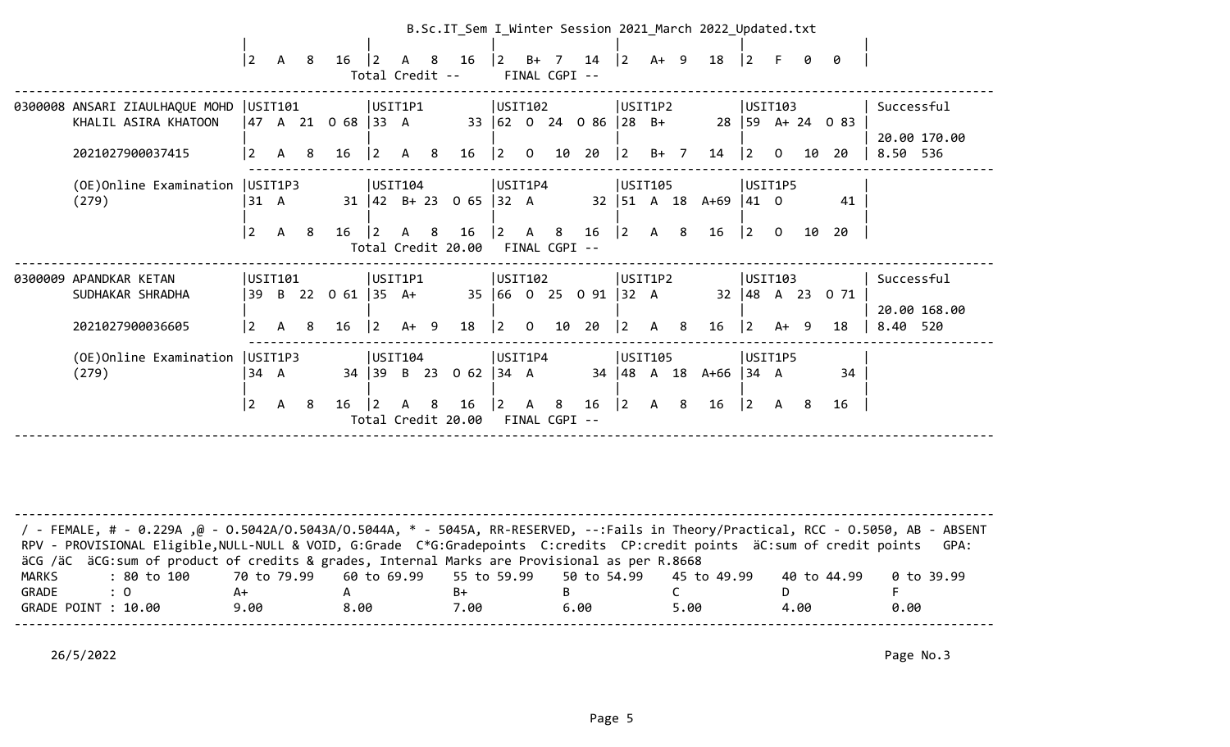|                                   |                |              |     |                    |                |                 |   | B.Sc.IT_Sem I_Winter Session 2021_March 2022_Updated.txt |                  |                |                              |                       |                               |              |                |                            |             |                |        |                      |                             |
|-----------------------------------|----------------|--------------|-----|--------------------|----------------|-----------------|---|----------------------------------------------------------|------------------|----------------|------------------------------|-----------------------|-------------------------------|--------------|----------------|----------------------------|-------------|----------------|--------|----------------------|-----------------------------|
|                                   | 2              | A 8          |     | 16                 | $\overline{2}$ | Total Credit -- |   | A 8 16                                                   |                  |                | $ 2 \t B+7$<br>FINAL CGPI -- | 14                    | $ 2 \rangle$                  |              | $A+ 9$         | 18                         | $ 2\rangle$ | E.             | 0      | 0                    |                             |
| 0300008 ANSARI ZIAULHAQUE MOHD    | USTI01         |              |     |                    |                | USIT1P1         |   |                                                          | USIT102          |                |                              |                       | USIT1P2                       |              |                |                            | USIT103     |                |        |                      | Successful                  |
| KHALIL ASIRA KHATOON              |                |              |     | 47 A 21 O 68  33 A |                |                 |   |                                                          |                  |                |                              | 33 62 0 24 0 86 28 B+ |                               |              |                |                            |             |                |        | $28$   59 A+ 24 0 83 |                             |
| 2021027900037415                  | $\overline{2}$ | A 8          |     | 16                 | $\vert$ 2      | A 8             |   | 16                                                       | $ 2\rangle$      | $\overline{0}$ | 10                           | 20                    | $ 2 \t B+7 $                  |              |                | 14                         | $ 2\rangle$ | $\overline{0}$ | 10     | 20                   | 20.00 170.00<br>8.50 536    |
| (OE)Online Examination            | USIT1P3        |              |     |                    |                | USIT104         |   |                                                          | USIT1P4          |                |                              |                       | USIT105                       |              |                |                            | USIT1P5     |                |        |                      |                             |
| (279)                             | 31 A           |              |     |                    |                |                 |   | $31 \mid 42 \mid B + 23 \mid 0 \mid 65 \mid 32 \mid A$   |                  |                |                              |                       | $32 \mid 51 \quad A \quad 18$ |              |                | $A+69$ 41 0                |             |                |        | 41                   |                             |
|                                   | $\overline{2}$ | $\mathsf{A}$ | - 8 | 16                 | $\vert$ 2      | $\mathsf{A}$    | 8 | 16                                                       | <u> 2</u>        | $\overline{A}$ | 8                            | 16                    | $\vert 2 \vert A \vert$       |              | 8              | 16                         | $ 2\rangle$ | $\overline{0}$ | 10     | 20                   |                             |
|                                   |                |              |     |                    |                |                 |   | Total Credit 20.00                                       |                  |                | FINAL CGPI --                |                       |                               |              |                |                            |             |                |        |                      |                             |
| 0300009 APANDKAR KETAN            |                | USIT101      |     |                    |                | USIT1P1         |   |                                                          | USTI02           |                |                              |                       | USIT1P2                       |              |                |                            | USIT103     |                |        |                      | Successful                  |
| SUDHAKAR SHRADHA                  |                |              |     | 39 B 22 0 61 35 A+ |                |                 |   |                                                          |                  |                |                              | 35 66 0 25 0 91 32 A  |                               |              |                |                            |             |                |        | 32 48 A 23 0 71      |                             |
| 2021027900036605                  | 2              | $\mathsf{A}$ | 8   | 16                 | $\vert$ 2      | $A+ 9$          |   | 18                                                       | 2                | $\mathbf{O}$   | 10                           | 20                    | $\overline{2}$                | $\mathsf{A}$ | 8 <sup>8</sup> | 16                         | 2           |                | $A+ 9$ | 18                   | 20.00 168.00<br>520<br>8.40 |
| (OE) Online Examination   USIT1P3 |                |              |     |                    |                | USIT104         |   |                                                          | USIT1P4          |                |                              |                       | USIT105                       |              |                |                            | USIT1P5     |                |        |                      |                             |
| (279)                             | 34 A           |              |     |                    |                |                 |   | 34 39 B 23 0 62                                          | $ 34 \ \text{A}$ |                |                              |                       |                               |              |                | 34   48 A 18 A + 66   34 A |             |                |        | 34                   |                             |
|                                   | $\overline{2}$ | A            | -8  | 16                 | $ 2\rangle$    | A 8             |   | 16                                                       | 2                | <b>A</b>       | - 8                          | 16                    | $ 2\rangle$                   | A            | - 8            | 16                         | $ 2\rangle$ | A              | -8     | 16                   |                             |
|                                   |                |              |     |                    |                |                 |   | Total Credit 20.00                                       |                  |                | FINAL CGPI --                |                       |                               |              |                |                            |             |                |        |                      |                             |
|                                   |                |              |     |                    |                |                 |   |                                                          |                  |                |                              |                       |                               |              |                |                            |             |                |        |                      |                             |

| / - FEMALE, # - 0.229A ,@ - 0.5042A/0.5043A/0.5044A, * - 5045A, RR-RESERVED, --:Fails in Theory/Practical, RCC - 0.5050, AB - ABSENT |      |      |      |      |      |             |            |
|--------------------------------------------------------------------------------------------------------------------------------------|------|------|------|------|------|-------------|------------|
| RPV - PROVISIONAL Eligible, NULL-NULL & VOID, G:Grade C*G:Gradepoints C:credits CP:credit points äC:sum of credit points             |      |      |      |      |      |             | GPA:       |
| äCG /äC äCG:sum of product of credits & grades, Internal Marks are Provisional as per R.8668                                         |      |      |      |      |      |             |            |
| : 80 to 100    70 to 79.99   60 to 69.99   55 to 59.99   50 to 54.99   45 to 49.99<br>MARKS                                          |      |      |      |      |      | 40 to 44.99 | 0 to 39.99 |
| GRADE<br>$\therefore$ 0                                                                                                              | A+   |      | B+   |      |      |             |            |
| GRADE POINT : 10.00                                                                                                                  | 9.00 | 8.00 | 7.00 | 6.00 | 5.00 | 4.00        | 0.00       |
|                                                                                                                                      |      |      |      |      |      |             |            |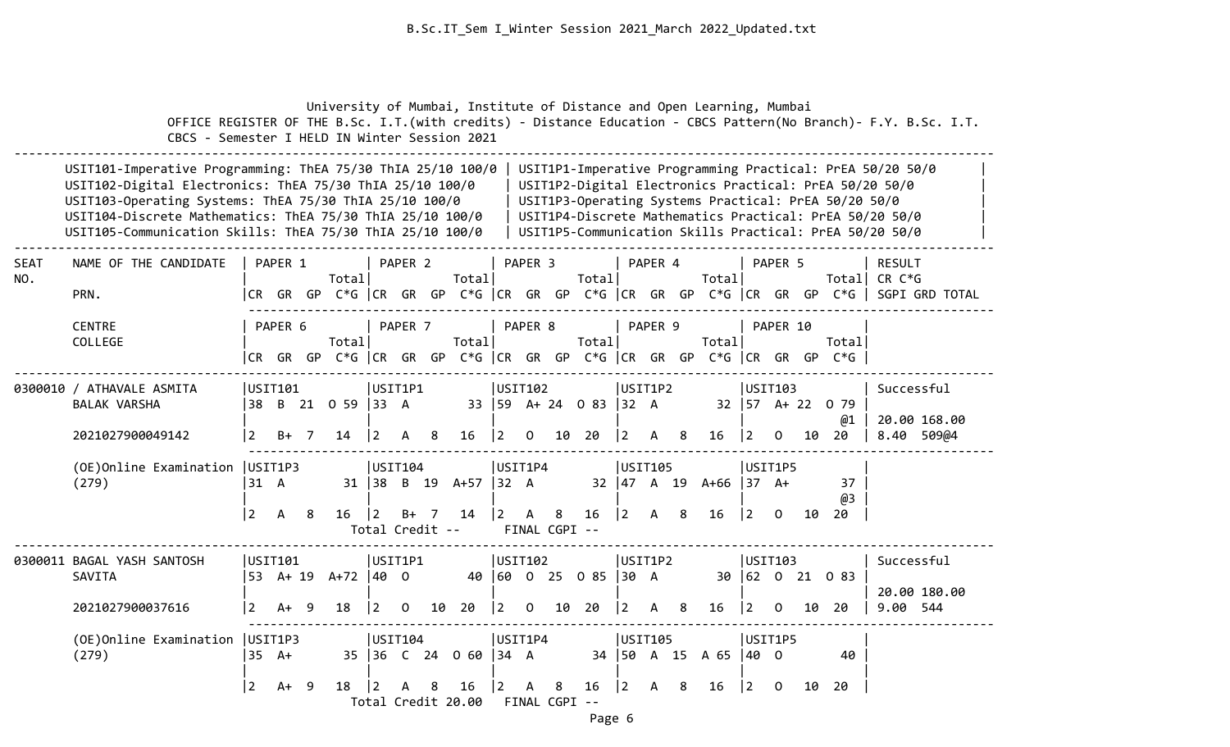University of Mumbai, Institute of Distance and Open Learning, Mumbai OFFICE REGISTER OF THE B.Sc. I.T.(with credits) - Distance Education - CBCS Pattern(No Branch)- F.Y. B.Sc. I.T. CBCS - Semester I HELD IN Winter Session 2021 -------------------------------------------------------------------------------------------------------------------------------------- USIT101-Imperative Programming: ThEA 75/30 ThIA 25/10 100/0 | USIT1P1-Imperative Programming Practical: PrEA 50/20 50/0 USIT102-Digital Electronics: ThEA 75/30 ThIA 25/10 100/0 | USIT1P2-Digital Electronics Practical: PrEA 50/20 50/0 USIT103-Operating Systems: ThEA 75/30 ThIA 25/10 100/0 | USIT1P3-Operating Systems Practical: PrEA 50/20 50/0 USIT104-Discrete Mathematics: ThEA 75/30 ThIA 25/10 100/0 | USIT1P4-Discrete Mathematics Practical: PrEA 50/20 50/0 | USIT105-Communication Skills: ThEA 75/30 ThIA 25/10 100/0 | USIT1P5-Communication Skills Practical: PrEA 50/20 50/0 -------------------------------------------------------------------------------------------------------------------------------------- SEAT NAME OF THE CANDIDATE | PAPER 1 | PAPER 2 | PAPER 3 | PAPER 4 | PAPER 5 | RESULT NO. | Total| Total| Total| Total| Total| CR C\*G

| PRN.                                                          |                        |         |     |                          |                                              |                |    |                                 |                        |                |               |                        |                                                      |         |     |                                                                   |                                 |                |    |                                                                                   | CR GR GP C*G CR GR GP C*G CR GR GP C*G CR GR GP C*G CR GR GP C*G SGPI GRD TOTAL |  |
|---------------------------------------------------------------|------------------------|---------|-----|--------------------------|----------------------------------------------|----------------|----|---------------------------------|------------------------|----------------|---------------|------------------------|------------------------------------------------------|---------|-----|-------------------------------------------------------------------|---------------------------------|----------------|----|-----------------------------------------------------------------------------------|---------------------------------------------------------------------------------|--|
| <b>CENTRE</b><br>COLLEGE                                      |                        | PAPER 6 |     | Total                    |                                              | PAPER 7        |    | Total                           | PAPER 8                |                |               | Total                  |                                                      | PAPER 9 |     | Total                                                             |                                 | PAPER 10       |    | Total<br>CR GR GP C*G   CR GR GP C*G   CR GR GP C*G   CR GR GP C*G   CR GR GP C*G |                                                                                 |  |
| 0300010 / ATHAVALE ASMITA<br>BALAK VARSHA<br>2021027900049142 | USIT101<br><u> 2</u>   | $B+$ 7  |     | 38 B 21 0 59 33 A<br>14  | USIT1P1<br>$ 2\rangle$                       | A 8            |    | 16                              | USIT102<br>$ 2\rangle$ | $\overline{O}$ | 10            | 33 59 A+ 24 0 83<br>20 | USIT1P2<br>$ 32 \tA$<br>$ 2\rangle$                  | A 8     |     | 16                                                                | USIT103<br>$ 2\rangle$          | $\overline{0}$ | 10 | 32 57 A+ 22 0 79<br>@1<br>20                                                      | Successful<br>20.00 168.00<br>8.40 509@4                                        |  |
| (OE) Online Examination   USIT1P3<br>(279)                    | 31 A<br>$\overline{2}$ | A       | - 8 | 16                       | USIT104<br>$\overline{2}$<br>Total Credit -- |                |    | 31 38 B 19 A+57 32 A<br>B+ 7 14 | USIT1P4                |                | FINAL CGPI -- | $ 2 \tA \t8 \t16$      | USIT105<br>$\begin{vmatrix} 2 & A & 8 \end{vmatrix}$ |         |     | $32 \begin{vmatrix} 47 & A & 19 & A+66 \end{vmatrix}$ 37 A+<br>16 | USIT1P5<br>$\vert$ 2            | $\Omega$       | 10 | 37<br>@3<br>20                                                                    |                                                                                 |  |
| 0300011 BAGAL YASH SANTOSH<br>SAVITA<br>2021027900037616      | USIT101<br><u> 2</u>   | $A+ 9$  |     | 53 A+ 19 A+72 40 0<br>18 | USIT1P1<br>$ 2\rangle$                       | $\overline{0}$ | 10 | 20                              | USIT102<br>$ 2\rangle$ | $\overline{0}$ | 10            | 40 60 0 25 0 85<br>20  | USIT1P2<br>130 A<br>$\vert$ 2                        | A       | - 8 | 16                                                                | USIT103<br>$ 2\rangle$          | $\Omega$       | 10 | 30 62 0 21 0 83<br>-20                                                            | Successful<br>20.00 180.00<br>9.00 544                                          |  |
| (OE)Online Examination   USIT1P3<br>(279)                     | $35 \text{ A+}$<br>2   | $A+ 9$  |     | 18                       | USIT104<br>$ 2\rangle$                       | A 8            |    | 35 36 C 24 0 60 34 A<br>16      | USIT1P4<br> 2          |                | A 8           | 16                     | USIT105<br>$ 2\rangle$                               | A 8     |     | 34   50 A 15 A 65<br>16                                           | USIT1P5<br>140 O<br>$ 2\rangle$ | $\mathbf{0}$   | 10 | 40<br>20                                                                          |                                                                                 |  |

Total Credit 20.00 FINAL CGPI --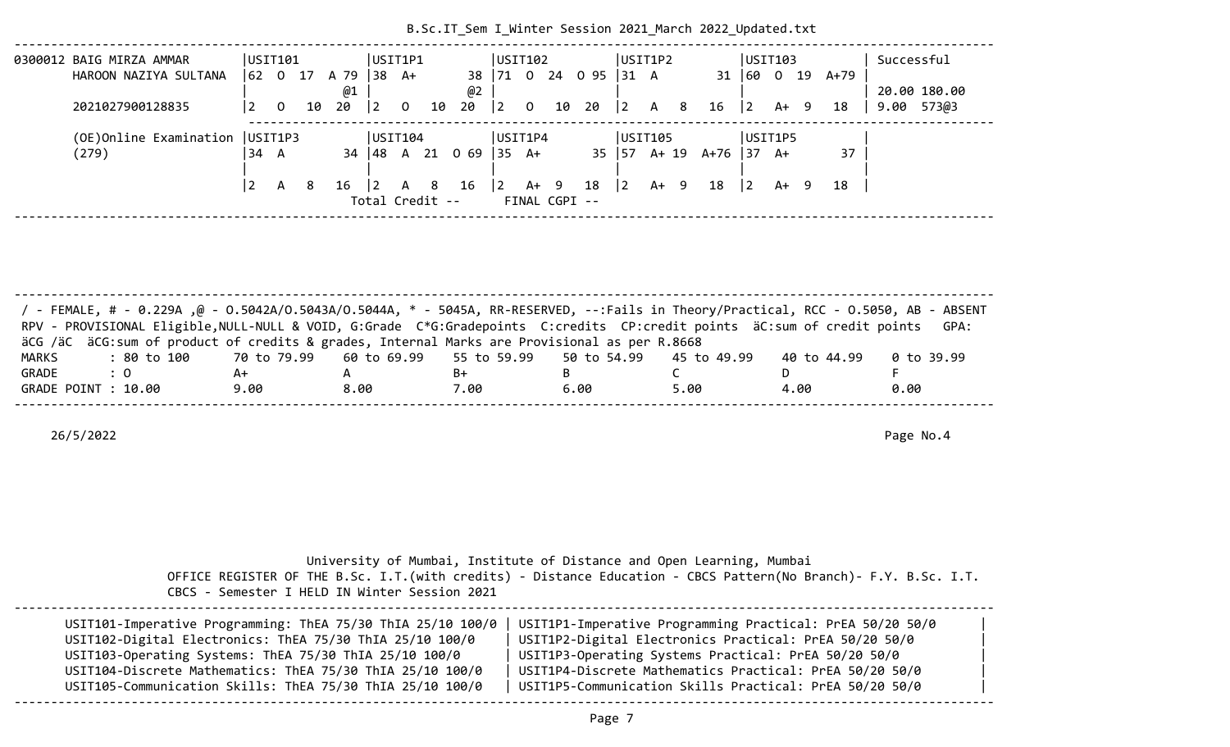| 0300012 BAIG MIRZA AMMAR          |    | USIT101<br>0 17 |    |      |                  | USIT1P1      |    |                       | USTI102      |                |        |               | USIT1P2       |      |     |      | USIT103     |      |     |      | Successful    |  |
|-----------------------------------|----|-----------------|----|------|------------------|--------------|----|-----------------------|--------------|----------------|--------|---------------|---------------|------|-----|------|-------------|------|-----|------|---------------|--|
| HAROON NAZIYA SULTANA             | 62 |                 |    | A 79 | $ 38 \text{ A+}$ |              |    | 38   71               |              | $\overline{0}$ | 24     | 095           | $131 \quad A$ |      |     |      | 31 60 0     |      | 19  | A+79 |               |  |
|                                   |    |                 |    | @1   |                  |              |    | @2                    |              |                |        |               |               |      |     |      |             |      |     |      | 20.00 180.00  |  |
| 2021027900128835                  |    | 0               | 10 | 20   | 12               | $\mathbf{0}$ | 10 | 20                    | 2            | $\mathbf 0$    | 10     | 20            | $ 2\rangle$   |      | A 8 | 16   | $ 2\rangle$ | A+   | - 9 | 18   | 573@3<br>9.00 |  |
|                                   |    |                 |    |      |                  |              |    |                       |              |                |        |               |               |      |     |      |             |      |     |      |               |  |
| (OE) Online Examination   USIT1P3 |    |                 |    |      | USIT104          |              |    |                       | USIT1P4      |                |        |               | USIT105       |      |     |      | USIT1P5     |      |     |      |               |  |
| (279)                             | 34 | A               |    | 34   |                  |              |    | $ 48 \tA} 21 \tC} 69$ | $ 35\rangle$ | A+             |        |               | 35   57 A+ 19 |      |     | A+76 | 37          | - A+ |     | 37   |               |  |
|                                   |    |                 |    |      |                  |              |    |                       |              |                |        |               |               |      |     |      |             |      |     |      |               |  |
|                                   |    | A               | 8  | 16   | $\vert$ 2        | A 8          |    | 16                    | $ 2\rangle$  |                | $A+ 9$ | 18            | $ 2\rangle$   | A+ 9 |     | 18   | 12.         | A+   | -9  | 18   |               |  |
|                                   |    |                 |    |      | Total Credit --  |              |    |                       |              |                |        | FINAL CGPI -- |               |      |     |      |             |      |     |      |               |  |
|                                   |    |                 |    |      |                  |              |    |                       |              |                |        |               |               |      |     |      |             |      |     |      |               |  |

B.Sc.IT\_Sem I\_Winter Session 2021\_March 2022\_Updated.txt

| / FEMALE, # - 0.229A ,@ - 0.5042A/0.5043A/0.5044A, * - 5045A, RR-RESERVED, --:Fails in Theory/Practical, RCC - 0.5050, AB - ABSENT<br>RPV - PROVISIONAL Eligible, NULL-NULL & VOID, G:Grade C*G:Gradepoints C:credits CP:credit points äC:sum of credit points |      |      |      |      |      |             | GPA:       |
|----------------------------------------------------------------------------------------------------------------------------------------------------------------------------------------------------------------------------------------------------------------|------|------|------|------|------|-------------|------------|
| äCG /äC äCG:sum of product of credits & grades, Internal Marks are Provisional as per R.8668                                                                                                                                                                   |      |      |      |      |      |             |            |
| : 80 to 100    70 to 79.99   60 to 69.99   55 to 59.99   50 to 54.99   45 to 49.99<br>MARKS                                                                                                                                                                    |      |      |      |      |      | 40 to 44.99 | 0 to 39.99 |
| GRADE<br>$\therefore$ 0                                                                                                                                                                                                                                        | A+   |      | B+   |      |      |             |            |
| GRADE POINT : 10.00                                                                                                                                                                                                                                            | 9.00 | 8.00 | 7.00 | 6.00 | 5.00 | 4.00        | 0.00       |
|                                                                                                                                                                                                                                                                |      |      |      |      |      |             |            |

| CBCS - Semester I HELD IN Winter Session 2021               | University of Mumbai, Institute of Distance and Open Learning, Mumbai<br>OFFICE REGISTER OF THE B.Sc. I.T. (with credits) - Distance Education - CBCS Pattern (No Branch) - F.Y. B.Sc. I.T. |
|-------------------------------------------------------------|---------------------------------------------------------------------------------------------------------------------------------------------------------------------------------------------|
| USIT101-Imperative Programming: ThEA 75/30 ThIA 25/10 100/0 | USIT1P1-Imperative Programming Practical: PrEA 50/20 50/0                                                                                                                                   |
| USIT102-Digital Electronics: ThEA 75/30 ThIA 25/10 100/0    | USIT1P2-Digital Electronics Practical: PrEA 50/20 50/0                                                                                                                                      |
| USIT103-Operating Systems: ThEA 75/30 ThIA 25/10 100/0      | USIT1P3-Operating Systems Practical: PrEA 50/20 50/0                                                                                                                                        |
| USIT104-Discrete Mathematics: ThEA 75/30 ThIA 25/10 100/0   | USIT1P4-Discrete Mathematics Practical: PrEA 50/20 50/0                                                                                                                                     |
| USIT105-Communication Skills: ThEA 75/30 ThIA 25/10 100/0   | USIT1P5-Communication Skills Practical: PrEA 50/20 50/0                                                                                                                                     |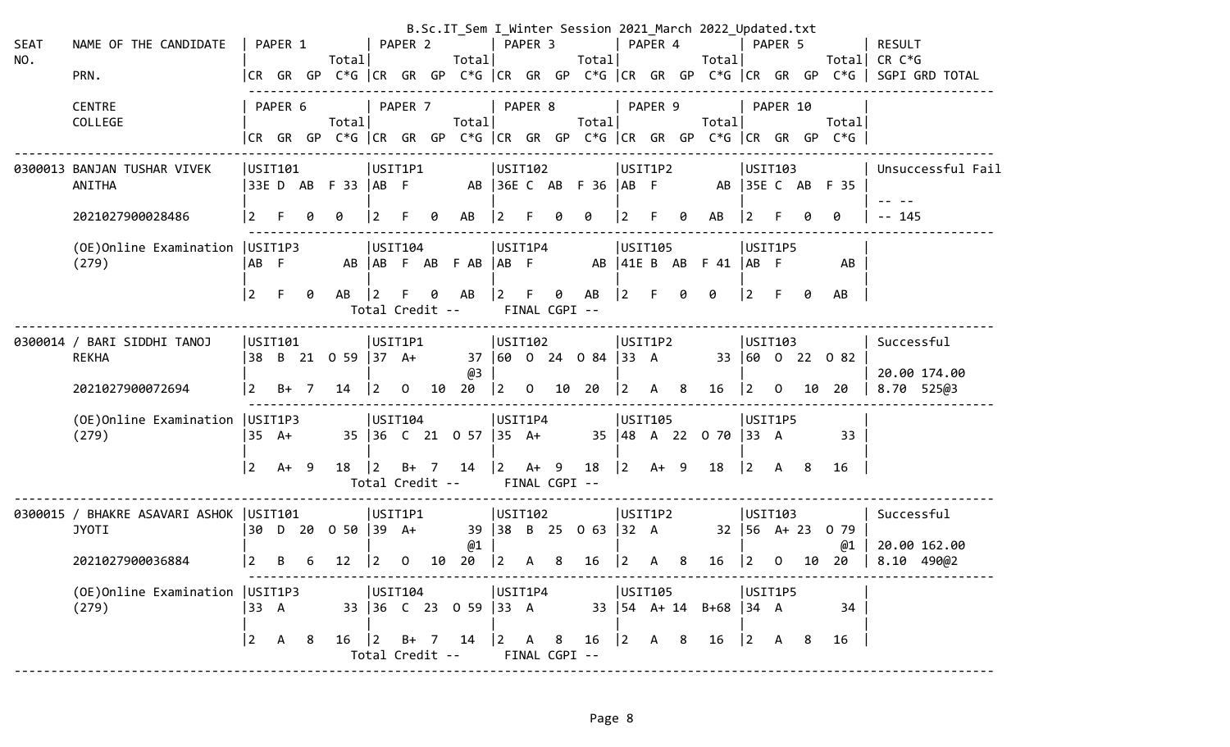| <b>SEAT</b><br>NO. | NAME OF THE CANDIDATE<br>PRN.                            |             | PAPER 1 |   | Total                                    |                                   | PAPER 2        |    | Total                         | PAPER <sub>3</sub>                         |     |               | Total                   | PAPER 4                               |              |                         | B.Sc.IT_Sem I_Winter Session 2021 March 2022 Updated.txt<br>Total |             | PAPER 5        |    |                                                                                | <b>RESULT</b><br>Total CR $C*G$<br> CR GR GP C*G  CR GR GP C*G  CR GR GP C*G  CR GR GP C*G  CR GR GP C*G   SGPI GRD TOTAL |
|--------------------|----------------------------------------------------------|-------------|---------|---|------------------------------------------|-----------------------------------|----------------|----|-------------------------------|--------------------------------------------|-----|---------------|-------------------------|---------------------------------------|--------------|-------------------------|-------------------------------------------------------------------|-------------|----------------|----|--------------------------------------------------------------------------------|---------------------------------------------------------------------------------------------------------------------------|
|                    | <b>CENTRE</b><br>COLLEGE                                 |             | PAPER 6 |   | Totall                                   |                                   | PAPER 7        |    | Total                         | PAPER 8                                    |     |               | Totall                  | PAPER 9                               |              |                         | Total                                                             |             | PAPER 10       |    | Total<br> CR GR GP C*G  CR GR GP C*G  CR GR GP C*G  CR GR GP C*G  CR GR GP C*G |                                                                                                                           |
|                    | 0300013 BANJAN TUSHAR VIVEK<br>ANITHA                    |             | USTT101 |   | 33E D AB F 33   AB F                     | USIT1P1                           |                |    |                               | USIT102                                    |     |               | AB 36E C AB F 36   AB F | USIT1P2                               |              |                         |                                                                   | USTI03      |                |    | AB 35E C AB F 35                                                               | Unsuccessful Fail                                                                                                         |
|                    | 2021027900028486                                         |             |         |   |                                          |                                   |                |    | AB                            |                                            |     |               | 0                       |                                       |              |                         | AB                                                                |             |                |    | 0                                                                              | $-- 145$                                                                                                                  |
|                    | (OE) Online Examination   USIT1P3<br>(279)               | IAB F       |         |   |                                          | USIT104                           |                |    | AB AB F AB F AB AB F          | USIT1P4                                    |     |               |                         | USIT105<br>$AB$  41E B $AB$           |              |                         | $F$ 41 $AB$ F                                                     | USIT1P5     |                |    | AB                                                                             |                                                                                                                           |
|                    |                                                          | $ 2\rangle$ | F.      |   | AB                                       | $\overline{2}$<br>Total Credit -- |                | 0  | AB                            | <u> 2</u>                                  | F.  | 0             | AB<br>FINAL CGPI --     | $ 2\rangle$                           |              | ø                       | 0                                                                 | $\vert$ 2   | F.             | ø  | AB                                                                             |                                                                                                                           |
|                    | 0300014 / BARI SIDDHI TANOJ<br>REKHA                     |             | USIT101 |   | $ 38 \t B \t 21 \t 0 \t 59 \t  37 \t A+$ | USIT1P1                           |                |    |                               | USIT102                                    |     |               | 37 60 0 24 0 84 33 A    | USIT1P2                               |              |                         |                                                                   | USTI03      |                |    | 33 60 0 22 0 82                                                                | Successful                                                                                                                |
|                    | 2021027900072694                                         | $\vert$ 2   | $B+$ 7  |   | 14                                       | $ 2\rangle$                       | $\overline{0}$ | 10 | @3<br>20                      | $ 2\rangle$                                |     |               | 0 10 20                 | $ 2 \rangle$                          | $\mathsf{A}$ | $\overline{\mathbf{8}}$ | 16                                                                | $ 2\rangle$ | $\overline{O}$ | 10 | 20                                                                             | 20.00 174.00<br>8.70 525@3                                                                                                |
|                    | (OE) Online Examination   USIT1P3<br>(279)               | 135 A+      |         |   |                                          | USIT104                           |                |    | 35 36 C 21 0 57 35 A+         | USIT1P4                                    |     |               |                         | USIT105                               |              |                         | 35 48 A 22 0 70 33 A                                              | USIT1P5     |                |    | 33                                                                             |                                                                                                                           |
|                    |                                                          | $\vert$ 2   | $A+ 9$  |   | 18                                       | $ 2\rangle$<br>Total Credit --    | B+ 7           |    | 14                            | $\begin{vmatrix} 2 & A+ & 9 \end{vmatrix}$ |     | FINAL CGPI -- | 18                      | $\vert$ 2                             | A+ 9         |                         | 18                                                                | $ 2\rangle$ | A 8            |    | 16                                                                             |                                                                                                                           |
|                    | 0300015 / BHAKRE ASAVARI ASHOK   USIT101<br><b>JYOTI</b> |             |         |   | 30 D 20 O 50 39 A+                       | USIT1P1                           |                |    | @1                            | USIT102                                    |     |               | 39 38 B 25 0 63 32 A    | USIT1P2                               |              |                         |                                                                   | USTI03      |                |    | 32 56 A+ 23 0 79<br>@1                                                         | Successful<br>20.00 162.00                                                                                                |
|                    | 2021027900036884                                         | $\vert$ 2   | B       | 6 | 12                                       | $ 2\rangle$                       | $\overline{0}$ | 10 | 20                            | $ 2\rangle$                                | A 8 |               | 16                      | $\begin{vmatrix} 2 & A \end{vmatrix}$ |              | 8                       | $16 \quad  2$                                                     |             | $\mathbf{O}$   |    | 10 20                                                                          | 8.10 490@2                                                                                                                |
|                    | (279)                                                    |             |         |   |                                          |                                   |                |    |                               |                                            |     |               |                         |                                       |              |                         |                                                                   |             |                |    |                                                                                |                                                                                                                           |
|                    |                                                          | $ 2\rangle$ | A 8     |   |                                          |                                   |                |    | Total Credit -- FINAL CGPI -- |                                            |     |               |                         |                                       |              |                         | 16  2 B+ 7 14  2 A 8 16  2 A 8 16  2 A 8                          |             |                |    | 16                                                                             |                                                                                                                           |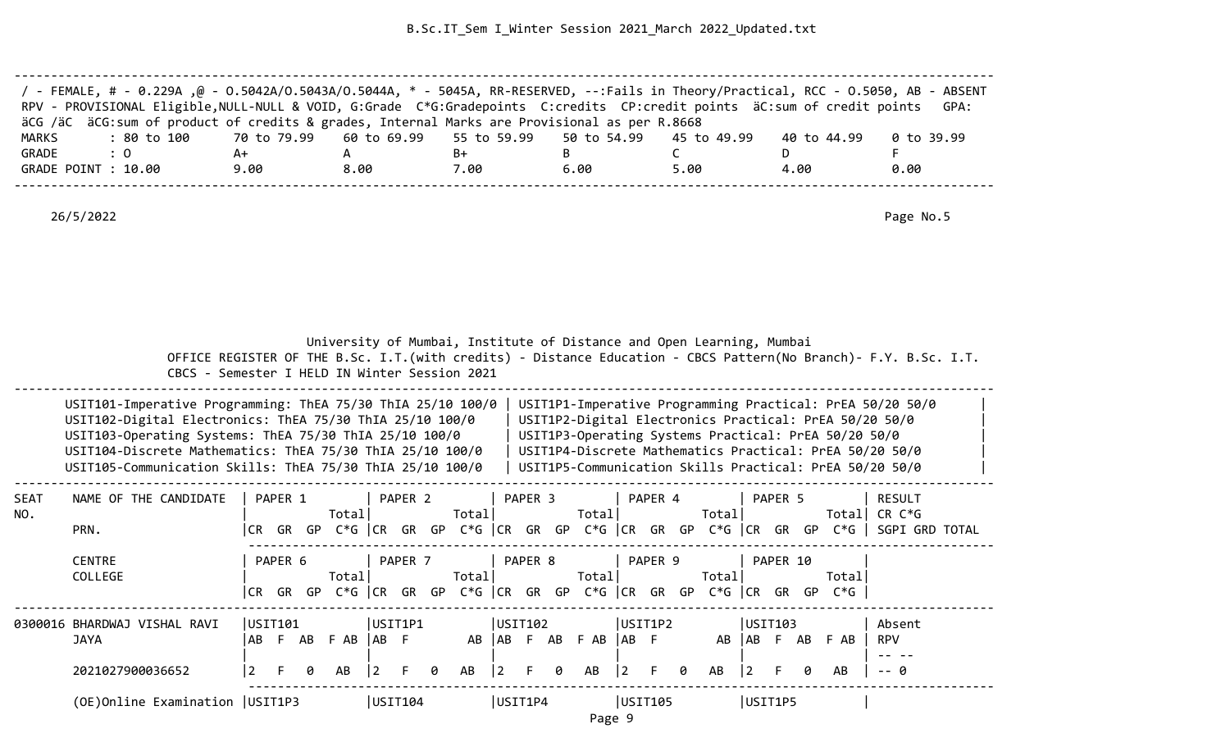| / - FEMALE, # - 0.229A ,@ - 0.5042A/0.5043A/0.5044A, * - 5045A, RR-RESERVED, --:Fails in Theory/Practical, RCC - 0.5050, AB - ABSENT<br>RPV - PROVISIONAL Eligible, NULL-NULL & VOID, G:Grade C*G:Gradepoints C:credits CP:credit points äC:sum of credit points GPA: |      |      |      |      |      |             |            |
|-----------------------------------------------------------------------------------------------------------------------------------------------------------------------------------------------------------------------------------------------------------------------|------|------|------|------|------|-------------|------------|
|                                                                                                                                                                                                                                                                       |      |      |      |      |      |             |            |
| äCG /äC äCG:sum of product of credits & grades, Internal Marks are Provisional as per R.8668                                                                                                                                                                          |      |      |      |      |      |             |            |
| : 80 to 100    70 to 79.99   60 to 69.99   55 to 59.99   50 to 54.99   45 to 49.99<br>MARKS                                                                                                                                                                           |      |      |      |      |      | 40 to 44.99 | 0 to 39.99 |
| GRADE<br>$\therefore$ 0                                                                                                                                                                                                                                               | A+   |      | B+   |      |      |             |            |
| GRADE POINT : 10.00                                                                                                                                                                                                                                                   | 9.00 | 8.00 | 7.00 | 6.00 | 5.00 | 4.00        | 0.00       |
|                                                                                                                                                                                                                                                                       |      |      |      |      |      |             |            |

 University of Mumbai, Institute of Distance and Open Learning, Mumbai OFFICE REGISTER OF THE B.Sc. I.T.(with credits) - Distance Education - CBCS Pattern(No Branch)- F.Y. B.Sc. I.T. CBCS - Semester I HELD IN Winter Session 2021

| USIT101-Imperative Programming: ThEA 75/30 ThIA 25/10 100/0 | USIT1P1-Imperative Programming Practical: PrEA 50/20 50/0 |  |
|-------------------------------------------------------------|-----------------------------------------------------------|--|
| USIT102-Digital Electronics: ThEA 75/30 ThIA 25/10 100/0    | USIT1P2-Digital Electronics Practical: PrEA 50/20 50/0    |  |
| USIT103-Operating Systems: ThEA 75/30 ThIA 25/10 100/0      | USIT1P3-Operating Systems Practical: PrEA 50/20 50/0      |  |
| USIT104-Discrete Mathematics: ThEA 75/30 ThIA 25/10 100/0   | USIT1P4-Discrete Mathematics Practical: PrEA 50/20 50/0   |  |
| USIT105-Communication Skills: ThEA 75/30 ThIA 25/10 100/0   | USIT1P5-Communication Skills Practical: PrEA 50/20 50/0   |  |
|                                                             |                                                           |  |

| <b>SEAT</b><br>NO. | NAME OF THE CANDIDATE             |         | PAPER 1 |    | Total      |                | PAPER <sub>2</sub> |   | Total                            |                 | PAPER 3 |    | Total |             | PAPER 4 |    | Total   |                | PAPER 5  |    | Totall | <b>RESULT</b><br>CR C*G |  |
|--------------------|-----------------------------------|---------|---------|----|------------|----------------|--------------------|---|----------------------------------|-----------------|---------|----|-------|-------------|---------|----|---------|----------------|----------|----|--------|-------------------------|--|
|                    | PRN.                              | ICR.    | GR      | GP | C*G  CR    |                | GR                 |   | GP $C*G$ $ CR$ GR GP $C*G$ $ CR$ |                 |         |    |       |             | GR      | GP | C*G  CR |                | GR       | GP | C*G    | SGPI GRD TOTAL          |  |
|                    | <b>CENTRE</b>                     |         | PAPER 6 |    |            |                | PAPER 7            |   |                                  |                 | PAPER 8 |    |       |             | PAPER 9 |    |         |                | PAPER 10 |    |        |                         |  |
|                    | COLLEGE                           |         |         |    | Total      |                |                    |   | Total                            |                 |         |    | Total |             |         |    | Total   |                |          |    | Total  |                         |  |
|                    |                                   | ICR I   | GR      |    | GP C*G CCR |                | GR                 |   | GP $C*G$ $ CR$ GR GP $C*G$ $ CR$ |                 |         |    |       |             | GR      | GP | C*G  CR |                | GR       |    | GP C*G |                         |  |
|                    | 0300016 BHARDWAJ VISHAL RAVI      | USIT101 |         |    |            | USIT1P1        |                    |   |                                  | USTI102         |         |    |       |             | USIT1P2 |    |         | USIT103        |          |    |        | Absent                  |  |
|                    | <b>JAYA</b>                       | AB      | - F     | AB | F AB       | IAB F          |                    |   | AB                               | l AB -          | - F     | AB | F AB  | IAB F       |         |    | AB      | l AB-          | E.       | AB | F AB   | <b>RPV</b>              |  |
|                    | 2021027900036652                  | 2       | F.      | 0  | AB         | $\overline{2}$ | F.                 | 0 | AB                               | $\vert 2 \vert$ | -F      | 0  | AB    | $ 2\rangle$ | - F     | 0  | AB      | $\overline{2}$ |          | 0  | AB     | -- 0                    |  |
|                    | (OE) Online Examination   USIT1P3 |         |         |    |            | USIT104        |                    |   |                                  | USIT1P4         |         |    |       | USIT105     |         |    |         | USIT1P5        |          |    |        |                         |  |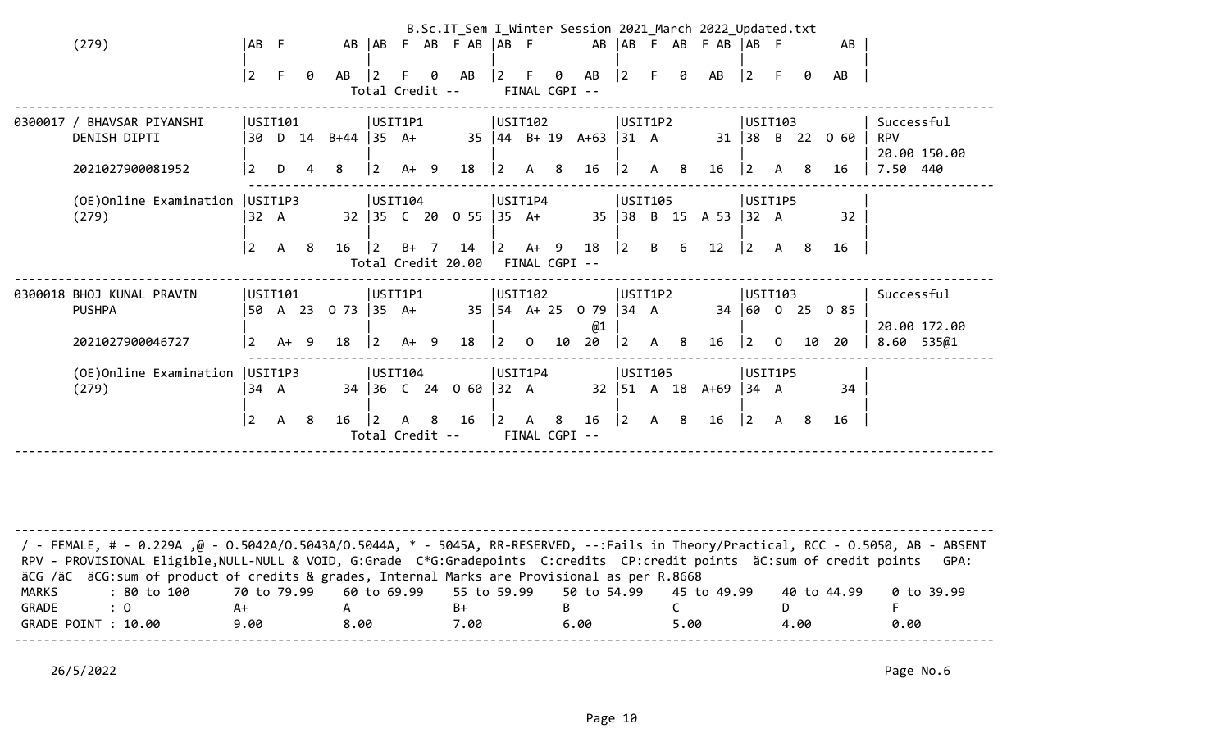|                                                                |                |                       |     |                   |                                  |        |                | B.Sc.IT_Sem I_Winter Session 2021 March 2022 Updated.txt |                        |              |                    |                                                           |                               |                |                |                      |                      |                |     |                                             |                                      |              |
|----------------------------------------------------------------|----------------|-----------------------|-----|-------------------|----------------------------------|--------|----------------|----------------------------------------------------------|------------------------|--------------|--------------------|-----------------------------------------------------------|-------------------------------|----------------|----------------|----------------------|----------------------|----------------|-----|---------------------------------------------|--------------------------------------|--------------|
| (279)                                                          | AB F           |                       |     |                   | AB   AB                          |        |                | F AB F AB   AB F                                         |                        |              |                    |                                                           |                               |                |                | AB AB F AB F AB AB F |                      |                |     | AB                                          |                                      |              |
|                                                                | $\overline{2}$ | E                     | 0   | AB                | Total Credit --                  |        | ø              | AB                                                       | $ 2\rangle$            | -F           | 0<br>FINAL CGPI -- | AB                                                        | $ 2\rangle$                   | E.             | 0              | AB                   | $ 2\rangle$          | F.             | ø   | AB                                          |                                      |              |
| 0300017 / BHAVSAR PIYANSHI<br>DENISH DIPTI<br>2021027900081952 | 30<br>2        | USIT101<br>D 14<br>D. | 4   | $B+44$ 35 A+<br>8 | USIT1P1<br>$ 2\rangle$           | $A+ 9$ |                | 18                                                       | USIT102<br>$ 2\rangle$ | $\mathsf{A}$ | -8                 | $35 \mid 44 \mid B + 19 \mid A + 63 \mid 31 \mid A$<br>16 | USIT1P2<br>$ 2\rangle$        | A 8            |                | 16                   | USIT103<br>$\vert$ 2 | A              | 8   | $31 \mid 38 \mid B \mid 22 \mid 0.60$<br>16 | Successful<br><b>RPV</b><br>7.50 440 | 20.00 150.00 |
| (OE) Online Examination   USIT1P3                              |                |                       |     |                   | USIT104                          |        |                |                                                          | USIT1P4                |              |                    |                                                           | USIT105                       |                |                |                      | USIT1P5              |                |     |                                             |                                      |              |
| (279)                                                          | 32 A           |                       |     |                   |                                  |        |                | 32 35 C 20 0 55 35 A+                                    |                        |              |                    |                                                           |                               |                |                | 35 38 B 15 A 53 32 A |                      |                |     | 32                                          |                                      |              |
|                                                                | $\overline{2}$ | $\mathsf{A}$          | - 8 | 16                | $ 2\rangle$                      | B+     | $\overline{7}$ | 14                                                       | $\vert$ 2              |              | A+ 9               | 18                                                        | 2                             | $\mathsf{B}$   | 6              | 12                   | $ 2\rangle$          | A              | - 8 | 16                                          |                                      |              |
|                                                                |                |                       |     |                   |                                  |        |                | Total Credit 20.00                                       |                        |              | FINAL CGPI --      |                                                           |                               |                |                |                      |                      |                |     |                                             |                                      |              |
| 0300018 BHOJ KUNAL PRAVIN                                      |                | USIT101               |     |                   | USIT1P1                          |        |                |                                                          | USIT102                |              |                    |                                                           | USIT1P2                       |                |                |                      | USIT103              |                |     |                                             | Successful                           |              |
| <b>PUSHPA</b>                                                  | 50             | A 23                  |     | $0\,73$ 35 A+     |                                  |        |                |                                                          |                        |              |                    | 35   54 A + 25 0 79   34 A                                |                               |                |                |                      |                      |                |     | 34 60 0 25 0 85                             |                                      | 20.00 172.00 |
| 2021027900046727                                               | $\overline{2}$ | $A+ 9$                |     | 18                | $ 2\rangle$                      | $A+ 9$ |                | 18                                                       | $ 2\rangle$            | $\mathbf 0$  | 10                 | @1<br>20                                                  | 2                             | $\overline{A}$ | 8 <sup>8</sup> | 16                   | $ 2\rangle$          | $\overline{0}$ | 10  | 20                                          | 8.60                                 | 535@1        |
| (OE) Online Examination   USIT1P3                              |                |                       |     |                   | USIT104                          |        |                |                                                          | USIT1P4                |              |                    |                                                           | USIT105                       |                |                |                      | USIT1P5              |                |     |                                             |                                      |              |
| (279)                                                          | 34 A           |                       |     |                   |                                  |        |                | 34 36 C 24 0 60                                          | $ 32 \text{ A}$        |              |                    |                                                           | $32 \mid 51 \quad A \quad 18$ |                |                | $A+69$               | $ 34 \ \text{A}$     |                |     | 34                                          |                                      |              |
|                                                                | $\overline{2}$ | $\mathsf{A}$          | -8  | 16                | $\mathcal{L}$<br>Total Credit -- |        | -8             | 16                                                       | $ 2\rangle$            | $\mathsf{A}$ | 8<br>FINAL CGPI -- | 16                                                        | $\vert$ 2                     |                | A 8            | 16                   | $ 2\rangle$          | A 8            |     | 16                                          |                                      |              |
|                                                                |                |                       |     |                   |                                  |        |                |                                                          |                        |              |                    |                                                           |                               |                |                |                      |                      |                |     |                                             |                                      |              |

| / - FEMALE, # - 0.229A ,@ - 0.5042A/O.5043A/O.5044A, * - 5045A, RR-RESERVED, --:Fails in Theory/Practical, RCC - 0.5050, AB - ABSENT<br>RPV - PROVISIONAL Eligible, NULL-NULL & VOID, G:Grade C*G:Gradepoints C:credits CP:credit points äC:sum of credit points |      |      |      |      |      |             | GPA:       |
|------------------------------------------------------------------------------------------------------------------------------------------------------------------------------------------------------------------------------------------------------------------|------|------|------|------|------|-------------|------------|
| äCG /äC äCG:sum of product of credits & grades, Internal Marks are Provisional as per R.8668                                                                                                                                                                     |      |      |      |      |      |             |            |
| : 80 to 100    70 to 79.99   60 to 69.99   55 to 59.99   50 to 54.99   45 to 49.99<br>MARKS                                                                                                                                                                      |      |      |      |      |      | 40 to 44.99 | 0 to 39.99 |
| GRADE<br>$\therefore$ 0                                                                                                                                                                                                                                          | A+   |      | B+   |      |      |             |            |
| GRADE POINT : 10.00                                                                                                                                                                                                                                              | 9.00 | 8.00 | 7.00 | 6.00 | 5.00 | 4.00        | 0.00       |
|                                                                                                                                                                                                                                                                  |      |      |      |      |      |             |            |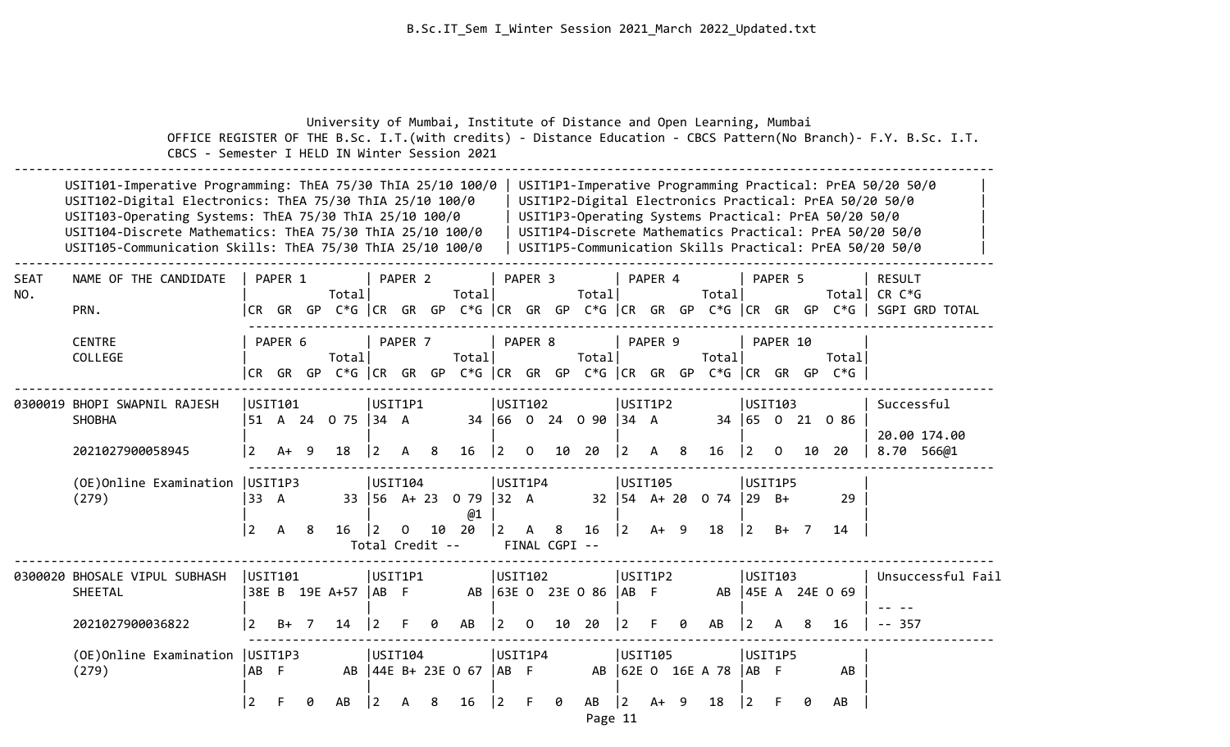|                    | CBCS - Semester I HELD IN Winter Session 2021                                                                                                                                                                                                                                                               |                                    |         |                | University of Mumbai, Institute of Distance and Open Learning, Mumbai |                                           |         |    |                                   |                        |                |                    |                                |                            |         |   |                                     |                           |          |        |                                                                                | OFFICE REGISTER OF THE B.Sc. I.T. (with credits) - Distance Education - CBCS Pattern (No Branch) - F.Y. B.Sc. I.T.                                                                                                                        |
|--------------------|-------------------------------------------------------------------------------------------------------------------------------------------------------------------------------------------------------------------------------------------------------------------------------------------------------------|------------------------------------|---------|----------------|-----------------------------------------------------------------------|-------------------------------------------|---------|----|-----------------------------------|------------------------|----------------|--------------------|--------------------------------|----------------------------|---------|---|-------------------------------------|---------------------------|----------|--------|--------------------------------------------------------------------------------|-------------------------------------------------------------------------------------------------------------------------------------------------------------------------------------------------------------------------------------------|
|                    | USIT101-Imperative Programming: ThEA 75/30 ThIA 25/10 100/0<br>USIT102-Digital Electronics: ThEA 75/30 ThIA 25/10 100/0<br>USIT103-Operating Systems: ThEA 75/30 ThIA 25/10 100/0<br>USIT104-Discrete Mathematics: ThEA 75/30 ThIA 25/10 100/0<br>USIT105-Communication Skills: ThEA 75/30 ThIA 25/10 100/0 |                                    |         |                |                                                                       |                                           |         |    |                                   |                        |                |                    |                                |                            |         |   |                                     |                           |          |        | USIT1P3-Operating Systems Practical: PrEA 50/20 50/0                           | USIT1P1-Imperative Programming Practical: PrEA 50/20 50/0<br>USIT1P2-Digital Electronics Practical: PrEA 50/20 50/0<br>USIT1P4-Discrete Mathematics Practical: PrEA 50/20 50/0<br>USIT1P5-Communication Skills Practical: PrEA 50/20 50/0 |
| <b>SEAT</b><br>NO. | NAME OF THE CANDIDATE<br>PRN.                                                                                                                                                                                                                                                                               |                                    | PAPER 1 |                | Total                                                                 |                                           | PAPER 2 |    | Total                             |                        | PAPER 3        |                    | Total                          |                            | PAPER 4 |   | Total                               |                           | PAPER 5  |        |                                                                                | <b>RESULT</b><br>Total CR C*G<br> CR GR GP C*G  CR GR GP C*G  CR GR GP C*G  CR GR GP C*G  CR GR GP C*G   SGPI GRD TOTAL                                                                                                                   |
|                    | <b>CENTRE</b><br>COLLEGE                                                                                                                                                                                                                                                                                    |                                    | PAPER 6 |                | Total                                                                 |                                           | PAPER 7 |    | Total                             |                        | PAPER 8        |                    | Total                          |                            | PAPER 9 |   | Total                               |                           | PAPER 10 |        | Total<br> CR GR GP C*G  CR GR GP C*G  CR GR GP C*G  CR GR GP C*G  CR GR GP C*G |                                                                                                                                                                                                                                           |
|                    | 0300019 BHOPI SWAPNIL RAJESH<br><b>SHOBHA</b><br>2021027900058945                                                                                                                                                                                                                                           | USIT101<br> 2                      | A+      | -9             | 51 A 24 O 75   34 A<br>18                                             | USIT1P1<br> 2                             | A       | 8  | 16                                | USIT102<br>$\vert$ 2   | $\overline{0}$ |                    | 34 66 0 24 0 90 34 A<br>10 20  | USIT1P2<br>$\vert 2 \vert$ | A 8     |   | 16                                  | USIT103<br>$ 2\rangle$    | $\Omega$ | 10     | 34 65 0 21 0 86<br>20                                                          | Successful<br>20.00 174.00<br>8.70 566@1                                                                                                                                                                                                  |
|                    | (OE)Online Examination<br>(279)                                                                                                                                                                                                                                                                             | USIT1P3<br>33 A<br>$\vert 2 \vert$ | A       | 8              | 16                                                                    | USIT104<br>$ 2\rangle$<br>Total Credit -- | 0       | 10 | 33 56 A+ 23 0 79 32 A<br>@1<br>20 | USIT1P4<br>$ 2\rangle$ | A              | 8<br>FINAL CGPI -- | 16                             | USIT105<br>$ 2\rangle$     | $A+ 9$  |   | $32 \mid 54$ A+ 20 0 74 29 B+<br>18 | USIT1P5<br>$ 2\rangle$    |          | $B+ 7$ | 29<br>14                                                                       |                                                                                                                                                                                                                                           |
|                    | 0300020 BHOSALE VIPUL SUBHASH<br>SHEETAL<br>2021027900036822                                                                                                                                                                                                                                                | USTI01<br>l 2.                     | B+      | $\overline{7}$ | 38E B 19E A+57  AB F<br>14                                            | USIT1P1<br>  2                            |         | ø  | AB                                | USIT102<br> 2          | $\mathsf{O}$   | 10                 | AB 63E 0 23E 0 86   AB F<br>20 | USIT1P2<br>$\overline{2}$  |         | 0 | AB                                  | USIT103<br>$\overline{2}$ | A        | 8      | AB 45E A 24E 0 69<br>16                                                        | Unsuccessful Fail<br>$-- 357$                                                                                                                                                                                                             |
|                    | (OE) Online Examination   USIT1P3<br>(279)                                                                                                                                                                                                                                                                  | AB F<br>$\overline{2}$             | F       | ø              | AB                                                                    | USIT104<br>$ 2\rangle$                    | A       | 8  | AB   44E B+ 23E 0 67   AB F<br>16 | USIT1P4<br>12          | F.             | 0                  | AB                             | USIT105<br>$\vert$ 2       | $A+ 9$  |   | AB 62E 0 16E A 78   AB F<br>18      | USIT1P5<br>$\overline{2}$ |          | ø      | AB<br>AB                                                                       |                                                                                                                                                                                                                                           |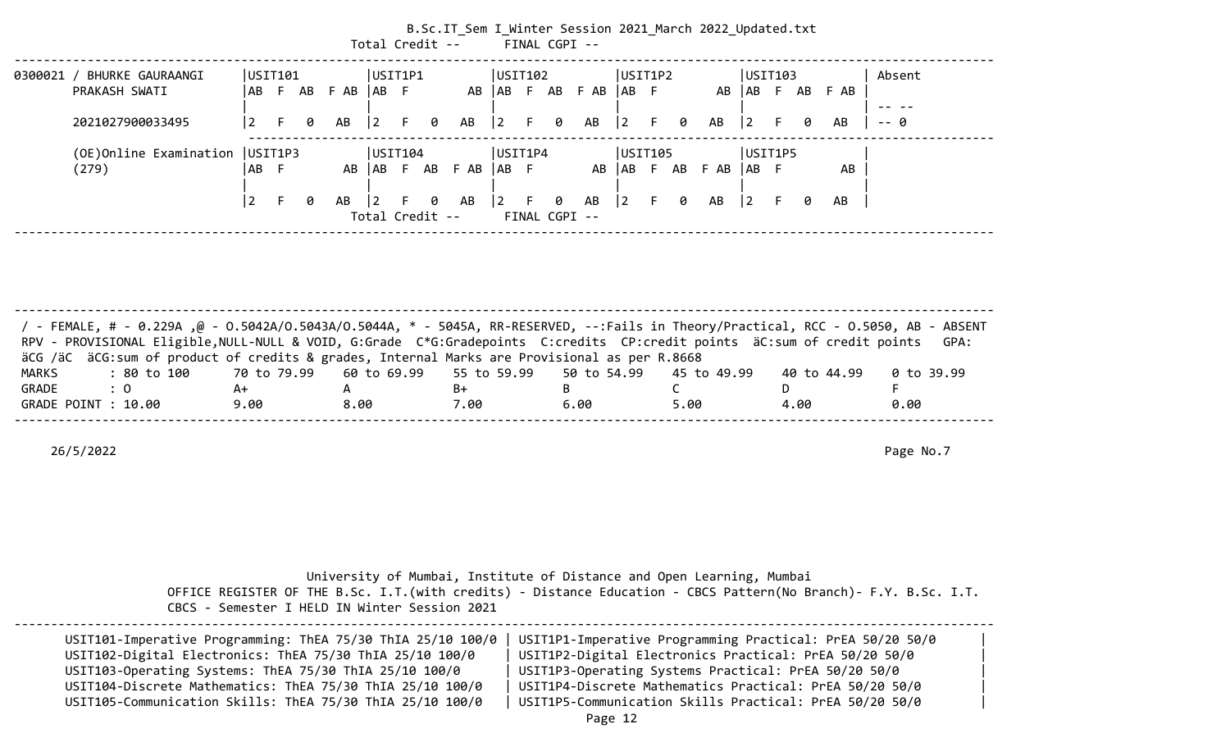|                                                                                       |           |       |   |             | Total Credit -- |              |   |              |           |    |        | B.Sc.IT_Sem I_Winter Session 2021 March 2022 Updated.txt<br>FINAL CGPI -- |             |    |     |      |       |           |   |        |                                                                                                                                                                                                                                                                                                                                                                                                                                                                            |
|---------------------------------------------------------------------------------------|-----------|-------|---|-------------|-----------------|--------------|---|--------------|-----------|----|--------|---------------------------------------------------------------------------|-------------|----|-----|------|-------|-----------|---|--------|----------------------------------------------------------------------------------------------------------------------------------------------------------------------------------------------------------------------------------------------------------------------------------------------------------------------------------------------------------------------------------------------------------------------------------------------------------------------------|
| USIT1P1<br> USTI02 <br>USIT1P2<br> USTI03<br> USTI01<br>0300021 /<br>BHURKE GAURAANGI |           |       |   |             |                 |              |   |              |           |    | Absent |                                                                           |             |    |     |      |       |           |   |        |                                                                                                                                                                                                                                                                                                                                                                                                                                                                            |
| PRAKASH SWATI                                                                         | AB        | - F - |   | AB FAB AB F |                 |              |   | AB   AB F    |           |    |        | AB FAB                                                                    | AB          |    |     |      |       | AB   AB F |   | AB FAB |                                                                                                                                                                                                                                                                                                                                                                                                                                                                            |
|                                                                                       |           |       |   |             |                 |              |   |              |           |    |        |                                                                           |             |    |     |      |       |           |   |        | $\frac{1}{2} \left( \frac{1}{2} \right) \left( \frac{1}{2} \right) \left( \frac{1}{2} \right) \left( \frac{1}{2} \right) \left( \frac{1}{2} \right) \left( \frac{1}{2} \right) \left( \frac{1}{2} \right) \left( \frac{1}{2} \right) \left( \frac{1}{2} \right) \left( \frac{1}{2} \right) \left( \frac{1}{2} \right) \left( \frac{1}{2} \right) \left( \frac{1}{2} \right) \left( \frac{1}{2} \right) \left( \frac{1}{2} \right) \left( \frac{1}{2} \right) \left( \frac$ |
| 2021027900033495                                                                      | 2         | F.    | 0 | AB          | $\vert 2 \vert$ | $\mathsf{F}$ | 0 | AB           | $\vert$ 2 | F. | 0      | AB                                                                        | $ 2\rangle$ |    | F 0 | AB   | 2     | E.        | 0 | AB     | -- 0                                                                                                                                                                                                                                                                                                                                                                                                                                                                       |
| (OE) Online Examination   USIT1P3                                                     |           |       |   |             | USIT104         |              |   |              | USIT1P4   |    |        |                                                                           | USIT105     |    |     |      |       | USIT1P5   |   |        |                                                                                                                                                                                                                                                                                                                                                                                                                                                                            |
| (279)                                                                                 | AB        | -F    |   | AB          |                 |              |   | AB F AB F AB | IAB F     |    |        | AB                                                                        | AB F AB     |    |     | F AB | IAB F |           |   | AB     |                                                                                                                                                                                                                                                                                                                                                                                                                                                                            |
|                                                                                       |           |       |   |             |                 |              |   |              |           |    |        |                                                                           |             |    |     |      |       |           |   |        |                                                                                                                                                                                                                                                                                                                                                                                                                                                                            |
|                                                                                       | $\vert$ 2 | F     | 0 | AB          | $\overline{2}$  |              | 0 | AB           | $\vert$ 2 | F. | 0      | AB                                                                        | $ 2\rangle$ | E. | 0   | AB   | 2     | F.        | 0 | AB     |                                                                                                                                                                                                                                                                                                                                                                                                                                                                            |
|                                                                                       |           |       |   |             | Total Credit -- |              |   |              |           |    |        | FINAL CGPI --                                                             |             |    |     |      |       |           |   |        |                                                                                                                                                                                                                                                                                                                                                                                                                                                                            |

-------------------------------------------------------------------------------------------------------------------------------------- / - FEMALE, # - 0.229A ,@ - O.5042A/O.5043A/O.5044A, \* - 5045A, RR-RESERVED, --:Fails in Theory/Practical, RCC - O.5050, AB - ABSENT RPV - PROVISIONAL Eligible,NULL-NULL & VOID, G:Grade C\*G:Gradepoints C:credits CP:credit points äC:sum of credit points GPA: äCG /äC äCG:sum of product of credits & grades, Internal Marks are Provisional as per R.8668 MARKS : 80 to 100 70 to 79.99 60 to 69.99 55 to 59.99 50 to 54.99 45 to 49.99 40 to 44.99 0 to 39.99 GRADE : 0 A+ A B+ B C D F GRADE POINT : 10.00 9.00 8.00 7.00 6.00 5.00 4.00 0.00 --------------------------------------------------------------------------------------------------------------------------------------

26/5/2022 Page No.7

|  | University of Mumbai, Institute of Distance and Open Learning, Mumbai |                                                                                                                  |
|--|-----------------------------------------------------------------------|------------------------------------------------------------------------------------------------------------------|
|  |                                                                       | OFFICE REGISTER OF THE B.Sc. I.T. (with credits) - Distance Education - CBCS Pattern(No Branch)- F.Y. B.Sc. I.T. |

CBCS - Semester I HELD IN Winter Session 2021

| USIT101-Imperative Programming: ThEA 75/30 ThIA 25/10 100/0<br>USIT102-Digital Electronics: ThEA 75/30 ThIA 25/10 100/0 | USIT1P1-Imperative Programming Practical: PrEA 50/20 50/0<br>USIT1P2-Digital Electronics Practical: PrEA 50/20 50/0 |  |
|-------------------------------------------------------------------------------------------------------------------------|---------------------------------------------------------------------------------------------------------------------|--|
| USIT103-Operating Systems: ThEA 75/30 ThIA 25/10 100/0                                                                  | USIT1P3-Operating Systems Practical: PrEA 50/20 50/0                                                                |  |
| USIT104-Discrete Mathematics: ThEA 75/30 ThIA 25/10 100/0                                                               | USIT1P4-Discrete Mathematics Practical: PrEA 50/20 50/0                                                             |  |
| USIT105-Communication Skills: ThEA 75/30 ThIA 25/10 100/0                                                               | USIT1P5-Communication Skills Practical: PrEA 50/20 50/0                                                             |  |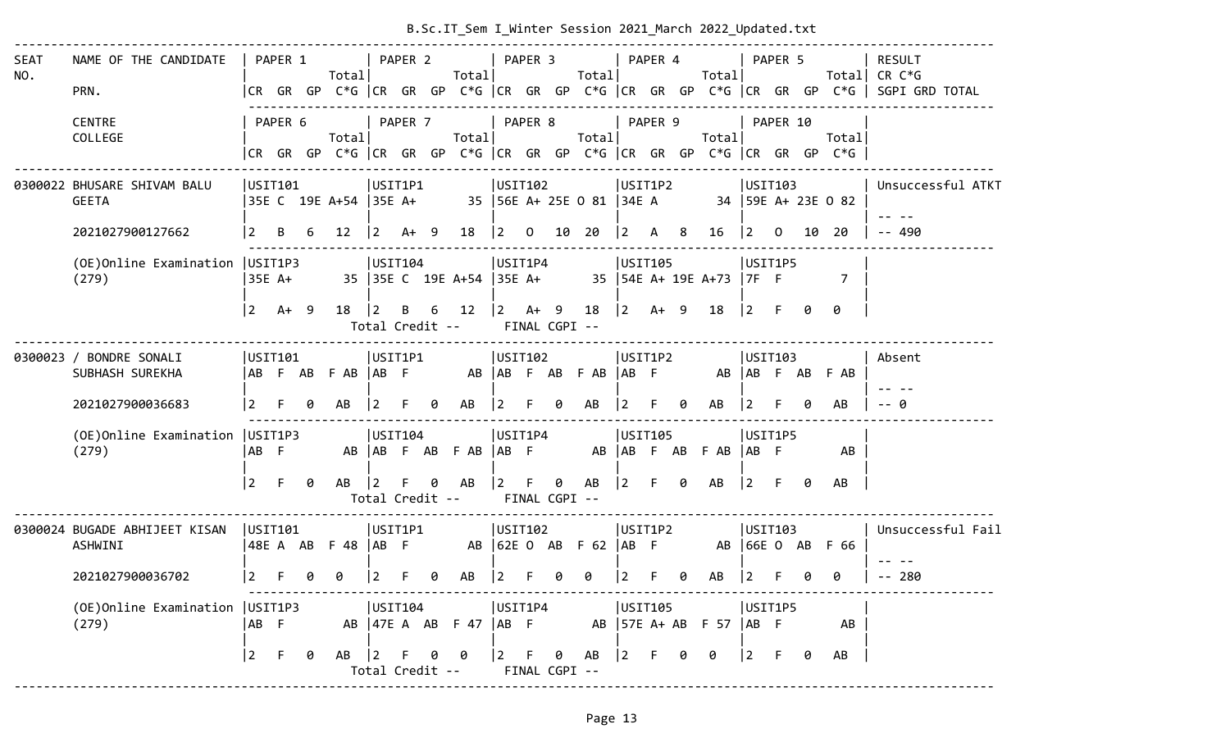|                    |                                                 |                 |         |   |                                                                                |                                |         |      | B.Sc.IT_Sem I_Winter Session 2021 March 2022 Updated.txt |                                            |         |                      |                              |                                            |         |   |                             |                |          |    |                  |                                                                                                                           |
|--------------------|-------------------------------------------------|-----------------|---------|---|--------------------------------------------------------------------------------|--------------------------------|---------|------|----------------------------------------------------------|--------------------------------------------|---------|----------------------|------------------------------|--------------------------------------------|---------|---|-----------------------------|----------------|----------|----|------------------|---------------------------------------------------------------------------------------------------------------------------|
| <b>SEAT</b><br>NO. | NAME OF THE CANDIDATE<br>PRN.                   |                 | PAPER 1 |   | Total                                                                          |                                | PAPER 2 |      | Totall                                                   | PAPER 3                                    |         |                      | Total                        | PAPER 4                                    |         |   | Totall                      |                | PAPER 5  |    |                  | <b>RESULT</b><br>Total CR $C*G$<br> CR GR GP C*G  CR GR GP C*G  CR GR GP C*G  CR GR GP C*G  CR GR GP C*G   SGPI GRD TOTAL |
|                    | <b>CENTRE</b><br>COLLEGE                        |                 | PAPER 6 |   | Total<br> CR GR GP C*G  CR GR GP C*G  CR GR GP C*G  CR GR GP C*G  CR GR GP C*G |                                | PAPER 7 |      | Total                                                    |                                            | PAPER 8 |                      | Total                        |                                            | PAPER 9 |   | Totall                      |                | PAPER 10 |    | Total            |                                                                                                                           |
|                    | 0300022 BHUSARE SHIVAM BALU<br><b>GEETA</b>     |                 | USIT101 |   | 35E C 19E A+54 35E A+                                                          | USIT1P1                        |         |      |                                                          | USIT102                                    |         |                      | 35   56E A+ 25E O 81   34E A | USIT1P2                                    |         |   | 34   59E A+ 23E O 82        | USIT103        |          |    |                  | Unsuccessful ATKT                                                                                                         |
|                    | 2021027900127662                                | $\vert 2 \vert$ | B       | 6 | 12 <sup>2</sup>                                                                | $ 2\rangle$                    |         | A+ 9 | $18 \quad  2 \quad 0$                                    |                                            |         |                      | 10 20                        | $ 2\rangle$                                | A 8     |   | 16                          | $ 2\rangle$    | $\Omega$ | 10 | 20               | $- - 490$                                                                                                                 |
|                    | (OE) Online Examination   USIT1P3<br>(279)      |                 | 35E A+  |   |                                                                                | USIT104                        |         |      | 35 35 C 19E A+54 35E A+                                  | USIT1P4                                    |         |                      |                              | USIT105                                    |         |   | 35   54E A+ 19E A+73   7F F | USIT1P5        |          |    | $\overline{7}$   |                                                                                                                           |
|                    |                                                 | $\vert$ 2       | $A+ 9$  |   | 18                                                                             | $\vert$ 2<br>Total Credit --   | B       | 6    | 12                                                       | $\begin{vmatrix} 2 & A+ & 9 \end{vmatrix}$ |         | FINAL CGPI --        | 18                           | $\begin{vmatrix} 2 & A+ & 9 \end{vmatrix}$ |         |   | 18                          | $ 2 \tF$       |          | ø  | 0                |                                                                                                                           |
|                    | 0300023 / BONDRE SONALI<br>SUBHASH SUREKHA      |                 | USIT101 |   | ABFABFAB ABF                                                                   | USIT1P1                        |         |      |                                                          | USIT102                                    |         |                      | AB AB F AB F AB              | USIT1P2<br>$AB$ F                          |         |   |                             |                | USIT103  |    | AB AB F AB F AB  | Absent                                                                                                                    |
|                    | 2021027900036683                                | $\overline{2}$  |         | 0 | AB                                                                             | 2                              |         | 0    | AB                                                       | 12.                                        | F.      | 0                    | AB                           |                                            |         | ø | AB                          | 2              |          |    | AB               |                                                                                                                           |
|                    | (OE) Online Examination   USIT1P3<br>(279)      | AB F            |         |   |                                                                                | USTI04                         |         |      | AB AB F AB F AB AB F                                     | USIT1P4                                    |         |                      |                              | USIT105                                    |         |   | AB   AB F AB F AB           | USIT1P5<br> AB |          |    | AB               |                                                                                                                           |
|                    |                                                 | 2               | F.      | 0 | AB                                                                             | $\vert 2 \vert$                | F.      | 0    | AB<br>Total Credit --                                    | $\vert$ 2                                  | F.      | 0                    | AB<br>FINAL CGPI --          | $ 2\rangle$                                | F       | 0 | AB                          | $ 2\rangle$    | F        | 0  | AB               |                                                                                                                           |
|                    | 0300024 BUGADE ABHIJEET KISAN<br><b>ASHWINI</b> | USTI101         |         |   | 48EA AB F48   AB F                                                             | USIT1P1                        |         |      |                                                          | USIT102                                    |         |                      | AB 62E 0 AB F 62             | USIT1P2<br>$AB$ F                          |         |   |                             | USTI03         |          |    | AB 66E 0 AB F 66 | Unsuccessful Fail                                                                                                         |
|                    | 2021027900036702                                | $\boxed{2}$     |         | ø | 0                                                                              | 2                              |         | 0    | AB                                                       | $ 2\rangle$                                |         | 0                    | 0                            |                                            |         | 0 | AB                          | 2              |          |    |                  | $- - 280$                                                                                                                 |
|                    | (OE) Online Examination   USIT1P3<br>(279)      | AB F            |         |   |                                                                                | USIT104                        |         |      | AB   47E A AB F 47   AB F                                | USIT1P4                                    |         |                      |                              | USIT105                                    |         |   | AB   57E A+ AB F 57   AB F  | USIT1P5        |          |    | AB               |                                                                                                                           |
|                    |                                                 | $ 2\rangle$     | F.      | 0 | AB                                                                             | $ 2\rangle$<br>Total Credit -- |         |      |                                                          | 2 F                                        |         | - 0<br>FINAL CGPI -- | AB                           | $ 2\rangle$                                |         |   | 0                           | $\vert$ 2      | F.       | 0  | AB               |                                                                                                                           |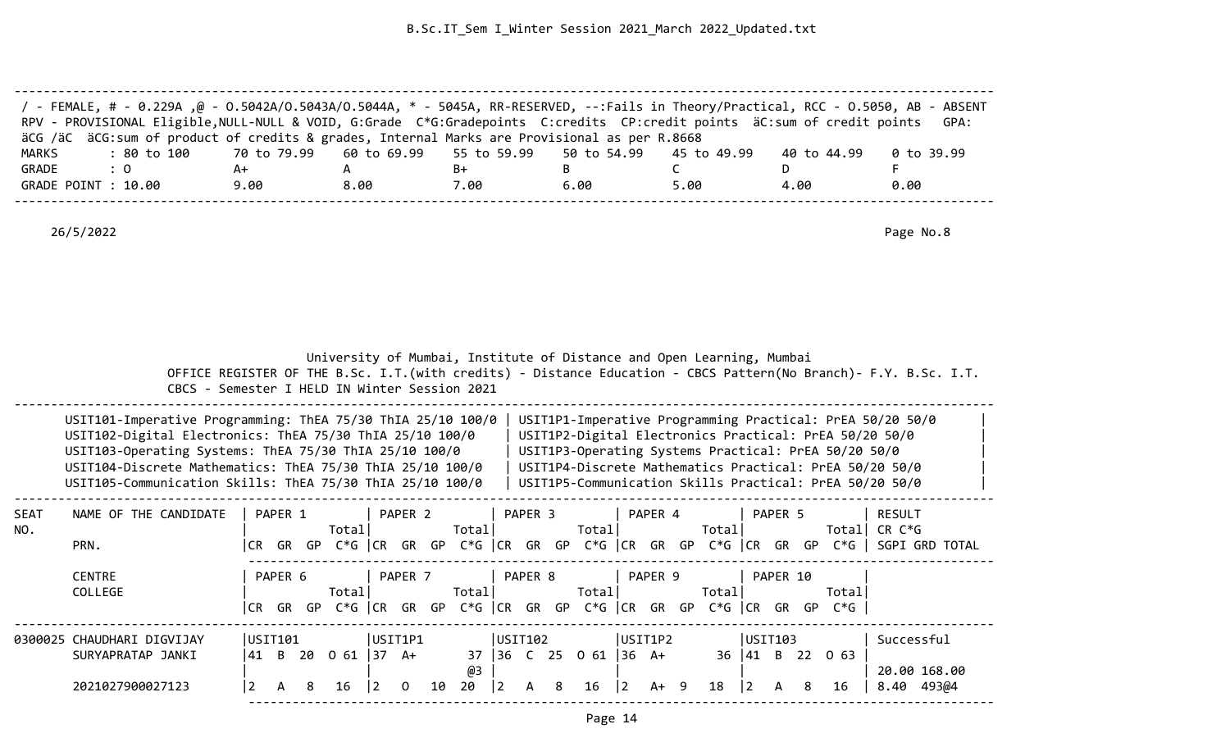| / - FEMALE, # - 0.229A ,@ - 0.5042A/0.5043A/0.5044A, * - 5045A, RR-RESERVED, --:Fails in Theory/Practical, RCC - 0.5050, AB - ABSENT<br>RPV - PROVISIONAL Eligible, NULL-NULL & VOID, G:Grade C*G:Gradepoints C:credits CP:credit points äC:sum of credit points |                                                                         |      |      |      |      |             | GPA:       |
|------------------------------------------------------------------------------------------------------------------------------------------------------------------------------------------------------------------------------------------------------------------|-------------------------------------------------------------------------|------|------|------|------|-------------|------------|
| äCG /äC äCG:sum of product of credits & grades, Internal Marks are Provisional as per R.8668                                                                                                                                                                     |                                                                         |      |      |      |      |             |            |
| MARKS<br>: 80 to 100                                                                                                                                                                                                                                             | 70 to 79.99    60 to 69.99    55 to 59.99    50 to 54.99    45 to 49.99 |      |      |      |      | 40 to 44.99 | 0 to 39.99 |
| GRADE<br>$\therefore$ 0                                                                                                                                                                                                                                          | A+                                                                      |      | B+   |      |      |             |            |
| GRADE POINT : 10.00                                                                                                                                                                                                                                              | 9.00                                                                    | 8.00 | 7.00 | 6.00 | 5.00 | 4.00        | 0.00       |
|                                                                                                                                                                                                                                                                  |                                                                         |      |      |      |      |             |            |

|                    | CBCS - Semester I HELD IN Winter Session 2021                                                                                                                                                                                                                                                               |                     |         |   |                          |                           |          |    |          |               |              |   |                       |                |                           |        |                        |          |   |                                                                                 | OFFICE REGISTER OF THE B.Sc. I.T. (with credits) - Distance Education - CBCS Pattern (No Branch) - F.Y. B.Sc. I.T.                                                                                                                        |
|--------------------|-------------------------------------------------------------------------------------------------------------------------------------------------------------------------------------------------------------------------------------------------------------------------------------------------------------|---------------------|---------|---|--------------------------|---------------------------|----------|----|----------|---------------|--------------|---|-----------------------|----------------|---------------------------|--------|------------------------|----------|---|---------------------------------------------------------------------------------|-------------------------------------------------------------------------------------------------------------------------------------------------------------------------------------------------------------------------------------------|
|                    | USIT101-Imperative Programming: ThEA 75/30 ThIA 25/10 100/0<br>USIT102-Digital Electronics: ThEA 75/30 ThIA 25/10 100/0<br>USIT103-Operating Systems: ThEA 75/30 ThIA 25/10 100/0<br>USIT104-Discrete Mathematics: ThEA 75/30 ThIA 25/10 100/0<br>USIT105-Communication Skills: ThEA 75/30 ThIA 25/10 100/0 |                     |         |   |                          |                           |          |    |          |               |              |   |                       |                |                           |        |                        |          |   | USIT1P3-Operating Systems Practical: PrEA 50/20 50/0                            | USIT1P1-Imperative Programming Practical: PrEA 50/20 50/0<br>USIT1P2-Digital Electronics Practical: PrEA 50/20 50/0<br>USIT1P4-Discrete Mathematics Practical: PrEA 50/20 50/0<br>USIT1P5-Communication Skills Practical: PrEA 50/20 50/0 |
| <b>SEAT</b><br>NO. | NAME OF THE CANDIDATE<br>PRN.                                                                                                                                                                                                                                                                               |                     | PAPER 1 |   | Total                    |                           | PAPER 2  |    | Total    |               | PAPER 3      |   | Total                 |                | PAPER 4                   | Totall |                        | PAPER 5  |   |                                                                                 | RESULT<br>Total  CR C*G<br> CR GR GP C*G  CR GR GP C*G  CR GR GP C*G  CR GR GP C*G  CR GR GP C*G   SGPI GRD TOTAL                                                                                                                         |
|                    | <b>CENTRE</b><br>COLLEGE                                                                                                                                                                                                                                                                                    | CR                  | PAPER 6 |   | Total                    |                           | PAPER 7  |    | Total    |               | PAPER 8      |   | Total                 |                | PAPER 9                   | Totall |                        | PAPER 10 |   | Totall<br>GR GP C*G CR GR GP C*G CR GR GP C*G CR GR GP C*G CR GR GP C*G $\vert$ |                                                                                                                                                                                                                                           |
|                    | 0300025 CHAUDHARI DIGVIJAY<br>SURYAPRATAP JANKI<br>2021027900027123                                                                                                                                                                                                                                         | USIT101<br> 41 B 20 | A       | 8 | $0 \t61 \t37 \tA+$<br>16 | USIT1P1<br>$\overline{2}$ | $\Omega$ | 10 | @3<br>20 | USIT102<br> 2 | $\mathsf{A}$ | 8 | 37 36 C 25 0 61<br>16 | $\overline{2}$ | USIT1P2<br> 36 A+<br>A+ 9 | 18     | USIT103<br>$ 2\rangle$ | A        | 8 | 36 41 B 22 0 63<br>16                                                           | Successful<br>20.00 168.00<br>493@4<br>8.40                                                                                                                                                                                               |

University of Mumbai, Institute of Distance and Open Learning, Mumbai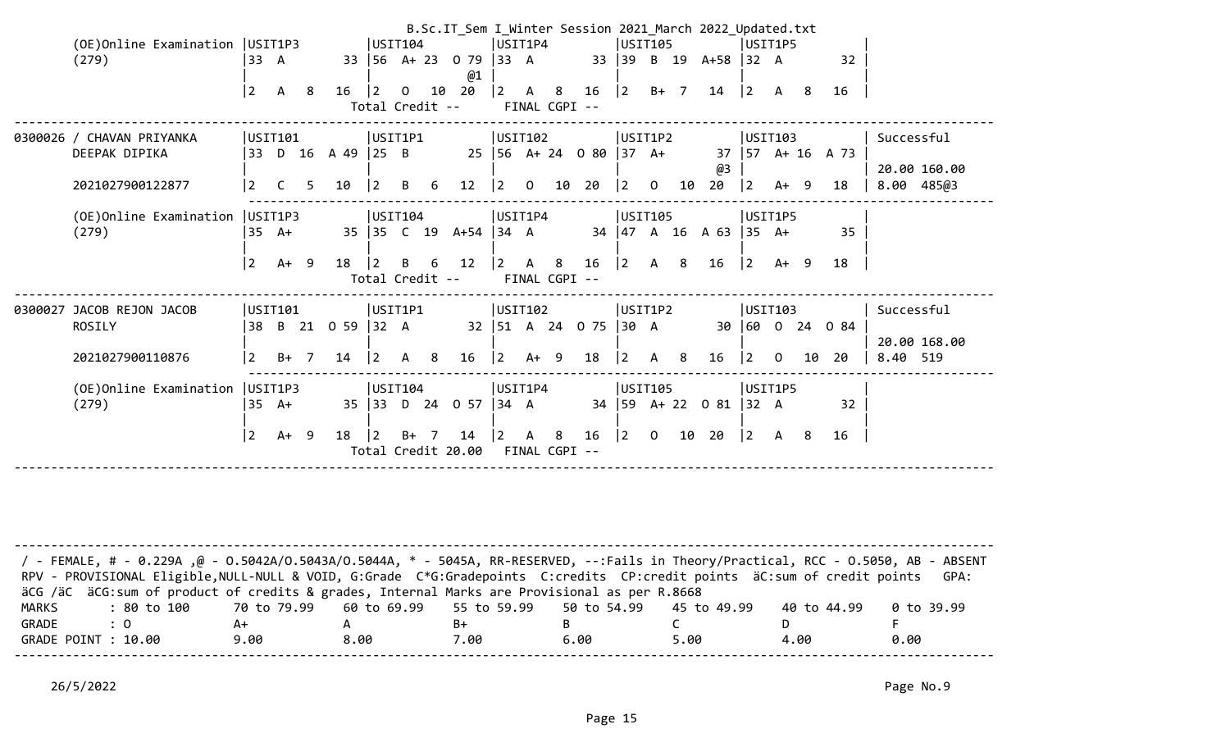|                                   |           |              |   |                   |                                           |    |   | B.Sc.IT_Sem I_Winter Session 2021_March 2022_Updated.txt |                 |                |                                           |                          |                                           |    |                                                 |                                            |                |    |                      |                          |  |
|-----------------------------------|-----------|--------------|---|-------------------|-------------------------------------------|----|---|----------------------------------------------------------|-----------------|----------------|-------------------------------------------|--------------------------|-------------------------------------------|----|-------------------------------------------------|--------------------------------------------|----------------|----|----------------------|--------------------------|--|
| (OE) Online Examination   USIT1P3 |           |              |   |                   | USIT104                                   |    |   |                                                          | USIT1P4         |                |                                           |                          | USIT105                                   |    |                                                 | USIT1P5                                    |                |    |                      |                          |  |
| (279)                             | 33 A      |              |   |                   |                                           |    |   | 33 56 A+ 23 0 79 33 A<br>@1                              |                 |                |                                           |                          |                                           |    | 33 39 B 19 A+58 32 A                            |                                            |                |    | 32                   |                          |  |
|                                   | $\vert$ 2 | A 8          |   | 16                | $\vert$ 2                                 |    |   | $0$ 10 20  2 A 8                                         |                 |                |                                           |                          |                                           |    | $16$ $ 2$ $B+$ 7 $14$                           | $\begin{vmatrix} 2 & A & 8 \end{vmatrix}$  |                |    | 16                   |                          |  |
|                                   |           |              |   |                   |                                           |    |   | Total Credit --                                          |                 |                | FINAL CGPI --                             |                          |                                           |    |                                                 |                                            |                |    |                      |                          |  |
| 0300026 / CHAVAN PRIYANKA         |           | USIT101      |   |                   | USIT1P1                                   |    |   |                                                          | USIT102         |                |                                           |                          | USIT1P2                                   |    |                                                 | USIT103                                    |                |    |                      | Successful               |  |
| DEEPAK DIPIKA                     |           |              |   | 33 D 16 A 49 25 B |                                           |    |   | 25 56 A+ 24 0 80 37 A+                                   |                 |                |                                           |                          |                                           |    | @3                                              |                                            |                |    | $37$   57 A+ 16 A 73 | 20.00 160.00             |  |
| 2021027900122877                  | <u> 2</u> | $\mathsf{C}$ | 5 | 10                | $\vert 2 \vert$                           | B. | 6 | 12                                                       | $\vert 2 \vert$ | $\overline{0}$ |                                           | 10 20                    | $\begin{vmatrix} 2 & 0 \end{vmatrix}$     | 10 | 20                                              | 2                                          | $A+ 9$         |    | 18                   | 8.00 485@3               |  |
| (OE)Online Examination            |           | USIT1P3      |   |                   | USIT104                                   |    |   |                                                          | USIT1P4         |                |                                           |                          | USIT105                                   |    |                                                 | USIT1P5                                    |                |    |                      |                          |  |
| (279)                             |           | 35 A+        |   |                   |                                           |    |   | 35 35 C 19 A+54 34 A                                     |                 |                |                                           |                          |                                           |    | 34   47 A 16 A 63   35 A+                       |                                            |                |    | 35                   |                          |  |
|                                   | 2         | $A+ 9$       |   | 18                | $\vert$ 2                                 | B  | 6 | 12                                                       |                 |                | $\begin{vmatrix} 2 & A & 8 \end{vmatrix}$ | 16                       |                                           |    | $\begin{vmatrix} 2 & A & 8 & 16 \end{vmatrix}$  | $\begin{vmatrix} 2 & A+ & 9 \end{vmatrix}$ |                |    | 18                   |                          |  |
|                                   |           |              |   |                   | Total Credit --                           |    |   |                                                          |                 |                | FINAL CGPI --                             |                          |                                           |    |                                                 |                                            |                |    |                      |                          |  |
| 0300027 JACOB REJON JACOB         |           | USIT101      |   |                   | USIT1P1                                   |    |   |                                                          | USIT102         |                |                                           |                          | USIT1P2                                   |    |                                                 | USIT103                                    |                |    |                      | Successful               |  |
| ROSILY                            |           |              |   | 38 B 21 0 59 32 A |                                           |    |   |                                                          |                 |                |                                           | 32   51 A 24 O 75   30 A |                                           |    |                                                 |                                            |                |    | 30 60 0 24 0 84      |                          |  |
| 2021027900110876                  | l 2       | $B+$ 7       |   | 14                | $\begin{vmatrix} 2 & A & 8 \end{vmatrix}$ |    |   | $16 \quad  2 \quad A+ \quad 9$                           |                 |                |                                           | 18                       | $\begin{vmatrix} 2 & A & 8 \end{vmatrix}$ |    | 16                                              | $ 2\rangle$                                | $\overline{0}$ | 10 | 20                   | 20.00 168.00<br>8.40 519 |  |
| (OE)Online Examination            |           | USIT1P3      |   |                   | USIT104                                   |    |   |                                                          | USIT1P4         |                |                                           |                          | USIT105                                   |    |                                                 | USIT1P5                                    |                |    |                      |                          |  |
| (279)                             |           | 35 A+        |   |                   |                                           |    |   | 35 33 D 24 0 57 34 A                                     |                 |                |                                           |                          |                                           |    | 34   59 A + 22 0 81   32 A                      |                                            |                |    | 32                   |                          |  |
|                                   | 2         | A+ 9         |   | 18                | $\vert$ 2                                 |    |   | $B+ 7$ 14  2 A 8                                         |                 |                |                                           | 16                       |                                           |    | $\begin{bmatrix} 2 & 0 & 10 & 20 \end{bmatrix}$ | $\begin{vmatrix} 2 & A & 8 \end{vmatrix}$  |                |    | 16                   |                          |  |
|                                   |           |              |   |                   |                                           |    |   | Total Credit 20.00                                       |                 |                | FINAL CGPI --                             |                          |                                           |    |                                                 |                                            |                |    |                      |                          |  |
|                                   |           |              |   |                   |                                           |    |   |                                                          |                 |                |                                           |                          |                                           |    |                                                 |                                            |                |    |                      |                          |  |

| / FEMALE, # - 0.229A ,@ - 0.5042A/0.5043A/0.5044A, * - 5045A, RR-RESERVED, --:Fails in Theory/Practical, RCC - 0.5050, AB - ABSENT<br>RPV - PROVISIONAL Eligible, NULL-NULL & VOID, G:Grade C*G:Gradepoints C:credits CP:credit points äC:sum of credit points |      |      |      |      |      |             | GPA:       |
|----------------------------------------------------------------------------------------------------------------------------------------------------------------------------------------------------------------------------------------------------------------|------|------|------|------|------|-------------|------------|
| äCG /äC äCG:sum of product of credits & grades, Internal Marks are Provisional as per R.8668                                                                                                                                                                   |      |      |      |      |      |             |            |
| : 80 to 100    70 to 79.99   60 to 69.99   55 to 59.99   50 to 54.99   45 to 49.99<br>MARKS                                                                                                                                                                    |      |      |      |      |      | 40 to 44.99 | 0 to 39.99 |
| GRADE<br>$\therefore$ 0                                                                                                                                                                                                                                        | A+   |      | B+   |      |      |             |            |
| GRADE POINT : 10.00                                                                                                                                                                                                                                            | 9.00 | 8.00 | 7.00 | 6.00 | 5.00 | 4.00        | 0.00       |
|                                                                                                                                                                                                                                                                |      |      |      |      |      |             |            |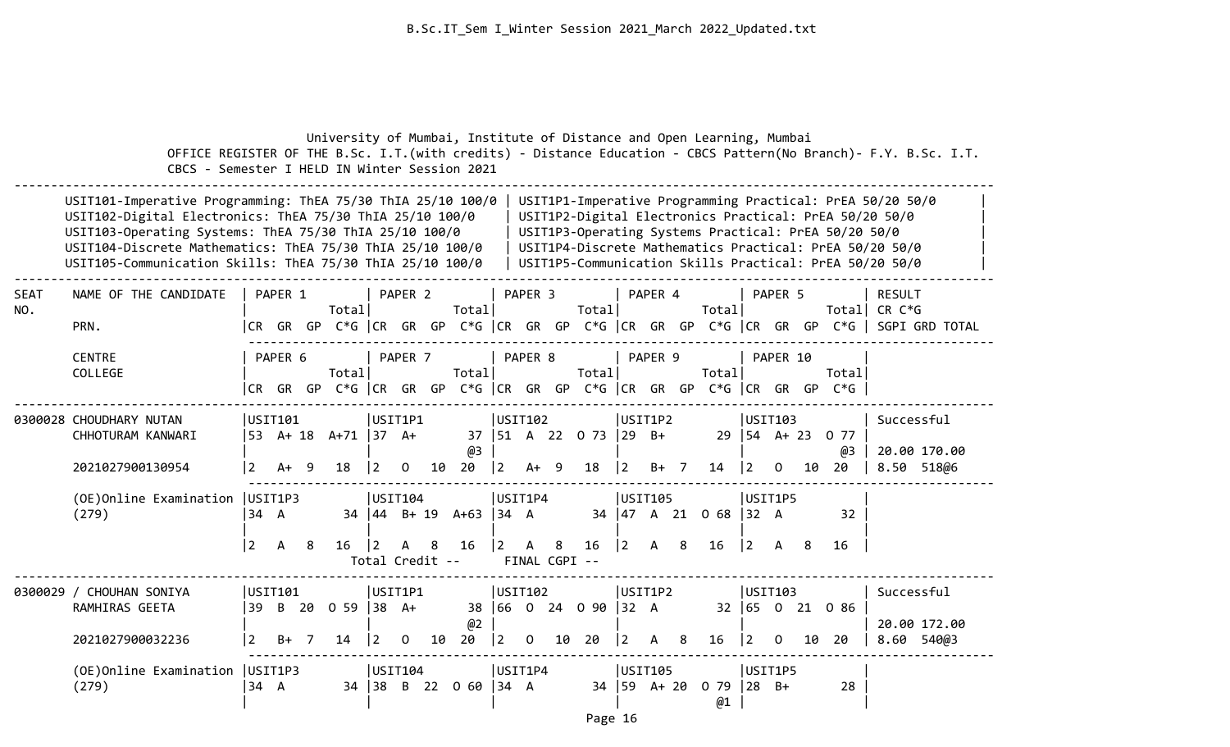|                    | OFFICE REGISTER OF THE B.Sc. I.T. (with credits) - Distance Education - CBCS Pattern (No Branch) - F.Y. B.Sc. I.T.<br>CBCS - Semester I HELD IN Winter Session 2021                                                                                                                                                                                                                    |                                   |              |                | University of Mumbai, Institute of Distance and Open Learning, Mumbai |                 |                                            |    |                                                       |                        |         |                                                             |                                                  |                                             |         |                                                    |                                                  |         |     |                                                      |                                                                                                                                                                                                                                           |                            |
|--------------------|----------------------------------------------------------------------------------------------------------------------------------------------------------------------------------------------------------------------------------------------------------------------------------------------------------------------------------------------------------------------------------------|-----------------------------------|--------------|----------------|-----------------------------------------------------------------------|-----------------|--------------------------------------------|----|-------------------------------------------------------|------------------------|---------|-------------------------------------------------------------|--------------------------------------------------|---------------------------------------------|---------|----------------------------------------------------|--------------------------------------------------|---------|-----|------------------------------------------------------|-------------------------------------------------------------------------------------------------------------------------------------------------------------------------------------------------------------------------------------------|----------------------------|
|                    | USIT101-Imperative Programming: ThEA 75/30 ThIA 25/10 100/0<br>USIT102-Digital Electronics: ThEA 75/30 ThIA 25/10 100/0<br>USIT103-Operating Systems: ThEA 75/30 ThIA 25/10 100/0<br>USIT104-Discrete Mathematics: ThEA 75/30 ThIA 25/10 100/0<br>USIT105-Communication Skills: ThEA 75/30 ThIA 25/10 100/0                                                                            |                                   |              |                |                                                                       |                 |                                            |    |                                                       |                        |         |                                                             |                                                  |                                             |         |                                                    |                                                  |         |     | USIT1P3-Operating Systems Practical: PrEA 50/20 50/0 | USIT1P1-Imperative Programming Practical: PrEA 50/20 50/0<br>USIT1P2-Digital Electronics Practical: PrEA 50/20 50/0<br>USIT1P4-Discrete Mathematics Practical: PrEA 50/20 50/0<br>USIT1P5-Communication Skills Practical: PrEA 50/20 50/0 |                            |
| <b>SEAT</b><br>NO. | NAME OF THE CANDIDATE<br>PRN.                                                                                                                                                                                                                                                                                                                                                          |                                   | PAPER 1      |                | Total                                                                 |                 | PAPER 2                                    |    | Totall                                                |                        | PAPER 3 |                                                             | Totall                                           | PAPER 4                                     |         | Total                                              |                                                  | PAPER 5 |     |                                                      | RESULT<br>Total  CR C*G                                                                                                                                                                                                                   |                            |
|                    | CR GR GP C*G CR GR GP C*G CR GR GP C*G CR GR GP C*G CR GP C*G CR GP C*G SGPI GRD TOTAL<br>PAPER 8<br>PAPER 9<br><b>CENTRE</b><br>PAPER 6<br>PAPER 7<br>PAPER 10<br>Total<br>COLLEGE<br>Total<br>Total<br>Totall<br>Total<br>CR GR GP C*G CR GR GP C*G CR GR GP C*G CR GR GP C*G CR GR GP G<br>$C*G$<br>USIT1P1<br>USIT102<br>USIT1P2<br> USTI103<br>0300028 CHOUDHARY NUTAN<br>USIT101 |                                   |              |                |                                                                       |                 |                                            |    |                                                       |                        |         |                                                             |                                                  |                                             |         |                                                    |                                                  |         |     |                                                      |                                                                                                                                                                                                                                           |                            |
|                    | CHHOTURAM KANWARI<br>2021027900130954                                                                                                                                                                                                                                                                                                                                                  | $\mathbf{2}$                      | $A+ 9$       |                | 53 A+ 18 A+71 37 A+<br>18                                             | $\vert 2 \vert$ | $\overline{0}$                             |    | @3<br>10 20                                           |                        |         |                                                             | $\begin{vmatrix} 2 & 4 & 9 & 18 \end{vmatrix}$ 2 |                                             | $B+ 7$  | 37   51 A 22 0 73   29 B+ 29   54 A+ 23 0 77<br>14 | $\begin{vmatrix} 2 & 0 \end{vmatrix}$            |         | 10  | @3<br>20                                             | Successful                                                                                                                                                                                                                                | 20.00 170.00<br>8.50 518@6 |
|                    | (OE)Online Examination<br>(279)                                                                                                                                                                                                                                                                                                                                                        | USIT1P3<br>34 A<br>$\overline{2}$ | $\mathsf{A}$ | -8             | 16                                                                    | $\vert$ 2       | USIT104<br>$\mathsf{A}$                    | 8  | $34 \mid 44 \mid B+19 \mid A+63 \mid 34 \mid A$<br>16 | USIT1P4<br>$ 2\rangle$ |         | A 8                                                         | 16                                               | $\begin{vmatrix} 2 & A & 8 \end{vmatrix}$   | USIT105 | 34   47 A 21 0 68   32 A<br>16                     | USIT1P5<br>$\begin{vmatrix} 2 & A \end{vmatrix}$ |         | - 8 | 32<br>16                                             |                                                                                                                                                                                                                                           |                            |
|                    | 0300029 / CHOUHAN SONIYA<br>RAMHIRAS GEETA<br>2021027900032236                                                                                                                                                                                                                                                                                                                         | USTI01<br>39<br>$\overline{2}$    | $B+$         | $\overline{7}$ | B 20 0 59 38 A+<br>14                                                 | $ 2\rangle$     | Total Credit --<br>USIT1P1<br>$\mathbf{O}$ | 10 | @2<br>20                                              | USIT102                |         | FINAL CGPI --<br>$\begin{vmatrix} 2 & 0 & 10 \end{vmatrix}$ | 38 66 0 24 0 90 32 A<br>20                       | $\begin{vmatrix} 2 & A & 8 \end{vmatrix}$   | USIT1P2 | 16                                                 | USTI103<br>$\begin{bmatrix} 2 & 0 \end{bmatrix}$ |         | 10  | 32 65 0 21 0 86<br>-20                               | Successful                                                                                                                                                                                                                                | 20.00 172.00<br>8.60 540@3 |
|                    | (OE) Online Examination   USIT1P3<br>(279)                                                                                                                                                                                                                                                                                                                                             | 34 A                              |              |                |                                                                       |                 | USIT104                                    |    | 34 38 B 22 0 60 34 A                                  | USIT1P4                |         |                                                             |                                                  | <b>USIT105</b><br>$34 \mid 59 \quad A + 20$ |         | $079$ 28 B+<br>@1                                  | USIT1P5                                          |         |     | 28                                                   |                                                                                                                                                                                                                                           |                            |

Page 16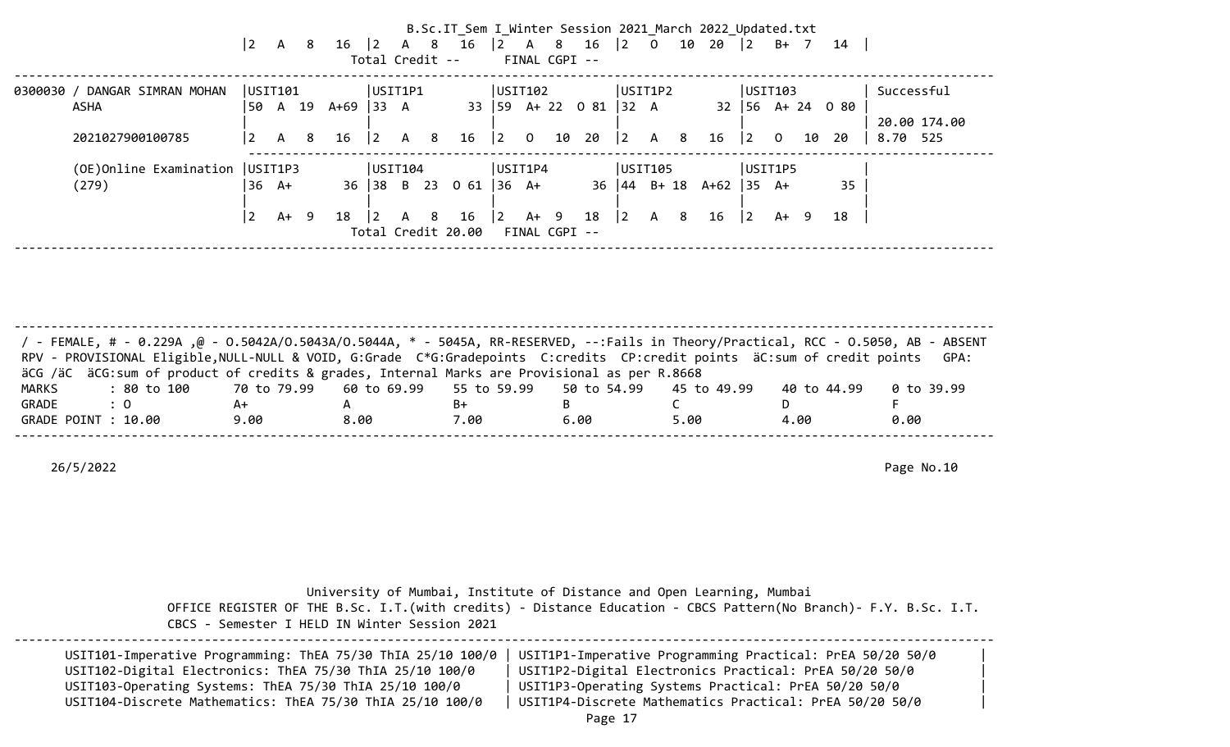|                                                           | $\vert$ 2                            | $\overline{A}$ | - 8 | $16 \mid 2 \mid A \mid 8$ |                                                  |     | Total Credit -- | B.Sc.IT_Sem I_Winter Session 2021_March 2022_Updated.txt<br>16 |                                      |                | FINAL CGPI -- | $\begin{array}{ c c c c c c c c } \hline 2 & A & 8 & 16 & 2 & 0 \\ \hline \end{array}$ |                                                    |                                                                                                                                                                                                                                |   | 10 20 2      |                                            |                |      | B+ 7 14                                        |                                        |
|-----------------------------------------------------------|--------------------------------------|----------------|-----|---------------------------|--------------------------------------------------|-----|-----------------|----------------------------------------------------------------|--------------------------------------|----------------|---------------|----------------------------------------------------------------------------------------|----------------------------------------------------|--------------------------------------------------------------------------------------------------------------------------------------------------------------------------------------------------------------------------------|---|--------------|--------------------------------------------|----------------|------|------------------------------------------------|----------------------------------------|
| 0300030 / DANGAR SIMRAN MOHAN<br>ASHA<br>2021027900100785 | USIT101<br>  50.<br>$\vert 2 \vert$  | A 19<br>A      | 8   | $A+69$ 33 A<br>16         | USIT1P1<br>$\begin{vmatrix} 2 & A \end{vmatrix}$ |     | 8               | 16                                                             | USTI02 <br> 2                        | $\overline{0}$ | 10            | 33   59 A + 22 0 81   32 A<br>20                                                       | USIT1P2<br>$ 2\rangle$                             | $A \qquad \qquad$                                                                                                                                                                                                              | 8 | 16           | USIT103<br>$ 2\rangle$                     | $\overline{0}$ | 10   | $32 \mid 56 \mid A + 24 \mid 0 \mid 80$<br>-20 | Successful<br>20.00 174.00<br>8.70 525 |
| (OE)Online Examination<br>(279)                           | USIT1P3<br> 36 A+<br>$\vert 2 \vert$ | A+ 9           |     | 36 38 B 23<br>18          | USIT104<br>$\overline{2}$                        | A 8 |                 | 0 61<br>16<br>Total Credit 20.00                               | USIT1P4<br>$ 36 \tA+$<br>$ 2\rangle$ | A+ 9           | FINAL CGPI -- | 18                                                                                     | USIT105<br>$36 \mid 44 \mid B + 18$<br>$ 2\rangle$ | A and a set of the set of the set of the set of the set of the set of the set of the set of the set of the set of the set of the set of the set of the set of the set of the set of the set of the set of the set of the set o | 8 | $A+62$<br>16 | USIT1P5<br>$ 35 \text{ A+}$<br>$ 2\rangle$ |                | A+ 9 | 35<br>18                                       |                                        |

-------------------------------------------------------------------------------------------------------------------------------------- / - FEMALE, # - 0.229A ,@ - O.5042A/O.5043A/O.5044A, \* - 5045A, RR-RESERVED, --:Fails in Theory/Practical, RCC - O.5050, AB - ABSENT RPV - PROVISIONAL Eligible,NULL-NULL & VOID, G:Grade C\*G:Gradepoints C:credits CP:credit points äC:sum of credit points GPA: äCG /äC äCG:sum of product of credits & grades, Internal Marks are Provisional as per R.8668 MARKS : 80 to 100 70 to 79.99 60 to 69.99 55 to 59.99 50 to 54.99 45 to 49.99 40 to 44.99 0 to 39.99 GRADE : 0 A+ A B+ B C D F GRADE POINT : 10.00 9.00 8.00 7.00 6.00 5.00 4.00 0.00 --------------------------------------------------------------------------------------------------------------------------------------

26/5/2022 Page No.10

 University of Mumbai, Institute of Distance and Open Learning, Mumbai OFFICE REGISTER OF THE B.Sc. I.T.(with credits) - Distance Education - CBCS Pattern(No Branch)- F.Y. B.Sc. I.T. CBCS - Semester I HELD IN Winter Session 2021

| USIT101-Imperative Programming: ThEA 75/30 ThIA 25/10 100/0 | USIT1P1-Imperative Programming Practical: PrEA 50/20 50/0 |  |
|-------------------------------------------------------------|-----------------------------------------------------------|--|
| USIT102-Digital Electronics: ThEA 75/30 ThIA 25/10 100/0    | USIT1P2-Digital Electronics Practical: PrEA 50/20 50/0    |  |
| USIT103-Operating Systems: ThEA 75/30 ThIA 25/10 100/0      | USIT1P3-Operating Systems Practical: PrEA 50/20 50/0      |  |
| USIT104-Discrete Mathematics: ThEA 75/30 ThIA 25/10 100/0   | USIT1P4-Discrete Mathematics Practical: PrEA 50/20 50/0   |  |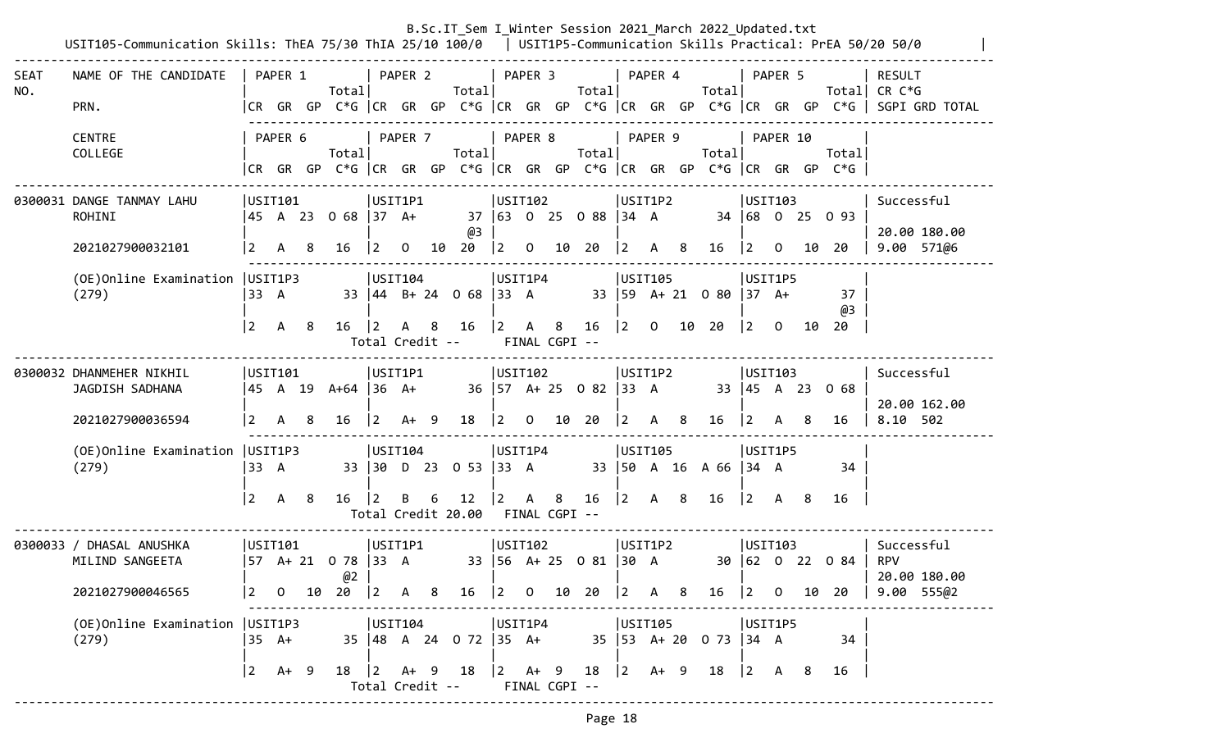|             | USIT105-Communication Skills: ThEA 75/30 ThIA 25/10 100/0   USIT1P5-Communication Skills Practical: PrEA 50/20 50/0 |                     |                |    |                                                                                |             |                            |     |                                                    |                                                      |                |    |                                     |                |                                                      |   | B.Sc.IT Sem I Winter Session 2021 March 2022 Updated.txt |                                                                                            |                |      |                          |                                                                                                                           |
|-------------|---------------------------------------------------------------------------------------------------------------------|---------------------|----------------|----|--------------------------------------------------------------------------------|-------------|----------------------------|-----|----------------------------------------------------|------------------------------------------------------|----------------|----|-------------------------------------|----------------|------------------------------------------------------|---|----------------------------------------------------------|--------------------------------------------------------------------------------------------|----------------|------|--------------------------|---------------------------------------------------------------------------------------------------------------------------|
| SEAT<br>NO. | NAME OF THE CANDIDATE<br>PRN.                                                                                       |                     | PAPER 1        |    | Totall                                                                         |             | PAPER 2                    |     | Total                                              |                                                      | PAPER 3        |    | Total                               |                | PAPER 4                                              |   | Totall                                                   |                                                                                            | PAPER 5        |      |                          | <b>RESULT</b><br>Total CR $C*G$<br> CR GR GP C*G  CR GR GP C*G  CR GR GP C*G  CR GR GP C*G  CR GR GP C*G   SGPI GRD TOTAL |
|             | <b>CENTRE</b><br>COLLEGE                                                                                            |                     | PAPER 6        |    | Total<br> CR GR GP C*G  CR GR GP C*G  CR GR GP C*G  CR GR GP C*G  CR GR GP C*G |             | PAPER 7                    |     | Total                                              |                                                      | PAPER 8        |    | Totall                              |                | PAPER 9                                              |   | Total                                                    |                                                                                            | PAPER 10       |      | Total                    |                                                                                                                           |
|             | 0300031 DANGE TANMAY LAHU<br>ROHINI<br>2021027900032101                                                             | USTI01<br>$\vert$ 2 | $\mathsf{A}$   | 8  | 45 A 23 O 68  37 A+<br>16                                                      | $ 2\rangle$ | USIT1P1<br>$\overline{0}$  |     | @3<br>10 20                                        | USIT102<br>$\vert$ 2                                 | $\overline{0}$ | 10 | 37 63 0 25 0 88 34 A<br>20          | $ 2\rangle$    | USIT1P2<br>A 8                                       |   | 16                                                       | USTI03<br>$ 2\rangle$                                                                      | $\overline{0}$ |      | 34 68 0 25 0 93<br>10 20 | Successful<br>20.00 180.00<br>$9.00$ $571$ @6                                                                             |
|             | (OE) Online Examination   USIT1P3<br>(279)                                                                          | 33 A<br><u> 2</u>   | A              | -8 | $16 \quad  2$                                                                  |             | USIT104                    |     | 33 44 B+ 24 0 68 33 A<br>A 8 16<br>Total Credit -- | USIT1P4<br>$\begin{vmatrix} 2 & A & 8 \end{vmatrix}$ | FINAL CGPI --  |    | 16 2 0 10 20                        |                | USIT105                                              |   | 33   59 A + 21 0 80   37 A +                             | USIT1P5<br>$\vert$ 2                                                                       | $\Omega$       | - 10 | 37<br>@3<br>-20          |                                                                                                                           |
|             | 0300032 DHANMEHER NIKHIL<br>JAGDISH SADHANA<br>2021027900036594                                                     | USTI01<br>  2       | A              | 8  | 45 A 19 A+64  36 A+<br>16                                                      | $ 2\rangle$ | USIT1P1<br>$A+ 9$          |     | 18                                                 | USIT102<br>$\vert$ 2                                 | $\overline{0}$ |    | 36   57 A + 25 0 82   33 A<br>10 20 | $\overline{2}$ | USIT1P2<br>$A \quad 8$                               |   | 16                                                       | USTI03<br>$ 2\rangle$                                                                      | A              | 8    | 33 45 A 23 0 68<br>16    | Successful<br>20.00 162.00<br>8.10 502                                                                                    |
|             | (OE) Online Examination   USIT1P3<br>(279)                                                                          | 33 A<br> 2          | $\mathsf{A}$   | -8 | 16                                                                             | $\vert$ 2   | USIT104<br>B               | 6   | 33 30 D 23 0 53 33 A<br>12<br>Total Credit 20.00   | USIT1P4<br>$ 2\rangle$<br>FINAL CGPI --              | $\mathsf{A}$   | 8  | 16                                  |                | USIT105<br>$\begin{vmatrix} 2 & A & 8 \end{vmatrix}$ |   | 33   50 A 16 A 66   34 A<br>16                           | USIT1P5<br>$\begin{array}{ccc} \n\begin{array}{ccc} 2 & A & B \n\end{array} \n\end{array}$ |                |      | 34<br>16                 |                                                                                                                           |
|             | 0300033 / DHASAL ANUSHKA<br>MILIND SANGEETA<br>2021027900046565                                                     | USTI01<br>$\vert$ 2 | $\overline{0}$ | 10 | 57 A+ 21 O 78  33 A<br>@2<br>20                                                | $ 2\rangle$ | USIT1P1<br>$\mathsf{A}$    | - 8 | 16                                                 | USTI02<br>$ 2\rangle$                                | $\overline{O}$ | 10 | 33   56 A + 25 0 81   30 A<br>20    | 12             | USIT1P2                                              | 8 | 16                                                       | USTI03<br>$\vert 2 \vert$                                                                  | $\overline{O}$ | 10   | 30 62 0 22 0 84<br>20    | Successful<br><b>RPV</b><br>20.00 180.00<br>9.00 55502                                                                    |
|             | (OE) Online Examination   USIT1P3<br>(279)                                                                          | 35 A+<br> 2         | A+ 9           |    |                                                                                |             | USIT104<br>Total Credit -- |     | 35 48 A 24 0 72 35 A+<br>18   2 A + 9 18   2 A + 9 | USIT1P4                                              | FINAL CGPI --  |    | $18$ $ 2$ A+ 9 18                   |                | USIT105                                              |   | 35   53 A + 20 0 73   34 A                               | USIT1P5<br>$\begin{array}{ccc} \vert 2 & A & 8 \end{array}$                                |                |      | 34<br>16                 |                                                                                                                           |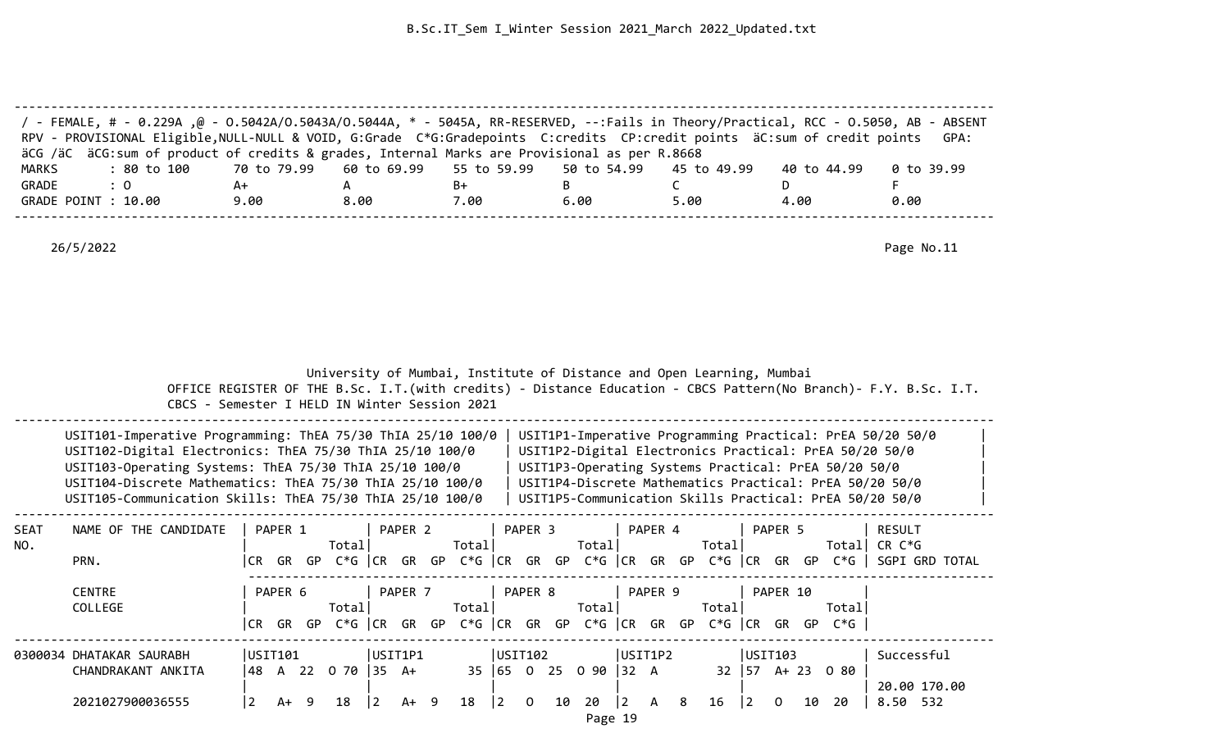|              | / FEMALE, # - 0.229A ,@ - 0.5042A/0.5043A/0.5044A, * - 5045A, RR-RESERVED, --:Fails in Theory/Practical, RCC - 0.5050, AB - ABSENT<br>RPV - PROVISIONAL Eligible, NULL-NULL & VOID, G:Grade C*G:Gradepoints C:credits CP:credit points äC:sum of credit points<br>äCG /äC äCG:sum of product of credits & grades, Internal Marks are Provisional as per R.8668 |             |                                               |                    |             |                                                                       |                                                                                                                                                                                                                                                                                                   | GPA:                                                                                                                             |
|--------------|----------------------------------------------------------------------------------------------------------------------------------------------------------------------------------------------------------------------------------------------------------------------------------------------------------------------------------------------------------------|-------------|-----------------------------------------------|--------------------|-------------|-----------------------------------------------------------------------|---------------------------------------------------------------------------------------------------------------------------------------------------------------------------------------------------------------------------------------------------------------------------------------------------|----------------------------------------------------------------------------------------------------------------------------------|
| <b>MARKS</b> | : 80 to 100                                                                                                                                                                                                                                                                                                                                                    | 70 to 79.99 | 60 to 69.99                                   | 55 to 59.99        | 50 to 54.99 | 45 to 49.99                                                           | 40 to 44.99                                                                                                                                                                                                                                                                                       | 0 to 39.99                                                                                                                       |
| GRADE        | : 0                                                                                                                                                                                                                                                                                                                                                            | A+          | A                                             | B+                 | B           | $\mathsf{C}$                                                          | D                                                                                                                                                                                                                                                                                                 | F                                                                                                                                |
|              | GRADE POINT : 10.00                                                                                                                                                                                                                                                                                                                                            | 9.00        | 8.00                                          | 7.00               | 6.00        | 5.00                                                                  | 4.00                                                                                                                                                                                                                                                                                              | 0.00                                                                                                                             |
|              | 26/5/2022                                                                                                                                                                                                                                                                                                                                                      |             |                                               |                    |             | University of Mumbai, Institute of Distance and Open Learning, Mumbai |                                                                                                                                                                                                                                                                                                   | Page No.11<br>OFFICE REGISTER OF THE B.Sc. I.T. (with credits) - Distance Education - CBCS Pattern (No Branch) - F.Y. B.Sc. I.T. |
|              |                                                                                                                                                                                                                                                                                                                                                                |             | CBCS - Semester I HELD IN Winter Session 2021 |                    |             |                                                                       |                                                                                                                                                                                                                                                                                                   |                                                                                                                                  |
|              | USIT101-Imperative Programming: ThEA 75/30 ThIA 25/10 100/0<br>USIT102-Digital Electronics: ThEA 75/30 ThIA 25/10 100/0<br>USIT103-Operating Systems: ThEA 75/30 ThIA 25/10 100/0<br>USIT104-Discrete Mathematics: ThEA 75/30 ThIA 25/10 100/0<br>USIT105-Communication Skills: ThEA 75/30 ThIA 25/10 100/0                                                    |             |                                               |                    |             |                                                                       | USIT1P1-Imperative Programming Practical: PrEA 50/20 50/0<br>USIT1P2-Digital Electronics Practical: PrEA 50/20 50/0<br>USIT1P3-Operating Systems Practical: PrEA 50/20 50/0<br>USIT1P4-Discrete Mathematics Practical: PrEA 50/20 50/0<br>USIT1P5-Communication Skills Practical: PrEA 50/20 50/0 |                                                                                                                                  |
| SEAT         | NAME OF THE CANDIDATE                                                                                                                                                                                                                                                                                                                                          | PAPER 1     | PAPER 2                                       | PAPER <sub>3</sub> |             | PAPER 4                                                               | PAPER 5                                                                                                                                                                                                                                                                                           | <b>RESULT</b>                                                                                                                    |
| NO.          | PRN.                                                                                                                                                                                                                                                                                                                                                           |             | Total                                         | Total              | Total       | Total                                                                 |                                                                                                                                                                                                                                                                                                   | Total CR $C*G$<br>CR GR GP C*G CR GR GP C*G CR GR GP C*G CR GR GP C*G CR GR GP C*G SGPI GRD TOTAL                                |
|              | <b>CENTRE</b>                                                                                                                                                                                                                                                                                                                                                  | PAPER 6     | PAPER 7                                       | PAPER 8            |             | PAPER 9                                                               | PAPER 10                                                                                                                                                                                                                                                                                          |                                                                                                                                  |
|              | COLLEGE                                                                                                                                                                                                                                                                                                                                                        |             | Total                                         | Total              | Total       | Total                                                                 | Total                                                                                                                                                                                                                                                                                             |                                                                                                                                  |

-------------------------------------------------------------------------------------------------------------------------------------- 0300034 DHATAKAR SAURABH |USIT101 |USIT1P1 |USIT102 |USIT1P2 |USIT103 |Successful CHANDRAKANT ANKITA |48 A 22 O 70 |35 A+ 35 |65 O 25 O 90 |32 A 32 |57 A+ 23 O 80 | | | | | | | 20.00 170.00 2021027900036555 |2 A+ 9 18 |2 A+ 9 18 |2 O 10 20 |2 A 8 16 |2 O 10 20 | 8.50 532

|CR GR GP C\*G |CR GR GP C\*G |CR GR GP C\*G |CR GR GP C\*G |CR GR GP C\*G |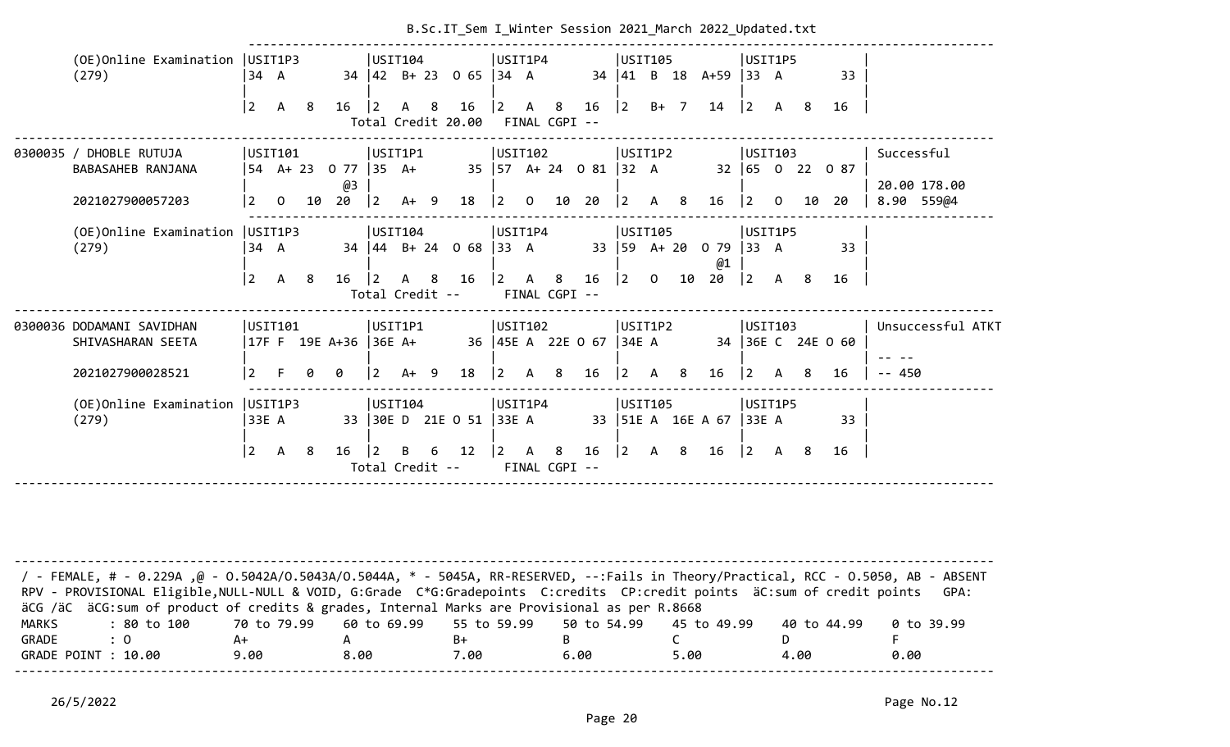|                       |                                                                                                                                                                                                                                                                  |                                |                |    |                                  |             |                                            |   | B.Sc.IT Sem I Winter Session 2021 March 2022 Updated.txt |                                           |              |                    |                                   |                         |              |                |                                       |                                           |                |      |                         |                                          |
|-----------------------|------------------------------------------------------------------------------------------------------------------------------------------------------------------------------------------------------------------------------------------------------------------|--------------------------------|----------------|----|----------------------------------|-------------|--------------------------------------------|---|----------------------------------------------------------|-------------------------------------------|--------------|--------------------|-----------------------------------|-------------------------|--------------|----------------|---------------------------------------|-------------------------------------------|----------------|------|-------------------------|------------------------------------------|
|                       | (OE) Online Examination   USIT1P3<br>(279)                                                                                                                                                                                                                       | 34 A                           |                |    |                                  |             | USIT104                                    |   | 34   42  B + 23  0  65   34  A                           | USIT1P4                                   |              |                    |                                   | USIT105<br>$34 \mid 41$ |              |                | B 18 A+59 33 A                        | USIT1P5                                   |                |      | 33                      |                                          |
|                       |                                                                                                                                                                                                                                                                  | $\vert$ 2                      | $\mathsf{A}$   | -8 | $16 \mid 2$                      |             | A 8                                        |   | 16<br>Total Credit 20.00                                 | $\begin{vmatrix} 2 & A & 8 \end{vmatrix}$ |              | FINAL CGPI --      | $16 \mid 2$                       |                         |              | B+ 7           | 14                                    | $\begin{vmatrix} 2 & A & B \end{vmatrix}$ |                |      | 16                      |                                          |
|                       | 0300035 / DHOBLE RUTUJA<br>BABASAHEB RANJANA<br>2021027900057203                                                                                                                                                                                                 | USIT101<br> 2                  | $\mathsf{O}$   | 10 | 54 A+ 23 0 77  35 A+<br>@3<br>20 | $ 2\rangle$ | USIT1P1<br>$A+ 9$                          |   | 18                                                       | USIT102<br>$\vert$ 2                      | $\mathbf{O}$ | 10                 | 35   57 A + 24 0 81   32 A<br>20  | USIT1P2<br>$\vert$ 2    | A            | 8              | 16                                    | USTI03<br>$ 2 \rangle$                    | $\overline{0}$ | 10   | 32 65 0 22 0 87<br>20   | Successful<br>20.00 178.00<br>8.90 559@4 |
|                       | (OE)Online Examination<br>(279)                                                                                                                                                                                                                                  | USIT1P3<br>34 A<br>$ 2\rangle$ | $\mathsf{A}$   | 8  | 16                               | $ 2\rangle$ | USTI04 <br>$\mathsf{A}$<br>Total Credit -- | 8 | 34   44 B + 24 0 68   33 A<br>16                         | USIT1P4<br>$\vert$ 2                      | $\mathsf{A}$ | 8<br>FINAL CGPI -- | 16                                | USIT105<br>$ 2\rangle$  | $\mathbf{0}$ | 10             | 33   59 A+ 20 0 79   33 A<br>@1<br>20 | USIT1P5<br>$ 2\rangle$                    | A 8            |      | 33<br>16                |                                          |
|                       | 0300036 DODAMANI SAVIDHAN<br>SHIVASHARAN SEETA<br>2021027900028521                                                                                                                                                                                               | USIT101<br><u> 2</u>           | F.             | 0  | 17F F 19E A+36  36E A+<br>0      | <u> 2</u>   | USIT1P1<br>$A+9$                           |   | 18                                                       | USIT102<br><u> 2</u>                      | A 8          |                    | 36   45E A 22E O 67   34E A<br>16 | USIT1P2<br>$ 2\rangle$  | $\mathsf{A}$ | 8 <sup>8</sup> | 16                                    | USTI03<br>$ 2\rangle$                     | A              | - 8  | 34 36E C 24E 0 60<br>16 | Unsuccessful ATKT<br>$-- 450$            |
|                       | (OE) Online Examination   USIT1P3<br>(279)                                                                                                                                                                                                                       | 33E A                          |                |    |                                  |             | USIT104                                    |   | 33 30E D 21E O 51                                        | USIT1P4<br>33E A                          |              |                    |                                   | USIT105                 |              |                | 33   51E A 16E A 67                   | USIT1P5<br>33E A                          |                |      | 33                      |                                          |
|                       |                                                                                                                                                                                                                                                                  | $\vert$ 2                      | $\overline{A}$ | -8 | 16                               | 2           | B<br>Total Credit --                       | 6 | 12                                                       | $\begin{vmatrix} 2 & A & 8 \end{vmatrix}$ |              | FINAL CGPI --      | 16                                | $\vert$ 2               | $\mathsf{A}$ | 8              | 16                                    | $\begin{vmatrix} 2 & A & 8 \end{vmatrix}$ |                |      | 16                      |                                          |
|                       | / - FEMALE, # - 0.229A ,@ - 0.5042A/0.5043A/0.5044A, * - 5045A, RR-RESERVED, --:Fails in Theory/Practical, RCC - 0.5050, AB - ABSENT<br>RPV - PROVISIONAL Eligible, NULL-NULL & VOID, G:Grade C*G:Gradepoints C:credits CP:credit points äC:sum of credit points |                                |                |    |                                  |             |                                            |   |                                                          |                                           |              |                    |                                   |                         |              |                |                                       |                                           |                |      |                         | GPA:                                     |
| <b>MARKS</b><br>GRADE | äCG /äC äCG:sum of product of credits & grades, Internal Marks are Provisional as per R.8668<br>: 80 to 100<br>: 0<br>GRADE POINT : 10.00                                                                                                                        | 70 to 79.99<br>A+<br>9.00      |                |    | А<br>8.00                        |             | 60 to 69.99                                |   | 55 to 59.99<br>B+<br>7.00                                |                                           |              | B                  | 50 to 54.99<br>6.00               |                         |              | C<br>5.00      | 45 to 49.99                           |                                           | D.             | 4.00 | 40 to 44.99             | 0 to 39.99<br>0.00                       |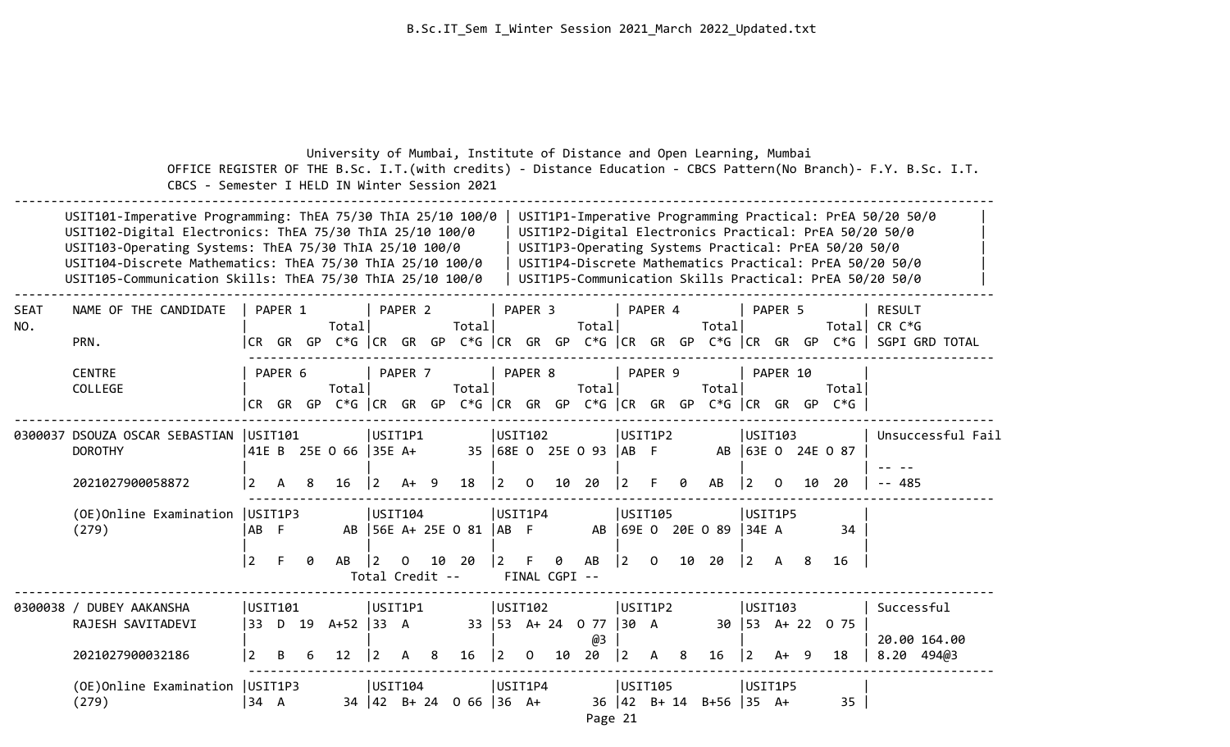|                    | CBCS - Semester I HELD IN Winter Session 2021                                                                                                                                                                                                                                                               |                |                      |   | University of Mumbai, Institute of Distance and Open Learning, Mumbai |                                   |              |    |                             |                           |                     |    |                                 |                                   |             |   |                               |           |                    |     |                                                                          | OFFICE REGISTER OF THE B.Sc. I.T. (with credits) - Distance Education - CBCS Pattern (No Branch) - F.Y. B.Sc. I.T.                                                                                                                        |
|--------------------|-------------------------------------------------------------------------------------------------------------------------------------------------------------------------------------------------------------------------------------------------------------------------------------------------------------|----------------|----------------------|---|-----------------------------------------------------------------------|-----------------------------------|--------------|----|-----------------------------|---------------------------|---------------------|----|---------------------------------|-----------------------------------|-------------|---|-------------------------------|-----------|--------------------|-----|--------------------------------------------------------------------------|-------------------------------------------------------------------------------------------------------------------------------------------------------------------------------------------------------------------------------------------|
|                    | USIT101-Imperative Programming: ThEA 75/30 ThIA 25/10 100/0<br>USIT102-Digital Electronics: ThEA 75/30 ThIA 25/10 100/0<br>USIT103-Operating Systems: ThEA 75/30 ThIA 25/10 100/0<br>USIT104-Discrete Mathematics: ThEA 75/30 ThIA 25/10 100/0<br>USIT105-Communication Skills: ThEA 75/30 ThIA 25/10 100/0 |                |                      |   |                                                                       |                                   |              |    |                             |                           |                     |    |                                 |                                   |             |   |                               |           |                    |     | USIT1P3-Operating Systems Practical: PrEA 50/20 50/0                     | USIT1P1-Imperative Programming Practical: PrEA 50/20 50/0<br>USIT1P2-Digital Electronics Practical: PrEA 50/20 50/0<br>USIT1P4-Discrete Mathematics Practical: PrEA 50/20 50/0<br>USIT1P5-Communication Skills Practical: PrEA 50/20 50/0 |
| <b>SEAT</b><br>NO. | NAME OF THE CANDIDATE<br>PRN.                                                                                                                                                                                                                                                                               |                | PAPER 1              |   | Total                                                                 |                                   | PAPER 2      |    | Total                       |                           | PAPER <sub>3</sub>  |    | Total                           |                                   | PAPER 4     |   | Totall                        |           | PAPER 5            |     | Totall                                                                   | <b>RESULT</b><br>CR C*G<br> CR GR GP C*G  CR GR GP C*G  CR GR GP C*G  CR GR GP C*G  CR GR GP C*G   SGPI GRD TOTAL                                                                                                                         |
|                    | <b>CENTRE</b><br>COLLEGE                                                                                                                                                                                                                                                                                    |                | PAPER 6<br>ICR GR GP |   | Totall                                                                |                                   | PAPER 7      |    | Total                       |                           | PAPER 8             |    | Total                           |                                   | PAPER 9     |   | Total                         |           | PAPER 10           |     | Total<br>C*G   CR GR GP C*G   CR GR GP C*G   CR GR GP C*G   CR GR GP C*G |                                                                                                                                                                                                                                           |
|                    | 0300037 DSOUZA OSCAR SEBASTIAN   USIT101<br><b>DOROTHY</b><br>2021027900058872                                                                                                                                                                                                                              | $\overline{2}$ | A                    | 8 | 41E B 25E 0 66 35E A+<br>16                                           | USIT1P1<br>l 2.                   | A+           | -9 | 18                          | USTI02 <br>$ 2\rangle$    | $\mathbf 0$         | 10 | 35 68E 0 25E 0 93 AB F<br>20    | USIT1P2<br>$\overline{2}$         |             | ø | AB                            | $\vert$ 2 | USTI03<br>$\Omega$ | 10  | AB 63E 0 24E 0 87<br>20                                                  | Unsuccessful Fail<br>$- - 485$                                                                                                                                                                                                            |
|                    | (OE) Online Examination   USIT1P3<br>(279)                                                                                                                                                                                                                                                                  | AB F           |                      |   |                                                                       | USIT104                           |              |    | AB   56E A+ 25E 0 81   AB F | USIT1P4                   |                     |    |                                 | USIT105                           |             |   | AB 69E 0 20E 0 89 34E A       |           | USIT1P5            |     | 34                                                                       |                                                                                                                                                                                                                                           |
|                    |                                                                                                                                                                                                                                                                                                             | $\overline{2}$ | -F                   | ø | AB                                                                    | $\overline{2}$<br>Total Credit -- | 0            |    | 10 20                       | $ 2\rangle$               | F.<br>FINAL CGPI -- | 0  | AB                              | $ 2\rangle$                       | $\mathbf 0$ |   | 10 20                         | $\vert$ 2 | A                  | -8  | 16                                                                       |                                                                                                                                                                                                                                           |
|                    | 0300038 / DUBEY AAKANSHA<br>RAJESH SAVITADEVI<br>2021027900032186                                                                                                                                                                                                                                           | USIT101<br>2   | B                    | 6 | 33 D 19 A+52 33 A<br>12                                               | $\vert 2 \vert$                   | USIT1P1<br>А | 8  | 16                          | USIT102<br>$\overline{2}$ | $\Omega$            |    | 33 53 A+ 24 0 77<br>@3<br>10 20 | USIT1P2<br>$ 30 \ \text{A}$<br>12 | A           | 8 | 16                            | $\vert$ 2 | USIT103<br>A+      | - 9 | 30   53 A + 22 0 75<br>18                                                | Successful<br>20.00 164.00<br>8.20 494@3                                                                                                                                                                                                  |
|                    | (OE)Online Examination   USIT1P3<br>(279)                                                                                                                                                                                                                                                                   | 34 A           |                      |   |                                                                       | USIT104                           |              |    | 34 42 B+ 24 0 66 36 A+      | USIT1P4                   |                     |    |                                 | USIT105                           |             |   | $36 \mid 42$ B+ 14 B+56 35 A+ |           | USIT1P5            |     | 35                                                                       |                                                                                                                                                                                                                                           |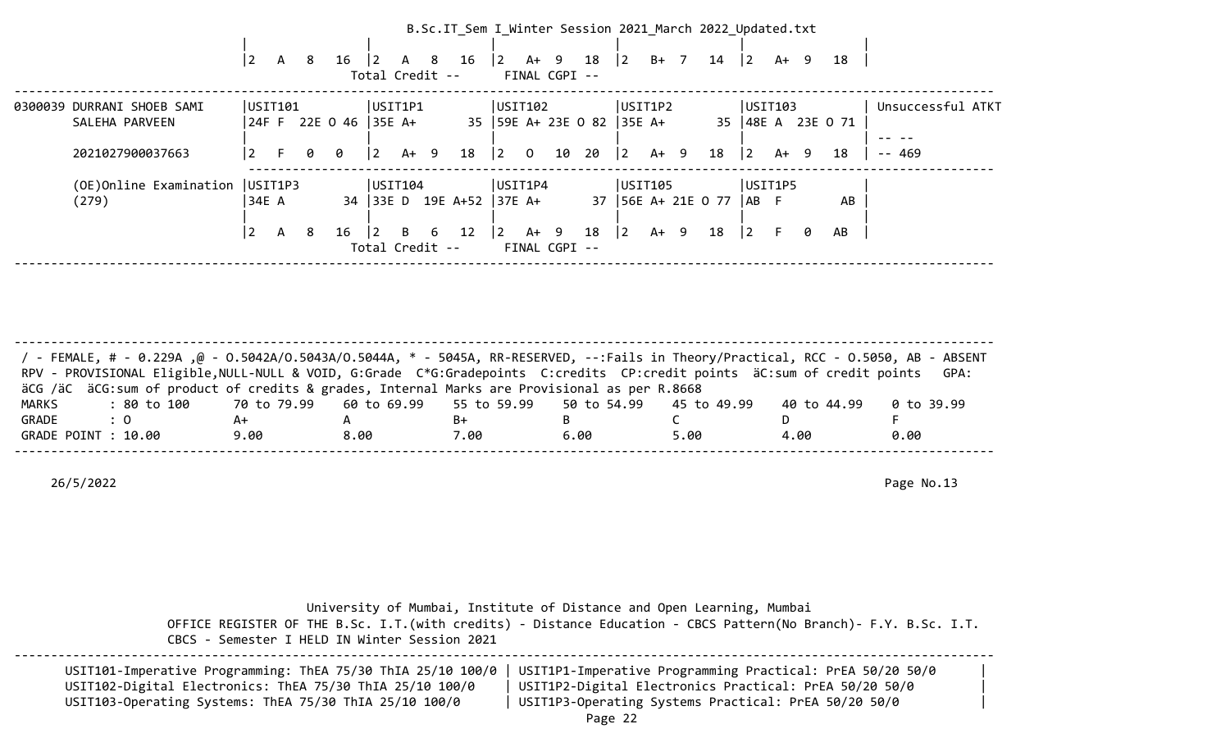|                            |                 |              |   |                       |                 |        |   | B.Sc.IT Sem I Winter Session 2021 March 2022 Updated.txt |             |                |               |                    |             |      |                |                    |                |      |      |                     |                   |
|----------------------------|-----------------|--------------|---|-----------------------|-----------------|--------|---|----------------------------------------------------------|-------------|----------------|---------------|--------------------|-------------|------|----------------|--------------------|----------------|------|------|---------------------|-------------------|
|                            |                 |              |   |                       |                 |        |   |                                                          |             |                |               |                    |             |      |                |                    |                |      |      |                     |                   |
|                            | $\mathbf{2}$    | A            | 8 | 16                    |                 | A 8    |   | 16                                                       | $ 2\rangle$ | A+ 9           |               | 18                 | $ 2\rangle$ | $B+$ | $\overline{7}$ | 14                 | $\overline{2}$ |      | A+ 9 | 18                  |                   |
|                            |                 |              |   |                       | Total Credit -- |        |   |                                                          |             |                | FINAL CGPI -- |                    |             |      |                |                    |                |      |      |                     |                   |
| 0300039 DURRANI SHOEB SAMI | USIT101         |              |   |                       | USIT1P1         |        |   |                                                          | USTI102     |                |               |                    | USIT1P2     |      |                |                    | USTI03         |      |      |                     | Unsuccessful ATKT |
| SALEHA PARVEEN             |                 |              |   | 24F F 22E 0 46 35E A+ |                 |        |   |                                                          |             |                |               | 35 59E A+ 23E 0 82 | $ 35E$ A+   |      |                |                    |                |      |      | 35   48E A 23E O 71 |                   |
|                            |                 |              |   |                       |                 |        |   |                                                          |             |                |               |                    |             |      |                |                    |                |      |      |                     |                   |
| 2021027900037663           | $\vert 2 \vert$ | -F.          | 0 | 0                     | $\vert$ 2       | $A+ 9$ |   | 18                                                       | $ 2\rangle$ | $\overline{0}$ | 10            | 20                 | $ 2\rangle$ | A+ 9 |                | 18                 | $ 2\rangle$    | A+ 9 |      | 18                  | $- - 469$         |
|                            |                 |              |   |                       |                 |        |   |                                                          |             |                |               |                    |             |      |                |                    |                |      |      |                     |                   |
| (OE)Online Examination     | USIT1P3         |              |   |                       | USTI04          |        |   |                                                          | USIT1P4     |                |               |                    | USIT105     |      |                |                    | USIT1P5        |      |      |                     |                   |
| (279)                      | 34E A           |              |   |                       |                 |        |   | 34 33E D 19E A+52                                        | $ 37E A+$   |                |               | 37                 |             |      |                | $ 56E A+ 21E O 77$ | AB             |      |      | AB                  |                   |
|                            |                 |              |   |                       |                 |        |   |                                                          |             |                |               |                    |             |      |                |                    |                |      |      |                     |                   |
|                            | $\overline{2}$  | $\mathsf{A}$ | 8 | 16                    | $\vert$ 2       | B.     | 6 | 12                                                       | $ 2\rangle$ | $A+ 9$         |               | 18                 | $ 2\rangle$ | A+   | - 9            | 18                 | $ 2\rangle$    | F.   | 0    | AB                  |                   |
|                            |                 |              |   |                       | Total Credit -- |        |   |                                                          |             |                | FINAL CGPI -- |                    |             |      |                |                    |                |      |      |                     |                   |
|                            |                 |              |   |                       |                 |        |   |                                                          |             |                |               |                    |             |      |                |                    |                |      |      |                     |                   |

| / - FEMALE, # - 0.229A ,@ - 0.5042A/0.5043A/0.5044A, * - 5045A, RR-RESERVED, --:Fails in Theory/Practical, RCC - 0.5050, AB - ABSENT<br>RPV - PROVISIONAL Eligible, NULL-NULL & VOID, G:Grade C*G:Gradepoints C:credits CP:credit points äC:sum of credit points GPA: |      |      |      |      |      |             |            |
|-----------------------------------------------------------------------------------------------------------------------------------------------------------------------------------------------------------------------------------------------------------------------|------|------|------|------|------|-------------|------------|
| äCG /äC äCG:sum of product of credits & grades, Internal Marks are Provisional as per R.8668                                                                                                                                                                          |      |      |      |      |      |             |            |
| : 80 to 100    70 to 79.99   60 to 69.99   55 to 59.99   50 to 54.99   45 to 49.99<br>MARKS                                                                                                                                                                           |      |      |      |      |      | 40 to 44.99 | 0 to 39.99 |
| GRADE<br>$\therefore$ 0                                                                                                                                                                                                                                               | A+   |      | B+   |      |      |             |            |
| GRADE POINT : 10.00                                                                                                                                                                                                                                                   | 9.00 | 8.00 | 7.00 | 6.00 | 5.00 | 4.00        | 0.00       |
|                                                                                                                                                                                                                                                                       |      |      |      |      |      |             |            |

| CBCS - Semester I HELD IN Winter Session 2021                                                                                                                                     | University of Mumbai, Institute of Distance and Open Learning, Mumbai<br>OFFICE REGISTER OF THE B.Sc. I.T. (with credits) - Distance Education - CBCS Pattern (No Branch) - F.Y. B.Sc. I.T. |  |
|-----------------------------------------------------------------------------------------------------------------------------------------------------------------------------------|---------------------------------------------------------------------------------------------------------------------------------------------------------------------------------------------|--|
| USIT101-Imperative Programming: ThEA 75/30 ThIA 25/10 100/0<br>USIT102-Digital Electronics: ThEA 75/30 ThIA 25/10 100/0<br>USIT103-Operating Systems: ThEA 75/30 ThIA 25/10 100/0 | USIT1P1-Imperative Programming Practical: PrEA 50/20 50/0<br>USIT1P2-Digital Electronics Practical: PrEA 50/20 50/0<br>USIT1P3-Operating Systems Practical: PrEA 50/20 50/0<br>$D = \pi e$  |  |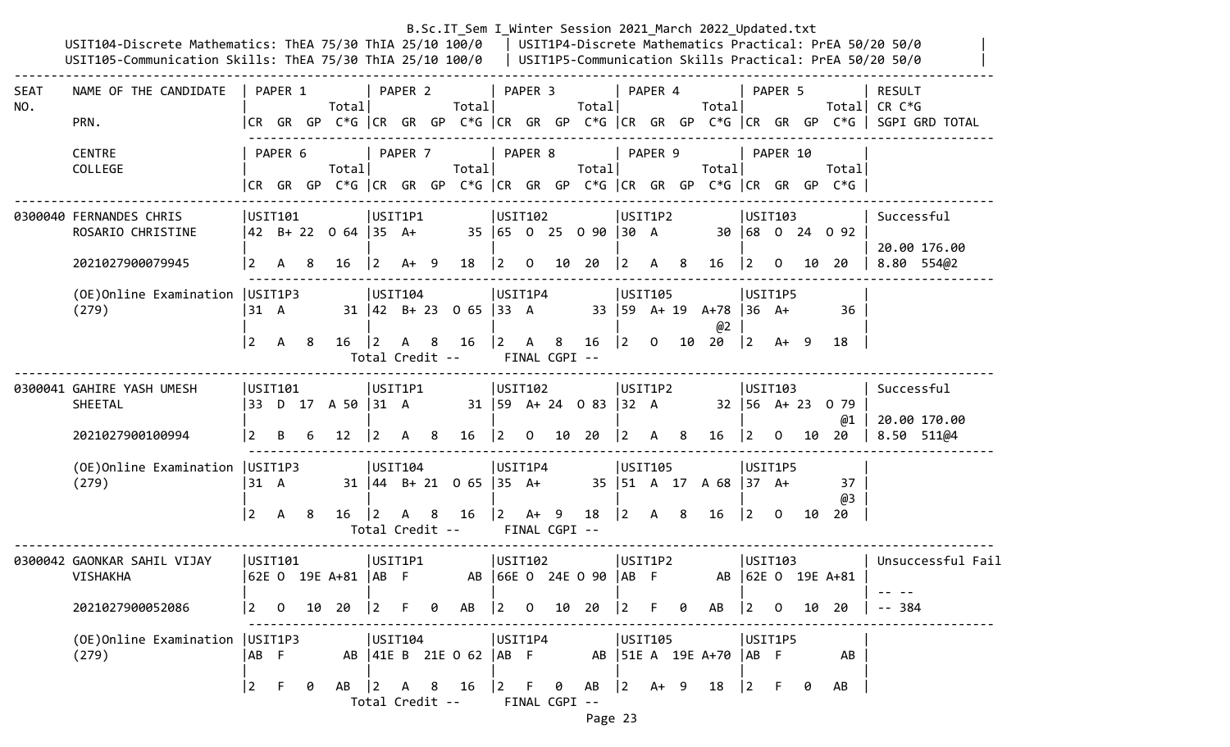|             | USIT104-Discrete Mathematics: ThEA 75/30 ThIA 25/10 100/0   USIT1P4-Discrete Mathematics Practical: PrEA 50/20 50/0<br>USIT105-Communication Skills: ThEA 75/30 ThIA 25/10 100/0   USIT1P5-Communication Skills Practical: PrEA 50/20 50/0 |                         |                |    |                                                                                 |                                                      |         |    | B.Sc.IT_Sem I_Winter Session 2021 March 2022 Updated.txt       |                                                           |                |                              |                                                 |                                                       |         |     |                                               |                                       |                         |    |                                                           |                                                                                                                           |
|-------------|--------------------------------------------------------------------------------------------------------------------------------------------------------------------------------------------------------------------------------------------|-------------------------|----------------|----|---------------------------------------------------------------------------------|------------------------------------------------------|---------|----|----------------------------------------------------------------|-----------------------------------------------------------|----------------|------------------------------|-------------------------------------------------|-------------------------------------------------------|---------|-----|-----------------------------------------------|---------------------------------------|-------------------------|----|-----------------------------------------------------------|---------------------------------------------------------------------------------------------------------------------------|
| SEAT<br>NO. | NAME OF THE CANDIDATE<br>PRN.                                                                                                                                                                                                              |                         | PAPER 1        |    | Totall                                                                          |                                                      | PAPER 2 |    | Totall                                                         |                                                           | PAPER 3        |                              | Totall                                          |                                                       | PAPER 4 |     | Total                                         |                                       | PAPER 5                 |    |                                                           | <b>RESULT</b><br>Total CR $C*G$<br> CR GR GP C*G  CR GR GP C*G  CR GR GP C*G  CR GR GP C*G  CR GR GP C*G   SGPI GRD TOTAL |
|             | <b>CENTRE</b><br>COLLEGE                                                                                                                                                                                                                   |                         | PAPER 6        |    | Totall<br> CR GR GP C*G  CR GR GP C*G  CR GR GP C*G  CR GR GP C*G  CR GR GP C*G |                                                      | PAPER 7 |    | Total                                                          |                                                           | PAPER 8        |                              | Total                                           |                                                       | PAPER 9 |     | Total                                         |                                       | PAPER 10                |    | Total                                                     |                                                                                                                           |
|             | 0300040 FERNANDES CHRIS<br>ROSARIO CHRISTINE<br>2021027900079945                                                                                                                                                                           | USIT101<br><u> 2</u>    | $\mathsf{A}$   | -8 | 42 B+ 22 0 64  35 A+<br>16                                                      | USIT1P1<br>$ 2\rangle$                               | $A+ 9$  |    | 18                                                             | USIT102<br>$\begin{bmatrix} 2 & 0 \end{bmatrix}$          |                |                              | 35 65 0 25 0 90 30 A<br>10 20                   | USIT1P2<br>$ 2\rangle$                                | A       | - 8 | 16                                            | USTI03<br>$ 2\rangle$                 | $\overline{0}$          |    | 30 68 0 24 0 92<br>10 20                                  | Successful<br>20.00 176.00<br>8.80 554@2                                                                                  |
|             | (OE) Online Examination   USIT1P3<br>(279)                                                                                                                                                                                                 | 31 A<br>$\vert 2 \vert$ | A 8            |    | $16 \t 2$                                                                       | USTI04                                               | A 8     |    | $31 \mid 42$ B+ 23 0 65 33 A<br>16<br>Total Credit --          | USIT1P4<br>$\begin{vmatrix} 2 & A & 8 \end{vmatrix}$      |                | FINAL CGPI --                | 16                                              | USIT105<br>$ 2\rangle$                                |         |     | 33   59 A+ 19 A+78   36 A+<br>@2<br>$0$ 10 20 | USIT1P5<br>$ 2 \tA+ 9$                |                         |    | 36<br>18                                                  |                                                                                                                           |
|             | 0300041 GAHIRE YASH UMESH<br>SHEETAL<br>2021027900100994                                                                                                                                                                                   | USIT101<br>$\vert$ 2    | B              | 6  | 33 D 17 A 50 31 A<br>$12 \overline{ }$                                          | USIT1P1<br>$\overline{2}$                            | A       | 8  | 16                                                             | USIT102<br> 2                                             | $\overline{0}$ |                              | $31 \mid 59$ A+ 24 0 83 32 A<br>10 20           | USIT1P2<br>$\vert$ 2                                  | A       | 8   | 16                                            | USTI03<br>$ 2\rangle$                 | $\mathbf{0}$            |    | $32 \mid 56 \quad A + 23 \quad 0 \quad 79$<br>@1<br>10 20 | Successful<br>20.00 170.00<br>8.50 511@4                                                                                  |
|             | (OE) Online Examination   USIT1P3<br>(279)                                                                                                                                                                                                 | 31 A<br> 2              | $\mathsf{A}$   | -8 | 16                                                                              | USTI04 <br>$\vert$ 2<br>Total Credit --              | A       | -8 | $31 \mid 44 \mid B + 21 \mid 0 \mid 65 \mid 35 \mid A +$<br>16 | USIT1P4                                                   |                | $ 2 \tA+ 9$<br>FINAL CGPI -- | 18                                              | USIT105<br>$ 2\rangle$                                | A 8     |     | 35   51 A 17 A 68   37 A+<br>16               | USIT1P5<br>$ 2\rangle$                | $\overline{\mathbf{0}}$ | 10 | 37<br>@3<br>20                                            |                                                                                                                           |
|             | 0300042 GAONKAR SAHIL VIJAY<br><b>VISHAKHA</b>                                                                                                                                                                                             | USIT101                 |                |    | 62E O 19E A+81  AB F                                                            | USIT1P1                                              |         |    |                                                                | USTI02                                                    |                |                              | AB 66E 0 24E 0 90   AB F                        | USIT1P2                                               |         |     | AB                                            | USIT103                               |                         |    | $ 62E \tO 19E A+81$                                       | Unsuccessful Fail                                                                                                         |
|             | 2021027900052086                                                                                                                                                                                                                           | $\vert$ 2               | $\overline{0}$ |    | 10 20                                                                           | $ 2\rangle$                                          | F.      | 0  | AB                                                             |                                                           |                |                              | $\begin{vmatrix} 2 & 0 & 10 & 20 \end{vmatrix}$ | 2                                                     | F.      | 0   | AB                                            | $\begin{vmatrix} 2 & 0 \end{vmatrix}$ |                         | 10 | 20                                                        | - 384                                                                                                                     |
|             | (OE) Online Examination   USIT1P3<br>(279)                                                                                                                                                                                                 | AB F<br>$\boxed{2}$     | $-F$           | 0  | AB                                                                              | USIT104<br>$\begin{vmatrix} 2 & A & B \end{vmatrix}$ |         |    | AB   41E B 21E 0 62   AB F<br>16                               | USIT1P4<br>$\begin{bmatrix} 2 & F & \Theta \end{bmatrix}$ |                |                              | AB                                              | USIT105<br>$\begin{vmatrix} 2 & A+ & 9 \end{vmatrix}$ |         |     | AB   51E A 19E A+70   AB F<br>18              | USIT1P5<br>$ 2\rangle$                | - F                     | 0  | AB<br>AB                                                  |                                                                                                                           |
|             |                                                                                                                                                                                                                                            |                         |                |    |                                                                                 | Total Credit --                                      |         |    |                                                                |                                                           |                | FINAL CGPI --                |                                                 |                                                       |         |     |                                               |                                       |                         |    |                                                           |                                                                                                                           |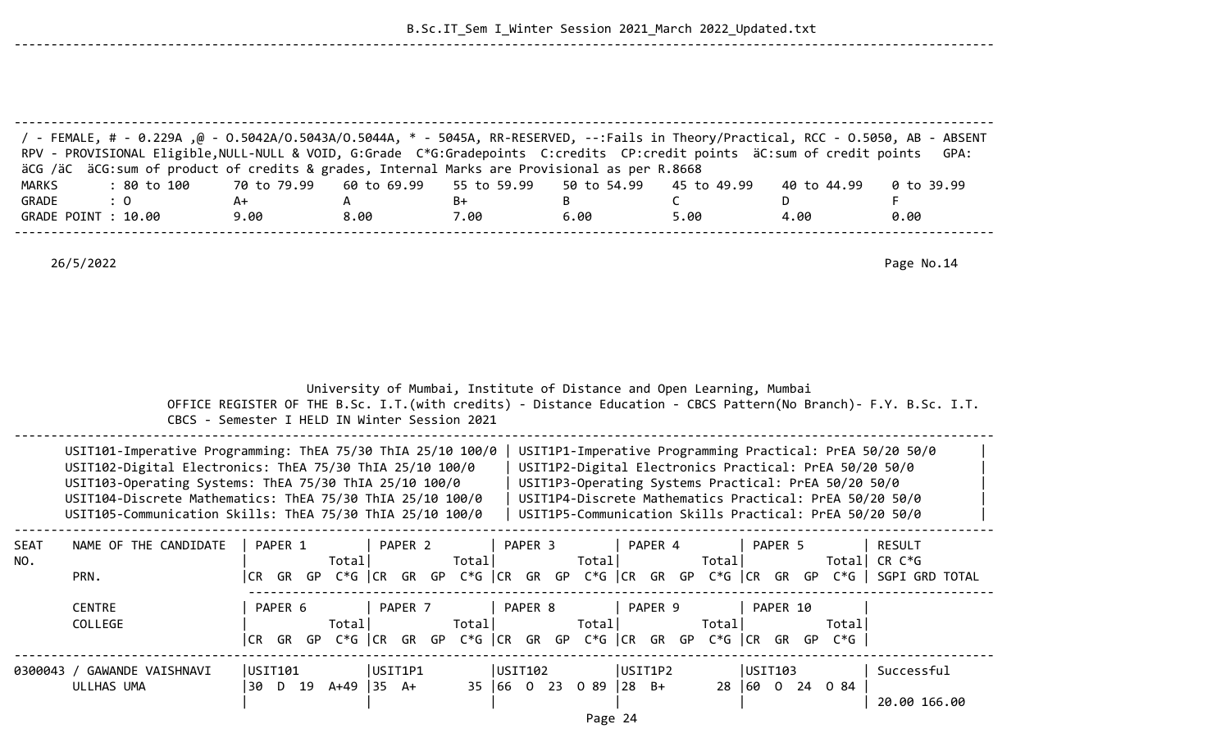B.Sc.IT\_Sem I\_Winter Session 2021\_March 2022\_Updated.txt

--------------------------------------------------------------------------------------------------------------------------------------

--------------------------------------------------------------------------------------------------------------------------------------

| <b>MARKS</b><br>GRADE | FeMALE, # - 0.229A ,@ - 0.5042A/0.5043A/0.5044A, * - 5045A, RR-RESERVED, --:Fails in Theory/Practical, RCC - 0.5050, AB - ABSENT /<br>RPV - PROVISIONAL Eligible, NULL-NULL & VOID, G:Grade C*G:Gradepoints C:credits CP:credit points äC:sum of credit points<br>äCG /äC äCG:sum of product of credits & grades, Internal Marks are Provisional as per R.8668<br>: 80 to 100<br>$\colon 0$ | 70 to 79.99<br>$A+$           | 60 to 69.99<br>A                                                                                                       | 55 to 59.99<br>B+                                                     | 50 to 54.99<br>В            | 45 to 49.99<br>$\mathsf{C}$ | 40 to 44.99<br>D                                                                                                                                                                                                                                                                                  | GPA:<br>0 to 39.99<br>F       |
|-----------------------|---------------------------------------------------------------------------------------------------------------------------------------------------------------------------------------------------------------------------------------------------------------------------------------------------------------------------------------------------------------------------------------------|-------------------------------|------------------------------------------------------------------------------------------------------------------------|-----------------------------------------------------------------------|-----------------------------|-----------------------------|---------------------------------------------------------------------------------------------------------------------------------------------------------------------------------------------------------------------------------------------------------------------------------------------------|-------------------------------|
|                       | GRADE POINT : 10.00                                                                                                                                                                                                                                                                                                                                                                         | 9.00                          | 8.00                                                                                                                   | 7.00                                                                  | 6.00                        | 5.00                        | 4.00                                                                                                                                                                                                                                                                                              | 0.00                          |
|                       | 26/5/2022                                                                                                                                                                                                                                                                                                                                                                                   |                               |                                                                                                                        |                                                                       |                             |                             |                                                                                                                                                                                                                                                                                                   | Page No.14                    |
|                       |                                                                                                                                                                                                                                                                                                                                                                                             |                               |                                                                                                                        |                                                                       |                             |                             |                                                                                                                                                                                                                                                                                                   |                               |
|                       |                                                                                                                                                                                                                                                                                                                                                                                             |                               | University of Mumbai, Institute of Distance and Open Learning, Mumbai<br>CBCS - Semester I HELD IN Winter Session 2021 |                                                                       |                             |                             | OFFICE REGISTER OF THE B.Sc. I.T. (with credits) - Distance Education - CBCS Pattern(No Branch)- F.Y. B.Sc. I.T.                                                                                                                                                                                  |                               |
|                       | USIT101-Imperative Programming: ThEA 75/30 ThIA 25/10 100/0<br>USIT102-Digital Electronics: ThEA 75/30 ThIA 25/10 100/0<br>USIT103-Operating Systems: ThEA 75/30 ThIA 25/10 100/0<br>USIT104-Discrete Mathematics: ThEA 75/30 ThIA 25/10 100/0<br>USIT105-Communication Skills: ThEA 75/30 ThIA 25/10 100/0                                                                                 |                               |                                                                                                                        |                                                                       |                             |                             | USIT1P1-Imperative Programming Practical: PrEA 50/20 50/0<br>USIT1P2-Digital Electronics Practical: PrEA 50/20 50/0<br>USIT1P3-Operating Systems Practical: PrEA 50/20 50/0<br>USIT1P4-Discrete Mathematics Practical: PrEA 50/20 50/0<br>USIT1P5-Communication Skills Practical: PrEA 50/20 50/0 |                               |
| SEAT<br>NO.           | NAME OF THE CANDIDATE<br>PRN.                                                                                                                                                                                                                                                                                                                                                               | PAPER 1                       | PAPER 2<br>Total                                                                                                       | PAPER 3<br>Total                                                      | Total                       | PAPER 4<br>Total            | PAPER 5<br> CR GR GP C*G   CR GR GP C*G   CR GR GP C*G   CR GR GP C*G   CR GR GP C*G    SGPI GRD TOTAL                                                                                                                                                                                            | <b>RESULT</b><br>Total CR C*G |
|                       | <b>CENTRE</b><br>COLLEGE                                                                                                                                                                                                                                                                                                                                                                    | PAPER 6                       | PAPER 7<br>Total                                                                                                       | PAPER 8<br>Total                                                      | Total                       | PAPER 9<br>Total            | PAPER 10<br>Totall<br>CR GR GP C*G CR GR GP C*G CR GR GP C*G CR GR GP C*G CR GR GP C*G                                                                                                                                                                                                            |                               |
|                       | 0300043 / GAWANDE VAISHNAVI<br>ULLHAS UMA                                                                                                                                                                                                                                                                                                                                                   | USIT101<br>30 D 19 A+49 35 A+ | USIT1P1                                                                                                                | USIT102<br>$35 \mid 66 \mid 0 \mid 23 \mid 0 \mid 89 \mid 28 \mid B+$ | $D = \sigma \circ \gamma A$ | USIT1P2                     | USIT103<br>28 60 0 24 0 84                                                                                                                                                                                                                                                                        | Successful<br>20.00 166.00    |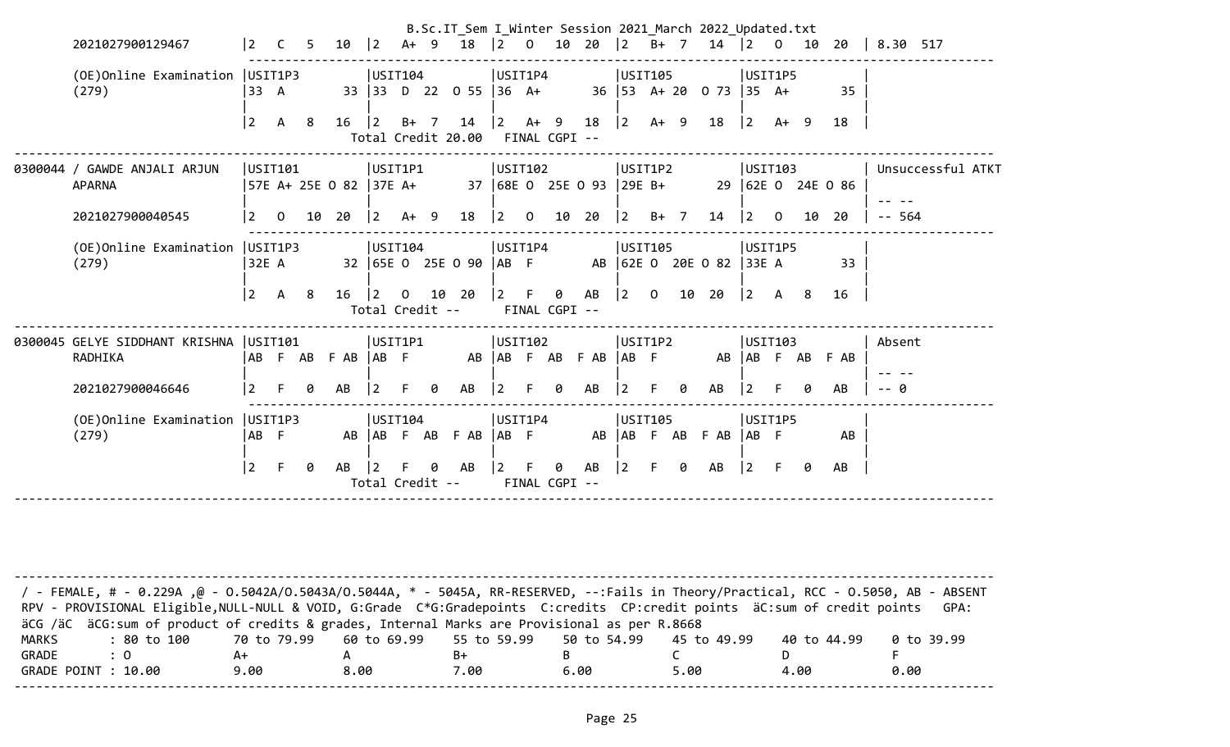| 2021027900129467                                    | $\overline{2}$ | $\overline{C}$ | .5. | 10                      | $ 2\rangle$                    |                |   | B.Sc.IT Sem I Winter Session 2021 March 2022 Updated.txt<br>A+ 9 18  2 0 10 20  2 B+ 7 14  2 0 10 20 |                                                 |    |                           |                             |                |                         |   |                                |                                           |         |    |                   | $\vert 8.30 517$ |                   |
|-----------------------------------------------------|----------------|----------------|-----|-------------------------|--------------------------------|----------------|---|------------------------------------------------------------------------------------------------------|-------------------------------------------------|----|---------------------------|-----------------------------|----------------|-------------------------|---|--------------------------------|-------------------------------------------|---------|----|-------------------|------------------|-------------------|
| (OE) Online Examination   USIT1P3<br>(279)          | 33 A           |                |     |                         | USIT104                        |                |   | 33 33 D 22 0 55 36 A+                                                                                | USIT1P4                                         |    |                           |                             | USIT105        |                         |   | 36   53 A + 20 0 73   35 A +   |                                           | USIT1P5 |    | 35                |                  |                   |
|                                                     | 2              | <b>A</b>       | - 8 | 16                      | $ 2\rangle$                    | $B+ 7$         |   | Total Credit 20.00                                                                                   | FINAL CGPI --                                   |    |                           | $14$ $ 2$ A+ 9 18 $ 2$ A+ 9 |                |                         |   | 18                             | 2                                         | A+ 9    |    | 18                |                  |                   |
| 0300044 / GAWDE ANJALI ARJUN<br><b>APARNA</b>       | USTI101        |                |     | 57E A+ 25E O 82  37E A+ | USIT1P1                        |                |   |                                                                                                      | USIT102                                         |    |                           | 37 68E 0 25E 0 93 29E B+    | USIT1P2        |                         |   |                                | USTI103                                   |         |    | 29 62E 0 24E 0 86 |                  | Unsuccessful ATKT |
| 2021027900040545                                    | 2              | $\overline{0}$ |     | 10 20                   | $\vert$ 2                      | $A+ 9$         |   | 18                                                                                                   | $\begin{bmatrix} 2 & 0 & 10 & 20 \end{bmatrix}$ |    |                           |                             | $\vert$ 2      | B+ 7                    |   | 14                             | $\begin{bmatrix} 2 & 0 \end{bmatrix}$     |         | 10 | 20                | $- - 564$        |                   |
| (OE) Online Examination   USIT1P3<br>(279)          | 32E A          |                |     |                         | USIT104                        |                |   | 32 65E 0 25E 0 90                                                                                    | USIT1P4                                         |    |                           |                             | USIT105        |                         |   | AB F AB  62E O 20E O 82  33E A |                                           | USIT1P5 |    | 33                |                  |                   |
|                                                     | l 2            | <b>A</b>       | - 8 | 16                      | $ 2\rangle$<br>Total Credit -- | $\overline{0}$ |   | 10 20                                                                                                | $ 2 \tF$                                        |    | $\theta$<br>FINAL CGPI -- | AB                          | $ 2\rangle$    | $\overline{\mathbf{0}}$ |   | 10 20                          | $\begin{vmatrix} 2 & A & 8 \end{vmatrix}$ |         |    | 16                |                  |                   |
| 0300045 GELYE SIDDHANT KRISHNA   USIT101<br>RADHIKA |                |                |     | AB F AB F AB AB F       | USIT1P1                        |                |   |                                                                                                      | USIT102                                         |    |                           | AB AB F AB F AB AB F        | USIT1P2        |                         |   |                                |                                           | USTI03  |    | AB AB F AB F AB   | Absent           |                   |
| 2021027900046646                                    | $\vert$ 2      | $\mathsf{F}$   | ø   | AB                      | 2                              |                | ø | AB                                                                                                   | l 2 i                                           | F. | 0                         | AB                          | $\overline{2}$ |                         | ø | AB                             | $\overline{2}$                            |         |    | AB                | - 0              |                   |
| (OE) Online Examination   USIT1P3<br>(279)          | AB F           |                |     |                         | USIT104                        |                |   | AB   AB F AB F AB   AB F                                                                             | USIT1P4                                         |    |                           |                             | USIT105        |                         |   | AB AB F AB F AB AB F           |                                           | USIT1P5 |    | AB                |                  |                   |
|                                                     | $ 2\rangle$    | F              | 0   | AB                      | $\vert$ 2                      | F.             |   | 0 AB<br>Total Credit --                                                                              | $\vert 2 \vert$                                 | F. | 0<br>FINAL CGPI --        | AB                          | $ 2\rangle$    | $F =$                   | 0 | AB                             | $ 2 \tF$                                  |         | 0  | AB                |                  |                   |
|                                                     |                |                |     |                         |                                |                |   |                                                                                                      |                                                 |    |                           |                             |                |                         |   |                                |                                           |         |    |                   |                  |                   |

| / - FEMALE, # - 0.229A ,@ - 0.5042A/O.5043A/O.5044A, * - 5045A, RR-RESERVED, --:Fails in Theory/Practical, RCC - 0.5050, AB - ABSENT |                                                                         |      |      |      |      |             |            |
|--------------------------------------------------------------------------------------------------------------------------------------|-------------------------------------------------------------------------|------|------|------|------|-------------|------------|
| RPV - PROVISIONAL Eligible, NULL-NULL & VOID, G:Grade C*G:Gradepoints C:credits CP:credit points äC:sum of credit points             |                                                                         |      |      |      |      |             | GPA:       |
| äCG /äC äCG:sum of product of credits & grades, Internal Marks are Provisional as per R.8668                                         |                                                                         |      |      |      |      |             |            |
| MARKS<br>: 80 to 100                                                                                                                 | 70 to 79.99    60 to 69.99    55 to 59.99    50 to 54.99    45 to 49.99 |      |      |      |      | 40 to 44.99 | 0 to 39.99 |
| GRADE<br>$\cdot$ 0                                                                                                                   |                                                                         |      | B+   |      |      |             |            |
| GRADE POINT : 10.00                                                                                                                  | 9.00                                                                    | 8.00 | 7.00 | 6.00 | 5.00 | 4.00        | 0.00       |
|                                                                                                                                      |                                                                         |      |      |      |      |             |            |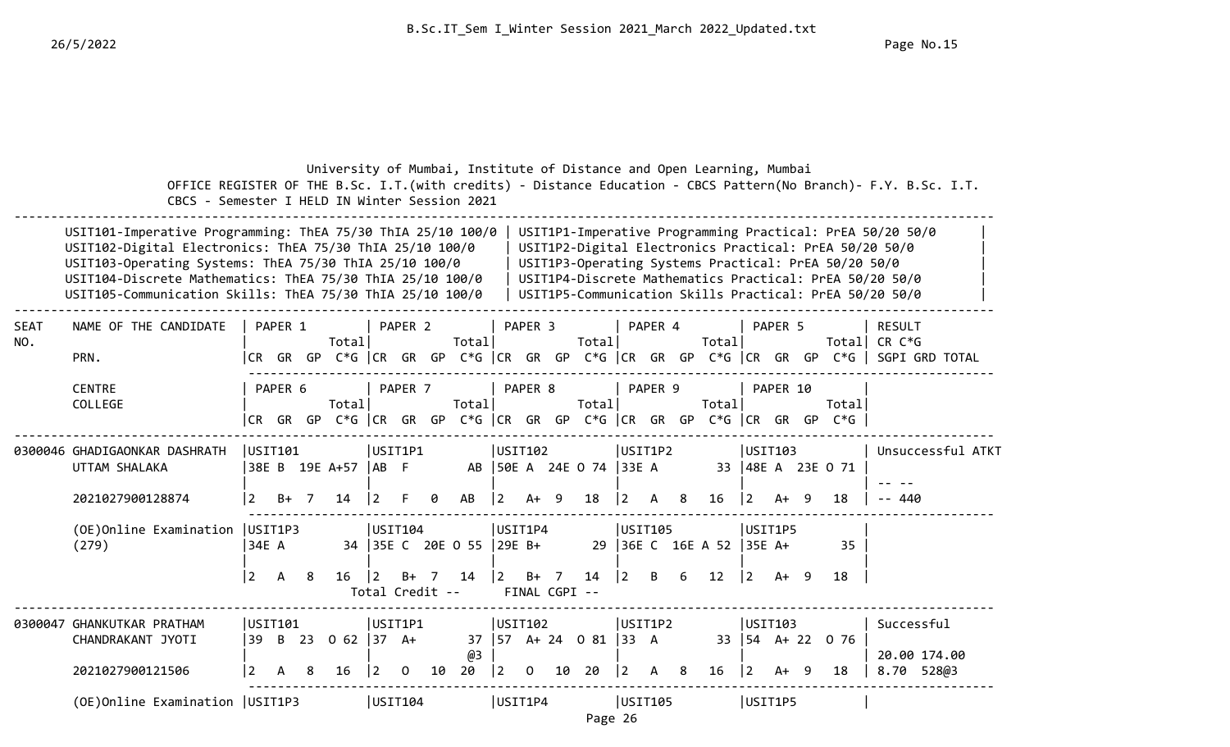|             | CBCS - Semester I HELD IN Winter Session 2021                                                                                                                                                                                                                                                               |                         |                      |    | University of Mumbai, Institute of Distance and Open Learning, Mumbai      |                      |                    |                |                         |                   |                         |    |                                                |                        |         |   |                                |                                                          |          |    |                                                      | OFFICE REGISTER OF THE B.Sc. I.T. (with credits) - Distance Education - CBCS Pattern (No Branch) - F.Y. B.Sc. I.T.                                                                                                                        |
|-------------|-------------------------------------------------------------------------------------------------------------------------------------------------------------------------------------------------------------------------------------------------------------------------------------------------------------|-------------------------|----------------------|----|----------------------------------------------------------------------------|----------------------|--------------------|----------------|-------------------------|-------------------|-------------------------|----|------------------------------------------------|------------------------|---------|---|--------------------------------|----------------------------------------------------------|----------|----|------------------------------------------------------|-------------------------------------------------------------------------------------------------------------------------------------------------------------------------------------------------------------------------------------------|
|             | USIT101-Imperative Programming: ThEA 75/30 ThIA 25/10 100/0<br>USIT102-Digital Electronics: ThEA 75/30 ThIA 25/10 100/0<br>USIT103-Operating Systems: ThEA 75/30 ThIA 25/10 100/0<br>USIT104-Discrete Mathematics: ThEA 75/30 ThIA 25/10 100/0<br>USIT105-Communication Skills: ThEA 75/30 ThIA 25/10 100/0 |                         |                      |    |                                                                            |                      |                    |                |                         |                   |                         |    |                                                |                        |         |   |                                |                                                          |          |    | USIT1P3-Operating Systems Practical: PrEA 50/20 50/0 | USIT1P1-Imperative Programming Practical: PrEA 50/20 50/0<br>USIT1P2-Digital Electronics Practical: PrEA 50/20 50/0<br>USIT1P4-Discrete Mathematics Practical: PrEA 50/20 50/0<br>USIT1P5-Communication Skills Practical: PrEA 50/20 50/0 |
| SEAT<br>NO. | NAME OF THE CANDIDATE<br>PRN.                                                                                                                                                                                                                                                                               |                         | PAPER 1<br>ICR GR GP |    | Total                                                                      |                      | PAPER <sub>2</sub> |                | Total                   |                   | PAPER <sub>3</sub>      |    | Total                                          |                        | PAPER 4 |   | Total                          |                                                          | PAPER 5  |    | Totall                                               | <b>RESULT</b><br>CR C*G<br>C*G  CR GR GP C*G  CR GR GP C*G  CR GR GP C*G  CR GR GP C*G   SGPI GRD TOTAL                                                                                                                                   |
|             | <b>CENTRE</b><br>COLLEGE                                                                                                                                                                                                                                                                                    |                         | PAPER 6              |    | Total<br> CR GR GP C*G  CR GR GP C*G  CR GR GP C*G  CR GR GP C*G  CR GR GP |                      | PAPER <sub>7</sub> |                | Total                   |                   | PAPER 8                 |    | Total                                          |                        | PAPER 9 |   | Total                          |                                                          | PAPER 10 |    | Total<br>$C*G$                                       |                                                                                                                                                                                                                                           |
|             | 0300046 GHADIGAONKAR DASHRATH<br>UTTAM SHALAKA<br>2021027900128874                                                                                                                                                                                                                                          | USIT101                 | B+                   | -7 | 38E B 19E A+57<br>14                                                       | USIT1P1<br>$ AB \tF$ |                    |                | AB                      | USIT102           | $A+ 9$                  |    | AB   50E A 24E O 74   33E A<br>18              | USIT1P2                |         | 8 | 16                             | USTI03<br>$\overline{2}$                                 | A+       | -9 | 33   48E A 23E O 71<br>18                            | Unsuccessful ATKT<br>440                                                                                                                                                                                                                  |
|             | (OE) Online Examination   USIT1P3<br>(279)                                                                                                                                                                                                                                                                  | 34E A<br>$\overline{2}$ | A                    | 8  | $16 \mid 2$                                                                | USIT104              | $B+$               | $\overline{7}$ | 34 35E C 20E O 55<br>14 | USIT1P4<br>29E B+ | $2 B+ 7$                |    | 14                                             | USIT105<br>$ 2\rangle$ | B       | 6 | 29 36E C 16E A 52 35E A+<br>12 | USIT1P5<br>$ 2\rangle$                                   | $A+ 9$   |    | 35<br>18                                             |                                                                                                                                                                                                                                           |
|             |                                                                                                                                                                                                                                                                                                             |                         |                      |    |                                                                            | Total Credit --      |                    |                |                         |                   | FINAL CGPI --           |    |                                                |                        |         |   |                                |                                                          |          |    |                                                      |                                                                                                                                                                                                                                           |
|             | 0300047 GHANKUTKAR PRATHAM<br>CHANDRAKANT JYOTI<br>2021027900121506                                                                                                                                                                                                                                         | USIT101<br>39 B<br>2    | А                    | 23 | $062$ 37 A+<br>16                                                          | USIT1P1<br>  2       | 0                  | 10             | @3<br>20                | $\vert 2 \vert$   | USIT102<br>$\mathbf{O}$ | 10 | $37 \mid 57 \text{ A} + 24 \text{ O} 81$<br>20 | USIT1P2<br>33 A<br>2   | A       | 8 | 16                             | USIT103<br>$33 \mid 54 \quad A + 22 \mid$<br>$ 2\rangle$ | A+       | 9  | 0 76<br>18                                           | Successful<br>20.00 174.00<br>8.70 528@3                                                                                                                                                                                                  |
|             | (OE) Online Examination   USIT1P3                                                                                                                                                                                                                                                                           |                         |                      |    |                                                                            | USIT104              |                    |                |                         | USIT1P4           |                         |    | Page 26                                        | USIT105                |         |   |                                | USIT1P5                                                  |          |    |                                                      |                                                                                                                                                                                                                                           |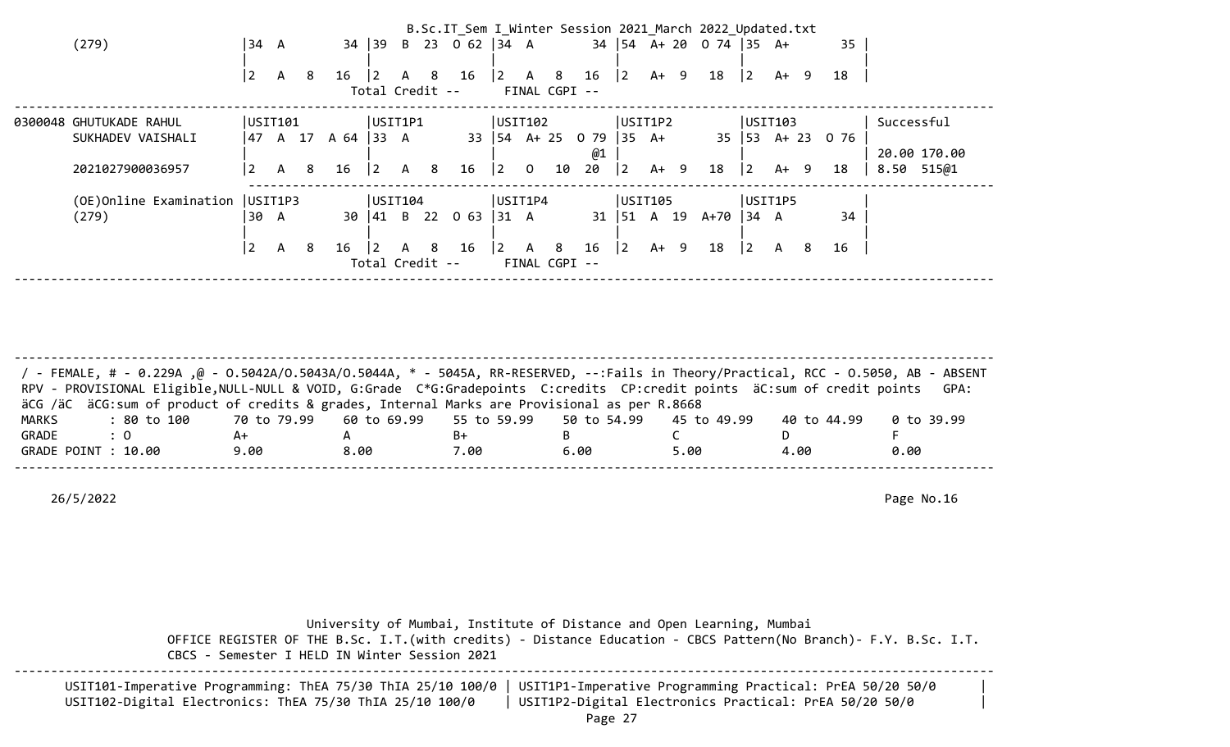|                                   |                 |              |   |                    |                 |     | B.Sc.IT_Sem I_Winter Session 2021 March 2022 Updated.txt |                                       |                |               |                                                |                  |         |                              |                  |        |        |                  |              |  |
|-----------------------------------|-----------------|--------------|---|--------------------|-----------------|-----|----------------------------------------------------------|---------------------------------------|----------------|---------------|------------------------------------------------|------------------|---------|------------------------------|------------------|--------|--------|------------------|--------------|--|
| (279)                             | 34 A            |              |   | 34                 |                 |     | $ 39 \t B \t 23 \t 0 \t 62  34 \t A$                     |                                       |                |               |                                                |                  |         | 34   54 A + 20 0 74   35 A + |                  |        |        | 35               |              |  |
|                                   | $\vert 2 \vert$ | $\mathsf{A}$ | 8 | 16                 | $ 2\rangle$     | A 8 | 16                                                       |                                       |                |               | $\begin{vmatrix} 2 & A & 8 & 16 \end{vmatrix}$ | $ 2\rangle$      | A+ 9    | 18                           | $ 2\rangle$      |        | $A+ 9$ | 18               |              |  |
|                                   |                 |              |   |                    | Total Credit -- |     |                                                          |                                       |                | FINAL CGPI -- |                                                |                  |         |                              |                  |        |        |                  |              |  |
| 0300048 GHUTUKADE RAHUL           | USIT101         |              |   |                    | USIT1P1         |     |                                                          | USIT102                               |                |               |                                                |                  | USIT1P2 |                              | USTI03           |        |        |                  | Successful   |  |
| SUKHADEV VAISHALI                 |                 |              |   | 47 A 17 A 64  33 A |                 |     |                                                          |                                       |                |               | 33   54 A + 25 0 79                            | $ 35 \text{ A+}$ |         |                              |                  |        |        | 35 53 A+ 23 0 76 |              |  |
|                                   |                 |              |   |                    |                 |     |                                                          |                                       |                |               | @1                                             |                  |         |                              |                  |        |        |                  | 20.00 170.00 |  |
| 2021027900036957                  | 2               | $\mathsf{A}$ | 8 | 16                 | $ 2\rangle$     | A 8 | 16                                                       | $ 2\rangle$                           | $\overline{0}$ | 10            | 20                                             | $\vert$ 2        | A+ 9    | 18                           | $ 2\rangle$      | $A+ 9$ |        | 18               | 8.50 515@1   |  |
| (OE) Online Examination   USIT1P3 |                 |              |   |                    | USIT104         |     |                                                          | USIT1P4                               |                |               |                                                |                  | USIT105 |                              | USIT1P5          |        |        |                  |              |  |
| (279)                             | 30 A            |              |   | 30                 |                 |     | $ 41 \t B \t 22 \t 063$                                  | $ 31 \tA$                             |                |               |                                                |                  |         | 31   51 A 19 A+70            | $ 34 \ \text{A}$ |        |        | 34               |              |  |
|                                   | 2               | $\mathsf{A}$ | 8 | 16                 | $\overline{2}$  | A 8 | 16                                                       | $\begin{vmatrix} 2 & A \end{vmatrix}$ |                | - 8           | 16                                             | 2                | A+ 9    | 18                           | $ 2\rangle$      | A      | -8     | 16               |              |  |
|                                   |                 |              |   |                    | Total Credit -- |     |                                                          |                                       |                | FINAL CGPI -- |                                                |                  |         |                              |                  |        |        |                  |              |  |
|                                   |                 |              |   |                    |                 |     |                                                          |                                       |                |               |                                                |                  |         |                              |                  |        |        |                  |              |  |

-------------------------------------------------------------------------------------------------------------------------------------- / - FEMALE, # - 0.229A ,@ - O.5042A/O.5043A/O.5044A, \* - 5045A, RR-RESERVED, --:Fails in Theory/Practical, RCC - O.5050, AB - ABSENT RPV - PROVISIONAL Eligible, NULL-NULL & VOID, G:Grade C\*G:Gradepoints C:credits CP:credit points äC:sum of credit points GPA: äCG /äC äCG:sum of product of credits & grades, Internal Marks are Provisional as per R.8668 MARKS : 80 to 100 70 to 79.99 60 to 69.99 55 to 59.99 50 to 54.99 45 to 49.99 40 to 44.99 0 to 39.99 GRADE : 0 A+ A B+ B C D F GRADE POINT : 10.00 9.00 8.00 7.00 6.00 5.00 4.00 0.00 --------------------------------------------------------------------------------------------------------------------------------------

26/5/2022 Page No.16

 University of Mumbai, Institute of Distance and Open Learning, Mumbai OFFICE REGISTER OF THE B.Sc. I.T.(with credits) - Distance Education - CBCS Pattern(No Branch)- F.Y. B.Sc. I.T. CBCS - Semester I HELD IN Winter Session 2021 --------------------------------------------------------------------------------------------------------------------------------------

| USIT101-Imperative Programming: ThEA 75/30 ThIA 25/10 100/0   USIT1P1-Imperative Programming Practical: PrEA 50/20 50/0 |                                                        |  |
|-------------------------------------------------------------------------------------------------------------------------|--------------------------------------------------------|--|
| USIT102-Digital Electronics: ThEA 75/30 ThIA 25/10 100/0                                                                | USIT1P2-Digital Electronics Practical: PrEA 50/20 50/0 |  |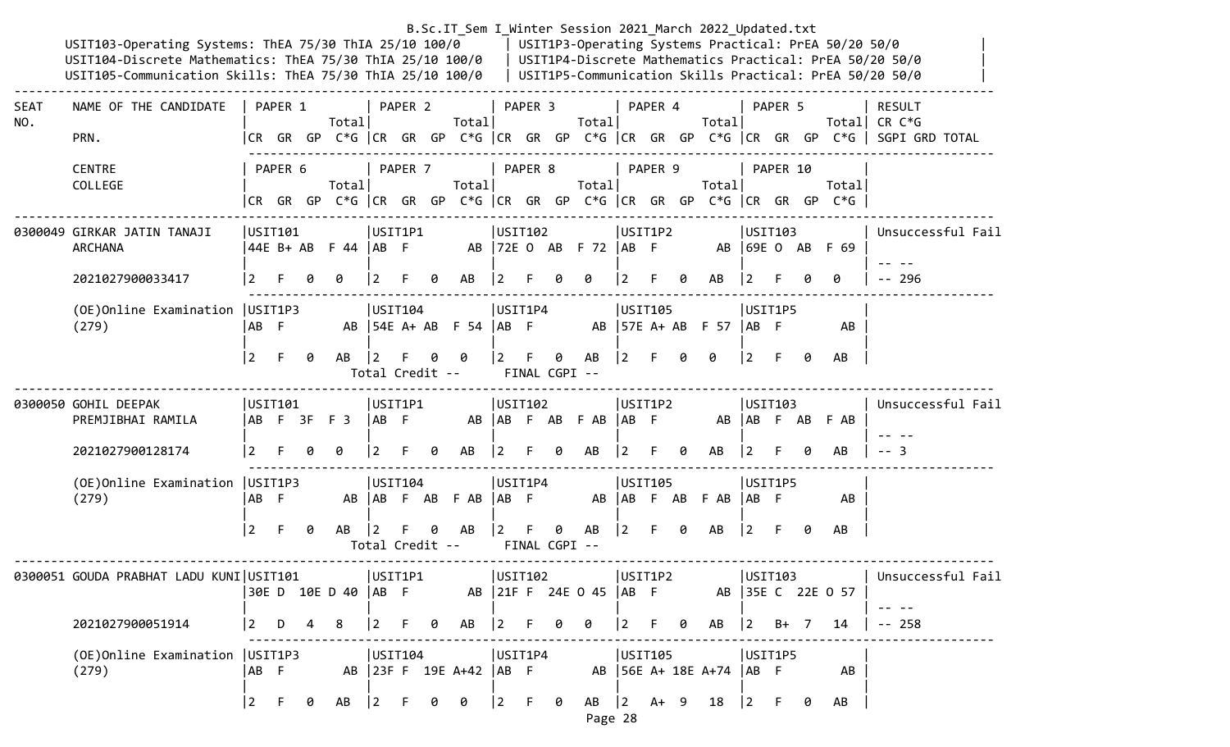|             | USIT103-Operating Systems: ThEA 75/30 ThIA 25/10 100/0<br>USIT104-Discrete Mathematics: ThEA 75/30 ThIA 25/10 100/0   USIT1P4-Discrete Mathematics Practical: PrEA 50/20 50/0<br>USIT105-Communication Skills: ThEA 75/30 ThIA 25/10 100/0   USIT1P5-Communication Skills Practical: PrEA 50/20 50/0 |                |                      |   |                                                                               |                                   |         |   | B.Sc.IT_Sem I_Winter Session 2021_March 2022_Updated.txt |                                       |         |                    |                                          |             |         |   |                          |                   |          |   | USIT1P3-Operating Systems Practical: PrEA 50/20 50/0 |                                                                                                                    |
|-------------|------------------------------------------------------------------------------------------------------------------------------------------------------------------------------------------------------------------------------------------------------------------------------------------------------|----------------|----------------------|---|-------------------------------------------------------------------------------|-----------------------------------|---------|---|----------------------------------------------------------|---------------------------------------|---------|--------------------|------------------------------------------|-------------|---------|---|--------------------------|-------------------|----------|---|------------------------------------------------------|--------------------------------------------------------------------------------------------------------------------|
| SEAT<br>NO. | NAME OF THE CANDIDATE<br>PRN.                                                                                                                                                                                                                                                                        |                | PAPER 1              |   | Total                                                                         |                                   | PAPER 2 |   | Total                                                    |                                       | PAPER 3 |                    | Total                                    |             | PAPER 4 |   | Total                    |                   | PAPER 5  |   |                                                      | <b>RESULT</b><br>Total CR $C*G$<br>CR GR GP C*G CR GR GP C*G CR GR GP C*G CR GR GP C*G CR GR GP C*G SGPI GRD TOTAL |
|             | <b>CENTRE</b><br>COLLEGE                                                                                                                                                                                                                                                                             |                | PAPER 6              |   | Total<br>CR GR GP C*G  CR GR GP C*G  CR GR GP C*G  CR GR GP C*G  CR GR GP C*G |                                   | PAPER 7 |   | Total                                                    |                                       | PAPER 8 |                    | Total                                    |             | PAPER 9 |   | Total                    |                   | PAPER 10 |   | Total                                                |                                                                                                                    |
|             | 0300049 GIRKAR JATIN TANAJI<br><b>ARCHANA</b>                                                                                                                                                                                                                                                        |                | USIT101<br>44E B+ AB |   | $F$ 44 $AB$ $F$                                                               | USIT1P1                           |         |   |                                                          | USIT102                               |         |                    | AB   72E 0 AB F 72   AB F                |             | USIT1P2 |   | AB 69E 0 AB F 69         | USIT103           |          |   |                                                      | Unsuccessful Fail                                                                                                  |
|             | 2021027900033417                                                                                                                                                                                                                                                                                     | $\mathbf{2}$   |                      |   | 0                                                                             | l 2.                              | F.      | 0 | AB                                                       | $\overline{2}$                        |         | 0                  | 0                                        |             |         | 0 | AB                       | 12                |          |   | ø                                                    | $- - 296$                                                                                                          |
|             | (OE) Online Examination   USIT1P3<br>(279)                                                                                                                                                                                                                                                           | AB F           |                      |   |                                                                               | USIT104                           |         |   | AB $\vert$ 54E A+ AB F 54 $\vert$ AB F                   | USIT1P4                               |         |                    |                                          |             | USIT105 |   | AB 57E A+ AB F 57   AB F | USIT1P5           |          |   | AB                                                   |                                                                                                                    |
|             |                                                                                                                                                                                                                                                                                                      | $\overline{2}$ | $\mathsf{F}$         | 0 | AB                                                                            | $\overline{2}$<br>Total Credit -- |         |   |                                                          | $\overline{2}$                        | - F     | 0<br>FINAL CGPI -- | AB                                       | $ 2 \tF$    |         | 0 | 0                        | $ 2\rangle$       | F.       | 0 | AB                                                   |                                                                                                                    |
|             | 0300050 GOHIL DEEPAK<br>PREMJIBHAI RAMILA                                                                                                                                                                                                                                                            |                | USIT101              |   | ABF 3FF 3                                                                     | USIT1P1<br>$ AB \tF$              |         |   | AB                                                       | USIT102                               |         |                    | AB F AB F AB  AB F                       |             | USIT1P2 |   |                          | USTI03            |          |   | AB AB F AB F AB                                      | Unsuccessful Fail                                                                                                  |
|             | 2021027900128174                                                                                                                                                                                                                                                                                     |                |                      |   | 0                                                                             |                                   |         | 0 | AB                                                       | 2                                     |         | 0                  | AB                                       |             |         | 0 | AB                       | 12                |          |   | AB                                                   |                                                                                                                    |
|             | (OE) Online Examination   USIT1P3<br>(279)                                                                                                                                                                                                                                                           | AB F           |                      |   |                                                                               | USIT104                           |         |   | AB AB F AB F AB                                          | USIT1P4<br>$ AB \tF$                  |         |                    |                                          |             | USIT105 |   | AB AB F AB F AB AB F     | USIT1P5           |          |   | AB                                                   |                                                                                                                    |
|             |                                                                                                                                                                                                                                                                                                      | $\vert$ 2      | F.                   | 0 | AB                                                                            | $\overline{2}$<br>Total Credit -- |         | 0 | AB                                                       | <u>2</u>                              | $-F$    | 0<br>FINAL CGPI -- | AB                                       | $ 2\rangle$ | F.      | 0 | AB                       | $ 2\rangle$       | F.       | 0 | AB                                                   |                                                                                                                    |
|             | 0300051 GOUDA PRABHAT LADU KUNI USIT101                                                                                                                                                                                                                                                              |                |                      |   | 30E D 10E D 40   AB F                                                         |                                   | USIT1P1 |   |                                                          | USIT102                               |         |                    | AB 21F F 24E 0 45 AB F AB 35E C 22E 0 57 |             | USIT1P2 |   |                          | USTI03            |          |   |                                                      | Unsuccessful Fail                                                                                                  |
|             | 2021027900051914                                                                                                                                                                                                                                                                                     | $\vert$ 2      | D                    | 4 | 8                                                                             | $\boxed{2}$                       | F 0     |   | AB                                                       | $ 2 \tF$                              |         | 0                  | 0                                        | $\vert$ 2   |         | 0 | AB                       | $ 2 \t\t\t B+$    |          |   | 14                                                   | $-- 258$                                                                                                           |
|             | (OE) Online Examination   USIT1P3<br>(279)                                                                                                                                                                                                                                                           | IAB F          |                      |   |                                                                               | USIT104                           |         |   | AB 23F F 19E A+42  AB F                                  | USIT1P4                               |         |                    | AB 56E A+ 18E A+74  AB F                 |             | USIT105 |   |                          | USIT1P5           |          |   | AB                                                   |                                                                                                                    |
|             |                                                                                                                                                                                                                                                                                                      |                | $2 \quad F$          | 0 | AB                                                                            | $ 2\rangle$                       | -F      | 0 | 0                                                        | $\begin{vmatrix} 2 & F \end{vmatrix}$ |         | 0                  | $AB$  2 $A+ 9$                           |             |         |   | 18                       | $\vert 2 \vert$ F |          | 0 | AB                                                   |                                                                                                                    |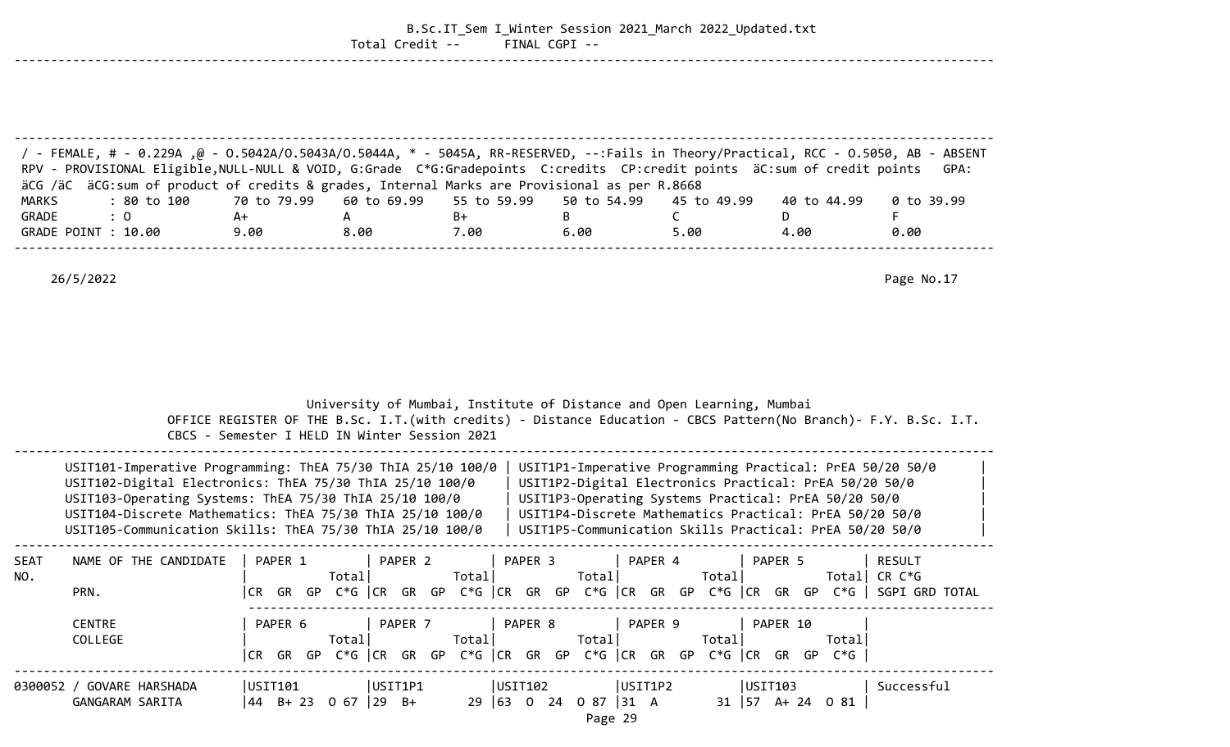|                       |                                                                                                                                                                                                                                                                                                                                                                               |                   | Total Credit --                                                                                                        | FINAL CGPI -- | B.Sc.IT_Sem I_Winter Session 2021 March 2022 Updated.txt                                                                                                                                                                                                                                          |                  |                  |                                                                                                                    |
|-----------------------|-------------------------------------------------------------------------------------------------------------------------------------------------------------------------------------------------------------------------------------------------------------------------------------------------------------------------------------------------------------------------------|-------------------|------------------------------------------------------------------------------------------------------------------------|---------------|---------------------------------------------------------------------------------------------------------------------------------------------------------------------------------------------------------------------------------------------------------------------------------------------------|------------------|------------------|--------------------------------------------------------------------------------------------------------------------|
|                       |                                                                                                                                                                                                                                                                                                                                                                               |                   |                                                                                                                        |               |                                                                                                                                                                                                                                                                                                   |                  |                  |                                                                                                                    |
|                       | / FEMALE, # - 0.229A ,@ - 0.5042A/0.5043A/0.5044A, * - 5045A, RR-RESERVED, --:Fails in Theory/Practical, RCC - 0.5050, AB - ABSENT<br>RPV - PROVISIONAL Eligible, NULL-NULL & VOID, G:Grade C*G:Gradepoints C:credits CP:credit points äC:sum of credit points<br>äCG /äC äCG:sum of product of credits & grades, Internal Marks are Provisional as per R.8668<br>: 80 to 100 |                   |                                                                                                                        | 55 to 59.99   |                                                                                                                                                                                                                                                                                                   |                  |                  | GPA:                                                                                                               |
| <b>MARKS</b><br>GRADE | : 0                                                                                                                                                                                                                                                                                                                                                                           | 70 to 79.99<br>A+ | 60 to 69.99<br>A                                                                                                       | B+            | 50 to 54.99<br>B                                                                                                                                                                                                                                                                                  | 45 to 49.99<br>C | 40 to 44.99<br>D | 0 to 39.99<br>F.                                                                                                   |
|                       | GRADE POINT : 10.00                                                                                                                                                                                                                                                                                                                                                           | 9.00              | 8.00                                                                                                                   | 7.00          | 6.00                                                                                                                                                                                                                                                                                              | 5.00             | 4.00             | 0.00                                                                                                               |
|                       |                                                                                                                                                                                                                                                                                                                                                                               |                   |                                                                                                                        |               |                                                                                                                                                                                                                                                                                                   |                  |                  |                                                                                                                    |
|                       | 26/5/2022                                                                                                                                                                                                                                                                                                                                                                     |                   |                                                                                                                        |               |                                                                                                                                                                                                                                                                                                   |                  |                  | Page No.17                                                                                                         |
|                       |                                                                                                                                                                                                                                                                                                                                                                               |                   | University of Mumbai, Institute of Distance and Open Learning, Mumbai<br>CBCS - Semester I HELD IN Winter Session 2021 |               |                                                                                                                                                                                                                                                                                                   |                  |                  | OFFICE REGISTER OF THE B.Sc. I.T. (with credits) - Distance Education - CBCS Pattern (No Branch) - F.Y. B.Sc. I.T. |
|                       | USIT101-Imperative Programming: ThEA 75/30 ThIA 25/10 100/0<br>USIT102-Digital Electronics: ThEA 75/30 ThIA 25/10 100/0<br>USIT103-Operating Systems: ThEA 75/30 ThIA 25/10 100/0<br>USIT104-Discrete Mathematics: ThEA 75/30 ThIA 25/10 100/0<br>USIT105-Communication Skills: ThEA 75/30 ThIA 25/10 100/0                                                                   |                   |                                                                                                                        |               | USIT1P1-Imperative Programming Practical: PrEA 50/20 50/0<br>USIT1P2-Digital Electronics Practical: PrEA 50/20 50/0<br>USIT1P3-Operating Systems Practical: PrEA 50/20 50/0<br>USIT1P4-Discrete Mathematics Practical: PrEA 50/20 50/0<br>USIT1P5-Communication Skills Practical: PrEA 50/20 50/0 |                  |                  |                                                                                                                    |
| SEAT<br>NO.           | NAME OF THE CANDIDATE                                                                                                                                                                                                                                                                                                                                                         | PAPER 1           | PAPER 2<br>Total   Total   Total   Total   Total   Total   CR C*G                                                      | PAPER 3       | PAPER 4                                                                                                                                                                                                                                                                                           |                  | PAPER 5          | RESULT                                                                                                             |
|                       | PRN.                                                                                                                                                                                                                                                                                                                                                                          |                   |                                                                                                                        |               |                                                                                                                                                                                                                                                                                                   |                  |                  | CR GR GP C*G  CR GR GP C*G  CR GR GP C*G  CR GR GP C*G  CR GR GP C*G   SGPI GRD TOTAL                              |
|                       | <b>CENTRE</b><br>COLLEGE                                                                                                                                                                                                                                                                                                                                                      | PAPER 6           | PAPER 7           PAPER 8           PAPER 9           PAPER 10                                                         |               | Total                                                                                                                                                                                                                                                                                             | $\mathsf{Total}$ | Total            |                                                                                                                    |
|                       |                                                                                                                                                                                                                                                                                                                                                                               |                   | CR GR GP C*G  CR GR GP C*G  CR GR GP C*G  CR GR GP C*G  CR GR GP C*G                                                   |               |                                                                                                                                                                                                                                                                                                   |                  |                  |                                                                                                                    |
|                       | 0300052 / GOVARE HARSHADA<br>GANGARAM SARITA                                                                                                                                                                                                                                                                                                                                  |                   | $ USTT101$ $ USTT1P1$<br> 44 B+ 23 0 67  29 B+                                                                         |               | $29   63   0 24   0 87   31   A$ 31   57 A + 24 0 81                                                                                                                                                                                                                                              |                  |                  |                                                                                                                    |

Page 29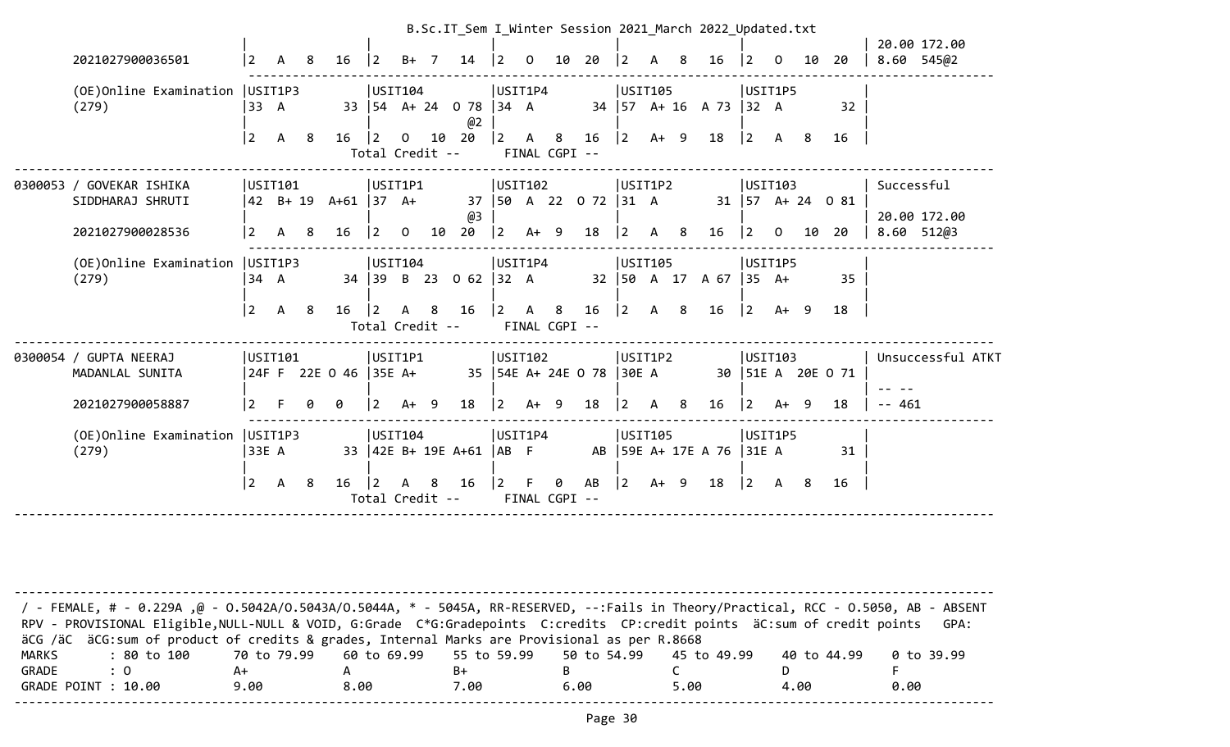|                                              |                |                     |    |                       |                 |              |                       |                                  |                 |                               |    |                              |             |              |    | B.Sc.IT Sem I Winter Session 2021 March 2022 Updated.txt |             |             |     |                                          |            | 20.00 172.00               |
|----------------------------------------------|----------------|---------------------|----|-----------------------|-----------------|--------------|-----------------------|----------------------------------|-----------------|-------------------------------|----|------------------------------|-------------|--------------|----|----------------------------------------------------------|-------------|-------------|-----|------------------------------------------|------------|----------------------------|
| 2021027900036501                             | $ 2\rangle$    | A                   | 8  | 16                    | $ 2\rangle$     | $B+$         | $\overline{7}$        | 14                               | <u> 2</u>       | $\Omega$                      | 10 | 20                           | <u> 2</u>   | A            | 8  | 16                                                       | $ 2\rangle$ | $\Omega$    | 10  | 20                                       |            | 8.60 545@2                 |
| (OE) Online Examination   USIT1P3<br>(279)   | 33 A           |                     |    |                       | USTI04          |              |                       | 33   54 A + 24 0 78   34 A<br>@2 |                 | USIT1P4                       |    |                              | USIT105     |              |    | 34   57 A + 16 A 73   32 A                               |             | USIT1P5     |     | 32                                       |            |                            |
|                                              | $ 2\rangle$    | $\mathsf{A}$        | 8  | 16                    | $\vert$ 2       | $\Omega$     | 10<br>Total Credit -- | 20                               | $ 2\rangle$     | A 8<br>FINAL CGPI --          |    | 16                           | $ 2\rangle$ | $A+ 9$       |    | 18                                                       | $\vert$ 2   | A           | - 8 | 16                                       |            |                            |
| 0300053 / GOVEKAR ISHIKA<br>SIDDHARAJ SHRUTI |                | USIT101<br>42 B+ 19 |    | $A+61$ 37 $A+$        | USIT1P1         |              |                       |                                  |                 | USIT102                       |    | 37   50 A 22 0 72   31 A     | USIT1P2     |              |    |                                                          |             | USTI03      |     | $31 \mid 57 \text{ A} + 24 \text{ O} 81$ | Successful |                            |
| 2021027900028536                             | $\overline{2}$ | A                   | 8  | 16                    | $\vert 2 \vert$ | $\Omega$     | 10                    | @3<br>20                         | $ 2\rangle$     | $A+ 9$                        |    | 18                           | $ 2\rangle$ | $\mathsf{A}$ | -8 | 16                                                       | $\vert$ 2   | $\Omega$    | 10  | 20                                       |            | 20.00 172.00<br>8.60 512@3 |
| (OE)Online Examination<br>(279)              | 34 A           | USIT1P3             |    |                       | USTI04          |              |                       | 34 39 B 23 0 62 32 A             | USIT1P4         |                               |    |                              | USIT105     |              |    | 32   50 A 17 A 67   35 A+                                |             | USIT1P5     |     | 35                                       |            |                            |
|                                              | $ 2\rangle$    | A 8                 |    | $16 \mid 2$           |                 | $\mathsf{A}$ | 8<br>Total Credit --  | 16                               | $\vert 2 \vert$ | $\mathsf{A}$<br>FINAL CGPI -- | 8  | 16                           | $ 2\rangle$ | A 8          |    | 16                                                       |             | $ 2 \tA+ 9$ |     | 18                                       |            |                            |
| 0300054 / GUPTA NEERAJ<br>MADANLAL SUNITA    |                | USIT101             |    | 24F F 22E 0 46 35E A+ | USIT1P1         |              |                       |                                  |                 | USIT102                       |    | 35   54E A+ 24E O 78   30E A | USIT1P2     |              |    |                                                          |             | USTI03      |     | 30   51E A 20E O 71                      |            | Unsuccessful ATKT          |
| 2021027900058887                             | $\overline{2}$ |                     | 0  | 0                     | 2               | $A+$         | - 9                   | 18                               | $\overline{2}$  | $A+ 9$                        |    | 18                           |             | A            | 8  | 16                                                       | $ 2\rangle$ | A+ 9        |     | 18                                       | $- - 461$  |                            |
| (OE)Online Examination<br>(279)              | 33E A          | USIT1P3             |    |                       |                 | USIT104      |                       | 33   42E B+ 19E A+61             | AB F            | USIT1P4                       |    |                              |             | USIT105      |    | AB 59E A+ 17E A 76 31E A                                 |             | USIT1P5     |     | 31                                       |            |                            |
|                                              | $ 2\rangle$    | A                   | -8 | $16 \mid 2$           |                 | A            | 8<br>Total Credit --  | 16                               | $\vert$ 2       | FINAL CGPI --                 | 0  | AB                           | $\vert$ 2   | $A+ 9$       |    | 18   2 A 8                                               |             |             |     | 16                                       |            |                            |
|                                              |                |                     |    |                       |                 |              |                       |                                  |                 |                               |    |                              |             |              |    |                                                          |             |             |     |                                          |            |                            |

| / - FEMALE, # - 0.229A ,@ - 0.5042A/O.5043A/O.5044A, * - 5045A, RR-RESERVED, --:Fails in Theory/Practical, RCC - 0.5050, AB - ABSENT<br>RPV - PROVISIONAL Eligible, NULL-NULL & VOID, G:Grade C*G:Gradepoints C:credits CP:credit points äC:sum of credit points |      |      |      |      |      |             | GPA:       |
|------------------------------------------------------------------------------------------------------------------------------------------------------------------------------------------------------------------------------------------------------------------|------|------|------|------|------|-------------|------------|
| äCG /äC äCG:sum of product of credits & grades, Internal Marks are Provisional as per R.8668                                                                                                                                                                     |      |      |      |      |      |             |            |
| : 80 to 100    70 to 79.99   60 to 69.99   55 to 59.99   50 to 54.99   45 to 49.99<br>MARKS                                                                                                                                                                      |      |      |      |      |      | 40 to 44.99 | 0 to 39.99 |
| GRADE<br>$\therefore$ 0                                                                                                                                                                                                                                          | A+   |      | B+   |      |      |             |            |
| GRADE POINT : 10.00                                                                                                                                                                                                                                              | 9.00 | 8.00 | 7.00 | 6.00 | 5.00 | 4.00        | 0.00       |
|                                                                                                                                                                                                                                                                  |      |      |      |      |      |             |            |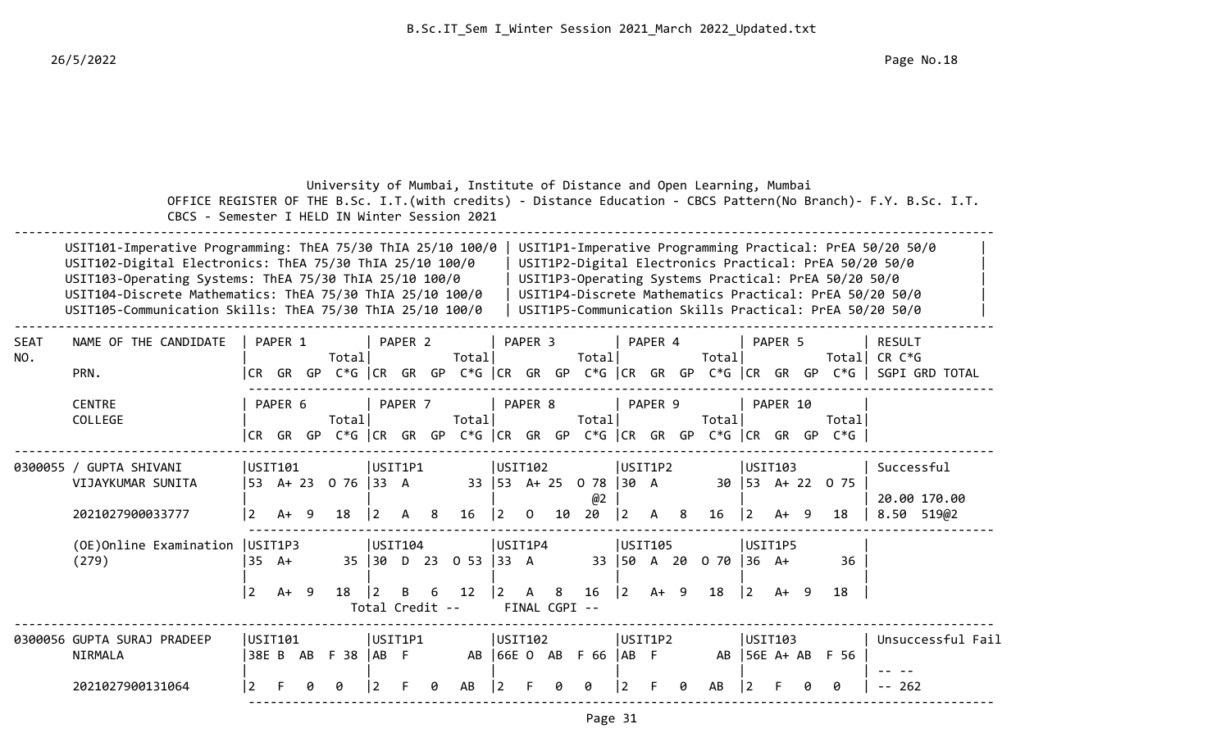|             | CBCS - Semester I HELD IN Winter Session 2021                                                                                                                                                                                                                                                               |                |                           |   |                          |          |                                 |     |                            |                |                               |    | University of Mumbai, Institute of Distance and Open Learning, Mumbai          |             |                   |   |                                 |             |                 |                                                      | OFFICE REGISTER OF THE B.Sc. I.T. (with credits) - Distance Education - CBCS Pattern (No Branch) - F.Y. B.Sc. I.T.                                                                                                                        |
|-------------|-------------------------------------------------------------------------------------------------------------------------------------------------------------------------------------------------------------------------------------------------------------------------------------------------------------|----------------|---------------------------|---|--------------------------|----------|---------------------------------|-----|----------------------------|----------------|-------------------------------|----|--------------------------------------------------------------------------------|-------------|-------------------|---|---------------------------------|-------------|-----------------|------------------------------------------------------|-------------------------------------------------------------------------------------------------------------------------------------------------------------------------------------------------------------------------------------------|
|             | USIT101-Imperative Programming: ThEA 75/30 ThIA 25/10 100/0<br>USIT102-Digital Electronics: ThEA 75/30 ThIA 25/10 100/0<br>USIT103-Operating Systems: ThEA 75/30 ThIA 25/10 100/0<br>USIT104-Discrete Mathematics: ThEA 75/30 ThIA 25/10 100/0<br>USIT105-Communication Skills: ThEA 75/30 ThIA 25/10 100/0 |                |                           |   |                          |          |                                 |     |                            |                |                               |    |                                                                                |             |                   |   |                                 |             |                 | USIT1P3-Operating Systems Practical: PrEA 50/20 50/0 | USIT1P1-Imperative Programming Practical: PrEA 50/20 50/0<br>USIT1P2-Digital Electronics Practical: PrEA 50/20 50/0<br>USIT1P4-Discrete Mathematics Practical: PrEA 50/20 50/0<br>USIT1P5-Communication Skills Practical: PrEA 50/20 50/0 |
| SEAT<br>NO. | NAME OF THE CANDIDATE<br>PRN.                                                                                                                                                                                                                                                                               |                | PAPER 1                   |   | Totall                   |          | PAPER 2                         |     | Totall                     |                | PAPER 3                       |    | Totall                                                                         |             | PAPER 4           |   | Totall                          |             | PAPER 5         |                                                      | RESULT<br>Total  CR C*G<br> CR GR GP C*G  CR GR GP C*G  CR GR GP C*G  CR GR GP C*G  CR GR GP C*G   SGPI GRD TOTAL                                                                                                                         |
|             | <b>CENTRE</b><br>COLLEGE                                                                                                                                                                                                                                                                                    |                | PAPER 6                   |   | Totall                   |          | PAPER <sub>7</sub>              |     | Totall                     |                | PAPER 8                       |    | Total<br> CR GR GP C*G  CR GR GP C*G  CR GR GP C*G  CR GR GP C*G  CR GR GP C*G |             | PAPER 9           |   | Total                           |             | PAPER 10        | Totall                                               |                                                                                                                                                                                                                                           |
|             | 0300055 / GUPTA SHIVANI<br>VIJAYKUMAR SUNITA<br>2021027900033777                                                                                                                                                                                                                                            | $\vert$ 2      | USIT101<br>$A+ 9$         |   | 53 A+ 23 0 76 33 A<br>18 | <u>2</u> | USIT1P1<br>A                    | - 8 | 16                         | $ 2\rangle$    | USIT102<br>$\overline{0}$     | 10 | 33 53 A+ 25 0 78 30 A<br>@2<br>20                                              | $ 2\rangle$ | USIT1P2<br>A 8    |   | 16                              | $\vert$ 2   | USTI03<br>A+ 9  | 30 53 A+ 22 0 75<br>18                               | Successful<br>20.00 170.00<br>8.50 519@2                                                                                                                                                                                                  |
|             | (OE) Online Examination   USIT1P3<br>(279)                                                                                                                                                                                                                                                                  | $ 2\rangle$    | $35 \text{ A+}$<br>$A+ 9$ |   | 18                       | 2        | USIT104<br>B<br>Total Credit -- | 6   | 35 30 D 23 0 53 33 A<br>12 | $\mathbf{2}$   | USIT1P4<br>A<br>FINAL CGPI -- | 8  | 16                                                                             | $ 2\rangle$ | USIT105<br>$A+ 9$ |   | 33   50 A 20 0 70   36 A+<br>18 | $ 2\rangle$ | USIT1P5<br>A+ 9 | 36<br>18                                             |                                                                                                                                                                                                                                           |
|             | 0300056 GUPTA SURAJ PRADEEP<br>NIRMALA<br>2021027900131064                                                                                                                                                                                                                                                  | $\overline{2}$ | USIT101<br>38E B AB       | ø | $F$ 38 $ AB$ $F$<br>0    | 2        | USIT1P1                         | ø   | AB                         | $\overline{2}$ | USTI02                        | ø  | AB 66E 0 AB F 66 AB F<br>ø                                                     |             | USIT1P2           | 0 | AB                              | l 2         | USIT103         | AB 56E A+ AB F 56<br>ø                               | Unsuccessful Fail<br>-- 262                                                                                                                                                                                                               |

------------------------------------------------------------------------------------------------------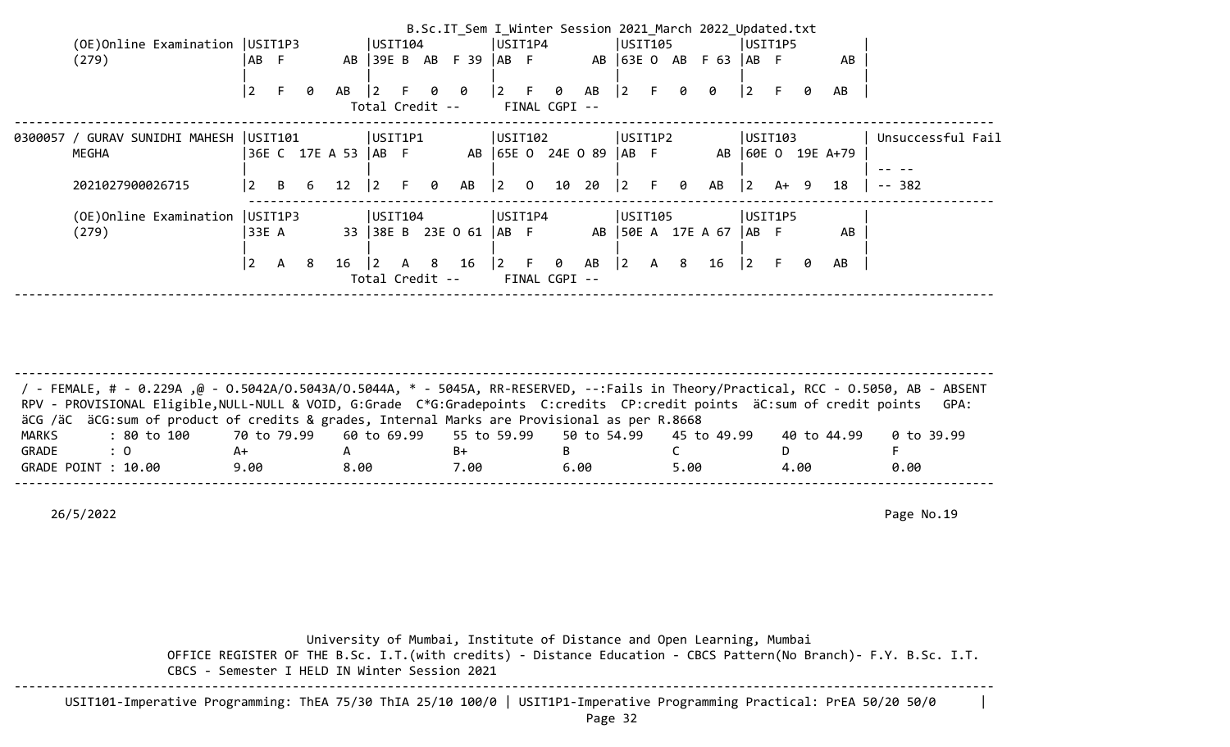|                                         |                 |              |    |                       |                 |    |                                   | B.Sc.IT Sem I Winter Session 2021 March 2022 Updated.txt |                                       |                    |                   |             |              |     |                   |             |         |        |                   |                   |
|-----------------------------------------|-----------------|--------------|----|-----------------------|-----------------|----|-----------------------------------|----------------------------------------------------------|---------------------------------------|--------------------|-------------------|-------------|--------------|-----|-------------------|-------------|---------|--------|-------------------|-------------------|
| (OE) Online Examination   USIT1P3       |                 |              |    |                       | USTI04          |    |                                   |                                                          | USIT1P4                               |                    |                   | USIT105     |              |     |                   |             | USIT1P5 |        |                   |                   |
| (279)                                   | AB F            |              |    | AB                    |                 |    |                                   | 39E B AB F 39  AB F                                      |                                       |                    |                   |             |              |     | AB 63E 0 AB F 63  | IAB F       |         |        | AB                |                   |
|                                         | $\vert 2 \vert$ | F.           | 0  | AB                    | $\overline{2}$  |    |                                   | 00                                                       | $\begin{vmatrix} 2 & F \end{vmatrix}$ | 0                  | AB                | $ 2\rangle$ |              | F 0 | 0                 | $ 2\rangle$ |         | 0      | AB                |                   |
|                                         |                 |              |    |                       |                 |    | Total Credit --                   |                                                          |                                       | FINAL CGPI --      |                   |             |              |     |                   |             |         |        |                   |                   |
| 0300057 / GURAV SUNIDHI MAHESH  USIT101 |                 |              |    |                       | USIT1P1         |    |                                   |                                                          | USIT102                               |                    |                   | USIT1P2     |              |     |                   |             | USIT103 |        |                   | Unsuccessful Fail |
| MEGHA                                   |                 |              |    | 36E C 17E A 53   AB F |                 |    |                                   |                                                          |                                       |                    | AB 65E 0 24E 0 89 | $AB$ F      |              |     |                   |             |         |        | AB 60E 0 19E A+79 |                   |
|                                         |                 |              |    |                       |                 |    |                                   |                                                          |                                       |                    |                   |             |              |     |                   |             |         |        |                   |                   |
| 2021027900026715                        | $\vert 2 \vert$ | $\mathsf{B}$ | 6  | 12                    | $\vert 2 \vert$ | F. | 0                                 | AB                                                       | $\begin{vmatrix} 2 & 0 \end{vmatrix}$ | 10                 | 20                | 2           |              | F 0 | AB                | $ 2\rangle$ |         | $A+ 9$ | 18                | -- 382            |
| (OE) Online Examination   USIT1P3       |                 |              |    |                       | USTI04          |    |                                   |                                                          | USIT1P4                               |                    |                   | USIT105     |              |     |                   |             | USIT1P5 |        |                   |                   |
| (279)                                   | 33E A           |              |    |                       |                 |    |                                   | 33 38E B 23E 0 61                                        | IAB F                                 |                    |                   |             |              |     | AB 50E A 17E A 67 | IAB F       |         |        | AB                |                   |
|                                         |                 |              |    |                       |                 |    |                                   |                                                          |                                       |                    |                   |             |              |     |                   |             |         |        |                   |                   |
|                                         | $\vert 2 \vert$ | $\mathsf{A}$ | -8 | 16                    | $ 2\rangle$     | A  | 8 <sup>1</sup><br>Total Credit -- | 16                                                       | $\vert 2 \vert$ F                     | 0<br>FINAL CGPI -- | AB                | $ 2\rangle$ | $\mathsf{A}$ | 8   | 16                | $ 2\rangle$ | F.      | 0      | AB                |                   |
|                                         |                 |              |    |                       |                 |    |                                   |                                                          |                                       |                    |                   |             |              |     |                   |             |         |        |                   |                   |

-------------------------------------------------------------------------------------------------------------------------------------- / - FEMALE, # - 0.229A ,@ - O.5042A/O.5043A/O.5044A, \* - 5045A, RR-RESERVED, --:Fails in Theory/Practical, RCC - O.5050, AB - ABSENT RPV - PROVISIONAL Eligible, NULL-NULL & VOID, G:Grade C\*G:Gradepoints C:credits CP:credit points äC:sum of credit points GPA: äCG /äC äCG:sum of product of credits & grades, Internal Marks are Provisional as per R.8668 MARKS : 80 to 100 70 to 79.99 60 to 69.99 55 to 59.99 50 to 54.99 45 to 49.99 40 to 44.99 0 to 39.99 GRADE : 0 A+ A B+ B C D F GRADE POINT : 10.00 9.00 8.00 7.00 6.00 5.00 4.00 0.00 --------------------------------------------------------------------------------------------------------------------------------------

26/5/2022 Page No.19

 University of Mumbai, Institute of Distance and Open Learning, Mumbai OFFICE REGISTER OF THE B.Sc. I.T.(with credits) - Distance Education - CBCS Pattern(No Branch)- F.Y. B.Sc. I.T. CBCS - Semester I HELD IN Winter Session 2021 --------------------------------------------------------------------------------------------------------------------------------------

USIT101-Imperative Programming: ThEA 75/30 ThIA 25/10 100/0 | USIT1P1-Imperative Programming Practical: PrEA 50/20 50/0 |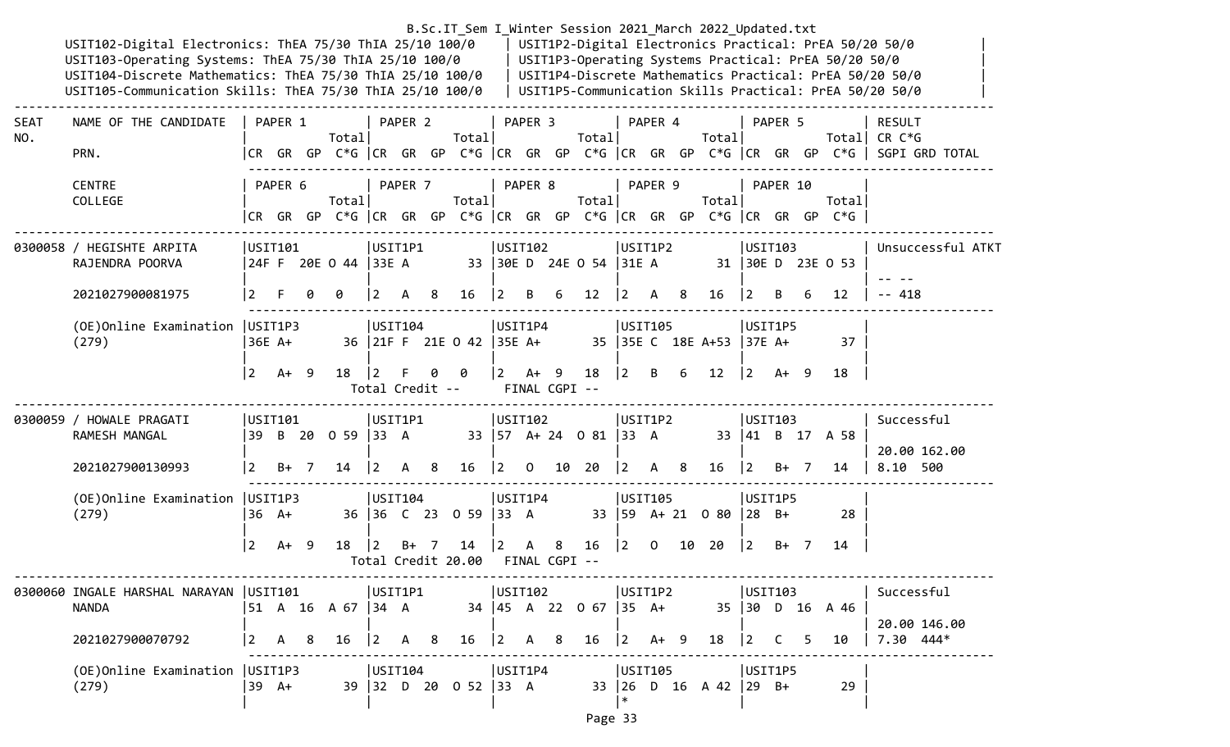|             | USIT102-Digital Electronics: ThEA 75/30 ThIA 25/10 100/0<br>USIT103-Operating Systems: ThEA 75/30 ThIA 25/10 100/0<br>USIT104-Discrete Mathematics: ThEA 75/30 ThIA 25/10 100/0<br>USIT105-Communication Skills: ThEA 75/30 ThIA 25/10 100/0 |                |         |                        |                       |         |                |                          |                |                       |    |                            |                |                |   | B.Sc.IT_Sem I_Winter Session 2021_March 2022_Updated.txt |                |          | USIT1P3-Operating Systems Practical: PrEA 50/20 50/0                           | USIT1P2-Digital Electronics Practical: PrEA 50/20 50/0<br>USIT1P4-Discrete Mathematics Practical: PrEA 50/20 50/0<br>USIT1P5-Communication Skills Practical: PrEA 50/20 50/0 |
|-------------|----------------------------------------------------------------------------------------------------------------------------------------------------------------------------------------------------------------------------------------------|----------------|---------|------------------------|-----------------------|---------|----------------|--------------------------|----------------|-----------------------|----|----------------------------|----------------|----------------|---|----------------------------------------------------------|----------------|----------|--------------------------------------------------------------------------------|------------------------------------------------------------------------------------------------------------------------------------------------------------------------------|
| SEAT<br>NO. | NAME OF THE CANDIDATE<br>PRN.                                                                                                                                                                                                                |                | PAPER 1 | Total                  |                       | PAPER 2 |                | Total                    |                | PAPER 3               |    | Total                      |                | PAPER 4        |   | Total                                                    |                | PAPER 5  |                                                                                | <b>RESULT</b><br>Total CR $C*G$<br> CR GR GP C*G   CR GR GP C*G   CR GR GP C*G   CR GR GP C*G   CR GR GP C*G    SGPI GRD TOTAL                                               |
|             | <b>CENTRE</b><br>COLLEGE                                                                                                                                                                                                                     |                | PAPER 6 | Total                  |                       | PAPER 7 |                | Total                    |                | PAPER 8               |    | Total                      |                | PAPER 9        |   | Total                                                    |                | PAPER 10 | Total<br> CR GR GP C*G  CR GR GP C*G  CR GR GP C*G  CR GR GP C*G  CR GR GP C*G |                                                                                                                                                                              |
|             | 0300058 / HEGISHTE ARPITA<br>RAJENDRA POORVA                                                                                                                                                                                                 |                | USIT101 | 24F F 20E O 44   33E A | USIT1P1               |         |                |                          | USIT102        |                       |    | 33 30E D 24E 0 54 31E A    |                | USIT1P2        |   |                                                          | USTI03         |          | 31 30E D 23E O 53                                                              | Unsuccessful ATKT                                                                                                                                                            |
|             | 2021027900081975                                                                                                                                                                                                                             |                |         | 0                      | 2                     | A       | 8              | 16                       | 2              | B                     | 6  | 12                         | $\overline{2}$ | A              | 8 | 16                                                       | $\overline{2}$ | B.       | 12                                                                             | $-418$                                                                                                                                                                       |
|             | (OE) Online Examination   USIT1P3<br>(279)                                                                                                                                                                                                   |                | 36E A+  |                        | USTI104               |         |                | 36 21F F 21E 0 42 35E A+ | USIT1P4        |                       |    |                            |                | USIT105        |   | 35 35E C 18E A+53 37E A+                                 | USIT1P5        |          | 37                                                                             |                                                                                                                                                                              |
|             |                                                                                                                                                                                                                                              | l 2            | $A+ 9$  | 18                     | 12<br>Total Credit -- | F.      | 0              | 0                        | $\overline{2}$ | A+ 9<br>FINAL CGPI -- |    | 18                         | $ 2\rangle$    | B              | 6 | 12                                                       | $ 2\rangle$    | A+ 9     | 18                                                                             |                                                                                                                                                                              |
|             | 0300059 / HOWALE PRAGATI<br>RAMESH MANGAL                                                                                                                                                                                                    |                | USIT101 | 39 B 20 0 59 33 A      | USIT1P1               |         |                |                          | USTI02         |                       |    | 33   57 A + 24 0 81   33 A |                | USIT1P2        |   |                                                          | USIT103        |          | 33 41 B 17 A 58                                                                | Successful<br>20.00 162.00                                                                                                                                                   |
|             | 2021027900130993                                                                                                                                                                                                                             | <u> 2</u>      | $B+ 7$  | 14                     | $ 2\rangle$           | A       | - 8            | 16                       | 2              | $\overline{O}$        | 10 | 20                         | $ 2\rangle$    | A 8            |   | 16                                                       | $ 2\rangle$    | B+ 7     | 14                                                                             | 8.10 500                                                                                                                                                                     |
|             | (OE) Online Examination   USIT1P3<br>(279)                                                                                                                                                                                                   |                | $36$ A+ |                        | USTI04                |         |                | 36 36 C 23 0 59 33 A     | USIT1P4        |                       |    |                            |                | <b>USIT105</b> |   | 33   59 A + 21 0 80   28 B +                             | USIT1P5        |          | 28                                                                             |                                                                                                                                                                              |
|             |                                                                                                                                                                                                                                              | $\overline{2}$ | $A+ 9$  | 18                     |                       | B+      | $\overline{7}$ | 14<br>Total Credit 20.00 |                | A<br>FINAL CGPI --    | 8  | 16                         | $ 2\rangle$    | $\mathbf{0}$   |   | 10 20                                                    | $\overline{2}$ | $B+$ 7   | 14                                                                             |                                                                                                                                                                              |
|             | 0300060 INGALE HARSHAL NARAYAN  USIT101           USIT1P1         USIT102         USIT1P2           USIT103           Successful<br><b>NANDA</b>                                                                                             |                |         |                        |                       |         |                |                          |                |                       |    |                            |                |                |   |                                                          |                |          |                                                                                | 20.00 146.00                                                                                                                                                                 |
|             | 2021027900070792                                                                                                                                                                                                                             |                |         |                        |                       |         |                |                          |                |                       |    |                            |                |                |   |                                                          |                |          |                                                                                |                                                                                                                                                                              |
|             | (279)                                                                                                                                                                                                                                        |                |         |                        |                       |         |                |                          |                |                       |    |                            | ∗              |                |   |                                                          |                |          | 29                                                                             |                                                                                                                                                                              |

Page 33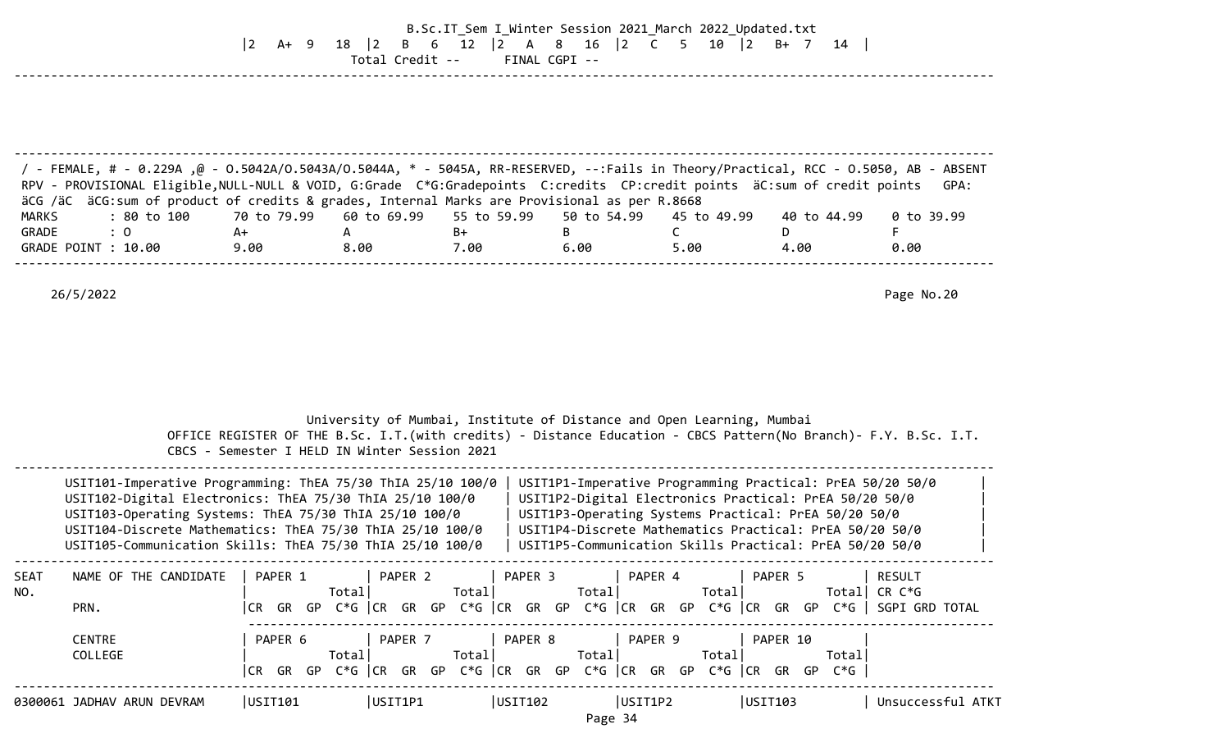## B.Sc.IT\_Sem I\_Winter Session 2021\_March 2022\_Updated.txt |2 A+ 9 18 |2 B 6 12 |2 A 8 16 |2 C 5 10 |2 B+ 7 14 | Total Credit -- FINAL CGPI -- --------------------------------------------------------------------------------------------------------------------------------------

| / - FEMALE, # - 0.229A ,@ - 0.5042A/0.5043A/0.5044A, * - 5045A, RR-RESERVED, --:Fails in Theory/Practical, RCC - 0.5050, AB - ABSENT<br>RPV - PROVISIONAL Eligible, NULL-NULL & VOID, G:Grade C*G:Gradepoints C:credits CP:credit points äC:sum of credit points GPA: |      |      |      |      |      |             |            |
|-----------------------------------------------------------------------------------------------------------------------------------------------------------------------------------------------------------------------------------------------------------------------|------|------|------|------|------|-------------|------------|
| äCG /äC äCG:sum of product of credits & grades, Internal Marks are Provisional as per R.8668                                                                                                                                                                          |      |      |      |      |      |             |            |
| : 80 to 100      70 to 79.99    60 to 69.99    55 to 59.99    50 to 54.99    45 to 49.99<br>MARKS                                                                                                                                                                     |      |      |      |      |      | 40 to 44.99 | 0 to 39.99 |
| GRADE<br>$\therefore$ 0                                                                                                                                                                                                                                               | A+   |      | B+   |      |      |             |            |
| GRADE POINT : 10.00                                                                                                                                                                                                                                                   | 9.00 | 8.00 | 7.00 | 6.00 | 5.00 | 4.00        | 0.00       |
|                                                                                                                                                                                                                                                                       |      |      |      |      |      |             |            |

|                    |                                                                                                                                                                                                                                                                                                             |                          | University of Mumbai, Institute of Distance and Open Learning, Mumbai<br>OFFICE REGISTER OF THE B.Sc. I.T. (with credits) - Distance Education - CBCS Pattern (No Branch) - F.Y. B.Sc. I.T.<br>CBCS - Semester I HELD IN Winter Session 2021 |                    |                  |                                                                                                                                                                                                                                                                                                   |                   |
|--------------------|-------------------------------------------------------------------------------------------------------------------------------------------------------------------------------------------------------------------------------------------------------------------------------------------------------------|--------------------------|----------------------------------------------------------------------------------------------------------------------------------------------------------------------------------------------------------------------------------------------|--------------------|------------------|---------------------------------------------------------------------------------------------------------------------------------------------------------------------------------------------------------------------------------------------------------------------------------------------------|-------------------|
|                    | USIT101-Imperative Programming: ThEA 75/30 ThIA 25/10 100/0<br>USIT102-Digital Electronics: ThEA 75/30 ThIA 25/10 100/0<br>USIT103-Operating Systems: ThEA 75/30 ThIA 25/10 100/0<br>USIT104-Discrete Mathematics: ThEA 75/30 ThIA 25/10 100/0<br>USIT105-Communication Skills: ThEA 75/30 ThIA 25/10 100/0 |                          |                                                                                                                                                                                                                                              |                    |                  | USIT1P1-Imperative Programming Practical: PrEA 50/20 50/0<br>USIT1P2-Digital Electronics Practical: PrEA 50/20 50/0<br>USIT1P3-Operating Systems Practical: PrEA 50/20 50/0<br>USIT1P4-Discrete Mathematics Practical: PrEA 50/20 50/0<br>USIT1P5-Communication Skills Practical: PrEA 50/20 50/0 |                   |
| <b>SEAT</b><br>NO. | NAME OF THE CANDIDATE<br>PRN.                                                                                                                                                                                                                                                                               | PAPER 1<br>Totall<br>CR  | PAPER 2<br>Total<br>GR GP $C*G$ $ CR$ GR GP $C*G$ $ CR$ GR GP $C*G$ $ CR$ GR GP $C*G$ $ CR$ GR GP $C*G$ $ $ SGPI GRD TOTAL                                                                                                                   | PAPER 3<br>Total   | PAPER 4<br>Total | PAPER 5<br>Total                                                                                                                                                                                                                                                                                  | RESULT<br>CR C*G  |
|                    | <b>CENTRE</b><br>COLLEGE                                                                                                                                                                                                                                                                                    | PAPER 6<br>Totall<br>CR. | PAPER 7<br>Totall<br>GR GP C*G CR GR GP C*G CR GR GP C*G CR GR GP C*G CR GR GP                                                                                                                                                               | PAPER 8<br>Total   | PAPER 9<br>Total | PAPER 10<br>Totall<br>$C*G$                                                                                                                                                                                                                                                                       |                   |
|                    | 0300061 JADHAV ARUN DEVRAM                                                                                                                                                                                                                                                                                  | USIT101                  | USIT1P1                                                                                                                                                                                                                                      | USIT102<br>Page 34 | USIT1P2          | USIT103                                                                                                                                                                                                                                                                                           | Unsuccessful ATKT |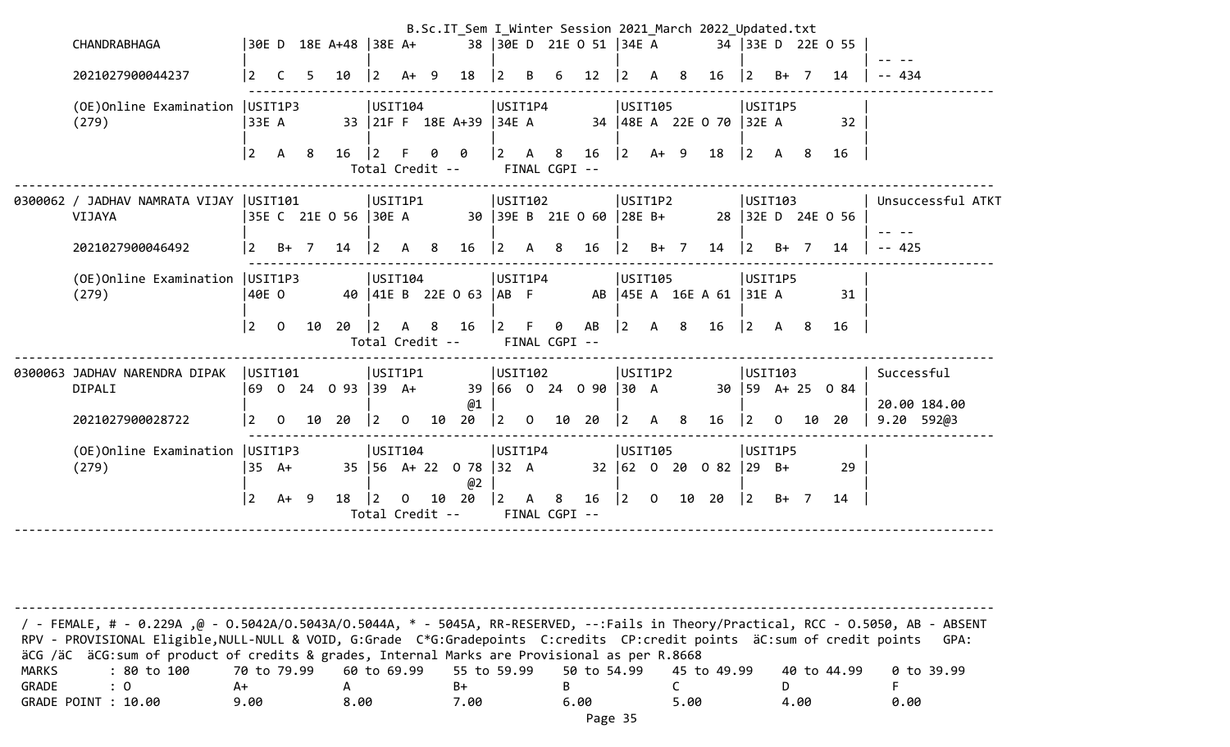|                                                   |                 |                |    |                       |                 |                |     |                                 |                                           |                |                           |                         |             |              |                | B.Sc.IT_Sem I_Winter Session 2021_March 2022_Updated.txt |                |                |        |                     |                            |
|---------------------------------------------------|-----------------|----------------|----|-----------------------|-----------------|----------------|-----|---------------------------------|-------------------------------------------|----------------|---------------------------|-------------------------|-------------|--------------|----------------|----------------------------------------------------------|----------------|----------------|--------|---------------------|----------------------------|
| CHANDRABHAGA                                      |                 |                |    | 30E D 18E A+48 38E A+ |                 |                |     |                                 |                                           |                |                           | 38 30E D 21E O 51 34E A |             |              |                |                                                          |                |                |        | 34 33E D 22E 0 55   |                            |
| 2021027900044237                                  | 2               | C              | 5  | 10                    | $\vert 2 \vert$ | A+             | - 9 | 18                              | $\overline{2}$                            | B              | 6                         | 12                      | $ 2\rangle$ | A            | 8              | 16                                                       | $\overline{2}$ |                | $B+$ 7 | 14                  | - 434                      |
| (OE) Online Examination   USIT1P3<br>(279)        | 33E A           |                |    |                       | USTI104         |                |     | 33 21F F 18E A+39 34E A         | USIT1P4                                   |                |                           |                         | USIT105     |              |                | 34   48E A 22E O 70   32E A                              | USIT1P5        |                |        | 32                  |                            |
|                                                   | 2               | A 8            |    | $16 \mid 2$           |                 | F.             | 00  | Total Credit --                 |                                           |                | FINAL CGPI --             |                         |             |              |                |                                                          |                |                |        | 16                  |                            |
| 0300062 / JADHAV NAMRATA VIJAY  USIT101<br>VIJAYA |                 |                |    | 35E C 21E O 56  30E A | USIT1P1         |                |     |                                 | USIT102                                   |                |                           | 30 39E B 21E 0 60       | USIT1P2     |              |                | 28E B+ 28  32E D 24E 0 56                                | USTI03         |                |        |                     | Unsuccessful ATKT          |
| 2021027900046492                                  | $\vert 2 \vert$ | $B+$ 7         |    | $14 \mid 2$           |                 | A 8            |     | 16                              | $\begin{vmatrix} 2 & A & 8 \end{vmatrix}$ |                |                           | 16                      | $ 2 \t B+7$ |              |                | $14 \mid 2$                                              |                |                | $B+ 7$ | 14                  | $-- 425$                   |
| (OE) Online Examination   USIT1P3<br>(279)        | 40E 0           |                |    |                       | USIT104         |                |     | 40   41E B 22E 0 63   AB F      | USIT1P4                                   |                |                           |                         | USIT105     |              |                | AB   45E A 16E A 61   31E A                              | USIT1P5        |                |        | 31                  |                            |
|                                                   | $ 2\rangle$     | $\overline{0}$ | 10 | 20                    | $ 2\rangle$     | $\mathsf{A}$   | 8   | 16<br>Total Credit --           | $\vert 2 \vert$ F                         |                | $\theta$<br>FINAL CGPI -- | AB                      | 2           | A 8          |                | $16$  2 A 8                                              |                |                |        | 16                  |                            |
| 0300063 JADHAV NARENDRA DIPAK<br>DIPALI           | USTI01          |                |    | 69 0 24 0 93 39 A+    | USIT1P1         |                |     | @1                              | USIT102                                   |                |                           | 39 66 0 24 0 90 30 A    | USIT1P2     |              |                |                                                          | USTI03         |                |        | 30   59 A + 25 0 84 | Successful<br>20.00 184.00 |
| 2021027900028722                                  | 2               | $\mathbf{0}$   | 10 | 20                    | $ 2\rangle$     | $\mathbf 0$    | 10  | 20                              | $ 2\rangle$                               | $\overline{O}$ | 10                        | 20                      | $ 2\rangle$ | $\mathsf{A}$ | 8 <sup>8</sup> | 16                                                       | $ 2\rangle$    | $\overline{0}$ | 10     | 20                  | 9.20 592@3                 |
| (OE) Online Examination   USIT1P3<br>(279)        | $35 \text{ A+}$ |                |    |                       | USIT104         |                |     | 35   56 A+ 22 0 78   32 A<br>@2 | USIT1P4                                   |                |                           |                         | USIT105     |              |                | 32 62 0 20 0 82 29 B+                                    | USIT1P5        |                |        | 29                  |                            |
|                                                   | $\overline{2}$  | $A+ 9$         |    | $18 \mid 2$           |                 | $\overline{0}$ |     | 10 20<br>Total Credit --        | 2                                         |                | A 8<br>FINAL CGPI --      |                         |             |              |                | 16   2 0 10 20   2                                       |                |                | $B+ 7$ | 14                  |                            |
|                                                   |                 |                |    |                       |                 |                |     |                                 |                                           |                |                           |                         |             |              |                |                                                          |                |                |        |                     |                            |

| / - FEMALE, # - 0.229A ,@ - 0.5042A/0.5043A/0.5044A, * - 5045A, RR-RESERVED, --:Fails in Theory/Practical, RCC - 0.5050, AB - ABSENT |             |                                                    |      |      |      |             |            |
|--------------------------------------------------------------------------------------------------------------------------------------|-------------|----------------------------------------------------|------|------|------|-------------|------------|
| RPV - PROVISIONAL Eligible, NULL-NULL & VOID, G:Grade C*G:Gradepoints C:credits CP:credit points äC:sum of credit points             |             |                                                    |      |      |      |             | GPA:       |
| äCG /äC äCG:sum of product of credits & grades, Internal Marks are Provisional as per R.8668                                         |             |                                                    |      |      |      |             |            |
| MARKS<br>: 80 to 100                                                                                                                 | 70 to 79.99 | 60 to 69.99  55 to 59.99  50 to 54.99  45 to 49.99 |      |      |      | 40 to 44.99 | 0 to 39.99 |
| GRADE<br>$\therefore$ 0                                                                                                              | A+          |                                                    | B+   |      |      |             |            |
| GRADE POINT : 10.00                                                                                                                  | 9.00        | 8.00                                               | 7.00 | 6.00 | 5.00 | 4.00        | 0.00       |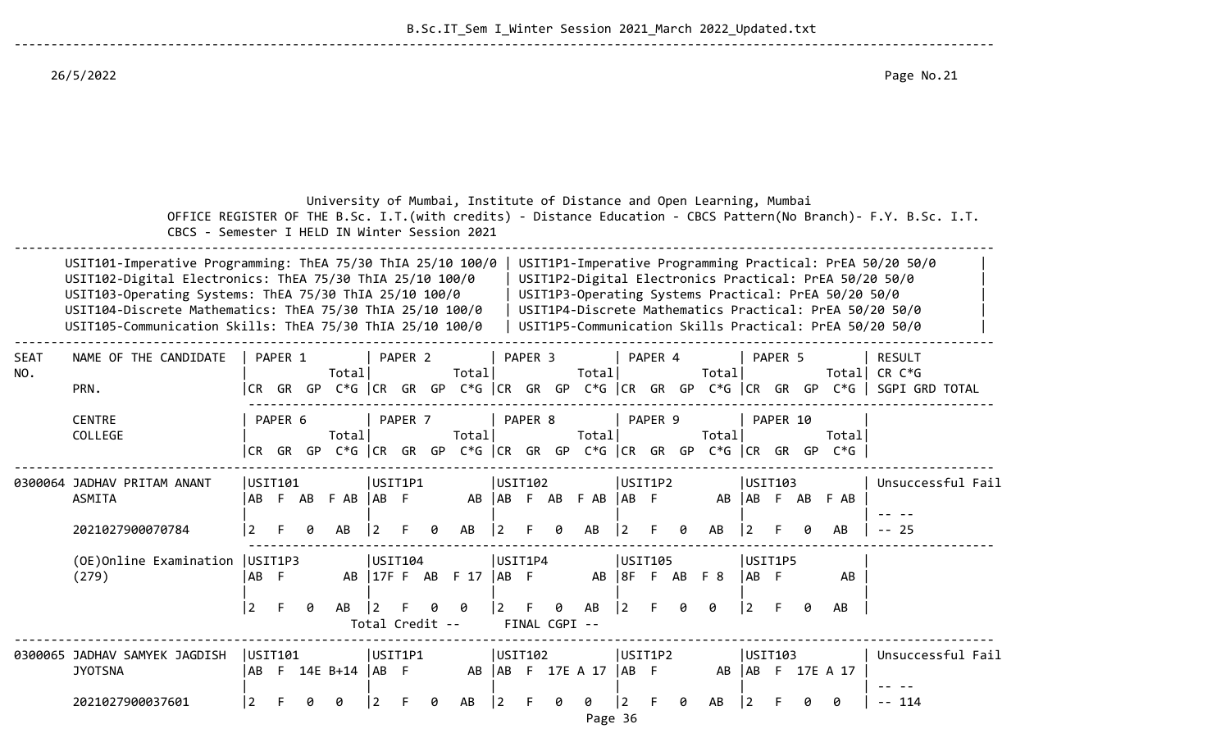B.Sc.IT\_Sem I\_Winter Session 2021\_March 2022\_Updated.txt

26/5/2022 Page No.21

|                    | CBCS - Semester I HELD IN Winter Session 2021                                                                                                                                                                                                                                                               |             |         |   |                     |                      |                    |   | University of Mumbai, Institute of Distance and Open Learning, Mumbai              |      |                    |   |                    |             |                             |   |       |            |          |    |                                                      | OFFICE REGISTER OF THE B.Sc. I.T. (with credits) - Distance Education - CBCS Pattern(No Branch)- F.Y. B.Sc. I.T.                                                                                                                          |  |
|--------------------|-------------------------------------------------------------------------------------------------------------------------------------------------------------------------------------------------------------------------------------------------------------------------------------------------------------|-------------|---------|---|---------------------|----------------------|--------------------|---|------------------------------------------------------------------------------------|------|--------------------|---|--------------------|-------------|-----------------------------|---|-------|------------|----------|----|------------------------------------------------------|-------------------------------------------------------------------------------------------------------------------------------------------------------------------------------------------------------------------------------------------|--|
|                    | USIT101-Imperative Programming: ThEA 75/30 ThIA 25/10 100/0<br>USIT102-Digital Electronics: ThEA 75/30 ThIA 25/10 100/0<br>USIT103-Operating Systems: ThEA 75/30 ThIA 25/10 100/0<br>USIT104-Discrete Mathematics: ThEA 75/30 ThIA 25/10 100/0<br>USIT105-Communication Skills: ThEA 75/30 ThIA 25/10 100/0 |             |         |   |                     |                      |                    |   |                                                                                    |      |                    |   |                    |             |                             |   |       |            |          |    | USIT1P3-Operating Systems Practical: PrEA 50/20 50/0 | USIT1P1-Imperative Programming Practical: PrEA 50/20 50/0<br>USIT1P2-Digital Electronics Practical: PrEA 50/20 50/0<br>USIT1P4-Discrete Mathematics Practical: PrEA 50/20 50/0<br>USIT1P5-Communication Skills Practical: PrEA 50/20 50/0 |  |
| <b>SEAT</b><br>NO. | NAME OF THE CANDIDATE<br>PRN.                                                                                                                                                                                                                                                                               |             | PAPER 1 |   | Total               |                      | PAPER <sub>2</sub> |   | Totall                                                                             |      | PAPER <sub>3</sub> |   | Total              |             | PAPER 4                     |   | Total |            | PAPER 5  |    |                                                      | <b>RESULT</b><br>Totall CR C*G<br> CR GR GP C*G  CR GR GP C*G  CR GR GP C*G  CR GR GP C*G  CR GR GP C*G   SGPI GRD TOTAL                                                                                                                  |  |
|                    | <b>CENTRE</b><br>COLLEGE                                                                                                                                                                                                                                                                                    |             | PAPER 6 |   | Total               |                      | PAPER 7            |   | Totall<br>CR GR GP C*G   CR GR GP C*G   CR GR GP C*G   CR GR GP C*G   CR GR GP C*G |      | PAPER 8            |   | Totall             |             | PAPER 9                     |   | Total |            | PAPER 10 |    | Totall                                               |                                                                                                                                                                                                                                           |  |
|                    | 0300064 JADHAV PRITAM ANANT<br><b>ASMITA</b>                                                                                                                                                                                                                                                                |             | USTI01  |   | AB F AB F AB AB F   | USIT1P1              |                    |   | AB                                                                                 |      | USIT102            |   | AB F AB F AB AB F  |             | USIT1P2                     |   |       |            | USTI03   |    | AB AB F AB F AB                                      | Unsuccessful Fail                                                                                                                                                                                                                         |  |
|                    | 2021027900070784                                                                                                                                                                                                                                                                                            |             |         |   |                     |                      |                    | ø | AB                                                                                 | 2    |                    | ø | AB                 | 12          |                             |   | AB    |            |          |    | AB                                                   | $- - 25$                                                                                                                                                                                                                                  |  |
|                    | (OE) Online Examination   USIT1P3<br>(279)                                                                                                                                                                                                                                                                  | AB F        |         |   |                     | USTI04               |                    |   | AB   17F F AB F 17                                                                 | AB F | USIT1P4            |   |                    |             | USIT105<br>AB   8F F AB F 8 |   |       | IAB F      | USIT1P5  |    | AB                                                   |                                                                                                                                                                                                                                           |  |
|                    |                                                                                                                                                                                                                                                                                                             | $ 2\rangle$ | F.      | ø | AB                  | 2<br>Total Credit -- |                    |   | ø                                                                                  |      | FINAL CGPI --      | ø | AB                 | $\boxed{2}$ |                             | ø | 0     | $\sqrt{2}$ | -F.      | ø  | AB                                                   |                                                                                                                                                                                                                                           |  |
|                    | 0300065 JADHAV SAMYEK JAGDISH<br><b>JYOTSNA</b>                                                                                                                                                                                                                                                             | USTI01      |         |   | AB F 14E B+14  AB F | USIT1P1              |                    |   |                                                                                    |      | USTI102            |   | AB   AB F 17E A 17 | AB          | USIT1P2                     |   |       |            | USTI03   |    | AB   AB F 17E A 17                                   | Unsuccessful Fail                                                                                                                                                                                                                         |  |
|                    | 2021027900037601                                                                                                                                                                                                                                                                                            | 2           |         |   |                     |                      |                    | 0 | AB                                                                                 | l 2. |                    | Ø | 0                  | 2           |                             |   | AB    | 2          |          | Ø. | ø                                                    | -- 114                                                                                                                                                                                                                                    |  |

--------------------------------------------------------------------------------------------------------------------------------------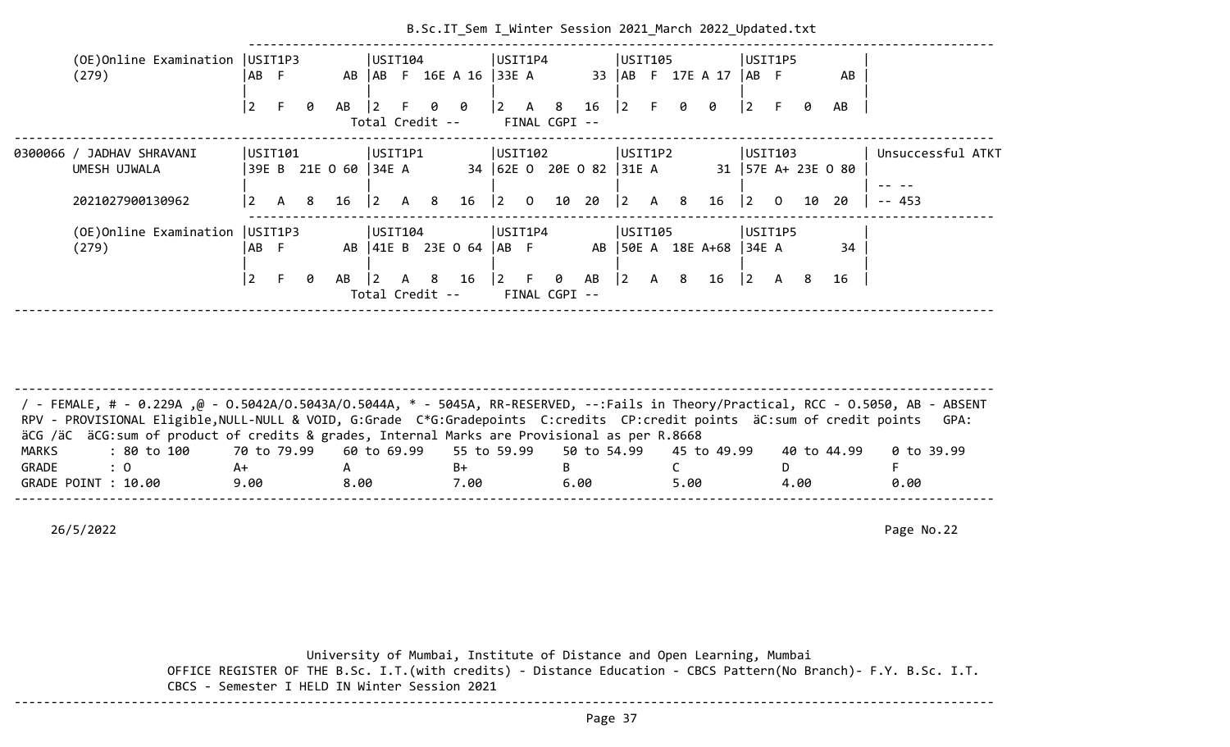|                                            |                                                  |    |   |                       |                                   |    |     | B.Sc.IT_Sem I_Winter Session 2021 March 2022 Updated.txt |                                           |                                                                      |                         |                                         |     |                         |                                       |         |    |    |                   |  |
|--------------------------------------------|--------------------------------------------------|----|---|-----------------------|-----------------------------------|----|-----|----------------------------------------------------------|-------------------------------------------|----------------------------------------------------------------------|-------------------------|-----------------------------------------|-----|-------------------------|---------------------------------------|---------|----|----|-------------------|--|
| (OE) Online Examination   USIT1P3<br>(279) | IAB F                                            |    |   |                       | USIT104                           |    |     | AB   AB F 16E A 16   33E A                               | USIT1P4                                   |                                                                      |                         | USIT105                                 |     | 33   AB F 17E A 17      | $ AB \tF$                             | USIT1P5 |    | AB |                   |  |
|                                            | 2                                                |    | 0 | AB                    | $\overline{2}$<br>Total Credit -- | F. |     | 00                                                       | $\begin{vmatrix} 2 & A & 8 \end{vmatrix}$ | FINAL CGPI --                                                        | $16 \quad  2 \quad F$   |                                         | 0 0 |                         | $ 2\rangle$                           |         | 0  | AB |                   |  |
| 0300066 / JADHAV SHRAVANI<br>UMESH UJWALA  | USIT101                                          |    |   | 39E B 21E O 60  34E A | USIT1P1                           |    |     |                                                          | USIT102                                   |                                                                      | 34 62E 0 20E 0 82 31E A | USIT1P2                                 |     | 31   57E A+ 23E 0 80    |                                       | USTI103 |    |    | Unsuccessful ATKT |  |
| 2021027900130962                           | $\begin{array}{ccc} \vert 2 & A & 8 \end{array}$ |    |   | $16 \quad  2$         |                                   |    | A 8 | 16                                                       | $\begin{vmatrix} 2 & 0 \end{vmatrix}$     | 10                                                                   | 20                      | $\begin{array}{cccc} \end{array}$ 2 A 8 |     | 16                      | $\begin{bmatrix} 2 & 0 \end{bmatrix}$ |         | 10 | 20 | $- - 453$         |  |
| (OE)Online Examination<br>(279)            | USIT1P3<br>AB F                                  |    |   |                       | USIT104                           |    |     | AB   41E B 23E 0 64   AB F                               | USIT1P4                                   |                                                                      |                         | USIT105                                 |     | AB 50E A 18E A+68 34E A |                                       | USIT1P5 |    | 34 |                   |  |
|                                            | l 2                                              | F. | 0 | AB                    | $\vert$ 2<br>Total Credit --      |    | A 8 | 16                                                       |                                           | $\begin{bmatrix} 2 & F & \theta & AB \end{bmatrix}$<br>FINAL CGPI -- |                         | 2                                       | A 8 | 16                      | $ 2\rangle$                           | A 8     |    | 16 |                   |  |
|                                            |                                                  |    |   |                       |                                   |    |     |                                                          |                                           |                                                                      |                         |                                         |     |                         |                                       |         |    |    |                   |  |

| / - FEMALE, # - 0.229A ,@ - 0.5042A/0.5043A/0.5044A, * - 5045A, RR-RESERVED, --:Fails in Theory/Practical, RCC - 0.5050, AB - ABSENT |      |      |      |      |      |             |            |
|--------------------------------------------------------------------------------------------------------------------------------------|------|------|------|------|------|-------------|------------|
| RPV - PROVISIONAL Eligible, NULL-NULL & VOID, G:Grade C*G:Gradepoints C:credits CP:credit points äC:sum of credit points             |      |      |      |      |      |             | GPA:       |
| äCG /äC äCG:sum of product of credits & grades, Internal Marks are Provisional as per R.8668                                         |      |      |      |      |      |             |            |
| : 80 to 100    70 to 79.99   60 to 69.99   55 to 59.99   50 to 54.99   45 to 49.99<br>MARKS                                          |      |      |      |      |      | 40 to 44.99 | 0 to 39.99 |
| GRADE<br>$\therefore$ 0                                                                                                              | A+   |      | B+   |      |      |             |            |
| GRADE POINT : 10.00                                                                                                                  | 9.00 | 8.00 | 7.00 | 6.00 | 5.00 | 4.00        | 0.00       |
|                                                                                                                                      |      |      |      |      |      |             |            |

26/5/2022 Page No.22

 University of Mumbai, Institute of Distance and Open Learning, Mumbai OFFICE REGISTER OF THE B.Sc. I.T.(with credits) - Distance Education - CBCS Pattern(No Branch)- F.Y. B.Sc. I.T. CBCS - Semester I HELD IN Winter Session 2021 --------------------------------------------------------------------------------------------------------------------------------------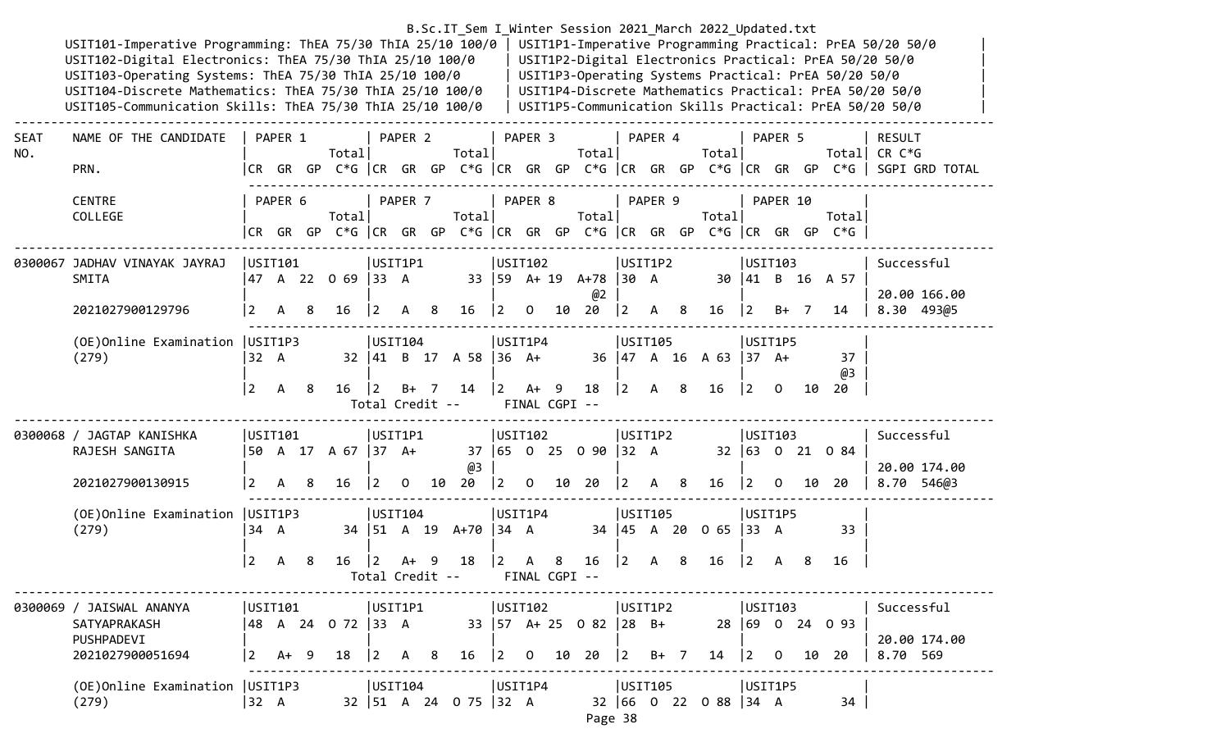#### B.Sc.IT\_Sem I\_Winter Session 2021\_March 2022\_Updated.txt USIT101-Imperative Programming: ThEA 75/30 ThIA 25/10 100/0 | USIT1P1-Imperative Programming Practical: PrEA 50/20 50/0<br>USIT102-Digital Electronics: ThEA 75/30 ThIA 25/10 100/0 | USIT1P2-Digital Electronics Practical: PrEA USIT102-Digital Electronics: ThEA 75/30 ThIA 25/10 100/0 USIT103-Operating Systems: ThEA 75/30 ThIA 25/10 100/0 | USIT1P3-Operating Systems Practical: PrEA 50/20 50/0 USIT104-Discrete Mathematics: ThEA 75/30 ThIA 25/10 100/0 | USIT1P4-Discrete Mathematics Practical: PrEA 50/20 50/0

--------------------------------------------------------------------------------------------------------------------------------------

USIT105-Communication Skills: ThEA 75/30 ThIA 25/10 100/0 | USIT1P5-Communication Skills Practical: PrEA 50/20 50/0

| <b>SEAT</b><br>NO. | NAME OF THE CANDIDATE                                                      |               | PAPER 1          |     | Total                     |                                                      | PAPER <sub>2</sub> | Total                                             |                                                       | PAPER 3 |                    | Totall                                                                  |                                                      | PAPER 4 | Total                       |                                                      | PAPER 5  |    |                                                                                 | <b>RESULT</b><br>Total  CR C*G                                                        |
|--------------------|----------------------------------------------------------------------------|---------------|------------------|-----|---------------------------|------------------------------------------------------|--------------------|---------------------------------------------------|-------------------------------------------------------|---------|--------------------|-------------------------------------------------------------------------|------------------------------------------------------|---------|-----------------------------|------------------------------------------------------|----------|----|---------------------------------------------------------------------------------|---------------------------------------------------------------------------------------|
|                    | PRN.                                                                       |               |                  |     |                           |                                                      |                    |                                                   |                                                       |         |                    |                                                                         |                                                      |         |                             |                                                      |          |    |                                                                                 | CR GR GP C*G  CR GR GP C*G  CR GR GP C*G  CR GR GP C*G  CR GR GP C*G   SGPI GRD TOTAL |
|                    | <b>CENTRE</b><br>COLLEGE                                                   |               | PAPER 6          |     | Totall                    |                                                      | PAPER 7            | Totall                                            |                                                       | PAPER 8 |                    | Total                                                                   |                                                      | PAPER 9 | Totall                      |                                                      | PAPER 10 |    | Totall<br> CR GR GP C*G  CR GR GP C*G  CR GR GP C*G  CR GR GP C*G  CR GR GP C*G |                                                                                       |
|                    | 0300067 JADHAV VINAYAK JAYRAJ<br>SMITA<br>2021027900129796                 | USIT101       | 2 A 8            |     | 47 A 22 O 69  33 A<br>16  | USIT1P1<br>$\begin{vmatrix} 2 & A & 8 \end{vmatrix}$ |                    | 16                                                | USIT102<br>$\begin{bmatrix} 2 & 0 & 10 \end{bmatrix}$ |         |                    | 33   59 A+ 19 A+78   30 A<br>@2<br>20                                   | USIT1P2<br>$\begin{vmatrix} 2 & A & 8 \end{vmatrix}$ |         | $16 \quad  2$               | USIT103                                              | $B+ 7$   |    | 30 41 B 16 A 57<br>14                                                           | Successful<br>20.00 166.00<br>8.30 493@5                                              |
|                    | (OE) Online Examination   USIT1P3<br>(279)                                 | 32 A<br> 2    | A 8              |     | 16                        | USIT104<br>$ 2 \rangle$<br>Total Credit --           |                    | 32   41 B 17 A 58   36 A+<br>B+ 7 14              | USIT1P4<br>$ 2 \tA+ 9$                                |         | FINAL CGPI --      | 18                                                                      | USIT105<br>$\begin{vmatrix} 2 & A & 8 \end{vmatrix}$ |         | 36 47 A 16 A 63 37 A+<br>16 | USIT1P5<br>$\begin{bmatrix} 2 & 0 \end{bmatrix}$     |          | 10 | 37<br>@3<br>20                                                                  |                                                                                       |
|                    |                                                                            |               |                  |     |                           |                                                      |                    |                                                   |                                                       | USTI02  |                    |                                                                         | USIT1P2                                              |         |                             | USTI03                                               |          |    |                                                                                 |                                                                                       |
|                    | 0300068 / JAGTAP KANISHKA<br>RAJESH SANGITA<br>2021027900130915            | USTI01<br>l 2 | A 8              |     | 50 A 17 A 67  37 A+<br>16 | USIT1P1<br>$\overline{2}$                            |                    | @3<br>$0$ 10 20                                   |                                                       |         |                    | 37 65 0 25 0 90 32 A<br>$\begin{bmatrix} 2 & 0 & 10 & 20 \end{bmatrix}$ | $\begin{vmatrix} 2 & A & 8 \end{vmatrix}$            |         | 16                          |                                                      |          |    | 32 63 0 21 0 84<br>$\begin{array}{ccc} 2 & 0 & 10 & 20 \end{array}$             | Successful<br>20.00 174.00<br>8.70 546@3                                              |
|                    | (OE) Online Examination   USIT1P3<br>(279)                                 | 34 A<br> 2    | $\mathsf{A}$     | - 8 | $16 \quad  2$             | USIT104                                              | $A+ 9$             | 34   51 A 19 A+70   34 A<br>18<br>Total Credit -- | USIT1P4<br>$ 2\rangle$                                | A       | 8<br>FINAL CGPI -- | 16                                                                      | USIT105<br>$ 2 \rangle$                              | A 8     | 34 45 A 20 0 65 33 A<br>16  | USIT1P5<br>$\begin{vmatrix} 2 & A & B \end{vmatrix}$ |          |    | 33<br>16                                                                        |                                                                                       |
|                    | 0300069 / JAISWAL ANANYA<br>SATYAPRAKASH<br>PUSHPADEVI<br>2021027900051694 | l 2           | USIT101<br>$A+9$ |     | 48 A 24 O 72  33 A<br>18  | USIT1P1<br>$2^{\circ}$                               | A 8                | 33   57 A + 25 0 82   28 B +<br>16                | USTI02 <br>$\vert 2 \vert$                            |         |                    | $0$ 10 20                                                               | USIT1P2<br>$\vert 2 \vert$                           | $B+ 7$  | 14                          | USTI03<br>120                                        |          |    | 28 69 0 24 0 93<br>10 20                                                        | Successful<br>20.00 174.00<br>8.70 569                                                |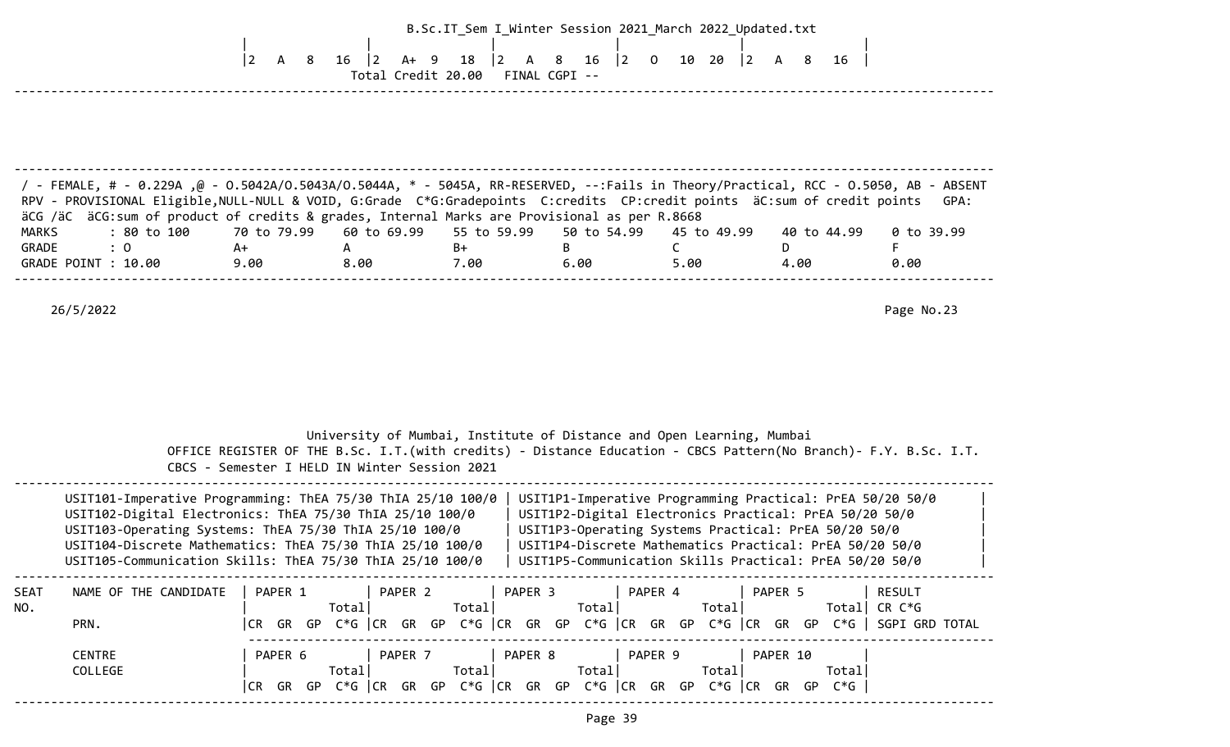|                              |                                                                                                                                                                                                                                                                                                                                                                                | $ 2\rangle$<br>A 8 | $16 \mid 2$<br>A+ 9                           | 18<br>$ 2\rangle$<br>A 8<br>Total Credit 20.00 FINAL CGPI -- | B.Sc.IT_Sem I_Winter Session 2021_March 2022_Updated.txt<br>16                                                                                                                                                                         |                      | 16                       |                    |
|------------------------------|--------------------------------------------------------------------------------------------------------------------------------------------------------------------------------------------------------------------------------------------------------------------------------------------------------------------------------------------------------------------------------|--------------------|-----------------------------------------------|--------------------------------------------------------------|----------------------------------------------------------------------------------------------------------------------------------------------------------------------------------------------------------------------------------------|----------------------|--------------------------|--------------------|
| <b>MARKS</b>                 | FemALE, # - 0.229A ,@ - 0.5042A/O.5043A/O.5044A, * - 5045A, RR-RESERVED, --:Fails in Theory/Practical, RCC - 0.5050, AB - ABSENT /<br>RPV - PROVISIONAL Eligible, NULL-NULL & VOID, G:Grade C*G:Gradepoints C:credits CP:credit points äC:sum of credit points<br>äCG /äC äCG: sum of product of credits & grades, Internal Marks are Provisional as per R.8668<br>: 80 to 100 | 70 to 79.99        | 60 to 69.99                                   | 55 to 59.99                                                  | 50 to 54.99                                                                                                                                                                                                                            | 45 to 49.99          | 40 to 44.99              | GPA:<br>0 to 39.99 |
| GRADE<br>GRADE POINT : 10.00 | : 0                                                                                                                                                                                                                                                                                                                                                                            | A+<br>9.00         | A<br>8.00                                     | B+<br>7.00                                                   | B<br>6.00                                                                                                                                                                                                                              | $\mathsf{C}$<br>5.00 | D<br>4.00                | F<br>0.00          |
|                              |                                                                                                                                                                                                                                                                                                                                                                                |                    | CBCS - Semester I HELD IN Winter Session 2021 |                                                              | University of Mumbai, Institute of Distance and Open Learning, Mumbai<br>OFFICE REGISTER OF THE B.Sc. I.T. (with credits) - Distance Education - CBCS Pattern (No Branch) - F.Y. B.Sc. I.T.                                            |                      |                          |                    |
|                              | USIT101-Imperative Programming: ThEA 75/30 ThIA 25/10 100/0<br>USIT102-Digital Electronics: ThEA 75/30 ThIA 25/10 100/0<br>USIT103-Operating Systems: ThEA 75/30 ThIA 25/10 100/0<br>USIT104-Discrete Mathematics: ThEA 75/30 ThIA 25/10 100/0<br>USIT105-Communication Skills: ThEA 75/30 ThIA 25/10 100/0   USIT1P5-Communication Skills Practical: PrEA 50/20 50/0          |                    |                                               |                                                              | USIT1P1-Imperative Programming Practical: PrEA 50/20 50/0<br>USIT1P2-Digital Electronics Practical: PrEA 50/20 50/0<br>USIT1P3-Operating Systems Practical: PrEA 50/20 50/0<br>USIT1P4-Discrete Mathematics Practical: PrEA 50/20 50/0 |                      |                          |                    |
| SEAT<br>NO.<br>PRN.          | NAME OF THE CANDIDATE                                                                                                                                                                                                                                                                                                                                                          | PAPER 1            | Total                                         | Total                                                        | PAPER 2   PAPER 3   PAPER 4<br>Total <br> CR GR GP C*G  CR GR GP C*G  CR GR GP C*G  CR GR GP C*G  CR GR GP C*G   SGPI GRD TOTAL                                                                                                        | Total                | PAPER 5<br>Total  CR C*G | <b>RESULT</b>      |
|                              | <b>CENTRE</b><br>COLLEGE                                                                                                                                                                                                                                                                                                                                                       | PAPER 6            | Total                                         |                                                              | PAPER 7   PAPER 8   PAPER 9   PAPER 10<br>Total  Total  Total <br>CR GR GP C*G CR GR GP C*G CR GR GP C*G CR GR GP C*G CR GR GP C*G                                                                                                     |                      | Total                    |                    |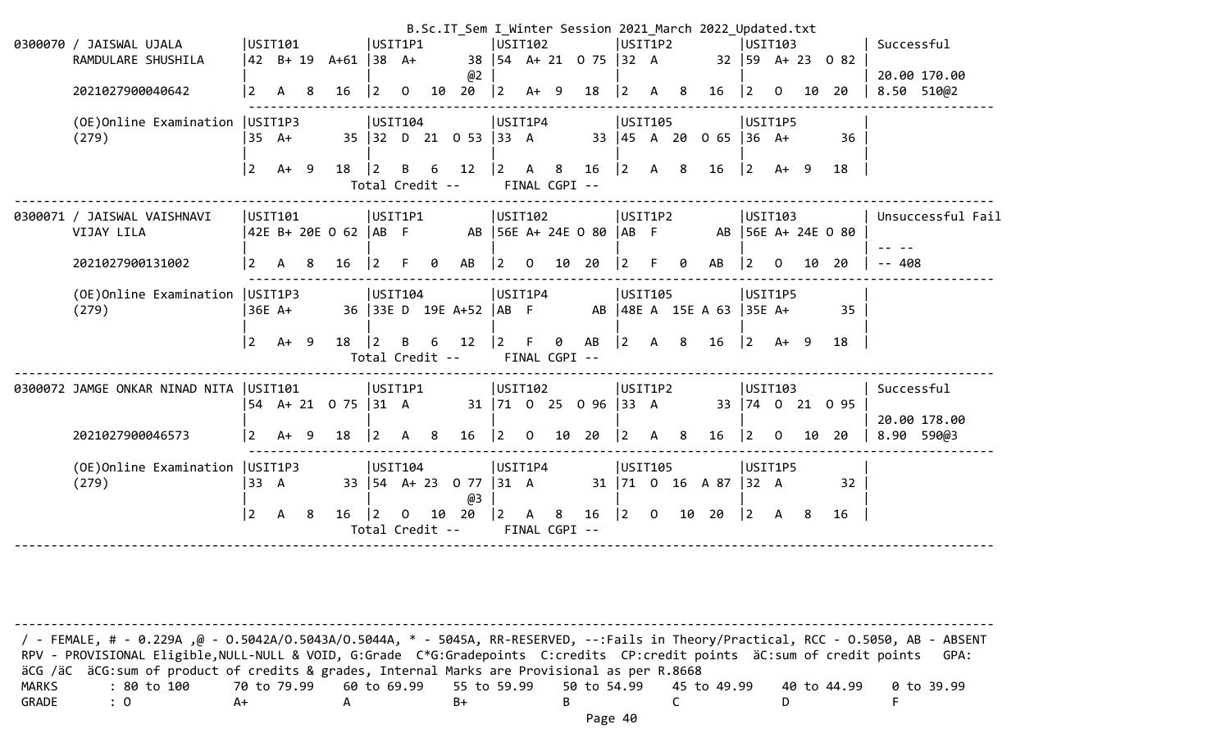|                                          |                |              |    |                       |                                |              |                |                                  |             |                |                    |                            |                  |    |     | B.Sc.IT_Sem I_Winter Session 2021_March 2022_Updated.txt |                                            |              |    |                                            |                   |
|------------------------------------------|----------------|--------------|----|-----------------------|--------------------------------|--------------|----------------|----------------------------------|-------------|----------------|--------------------|----------------------------|------------------|----|-----|----------------------------------------------------------|--------------------------------------------|--------------|----|--------------------------------------------|-------------------|
| 0300070 / JAISWAL UJALA                  |                | USIT101      |    |                       | USIT1P1                        |              |                |                                  | USIT102     |                |                    |                            | USIT1P2          |    |     |                                                          | <b>USIT103</b>                             |              |    |                                            | Successful        |
| RAMDULARE SHUSHILA                       |                |              |    | 42 B+ 19 A+61  38 A+  |                                |              |                |                                  |             |                |                    | 38   54 A + 21 0 75   32 A |                  |    |     |                                                          |                                            |              |    | $32 \mid 59 \quad A + 23 \quad 0 \quad 82$ |                   |
|                                          |                |              |    |                       |                                |              |                | @2                               |             |                |                    |                            |                  |    |     |                                                          |                                            |              |    |                                            | 20.00 170.00      |
| 2021027900040642                         | $\overline{2}$ | A            | 8  | 16                    | $\overline{2}$                 | 0            | 10             | 20                               | $ 2\rangle$ |                | $A+ 9$             | 18                         | $\vert$ 2        | A  | - 8 | 16                                                       | $ 2\rangle$                                | 0            | 10 | 20                                         | 8.50 510@2        |
| (OE) Online Examination   USIT1P3        |                |              |    |                       | USIT104                        |              |                |                                  | USIT1P4     |                |                    |                            | USIT105          |    |     |                                                          | USIT1P5                                    |              |    |                                            |                   |
| (279)                                    |                | $35 \, A+$   |    |                       |                                |              |                | 35 32 D 21 0 53 33 A             |             |                |                    |                            |                  |    |     | 33   45 A 20 0 65   36 A+                                |                                            |              |    | 36                                         |                   |
|                                          | $2^{\circ}$    | $A+9$        |    | 18                    | $ 2\rangle$<br>Total Credit -- | B            | - 6            | 12                               | $ 2\rangle$ | $\mathsf{A}$   | 8<br>FINAL CGPI -- | $16 \t 2$                  |                  | A  | 8   | 16                                                       | $ 2\rangle$                                | $A+ 9$       |    | 18                                         |                   |
| 0300071 / JAISWAL VAISHNAVI              |                | USIT101      |    |                       | USIT1P1                        |              |                |                                  | USTI02      |                |                    |                            | USIT1P2          |    |     |                                                          | USTI03                                     |              |    |                                            | Unsuccessful Fail |
| VIJAY LILA                               |                |              |    | 42E B+ 20E O 62  AB F |                                |              |                |                                  |             |                |                    | AB 56E A+ 24E 0 80         | $AB$ F           |    |     |                                                          |                                            |              |    | AB   56E A+ 24E 0 80                       |                   |
| 2021027900131002                         | $\overline{2}$ | $\mathsf{A}$ | -8 | 16                    | $\vert$ 2                      |              | ø              | AB                               | $ 2\rangle$ | $\mathbf 0$    | 10                 | 20                         | 2                | F. | 0   | AB                                                       | $\overline{2}$                             | $\Omega$     | 10 | 20                                         | $- - 408$         |
| (OE)Online Examination                   |                | USIT1P3      |    |                       | USIT104                        |              |                |                                  | USIT1P4     |                |                    |                            | USIT105          |    |     |                                                          | USIT1P5                                    |              |    |                                            |                   |
| (279)                                    |                | 36E A+       |    |                       |                                |              |                | 36 33E D 19E A+52                | $ AB \tF$   |                |                    |                            |                  |    |     | AB   48E A 15E A 63   35E A+                             |                                            |              |    | 35                                         |                   |
|                                          | $\overline{2}$ | $A+ 9$       |    | 18                    | $ 2\rangle$                    | B            |                | $6 \qquad 12$                    | $ 2\rangle$ |                | 0                  | AB                         | $ 2\rangle$      |    | A 8 | 16                                                       | $\begin{vmatrix} 2 & A+ & 9 \end{vmatrix}$ |              |    | 18                                         |                   |
|                                          |                |              |    |                       | Total Credit --                |              |                |                                  |             |                | FINAL CGPI --      |                            |                  |    |     |                                                          |                                            |              |    |                                            |                   |
| 0300072 JAMGE ONKAR NINAD NITA   USIT101 |                |              |    |                       | USIT1P1                        |              |                |                                  | USIT102     |                |                    |                            | USIT1P2          |    |     |                                                          | USIT103                                    |              |    |                                            | Successful        |
|                                          |                |              |    | 54 A+ 21 0 75 31 A    |                                |              |                |                                  |             |                |                    | 31 71 0 25 0 96            | $ 33 \ \text{A}$ |    |     |                                                          |                                            |              |    | 33 74 0 21 0 95                            |                   |
|                                          |                |              |    |                       |                                |              |                |                                  |             |                |                    |                            |                  |    |     |                                                          |                                            |              |    |                                            | 20.00 178.00      |
| 2021027900046573                         | $\overline{2}$ | $A+ 9$       |    | 18                    | $\vert$ 2                      | $\mathsf{A}$ | 8 <sup>8</sup> | 16                               | 2           | $\overline{0}$ |                    | 10 20                      | $\boxed{2}$      |    | A 8 | 16                                                       | $ 2\rangle$                                | $\mathsf{O}$ | 10 | 20                                         | 8.90 590@3        |
| (OE) Online Examination   USIT1P3        |                |              |    |                       | USTI04                         |              |                |                                  | USIT1P4     |                |                    |                            | USIT105          |    |     |                                                          | USIT1P5                                    |              |    |                                            |                   |
| (279)                                    | 33 A           |              |    |                       |                                |              |                | 33   54 A + 23 0 77   31 A<br>@3 |             |                |                    |                            |                  |    |     | 31   71 0 16 A 87   32 A                                 |                                            |              |    | 32                                         |                   |
|                                          | $\overline{2}$ | $\mathsf{A}$ | 8  | $16 \quad  2$         |                                | $\Omega$     |                | 10 20                            | $ 2\rangle$ | $\mathsf{A}$   | 8                  | $16 \mid 2 \mid 0$         |                  |    |     | 10 20                                                    | 2                                          | A 8          |    | 16                                         |                   |
|                                          |                |              |    |                       | Total Credit --                |              |                |                                  |             |                | FINAL CGPI --      |                            |                  |    |     |                                                          |                                            |              |    |                                            |                   |

-------------------------------------------------------------------------------------------------------------------------------------- / - FEMALE, # - 0.229A ,@ - O.5042A/O.5043A/O.5044A, \* - 5045A, RR-RESERVED, --:Fails in Theory/Practical, RCC - O.5050, AB - ABSENT RPV - PROVISIONAL Eligible, NULL-NULL & VOID, G:Grade C\*G:Gradepoints C:credits CP:credit points äC:sum of credit points GPA: äCG /äC äCG:sum of product of credits & grades, Internal Marks are Provisional as per R.8668 MARKS : 80 to 100 70 to 79.99 60 to 69.99 55 to 59.99 50 to 54.99 45 to 49.99 40 to 44.99 0 to 39.99 GRADE : 0 A+ A B+ B C D F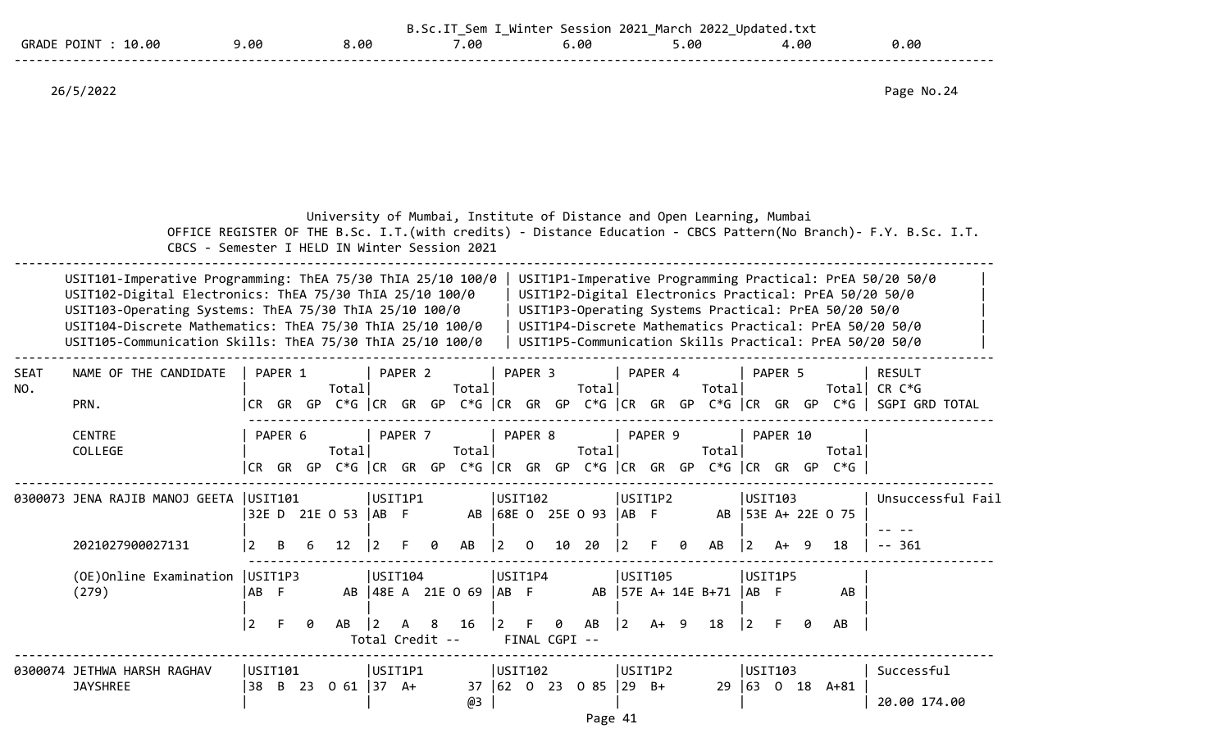|                   |     |    | 0<br>۵m. | Session | 2022<br>2021<br>March | . tx1<br>Undated. |      |  |
|-------------------|-----|----|----------|---------|-----------------------|-------------------|------|--|
| .00<br>GRA'<br>a. | .00 | 00 | .00      | 6.00    | . 00 ر                | .00               | ).0e |  |
|                   |     |    |          |         |                       |                   |      |  |

|                    | CBCS - Semester I HELD IN Winter Session 2021                                                                                                                                                                                                                                                               |                      |                  |   | University of Mumbai, Institute of Distance and Open Learning, Mumbai |                            |         |        |                                 |                                   |                |               |                   |             |                        |    |                                                                            |                             |          |    |                                                      | OFFICE REGISTER OF THE B.Sc. I.T. (with credits) - Distance Education - CBCS Pattern (No Branch) - F.Y. B.Sc. I.T.                                                                                                                        |
|--------------------|-------------------------------------------------------------------------------------------------------------------------------------------------------------------------------------------------------------------------------------------------------------------------------------------------------------|----------------------|------------------|---|-----------------------------------------------------------------------|----------------------------|---------|--------|---------------------------------|-----------------------------------|----------------|---------------|-------------------|-------------|------------------------|----|----------------------------------------------------------------------------|-----------------------------|----------|----|------------------------------------------------------|-------------------------------------------------------------------------------------------------------------------------------------------------------------------------------------------------------------------------------------------|
|                    | USIT101-Imperative Programming: ThEA 75/30 ThIA 25/10 100/0<br>USIT102-Digital Electronics: ThEA 75/30 ThIA 25/10 100/0<br>USIT103-Operating Systems: ThEA 75/30 ThIA 25/10 100/0<br>USIT104-Discrete Mathematics: ThEA 75/30 ThIA 25/10 100/0<br>USIT105-Communication Skills: ThEA 75/30 ThIA 25/10 100/0 |                      |                  |   |                                                                       |                            |         |        |                                 |                                   |                |               |                   |             |                        |    |                                                                            |                             |          |    | USIT1P3-Operating Systems Practical: PrEA 50/20 50/0 | USIT1P1-Imperative Programming Practical: PrEA 50/20 50/0<br>USIT1P2-Digital Electronics Practical: PrEA 50/20 50/0<br>USIT1P4-Discrete Mathematics Practical: PrEA 50/20 50/0<br>USIT1P5-Communication Skills Practical: PrEA 50/20 50/0 |
| <b>SEAT</b><br>NO. | NAME OF THE CANDIDATE<br>PRN.                                                                                                                                                                                                                                                                               |                      | PAPER 1          |   | Total                                                                 |                            | PAPER 2 |        | Total                           |                                   | PAPER 3        |               | Total             |             | PAPER 4                |    | Total                                                                      |                             | PAPER 5  |    |                                                      | <b>RESULT</b><br>Total  CR C*G<br> CR GR GP C*G  CR GR GP C*G  CR GR GP C*G  CR GR GP C*G  CR GR GP C*G   SGPI GRD TOTAL                                                                                                                  |
|                    | <b>CENTRE</b><br>COLLEGE                                                                                                                                                                                                                                                                                    | CR -                 | PAPER 6<br>GR GP |   | Total<br>$C*G$ $ CR$ $GR$ $GP$                                        |                            | PAPER 7 |        | Total                           |                                   | PAPER 8        |               | Total             |             | PAPER 9                |    | Total<br>$C*G$ $ CR$ $GR$ $GP$ $C*G$ $ CR$ $GR$ $GP$ $C*G$ $ CR$ $GR$ $GP$ |                             | PAPER 10 |    | Totall<br>$C*G$                                      |                                                                                                                                                                                                                                           |
|                    | 0300073 JENA RAJIB MANOJ GEETA   USIT101                                                                                                                                                                                                                                                                    |                      |                  |   | 32E D 21E 0 53   AB F                                                 | USIT1P1                    |         |        |                                 | USIT102                           |                |               | AB 68E 0 25E 0 93 | IAB F       | USIT1P2                |    |                                                                            | USTI03                      |          |    | AB 53E A+ 22E 0 75                                   | Unsuccessful Fail                                                                                                                                                                                                                         |
|                    | 2021027900027131<br>(OE) Online Examination   USIT1P3<br>(279)                                                                                                                                                                                                                                              | AB<br>$\overline{2}$ | -F<br>F.         | 0 | 12<br>AB                                                              | USIT104<br>$\overline{2}$  | A       | 0<br>8 | AB<br>AB   48E A 21E 0 69<br>16 | 2<br>USIT1P4<br> AB F<br><u>2</u> | $\Omega$<br>-F | 10<br>0       | 20<br>AB          | $ 2\rangle$ | F<br>USIT105<br>$A+ 9$ | Ø. | AB<br>AB   57E A+ 14E B+71   AB F<br>18                                    | 2<br>USIT1P5<br>$ 2\rangle$ | A+       | -9 | 18<br>AB<br>AB                                       | $-361$                                                                                                                                                                                                                                    |
|                    | 0300074 JETHWA HARSH RAGHAV<br><b>JAYSHREE</b>                                                                                                                                                                                                                                                              | USIT101<br>38        |                  |   | B 23 0 61 37 A+                                                       | Total Credit --<br>USIT1P1 |         |        | 37<br>@3                        | USIT102                           |                | FINAL CGPI -- |                   |             | USIT1P2                |    |                                                                            | USTI03                      |          |    | $29 63 \t0 \t18 \tA+81$                              | Successful<br>20.00 174.00                                                                                                                                                                                                                |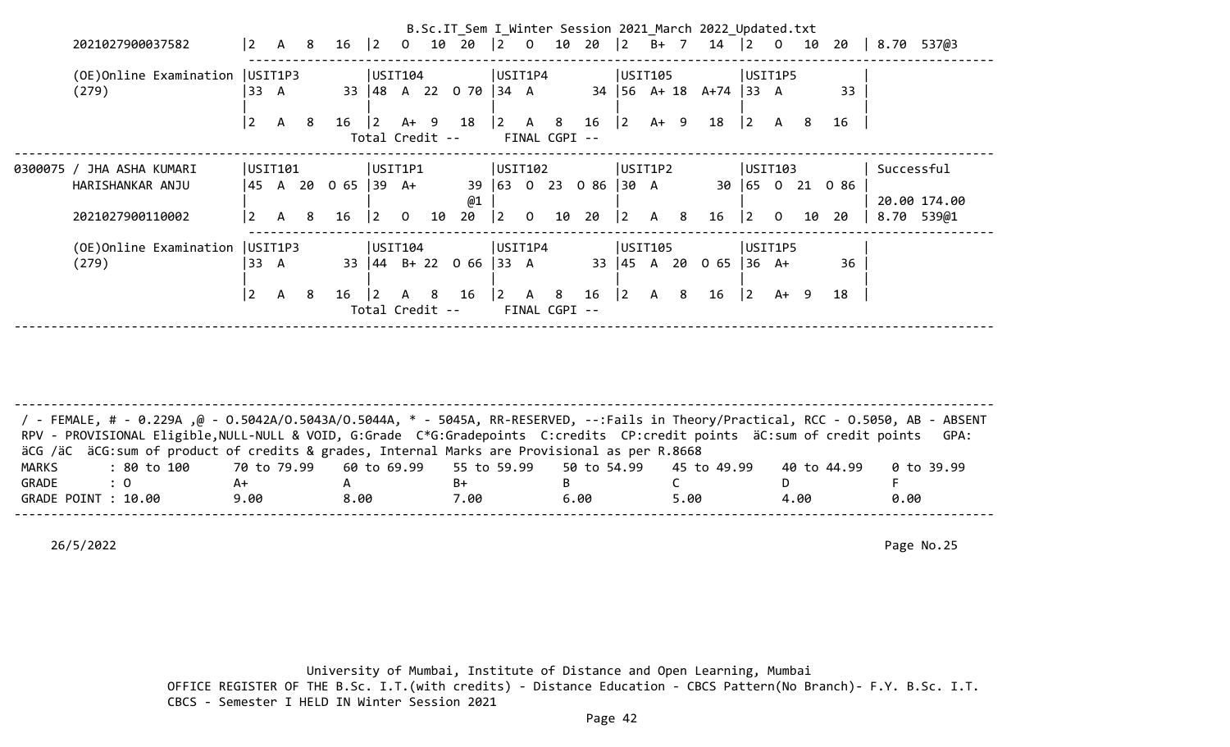|                                   |                |              |                |                     |                 |                |    |                                                             |              |               |   |                                                        |             |              |                | B.Sc.IT_Sem I_Winter Session 2021 March 2022 Updated.txt |             |                 |    |                 |            |              |  |
|-----------------------------------|----------------|--------------|----------------|---------------------|-----------------|----------------|----|-------------------------------------------------------------|--------------|---------------|---|--------------------------------------------------------|-------------|--------------|----------------|----------------------------------------------------------|-------------|-----------------|----|-----------------|------------|--------------|--|
| 2021027900037582                  |                |              |                |                     |                 |                |    |                                                             |              |               |   |                                                        |             |              |                |                                                          |             |                 |    |                 |            |              |  |
| (OE) Online Examination   USIT1P3 |                |              |                |                     | USIT104         |                |    |                                                             |              | USIT1P4       |   |                                                        |             | USIT105      |                |                                                          |             | USIT1P5         |    |                 |            |              |  |
| (279)                             | 33 A           |              |                |                     |                 |                |    | 33 48 A 22 0 70 34 A                                        |              |               |   |                                                        |             |              |                | $34$   56 A+ 18 A+74   33 A                              |             |                 |    | 33              |            |              |  |
|                                   | $\overline{2}$ | $\mathsf{A}$ | -8             | $16 \t 2$           |                 |                |    | A+ 9 18                                                     |              |               |   | $\begin{array}{cccc} \vert 2 & A & 8 & 16 \end{array}$ | $ 2\rangle$ | A+ 9         |                | 18                                                       | 2           | A               | 8  | 16              |            |              |  |
|                                   |                |              |                |                     | Total Credit -- |                |    |                                                             |              | FINAL CGPI -- |   |                                                        |             |              |                |                                                          |             |                 |    |                 |            |              |  |
| 0300075 / JHA ASHA KUMARI         | USIT101        |              |                |                     | USIT1P1         |                |    |                                                             |              | USIT102       |   |                                                        | USIT1P2     |              |                |                                                          |             | USIT103         |    |                 | Successful |              |  |
| HARISHANKAR ANJU                  |                |              |                | 45 A 20 O 65  39 A+ |                 |                |    | @1                                                          |              |               |   | 39 63 0 23 0 86                                        | $ 30 \tA$   |              |                |                                                          |             |                 |    | 30 65 0 21 0 86 |            | 20.00 174.00 |  |
| 2021027900110002                  | $\overline{2}$ | A            | 8 <sup>2</sup> | 16                  | $ 2\rangle$     | $\overline{0}$ | 10 | $20 \t   2 \t 0$                                            |              |               |   | 10 20                                                  | $ 2\rangle$ | A 8          |                | 16                                                       | $\vert$ 2   | $\overline{0}$  | 10 | 20              |            | 8.70 539@1   |  |
| (OE)Online Examination            | USIT1P3        |              |                |                     | USTI04          |                |    |                                                             |              | UST1P4        |   |                                                        |             | USIT105      |                |                                                          |             | USIT1P5         |    |                 |            |              |  |
| (279)                             | $33 \text{ A}$ |              |                |                     |                 |                |    | 33 $\begin{vmatrix} 44 & B+ 22 & 0 & 66 \end{vmatrix}$ 33 A |              |               |   | 33                                                     |             |              |                | $ 45 \tA} 20 \tC5$                                       |             | $36 \text{ A+}$ |    | 36              |            |              |  |
|                                   | $\overline{2}$ | $\mathsf{A}$ | - 8            | 16                  | $\overline{2}$  | A 8            |    | 16                                                          | $ 2 \rangle$ | $\mathsf{A}$  | 8 | 16                                                     | $ 2\rangle$ | $\mathsf{A}$ | 8 <sup>°</sup> | 16                                                       | $ 2\rangle$ | A+ 9            |    | 18              |            |              |  |
|                                   |                |              |                |                     | Total Credit -- |                |    |                                                             |              | FINAL CGPI -- |   |                                                        |             |              |                |                                                          |             |                 |    |                 |            |              |  |

-------------------------------------------------------------------------------------------------------------------------------------- / - FEMALE, # - 0.229A ,@ - O.5042A/O.5043A/O.5044A, \* - 5045A, RR-RESERVED, --:Fails in Theory/Practical, RCC - O.5050, AB - ABSENT RPV - PROVISIONAL Eligible, NULL-NULL & VOID, G:Grade C\*G:Gradepoints C:credits CP:credit points äC:sum of credit points GPA: äCG /äC äCG:sum of product of credits & grades, Internal Marks are Provisional as per R.8668 MARKS : 80 to 100 70 to 79.99 60 to 69.99 55 to 59.99 50 to 54.99 45 to 49.99 40 to 44.99 0 to 39.99 GRADE : 0 A+ A B+ B C D F GRADE POINT : 10.00 9.00 8.00 7.00 6.00 5.00 4.00 0.00 --------------------------------------------------------------------------------------------------------------------------------------

26/5/2022 Page No.25

 University of Mumbai, Institute of Distance and Open Learning, Mumbai OFFICE REGISTER OF THE B.Sc. I.T.(with credits) - Distance Education - CBCS Pattern(No Branch)- F.Y. B.Sc. I.T. CBCS - Semester I HELD IN Winter Session 2021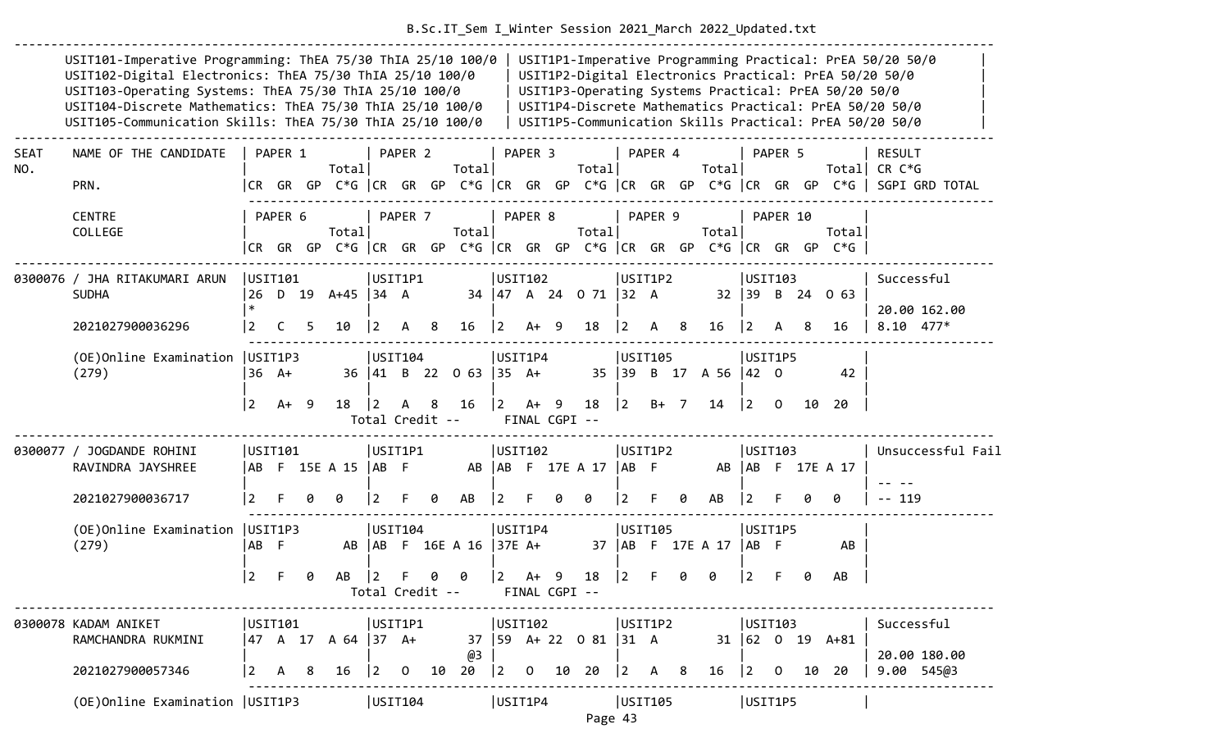|                    | USIT101-Imperative Programming: ThEA 75/30 ThIA 25/10 100/0<br>USIT102-Digital Electronics: ThEA 75/30 ThIA 25/10 100/0<br>USIT103-Operating Systems: ThEA 75/30 ThIA 25/10 100/0<br>USIT104-Discrete Mathematics: ThEA 75/30 ThIA 25/10 100/0<br>USIT105-Communication Skills: ThEA 75/30 ThIA 25/10 100/0 |                             |         |   |                      |                        |         |   |                             |                |                    |                                            |                                                 |           |                                           |    |                            |                      |                           |    | USIT1P3-Operating Systems Practical: PrEA 50/20 50/0                            | USIT1P1-Imperative Programming Practical: PrEA 50/20 50/0<br>USIT1P2-Digital Electronics Practical: PrEA 50/20 50/0<br>USIT1P4-Discrete Mathematics Practical: PrEA 50/20 50/0<br>USIT1P5-Communication Skills Practical: PrEA 50/20 50/0 |
|--------------------|-------------------------------------------------------------------------------------------------------------------------------------------------------------------------------------------------------------------------------------------------------------------------------------------------------------|-----------------------------|---------|---|----------------------|------------------------|---------|---|-----------------------------|----------------|--------------------|--------------------------------------------|-------------------------------------------------|-----------|-------------------------------------------|----|----------------------------|----------------------|---------------------------|----|---------------------------------------------------------------------------------|-------------------------------------------------------------------------------------------------------------------------------------------------------------------------------------------------------------------------------------------|
| <b>SEAT</b><br>NO. | NAME OF THE CANDIDATE<br>PRN.                                                                                                                                                                                                                                                                               |                             | PAPER 1 |   | Totall               |                        | PAPER 2 |   | Total                       |                | PAPER <sub>3</sub> |                                            | Total                                           |           | PAPER 4                                   |    | Total                      |                      | PAPER 5                   |    | Totall                                                                          | RESULT<br>CR C*G<br> CR GR GP C*G  CR GR GP C*G  CR GR GP C*G  CR GR GP C*G  CR GR GP C*G   SGPI GRD TOTAL                                                                                                                                |
|                    | <b>CENTRE</b><br>COLLEGE                                                                                                                                                                                                                                                                                    |                             | PAPER 6 |   | Totall               |                        | PAPER 7 |   | Totall                      |                | PAPER 8            |                                            | Totall                                          |           | PAPER 9                                   |    | Totall                     |                      | PAPER 10                  |    | Totall<br> CR GR GP C*G  CR GR GP C*G  CR GR GP C*G  CR GR GP C*G  CR GR GP C*G |                                                                                                                                                                                                                                           |
|                    | 0300076 / JHA RITAKUMARI ARUN<br><b>SUDHA</b><br>2021027900036296                                                                                                                                                                                                                                           | USTI01<br>26<br>$\ast$<br>2 | C.      | 5 | D 19 A+45 34 A<br>10 | USIT1P1<br>$\vert$ 2   | A       | 8 | 16                          | USIT102<br>l 2 |                    | $A+ 9$                                     | 34 47 A 24 0 71 32 A<br>18                      | 2         | USIT1P2<br>A                              | -8 | 16                         | 32 39 B<br>$\vert$ 2 | USTI03                    | 8  | 24 0 63<br>16                                                                   | Successful<br>20.00 162.00<br>$8.10$ 477*                                                                                                                                                                                                 |
|                    | (OE) Online Examination   USIT1P3<br>(279)                                                                                                                                                                                                                                                                  | 36 A+<br>l 2.               | $A+ 9$  |   | 18                   | USTI04 <br>$ 2\rangle$ | A       | 8 | 36 41 B 22 0 63 35 A+<br>16 | USIT1P4        |                    | $\begin{vmatrix} 2 & A+ & 9 \end{vmatrix}$ | 18                                              | $\vert$ 2 | USIT105<br>$B+ 7$                         |    | 35 39 B 17 A 56 42 0<br>14 | $ 2\rangle$          | USIT1P5<br>$\overline{0}$ | 10 | 42<br>20                                                                        |                                                                                                                                                                                                                                           |
|                    |                                                                                                                                                                                                                                                                                                             |                             |         |   |                      | Total Credit --        |         |   |                             |                |                    | FINAL CGPI --                              |                                                 |           |                                           |    |                            |                      |                           |    |                                                                                 |                                                                                                                                                                                                                                           |
|                    | 0300077 / JOGDANDE ROHINI<br>RAVINDRA JAYSHREE                                                                                                                                                                                                                                                              | USIT101                     |         |   | ABF 15EA 15  ABF     | USIT1P1                |         |   |                             | USIT102        |                    |                                            | AB   AB F 17E A 17                              | $ AB \tF$ | USIT1P2                                   |    |                            |                      | USTI103                   |    | AB   AB F 17E A 17                                                              | Unsuccessful Fail                                                                                                                                                                                                                         |
|                    | 2021027900036717                                                                                                                                                                                                                                                                                            |                             |         |   |                      |                        |         |   | AB                          | l 2            |                    |                                            |                                                 |           |                                           | ø  | AB                         | l 2                  |                           |    | 0                                                                               | 119                                                                                                                                                                                                                                       |
|                    | (OE) Online Examination   USIT1P3<br>(279)                                                                                                                                                                                                                                                                  | AB                          | - F     |   | AB                   | USIT104<br>  AB        |         |   | F 16E A 16 37E A+           | USIT1P4        |                    |                                            |                                                 |           | USIT105                                   |    | 37   AB F 17E A 17         | $AB$ F               | USIT1P5                   |    | AB                                                                              |                                                                                                                                                                                                                                           |
|                    |                                                                                                                                                                                                                                                                                                             | 2                           |         | 0 | AB                   |                        |         |   | 0<br>Total Credit --        | <u> 2</u>      | $A+ 9$             | FINAL CGPI --                              | 18                                              | 12        |                                           | 0  | 0                          | 2                    |                           |    | AB                                                                              |                                                                                                                                                                                                                                           |
|                    | 0300078 KADAM ANIKET<br>RAMCHANDRA RUKMINI                                                                                                                                                                                                                                                                  | USIT101                     |         |   | 47 A 17 A 64  37 A+  | USIT1P1                |         |   | @3                          | USIT102        |                    |                                            | 37   59 A+ 22 0 81   31 A                       |           | USIT1P2                                   |    |                            |                      | USTI03                    |    | 31 62 0 19 A+81                                                                 | Successful<br>20.00 180.00                                                                                                                                                                                                                |
|                    | 2021027900057346                                                                                                                                                                                                                                                                                            | 2                           | A       | 8 | 16                   | $ 2\rangle$            |         |   | 0 10 20                     |                |                    |                                            | $\begin{vmatrix} 2 & 0 & 10 & 20 \end{vmatrix}$ |           | $\begin{vmatrix} 2 & A & 8 \end{vmatrix}$ |    | 16                         |                      |                           |    | $\begin{bmatrix} 2 & 0 & 10 & 20 \end{bmatrix}$                                 | 9.00 545@3                                                                                                                                                                                                                                |
|                    | (OE) Online Examination   USIT1P3                                                                                                                                                                                                                                                                           |                             |         |   |                      | USIT104                |         |   |                             | USIT1P4        |                    |                                            |                                                 |           | USIT105                                   |    |                            | USIT1P5              |                           |    |                                                                                 |                                                                                                                                                                                                                                           |

Page 43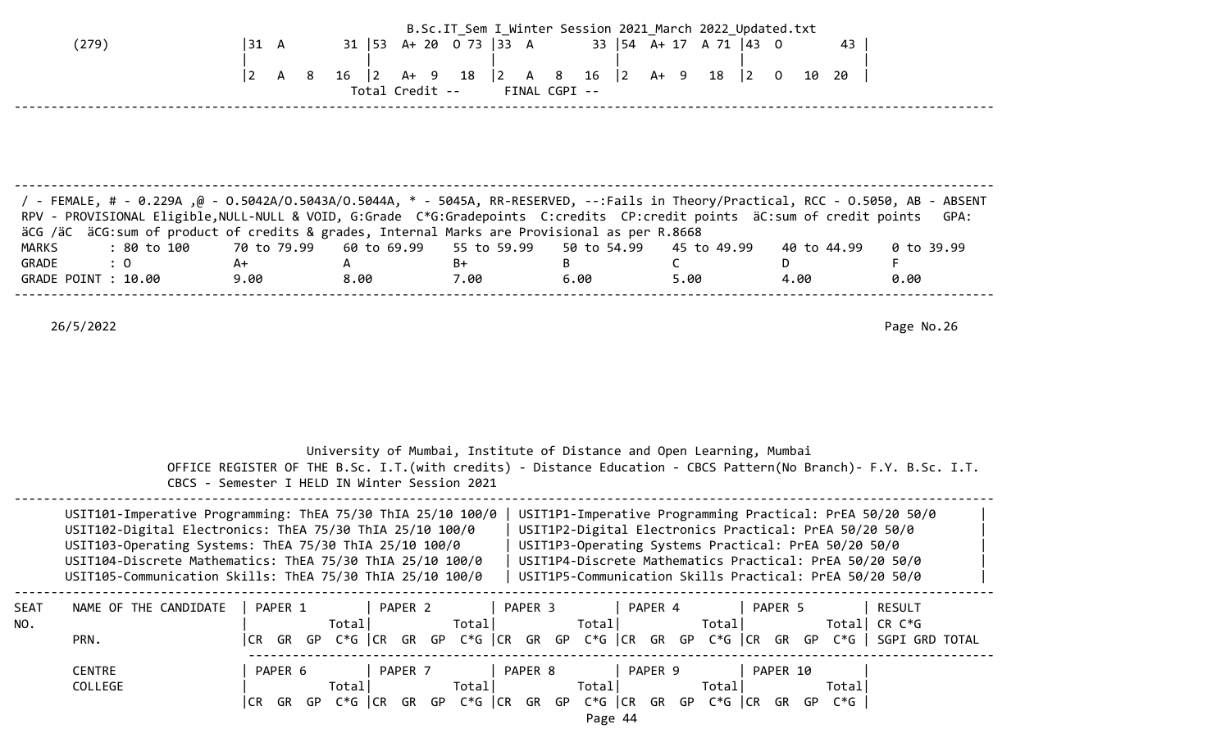| (279)                                                                                                                                                                                                                                                                                                                                                                                                                                           |    | $ 31 \tA$<br>$ 2\rangle$<br>A<br>-8 | $16 \t 2$<br>$A+ 9$<br>Total Credit --                                                                                                                                                                                             | 31   53 A + 20 0 73   33 A<br>18<br>$\begin{vmatrix} 2 & A & 8 \end{vmatrix}$<br>FINAL CGPI -- | $\vert$ 2<br>16                     | B.Sc.IT_Sem I_Winter Session 2021 March 2022 Updated.txt<br>33   54 A + 17 A 71   43 0<br>A+ 9<br>18<br>$\begin{vmatrix} 2 & 0 \end{vmatrix}$                                                                                                                                                                                                                                                                                                                                                                                                   | 43<br>10 20                          |                                  |
|-------------------------------------------------------------------------------------------------------------------------------------------------------------------------------------------------------------------------------------------------------------------------------------------------------------------------------------------------------------------------------------------------------------------------------------------------|----|-------------------------------------|------------------------------------------------------------------------------------------------------------------------------------------------------------------------------------------------------------------------------------|------------------------------------------------------------------------------------------------|-------------------------------------|-------------------------------------------------------------------------------------------------------------------------------------------------------------------------------------------------------------------------------------------------------------------------------------------------------------------------------------------------------------------------------------------------------------------------------------------------------------------------------------------------------------------------------------------------|--------------------------------------|----------------------------------|
| FeMALE, # - 0.229A, @ - 0.5042A/0.5043A/0.5044A, * - 5045A, RR-RESERVED, --:Fails in Theory/Practical, RCC - 0.5050, AB - ABSENT /<br>RPV - PROVISIONAL Eligible, NULL-NULL & VOID, G:Grade C*G:Gradepoints C:credits CP:credit points äC:sum of credit points<br>äCG /äC äCG:sum of product of credits & grades, Internal Marks are Provisional as per R.8668<br><b>MARKS</b><br>: 80 to 100<br>$\therefore$ 0<br>GRADE<br>GRADE POINT : 10.00 | A+ | 70 to 79.99<br>9.00                 | 60 to 69.99<br>$\mathsf{A}$<br>8.00                                                                                                                                                                                                | 55 to 59.99<br>$B+$<br>7.00                                                                    | 50 to 54.99<br>B<br>6.00            | 45 to 49.99<br>C<br>5.00                                                                                                                                                                                                                                                                                                                                                                                                                                                                                                                        | 40 to 44.99<br>D<br>4.00             | GPA:<br>0 to 39.99<br>F.<br>0.00 |
| 26/5/2022                                                                                                                                                                                                                                                                                                                                                                                                                                       |    |                                     |                                                                                                                                                                                                                                    |                                                                                                |                                     | University of Mumbai, Institute of Distance and Open Learning, Mumbai                                                                                                                                                                                                                                                                                                                                                                                                                                                                           |                                      | Page No.26                       |
|                                                                                                                                                                                                                                                                                                                                                                                                                                                 |    |                                     | CBCS - Semester I HELD IN Winter Session 2021<br>USIT101-Imperative Programming: ThEA 75/30 ThIA 25/10 100/0<br>USIT102-Digital Electronics: ThEA 75/30 ThIA 25/10 100/0<br>USIT103-Operating Systems: ThEA 75/30 ThIA 25/10 100/0 |                                                                                                |                                     | OFFICE REGISTER OF THE B.Sc. I.T. (with credits) - Distance Education - CBCS Pattern (No Branch) - F.Y. B.Sc. I.T.<br>USIT1P1-Imperative Programming Practical: PrEA 50/20 50/0<br>USIT1P2-Digital Electronics Practical: PrEA 50/20 50/0<br>USIT1P3-Operating Systems Practical: PrEA 50/20 50/0<br>USIT104-Discrete Mathematics: ThEA 75/30 ThIA 25/10 100/0   USIT1P4-Discrete Mathematics Practical: PrEA 50/20 50/0<br>USIT105-Communication Skills: ThEA 75/30 ThIA 25/10 100/0   USIT1P5-Communication Skills Practical: PrEA 50/20 50/0 |                                      |                                  |
| SEAT<br>NAME OF THE CANDIDATE<br>NO.<br>PRN.<br><b>CENTRE</b><br>COLLEGE                                                                                                                                                                                                                                                                                                                                                                        |    | PAPER 1<br>PAPER 6                  | PAPER 2<br>Total<br>PAPER 7<br>Total                                                                                                                                                                                               | Total <br>PAPER 8<br>Total                                                                     | PAPER 3   PAPER 4<br>Total<br>Total | PAPER 5<br>Total <br> CR GR GP C*G  CR GR GP C*G  CR GR GP C*G  CR GR GP C*G  CR GR GP C*G   SGPI GRD TOTAL<br>PAPER 9<br>Totall<br>CR GR GP C*G CR GR GP C*G CR GR GP C*G CR GR GP C*G CR GR GP C*G                                                                                                                                                                                                                                                                                                                                            | Total CR $C*G$<br>PAPER 10<br>Totall | RESULT                           |

Page 44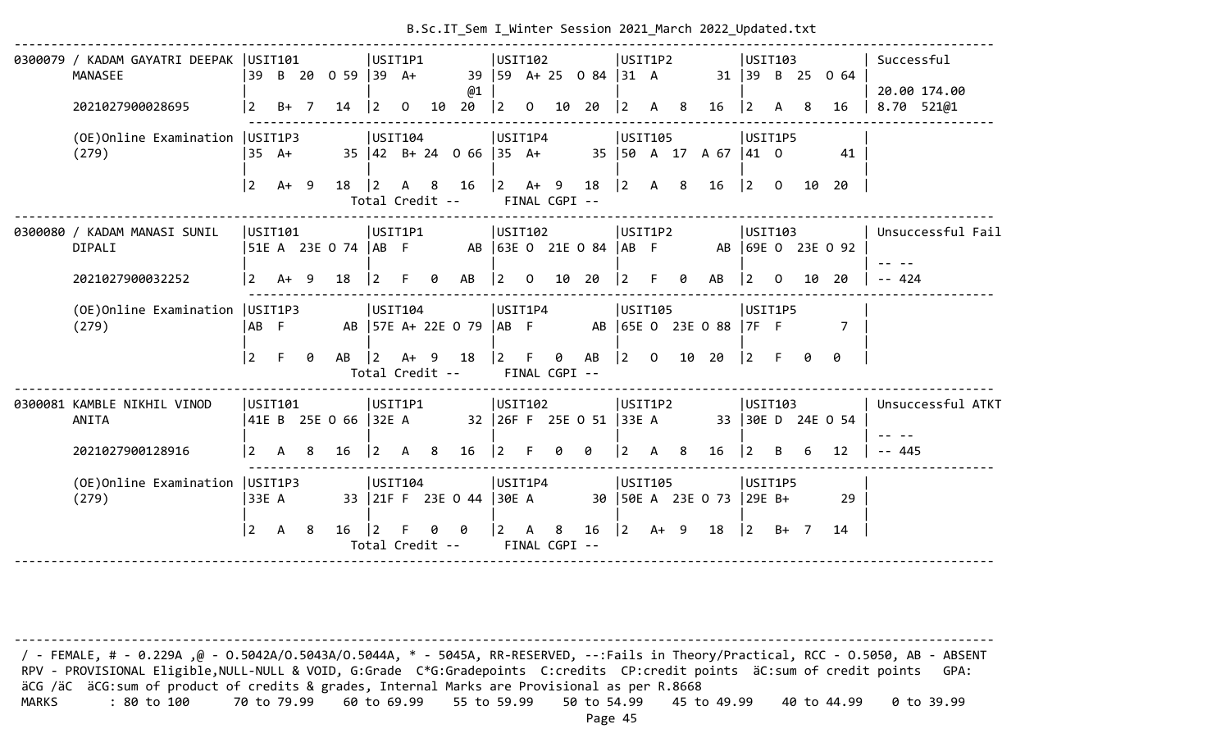| USIT102<br>USIT1P2<br>0300079 / KADAM GAYATRI DEEPAK   USIT101<br>USIT1P1<br>USIT103<br>Successful<br>39<br>B 20 0 59 39 A+<br>39   59 A + 25 0 84   31 A<br>MANASEE<br>$31 \mid 39 \mid B \mid 25$<br>0 64<br>@1<br>20.00 174.00<br>8.70 521@1<br>$\sqrt{2}$<br>$B+ 7$<br>20<br>$\begin{vmatrix} 2 & 0 \end{vmatrix}$<br>2021027900028695<br>14<br><u> 2</u><br>$\overline{0}$<br>10<br>10<br>20<br>$ 2\rangle$<br>-8<br>$ 2 \rangle$<br>16<br>-8<br>16<br>A<br>A<br>USIT1P4<br>USIT105<br>(OE) Online Examination   USIT1P3<br>USIT104<br>USIT1P5<br>35 42 B+ 24 0 66 35 A+<br>35   50 A 17 A 67   41 O<br>(279)<br>35 A+<br>41<br>$\begin{vmatrix} 2 & 4 & 9 & 18 \end{vmatrix}$<br>$\begin{vmatrix} 2 & A & 8 \end{vmatrix}$<br>l 2<br>16<br>16<br>$ 2 \rangle$<br>$A+ 9$<br>18<br>8<br>$\overline{0}$<br>10<br>20<br>$ 2\rangle$<br>$\mathsf{A}$<br>Total Credit --<br>FINAL CGPI --<br> USTI101<br>USIT1P1<br>USIT102<br>USIT1P2<br>0300080 / KADAM MANASI SUNIL<br>USIT103<br>Unsuccessful Fail<br> 51E A 23E O 74  AB F    AB  63E O 21E O 84  AB F    AB  69E O 23E O 92<br>DIPALI<br>$A+ 9$<br>$\begin{bmatrix} 2 & 0 \end{bmatrix}$<br>$-- 424$<br>2021027900032252<br> 2 <br>18<br>$ 2\rangle$<br>AB<br>10<br>20<br>$ 2\rangle$<br>F<br>AB<br>$ 2\rangle$<br>F.<br>0<br>$\theta$<br>$\overline{0}$<br>10<br>20<br>(OE) Online Examination   USIT1P3<br>USIT104<br>USIT1P4<br>USIT105<br>USIT1P5<br>AB 57E A+ 22E 0 79   AB F AB   65E 0 23E 0 88   7F F<br>(279)<br>AB F<br>$\overline{7}$<br>$\vert$ 2<br>F<br>A+ 9 18 2 F<br>$\begin{bmatrix} 2 & 0 \end{bmatrix}$<br>0<br>0 AB<br>10 20<br>$\vert 2 \vert$ F<br>0<br>0<br>AB<br>$\vert$ 2<br>Total Credit --<br>FINAL CGPI -- |  |  |  |  |  |  |  |  |  |  |  |                   |
|----------------------------------------------------------------------------------------------------------------------------------------------------------------------------------------------------------------------------------------------------------------------------------------------------------------------------------------------------------------------------------------------------------------------------------------------------------------------------------------------------------------------------------------------------------------------------------------------------------------------------------------------------------------------------------------------------------------------------------------------------------------------------------------------------------------------------------------------------------------------------------------------------------------------------------------------------------------------------------------------------------------------------------------------------------------------------------------------------------------------------------------------------------------------------------------------------------------------------------------------------------------------------------------------------------------------------------------------------------------------------------------------------------------------------------------------------------------------------------------------------------------------------------------------------------------------------------------------------------------------------------------------------------------------------------------------|--|--|--|--|--|--|--|--|--|--|--|-------------------|
|                                                                                                                                                                                                                                                                                                                                                                                                                                                                                                                                                                                                                                                                                                                                                                                                                                                                                                                                                                                                                                                                                                                                                                                                                                                                                                                                                                                                                                                                                                                                                                                                                                                                                              |  |  |  |  |  |  |  |  |  |  |  |                   |
|                                                                                                                                                                                                                                                                                                                                                                                                                                                                                                                                                                                                                                                                                                                                                                                                                                                                                                                                                                                                                                                                                                                                                                                                                                                                                                                                                                                                                                                                                                                                                                                                                                                                                              |  |  |  |  |  |  |  |  |  |  |  |                   |
|                                                                                                                                                                                                                                                                                                                                                                                                                                                                                                                                                                                                                                                                                                                                                                                                                                                                                                                                                                                                                                                                                                                                                                                                                                                                                                                                                                                                                                                                                                                                                                                                                                                                                              |  |  |  |  |  |  |  |  |  |  |  |                   |
|                                                                                                                                                                                                                                                                                                                                                                                                                                                                                                                                                                                                                                                                                                                                                                                                                                                                                                                                                                                                                                                                                                                                                                                                                                                                                                                                                                                                                                                                                                                                                                                                                                                                                              |  |  |  |  |  |  |  |  |  |  |  |                   |
|                                                                                                                                                                                                                                                                                                                                                                                                                                                                                                                                                                                                                                                                                                                                                                                                                                                                                                                                                                                                                                                                                                                                                                                                                                                                                                                                                                                                                                                                                                                                                                                                                                                                                              |  |  |  |  |  |  |  |  |  |  |  |                   |
|                                                                                                                                                                                                                                                                                                                                                                                                                                                                                                                                                                                                                                                                                                                                                                                                                                                                                                                                                                                                                                                                                                                                                                                                                                                                                                                                                                                                                                                                                                                                                                                                                                                                                              |  |  |  |  |  |  |  |  |  |  |  |                   |
|                                                                                                                                                                                                                                                                                                                                                                                                                                                                                                                                                                                                                                                                                                                                                                                                                                                                                                                                                                                                                                                                                                                                                                                                                                                                                                                                                                                                                                                                                                                                                                                                                                                                                              |  |  |  |  |  |  |  |  |  |  |  |                   |
|                                                                                                                                                                                                                                                                                                                                                                                                                                                                                                                                                                                                                                                                                                                                                                                                                                                                                                                                                                                                                                                                                                                                                                                                                                                                                                                                                                                                                                                                                                                                                                                                                                                                                              |  |  |  |  |  |  |  |  |  |  |  |                   |
|                                                                                                                                                                                                                                                                                                                                                                                                                                                                                                                                                                                                                                                                                                                                                                                                                                                                                                                                                                                                                                                                                                                                                                                                                                                                                                                                                                                                                                                                                                                                                                                                                                                                                              |  |  |  |  |  |  |  |  |  |  |  |                   |
|                                                                                                                                                                                                                                                                                                                                                                                                                                                                                                                                                                                                                                                                                                                                                                                                                                                                                                                                                                                                                                                                                                                                                                                                                                                                                                                                                                                                                                                                                                                                                                                                                                                                                              |  |  |  |  |  |  |  |  |  |  |  |                   |
|                                                                                                                                                                                                                                                                                                                                                                                                                                                                                                                                                                                                                                                                                                                                                                                                                                                                                                                                                                                                                                                                                                                                                                                                                                                                                                                                                                                                                                                                                                                                                                                                                                                                                              |  |  |  |  |  |  |  |  |  |  |  |                   |
|                                                                                                                                                                                                                                                                                                                                                                                                                                                                                                                                                                                                                                                                                                                                                                                                                                                                                                                                                                                                                                                                                                                                                                                                                                                                                                                                                                                                                                                                                                                                                                                                                                                                                              |  |  |  |  |  |  |  |  |  |  |  |                   |
|                                                                                                                                                                                                                                                                                                                                                                                                                                                                                                                                                                                                                                                                                                                                                                                                                                                                                                                                                                                                                                                                                                                                                                                                                                                                                                                                                                                                                                                                                                                                                                                                                                                                                              |  |  |  |  |  |  |  |  |  |  |  |                   |
|                                                                                                                                                                                                                                                                                                                                                                                                                                                                                                                                                                                                                                                                                                                                                                                                                                                                                                                                                                                                                                                                                                                                                                                                                                                                                                                                                                                                                                                                                                                                                                                                                                                                                              |  |  |  |  |  |  |  |  |  |  |  |                   |
|                                                                                                                                                                                                                                                                                                                                                                                                                                                                                                                                                                                                                                                                                                                                                                                                                                                                                                                                                                                                                                                                                                                                                                                                                                                                                                                                                                                                                                                                                                                                                                                                                                                                                              |  |  |  |  |  |  |  |  |  |  |  |                   |
|                                                                                                                                                                                                                                                                                                                                                                                                                                                                                                                                                                                                                                                                                                                                                                                                                                                                                                                                                                                                                                                                                                                                                                                                                                                                                                                                                                                                                                                                                                                                                                                                                                                                                              |  |  |  |  |  |  |  |  |  |  |  |                   |
| USIT1P2<br>USIT101<br>USIT1P1<br>USIT102<br>USIT103<br>0300081 KAMBLE NIKHIL VINOD                                                                                                                                                                                                                                                                                                                                                                                                                                                                                                                                                                                                                                                                                                                                                                                                                                                                                                                                                                                                                                                                                                                                                                                                                                                                                                                                                                                                                                                                                                                                                                                                           |  |  |  |  |  |  |  |  |  |  |  | Unsuccessful ATKT |
| 41E B 25E O 66  32E A<br>32   26F F 25E O 51   33E A 33   30E D 24E O 54<br>ANITA                                                                                                                                                                                                                                                                                                                                                                                                                                                                                                                                                                                                                                                                                                                                                                                                                                                                                                                                                                                                                                                                                                                                                                                                                                                                                                                                                                                                                                                                                                                                                                                                            |  |  |  |  |  |  |  |  |  |  |  |                   |
|                                                                                                                                                                                                                                                                                                                                                                                                                                                                                                                                                                                                                                                                                                                                                                                                                                                                                                                                                                                                                                                                                                                                                                                                                                                                                                                                                                                                                                                                                                                                                                                                                                                                                              |  |  |  |  |  |  |  |  |  |  |  |                   |
| $\begin{array}{cccc} 2 & A & 8 \end{array}$<br>$\begin{vmatrix} 2 & A & 8 \end{vmatrix}$<br>$ 2 \tF$<br>0<br>$2 \overline{A} 8$<br>$-- 445$<br>2021027900128916<br>16<br>16<br>- 0<br>16<br>$\vert$ 2<br>12<br>B<br>6                                                                                                                                                                                                                                                                                                                                                                                                                                                                                                                                                                                                                                                                                                                                                                                                                                                                                                                                                                                                                                                                                                                                                                                                                                                                                                                                                                                                                                                                        |  |  |  |  |  |  |  |  |  |  |  |                   |
| USIT1P4<br>(OE) Online Examination   USIT1P3<br>USIT104<br>USIT105<br>USIT1P5                                                                                                                                                                                                                                                                                                                                                                                                                                                                                                                                                                                                                                                                                                                                                                                                                                                                                                                                                                                                                                                                                                                                                                                                                                                                                                                                                                                                                                                                                                                                                                                                                |  |  |  |  |  |  |  |  |  |  |  |                   |
| 33 21F F 23E 0 44 30E A<br>(279)<br>33E A<br>30   50E A 23E O 73   29E B+<br>29                                                                                                                                                                                                                                                                                                                                                                                                                                                                                                                                                                                                                                                                                                                                                                                                                                                                                                                                                                                                                                                                                                                                                                                                                                                                                                                                                                                                                                                                                                                                                                                                              |  |  |  |  |  |  |  |  |  |  |  |                   |
|                                                                                                                                                                                                                                                                                                                                                                                                                                                                                                                                                                                                                                                                                                                                                                                                                                                                                                                                                                                                                                                                                                                                                                                                                                                                                                                                                                                                                                                                                                                                                                                                                                                                                              |  |  |  |  |  |  |  |  |  |  |  |                   |
| $\vert$ 2<br>16<br>$\vert$ 2<br>$\begin{vmatrix} 2 & A & 8 \end{vmatrix}$<br>$16 \mid 2 \quad 4 + 9 \quad 18$<br>$\begin{vmatrix} 2 & B+ & 7 \end{vmatrix}$<br>A 8<br>F.<br>00<br>14                                                                                                                                                                                                                                                                                                                                                                                                                                                                                                                                                                                                                                                                                                                                                                                                                                                                                                                                                                                                                                                                                                                                                                                                                                                                                                                                                                                                                                                                                                         |  |  |  |  |  |  |  |  |  |  |  |                   |
| Total Credit -- FINAL CGPI --                                                                                                                                                                                                                                                                                                                                                                                                                                                                                                                                                                                                                                                                                                                                                                                                                                                                                                                                                                                                                                                                                                                                                                                                                                                                                                                                                                                                                                                                                                                                                                                                                                                                |  |  |  |  |  |  |  |  |  |  |  |                   |

 / - FEMALE, # - 0.229A ,@ - O.5042A/O.5043A/O.5044A, \* - 5045A, RR-RESERVED, --:Fails in Theory/Practical, RCC - O.5050, AB - ABSENT RPV - PROVISIONAL Eligible, NULL-NULL & VOID, G:Grade C\*G:Gradepoints C:credits CP:credit points äC:sum of credit points GPA: äCG /äC äCG:sum of product of credits & grades, Internal Marks are Provisional as per R.8668 MARKS : 80 to 100 70 to 79.99 60 to 69.99 55 to 59.99 50 to 54.99 45 to 49.99 40 to 44.99 0 to 39.99

--------------------------------------------------------------------------------------------------------------------------------------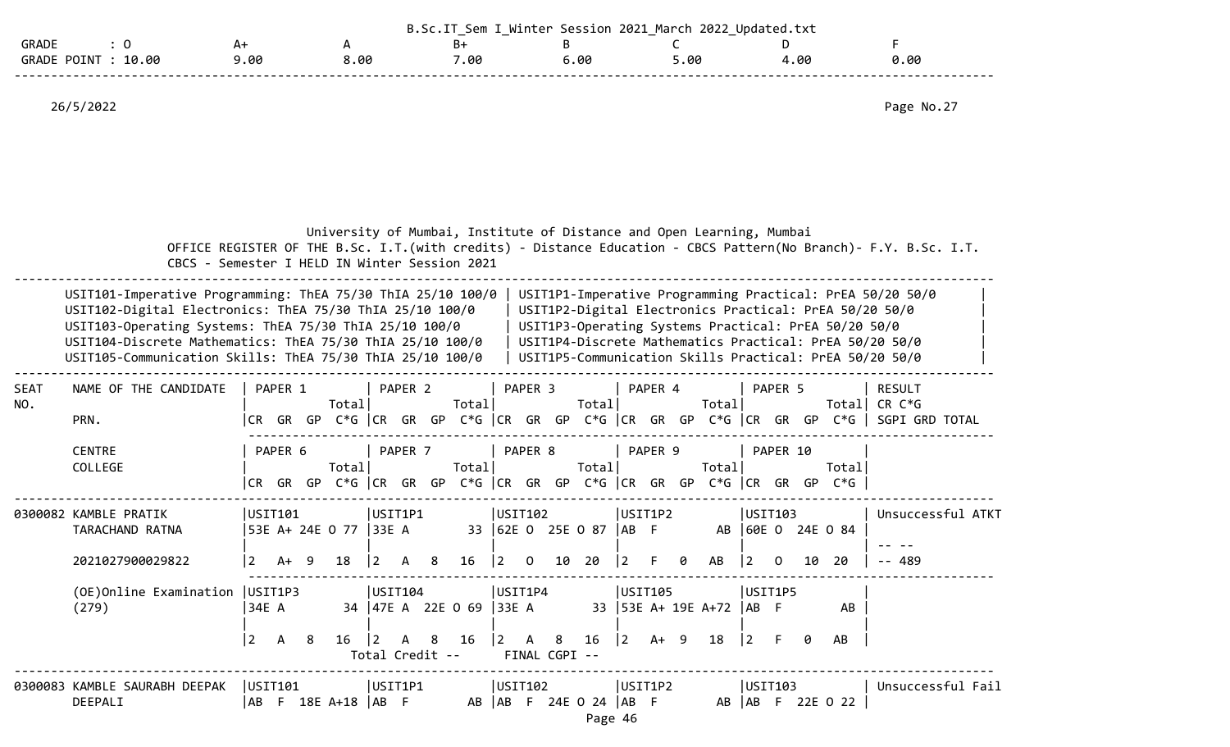|                         |      |     | ๛<br>. .<br>_ | Saccion<br>ntar. | 2022<br>2021<br>March | llndat<br>ed.txt: |      |  |
|-------------------------|------|-----|---------------|------------------|-----------------------|-------------------|------|--|
| GRADE                   |      |     | D<br>D٦       |                  |                       |                   |      |  |
| 10.00<br>GRADE<br>POTNT | . 06 | .00 | .00           | .00              | . 0r                  | . ଉଚ              | 0.00 |  |
|                         |      |     |               |                  |                       |                   |      |  |

26/5/2022 Page No.27

| University of Mumbai, Institute of Distance and Open Learning, Mumbai                                            |  |
|------------------------------------------------------------------------------------------------------------------|--|
| OFFICE REGISTER OF THE B.Sc. I.T. (with credits) - Distance Education - CBCS Pattern(No Branch)- F.Y. B.Sc. I.T. |  |
| CBCS - Semester I HELD IN Winter Session 2021                                                                    |  |

| USIT101-Imperative Programming: ThEA 75/30 ThIA 25/10 100/0 | USIT1P1-Imperative Programming Practical: PrEA 50/20 50/0 |  |
|-------------------------------------------------------------|-----------------------------------------------------------|--|
| USIT102-Digital Electronics: ThEA 75/30 ThIA 25/10 100/0    | USIT1P2-Digital Electronics Practical: PrEA 50/20 50/0    |  |
| USIT103-Operating Systems: ThEA 75/30 ThIA 25/10 100/0      | USIT1P3-Operating Systems Practical: PrEA 50/20 50/0      |  |
| USIT104-Discrete Mathematics: ThEA 75/30 ThIA 25/10 100/0   | USIT1P4-Discrete Mathematics Practical: PrEA 50/20 50/0   |  |
| USIT105-Communication Skills: ThEA 75/30 ThIA 25/10 100/0   | USIT1P5-Communication Skills Practical: PrEA 50/20 50/0   |  |
|                                                             |                                                           |  |

| <b>SEAT</b> | NAME OF THE CANDIDATE |       | PAPER 1 |     |            | PAPER 2 |     |         | PAPER <sub>3</sub> |                                            | PAPER 4 |    |         | PAPER 5  |     |       | <b>RESULT</b>  |  |
|-------------|-----------------------|-------|---------|-----|------------|---------|-----|---------|--------------------|--------------------------------------------|---------|----|---------|----------|-----|-------|----------------|--|
| NO.         |                       |       |         |     | Totall     |         |     | Total   |                    | Total                                      |         |    | Total   |          |     |       | Total CR C*G   |  |
|             | PRN.                  | ICR I | GR      |     | GP C*G ICR | GR      |     |         |                    | $GP C*G$ $CR$ $GR$ $GP C*G$ $CR$ $GR$ $GP$ |         |    | C*G  CR | GR GP    |     | C*G   | SGPI GRD TOTAL |  |
|             | <b>CENTRE</b>         |       | PAPER 6 |     |            | PAPER 7 |     |         | PAPER 8            |                                            | PAPER 9 |    |         | PAPER 10 |     |       |                |  |
|             | COLLEGE               |       |         |     | Total      |         |     | Total   |                    | Total                                      |         |    | Totall  |          |     | Total |                |  |
|             |                       |       | GR      | GP. | C*G ICR    | GR      | GP. | C*G  CR | GR GP              | C*G  CR                                    | GR      | GP | C*G CCR | GR       | GP. | $C*G$ |                |  |
|             |                       |       |         |     |            |         |     |         |                    |                                            |         |    |         |          |     |       |                |  |

|                       | . <del>. .</del> |         |                       | . <del>. .</del> |  | . <del>.</del> |  |              | . |         |    | .       |  |                |                   |  |
|-----------------------|------------------|---------|-----------------------|------------------|--|----------------|--|--------------|---|---------|----|---------|--|----------------|-------------------|--|
| 2021027900029822      |                  |         |                       |                  |  |                |  |              |   |         |    |         |  | - 20           | -- 489            |  |
|                       |                  |         |                       |                  |  |                |  |              |   |         |    |         |  |                | $- - - - -$       |  |
| TARACHAND RATNA       |                  |         | 53E A+ 24E 0 77 33E A |                  |  | 33 62E 0       |  | 25E O 87  AB |   |         | AB |         |  | 60E O 24E O 84 |                   |  |
| 0300082 KAMBLE PRATIK |                  | JSIT101 |                       | USIT1P1          |  | USIT102        |  |              |   | USIT1P2 |    | USIT103 |  |                | Unsuccessful ATKT |  |

| (OE)Online Examination   USIT1P3 |        |  | lUSIT104        |  |                         | USIT1P4 |               | USIT105 |  |                                                 | USIT1P5 |  |           |
|----------------------------------|--------|--|-----------------|--|-------------------------|---------|---------------|---------|--|-------------------------------------------------|---------|--|-----------|
| (279)                            | 134E A |  |                 |  | 34 47E A 22E 0 69 33E A |         |               |         |  | 33 53E A+ 19E A+72  AB F                        |         |  | AB        |
|                                  |        |  |                 |  |                         |         |               |         |  |                                                 |         |  |           |
|                                  |        |  |                 |  |                         |         |               |         |  | 2 A 8 16  2 A 8 16  2 A 8 16  2 A + 9 18  2 F 0 |         |  | <b>AB</b> |
|                                  |        |  | Total Credit -- |  |                         |         | FINAL CGPI -- |         |  |                                                 |         |  |           |

-------------------------------------------------------------------------------------------------------------------------------------- 0300083 KAMBLE SAURABH DEEPAK |USIT101 |USIT1P1 |USIT102 |USIT1P2 |USIT103 |USIT103 |Unsuccessful Fail<br>DEEPALI |AB F 18E A+18 |AB F AB |AB F 24E 0 24 |AB F AB |AB F 22E 0 22 | DEEPALI |AB F 18E A+18 |AB F AB |AB F 24E O 24 |AB F AB |AB F 22E O 22 |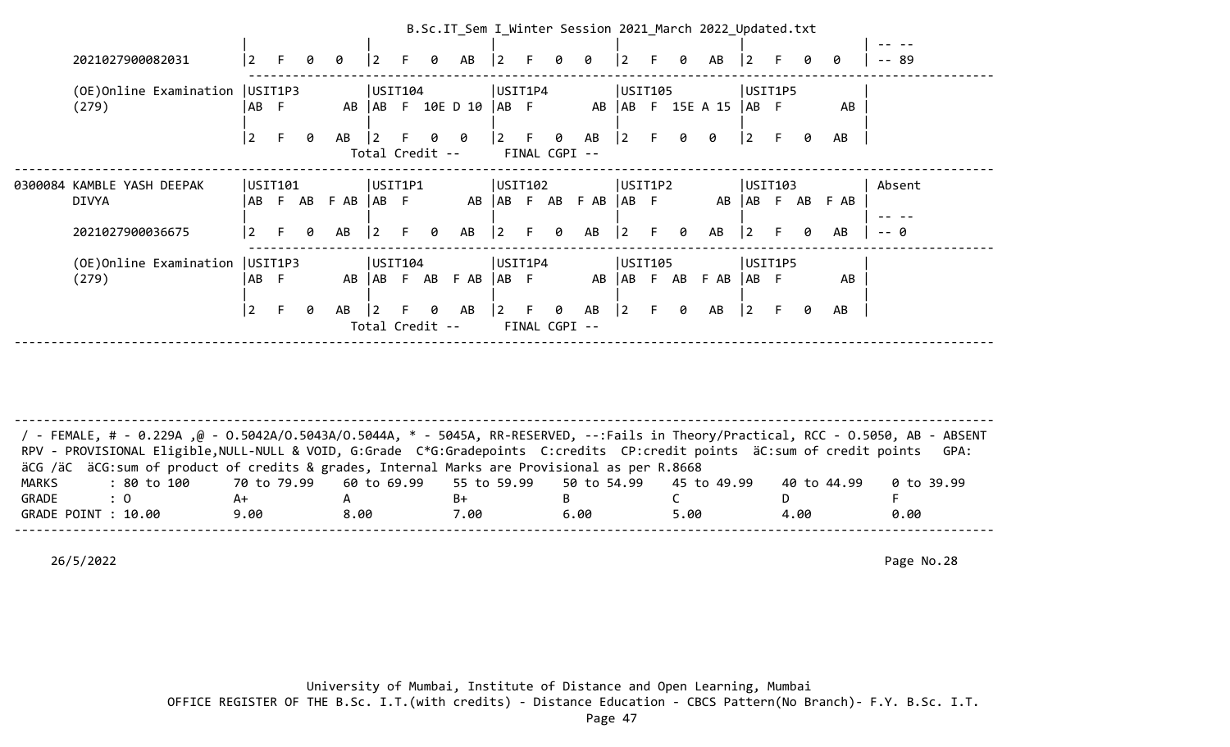|                                   |                |     |         |      |             |                 |   | B.Sc.IT_Sem I_Winter Session 2021 March 2022 Updated.txt |                   |               |         |                 |                |        |   |                           |              |         |   |      |       |  |
|-----------------------------------|----------------|-----|---------|------|-------------|-----------------|---|----------------------------------------------------------|-------------------|---------------|---------|-----------------|----------------|--------|---|---------------------------|--------------|---------|---|------|-------|--|
|                                   |                |     |         |      |             |                 |   |                                                          |                   |               |         |                 |                |        |   |                           |              |         |   |      |       |  |
| 2021027900082031                  |                |     | 0       | 0    | 2           | F.              | 0 | AB                                                       | $\vert$ 2         | F.            | 0       | 0               | $\overline{2}$ | F.     | 0 | AB                        | $ 2\rangle$  | F.      | ø | 0    | -- 89 |  |
| (OE) Online Examination   USIT1P3 |                |     |         |      |             | USIT104         |   |                                                          |                   | USIT1P4       |         |                 | USIT105        |        |   |                           |              | USIT1P5 |   |      |       |  |
| (279)                             | AB F           |     |         |      |             |                 |   | AB   AB F 10E D 10   AB F                                |                   |               |         |                 |                |        |   | AB   AB F 15E A 15   AB F |              |         |   | AB   |       |  |
|                                   | $\overline{2}$ |     | 0       | AB   |             |                 |   | 0 0                                                      | $\vert 2 \vert$ F |               | 0       | AB              | $ 2\rangle$    | F.     | 0 | 0                         | $\vert$ 2    |         | ø | AB   |       |  |
|                                   |                |     |         |      |             | Total Credit -- |   |                                                          |                   | FINAL CGPI -- |         |                 |                |        |   |                           |              |         |   |      |       |  |
| 0300084 KAMBLE YASH DEEPAK        |                |     | USIT102 |      |             | USIT1P2         |   |                                                          |                   |               | USIT103 |                 |                | Absent |   |                           |              |         |   |      |       |  |
| <b>DIVYA</b>                      | AB .           | - F | AB      | F AB | $ AB \tF$   |                 |   |                                                          |                   |               |         | AB AB F AB F AB | AB F           |        |   |                           | AB   AB F AB |         |   | F AB |       |  |
| 2021027900036675                  | $\overline{2}$ |     | 0       | AB   | $ 2\rangle$ | F.              | 0 | AB                                                       | <u> 2</u>         | E.            | 0       | AB              | $ 2\rangle$    | F      | 0 | AB                        | $ 2\rangle$  | F.      | ø | AB   | -- 0  |  |
| (OE) Online Examination   USIT1P3 |                |     |         |      |             | USTI04          |   |                                                          |                   | USIT1P4       |         |                 | USIT105        |        |   |                           |              | USIT1P5 |   |      |       |  |
| (279)                             | AB F           |     |         | AB   |             |                 |   | $AB$ F AB F AB $AB$ F                                    |                   |               |         |                 | AB  AB F AB    |        |   | F AB AB F                 |              |         |   | AB   |       |  |
|                                   | $\overline{2}$ |     | 0       | AB   |             | Total Credit -- | 0 | AB                                                       | $\vert$ 2         | FINAL CGPI -- | 0       | AB              | $ 2\rangle$    | F.     | 0 | AB                        | $\vert$ 2    | F.      | 0 | AB   |       |  |
|                                   |                |     |         |      |             |                 |   |                                                          |                   |               |         |                 |                |        |   |                           |              |         |   |      |       |  |

| / FEMALE, # - 0.229A ,@ - 0.5042A/0.5043A/0.5044A, * - 5045A, RR-RESERVED, --:Fails in Theory/Practical, RCC - 0.5050, AB - ABSENT<br>RPV - PROVISIONAL Eligible, NULL-NULL & VOID, G:Grade C*G:Gradepoints C:credits CP:credit points äC:sum of credit points |      |      |      |      |      |             | GPA:       |
|----------------------------------------------------------------------------------------------------------------------------------------------------------------------------------------------------------------------------------------------------------------|------|------|------|------|------|-------------|------------|
| äCG /äC äCG:sum of product of credits & grades, Internal Marks are Provisional as per R.8668                                                                                                                                                                   |      |      |      |      |      |             |            |
| : 80 to 100    70 to 79.99   60 to 69.99   55 to 59.99   50 to 54.99   45 to 49.99<br>MARKS                                                                                                                                                                    |      |      |      |      |      | 40 to 44.99 | 0 to 39.99 |
| GRADE<br>$\therefore$ 0                                                                                                                                                                                                                                        | A+   |      | B+   |      |      |             |            |
| GRADE POINT : 10.00                                                                                                                                                                                                                                            | 9.00 | 8.00 | 7.00 | 6.00 | 5.00 | 4.00        | 0.00       |
|                                                                                                                                                                                                                                                                |      |      |      |      |      |             |            |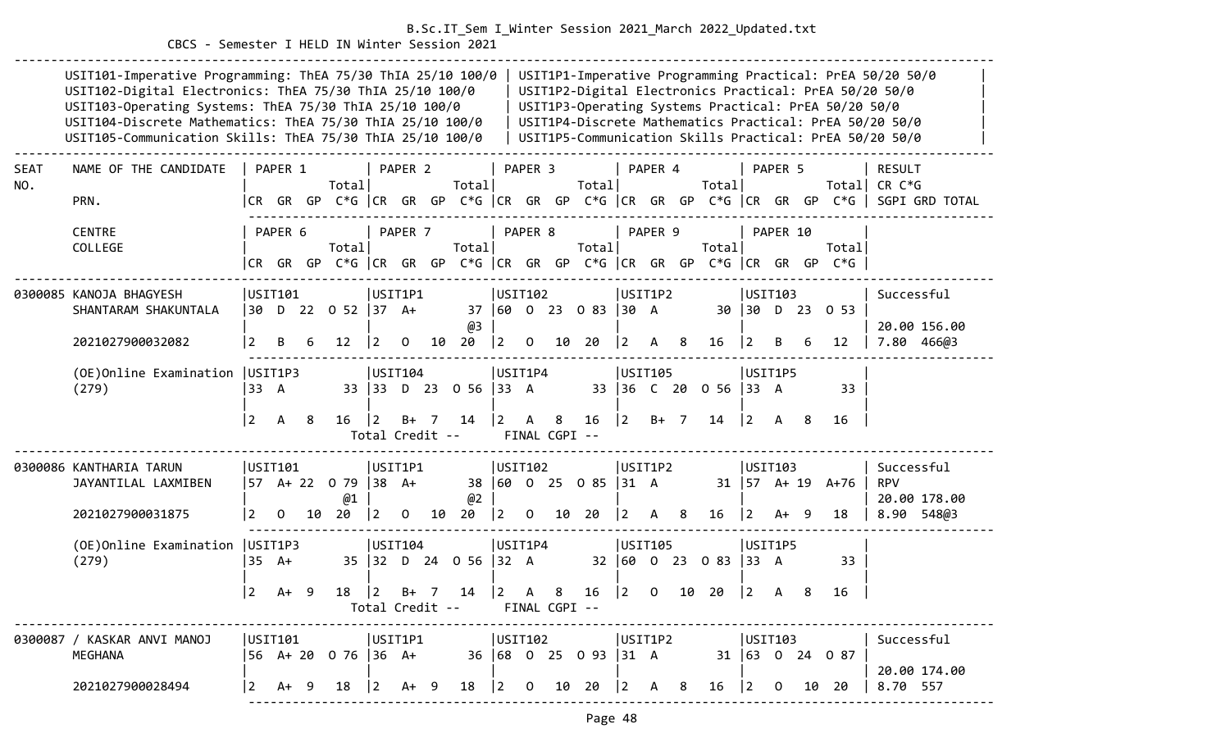#### CBCS - Semester I HELD IN Winter Session 2021

|             | USIT101-Imperative Programming: ThEA 75/30 ThIA 25/10 100/0<br>USIT102-Digital Electronics: ThEA 75/30 ThIA 25/10 100/0<br>USIT103-Operating Systems: ThEA 75/30 ThIA 25/10 100/0<br>USIT104-Discrete Mathematics: ThEA 75/30 ThIA 25/10 100/0<br>USIT105-Communication Skills: ThEA 75/30 ThIA 25/10 100/0 |                        |              |     |                                                                            |                        |                    |    |                            |                        |              |                    |                            |             |                                 |    |                      |                           |              |     | USIT1P3-Operating Systems Practical: PrEA 50/20 50/0 | USIT1P1-Imperative Programming Practical: PrEA 50/20 50/0<br>USIT1P2-Digital Electronics Practical: PrEA 50/20 50/0<br>USIT1P4-Discrete Mathematics Practical: PrEA 50/20 50/0<br>USIT1P5-Communication Skills Practical: PrEA 50/20 50/0 |  |
|-------------|-------------------------------------------------------------------------------------------------------------------------------------------------------------------------------------------------------------------------------------------------------------------------------------------------------------|------------------------|--------------|-----|----------------------------------------------------------------------------|------------------------|--------------------|----|----------------------------|------------------------|--------------|--------------------|----------------------------|-------------|---------------------------------|----|----------------------|---------------------------|--------------|-----|------------------------------------------------------|-------------------------------------------------------------------------------------------------------------------------------------------------------------------------------------------------------------------------------------------|--|
| SEAT<br>NO. | NAME OF THE CANDIDATE<br>PRN.                                                                                                                                                                                                                                                                               |                        | PAPER 1      |     | Total                                                                      |                        | PAPER <sub>2</sub> |    | Total                      |                        | PAPER 3      |                    | Total                      |             | PAPER 4                         |    | Total                |                           | PAPER 5      |     |                                                      | <b>RESULT</b><br>Total  CR C*G<br>CR GR GP C*G CR GR GP C*G CR GR GP C*G CR GR GP C*G CR GR GP C*G SGPI GRD TOTAL                                                                                                                         |  |
|             | <b>CENTRE</b><br>COLLEGE                                                                                                                                                                                                                                                                                    |                        | PAPER 6      |     | Total<br> CR GR GP C*G  CR GR GP C*G  CR GR GP C*G  CR GR GP C*G  CR GR GP |                        | PAPER 7            |    | Totall                     |                        | PAPER 8      |                    | Totall                     |             | PAPER 9                         |    | Total                |                           | PAPER 10     |     | Total<br>$C*G$                                       |                                                                                                                                                                                                                                           |  |
|             | 0300085 KANOJA BHAGYESH<br>SHANTARAM SHAKUNTALA<br>2021027900032082                                                                                                                                                                                                                                         |                        | USIT101<br>B | 6   | 30 D 22 0 52 37 A+<br>12                                                   | USIT1P1<br>2           | $\Omega$           | 10 | 37<br>@3<br>20             | USIT102<br>$ 2\rangle$ | $\Omega$     | 10                 | 160 0 23 0 83 30 A<br>20   | 2           | USIT1P2<br>A                    | 8  | 16                   | USTI03<br>30 30 D 23<br>2 |              | 6   | 0 53<br>12                                           | Successful<br>20.00 156.00<br>7.80 466@3                                                                                                                                                                                                  |  |
|             | (OE) Online Examination   USIT1P3<br>(279)                                                                                                                                                                                                                                                                  | 33 A<br>$\overline{2}$ | A            | - 8 | 16                                                                         | USTI04<br>$ 2\rangle$  | $B+$ 7             |    | 33 33 D 23 0 56 33 A<br>14 | USIT1P4<br>$ 2\rangle$ | $\mathsf{A}$ | 8                  | 16                         | 2           | USIT105<br>33 36 C 20<br>$B+ 7$ |    | $056$ 33 A<br>14     | USIT1P5<br> 2             | A            | - 8 | 33<br>16                                             |                                                                                                                                                                                                                                           |  |
|             |                                                                                                                                                                                                                                                                                                             |                        |              |     |                                                                            | Total Credit --        |                    |    |                            |                        |              | FINAL CGPI --      |                            |             |                                 |    |                      |                           |              |     |                                                      |                                                                                                                                                                                                                                           |  |
|             | 0300086 KANTHARIA TARUN<br>JAYANTILAL LAXMIBEN<br>2021027900031875                                                                                                                                                                                                                                          | USIT101<br>2           | 0            | 10  | 57 A+ 22 0 79 38 A+<br>@1<br>20                                            | USIT1P1<br>$ 2\rangle$ | $\Omega$           | 10 | @2<br>20                   | USTI02 <br>$ 2\rangle$ | $\mathbf 0$  | 10                 | 38 60 0 25 0 85 31 A<br>20 | l 2.        | USIT1P2<br>A                    | -8 | 16                   | USTI03<br>$\overline{2}$  | A+           | -9  | $31 \mid 57$ A+ 19 A+76<br>18                        | Successful<br><b>RPV</b><br>20.00 178.00<br>8.90 548@3                                                                                                                                                                                    |  |
|             | (OE) Online Examination   USIT1P3<br>(279)                                                                                                                                                                                                                                                                  | $35 \text{ A+}$        |              |     |                                                                            | USTI04<br>35 32        |                    |    | D 24 0 56 32 A             | USIT1P4                |              |                    |                            |             | USIT105                         |    | 32 60 0 23 0 83 33 A | USIT1P5                   |              |     | 33                                                   |                                                                                                                                                                                                                                           |  |
|             |                                                                                                                                                                                                                                                                                                             | 2                      | A+           | - 9 | 18                                                                         | 2                      | B+                 | 7  | 14<br>Total Credit --      | $\vert 2 \vert$        | A            | 8<br>FINAL CGPI -- | 16                         | $\boxed{2}$ | 0                               | 10 | -20                  | 2                         | $\mathsf{A}$ | 8   | 16                                                   |                                                                                                                                                                                                                                           |  |
|             | 0300087 / KASKAR ANVI MANOJ<br>MEGHANA                                                                                                                                                                                                                                                                      |                        |              |     | 56 A+ 20 0 76  36 A+ 36  68 0 25 0 93  31 A                                |                        |                    |    |                            |                        |              | USIT102            |                            |             | USIT1P2                         |    |                      | USIT103                   |              |     | $31 \mid 63 \mid 0 \mid 24 \mid 0 \mid 87$           | Successful<br>20.00 174.00                                                                                                                                                                                                                |  |
|             | 2021027900028494                                                                                                                                                                                                                                                                                            | $\overline{2}$         | $A+ 9$       |     | 18                                                                         | $ 2 \tA+ 9$            |                    |    | 18                         |                        |              |                    |                            |             |                                 |    |                      |                           |              |     | 16   2 0 10 20                                       | 8.70 557                                                                                                                                                                                                                                  |  |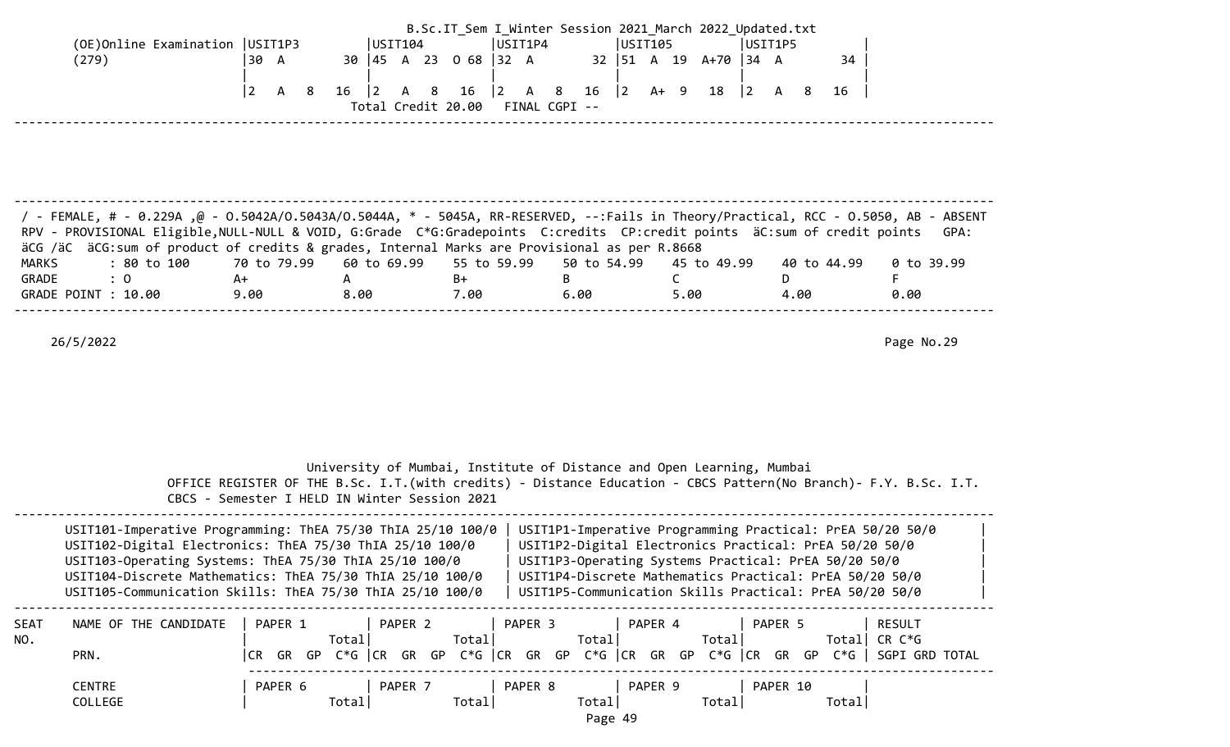| (OE) Online Examination   USIT1P3<br>(279)                                                                                                                                                                                                                                                                                                                                                                                      | 30 A<br>$\vert$ 2<br>$\mathsf{A}$<br>- 8 | USTI04 <br>$16 \t 2$<br>8<br>A                | USIT1P4<br>30 45 A 23 0 68 32 A<br>$ 2\rangle$<br>16<br>A 8<br>Total Credit 20.00 FINAL CGPI -- | USIT105<br>$16$ $ 2$ A+ 9 18                            | B.Sc.IT Sem I Winter Session 2021 March 2022 Updated.txt<br>USIT1P5<br>32   51 A 19 A+70   34 A<br>$\vert$ 2                                                                                | 34<br>A 8<br>16          |                                  |
|---------------------------------------------------------------------------------------------------------------------------------------------------------------------------------------------------------------------------------------------------------------------------------------------------------------------------------------------------------------------------------------------------------------------------------|------------------------------------------|-----------------------------------------------|-------------------------------------------------------------------------------------------------|---------------------------------------------------------|---------------------------------------------------------------------------------------------------------------------------------------------------------------------------------------------|--------------------------|----------------------------------|
| / FEMALE, # - 0.229A ,@ - 0.5042A/0.5043A/0.5044A, * - 5045A, RR-RESERVED, --:Fails in Theory/Practical, RCC - 0.5050, AB - ABSENT<br>RPV - PROVISIONAL Eligible, NULL-NULL & VOID, G:Grade C*G:Gradepoints C:credits CP:credit points äC:sum of credit points<br>äCG /äC äCG:sum of product of credits & grades, Internal Marks are Provisional as per R.8668<br>: 80 to 100<br>MARKS<br>: 0<br>GRADE<br>GRADE POINT : 10.00   | 70 to 79.99<br>A+<br>9.00                | 60 to 69.99<br>A<br>8.00                      | 55 to 59.99<br>$B+$<br>7.00                                                                     | 50 to 54.99<br>B<br>6.00                                | 45 to 49.99<br>$\mathsf{C}$<br>5.00                                                                                                                                                         | 40 to 44.99<br>D<br>4.00 | GPA:<br>0 to 39.99<br>F.<br>0.00 |
| 26/5/2022                                                                                                                                                                                                                                                                                                                                                                                                                       |                                          |                                               |                                                                                                 |                                                         | University of Mumbai, Institute of Distance and Open Learning, Mumbai<br>OFFICE REGISTER OF THE B.Sc. I.T. (with credits) - Distance Education - CBCS Pattern (No Branch) - F.Y. B.Sc. I.T. |                          | Page No.29                       |
| USIT101-Imperative Programming: ThEA 75/30 ThIA 25/10 100/0<br>USIT102-Digital Electronics: ThEA 75/30 ThIA 25/10 100/0<br>USIT103-Operating Systems: ThEA 75/30 ThIA 25/10 100/0<br>USIT104-Discrete Mathematics: ThEA 75/30 ThIA 25/10 100/0   USIT1P4-Discrete Mathematics Practical: PrEA 50/20 50/0<br>USIT105-Communication Skills: ThEA 75/30 ThIA 25/10 100/0   USIT1P5-Communication Skills Practical: PrEA 50/20 50/0 |                                          | CBCS - Semester I HELD IN Winter Session 2021 |                                                                                                 |                                                         | USIT1P1-Imperative Programming Practical: PrEA 50/20 50/0<br>USIT1P2-Digital Electronics Practical: PrEA 50/20 50/0<br>USIT1P3-Operating Systems Practical: PrEA 50/20 50/0                 |                          |                                  |
| NAME OF THE CANDIDATE<br>SEAT<br>NO.<br>PRN.<br><b>CENTRE</b><br>COLLEGE                                                                                                                                                                                                                                                                                                                                                        | PAPER 6                                  | PAPER 1 PAPER 2<br>Total <br>Total            | PAPER 3   PAPER 4<br>Total <br>  PAPER 7   PAPER 8<br>Total                                     | Total <br><b>Example 1</b> PAPER 9<br>Total <br>Page 49 | PAPER 5<br>Total <br> CR GR GP C*G  CR GR GP C*G  CR GR GP C*G  CR GR GP C*G  CR GR GP C*G   SGPI GRD TOTAL<br><b>PAPER 10</b><br>Total                                                     | Total  CR C*G<br>Total   | RESULT                           |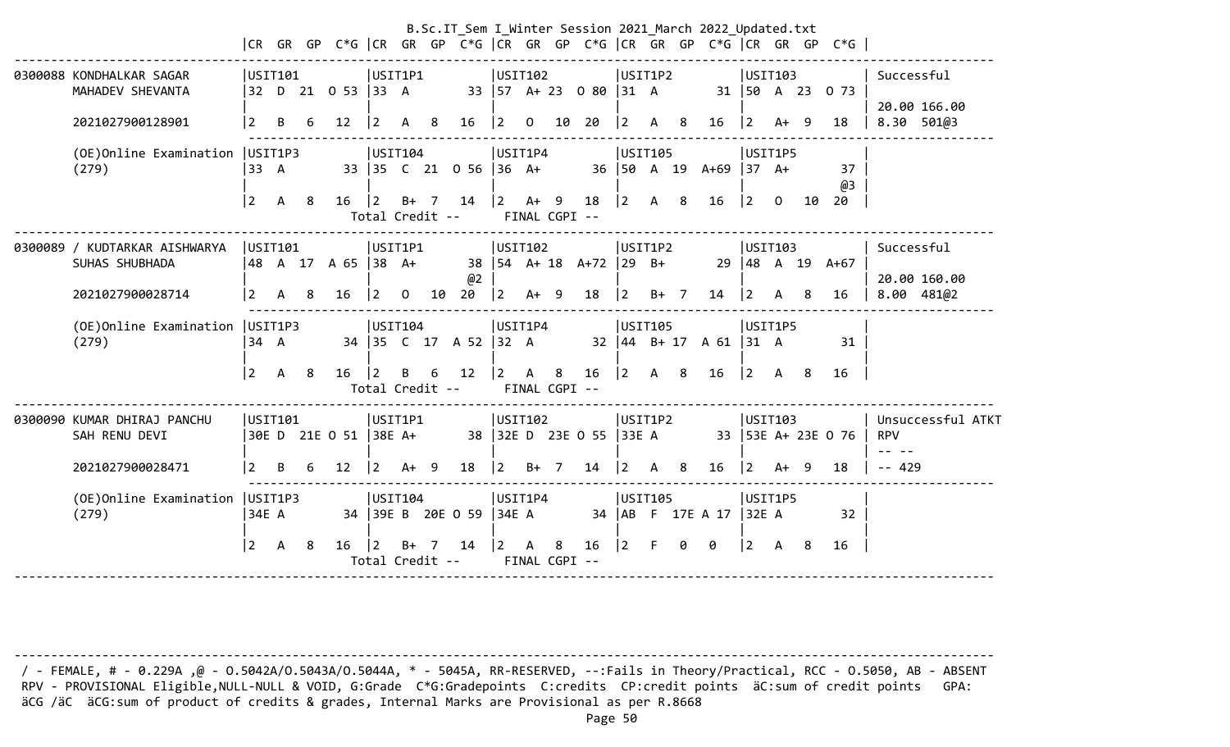| MAHADEV SHEVANTA                |                                                                                                                    |              |                        |                                                                                          |                |             |                                                                      |                                                                                          |                                                                                  |                            |                                |                                                                                                                       |                                                                                                                            |                       |                    |                                                                                                            |                 |              |                                                                                                                   |                                                                                                                                                                | Successful<br>20.00 166.00                                                                                                    |
|---------------------------------|--------------------------------------------------------------------------------------------------------------------|--------------|------------------------|------------------------------------------------------------------------------------------|----------------|-------------|----------------------------------------------------------------------|------------------------------------------------------------------------------------------|----------------------------------------------------------------------------------|----------------------------|--------------------------------|-----------------------------------------------------------------------------------------------------------------------|----------------------------------------------------------------------------------------------------------------------------|-----------------------|--------------------|------------------------------------------------------------------------------------------------------------|-----------------|--------------|-------------------------------------------------------------------------------------------------------------------|----------------------------------------------------------------------------------------------------------------------------------------------------------------|-------------------------------------------------------------------------------------------------------------------------------|
| 2021027900128901                | 2                                                                                                                  | B            |                        | 12                                                                                       | l 2            | A           |                                                                      | 16                                                                                       | $\vert$ 2                                                                        | $\mathbf 0$                |                                |                                                                                                                       | $\overline{2}$                                                                                                             |                       |                    | 16                                                                                                         | $\sqrt{2}$      |              |                                                                                                                   | 18                                                                                                                                                             | 8.30 501@3                                                                                                                    |
| (279)                           |                                                                                                                    |              |                        |                                                                                          |                |             |                                                                      |                                                                                          |                                                                                  |                            |                                |                                                                                                                       |                                                                                                                            |                       |                    |                                                                                                            |                 |              |                                                                                                                   | 37<br>@3                                                                                                                                                       |                                                                                                                               |
|                                 | 2                                                                                                                  | A            | -8                     | 16                                                                                       | 2              |             |                                                                      | 14                                                                                       | $ 2\rangle$                                                                      |                            |                                | 18                                                                                                                    |                                                                                                                            | A                     | 8                  | 16                                                                                                         | $ 2\rangle$     | $\Omega$     |                                                                                                                   | 20                                                                                                                                                             |                                                                                                                               |
| SUHAS SHUBHADA                  |                                                                                                                    |              |                        |                                                                                          |                |             |                                                                      | @2                                                                                       |                                                                                  |                            |                                |                                                                                                                       |                                                                                                                            |                       |                    |                                                                                                            |                 |              |                                                                                                                   |                                                                                                                                                                | Successful<br>20.00 160.00                                                                                                    |
| 2021027900028714                | 2                                                                                                                  | A            | 8                      | 16                                                                                       | $\frac{1}{2}$  | $\mathbf 0$ |                                                                      | 20                                                                                       |                                                                                  |                            |                                | 18                                                                                                                    | $ 2\rangle$                                                                                                                |                       |                    | 14                                                                                                         | 2               | A            | 8                                                                                                                 | 16                                                                                                                                                             | 8.00 481@2                                                                                                                    |
| (OE)Online Examination<br>(279) |                                                                                                                    |              |                        |                                                                                          |                |             |                                                                      |                                                                                          |                                                                                  |                            |                                |                                                                                                                       |                                                                                                                            |                       |                    |                                                                                                            |                 |              |                                                                                                                   | 31                                                                                                                                                             |                                                                                                                               |
|                                 | 2                                                                                                                  | A            | -8                     | 16                                                                                       | $\overline{2}$ | B           | 6                                                                    | 12                                                                                       |                                                                                  | A                          | 8                              | 16                                                                                                                    |                                                                                                                            | A                     | - 8                | 16                                                                                                         | $\vert 2 \vert$ | $\mathsf{A}$ | - 8                                                                                                               | 16                                                                                                                                                             |                                                                                                                               |
| SAH RENU DEVI                   |                                                                                                                    |              |                        |                                                                                          |                |             |                                                                      |                                                                                          |                                                                                  |                            |                                |                                                                                                                       |                                                                                                                            |                       |                    |                                                                                                            |                 |              |                                                                                                                   |                                                                                                                                                                | Unsuccessful ATKT<br><b>RPV</b>                                                                                               |
| 2021027900028471                | 2                                                                                                                  | <sub>R</sub> | 6                      | 12                                                                                       | <u>2</u>       |             |                                                                      | 18                                                                                       | 2                                                                                |                            |                                | 14                                                                                                                    | $\mathcal{P}$                                                                                                              | А                     | 8                  | 16                                                                                                         | 2               |              |                                                                                                                   | 18                                                                                                                                                             | $- - 429$                                                                                                                     |
| (279)                           |                                                                                                                    |              |                        |                                                                                          |                |             |                                                                      |                                                                                          |                                                                                  |                            |                                |                                                                                                                       |                                                                                                                            |                       |                    |                                                                                                            |                 |              |                                                                                                                   | 32                                                                                                                                                             |                                                                                                                               |
|                                 | $\vert$ 2                                                                                                          | A            | -8                     | 16                                                                                       | l 2            | B+          |                                                                      | 14                                                                                       |                                                                                  |                            | 8                              | 16                                                                                                                    | $\overline{2}$                                                                                                             | F.                    | 0                  | 0                                                                                                          | $ 2\rangle$     | A            | -8                                                                                                                | 16                                                                                                                                                             |                                                                                                                               |
|                                 | 0300088 KONDHALKAR SAGAR<br>0300089 / KUDTARKAR AISHWARYA<br>0300090 KUMAR DHIRAJ PANCHU<br>(OE)Online Examination |              | 33 A<br>134 A<br>34E A | USIT101<br>(OE) Online Examination   USIT1P3<br>USIT101<br>USIT1P3<br>USIT101<br>USIT1P3 |                |             | 32 D 21 0 53   33 A<br> 48 A 17 A 65  38 A+<br>30E D 21E O 51 38E A+ | USIT1P1<br>- 8<br>USIT104<br>$B+7$<br>USIT1P1<br>USIT104<br>USIT1P1<br>$A+ 9$<br>USIT104 | Total Credit --<br>10<br>Total Credit --<br>34 39E B 20E 0 59<br>Total Credit -- | $ 2\rangle$<br>$ 2\rangle$ | 34 35 C 17 A 52 32 A<br> 34E A | USIT102<br>USIT1P4<br>33 35 C 21 0 56 36 A+<br>$A+ 9$<br>USIT102<br>$A+ 9$<br>USIT1P4<br>USIT102<br>$B+ 7$<br>USIT1P4 | 33   57 A + 23 0 80<br>10 20<br>FINAL CGPI --<br>38   54 A+ 18 A+72<br>FINAL CGPI --<br>38 32E D 23E 0 55<br>FINAL CGPI -- | $\vert 2 \vert$<br> 2 | $ 31 \tA$<br>33E A | USIT1P2<br>A 8<br>USIT105<br>USIT1P2<br>$ 29 \text{ B+}$<br>$B+ 7$<br>USIT105<br>USIT1P2<br><b>USIT105</b> |                 |              | 36   50 A 19 A+69   37 A+<br>$32 \mid 44 \mid B + 17 \mid A \mid 61 \mid 31 \mid A$<br>34   AB F 17E A 17   32E A | B.Sc.IT_Sem I_Winter Session 2021_March 2022_Updated.txt<br>USIT103<br>31   50 A 23<br>$A+ 9$<br>USIT1P5<br>USIT103<br>USIT1P5<br>USIT103<br>$A+ 9$<br>USIT1P5 | CR GR GP C*G  CR GR GP C*G  CR GR GP C*G  CR GR GP C*G  CR GR GP C*G<br>0 73<br>10<br>29 48 A 19 A+67<br>33   53E A+ 23E 0 76 |

 / - FEMALE, # - 0.229A ,@ - O.5042A/O.5043A/O.5044A, \* - 5045A, RR-RESERVED, --:Fails in Theory/Practical, RCC - O.5050, AB - ABSENT RPV - PROVISIONAL Eligible,NULL-NULL & VOID, G:Grade C\*G:Gradepoints C:credits CP:credit points äC:sum of credit points GPA: äCG /äC äCG:sum of product of credits & grades, Internal Marks are Provisional as per R.8668

--------------------------------------------------------------------------------------------------------------------------------------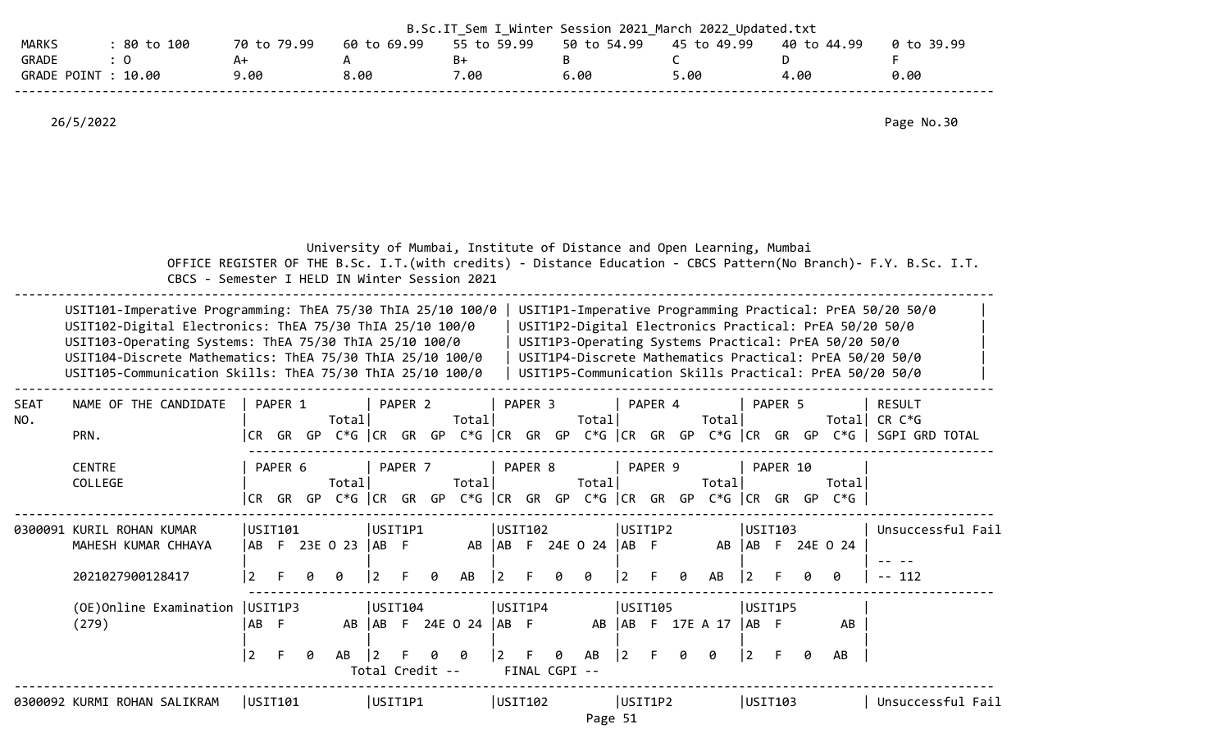|                       |                          |                                                                                                                                                                                                                                                                                                             |                                               |             |             |   |                   |                 |         | B.Sc.IT_Sem I_Winter Session 2021 March 2022 Updated.txt              |              |         |                    |                           |                 |         |                      |                     |           |          |      |                                                                                                                                                                                                                                                                                                   |               |                                                                                                                    |  |
|-----------------------|--------------------------|-------------------------------------------------------------------------------------------------------------------------------------------------------------------------------------------------------------------------------------------------------------------------------------------------------------|-----------------------------------------------|-------------|-------------|---|-------------------|-----------------|---------|-----------------------------------------------------------------------|--------------|---------|--------------------|---------------------------|-----------------|---------|----------------------|---------------------|-----------|----------|------|---------------------------------------------------------------------------------------------------------------------------------------------------------------------------------------------------------------------------------------------------------------------------------------------------|---------------|--------------------------------------------------------------------------------------------------------------------|--|
| <b>MARKS</b><br>GRADE |                          | : 80 to 100<br>: 0<br>GRADE POINT : 10.00                                                                                                                                                                                                                                                                   |                                               | A+<br>9.00  | 70 to 79.99 |   | A<br>8.00         | 60 to 69.99     |         | 55 to 59.99<br>$B+$<br>7.00                                           |              |         | B                  | 50 to 54.99<br>6.00       |                 |         | $\mathsf{C}$<br>5.00 | 45 to 49.99         |           | D        | 4.00 | 40 to 44.99                                                                                                                                                                                                                                                                                       | F.            | 0 to 39.99<br>0.00                                                                                                 |  |
|                       | 26/5/2022                |                                                                                                                                                                                                                                                                                                             |                                               |             |             |   |                   |                 |         |                                                                       |              |         |                    |                           |                 |         |                      |                     |           |          |      |                                                                                                                                                                                                                                                                                                   |               | Page No.30                                                                                                         |  |
|                       |                          | USIT101-Imperative Programming: ThEA 75/30 ThIA 25/10 100/0<br>USIT102-Digital Electronics: ThEA 75/30 ThIA 25/10 100/0<br>USIT103-Operating Systems: ThEA 75/30 ThIA 25/10 100/0<br>USIT104-Discrete Mathematics: ThEA 75/30 ThIA 25/10 100/0<br>USIT105-Communication Skills: ThEA 75/30 ThIA 25/10 100/0 | CBCS - Semester I HELD IN Winter Session 2021 |             |             |   |                   |                 |         | University of Mumbai, Institute of Distance and Open Learning, Mumbai |              |         |                    |                           |                 |         |                      |                     |           |          |      | USIT1P1-Imperative Programming Practical: PrEA 50/20 50/0<br>USIT1P2-Digital Electronics Practical: PrEA 50/20 50/0<br>USIT1P3-Operating Systems Practical: PrEA 50/20 50/0<br>USIT1P4-Discrete Mathematics Practical: PrEA 50/20 50/0<br>USIT1P5-Communication Skills Practical: PrEA 50/20 50/0 |               | OFFICE REGISTER OF THE B.Sc. I.T. (with credits) - Distance Education - CBCS Pattern (No Branch) - F.Y. B.Sc. I.T. |  |
| <b>SEAT</b><br>NO.    | PRN.                     | NAME OF THE CANDIDATE                                                                                                                                                                                                                                                                                       |                                               |             | PAPER 1     |   | Total             |                 | PAPER 2 | Total                                                                 |              | PAPER 3 |                    | Total                     | $\vert$ PAPER 4 |         |                      | Total               |           | PAPER 5  |      | Total CR $C*G$                                                                                                                                                                                                                                                                                    | <b>RESULT</b> | CR GR GP C*G  CR GR GP C*G  CR GR GP C*G  CR GR GP C*G  CR GR GP C*G   SGPI GRD TOTAL                              |  |
|                       | <b>CENTRE</b><br>COLLEGE |                                                                                                                                                                                                                                                                                                             |                                               | I CR –      | PAPER 6     |   | Total             |                 | PAPER 7 | Total                                                                 |              | PAPER 8 |                    | Total                     |                 | PAPER 9 |                      | Total               |           | PAPER 10 |      | Totall<br>GR GP C*G CR GR GP C*G CR GR GP C*G CR GR GP C*G CR GR GP C*G                                                                                                                                                                                                                           |               |                                                                                                                    |  |
|                       |                          | 0300091 KURIL ROHAN KUMAR<br>MAHESH KUMAR CHHAYA                                                                                                                                                                                                                                                            |                                               |             | USTI101     |   | ABF 23E 0 23  ABF | USIT1P1         |         |                                                                       |              | USTI02  |                    | AB   AB F 24E O 24   AB F | USIT1P2         |         |                      |                     |           | USIT103  |      | AB   AB F 24E 0 24                                                                                                                                                                                                                                                                                |               | Unsuccessful Fail                                                                                                  |  |
|                       |                          | 2021027900128417                                                                                                                                                                                                                                                                                            |                                               |             |             |   |                   | $\overline{2}$  |         | AB                                                                    |              |         | 0                  | Ø                         |                 |         |                      | AB                  | 2         |          |      |                                                                                                                                                                                                                                                                                                   | $-- 112$      |                                                                                                                    |  |
|                       | (279)                    | (OE) Online Examination   USIT1P3                                                                                                                                                                                                                                                                           |                                               | AB F        |             |   |                   | USTI04          |         | AB   AB F 24E 0 24   AB F                                             |              | USIT1P4 |                    | AB                        | USIT105         |         |                      | AB F 17E A 17  AB F |           | USIT1P5  |      | AB                                                                                                                                                                                                                                                                                                |               |                                                                                                                    |  |
|                       |                          |                                                                                                                                                                                                                                                                                                             |                                               | $ 2\rangle$ | -F          | 0 | AB                | Total Credit -- |         | 0                                                                     | $\mathbf{2}$ |         | 0<br>FINAL CGPI -- | AB                        | 2               |         | ø                    | 0                   | $\vert$ 2 | F        | 0    | AB                                                                                                                                                                                                                                                                                                |               |                                                                                                                    |  |
|                       |                          | 0300092 KURMI ROHAN SALIKRAM                                                                                                                                                                                                                                                                                |                                               |             | USTI01      |   |                   | USIT1P1         |         |                                                                       |              | USIT102 |                    | Page 51                   | USIT1P2         |         |                      |                     | USIT103   |          |      |                                                                                                                                                                                                                                                                                                   |               | Unsuccessful Fail                                                                                                  |  |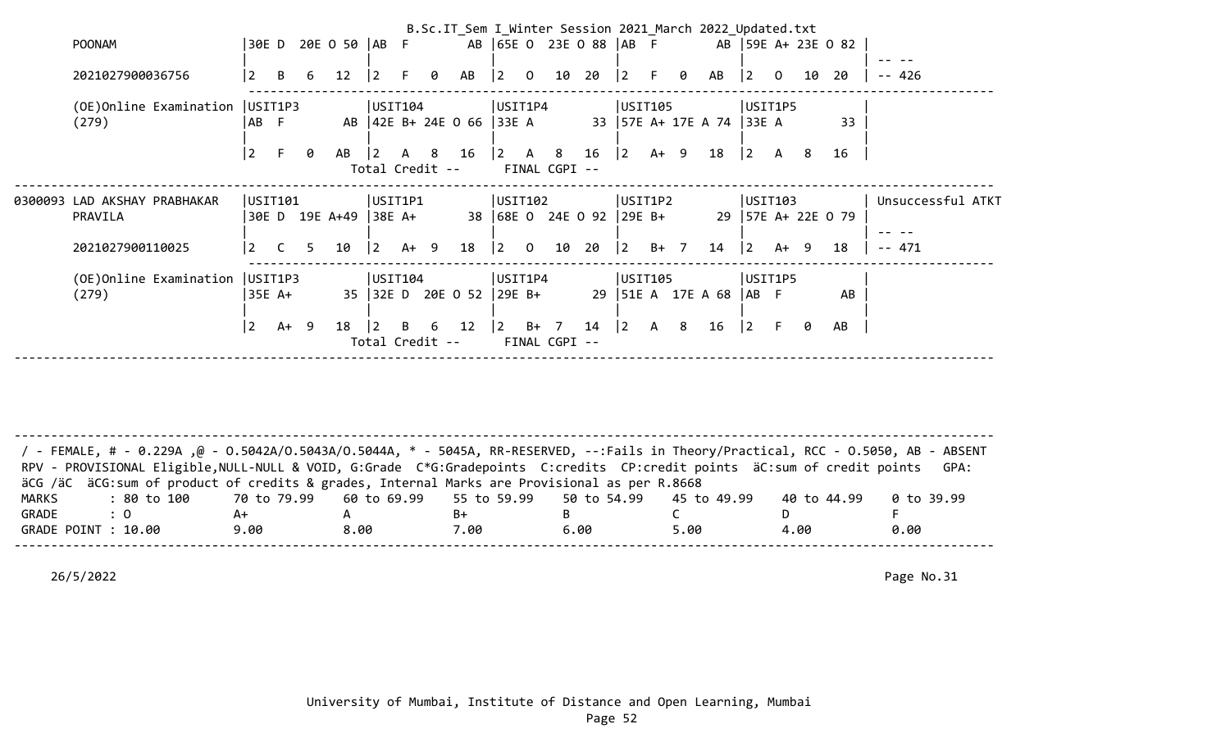|                                  |                 |           |                       |                 |      |                |                              |                                       |      |                |                          |           |              |   | B.Sc.IT_Sem I_Winter Session 2021 March 2022 Updated.txt |                |                |    |                    |                   |
|----------------------------------|-----------------|-----------|-----------------------|-----------------|------|----------------|------------------------------|---------------------------------------|------|----------------|--------------------------|-----------|--------------|---|----------------------------------------------------------|----------------|----------------|----|--------------------|-------------------|
| <b>POONAM</b>                    |                 |           | 30E D 20E O 50   AB F |                 |      |                |                              |                                       |      |                | AB 65E 0 23E 0 88 AB F   |           |              |   |                                                          |                |                |    | AB 59E A+ 23E 0 82 |                   |
|                                  |                 |           |                       |                 |      |                |                              |                                       |      |                |                          |           |              |   |                                                          |                |                |    |                    |                   |
| 2021027900036756                 | $\overline{2}$  | B<br>6    | $12 \overline{ }$     | $\overline{2}$  | F.   | 0              | AB                           | $\begin{vmatrix} 2 & 0 \end{vmatrix}$ |      | 10             | 20                       | 2         | -F.          | 0 | AB                                                       | $ 2\rangle$    | $\overline{0}$ | 10 | 20                 | $- - 426$         |
|                                  |                 |           |                       |                 |      |                |                              |                                       |      |                |                          |           |              |   |                                                          |                |                |    |                    |                   |
| (OE)Online Examination   USIT1P3 |                 |           |                       | USIT104         |      |                |                              | USIT1P4                               |      |                |                          | USIT105   |              |   |                                                          | USIT1P5        |                |    |                    |                   |
| (279)                            | AB F            |           |                       |                 |      |                | AB   42E B+ 24E 0 66   33E A |                                       |      |                |                          |           |              |   | 33   57E A+ 17E A 74   33E A                             |                |                |    | 33                 |                   |
|                                  |                 |           |                       |                 |      |                |                              |                                       |      |                |                          |           |              |   |                                                          |                |                |    |                    |                   |
|                                  | l 2.            | 0         | AB                    | 12.             | A    | 8 <sup>8</sup> | 16                           | $2 \overline{A}$                      |      | 8 <sup>2</sup> | 16                       | 2         | A+ 9         |   | 18                                                       | $ 2\rangle$    | A              | 8  | 16                 |                   |
|                                  |                 |           |                       | Total Credit -- |      |                |                              |                                       |      | FINAL CGPI --  |                          |           |              |   |                                                          |                |                |    |                    |                   |
|                                  |                 |           |                       |                 |      |                |                              |                                       |      |                |                          |           |              |   |                                                          |                |                |    |                    |                   |
| 0300093 LAD AKSHAY PRABHAKAR     | USIT101         |           |                       | USIT1P1         |      |                |                              | USIT102                               |      |                |                          | USIT1P2   |              |   |                                                          | USIT103        |                |    |                    | Unsuccessful ATKT |
| PRAVILA                          |                 |           | 30E D 19E A+49        | $ 38E A+$       |      |                |                              |                                       |      |                | 38 68E 0 24E 0 92 29E B+ |           |              |   |                                                          |                |                |    | 29 57E A+ 22E 0 79 |                   |
|                                  |                 |           |                       |                 |      |                |                              |                                       |      |                |                          |           |              |   |                                                          |                |                |    |                    |                   |
| 2021027900110025                 | $\vert 2 \vert$ | C.        | 10<br>5               | $ 2\rangle$     | A+ 9 |                | 18                           | $\begin{vmatrix} 2 & 0 \end{vmatrix}$ |      | 10 20          |                          | $\vert$ 2 | B+ 7         |   | 14                                                       | $ 2\rangle$    | A+ 9           |    | 18                 | $- - 471$         |
|                                  |                 |           |                       |                 |      |                |                              |                                       |      |                |                          |           |              |   |                                                          |                |                |    |                    |                   |
| (OE)Online Examination           | USIT1P3         |           |                       | USIT104         |      |                |                              | USIT1P4                               |      |                |                          | USIT105   |              |   |                                                          | USIT1P5        |                |    |                    |                   |
| (279)                            | 35E A+          |           |                       |                 |      |                | 35 32E D 20E O 52 29E B+     |                                       |      |                |                          |           |              |   | 29   51E A 17E A 68                                      | AB F           |                |    | AB                 |                   |
|                                  |                 |           |                       |                 |      |                |                              |                                       |      |                |                          |           |              |   |                                                          |                |                |    |                    |                   |
|                                  | $\overline{2}$  | A+<br>- 9 | 18                    |                 | B    | 6              | 12                           | <u> 2</u>                             | $B+$ | $\overline{7}$ | 14                       | $\vert$ 2 | $\mathsf{A}$ | 8 | 16                                                       | $\overline{2}$ | F.             |    | AB                 |                   |
|                                  |                 |           |                       | Total Credit -- |      |                |                              |                                       |      | FINAL CGPI --  |                          |           |              |   |                                                          |                |                |    |                    |                   |
|                                  |                 |           |                       |                 |      |                |                              |                                       |      |                |                          |           |              |   |                                                          |                |                |    |                    |                   |

-------------------------------------------------------------------------------------------------------------------------------------- / - FEMALE, # - 0.229A ,@ - O.5042A/O.5043A/O.5044A, \* - 5045A, RR-RESERVED, --:Fails in Theory/Practical, RCC - O.5050, AB - ABSENT RPV - PROVISIONAL Eligible, NULL-NULL & VOID, G:Grade C\*G:Gradepoints C:credits CP:credit points äC:sum of credit points GPA: äCG /äC äCG:sum of product of credits & grades, Internal Marks are Provisional as per R.8668 MARKS : 80 to 100 70 to 79.99 60 to 69.99 55 to 59.99 50 to 54.99 45 to 49.99 40 to 44.99 0 to 39.99 GRADE : 0 A+ A B+ B C D F GRADE POINT : 10.00 9.00 8.00 7.00 6.00 5.00 4.00 0.00 --------------------------------------------------------------------------------------------------------------------------------------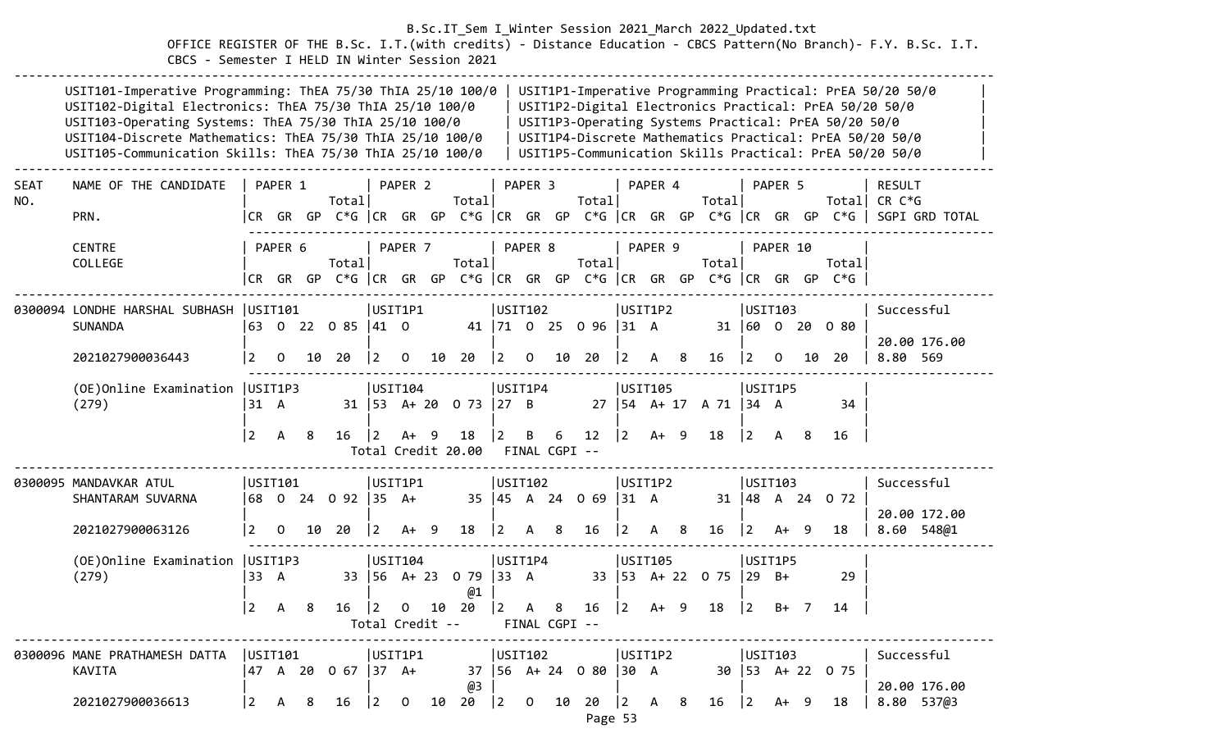OFFICE REGISTER OF THE B.Sc. I.T.(with credits) - Distance Education - CBCS Pattern(No Branch)- F.Y. B.Sc. I.T. CBCS - Semester I HELD IN Winter Session 2021

|             | USIT101-Imperative Programming: ThEA 75/30 ThIA 25/10 100/0<br>USIT102-Digital Electronics: ThEA 75/30 ThIA 25/10 100/0<br>USIT103-Operating Systems: ThEA 75/30 ThIA 25/10 100/0<br>USIT104-Discrete Mathematics: ThEA 75/30 ThIA 25/10 100/0<br>USIT105-Communication Skills: ThEA 75/30 ThIA 25/10 100/0 |                                           |                |     |                                                                   |                 |              |    |                            |             |                    |                      |                      |                |         |     |                            |                |          |        | USIT1P3-Operating Systems Practical: PrEA 50/20 50/0 | USIT1P1-Imperative Programming Practical: PrEA 50/20 50/0<br>USIT1P2-Digital Electronics Practical: PrEA 50/20 50/0<br>USIT1P4-Discrete Mathematics Practical: PrEA 50/20 50/0<br>USIT1P5-Communication Skills Practical: PrEA 50/20 50/0 |
|-------------|-------------------------------------------------------------------------------------------------------------------------------------------------------------------------------------------------------------------------------------------------------------------------------------------------------------|-------------------------------------------|----------------|-----|-------------------------------------------------------------------|-----------------|--------------|----|----------------------------|-------------|--------------------|----------------------|----------------------|----------------|---------|-----|----------------------------|----------------|----------|--------|------------------------------------------------------|-------------------------------------------------------------------------------------------------------------------------------------------------------------------------------------------------------------------------------------------|
| <b>SEAT</b> | NAME OF THE CANDIDATE                                                                                                                                                                                                                                                                                       |                                           | PAPER 1        |     |                                                                   |                 | PAPER 2      |    |                            |             | PAPER <sub>3</sub> |                      |                      |                | PAPER 4 |     |                            |                | PAPER 5  |        |                                                      | <b>RESULT</b>                                                                                                                                                                                                                             |
| NO.         |                                                                                                                                                                                                                                                                                                             |                                           |                |     | Totall                                                            |                 |              |    | Total                      |             |                    |                      | Totall               |                |         |     | Total                      |                |          |        |                                                      | Total  CR C*G                                                                                                                                                                                                                             |
|             | PRN.                                                                                                                                                                                                                                                                                                        |                                           |                |     |                                                                   |                 |              |    |                            |             |                    |                      |                      |                |         |     |                            |                |          |        |                                                      | CR GR GP C*G CR GR GP C*G CR GR GP C*G CR GR GP C*G CR GR GP C*G SGPI GRD TOTAL                                                                                                                                                           |
|             | <b>CENTRE</b>                                                                                                                                                                                                                                                                                               |                                           | PAPER 6        |     |                                                                   |                 | PAPER 7      |    |                            | PAPER 8     |                    |                      |                      |                | PAPER 9 |     |                            |                | PAPER 10 |        |                                                      |                                                                                                                                                                                                                                           |
|             | COLLEGE                                                                                                                                                                                                                                                                                                     |                                           |                |     | Totall                                                            |                 |              |    | Totall                     |             |                    |                      | Totall               |                |         |     | Total                      |                |          |        | Totall                                               |                                                                                                                                                                                                                                           |
|             |                                                                                                                                                                                                                                                                                                             |                                           |                |     | CR GR GP C*G  CR GR GP C*G  CR GR GP C*G  CR GR GP C*G  CR GR GP  |                 |              |    |                            |             |                    |                      |                      |                |         |     |                            |                |          |        | $C*G$                                                |                                                                                                                                                                                                                                           |
|             | 0300094 LONDHE HARSHAL SUBHASH   USIT101                                                                                                                                                                                                                                                                    |                                           |                |     |                                                                   |                 | USIT1P1      |    |                            | USIT102     |                    |                      |                      |                | USIT1P2 |     |                            | USIT103        |          |        |                                                      | Successful                                                                                                                                                                                                                                |
|             | <b>SUNANDA</b>                                                                                                                                                                                                                                                                                              |                                           |                |     | 63 0 22 0 85  41 0                                                |                 |              |    |                            |             |                    |                      | 41 71 0 25 0 96 31 A |                |         |     |                            |                |          |        | 31 60 0 20 0 80                                      |                                                                                                                                                                                                                                           |
|             | 2021027900036443                                                                                                                                                                                                                                                                                            | $\overline{2}$                            | $\Omega$       |     | 10 20                                                             | 2               | $\Omega$     | 10 | 20                         | 2           | $\Omega$           | 10                   | 20                   | 2              | A 8     |     | 16                         | I 2            | $\Omega$ | 10     | 20                                                   | 20.00 176.00<br>8.80 569                                                                                                                                                                                                                  |
|             |                                                                                                                                                                                                                                                                                                             |                                           |                |     |                                                                   |                 |              |    |                            |             |                    |                      |                      |                |         |     |                            |                |          |        |                                                      |                                                                                                                                                                                                                                           |
|             | (OE) Online Examination   USIT1P3                                                                                                                                                                                                                                                                           |                                           |                |     |                                                                   |                 | USIT104      |    |                            | USIT1P4     |                    |                      |                      |                | USIT105 |     |                            | USIT1P5        |          |        |                                                      |                                                                                                                                                                                                                                           |
|             | (279)                                                                                                                                                                                                                                                                                                       | 31 A                                      |                |     |                                                                   |                 |              |    | 31   53 A + 20 0 73   27 B |             |                    |                      |                      |                |         |     | 27   54 A + 17 A 71   34 A |                |          |        | 34                                                   |                                                                                                                                                                                                                                           |
|             |                                                                                                                                                                                                                                                                                                             | 2                                         | $\mathsf{A}$   | - 8 | 16                                                                | $ 2\rangle$     | $A+ 9$       |    | 18                         | 2           | B                  | 6                    | 12                   | $ 2\rangle$    | $A+ 9$  |     | 18                         | $ 2\rangle$    | A        | -8     | 16                                                   |                                                                                                                                                                                                                                           |
|             |                                                                                                                                                                                                                                                                                                             |                                           |                |     |                                                                   |                 |              |    | Total Credit 20.00         |             |                    | FINAL CGPI --        |                      |                |         |     |                            |                |          |        |                                                      |                                                                                                                                                                                                                                           |
|             | 0300095 MANDAVKAR ATUL                                                                                                                                                                                                                                                                                      | USTI01                                    |                |     |                                                                   |                 | USIT1P1      |    |                            | USTI02      |                    |                      |                      |                | USIT1P2 |     |                            | USIT103        |          |        |                                                      | Successful                                                                                                                                                                                                                                |
|             | SHANTARAM SUVARNA                                                                                                                                                                                                                                                                                           |                                           |                |     | 68 0 24 0 92 35 A+                                                |                 |              |    |                            |             |                    |                      | 35 45 A 24 0 69 31 A |                |         |     |                            |                |          |        | 31   48 A 24 0 72                                    |                                                                                                                                                                                                                                           |
|             |                                                                                                                                                                                                                                                                                                             |                                           |                |     |                                                                   |                 |              |    |                            |             |                    |                      |                      |                |         |     |                            |                |          |        |                                                      | 20.00 172.00                                                                                                                                                                                                                              |
|             | 2021027900063126                                                                                                                                                                                                                                                                                            | $\overline{2}$                            | $\overline{0}$ | 10  | -20                                                               | $\vert 2 \vert$ | $A+ 9$       |    | 18                         | $ 2\rangle$ | A                  | -8                   | 16                   | $\overline{2}$ | A       | - 8 | 16                         | $\overline{2}$ | A+       | - 9    | 18                                                   | 8.60 548@1                                                                                                                                                                                                                                |
|             | (OE) Online Examination   USIT1P3                                                                                                                                                                                                                                                                           |                                           |                |     |                                                                   |                 | USIT104      |    |                            | USIT1P4     |                    |                      |                      |                | USTI05  |     |                            | USIT1P5        |          |        |                                                      |                                                                                                                                                                                                                                           |
|             | (279)                                                                                                                                                                                                                                                                                                       | 33 A                                      |                |     |                                                                   |                 |              |    | 33   56 A+ 23 0 79   33 A  |             |                    |                      |                      |                |         |     | 33 53 A+ 22 0 75           | $ 29\rangle$   | $B+$     |        | 29                                                   |                                                                                                                                                                                                                                           |
|             |                                                                                                                                                                                                                                                                                                             |                                           |                |     |                                                                   |                 |              |    | @1                         |             |                    |                      |                      |                |         |     |                            |                |          |        |                                                      |                                                                                                                                                                                                                                           |
|             |                                                                                                                                                                                                                                                                                                             | $\overline{2}$                            | $\mathsf{A}$   | 8   | 16                                                                | $ 2\rangle$     | $\mathbf{0}$ | 10 | 20<br>Total Credit --      | $ 2\rangle$ | A                  | - 8<br>FINAL CGPI -- | 16                   | $ 2\rangle$    | $A+ 9$  |     | 18                         | $ 2\rangle$    |          | $B+$ 7 | 14                                                   |                                                                                                                                                                                                                                           |
|             |                                                                                                                                                                                                                                                                                                             |                                           |                |     |                                                                   |                 |              |    |                            |             |                    |                      |                      |                |         |     |                            |                |          |        |                                                      |                                                                                                                                                                                                                                           |
|             | 0300096 MANE PRATHAMESH DATTA                                                                                                                                                                                                                                                                               |                                           |                |     |                                                                   |                 |              |    |                            |             |                    | USIT102              |                      |                | USIT1P2 |     |                            | USIT103        |          |        |                                                      | Successful                                                                                                                                                                                                                                |
|             | KAVITA                                                                                                                                                                                                                                                                                                      |                                           |                |     | 47 A 20 O 67  37 A+ 37  56 A+24 O 80  30 A       30  53 A+22 O 75 |                 |              |    |                            |             |                    |                      |                      |                |         |     |                            |                |          |        |                                                      | 20.00 176.00                                                                                                                                                                                                                              |
|             | 2021027900036613                                                                                                                                                                                                                                                                                            | $\begin{vmatrix} 2 & A & B \end{vmatrix}$ |                |     | 16 2 0 10 20 2 0 10 20 2 A 8                                      |                 |              |    | @3                         |             |                    |                      |                      |                |         |     |                            |                |          |        | $16 \t  2 \tA+ 9 \t18$                               | 8.80 537@3                                                                                                                                                                                                                                |
|             |                                                                                                                                                                                                                                                                                                             |                                           |                |     |                                                                   |                 |              |    |                            |             |                    |                      | Page 53              |                |         |     |                            |                |          |        |                                                      |                                                                                                                                                                                                                                           |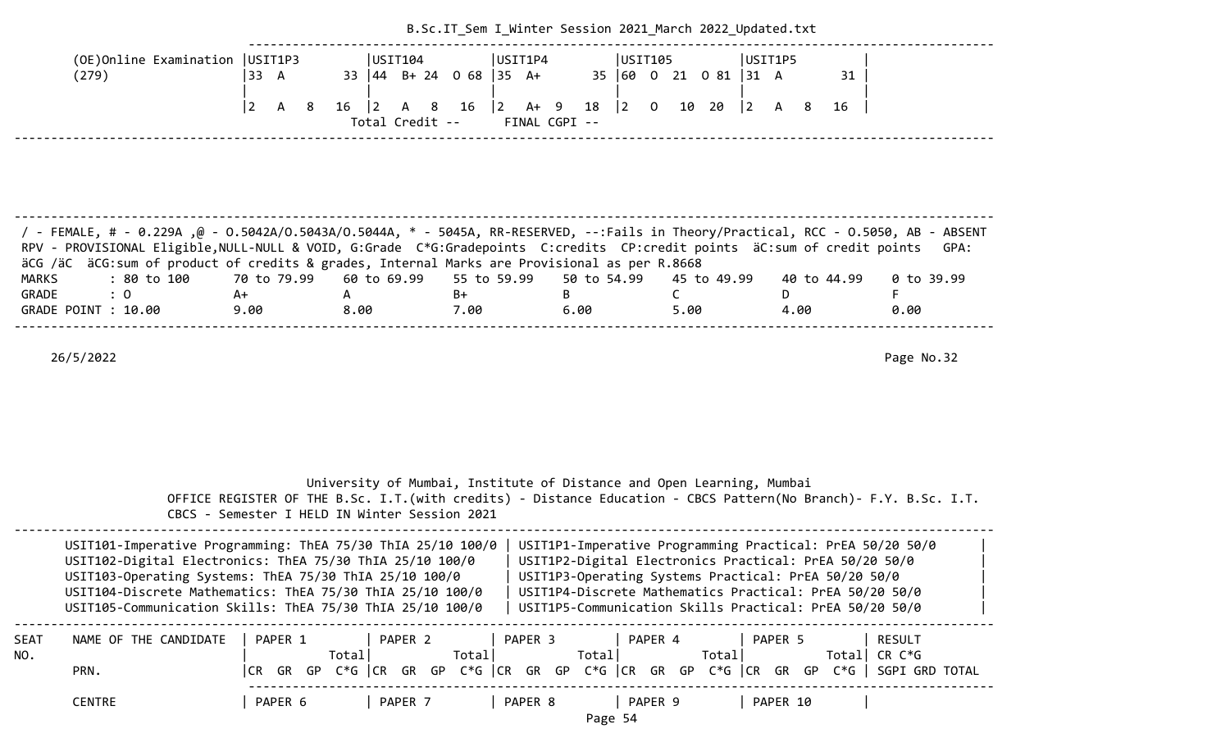|                                                                                                                                                                                                                                                                                                                                                                                               |                                        |                                               | B.Sc.IT Sem I Winter Session 2021 March 2022 Updated.txt              |                                      |                                                                                                                                                                                                                                                                                                   |                                 |
|-----------------------------------------------------------------------------------------------------------------------------------------------------------------------------------------------------------------------------------------------------------------------------------------------------------------------------------------------------------------------------------------------|----------------------------------------|-----------------------------------------------|-----------------------------------------------------------------------|--------------------------------------|---------------------------------------------------------------------------------------------------------------------------------------------------------------------------------------------------------------------------------------------------------------------------------------------------|---------------------------------|
| (OE) Online Examination   USIT1P3<br>(279)                                                                                                                                                                                                                                                                                                                                                    | 33 A                                   | USIT104<br>33 44 B+ 24 0 68 35 A+             | USIT1P4                                                               | USIT105<br>35   60<br>0 21 0 81 31 A | USIT1P5<br>31                                                                                                                                                                                                                                                                                     |                                 |
|                                                                                                                                                                                                                                                                                                                                                                                               | $\vert 2 \vert$<br>8<br>$16 \t 2$<br>A | 16<br>A 8<br>Total Credit --                  | $\begin{vmatrix} 2 & A+ & 9 \end{vmatrix}$<br>18<br>FINAL CGPI --     | $\vert$ 2<br>$0$ 10 20               | $\begin{vmatrix} 2 & A & 8 \end{vmatrix}$<br>16                                                                                                                                                                                                                                                   |                                 |
|                                                                                                                                                                                                                                                                                                                                                                                               |                                        |                                               |                                                                       |                                      |                                                                                                                                                                                                                                                                                                   |                                 |
| / FEMALE, # - 0.229A ,@ - 0.5042A/0.5043A/0.5044A, * - 5045A, RR-RESERVED, --:Fails in Theory/Practical, RCC - 0.5050, AB - ABSENT<br>RPV - PROVISIONAL Eligible, NULL-NULL & VOID, G:Grade C*G:Gradepoints C:credits CP:credit points äC:sum of credit points<br>äCG /äC äCG:sum of product of credits & grades, Internal Marks are Provisional as per R.8668<br><b>MARKS</b><br>: 80 to 100 | 70 to 79.99                            | 60 to 69.99                                   | 55 to 59.99<br>50 to 54.99                                            | 45 to 49.99                          | 40 to 44.99                                                                                                                                                                                                                                                                                       | GPA:<br>0 to 39.99              |
| GRADE<br>: 0<br>GRADE POINT : 10.00                                                                                                                                                                                                                                                                                                                                                           | A+<br>A<br>9.00<br>8.00                | $B+$<br>7.00                                  | B<br>6.00                                                             | C.<br>5.00                           | D.<br>4.00                                                                                                                                                                                                                                                                                        | F.<br>0.00                      |
| 26/5/2022                                                                                                                                                                                                                                                                                                                                                                                     |                                        | CBCS - Semester I HELD IN Winter Session 2021 | University of Mumbai, Institute of Distance and Open Learning, Mumbai |                                      | OFFICE REGISTER OF THE B.Sc. I.T. (with credits) - Distance Education - CBCS Pattern (No Branch) - F.Y. B.Sc. I.T.                                                                                                                                                                                | Page No.32                      |
| USIT101-Imperative Programming: ThEA 75/30 ThIA 25/10 100/0<br>USIT102-Digital Electronics: ThEA 75/30 ThIA 25/10 100/0<br>USIT103-Operating Systems: ThEA 75/30 ThIA 25/10 100/0<br>USIT104-Discrete Mathematics: ThEA 75/30 ThIA 25/10 100/0<br>USIT105-Communication Skills: ThEA 75/30 ThIA 25/10 100/0                                                                                   |                                        |                                               |                                                                       |                                      | USIT1P1-Imperative Programming Practical: PrEA 50/20 50/0<br>USIT1P2-Digital Electronics Practical: PrEA 50/20 50/0<br>USIT1P3-Operating Systems Practical: PrEA 50/20 50/0<br>USIT1P4-Discrete Mathematics Practical: PrEA 50/20 50/0<br>USIT1P5-Communication Skills Practical: PrEA 50/20 50/0 |                                 |
| NAME OF THE CANDIDATE<br>SEAT<br>NO.<br>PRN.                                                                                                                                                                                                                                                                                                                                                  | PAPER 1<br>Total                       | PAPER 2<br>Total                              | PAPER 3<br>Total                                                      | PAPER 4<br>Total                     | PAPER 5<br>CR GR GP C*G CR GR GP C*G CR GR GP C*G CR GR GP C*G CR GR GP C*G SGPI GRD TOTAL                                                                                                                                                                                                        | <b>RESULT</b><br>Total CR $C*G$ |
| <b>CENTRE</b>                                                                                                                                                                                                                                                                                                                                                                                 | PAPER 6                                | PAPER 7                                       | PAPER 8                                                               | PAPER 9                              | PAPER 10                                                                                                                                                                                                                                                                                          |                                 |

Page 54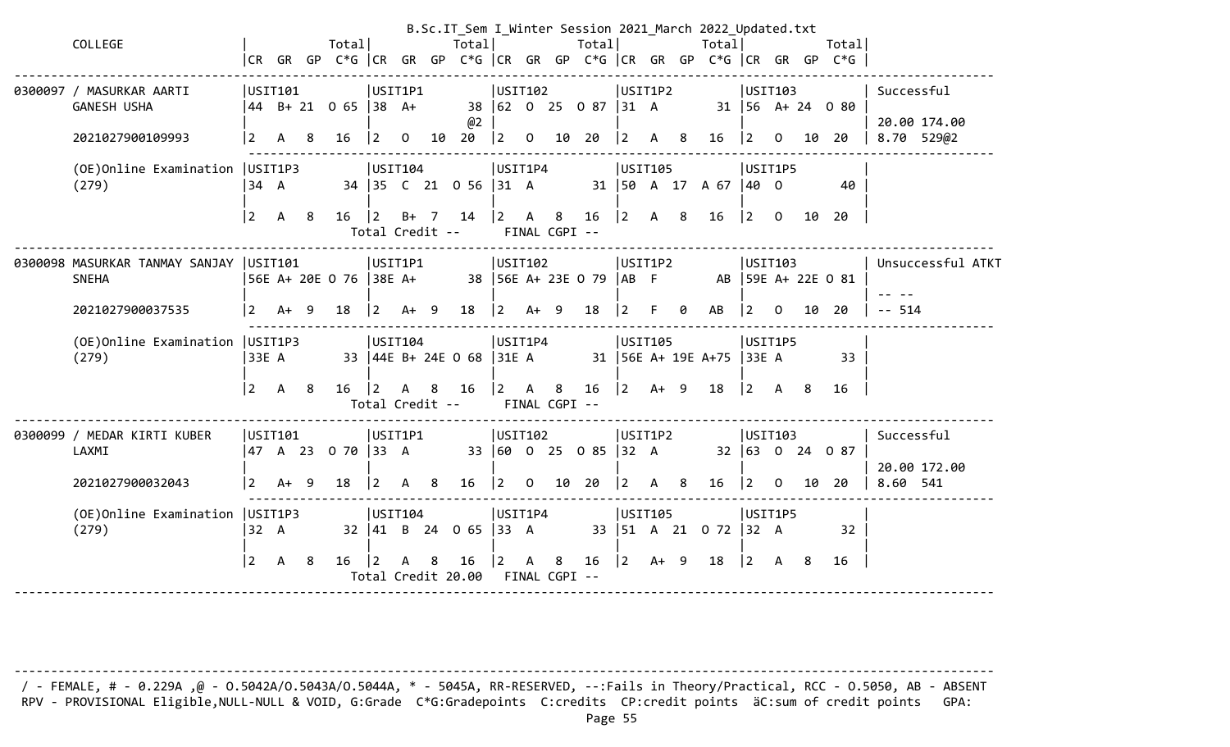|                                   |                |                |     |                                        |                 |              |                |                                                    |             |   |               |                                                 |                                            |    |   | B.Sc.IT_Sem I_Winter Session 2021_March 2022_Updated.txt      |                                       |         |    |                                                                      |            |                   |
|-----------------------------------|----------------|----------------|-----|----------------------------------------|-----------------|--------------|----------------|----------------------------------------------------|-------------|---|---------------|-------------------------------------------------|--------------------------------------------|----|---|---------------------------------------------------------------|---------------------------------------|---------|----|----------------------------------------------------------------------|------------|-------------------|
| COLLEGE                           |                |                |     | Total                                  |                 |              |                | Total                                              |             |   |               | Total                                           |                                            |    |   | Totall                                                        |                                       |         |    | Totall                                                               |            |                   |
|                                   |                |                |     |                                        |                 |              |                |                                                    |             |   |               |                                                 |                                            |    |   |                                                               |                                       |         |    | CR GR GP C*G  CR GR GP C*G  CR GR GP C*G  CR GR GP C*G  CR GR GP C*G |            |                   |
| 0300097 / MASURKAR AARTI          |                | USIT101        |     |                                        | USIT1P1         |              |                |                                                    | USIT102     |   |               |                                                 | USIT1P2                                    |    |   |                                                               | USTI103                               |         |    |                                                                      | Successful |                   |
| <b>GANESH USHA</b>                |                |                |     | 44 B+ 21 0 65 38 A+                    |                 |              |                |                                                    |             |   |               | 38 62 0 25 0 87 31 A                            |                                            |    |   |                                                               |                                       |         |    | 31   56 A + 24 0 80                                                  |            |                   |
|                                   |                |                |     |                                        |                 |              |                | @2                                                 |             |   |               |                                                 |                                            |    |   |                                                               |                                       |         |    |                                                                      |            | 20.00 174.00      |
| 2021027900109993                  | $2^{\circ}$    | A              | 8   | 16                                     | $\vert 2 \vert$ |              |                | $0$ 10 20                                          |             |   |               | $\begin{vmatrix} 2 & 0 & 10 & 20 \end{vmatrix}$ |                                            |    |   | $\begin{array}{ccccccccc} 2 & A & 8 & 16 & 2 & 0 \end{array}$ |                                       |         |    | 10 20                                                                |            | 8.70 529@2        |
| (OE) Online Examination   USIT1P3 |                |                |     |                                        | USIT104         |              |                |                                                    | USIT1P4     |   |               |                                                 | USIT105                                    |    |   |                                                               | USIT1P5                               |         |    |                                                                      |            |                   |
| (279)                             | 34 A           |                |     |                                        |                 |              |                | 34 35 C 21 0 56 31 A                               |             |   |               |                                                 |                                            |    |   | 31   50 A 17 A 67   40 O                                      |                                       |         |    | 40                                                                   |            |                   |
|                                   |                |                |     |                                        |                 |              |                |                                                    |             |   |               |                                                 |                                            |    |   |                                                               |                                       |         |    |                                                                      |            |                   |
|                                   | $\vert$ 2      | A 8            |     | $16 \quad  2$                          | Total Credit -- |              |                | B+ 7 14 2 A 8                                      |             |   | FINAL CGPI -- | $16$  2 A 8                                     |                                            |    |   | 16 2 0 10 20                                                  |                                       |         |    |                                                                      |            |                   |
|                                   |                |                |     |                                        |                 |              |                |                                                    |             |   |               |                                                 |                                            |    |   |                                                               |                                       |         |    |                                                                      |            |                   |
| 0300098 MASURKAR TANMAY SANJAY    | USIT101        |                |     |                                        | USIT1P1         |              |                |                                                    | USTI02      |   |               |                                                 | USIT1P2                                    |    |   |                                                               | USTI03                                |         |    |                                                                      |            | Unsuccessful ATKT |
| <b>SNEHA</b>                      |                |                |     | 56E A+ 20E 0 76   38E A+               |                 |              |                | 38   56E A+ 23E 0 79   AB F                        |             |   |               |                                                 |                                            |    |   |                                                               |                                       |         |    | AB 59E A+ 22E 0 81                                                   |            |                   |
|                                   |                |                |     |                                        |                 |              |                |                                                    |             |   |               |                                                 | $\vert$ 2                                  |    |   |                                                               |                                       |         |    |                                                                      |            |                   |
| 2021027900037535                  | 2              | $A+ 9$         |     | 18                                     | $ 2 \tA+ 9$     |              |                | 18                                                 |             |   | $ 2 \tA+ 9$   | 18                                              |                                            | F. | 0 | AB                                                            | $\begin{vmatrix} 2 & 0 \end{vmatrix}$ |         | 10 | 20                                                                   | $-- 514$   |                   |
| (OE) Online Examination   USIT1P3 |                |                |     |                                        | USIT104         |              |                |                                                    | USIT1P4     |   |               |                                                 | USIT105                                    |    |   |                                                               | USIT1P5                               |         |    |                                                                      |            |                   |
| (279)                             | 33E A          |                |     |                                        |                 |              |                | 33  44E B+ 24E 0 68  31E A                         |             |   |               |                                                 |                                            |    |   | 31   56E A+ 19E A+75   33E A                                  |                                       |         |    | 33                                                                   |            |                   |
|                                   |                |                |     |                                        |                 |              |                |                                                    |             |   |               |                                                 |                                            |    |   |                                                               |                                       |         |    |                                                                      |            |                   |
|                                   | $\vert$ 2      | A 8            |     |                                        |                 |              |                | 16 2 A 8 16 2 A 8<br>Total Credit -- FINAL CGPI -- |             |   |               |                                                 |                                            |    |   | 16  2 A+ 9 18  2 A 8                                          |                                       |         |    | 16                                                                   |            |                   |
|                                   |                |                |     |                                        |                 |              |                |                                                    |             |   |               |                                                 |                                            |    |   |                                                               |                                       |         |    |                                                                      |            |                   |
| 0300099 / MEDAR KIRTI KUBER       |                | USIT101        |     |                                        | USIT1P1         |              |                |                                                    | USIT102     |   |               |                                                 | USIT1P2                                    |    |   |                                                               | USTI103                               |         |    |                                                                      | Successful |                   |
| LAXMI                             |                |                |     | 47 A 23 0 70 33 A 33 60 0 25 0 85 32 A |                 |              |                |                                                    |             |   |               |                                                 |                                            |    |   |                                                               |                                       |         |    | 32 63 0 24 0 87                                                      |            |                   |
| 2021027900032043                  | $\overline{2}$ | $A+$           | - 9 | 18                                     | $ 2\rangle$     | $\mathsf{A}$ | 8 <sup>8</sup> | 16                                                 | $ 2\rangle$ |   | $0$ 10 20     |                                                 | $\begin{vmatrix} 2 & A & 8 \end{vmatrix}$  |    |   | 16                                                            | $\begin{vmatrix} 2 & 0 \end{vmatrix}$ |         | 10 | 20                                                                   | 8.60 541   | 20.00 172.00      |
|                                   |                |                |     |                                        |                 |              |                |                                                    |             |   |               |                                                 |                                            |    |   |                                                               |                                       |         |    |                                                                      |            |                   |
| (OE) Online Examination   USIT1P3 |                |                |     |                                        | USTI04          |              |                |                                                    | USIT1P4     |   |               |                                                 | USIT105                                    |    |   |                                                               |                                       | USIT1P5 |    |                                                                      |            |                   |
| (279)                             | 32 A           |                |     |                                        |                 |              |                | 32   41 B 24 0 65   33 A                           |             |   |               |                                                 |                                            |    |   | 33   51 A 21 0 72   32 A                                      |                                       |         |    | 32                                                                   |            |                   |
|                                   | 2              | $\overline{A}$ | - 8 | 16                                     | $\vert$ 2       | A            | 8              | 16                                                 | $ 2\rangle$ | А | 8             | 16                                              | $\begin{vmatrix} 2 & A+ & 9 \end{vmatrix}$ |    |   | 18   2 A 8                                                    |                                       |         |    | 16                                                                   |            |                   |
|                                   |                |                |     |                                        |                 |              |                | Total Credit 20.00                                 |             |   | FINAL CGPI -- |                                                 |                                            |    |   |                                                               |                                       |         |    |                                                                      |            |                   |
|                                   |                |                |     |                                        |                 |              |                |                                                    |             |   |               |                                                 |                                            |    |   |                                                               |                                       |         |    |                                                                      |            |                   |

-------------------------------------------------------------------------------------------------------------------------------------- / - FEMALE, # - 0.229A ,@ - O.5042A/O.5043A/O.5044A, \* - 5045A, RR-RESERVED, --:Fails in Theory/Practical, RCC - O.5050, AB - ABSENT RPV - PROVISIONAL Eligible, NULL-NULL & VOID, G:Grade C\*G:Gradepoints C:credits CP:credit points äC:sum of credit points GPA: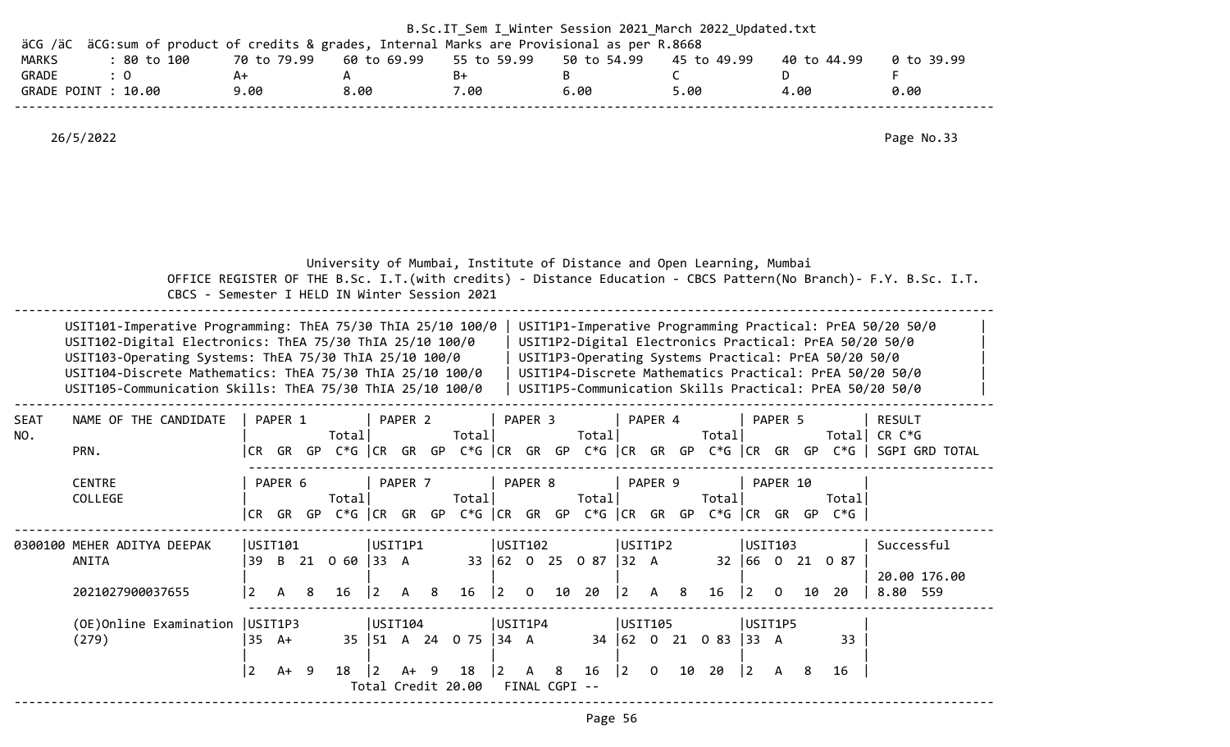| äCG /äC            | äCG: sum of product of credits & grades, Internal Marks are Provisional as per R.8668                                                                                                                                                                                                                       |                                               |               |                                          |       |             |                  | B.Sc.IT_Sem I_Winter Session 2021 March 2022 Updated.txt              |                                                                                                                                                                                                                                                                                                   |                                                                                            |
|--------------------|-------------------------------------------------------------------------------------------------------------------------------------------------------------------------------------------------------------------------------------------------------------------------------------------------------------|-----------------------------------------------|---------------|------------------------------------------|-------|-------------|------------------|-----------------------------------------------------------------------|---------------------------------------------------------------------------------------------------------------------------------------------------------------------------------------------------------------------------------------------------------------------------------------------------|--------------------------------------------------------------------------------------------|
| MARKS<br>GRADE     | : 80 to 100<br>$\therefore$ 0                                                                                                                                                                                                                                                                               | 70 to 79.99<br>A+                             | A             | 60 to 69.99                              | $B+$  | 55 to 59.99 | 50 to 54.99<br>B | 45 to 49.99<br>$\mathsf{C}$                                           | 40 to 44.99<br>D                                                                                                                                                                                                                                                                                  | 0 to 39.99                                                                                 |
|                    | GRADE POINT : 10.00                                                                                                                                                                                                                                                                                         | 9.00                                          | 8.00          |                                          | 7.00  |             | 6.00             | 5.00                                                                  | 4.00                                                                                                                                                                                                                                                                                              | 0.00                                                                                       |
|                    | 26/5/2022                                                                                                                                                                                                                                                                                                   |                                               |               |                                          |       |             |                  |                                                                       |                                                                                                                                                                                                                                                                                                   | Page No.33                                                                                 |
|                    |                                                                                                                                                                                                                                                                                                             | CBCS - Semester I HELD IN Winter Session 2021 |               |                                          |       |             |                  | University of Mumbai, Institute of Distance and Open Learning, Mumbai | OFFICE REGISTER OF THE B.Sc. I.T. (with credits) - Distance Education - CBCS Pattern (No Branch) - F.Y. B.Sc. I.T.                                                                                                                                                                                |                                                                                            |
|                    | USIT101-Imperative Programming: ThEA 75/30 ThIA 25/10 100/0<br>USIT102-Digital Electronics: ThEA 75/30 ThIA 25/10 100/0<br>USIT103-Operating Systems: ThEA 75/30 ThIA 25/10 100/0<br>USIT104-Discrete Mathematics: ThEA 75/30 ThIA 25/10 100/0<br>USIT105-Communication Skills: ThEA 75/30 ThIA 25/10 100/0 |                                               |               |                                          |       |             |                  |                                                                       | USIT1P1-Imperative Programming Practical: PrEA 50/20 50/0<br>USIT1P2-Digital Electronics Practical: PrEA 50/20 50/0<br>USIT1P3-Operating Systems Practical: PrEA 50/20 50/0<br>USIT1P4-Discrete Mathematics Practical: PrEA 50/20 50/0<br>USIT1P5-Communication Skills Practical: PrEA 50/20 50/0 |                                                                                            |
| <b>SEAT</b><br>NO. | NAME OF THE CANDIDATE                                                                                                                                                                                                                                                                                       | PAPER 1                                       | Total         | PAPER 2                                  | Total | PAPER 3     | Total            | PAPER 4                                                               | PAPER 5<br>Total                                                                                                                                                                                                                                                                                  | RESULT<br>Total CR $C*G$                                                                   |
|                    | PRN.                                                                                                                                                                                                                                                                                                        |                                               |               |                                          |       |             |                  |                                                                       |                                                                                                                                                                                                                                                                                                   | CR GR GP C*G   CR GR GP C*G   CR GR GP C*G   CR GR GP C*G   CR GR GP C*G    SGPI GRD TOTAL |
|                    | <b>CENTRE</b><br>COLLEGE                                                                                                                                                                                                                                                                                    | PAPER 6                                       | Total         | PAPER 7                                  | Total | PAPER 8     | Total            | PAPER 9                                                               | PAPER 10<br>Total<br>Total                                                                                                                                                                                                                                                                        |                                                                                            |
|                    | 0300100 MEHER ADITYA DEEPAK<br>ANITA                                                                                                                                                                                                                                                                        | USIT101<br>39 B 21 0 60 33 A                  |               | USIT1P1                                  |       | USIT102     |                  | USIT1P2<br>33 62 0 25 0 87 32 A                                       | CR GR GP C*G  CR GR GP C*G  CR GR GP C*G  CR GR GP C*G  CR GR GP C*G<br>USIT103<br>32 66 0 21 0 87                                                                                                                                                                                                | Successful                                                                                 |
|                    | 2021027900037655                                                                                                                                                                                                                                                                                            | 2 <br>A<br>8                                  |               | 16   2 A 8 16   2 0 10 20                |       |             |                  | $\begin{vmatrix} 2 & A & 8 \end{vmatrix}$                             | 16   2 0<br>10 20                                                                                                                                                                                                                                                                                 | 20.00 176.00<br>8.80 559                                                                   |
|                    | (OE)Online Examination   USIT1P3<br>(279)                                                                                                                                                                                                                                                                   | $35 \tA+$                                     |               | USIT104                                  |       | USIT1P4     |                  | USIT105<br>35   51 A 24 O 75   34 A 34   62 O 21 O 83   33 A          | USIT1P5<br>33                                                                                                                                                                                                                                                                                     |                                                                                            |
|                    |                                                                                                                                                                                                                                                                                                             | $\vert 2 \vert$<br>A+ 9                       | $18 \quad  2$ | A+ 9<br>Total Credit 20.00 FINAL CGPI -- | 18    | $ 2\rangle$ | 16<br>A 8        | $ 2\rangle$<br>10 20<br>$\overline{0}$                                | $ 2\rangle$<br>A 8<br>16                                                                                                                                                                                                                                                                          |                                                                                            |

--------------------------------------------------------------------------------------------------------------------------------------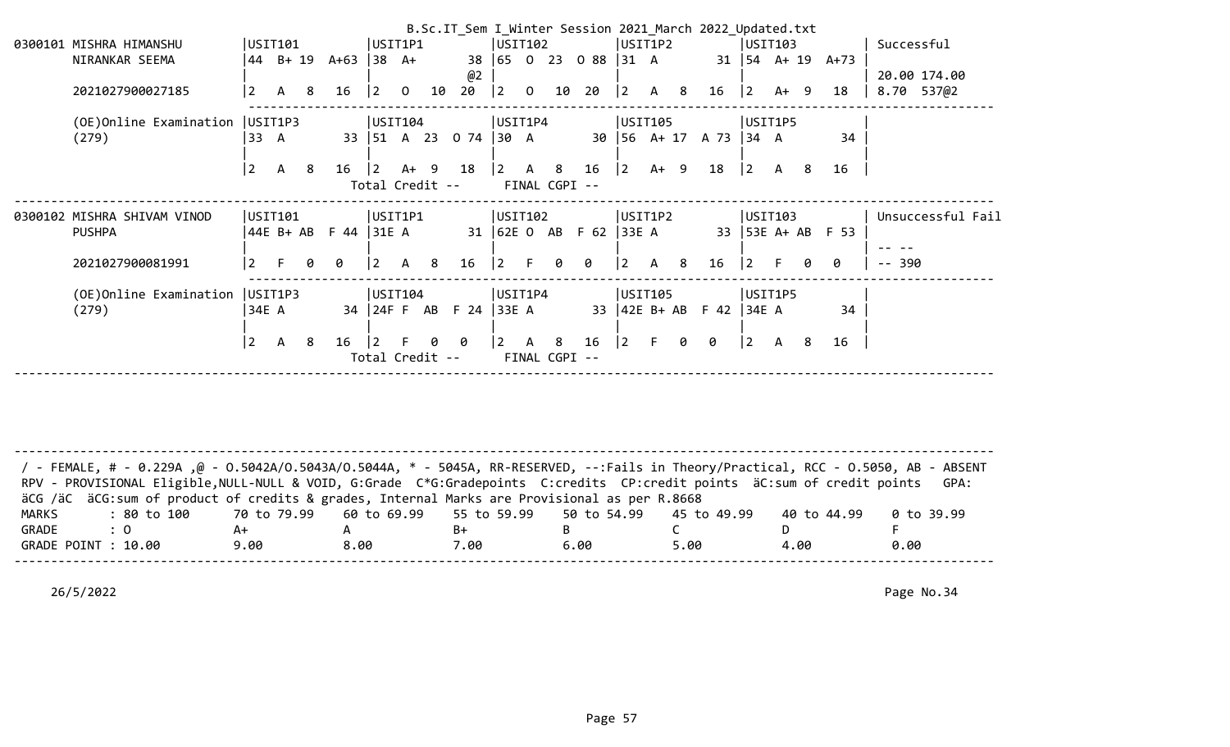|                                  |                 |                  |    |              |                |                |                      |                          |                 |                |                     |                  |                           |              |     | B.Sc.IT Sem I Winter Session 2021 March 2022 Updated.txt |             |                              |     |                     |            |                   |
|----------------------------------|-----------------|------------------|----|--------------|----------------|----------------|----------------------|--------------------------|-----------------|----------------|---------------------|------------------|---------------------------|--------------|-----|----------------------------------------------------------|-------------|------------------------------|-----|---------------------|------------|-------------------|
| 0300101 MISHRA HIMANSHU          |                 | USIT101          |    |              | USIT1P1        |                |                      |                          | USIT102         |                |                     |                  |                           | USIT1P2      |     |                                                          |             | USIT103                      |     |                     | Successful |                   |
| NIRANKAR SEEMA                   |                 | $ 44 \t B+19 \t$ |    | A+63         | $ 38 \tA+$     |                |                      | 38                       |                 |                |                     | 65 0 23 0 88     | $ 31 \tA$                 |              |     |                                                          |             | $31 \mid 54 \quad A+19 \mid$ |     | A+73                |            |                   |
|                                  |                 |                  |    |              |                |                |                      | @2                       |                 |                |                     |                  |                           |              |     |                                                          |             |                              |     |                     |            | 20.00 174.00      |
| 2021027900027185                 | $\overline{2}$  | $\mathsf{A}$     | -8 | 16           | $ 2\rangle$    | $\overline{0}$ | 10                   | 20                       | $ 2\rangle$     | $\overline{0}$ | 10                  | 20               | $ 2\rangle$               | $\mathsf{A}$ | -8  | 16                                                       | $ 2\rangle$ | $A+ 9$                       |     | 18                  |            | 8.70 537@2        |
| (OE)Online Examination   USIT1P3 |                 |                  |    |              | USIT104        |                |                      |                          | USIT1P4         |                |                     |                  |                           | USIT105      |     |                                                          |             | USIT1P5                      |     |                     |            |                   |
| (279)                            | 33 A            |                  |    |              |                |                |                      | 33   51 A 23 0 74   30 A |                 |                |                     |                  | $30 \mid 56 \quad A + 17$ |              |     | A 73 34 A                                                |             |                              |     | 34                  |            |                   |
|                                  | $\overline{2}$  | $\mathsf{A}$     | -8 | 16           | $\overline{2}$ | A+ 9           |                      | 18                       | l 2             | A              | 8                   | 16               | 2                         | $A+ 9$       |     | 18                                                       | $\vert$ 2   | A                            | - 8 | 16                  |            |                   |
|                                  |                 |                  |    |              |                |                | Total Credit --      |                          |                 |                | FINAL CGPI --       |                  |                           |              |     |                                                          |             |                              |     |                     |            |                   |
|                                  |                 |                  |    |              |                |                |                      |                          |                 |                |                     |                  |                           |              |     |                                                          |             |                              |     |                     |            |                   |
| 0300102 MISHRA SHIVAM VINOD      |                 | USIT101          |    |              | UST1P1         |                |                      |                          | USIT102         |                |                     |                  | USIT1P2                   |              |     |                                                          |             | USIT103                      |     |                     |            | Unsuccessful Fail |
| <b>PUSHPA</b>                    |                 | $44E B+AB$       |    | F 44   31E A |                |                |                      |                          |                 |                |                     | 31 62E 0 AB F 62 | 33E A                     |              |     |                                                          |             |                              |     | 33   53E A+ AB F 53 |            |                   |
| 2021027900081991                 | $\overline{2}$  | F.               | 0  | 0            | $\vert$ 2      | $\mathsf{A}$   | - 8                  | 16                       | 2               | F.             | 0                   | 0                | 2                         | $\mathsf{A}$ | - 8 | 16                                                       | $ 2\rangle$ |                              | Ø.  | 0                   | $- - 390$  |                   |
|                                  |                 |                  |    |              |                |                |                      |                          |                 |                |                     |                  |                           |              |     |                                                          |             |                              |     |                     |            |                   |
| (OE)Online Examination           |                 | USIT1P3          |    |              | USTI04         |                |                      |                          | USIT1P4         |                |                     |                  |                           | USIT105      |     |                                                          |             | USIT1P5                      |     |                     |            |                   |
| (279)                            | 34E A           |                  |    |              |                |                |                      | 34 24F F AB F 24         | 33E A           |                |                     |                  | $33 \mid 42E B + AB$      |              |     | $F$ 42 34E A                                             |             |                              |     | 34                  |            |                   |
|                                  | $\vert 2 \vert$ | A                | 8  | 16           |                |                | Ø<br>Total Credit -- | 0                        | $\vert 2 \vert$ | A              | -8<br>FINAL CGPI -- | 16               | 2                         | F.           | 0   | 0                                                        | $ 2\rangle$ | A                            | 8   | 16                  |            |                   |

-------------------------------------------------------------------------------------------------------------------------------------- / - FEMALE, # - 0.229A ,@ - O.5042A/O.5043A/O.5044A, \* - 5045A, RR-RESERVED, --:Fails in Theory/Practical, RCC - O.5050, AB - ABSENT RPV - PROVISIONAL Eligible, NULL-NULL & VOID, G:Grade C\*G:Gradepoints C:credits CP:credit points äC:sum of credit points GPA: äCG /äC äCG:sum of product of credits & grades, Internal Marks are Provisional as per R.8668 MARKS : 80 to 100 70 to 79.99 60 to 69.99 55 to 59.99 50 to 54.99 45 to 49.99 40 to 44.99 0 to 39.99 GRADE : 0 A+ A B+ B C D F GRADE POINT : 10.00 9.00 8.00 7.00 6.00 5.00 4.00 0.00 --------------------------------------------------------------------------------------------------------------------------------------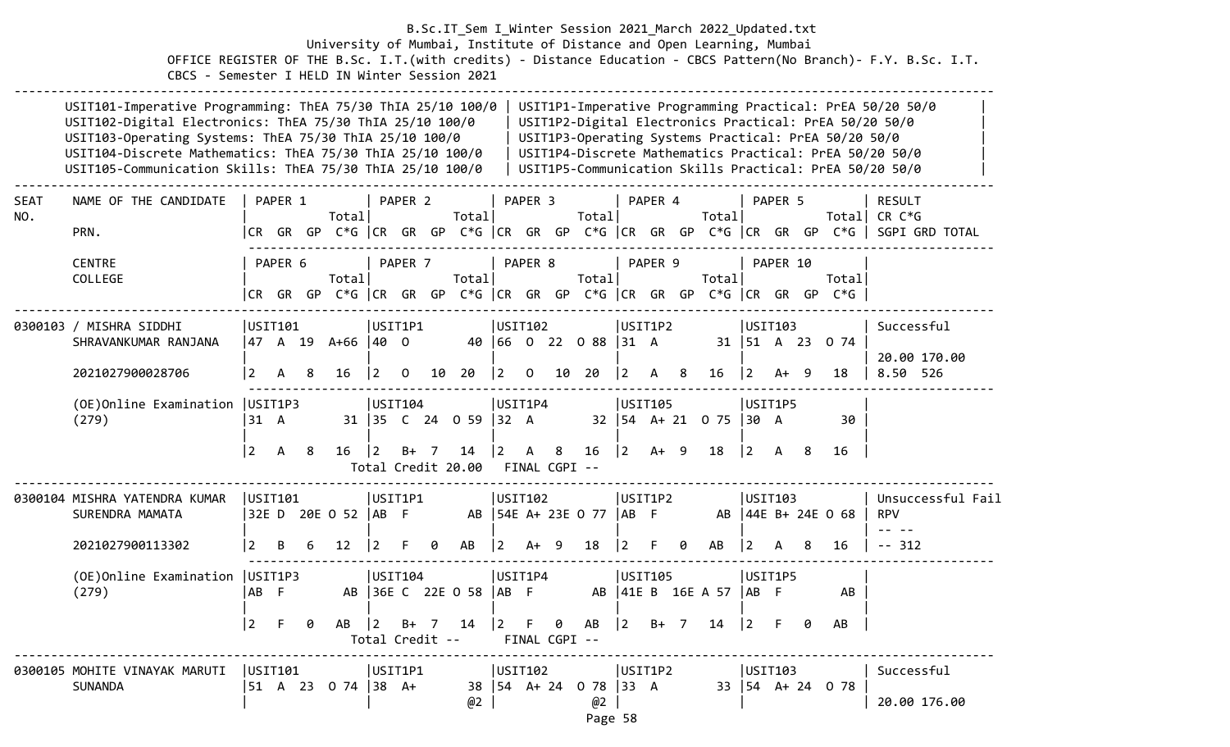#### B.Sc.IT\_Sem I\_Winter Session 2021\_March 2022\_Updated.txt University of Mumbai, Institute of Distance and Open Learning, Mumbai OFFICE REGISTER OF THE B.Sc. I.T.(with credits) - Distance Education - CBCS Pattern(No Branch)- F.Y. B.Sc. I.T. CBCS - Semester I HELD IN Winter Session 2021

|                    | USIT101-Imperative Programming: ThEA 75/30 ThIA 25/10 100/0<br>USIT102-Digital Electronics: ThEA 75/30 ThIA 25/10 100/0<br>USIT103-Operating Systems: ThEA 75/30 ThIA 25/10 100/0<br>USIT104-Discrete Mathematics: ThEA 75/30 ThIA 25/10 100/0<br>USIT105-Communication Skills: ThEA 75/30 ThIA 25/10 100/0 |                |         |         |                                                                             |                                |                    |        |                          |                             |                    |                    |                            |             |              |   |                                            |                |                     |     | USIT1P3-Operating Systems Practical: PrEA 50/20 50/0                 | USIT1P1-Imperative Programming Practical: PrEA 50/20 50/0<br>USIT1P2-Digital Electronics Practical: PrEA 50/20 50/0<br>USIT1P4-Discrete Mathematics Practical: PrEA 50/20 50/0<br>USIT1P5-Communication Skills Practical: PrEA 50/20 50/0 |
|--------------------|-------------------------------------------------------------------------------------------------------------------------------------------------------------------------------------------------------------------------------------------------------------------------------------------------------------|----------------|---------|---------|-----------------------------------------------------------------------------|--------------------------------|--------------------|--------|--------------------------|-----------------------------|--------------------|--------------------|----------------------------|-------------|--------------|---|--------------------------------------------|----------------|---------------------|-----|----------------------------------------------------------------------|-------------------------------------------------------------------------------------------------------------------------------------------------------------------------------------------------------------------------------------------|
| <b>SEAT</b><br>NO. | NAME OF THE CANDIDATE<br>PRN.                                                                                                                                                                                                                                                                               |                | PAPER 1 |         | Totall                                                                      |                                | PAPER <sub>2</sub> |        | Total                    |                             | PAPER <sub>3</sub> |                    | Totall                     |             | PAPER 4      |   | Total                                      |                | PAPER 5             |     | CR GR GP C*G  CR GR GP C*G  CR GR GP C*G  CR GR GP C*G  CR GR GP C*G | <b>RESULT</b><br>Total  CR C*G<br>SGPI GRD TOTAL                                                                                                                                                                                          |
|                    | <b>CENTRE</b><br>COLLEGE                                                                                                                                                                                                                                                                                    |                | PAPER 6 |         | Totall<br> CR GR GP C*G  CR GR GP C*G  CR GR GP C*G  CR GR GP C*G  CR GR GP |                                | PAPER 7            |        | Total                    |                             | PAPER 8            |                    | Totall                     |             | PAPER 9      |   | Total                                      |                | PAPER 10            |     | Totall<br>$C*G$                                                      |                                                                                                                                                                                                                                           |
|                    | 0300103 / MISHRA SIDDHI<br>SHRAVANKUMAR RANJANA<br>2021027900028706                                                                                                                                                                                                                                         | USIT101<br>2   | A       | 8       | 47 A 19 A+66 40 O<br>16                                                     | USIT1P1<br>$\overline{2}$      | $\mathbf 0$        | 10     | 20                       | USIT102<br>$\boxed{2}$      | $\mathbf{O}$       | 10                 | 40 66 0 22 0 88 31 A<br>20 | <u> 2</u>   | USIT1P2<br>A | 8 | 16                                         | $\overline{2}$ | USIT103<br>A+       | - 9 | 31   51 A 23 0 74<br>18                                              | Successful<br>20.00 170.00<br>8.50 526                                                                                                                                                                                                    |
|                    | (OE) Online Examination   USIT1P3<br>(279)                                                                                                                                                                                                                                                                  | 31 A           |         |         |                                                                             | USTI04                         |                    |        | 31 35 C 24 0 59          | USIT1P4<br>$ 32 \ \text{A}$ |                    |                    |                            |             | USIT105      |   | $32 \mid 54 \quad A + 21 \quad 0 \quad 75$ | 30 A           | USIT1P5             |     | 30                                                                   |                                                                                                                                                                                                                                           |
|                    |                                                                                                                                                                                                                                                                                                             | $\overline{2}$ | A       | 8       | 16                                                                          | $ 2\rangle$                    |                    | $B+ 7$ | 14<br>Total Credit 20.00 | $\vert$ 2                   | A                  | 8<br>FINAL CGPI -- | 16                         | $ 2\rangle$ | $A+ 9$       |   | 18                                         | $2^{\circ}$    | A                   | 8   | 16                                                                   |                                                                                                                                                                                                                                           |
|                    | 0300104 MISHRA YATENDRA KUMAR<br>SURENDRA MAMATA                                                                                                                                                                                                                                                            | USTI01         |         |         | 32E D 20E O 52   AB F                                                       | USIT1P1                        |                    |        | AB                       | USIT102                     |                    |                    | 54E A+ 23E 0 77            | IAB F       | USIT1P2      |   |                                            |                | USIT103             |     | AB   44E B+ 24E 0 68                                                 | Unsuccessful Fail<br><b>RPV</b><br>$\frac{1}{2} \left( \frac{1}{2} \right) = \frac{1}{2} \left( \frac{1}{2} \right)$                                                                                                                      |
|                    | 2021027900113302                                                                                                                                                                                                                                                                                            | 2              | В       |         | 12                                                                          |                                |                    | 0      | AB                       | $\overline{2}$              | A+                 | 9                  | 18                         |             |              | 0 | AB                                         | 2              |                     | 8   | 16                                                                   | $-- 312$                                                                                                                                                                                                                                  |
|                    | (OE) Online Examination   USIT1P3<br>(279)                                                                                                                                                                                                                                                                  | AB F           |         |         |                                                                             | USTI04                         |                    |        | AB 36E C 22E 0 58        | USIT1P4<br> AB F            |                    |                    |                            |             | USIT105      |   | AB   41E B 16E A 57                        | AB F           | USIT1P5             |     | AB                                                                   |                                                                                                                                                                                                                                           |
|                    |                                                                                                                                                                                                                                                                                                             | $\overline{2}$ | F.      | 0       | AB                                                                          | $ 2\rangle$<br>Total Credit -- | $B+$               | 7      | 14                       | $\vert$ 2                   | F                  | 0<br>FINAL CGPI -- | AB                         | $ 2\rangle$ | $B+ 7$       |   | 14                                         | $\overline{2}$ | .F                  | 0   | AB                                                                   |                                                                                                                                                                                                                                           |
|                    | 0300105 MOHITE VINAYAK MARUTI<br><b>SUNANDA</b>                                                                                                                                                                                                                                                             | USIT101        |         | 51 A 23 | $0.74$ 38 A+                                                                | USIT1P1                        |                    |        | 38<br>@2                 | USIT102                     |                    | $154$ A+ 24        | 0 78<br>@2                 | 133 A       | USIT1P2      |   | 33 I                                       |                | USIT103<br>54 A+ 24 |     | 0 78                                                                 | Successful<br>20.00 176.00                                                                                                                                                                                                                |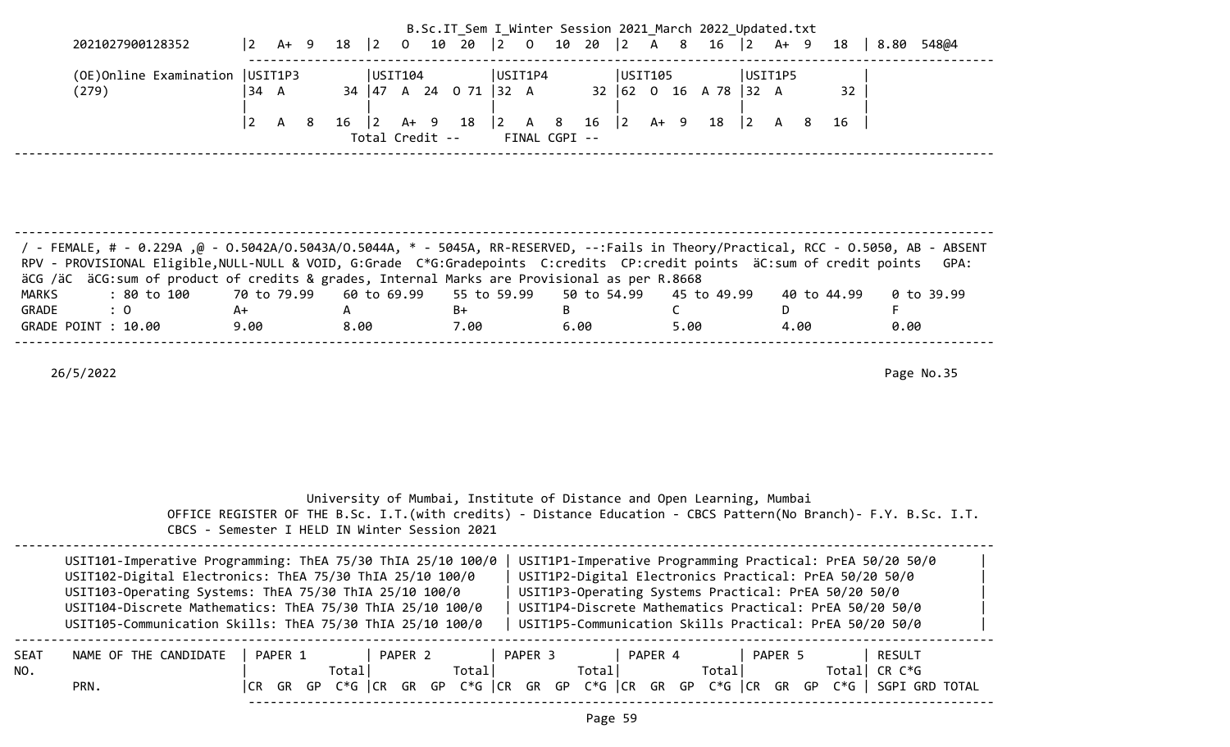|                       |                                                                                                                                                                                                                                                                                                                                                                         |                    |      |           |                                                                       |  | B.Sc.IT_Sem I_Winter Session 2021 March 2022 Updated.txt |                    |                                                                      |                      |             |         |                        |             |                                                                                                                                                                              |            |
|-----------------------|-------------------------------------------------------------------------------------------------------------------------------------------------------------------------------------------------------------------------------------------------------------------------------------------------------------------------------------------------------------------------|--------------------|------|-----------|-----------------------------------------------------------------------|--|----------------------------------------------------------|--------------------|----------------------------------------------------------------------|----------------------|-------------|---------|------------------------|-------------|------------------------------------------------------------------------------------------------------------------------------------------------------------------------------|------------|
|                       | 2021027900128352                                                                                                                                                                                                                                                                                                                                                        | $ 2 \rangle$       | A+ 9 |           | 18   2 0 10 20   2 0 10 20   2 A 8 16   2 A + 9                       |  |                                                          |                    |                                                                      |                      |             |         |                        |             | 18   8.80 548@4                                                                                                                                                              |            |
|                       | (OE) Online Examination   USIT1P3<br>(279)                                                                                                                                                                                                                                                                                                                              | 34 A               |      |           | $ $ USIT104<br>34   47 A 24 0 71   32 A                               |  | USIT1P4                                                  |                    | USIT105<br>$32 \mid 62 \mid 0 \mid 16 \mid A \mid 78 \mid 32 \mid A$ |                      |             | USIT1P5 |                        | 32          |                                                                                                                                                                              |            |
|                       |                                                                                                                                                                                                                                                                                                                                                                         | 2 <br>$\mathsf{A}$ | 8    | $16 \t 2$ | Total Credit -- FINAL CGPI --                                         |  | A+ 9 18  2 A 8 16  2 A+ 9 18  2 A 8                      |                    |                                                                      |                      |             |         |                        | 16          |                                                                                                                                                                              |            |
|                       |                                                                                                                                                                                                                                                                                                                                                                         |                    |      |           |                                                                       |  |                                                          |                    |                                                                      |                      |             |         |                        |             |                                                                                                                                                                              |            |
|                       |                                                                                                                                                                                                                                                                                                                                                                         |                    |      |           |                                                                       |  |                                                          |                    |                                                                      |                      |             |         |                        |             |                                                                                                                                                                              |            |
|                       | 7 - FEMALE, # - 0.229Α ,@ - 0.5042Α/Ο.5043Α/Ο.5044Α, * - 5045Α, RR-RESERVED, --:Fails in Theory/Practical, RCC - 0.5050, AB - ABSENT<br>RPV - PROVISIONAL Eligible, NULL-NULL & VOID, G:Grade C*G:Gradepoints C:credits CP:credit points äC:sum of credit points<br>äCG /äC äCG:sum of product of credits & grades, Internal Marks are Provisional as per R.8668        |                    |      |           |                                                                       |  |                                                          |                    |                                                                      |                      |             |         |                        |             |                                                                                                                                                                              | GPA:       |
| <b>MARKS</b><br>GRADE | $\therefore$ 0<br>GRADE POINT : 10.00                                                                                                                                                                                                                                                                                                                                   | $A+$<br>9.00       |      | A<br>8.00 |                                                                       |  | $B+$<br>7.00                                             | <b>B B</b><br>6.00 | 50 to 54.99                                                          | $\mathsf{C}$<br>5.00 | 45 to 49.99 |         | D <sub>D</sub><br>4.00 | 40 to 44.99 | F.<br>0.00                                                                                                                                                                   | 0 to 39.99 |
|                       | 26/5/2022                                                                                                                                                                                                                                                                                                                                                               |                    |      |           |                                                                       |  |                                                          |                    |                                                                      |                      |             |         |                        |             |                                                                                                                                                                              | Page No.35 |
|                       |                                                                                                                                                                                                                                                                                                                                                                         |                    |      |           |                                                                       |  |                                                          |                    |                                                                      |                      |             |         |                        |             |                                                                                                                                                                              |            |
|                       |                                                                                                                                                                                                                                                                                                                                                                         |                    |      |           |                                                                       |  |                                                          |                    |                                                                      |                      |             |         |                        |             |                                                                                                                                                                              |            |
|                       |                                                                                                                                                                                                                                                                                                                                                                         |                    |      |           |                                                                       |  |                                                          |                    |                                                                      |                      |             |         |                        |             |                                                                                                                                                                              |            |
|                       | OFFICE REGISTER OF THE B.Sc. I.T. (with credits) - Distance Education - CBCS Pattern (No Branch) - F.Y. B.Sc. I.T.<br>CBCS - Semester I HELD IN Winter Session 2021                                                                                                                                                                                                     |                    |      |           | University of Mumbai, Institute of Distance and Open Learning, Mumbai |  |                                                          |                    |                                                                      |                      |             |         |                        |             |                                                                                                                                                                              |            |
|                       | USIT101-Imperative Programming: ThEA 75/30 ThIA 25/10 100/0   USIT1P1-Imperative Programming Practical: PrEA 50/20 50/0<br>USIT102-Digital Electronics: ThEA 75/30 ThIA 25/10 100/0<br>USIT103-Operating Systems: ThEA 75/30 ThIA 25/10 100/0<br>USIT104-Discrete Mathematics: ThEA 75/30 ThIA 25/10 100/0<br>USIT105-Communication Skills: ThEA 75/30 ThIA 25/10 100/0 |                    |      |           |                                                                       |  |                                                          |                    | USIT1P3-Operating Systems Practical: PrEA 50/20 50/0                 |                      |             |         |                        |             | USIT1P2-Digital Electronics Practical: PrEA 50/20 50/0<br>USIT1P4-Discrete Mathematics Practical: PrEA 50/20 50/0<br>USIT1P5-Communication Skills Practical: PrEA 50/20 50/0 |            |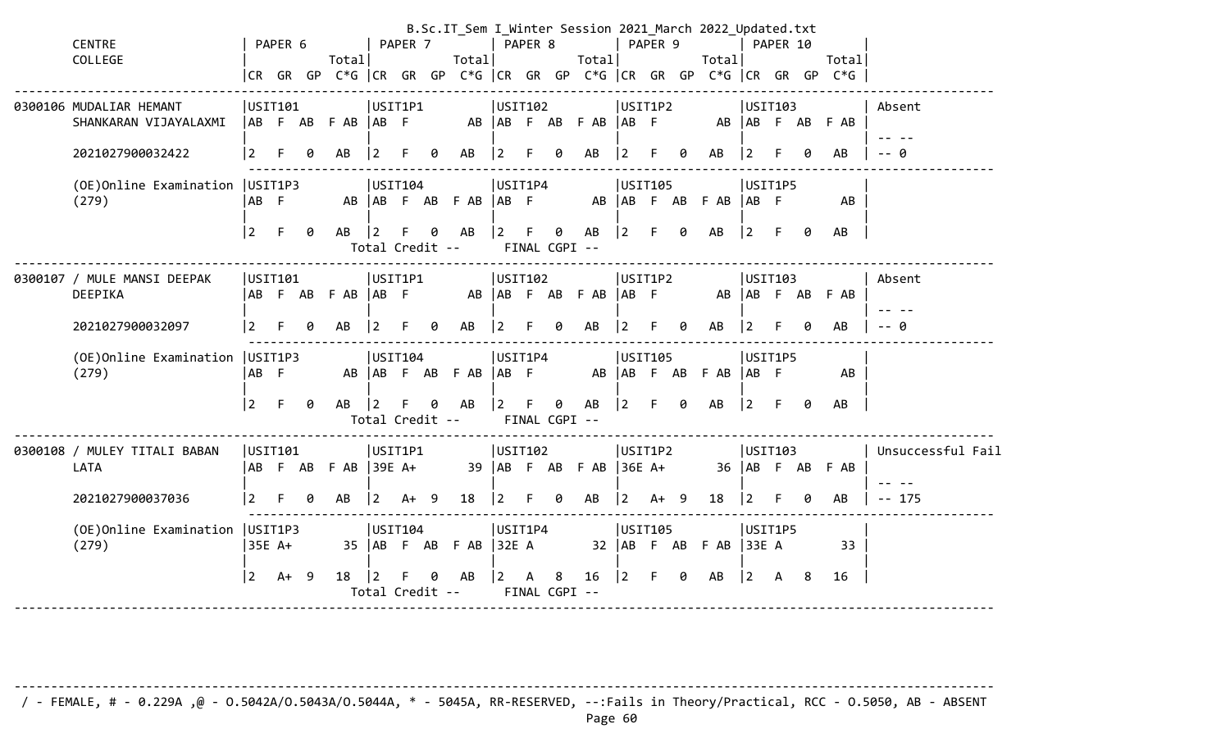| <b>CENTRE</b><br>COLLEGE                         |                  | PAPER 6 |    | Total                   |                      | PAPER 7 |   | Total                |                   | PAPER 8 |   | B.Sc.IT_Sem I_Winter Session 2021_March 2022_Updated.txt<br>Total |                      | PAPER 9 |   | Total                |                   | PAPER 10 |     | Total                                                                |                   |
|--------------------------------------------------|------------------|---------|----|-------------------------|----------------------|---------|---|----------------------|-------------------|---------|---|-------------------------------------------------------------------|----------------------|---------|---|----------------------|-------------------|----------|-----|----------------------------------------------------------------------|-------------------|
|                                                  |                  |         |    |                         |                      |         |   |                      |                   |         |   |                                                                   |                      |         |   |                      |                   |          |     | CR GR GP C*G  CR GR GP C*G  CR GR GP C*G  CR GR GP C*G  CR GR GP C*G |                   |
| 0300106 MUDALIAR HEMANT<br>SHANKARAN VIJAYALAXMI | USIT101          |         |    | AB F AB F AB AB F       |                      | USIT1P1 |   |                      | USIT102           |         |   | AB AB F AB F AB AB F                                              | USIT1P2              |         |   |                      | USIT103           |          |     | AB AB F AB F AB                                                      | Absent            |
| 2021027900032422                                 | $\vert$ 2        |         | 0  | AB                      | $ 2\rangle$          |         | 0 | AB                   | $ 2\rangle$       | F.      | 0 | AB                                                                | $\overline{2}$       | F       | 0 | AB                   | $\vert$ 2         |          |     | AB                                                                   | $-$ 0             |
| (OE)Online Examination<br>(279)                  | USIT1P3<br>AB F  |         |    |                         | USIT104              |         |   | AB AB F AB F AB AB F | USIT1P4           |         |   |                                                                   | USIT105              |         |   | AB AB F AB F AB AB F | USIT1P5           |          |     | AB                                                                   |                   |
|                                                  | $\vert 2 \vert$  | F.      | -0 | AB                      | 2<br>Total Credit -- |         | 0 | AB                   | $\vert$ 2         | F       | 0 | AB<br>FINAL CGPI --                                               | $\overline{2}$       | F       | 0 | AB                   | $ 2\rangle$       | - F      | 0   | AB                                                                   |                   |
| 0300107 / MULE MANSI DEEPAK<br>DEEPIKA           | USIT101          |         |    | AB F AB F AB AB F       | USIT1P1              |         |   |                      | USIT102           |         |   | AB AB F AB F AB AB F                                              | USIT1P2              |         |   |                      | USIT103           |          |     | AB AB F AB F AB                                                      | Absent            |
| 2021027900032097                                 | $\overline{2}$   |         | g  | AB                      |                      |         |   | AB                   | $\overline{2}$    |         |   | AB                                                                |                      |         |   | AB                   | 2                 |          |     | AB                                                                   | - A               |
| (OE)Online Examination<br>(279)                  | USIT1P3<br>│AB F |         |    |                         | USIT104              |         |   | AB AB F AB F AB      | USIT1P4<br>AB F   |         |   |                                                                   | USIT105              |         |   | AB AB F AB F AB AB F | USIT1P5           |          |     | AB                                                                   |                   |
|                                                  | $ 2\rangle$      | $F =$   | 0  | AB                      | Total Credit --      |         | 0 | AB                   | $\vert 2 \vert$   |         | 0 | AB<br>FINAL CGPI --                                               | $ 2\rangle$          | F.      | 0 | AB                   | $ 2\rangle$       | -F.      | 0   | AB                                                                   |                   |
| 0300108 / MULEY TITALI BABAN<br>LATA             | USTI01           |         |    | $AB$ F AB F AB $39E$ A+ | USIT1P1              |         |   |                      | USIT102           |         |   | 39 AB F AB F AB                                                   | USIT1P2<br>$ 36E$ A+ |         |   |                      | USTI03            |          |     | 36 AB F AB F AB                                                      | Unsuccessful Fail |
| 2021027900037036                                 | 2                |         | g  | AB                      | 2                    | $A+ 9$  |   | 18                   | 2                 |         | 0 | AB                                                                | $\overline{2}$       | $A+ 9$  |   | 18                   | $\overline{2}$    |          | Ø.  | AB                                                                   | $-- 175$          |
| (OE) Online Examination   USIT1P3<br>(279)       | 35E A+           |         |    |                         | USIT104              |         |   | 35   AB F AB F AB    | USIT1P4<br> 32E A |         |   |                                                                   | USIT105              |         |   | $32$ $AB$ F AB F AB  | USIT1P5<br> 33E A |          |     | 33                                                                   |                   |
|                                                  | $ 2\rangle$      | $A+ 9$  |    | 18                      | 2<br>Total Credit -- |         |   | AB                   | $\overline{2}$    | А       | 8 | 16<br>FINAL CGPI --                                               | 2                    | F.      | 0 | AB                   | $ 2\rangle$       | A        | - 8 | 16                                                                   |                   |

-------------------------------------------------------------------------------------------------------------------------------------- / - FEMALE, # - 0.229A ,@ - O.5042A/O.5043A/O.5044A, \* - 5045A, RR-RESERVED, --:Fails in Theory/Practical, RCC - O.5050, AB - ABSENT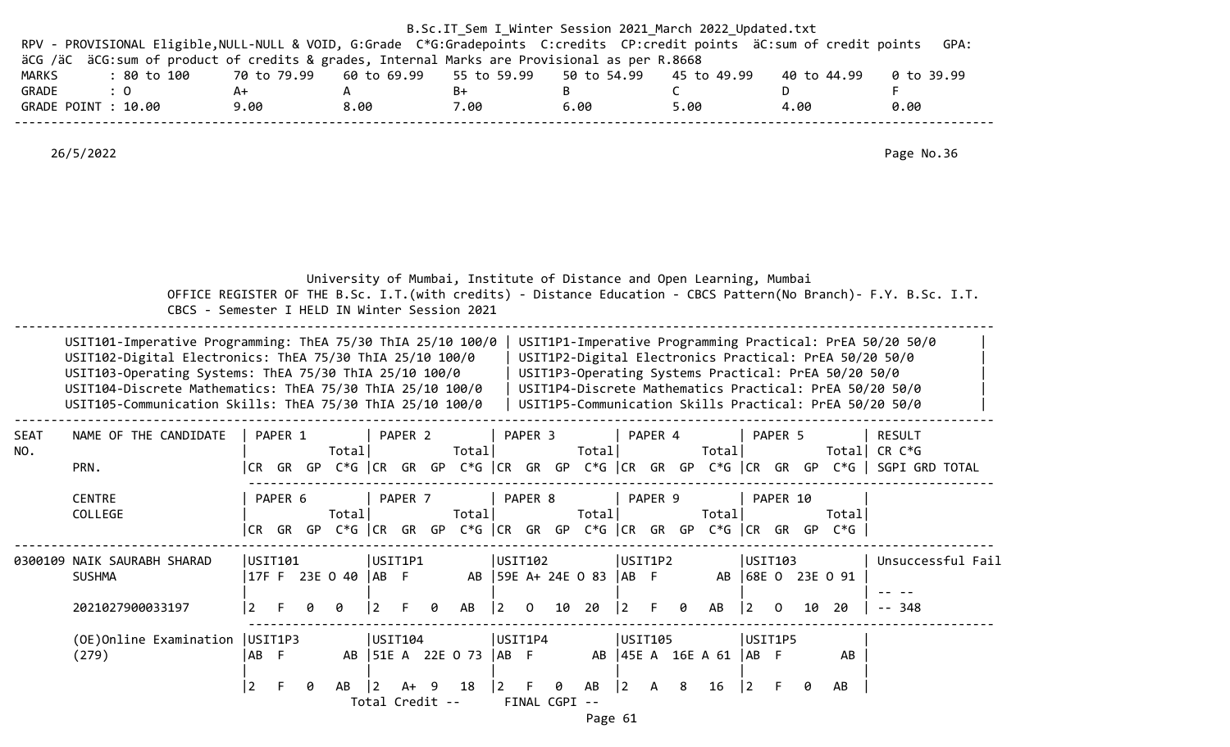|              |                                                                                                                                                                                                                                                                                                             |                     |                       |                 |                            |                                           |                                                  |                                                                       |             | B.Sc.IT_Sem I_Winter Session 2021 March 2022 Updated.txt                                                                                                                                                                                                                                          |                                                                                                                    |  |
|--------------|-------------------------------------------------------------------------------------------------------------------------------------------------------------------------------------------------------------------------------------------------------------------------------------------------------------|---------------------|-----------------------|-----------------|----------------------------|-------------------------------------------|--------------------------------------------------|-----------------------------------------------------------------------|-------------|---------------------------------------------------------------------------------------------------------------------------------------------------------------------------------------------------------------------------------------------------------------------------------------------------|--------------------------------------------------------------------------------------------------------------------|--|
|              | RPV - PROVISIONAL Eligible, NULL-NULL & VOID, G:Grade C*G:Gradepoints C:credits CP:credit points äC:sum of credit points<br>äCG /äC äCG:sum of product of credits & grades, Internal Marks are Provisional as per R.8668                                                                                    |                     |                       |                 |                            |                                           |                                                  |                                                                       |             |                                                                                                                                                                                                                                                                                                   | GPA:                                                                                                               |  |
| <b>MARKS</b> | : 80 to 100                                                                                                                                                                                                                                                                                                 | 70 to 79.99         |                       | 60 to 69.99     |                            | 55 to 59.99                               | 50 to 54.99                                      |                                                                       | 45 to 49.99 | 40 to 44.99                                                                                                                                                                                                                                                                                       | 0 to 39.99                                                                                                         |  |
| GRADE        | : 0                                                                                                                                                                                                                                                                                                         | A+                  | A                     |                 | B+                         |                                           | B                                                | $\mathsf{C}$                                                          |             | D                                                                                                                                                                                                                                                                                                 | F.                                                                                                                 |  |
|              | GRADE POINT : 10.00                                                                                                                                                                                                                                                                                         | 9.00                | 8.00                  |                 | 7.00                       |                                           | 6.00                                             | 5.00                                                                  |             | 4.00                                                                                                                                                                                                                                                                                              | 0.00                                                                                                               |  |
|              |                                                                                                                                                                                                                                                                                                             |                     |                       |                 |                            |                                           |                                                  |                                                                       |             |                                                                                                                                                                                                                                                                                                   |                                                                                                                    |  |
|              | 26/5/2022                                                                                                                                                                                                                                                                                                   |                     |                       |                 |                            |                                           |                                                  |                                                                       |             |                                                                                                                                                                                                                                                                                                   | Page No.36                                                                                                         |  |
|              | CBCS - Semester I HELD IN Winter Session 2021                                                                                                                                                                                                                                                               |                     |                       |                 |                            |                                           |                                                  | University of Mumbai, Institute of Distance and Open Learning, Mumbai |             |                                                                                                                                                                                                                                                                                                   | OFFICE REGISTER OF THE B.Sc. I.T. (with credits) - Distance Education - CBCS Pattern (No Branch) - F.Y. B.Sc. I.T. |  |
|              | USIT101-Imperative Programming: ThEA 75/30 ThIA 25/10 100/0<br>USIT102-Digital Electronics: ThEA 75/30 ThIA 25/10 100/0<br>USIT103-Operating Systems: ThEA 75/30 ThIA 25/10 100/0<br>USIT104-Discrete Mathematics: ThEA 75/30 ThIA 25/10 100/0<br>USIT105-Communication Skills: ThEA 75/30 ThIA 25/10 100/0 |                     |                       |                 |                            |                                           |                                                  |                                                                       |             | USIT1P1-Imperative Programming Practical: PrEA 50/20 50/0<br>USIT1P2-Digital Electronics Practical: PrEA 50/20 50/0<br>USIT1P3-Operating Systems Practical: PrEA 50/20 50/0<br>USIT1P4-Discrete Mathematics Practical: PrEA 50/20 50/0<br>USIT1P5-Communication Skills Practical: PrEA 50/20 50/0 |                                                                                                                    |  |
| SEAT         | NAME OF THE CANDIDATE                                                                                                                                                                                                                                                                                       | PAPER 1             |                       | PAPER 2         |                            | PAPER 3                                   |                                                  | PAPER 4                                                               |             | PAPER 5                                                                                                                                                                                                                                                                                           | <b>RESULT</b>                                                                                                      |  |
| NO.          | PRN.                                                                                                                                                                                                                                                                                                        |                     | Total                 |                 | Total                      |                                           | Total                                            |                                                                       | Total       |                                                                                                                                                                                                                                                                                                   | Total CR $C*G$<br> CR GR GP C*G  CR GR GP C*G  CR GR GP C*G  CR GR GP C*G  CR GR GP C*G   SGPI GRD TOTAL           |  |
|              |                                                                                                                                                                                                                                                                                                             |                     |                       |                 |                            |                                           |                                                  |                                                                       |             |                                                                                                                                                                                                                                                                                                   |                                                                                                                    |  |
|              | <b>CENTRE</b>                                                                                                                                                                                                                                                                                               | PAPER 6             |                       | PAPER 7         |                            | PAPER 8                                   |                                                  | PAPER 9                                                               |             | PAPER 10                                                                                                                                                                                                                                                                                          |                                                                                                                    |  |
|              | COLLEGE                                                                                                                                                                                                                                                                                                     |                     | Total                 |                 | Total                      |                                           | Total                                            |                                                                       | Total       |                                                                                                                                                                                                                                                                                                   | Total                                                                                                              |  |
|              |                                                                                                                                                                                                                                                                                                             | ICR GR GP           |                       |                 |                            |                                           |                                                  |                                                                       |             | C*G CR GR GP C*G CR GR GP C*G CR GR GP C*G CR GR GP C*G                                                                                                                                                                                                                                           |                                                                                                                    |  |
|              |                                                                                                                                                                                                                                                                                                             |                     |                       |                 |                            |                                           |                                                  |                                                                       |             |                                                                                                                                                                                                                                                                                                   |                                                                                                                    |  |
|              | 0300109 NAIK SAURABH SHARAD<br><b>SUSHMA</b>                                                                                                                                                                                                                                                                | USIT101             | 17F F 23E O 40   AB F | USIT1P1         |                            | USIT102                                   | AB   59E A+ 24E 0 83   AB F                      | USIT1P2                                                               |             | USIT103<br>AB 68E 0 23E 0 91                                                                                                                                                                                                                                                                      | Unsuccessful Fail                                                                                                  |  |
|              |                                                                                                                                                                                                                                                                                                             |                     |                       |                 |                            |                                           |                                                  |                                                                       |             |                                                                                                                                                                                                                                                                                                   |                                                                                                                    |  |
|              | 2021027900033197                                                                                                                                                                                                                                                                                            | 2                   | 0                     | 2               | AB<br>0                    |                                           | $\begin{array}{ccc} 2 & 0 & 10 & 20 \end{array}$ | $ 2\rangle$<br>0                                                      | AB          | $\begin{bmatrix} 2 & 0 \end{bmatrix}$<br>10                                                                                                                                                                                                                                                       | 20<br>348                                                                                                          |  |
|              | (OE) Online Examination   USIT1P3                                                                                                                                                                                                                                                                           |                     |                       | USIT104         |                            | USIT1P4                                   |                                                  | USIT105                                                               |             | USIT1P5                                                                                                                                                                                                                                                                                           |                                                                                                                    |  |
|              | (279)                                                                                                                                                                                                                                                                                                       | AB F                |                       |                 | AB   51E A 22E O 73   AB F |                                           |                                                  | AB   45E A 16E A 61   AB F                                            |             |                                                                                                                                                                                                                                                                                                   | AB                                                                                                                 |  |
|              |                                                                                                                                                                                                                                                                                                             |                     |                       |                 |                            |                                           |                                                  |                                                                       |             |                                                                                                                                                                                                                                                                                                   |                                                                                                                    |  |
|              |                                                                                                                                                                                                                                                                                                             | $ 2\rangle$<br>$-F$ | - 0                   | AB 2 A+ 9 18    |                            | $\begin{bmatrix} 2 & F & 0 \end{bmatrix}$ | AB                                               | $\begin{vmatrix} 2 & A & 8 \end{vmatrix}$                             | 16          | $ 2\rangle$<br>$-F$<br>0                                                                                                                                                                                                                                                                          | AB                                                                                                                 |  |
|              |                                                                                                                                                                                                                                                                                                             |                     |                       | Total Credit -- |                            |                                           | FINAL CGPI --                                    |                                                                       |             |                                                                                                                                                                                                                                                                                                   |                                                                                                                    |  |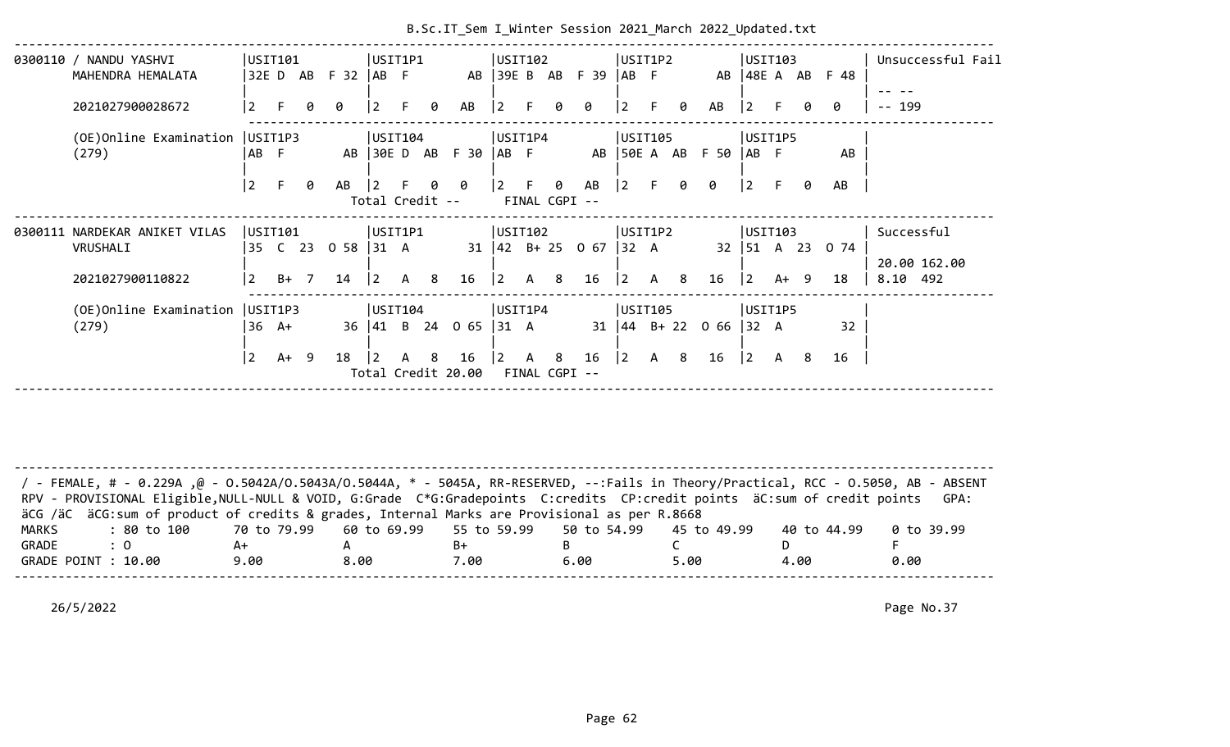|                       | 0300110 / NANDU YASHVI                                                                                                             |                   | USIT101         |                |                      | USIT1P1         |   |   |                        | USIT102         |              |                |                                         |                | USIT1P2 |      |                            | USTI03                                    |        |      |                   |        | Unsuccessful Fail |
|-----------------------|------------------------------------------------------------------------------------------------------------------------------------|-------------------|-----------------|----------------|----------------------|-----------------|---|---|------------------------|-----------------|--------------|----------------|-----------------------------------------|----------------|---------|------|----------------------------|-------------------------------------------|--------|------|-------------------|--------|-------------------|
|                       | MAHENDRA HEMALATA                                                                                                                  |                   |                 |                | 32E D AB F 32   AB F |                 |   |   |                        |                 |              |                | AB 39E B AB F 39                        | $AB$ F         |         |      |                            | $AB$   48E A $AB$                         |        |      | F 48              |        |                   |
|                       | 2021027900028672                                                                                                                   |                   |                 |                | a                    |                 |   |   | AB                     |                 |              |                |                                         |                |         | a    | AB                         | l 2                                       |        |      | ø                 | $-199$ |                   |
|                       |                                                                                                                                    |                   |                 |                |                      |                 |   |   |                        |                 |              |                |                                         |                |         |      |                            |                                           |        |      |                   |        |                   |
|                       | (OE) Online Examination   USIT1P3<br>(279)                                                                                         | AB F              |                 |                |                      | USIT104         |   |   | AB 30E D AB F 30  AB F | USIT1P4         |              |                |                                         |                | USIT105 |      | AB 50E A AB F 50 AB F      | USIT1P5                                   |        |      | AB                |        |                   |
|                       |                                                                                                                                    |                   |                 |                |                      |                 |   |   |                        |                 |              |                |                                         |                |         |      |                            |                                           |        |      |                   |        |                   |
|                       |                                                                                                                                    | $ 2\rangle$       | -F.             | 0              | AB                   | l 2             |   | 0 | 0                      | $\vert 2 \vert$ | F            | 0              | AB                                      | $\overline{2}$ |         | ø    | 0                          | $\vert$ 2                                 | F.     | ø    | AB                |        |                   |
|                       |                                                                                                                                    |                   |                 |                |                      | Total Credit -- |   |   |                        |                 |              | FINAL CGPI --  |                                         |                |         |      |                            |                                           |        |      |                   |        |                   |
|                       | 0300111 NARDEKAR ANIKET VILAS                                                                                                      | USTI01            |                 |                |                      | USIT1P1         |   |   |                        | USIT102         |              |                |                                         |                | USIT1P2 |      |                            | USIT103                                   |        |      |                   |        | Successful        |
|                       | VRUSHALI                                                                                                                           |                   |                 |                | 35 C 23 0 58 31 A    |                 |   |   |                        |                 |              |                | $31 \mid 42 \mid B + 25 \mid 0 \mid 67$ | $ 32 \ A$      |         |      |                            |                                           |        |      | 32   51 A 23 0 74 |        |                   |
|                       |                                                                                                                                    |                   |                 |                |                      |                 |   |   |                        |                 |              |                |                                         |                |         |      |                            |                                           |        |      |                   |        | 20.00 162.00      |
|                       | 2021027900110822                                                                                                                   | 2                 | B+              | $\overline{7}$ | 14                   | $\vert$ 2       | A | 8 | 16                     | l 2             | $\mathsf{A}$ | 8 <sup>8</sup> | 16                                      | $\vert$ 2      | A       | 8    | 16                         | $\overline{2}$                            | $A+ 9$ |      | 18                |        | 8.10 492          |
|                       | (OE) Online Examination   USIT1P3                                                                                                  |                   |                 |                |                      | USIT104         |   |   |                        | USIT1P4         |              |                |                                         |                | USIT105 |      |                            | USIT1P5                                   |        |      |                   |        |                   |
|                       | (279)                                                                                                                              |                   | $36 \text{ A+}$ |                |                      |                 |   |   | 36 41 B 24 0 65 31 A   |                 |              |                |                                         |                |         |      | 31   44 B + 22 0 66   32 A |                                           |        |      | 32                |        |                   |
|                       |                                                                                                                                    |                   |                 |                |                      |                 |   |   |                        |                 |              |                |                                         |                |         |      |                            |                                           |        |      |                   |        |                   |
|                       |                                                                                                                                    | 2                 | $A+ 9$          |                | 18                   | $\overline{2}$  | A | 8 | 16                     | <u> 2</u>       | A            | 8              | 16                                      | 2              | A 8     |      | 16                         | $\begin{vmatrix} 2 & A & 8 \end{vmatrix}$ |        |      | 16                |        |                   |
|                       |                                                                                                                                    |                   |                 |                |                      |                 |   |   | Total Credit 20.00     |                 |              | FINAL CGPI --  |                                         |                |         |      |                            |                                           |        |      |                   |        |                   |
|                       |                                                                                                                                    |                   |                 |                |                      |                 |   |   |                        |                 |              |                |                                         |                |         |      |                            |                                           |        |      |                   |        |                   |
|                       |                                                                                                                                    |                   |                 |                |                      |                 |   |   |                        |                 |              |                |                                         |                |         |      |                            |                                           |        |      |                   |        |                   |
|                       |                                                                                                                                    |                   |                 |                |                      |                 |   |   |                        |                 |              |                |                                         |                |         |      |                            |                                           |        |      |                   |        |                   |
|                       |                                                                                                                                    |                   |                 |                |                      |                 |   |   |                        |                 |              |                |                                         |                |         |      |                            |                                           |        |      |                   |        |                   |
|                       | / FEMALE, # - 0.229A ,@ - 0.5042A/0.5043A/0.5044A, * - 5045A, RR-RESERVED, --:Fails in Theory/Practical, RCC - 0.5050, AB - ABSENT |                   |                 |                |                      |                 |   |   |                        |                 |              |                |                                         |                |         |      |                            |                                           |        |      |                   |        |                   |
|                       | RPV - PROVISIONAL Eligible, NULL-NULL & VOID, G:Grade C*G:Gradepoints C:credits CP:credit points äC:sum of credit points           |                   |                 |                |                      |                 |   |   |                        |                 |              |                |                                         |                |         |      |                            |                                           |        |      |                   |        | GPA:              |
|                       | äCG /äC äCG: sum of product of credits & grades, Internal Marks are Provisional as per R.8668                                      |                   |                 |                |                      |                 |   |   |                        |                 |              |                |                                         |                |         |      |                            |                                           |        |      |                   |        |                   |
| <b>MARKS</b><br>GRADE | : 80 to 100<br>$\colon 0$                                                                                                          | 70 to 79.99<br>A+ |                 |                | A                    | 60 to 69.99     |   |   | 55 to 59.99<br>$B+$    |                 |              | B              | 50 to 54.99                             |                |         | C    | 45 to 49.99                |                                           | D.     |      | 40 to 44.99       | F.     | 0 to 39.99        |
|                       | GRADE POINT : 10.00                                                                                                                | 9.00              |                 |                | 8.00                 |                 |   |   | 7.00                   |                 |              |                | 6.00                                    |                |         | 5.00 |                            |                                           |        | 4.00 |                   |        | 0.00              |
|                       |                                                                                                                                    |                   |                 |                |                      |                 |   |   |                        |                 |              |                |                                         |                |         |      |                            |                                           |        |      |                   |        |                   |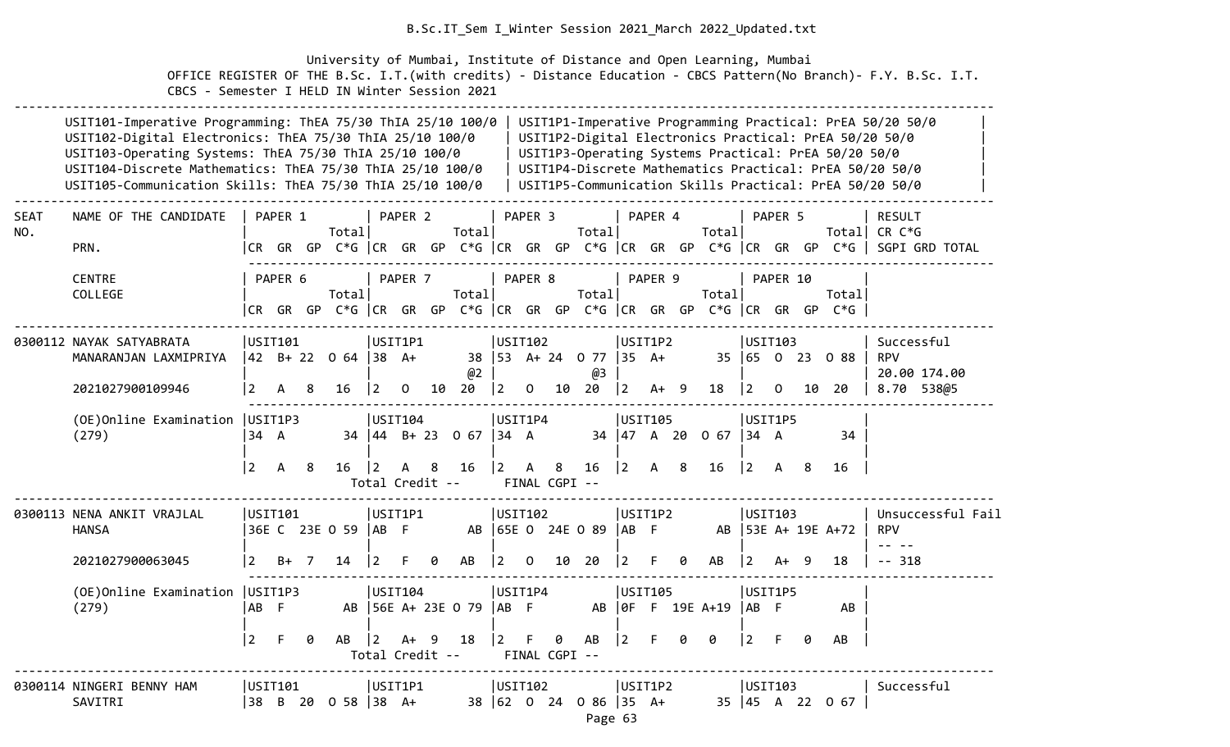University of Mumbai, Institute of Distance and Open Learning, Mumbai OFFICE REGISTER OF THE B.Sc. I.T.(with credits) - Distance Education - CBCS Pattern(No Branch)- F.Y. B.Sc. I.T. CBCS - Semester I HELD IN Winter Session 2021

|                    | USIT101-Imperative Programming: ThEA 75/30 ThIA 25/10 100/0<br>USIT102-Digital Electronics: ThEA 75/30 ThIA 25/10 100/0<br>USIT103-Operating Systems: ThEA 75/30 ThIA 25/10 100/0<br>USIT104-Discrete Mathematics: ThEA 75/30 ThIA 25/10 100/0<br>USIT105-Communication Skills: ThEA 75/30 ThIA 25/10 100/0 |                |                    |    |                                                                                    |                                   |         |     |                                         |                         |                        |                                 |                                          |                |                         |    |                  |                                        |          |    | USIT1P3-Operating Systems Practical: PrEA 50/20 50/0 | USIT1P1-Imperative Programming Practical: PrEA 50/20 50/0<br>USIT1P2-Digital Electronics Practical: PrEA 50/20 50/0<br>USIT1P4-Discrete Mathematics Practical: PrEA 50/20 50/0<br>USIT1P5-Communication Skills Practical: PrEA 50/20 50/0 |
|--------------------|-------------------------------------------------------------------------------------------------------------------------------------------------------------------------------------------------------------------------------------------------------------------------------------------------------------|----------------|--------------------|----|------------------------------------------------------------------------------------|-----------------------------------|---------|-----|-----------------------------------------|-------------------------|------------------------|---------------------------------|------------------------------------------|----------------|-------------------------|----|------------------|----------------------------------------|----------|----|------------------------------------------------------|-------------------------------------------------------------------------------------------------------------------------------------------------------------------------------------------------------------------------------------------|
| <b>SEAT</b><br>NO. | NAME OF THE CANDIDATE<br>PRN.                                                                                                                                                                                                                                                                               |                | PAPER 1            |    | Total                                                                              |                                   | PAPER 2 |     | Total                                   |                         | PAPER <sub>3</sub>     |                                 | Total                                    |                | PAPER 4                 |    | Total            |                                        | PAPER 5  |    | Total                                                | <b>RESULT</b><br>CR C*G<br> CR GR GP C*G   CR GR GP C*G   CR GR GP C*G   CR GR GP C*G   CR GR GP C*G    SGPI GRD TOTAL                                                                                                                    |
|                    | <b>CENTRE</b><br>COLLEGE                                                                                                                                                                                                                                                                                    |                | PAPER <sub>6</sub> |    | Total<br>CR GR GP C*G CR GR GP C*G CR GR GP C*G CR GR GP C*G CR GR GP C*G CR GR GP |                                   | PAPER 7 |     | Total                                   |                         | PAPER 8                |                                 | Total                                    |                | PAPER 9                 |    | Total            |                                        | PAPER 10 |    | Total<br>$C*G$                                       |                                                                                                                                                                                                                                           |
|                    | 0300112 NAYAK SATYABRATA<br>MANARANJAN LAXMIPRIYA<br>2021027900109946                                                                                                                                                                                                                                       | 2              | USIT101<br>А       | 8  | 42 B+ 22 0 64 38 A+<br>16                                                          | USIT1P1<br>$\overline{2}$         | 0       | 10  | @2<br>20                                | $ 2\rangle$             | USIT102<br>$\mathbf 0$ | 10                              | 38   53 A + 24 0 77   35 A +<br>@З<br>20 | $ 2\rangle$    | USIT1P2<br>$A+ 9$       |    | 18               | USIT103<br>$\overline{2}$              | $\Omega$ |    | 35 65 0 23 0 88<br>10 20                             | Successful<br><b>RPV</b><br>20.00 174.00<br>8.70<br>538@5                                                                                                                                                                                 |
|                    | (OE) Online Examination   USIT1P3<br>(279)                                                                                                                                                                                                                                                                  | 34 A           |                    |    |                                                                                    | USIT104                           |         |     | $34 \mid 44 \mid B + 23 \mid 0 \mid 67$ | $ 34 \ \text{A}$        | USIT1P4                |                                 |                                          |                | USIT105<br>34   47 A 20 |    | 0 <sub>67</sub>  | $\begin{vmatrix} 34 & A \end{vmatrix}$ | USIT1P5  |    | 34                                                   |                                                                                                                                                                                                                                           |
|                    |                                                                                                                                                                                                                                                                                                             | 2              | A                  | 8  | 16                                                                                 | $\overline{2}$<br>Total Credit -- | A       | 8   | 16                                      | $ 2\rangle$             | A                      | 8 <sup>8</sup><br>FINAL CGPI -- | 16                                       | $ 2\rangle$    | $\mathsf{A}$            | -8 | 16               | $ 2\rangle$                            | A        | -8 | 16                                                   |                                                                                                                                                                                                                                           |
|                    | 0300113 NENA ANKIT VRAJLAL<br><b>HANSA</b>                                                                                                                                                                                                                                                                  |                | IUSIT101           |    | 36E C 23E 0 59                                                                     | USIT1P1<br> AB                    | - F     |     | AB                                      |                         | USIT102                |                                 | 65E 0 24E 0 89                           | AB             | USIT1P2<br>F            |    |                  | USTI103                                |          |    | AB 53E A+ 19E A+72                                   | Unsuccessful Fail<br><b>RPV</b><br>$\sim$ $-$                                                                                                                                                                                             |
|                    | 2021027900063045<br>(OE) Online Examination   USIT1P3<br>(279)                                                                                                                                                                                                                                              | 2<br>AB F      | B+                 | -7 | 14                                                                                 | l 2<br> USTI04                    | F.      | ø   | AB<br>AB 56E A+ 23E 0 79                | 2<br>USIT1P4<br>$IAB$ F | $\Omega$               | 10                              | 20                                       | 2<br>AB 10F    | USIT105                 | 0  | AB<br>F 19E A+19 | $\overline{2}$<br>USIT1P5<br>IAB F     | A+       |    | 18<br>AB                                             | $-- 318$                                                                                                                                                                                                                                  |
|                    |                                                                                                                                                                                                                                                                                                             | $\overline{2}$ |                    | 0  | AB                                                                                 | $\overline{2}$<br>Total Credit -- | A+      | - 9 | 18                                      | 2                       | F.                     | 0<br>FINAL CGPI --              | AB                                       | $\overline{2}$ |                         |    | 0                | $\boxed{2}$                            | F        | ø  | AB                                                   |                                                                                                                                                                                                                                           |
|                    | 0300114 NINGERI BENNY HAM<br>SAVITRI                                                                                                                                                                                                                                                                        | USTI01<br>138. | B 20               |    | $058$ 38                                                                           | USIT1P1                           | $A+$    |     |                                         |                         | USIT102                |                                 | 38 62 0 24 0 86 35 A+<br>Page 63         |                | USIT1P2                 |    |                  | USTI03                                 |          |    | 35 45 A 22 0 67                                      | Successful                                                                                                                                                                                                                                |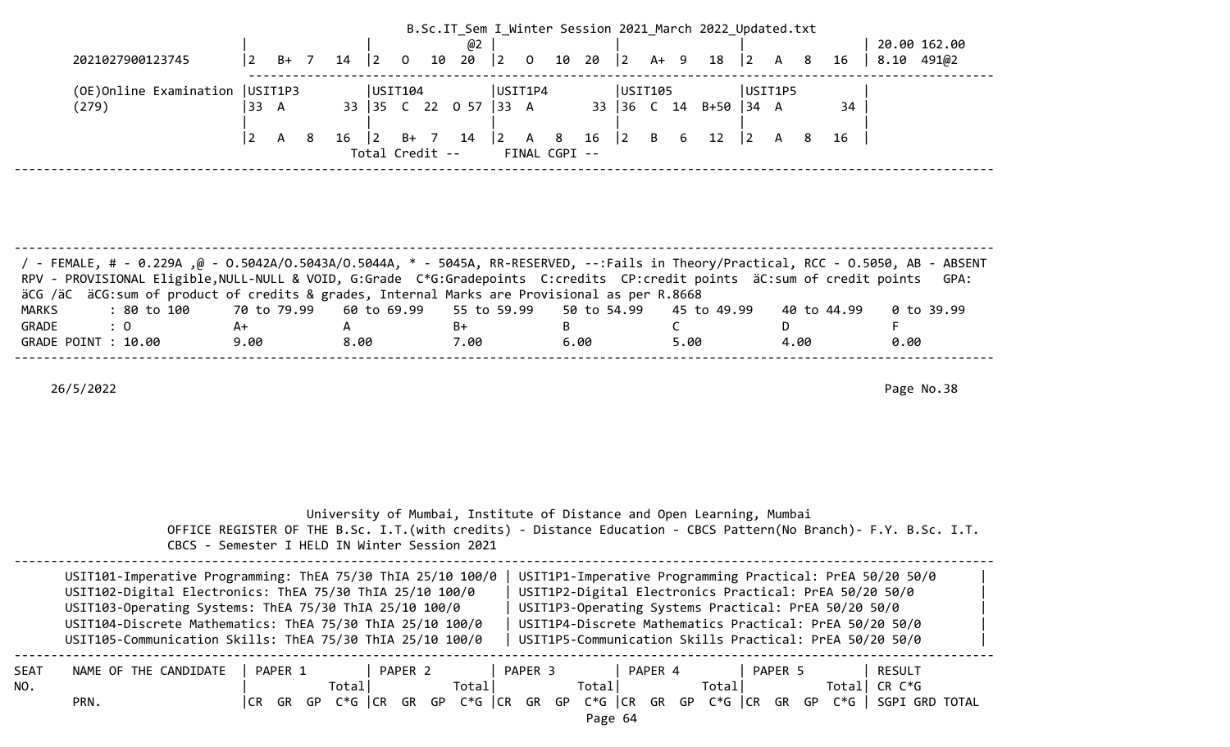| 2021027900123745                                                                                                                                                                                                                                                                                                                                                | $\overline{2}$  | $B+ 7$      | 14                                                                    | $ 2\rangle$           | 10<br>$\mathbf{0}$ | @2<br>20             | $ 2\rangle$ | $\mathbf 0$<br>10    | B.Sc.IT_Sem I_Winter Session 2021 March 2022 Updated.txt<br>20 | 12.     | $A+ 9$ |              | 18              | 2                |         | 8 | 16          | $8.10$ 491 $@2$                                                                                                                                                                                                                           | 20.00 162.00 |
|-----------------------------------------------------------------------------------------------------------------------------------------------------------------------------------------------------------------------------------------------------------------------------------------------------------------------------------------------------------------|-----------------|-------------|-----------------------------------------------------------------------|-----------------------|--------------------|----------------------|-------------|----------------------|----------------------------------------------------------------|---------|--------|--------------|-----------------|------------------|---------|---|-------------|-------------------------------------------------------------------------------------------------------------------------------------------------------------------------------------------------------------------------------------------|--------------|
| (OE)Online Examination<br>(279)                                                                                                                                                                                                                                                                                                                                 | USIT1P3<br>33 A |             |                                                                       | USTI04                |                    | 33 35 C 22 0 57 33 A | USIT1P4     |                      |                                                                | USIT105 |        |              | 33 36 C 14 B+50 | $ 34 \ \text{A}$ | USIT1P5 |   | 34          |                                                                                                                                                                                                                                           |              |
|                                                                                                                                                                                                                                                                                                                                                                 | $\overline{2}$  | 8<br>A      | 16                                                                    | 2 <br>Total Credit -- | B+ 7 14            |                      | $ 2\rangle$ | A 8<br>FINAL CGPI -- | 16                                                             | 2       | B      | 6            | 12              | $ 2\rangle$      | A       | 8 | 16          |                                                                                                                                                                                                                                           |              |
|                                                                                                                                                                                                                                                                                                                                                                 |                 |             |                                                                       |                       |                    |                      |             |                      |                                                                |         |        |              |                 |                  |         |   |             |                                                                                                                                                                                                                                           |              |
|                                                                                                                                                                                                                                                                                                                                                                 |                 |             |                                                                       |                       |                    |                      |             |                      |                                                                |         |        |              |                 |                  |         |   |             |                                                                                                                                                                                                                                           |              |
| FemALE, # - 0.229A ,@ - 0.5042A/O.5043A/O.5044A, * - 5045A, RR-RESERVED, --:Fails in Theory/Practical, RCC - 0.5050, AB - ABSENT /<br>RPV - PROVISIONAL Eligible, NULL-NULL & VOID, G:Grade C*G:Gradepoints C:credits CP:credit points äC:sum of credit points<br>äCG /äC äCG: sum of product of credits & grades, Internal Marks are Provisional as per R.8668 |                 |             |                                                                       |                       |                    |                      |             |                      |                                                                |         |        |              |                 |                  |         |   |             |                                                                                                                                                                                                                                           | GPA:         |
| : 80 to 100<br><b>MARKS</b><br>: 0<br>GRADE                                                                                                                                                                                                                                                                                                                     | A+              | 70 to 79.99 | A                                                                     | 60 to 69.99           |                    | $B+$                 | 55 to 59.99 |                      | 50 to 54.99<br>B                                               |         |        | $\mathsf{C}$ | 45 to 49.99     |                  | D       |   | 40 to 44.99 | F.                                                                                                                                                                                                                                        | $0$ to 39.99 |
| GRADE POINT : 10.00                                                                                                                                                                                                                                                                                                                                             | 9.00            |             | 8.00                                                                  |                       |                    | 7.00                 |             |                      | 6.00                                                           |         |        | 5.00         |                 |                  | 4.00    |   |             | 0.00                                                                                                                                                                                                                                      |              |
| 26/5/2022                                                                                                                                                                                                                                                                                                                                                       |                 |             | University of Mumbai, Institute of Distance and Open Learning, Mumbai |                       |                    |                      |             |                      |                                                                |         |        |              |                 |                  |         |   |             |                                                                                                                                                                                                                                           | Page No.38   |
| OFFICE REGISTER OF THE B.Sc. I.T. (with credits) - Distance Education - CBCS Pattern (No Branch) - F.Y. B.Sc. I.T.<br>CBCS - Semester I HELD IN Winter Session 2021                                                                                                                                                                                             |                 |             |                                                                       |                       |                    |                      |             |                      |                                                                |         |        |              |                 |                  |         |   |             |                                                                                                                                                                                                                                           |              |
| USIT101-Imperative Programming: ThEA 75/30 ThIA 25/10 100/0<br>USIT102-Digital Electronics: ThEA 75/30 ThIA 25/10 100/0<br>USIT103-Operating Systems: ThEA 75/30 ThIA 25/10 100/0<br>USIT104-Discrete Mathematics: ThEA 75/30 ThIA 25/10 100/0<br>USIT105-Communication Skills: ThEA 75/30 ThIA 25/10 100/0                                                     |                 |             |                                                                       |                       |                    |                      |             |                      | USIT1P3-Operating Systems Practical: PrEA 50/20 50/0           |         |        |              |                 |                  |         |   |             | USIT1P1-Imperative Programming Practical: PrEA 50/20 50/0<br>USIT1P2-Digital Electronics Practical: PrEA 50/20 50/0<br>USIT1P4-Discrete Mathematics Practical: PrEA 50/20 50/0<br>USIT1P5-Communication Skills Practical: PrEA 50/20 50/0 |              |
| NAME OF THE CANDIDATE<br>SEAT                                                                                                                                                                                                                                                                                                                                   |                 |             |                                                                       |                       |                    |                      |             |                      |                                                                |         |        |              |                 |                  |         |   |             |                                                                                                                                                                                                                                           |              |

C<sup>e</sup>d <sub>15</sub>n<br>Page 64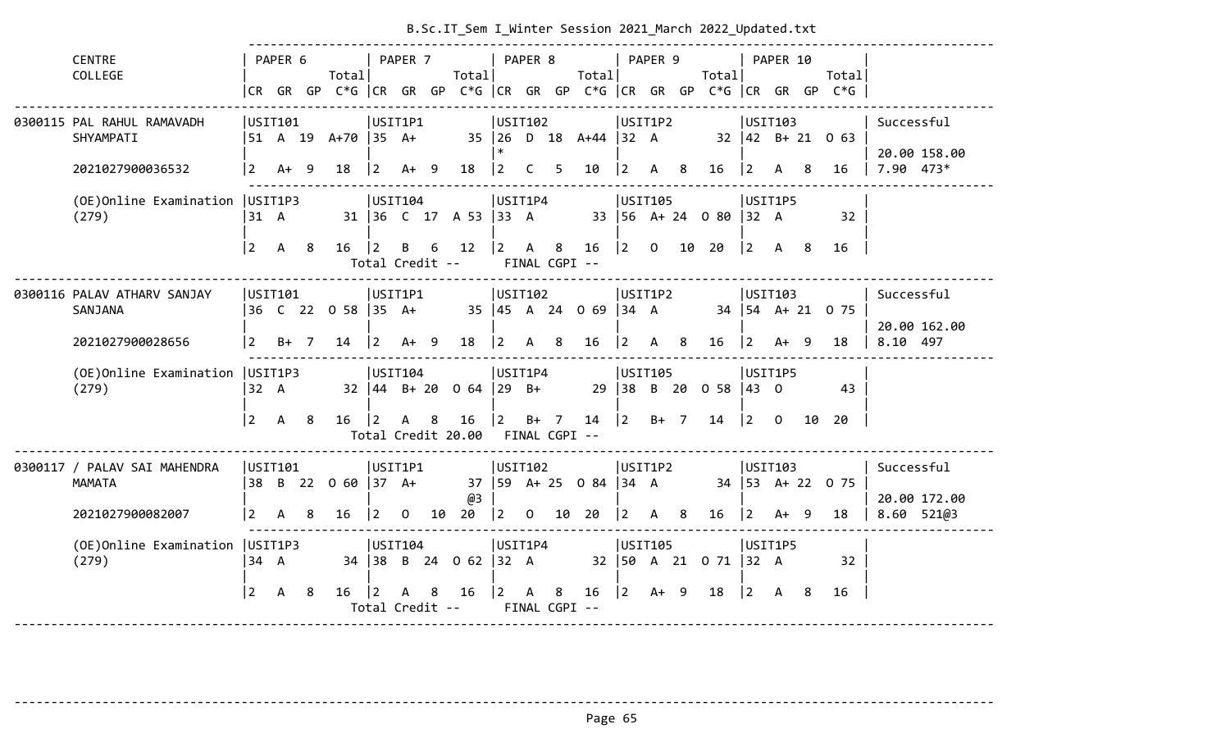|                                   |                |              |     |                              |                 |              |   |                                                          |                                           |                |                |                                                 |                                           |         | B.SC.IT_Sem I_WINter Session 2021_March 2022_Updated.txt |                                           |          |    |                                                                                            |                                 |
|-----------------------------------|----------------|--------------|-----|------------------------------|-----------------|--------------|---|----------------------------------------------------------|-------------------------------------------|----------------|----------------|-------------------------------------------------|-------------------------------------------|---------|----------------------------------------------------------|-------------------------------------------|----------|----|--------------------------------------------------------------------------------------------|---------------------------------|
| <b>CENTRE</b>                     |                | PAPER 6      |     |                              |                 | PAPER 7      |   |                                                          |                                           | PAPER 8        |                |                                                 |                                           | PAPER 9 |                                                          |                                           | PAPER 10 |    |                                                                                            |                                 |
| COLLEGE                           |                |              |     | Totall                       |                 |              |   | Totall                                                   |                                           |                |                | Totall                                          |                                           |         | Totall                                                   |                                           |          |    | Totall                                                                                     |                                 |
|                                   |                |              |     |                              |                 |              |   |                                                          |                                           |                |                |                                                 |                                           |         |                                                          |                                           |          |    | CR GR GP $C*G$ $ CR$ GR GP $C*G$ $ CR$ GR GP $C*G$ $ CR$ GR GP $C*G$ $ CR$ GR GP $C*G$ $ $ |                                 |
| 0300115 PAL RAHUL RAMAVADH        | USIT101        |              |     |                              | USIT1P1         |              |   |                                                          | USIT102                                   |                |                |                                                 | USIT1P2                                   |         |                                                          | USTI03                                    |          |    |                                                                                            | Successful                      |
| SHYAMPATI                         |                |              |     | 51 A 19 A+70 35 A+           |                 |              |   |                                                          |                                           |                |                | 35   26 D 18 A+44   32 A                        |                                           |         |                                                          |                                           |          |    | $32 \mid 42 \mid B + 21 \mid 0 \mid 63$                                                    | 20.00 158.00                    |
| 2021027900036532                  |                | $2 A+ 9$     |     | 18                           | $ 2 \tA+ 9$     |              |   | 18                                                       | $ 2\rangle$                               | C <sub>5</sub> |                | 10                                              | $\vert 2 \vert$                           |         | A 8 16 2 A 8                                             |                                           |          |    | 16                                                                                         | $7.90$ 473*                     |
| (OE) Online Examination   USIT1P3 |                |              |     |                              | USIT104         |              |   |                                                          | USIT1P4                                   |                |                |                                                 | USTI105                                   |         |                                                          | USIT1P5                                   |          |    |                                                                                            |                                 |
| (279)                             | 31 A           |              |     |                              |                 |              |   | 31 36 C 17 A 53 33 A                                     |                                           |                |                |                                                 |                                           |         | 33 56 A+ 24 0 80 32 A                                    |                                           |          |    | 32                                                                                         |                                 |
|                                   | $\sqrt{2}$     | $\mathsf{A}$ | -8  | $16 \quad  2$                |                 |              |   | B 6 12                                                   | $\begin{vmatrix} 2 & A & 8 \end{vmatrix}$ |                |                |                                                 |                                           |         | 16 2 0 10 20                                             | $\begin{vmatrix} 2 & A & 8 \end{vmatrix}$ |          |    | 16                                                                                         |                                 |
|                                   |                |              |     |                              |                 |              |   | Total Credit --                                          |                                           |                | FINAL CGPI --  |                                                 |                                           |         |                                                          |                                           |          |    |                                                                                            |                                 |
| 0300116 PALAV ATHARV SANJAY       | USIT101        |              |     |                              | USIT1P1         |              |   |                                                          | USIT102                                   |                |                |                                                 | USIT1P2                                   |         |                                                          | USIT103                                   |          |    |                                                                                            | Successful                      |
| SANJANA                           |                |              |     | 36 C 22 0 58 35 A+           |                 |              |   | 35   45 A 24 O 69   34 A                                 |                                           |                |                |                                                 |                                           |         | 34   54 A+ 21 0 75                                       |                                           |          |    |                                                                                            |                                 |
| 2021027900028656                  |                | $12 \t B+7$  |     | $14 \mid 2 \quad A+ \quad 9$ |                 |              |   | 18   2 A 8                                               |                                           |                |                | 16                                              |                                           |         | $\begin{vmatrix} 2 & A & 8 & 16 & \end{vmatrix}$ 2 A+ 9  |                                           |          |    | - 18                                                                                       | 20.00 162.00<br>8.10 497        |
| (OE) Online Examination   USIT1P3 |                |              |     |                              | USIT104         |              |   |                                                          | USIT1P4                                   |                |                |                                                 | USTI105                                   |         |                                                          | USIT1P5                                   |          |    |                                                                                            |                                 |
| (279)                             | 32 A           |              |     |                              |                 |              |   | $32 \mid 44 \mid B + 20 \mid 0 \mid 64 \mid 29 \mid B +$ |                                           |                |                |                                                 |                                           |         | 29 38 B 20 0 58 43 0                                     |                                           |          |    | 43                                                                                         |                                 |
|                                   | $\sqrt{2}$ A   |              | - 8 | 16   2                       |                 | A 8          |   | $16 \quad  2$                                            |                                           |                | $B+ 7$         |                                                 |                                           |         | $14$  2 B+ 7 14  2 0                                     |                                           |          | 10 | 20                                                                                         |                                 |
|                                   |                |              |     |                              |                 |              |   | Total Credit 20.00 FINAL CGPI --                         |                                           |                |                |                                                 |                                           |         |                                                          |                                           |          |    |                                                                                            |                                 |
| 0300117 / PALAV SAI MAHENDRA      | USIT101        |              |     |                              | USIT1P1         |              |   |                                                          | USIT102                                   |                |                |                                                 | USIT1P2                                   |         |                                                          | USIT103                                   |          |    |                                                                                            | Successful                      |
| MAMATA                            |                |              |     | 38 B 22 0 60 37 A+           |                 |              |   |                                                          |                                           |                |                | 37   59 A + 25 0 84   34 A                      |                                           |         |                                                          |                                           |          |    | 34 53 A+ 22 0 75                                                                           |                                 |
| 2021027900082007                  | l 2            | A            | 8   | 16                           | $\vert 2 \vert$ | $\mathbf{O}$ |   | @3<br>10 20                                              |                                           |                |                | $\begin{vmatrix} 2 & 0 & 10 & 20 \end{vmatrix}$ | $\begin{vmatrix} 2 & A & 8 \end{vmatrix}$ |         | $16$  2 A+ 9                                             |                                           |          |    | 18                                                                                         | 20.00 172.00<br>$8.60$ 521 $@3$ |
| (OE)Online Examination            | USIT1P3        |              |     |                              | USIT104         |              |   |                                                          | USIT1P4                                   |                |                |                                                 | USIT105                                   |         |                                                          | USIT1P5                                   |          |    |                                                                                            |                                 |
| (279)                             | $34 \quad A$   |              |     |                              |                 |              |   | 34 38 B 24 0 62 32 A                                     |                                           |                |                |                                                 |                                           |         | 32   50 A 21 0 71   32 A                                 |                                           |          |    | 32                                                                                         |                                 |
|                                   | $\overline{2}$ | $\mathsf{A}$ | -8  | 16                           | $ 2\rangle$     | $\mathsf{A}$ | 8 | 16                                                       | $ 2\rangle$                               | $\mathsf{A}$   | 8 <sup>8</sup> | 16                                              |                                           |         | $\begin{vmatrix} 2 & 4 & 9 & 18 \end{vmatrix}$           | $\begin{vmatrix} 2 & A & 8 \end{vmatrix}$ |          |    | 16                                                                                         |                                 |
|                                   |                |              |     |                              |                 |              |   | Total Credit --                                          |                                           |                | FINAL CGPI --  |                                                 |                                           |         |                                                          |                                           |          |    |                                                                                            |                                 |
|                                   |                |              |     |                              |                 |              |   |                                                          |                                           |                |                |                                                 |                                           |         |                                                          |                                           |          |    |                                                                                            |                                 |

-------------------------------------------------------------------------------------------------------------------------------------- Page 65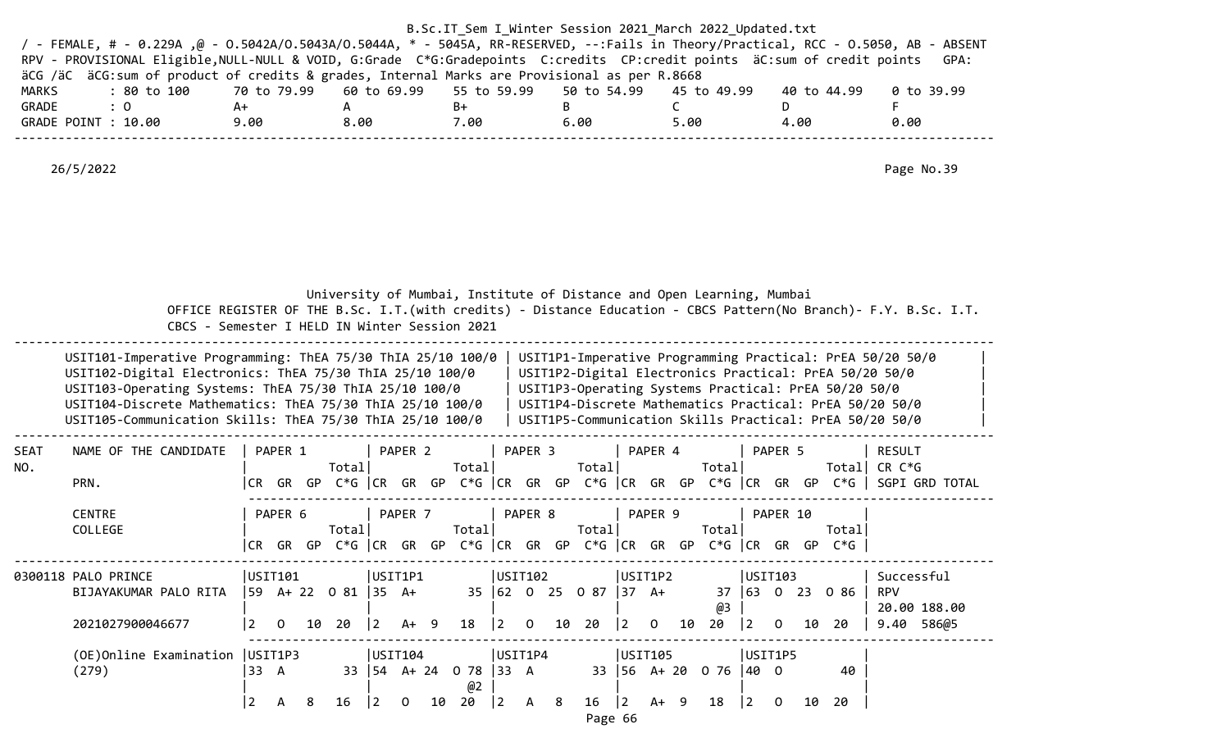|                                                                                                                                      |             |                                                    |      | B.Sc.IT Sem I Winter Session 2021 March 2022 Updated.txt |      |             |            |
|--------------------------------------------------------------------------------------------------------------------------------------|-------------|----------------------------------------------------|------|----------------------------------------------------------|------|-------------|------------|
| / - FEMALE, # - 0.229A ,@ - 0.5042A/0.5043A/0.5044A, * - 5045A, RR-RESERVED, --:Fails in Theory/Practical, RCC - 0.5050, AB - ABSENT |             |                                                    |      |                                                          |      |             |            |
| RPV - PROVISIONAL Eligible, NULL-NULL & VOID, G:Grade C*G:Gradepoints C:credits CP:credit points äC:sum of credit points             |             |                                                    |      |                                                          |      |             | GPA:       |
| äCG /äC äCG:sum of product of credits & grades, Internal Marks are Provisional as per R.8668                                         |             |                                                    |      |                                                          |      |             |            |
| MARKS<br>: 80 to 100                                                                                                                 | 70 to 79.99 | 60 to 69.99  55 to 59.99  50 to 54.99  45 to 49.99 |      |                                                          |      | 40 to 44.99 | 0 to 39.99 |
| GRADE<br>$\therefore$ 0                                                                                                              | A+          | А                                                  | B+   | B.                                                       |      |             |            |
| GRADE POINT : 10.00                                                                                                                  | 9.00        | 8.00                                               | 7.00 | 6.00                                                     | 5.00 | 4.00        | 0.00       |
|                                                                                                                                      |             |                                                    |      |                                                          |      |             |            |
|                                                                                                                                      |             |                                                    |      |                                                          |      |             |            |
| 26/5/2022                                                                                                                            |             |                                                    |      |                                                          |      |             | Page No.39 |

|                    | CBCS - Semester I HELD IN Winter Session 2021                                                                                                                                                                                                                                                               |                |                     | University of Mumbai, Institute of Distance and Open Learning, Mumbai |           |                   |                                  |                        |          |    |                             |                 |                           |    |                       |             |                     |    |                                                                           | OFFICE REGISTER OF THE B.Sc. I.T. (with credits) - Distance Education - CBCS Pattern (No Branch) - F.Y. B.Sc. I.T.                                                                                                                        |
|--------------------|-------------------------------------------------------------------------------------------------------------------------------------------------------------------------------------------------------------------------------------------------------------------------------------------------------------|----------------|---------------------|-----------------------------------------------------------------------|-----------|-------------------|----------------------------------|------------------------|----------|----|-----------------------------|-----------------|---------------------------|----|-----------------------|-------------|---------------------|----|---------------------------------------------------------------------------|-------------------------------------------------------------------------------------------------------------------------------------------------------------------------------------------------------------------------------------------|
|                    | USIT101-Imperative Programming: ThEA 75/30 ThIA 25/10 100/0<br>USIT102-Digital Electronics: ThEA 75/30 ThIA 25/10 100/0<br>USIT103-Operating Systems: ThEA 75/30 ThIA 25/10 100/0<br>USIT104-Discrete Mathematics: ThEA 75/30 ThIA 25/10 100/0<br>USIT105-Communication Skills: ThEA 75/30 ThIA 25/10 100/0 |                |                     |                                                                       |           |                   |                                  |                        |          |    |                             |                 |                           |    |                       |             |                     |    | USIT1P3-Operating Systems Practical: PrEA 50/20 50/0                      | USIT1P1-Imperative Programming Practical: PrEA 50/20 50/0<br>USIT1P2-Digital Electronics Practical: PrEA 50/20 50/0<br>USIT1P4-Discrete Mathematics Practical: PrEA 50/20 50/0<br>USIT1P5-Communication Skills Practical: PrEA 50/20 50/0 |
| <b>SEAT</b><br>NO. | NAME OF THE CANDIDATE<br>PRN.                                                                                                                                                                                                                                                                               |                | PAPER 1             | Total                                                                 |           | PAPER 2           | Total                            |                        | PAPER 3  |    | Total                       |                 | PAPER 4                   |    | Total                 |             | PAPER 5             |    | Total                                                                     | <b>RESULT</b><br>CR C*G<br> CR GR GP C*G  CR GR GP C*G  CR GR GP C*G  CR GR GP C*G  CR GR GP C*G   SGPI GRD TOTAL                                                                                                                         |
|                    | <b>CENTRE</b><br>COLLEGE                                                                                                                                                                                                                                                                                    |                | PAPER 6             | Total                                                                 |           | PAPER 7           | Total                            |                        | PAPER 8  |    | Total                       |                 | PAPER 9                   |    | Total                 |             | PAPER 10            |    | Total<br>CR GR GP C*G CR GR GP C*G CR GR GP C*G CR GR GP C*G CR GR GP C*G |                                                                                                                                                                                                                                           |
|                    | 0300118 PALO PRINCE<br>BIJAYAKUMAR PALO RITA<br>2021027900046677                                                                                                                                                                                                                                            | $\overline{2}$ | USIT101<br>$\Omega$ | 59 A+ 22 0 81  35 A+<br>10 20                                         | $\vert$ 2 | USIT1P1<br>$A+ 9$ | 18                               | USIT102<br>$ 2\rangle$ | $\Omega$ | 10 | 35 62 0 25 0 87 37 A+<br>20 | $\vert 2 \vert$ | USIT1P2<br>$\overline{0}$ | 10 | @3<br>20              | $ 2\rangle$ | USIT103<br>$\Omega$ | 10 | 37 63 0 23 0 86<br>-20                                                    | Successful<br><b>RPV</b><br>20.00 188.00<br>9.40 586@5                                                                                                                                                                                    |
|                    | (OE) Online Examination   USIT1P3<br>(279)                                                                                                                                                                                                                                                                  | 33 A           |                     |                                                                       |           | USIT104           | 33   54 A + 24 0 78   33 A<br>@2 | USIT1P4                |          |    |                             |                 | USIT105                   |    | 33 56 A+ 20 0 76 40 0 | USIT1P5     |                     |    | 40                                                                        |                                                                                                                                                                                                                                           |

|2 A 8 16 |2 O 10 20 |2 A 8 16 |2 A+ 9 18 |2 O 10 20 |

Page 66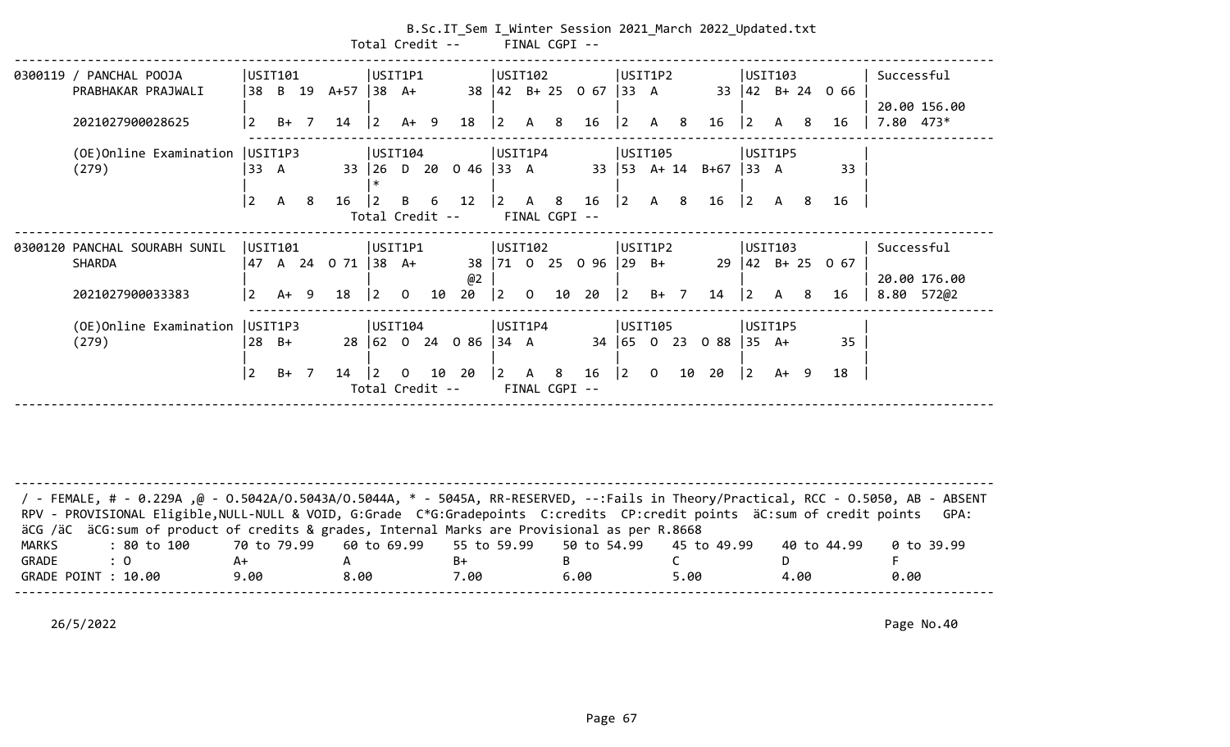| Total Credit --                              |                               |                |        |        |            |                      |          |    |                      |                |                | FINAL CGPI --      | B.Sc.IT_Sem I_Winter Session 2021_March 2022_Updated.txt |                             |                |    |          |                    |              |     |                           |              |  |
|----------------------------------------------|-------------------------------|----------------|--------|--------|------------|----------------------|----------|----|----------------------|----------------|----------------|--------------------|----------------------------------------------------------|-----------------------------|----------------|----|----------|--------------------|--------------|-----|---------------------------|--------------|--|
|                                              |                               |                |        |        |            |                      |          |    |                      |                |                |                    |                                                          |                             |                |    |          |                    |              |     |                           |              |  |
|                                              | 0300119 / PANCHAL POOJA       | USIT101        |        |        |            | USIT1P1              |          |    |                      | USIT102        |                |                    |                                                          | USIT1P2                     |                |    |          | USIT103            |              |     |                           | Successful   |  |
|                                              | PRABHAKAR PRAJWALI            | 38             | B 19   |        | A+57 38 A+ |                      |          |    |                      |                |                |                    | 38 42 B+ 25 0 67                                         | $ 33 \ \text{A}$            |                |    |          |                    |              |     | 33 $ 42 \t B+ 24 \t O 66$ |              |  |
|                                              |                               |                |        |        |            |                      |          |    |                      |                |                |                    |                                                          |                             |                |    |          |                    |              |     |                           | 20.00 156.00 |  |
|                                              | 2021027900028625              | $\overline{2}$ |        | $B+ 7$ | 14         | $ 2\rangle$          | $A+ 9$   |    | 18                   | $\vert$ 2      | $\mathsf{A}$   | 8 <sup>8</sup>     | 16                                                       | 2                           | A 8            |    | 16       | $ 2\rangle$        | $\mathsf{A}$ | -8  | 16                        | $7.80$ 473*  |  |
|                                              | (OE)Online Examination        | USIT1P3        |        |        |            | USIT104              |          |    |                      | USIT1P4        |                |                    |                                                          | USIT105                     |                |    |          | USIT1P5            |              |     |                           |              |  |
|                                              | (279)                         | 33 A           |        |        |            | 33 26 D 20           |          |    | $0.46$ 33 A          |                |                |                    |                                                          | $33 \mid 53 \quad A+14$     |                |    | $B + 67$ | 33 A               |              |     | 33                        |              |  |
|                                              |                               | $\overline{2}$ | A      | 8      | 16         | 2                    | B        | 6  | 12                   | $\overline{2}$ | $\mathsf{A}$   | 8                  | 16                                                       | $ 2\rangle$                 |                |    | 16       | $ 2\rangle$        | A            | - 8 | 16                        |              |  |
| A 8<br>Total Credit --<br>FINAL CGPI --      |                               |                |        |        |            |                      |          |    |                      |                |                |                    |                                                          |                             |                |    |          |                    |              |     |                           |              |  |
|                                              | 0300120 PANCHAL SOURABH SUNIL | USIT101        |        |        |            | USIT1P1              |          |    |                      | USIT102        |                |                    |                                                          | USIT1P2                     |                |    |          | USIT103            |              |     |                           | Successful   |  |
|                                              | <b>SHARDA</b>                 | 47             | A 24   |        | 071        | 38 A+                |          |    |                      |                |                |                    | 38   71 0 25 0 96   29 B+                                |                             |                |    |          | $29 \mid 42$ B+ 25 |              |     | 0 <sub>67</sub>           |              |  |
|                                              |                               |                |        |        |            |                      |          |    | @2                   |                |                |                    |                                                          |                             |                |    |          |                    |              |     |                           | 20.00 176.00 |  |
|                                              | 2021027900033383              | 2              | $A+ 9$ |        | 18         | $\overline{2}$       | $\Omega$ | 10 | 20                   | 2              | $\overline{0}$ | 10                 | 20                                                       | $ 2\rangle$                 | $B+$ 7         |    | 14       | $ 2\rangle$        | $\mathsf{A}$ | -8  | 16                        | 8.80 572@2   |  |
| USIT104<br>(OE)Online Examination<br>USIT1P3 |                               |                |        |        |            |                      |          |    |                      |                | USIT1P4        |                    |                                                          | USIT105                     |                |    |          | USIT1P5            |              |     |                           |              |  |
|                                              | (279)                         | $28$ B+        |        |        |            |                      |          |    | 28 62 0 24 0 86 34 A |                |                |                    |                                                          | $34 \mid 65 \mid 0 \mid 23$ |                |    | 088      | $ 35 \text{ A+}$   |              |     | 35                        |              |  |
|                                              |                               |                |        |        |            |                      |          |    |                      |                |                |                    |                                                          |                             |                |    |          |                    |              |     |                           |              |  |
|                                              |                               | $\overline{2}$ | $B+ 7$ |        | 14         | 2<br>Total Credit -- | $\Omega$ |    | 10 20                | $\overline{2}$ | $\mathsf{A}$   | 8<br>FINAL CGPI -- | 16                                                       | $ 2\rangle$                 | $\overline{O}$ | 10 | 20       | $ 2\rangle$        | $A+ 9$       |     | 18                        |              |  |
|                                              |                               |                |        |        |            |                      |          |    |                      |                |                |                    |                                                          |                             |                |    |          |                    |              |     |                           |              |  |

| / FEMALE, # - 0.229A ,@ - 0.5042A/0.5043A/0.5044A, * - 5045A, RR-RESERVED, --:Fails in Theory/Practical, RCC - 0.5050, AB - ABSENT<br>RPV - PROVISIONAL Eligible, NULL-NULL & VOID, G:Grade C*G:Gradepoints C:credits CP:credit points äC:sum of credit points |      |      |      |      |      |             | GPA:       |
|----------------------------------------------------------------------------------------------------------------------------------------------------------------------------------------------------------------------------------------------------------------|------|------|------|------|------|-------------|------------|
| äCG /äC äCG:sum of product of credits & grades, Internal Marks are Provisional as per R.8668                                                                                                                                                                   |      |      |      |      |      |             |            |
| : 80 to 100    70 to 79.99   60 to 69.99   55 to 59.99   50 to 54.99   45 to 49.99<br>MARKS                                                                                                                                                                    |      |      |      |      |      | 40 to 44.99 | 0 to 39.99 |
| GRADE<br>$\therefore$ 0                                                                                                                                                                                                                                        | A+   |      | B+   |      |      |             |            |
| GRADE POINT : 10.00                                                                                                                                                                                                                                            | 9.00 | 8.00 | 7.00 | 6.00 | 5.00 | 4.00        | 0.00       |
|                                                                                                                                                                                                                                                                |      |      |      |      |      |             |            |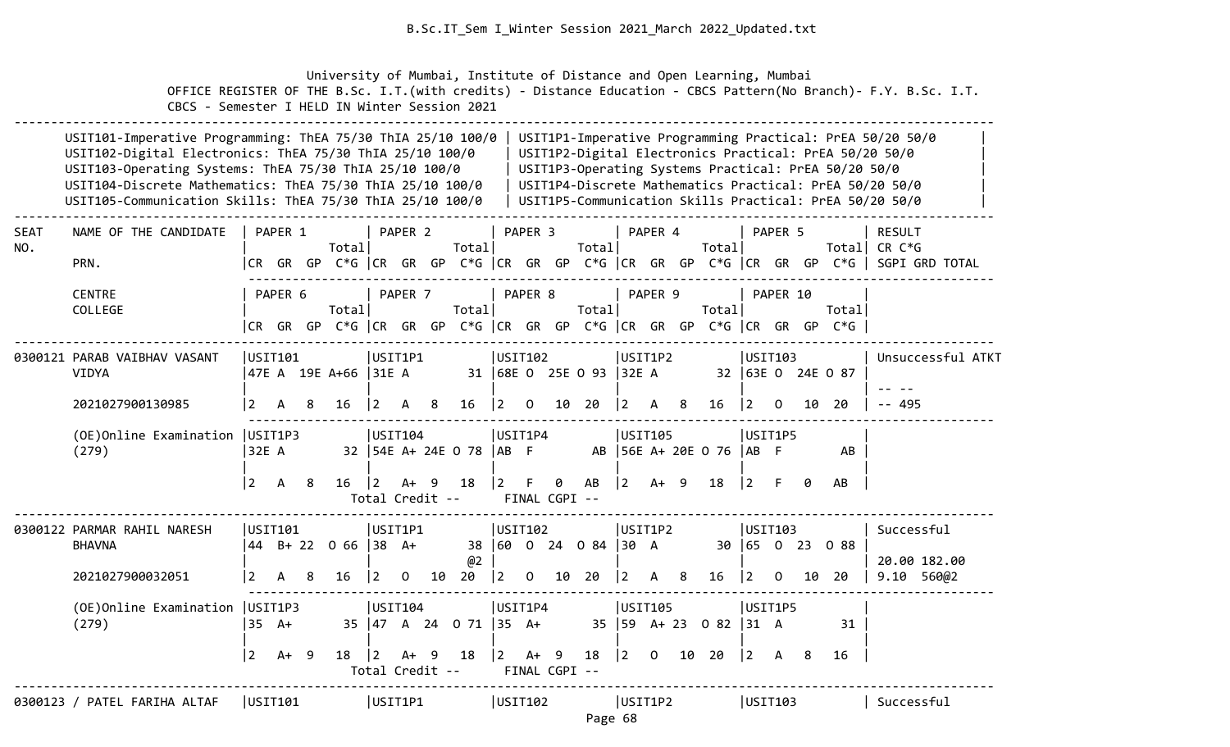University of Mumbai, Institute of Distance and Open Learning, Mumbai OFFICE REGISTER OF THE B.Sc. I.T.(with credits) - Distance Education - CBCS Pattern(No Branch)- F.Y. B.Sc. I.T. CBCS - Semester I HELD IN Winter Session 2021

|             | USIT101-Imperative Programming: ThEA 75/30 ThIA 25/10 100/0<br>USIT102-Digital Electronics: ThEA 75/30 ThIA 25/10 100/0<br>USIT103-Operating Systems: ThEA 75/30 ThIA 25/10 100/0<br>USIT104-Discrete Mathematics: ThEA 75/30 ThIA 25/10 100/0<br>USIT105-Communication Skills: ThEA 75/30 ThIA 25/10 100/0 |                                   |                            |         |                                        |             |                                           |     |                                         |                               |                         |                     |                             |                   |                           |   |                                                    |                                                  |          |         | USIT1P3-Operating Systems Practical: PrEA 50/20 50/0                            | USIT1P1-Imperative Programming Practical: PrEA 50/20 50/0<br>USIT1P2-Digital Electronics Practical: PrEA 50/20 50/0<br>USIT1P4-Discrete Mathematics Practical: PrEA 50/20 50/0<br>USIT1P5-Communication Skills Practical: PrEA 50/20 50/0 |
|-------------|-------------------------------------------------------------------------------------------------------------------------------------------------------------------------------------------------------------------------------------------------------------------------------------------------------------|-----------------------------------|----------------------------|---------|----------------------------------------|-------------|-------------------------------------------|-----|-----------------------------------------|-------------------------------|-------------------------|---------------------|-----------------------------|-------------------|---------------------------|---|----------------------------------------------------|--------------------------------------------------|----------|---------|---------------------------------------------------------------------------------|-------------------------------------------------------------------------------------------------------------------------------------------------------------------------------------------------------------------------------------------|
| SEAT<br>NO. | NAME OF THE CANDIDATE<br>PRN.                                                                                                                                                                                                                                                                               |                                   | PAPER 1                    |         | Totall                                 |             | PAPER 2                                   |     | Total                                   |                               | PAPER 3                 |                     | Total                       |                   | PAPER 4                   |   | Total                                              |                                                  | PAPER 5  |         |                                                                                 | <b>RESULT</b><br>Total CR C*G<br> CR GR GP C*G  CR GR GP C*G  CR GR GP C*G  CR GR GP C*G  CR GR GP C*G   SGPI GRD TOTAL                                                                                                                   |
|             | <b>CENTRE</b><br>COLLEGE                                                                                                                                                                                                                                                                                    |                                   | PAPER 6                    |         | Totall                                 |             | PAPER 7                                   |     | Total                                   |                               | PAPER 8                 |                     | Totall                      |                   | PAPER 9                   |   | Total                                              |                                                  | PAPER 10 |         | Totall<br> CR GR GP C*G  CR GR GP C*G  CR GR GP C*G  CR GR GP C*G  CR GR GP C*G |                                                                                                                                                                                                                                           |
|             | 0300121 PARAB VAIBHAV VASANT<br><b>VIDYA</b>                                                                                                                                                                                                                                                                |                                   | USIT101                    |         | 47E A 19E A+66  31E A                  |             | USIT1P1                                   |     |                                         | USIT102                       |                         |                     | 31   68E 0 25E 0 93   32E A |                   | USIT1P2                   |   |                                                    | USIT103                                          |          |         | 32 63E 0 24E 0 87                                                               | Unsuccessful ATKT                                                                                                                                                                                                                         |
|             | 2021027900130985<br>(OE) Online Examination   USIT1P3<br>(279)                                                                                                                                                                                                                                              | $\vert 2 \vert$<br>$\overline{2}$ | A<br>32E A<br>$\mathsf{A}$ | 8<br>-8 | 16<br>$16 \quad  2$                    | $ 2\rangle$ | A<br> USTI04 <br>$A+ 9$                   | 8   | 16<br>32   54E A+ 24E O 78   AB F<br>18 | $\vert$ 2<br>USIT1P4<br>l 2 L | $\mathbf 0$<br>F.       | 0                   | 10 20<br>AB                 | $ 2\rangle$<br> 2 | A<br>USIT105<br>$A+ 9$    | 8 | $16 \quad  2$<br>AB   56E A+ 20E 0 76   AB F<br>18 | USIT1P5<br>$\vert 2 \vert$ F                     | $\Omega$ | 10<br>0 | 20<br>AB<br>AB                                                                  | -- 495                                                                                                                                                                                                                                    |
|             | 0300122 PARMAR RAHIL NARESH<br><b>BHAVNA</b><br>2021027900032051                                                                                                                                                                                                                                            | $\vert$ 2                         | USIT101<br>A 8             |         | $ 44 \t B+ 22 \t O 66  38 \t A+$<br>16 | $ 2\rangle$ | Total Credit --<br>USIT1P1<br>$\mathbf 0$ |     | @2<br>10 20                             | USIT102<br>$\vert$ 2          | $\overline{\mathbf{0}}$ | FINAL CGPI --<br>10 | 38 60 0 24 0 84 30 A<br>20  | $ 2\rangle$       | USIT1P2<br>A 8            |   | $16 \quad  2 \quad 0$                              | USTI03                                           |          |         | 30 65 0 23 0 88<br>10 20                                                        | Successful<br>20.00 182.00<br>9.10 56002                                                                                                                                                                                                  |
|             | (OE) Online Examination   USIT1P3<br>(279)                                                                                                                                                                                                                                                                  | $\vert$ 2                         | $35 \text{ A+}$<br>$A+9$   |         | 18                                     | $\vert$ 2   | USIT104<br>$A+$<br>Total Credit --        | - 9 | 35 47 A 24 0 71 35 A+<br>18             | USIT1P4<br> 2                 | $A+ 9$                  | FINAL CGPI --       | 18                          | $ 2\rangle$       | USIT105<br>$\overline{0}$ |   | 35   59 A + 23 0 82   31 A<br>10 20                | USIT1P5<br>$\begin{vmatrix} 2 & A \end{vmatrix}$ |          | - 8     | 31<br>16                                                                        |                                                                                                                                                                                                                                           |
|             | 0300123 / PATEL FARIHA ALTAF                                                                                                                                                                                                                                                                                |                                   | USTI01                     |         |                                        |             | USIT1P1                                   |     |                                         | USIT102                       |                         |                     | Page 68                     | USIT1P2           |                           |   |                                                    | USTI03                                           |          |         |                                                                                 | Successful                                                                                                                                                                                                                                |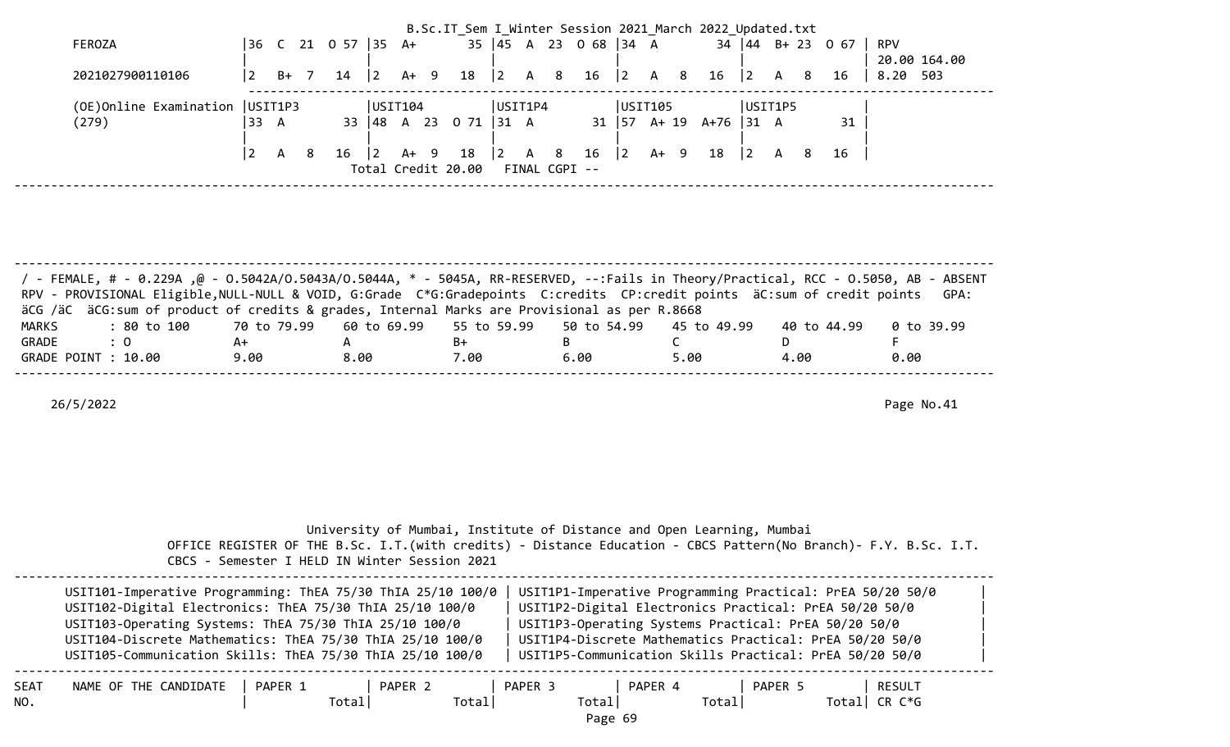| FEROZA<br>2021027900110106                                                                                                                                                                                                                                                                                  | 36 C 21 0 57 35 A+<br> 2 <br>B+ 7 | $ 2\rangle$<br>$A+ 9$<br>14                   | $ 2 \rangle$<br>18          | 35   45 A 23 O 68   34 A<br>A 8<br>16                                                | B.Sc.IT_Sem I_Winter Session 2021 March 2022 Updated.txt<br>$ 2\rangle$<br>A 8<br>16 | $34 \mid 44 \mid B + 23 \mid 0 \mid 67 \mid$<br>$ 2\rangle$<br>A 8<br>16                                                                                                                                                                                                                          | RPV<br>20.00 164.00<br>8.20 503  |
|-------------------------------------------------------------------------------------------------------------------------------------------------------------------------------------------------------------------------------------------------------------------------------------------------------------|-----------------------------------|-----------------------------------------------|-----------------------------|--------------------------------------------------------------------------------------|--------------------------------------------------------------------------------------|---------------------------------------------------------------------------------------------------------------------------------------------------------------------------------------------------------------------------------------------------------------------------------------------------|----------------------------------|
| (OE) Online Examination   USIT1P3<br>(279)                                                                                                                                                                                                                                                                  | 33 A                              | USIT104<br>33   48 A 23 O 71   31 A           |                             | USIT1P4                                                                              | USIT105<br>$31 \mid 57$ A+ 19 A+76 31 A                                              | USIT1P5<br>31                                                                                                                                                                                                                                                                                     |                                  |
|                                                                                                                                                                                                                                                                                                             | $\vert$ 2<br><b>A</b><br>- 8      | 16<br>$ 2\rangle$<br>A+ 9                     | 18                          | $\begin{vmatrix} 2 & A & 8 & 16 \end{vmatrix}$ 2<br>Total Credit 20.00 FINAL CGPI -- | A+ 9                                                                                 | 18   2 A 8<br>16                                                                                                                                                                                                                                                                                  |                                  |
| / - FEMALE, # - 0.229A ,@ - 0.5042A/0.5043A/0.5044A, * - 5045A, RR-RESERVED, --:Fails in Theory/Practical, RCC - 0.5050, AB - ABSENT                                                                                                                                                                        |                                   |                                               |                             |                                                                                      |                                                                                      |                                                                                                                                                                                                                                                                                                   |                                  |
| RPV - PROVISIONAL Eligible, NULL-NULL & VOID, G:Grade C*G:Gradepoints C:credits CP:credit points äC:sum of credit points<br>äCG /äC äCG:sum of product of credits & grades, Internal Marks are Provisional as per R.8668<br>: 80 to 100<br><b>MARKS</b><br>$\therefore$ 0<br>GRADE<br>GRADE POINT : 10.00   | 70 to 79.99<br>A+<br>9.00         | 60 to 69.99<br>$\mathsf{A}$<br>8.00           | 55 to 59.99<br>$B+$<br>7.00 | 50 to 54.99<br>B<br>6.00                                                             | 45 to 49.99<br>$\mathsf{C}$<br>5.00                                                  | 40 to 44.99<br>D<br>4.00                                                                                                                                                                                                                                                                          | GPA:<br>0 to 39.99<br>F.<br>0.00 |
| 26/5/2022                                                                                                                                                                                                                                                                                                   |                                   |                                               |                             |                                                                                      |                                                                                      |                                                                                                                                                                                                                                                                                                   | Page No.41                       |
|                                                                                                                                                                                                                                                                                                             |                                   | CBCS - Semester I HELD IN Winter Session 2021 |                             |                                                                                      | University of Mumbai, Institute of Distance and Open Learning, Mumbai                | OFFICE REGISTER OF THE B.Sc. I.T. (with credits) - Distance Education - CBCS Pattern (No Branch) - F.Y. B.Sc. I.T.                                                                                                                                                                                |                                  |
| USIT101-Imperative Programming: ThEA 75/30 ThIA 25/10 100/0<br>USIT102-Digital Electronics: ThEA 75/30 ThIA 25/10 100/0<br>USIT103-Operating Systems: ThEA 75/30 ThIA 25/10 100/0<br>USIT104-Discrete Mathematics: ThEA 75/30 ThIA 25/10 100/0<br>USIT105-Communication Skills: ThEA 75/30 ThIA 25/10 100/0 |                                   |                                               |                             |                                                                                      |                                                                                      | USIT1P1-Imperative Programming Practical: PrEA 50/20 50/0<br>USIT1P2-Digital Electronics Practical: PrEA 50/20 50/0<br>USIT1P3-Operating Systems Practical: PrEA 50/20 50/0<br>USIT1P4-Discrete Mathematics Practical: PrEA 50/20 50/0<br>USIT1P5-Communication Skills Practical: PrEA 50/20 50/0 |                                  |
| NAME OF THE CANDIDATE<br>SEAT<br>NO.                                                                                                                                                                                                                                                                        | PAPER 1                           | PAPER 2<br>Total                              | Total                       | PAPER 3<br>Total<br>Page 69                                                          | PAPER 4<br>Total                                                                     | PAPER 5                                                                                                                                                                                                                                                                                           | RESULT<br>Total CR $C*G$         |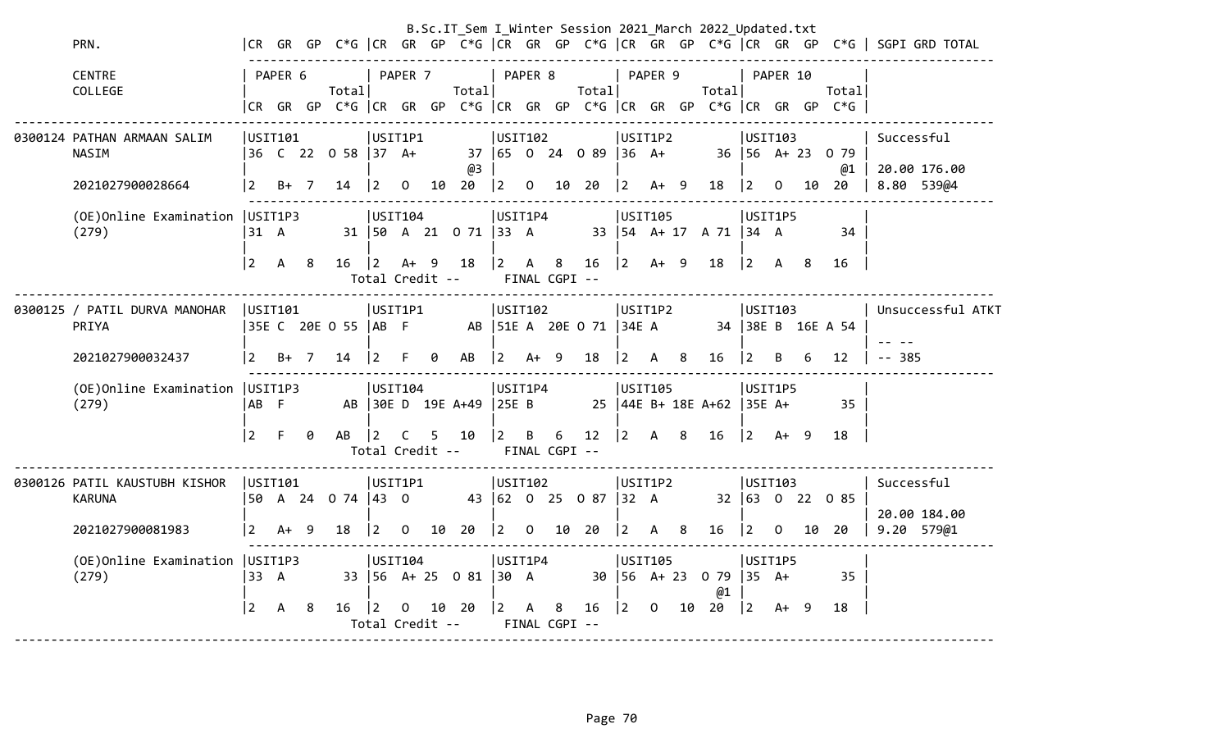|                                                                                               |                     |                   |    |                          |                                       |                                             |    |                                |                                                             |                |                    |                                                 |                                           |                                                                         |    | B.Sc.IT_Sem I_Winter Session 2021_March 2022_Updated.txt |                                            |          |   |                                                                           |                                                                                       |
|-----------------------------------------------------------------------------------------------|---------------------|-------------------|----|--------------------------|---------------------------------------|---------------------------------------------|----|--------------------------------|-------------------------------------------------------------|----------------|--------------------|-------------------------------------------------|-------------------------------------------|-------------------------------------------------------------------------|----|----------------------------------------------------------|--------------------------------------------|----------|---|---------------------------------------------------------------------------|---------------------------------------------------------------------------------------|
| PRN.                                                                                          |                     |                   |    |                          |                                       |                                             |    |                                |                                                             |                |                    |                                                 |                                           |                                                                         |    |                                                          |                                            |          |   |                                                                           | CR GR GP C*G  CR GR GP C*G  CR GR GP C*G  CR GR GP C*G  CR GR GP C*G   SGPI GRD TOTAL |
| <b>CENTRE</b><br>COLLEGE                                                                      |                     | PAPER 6           |    | Totall                   |                                       | PAPER 7                                     |    | Total                          | PAPER 8                                                     |                |                    | Total                                           | PAPER 9                                   |                                                                         |    | Total                                                    |                                            | PAPER 10 |   | Total<br>CR GR GP C*G CR GR GP C*G CR GR GP C*G CR GR GP C*G CR GR GP C*G |                                                                                       |
| 0300124 PATHAN ARMAAN SALIM<br>NASIM<br>2021027900028664<br>(OE) Online Examination   USIT1P3 | $\mathbf{2}$        | USIT101<br>$B+$ 7 |    | 36 C 22 0 58 37 A+<br>14 | $ 2\rangle$                           | USIT1P1<br>$\overline{0}$<br><b>USIT104</b> |    | @3<br>10 20                    | USIT102<br>$\begin{vmatrix} 2 & 0 \end{vmatrix}$<br>USIT1P4 |                |                    | 37 65 0 24 0 89<br>10 20                        | $ 36 \tA+$                                | USIT1P2<br>$\begin{vmatrix} 2 & A+ & 9 \end{vmatrix}$<br><b>USIT105</b> |    | 18                                                       | USIT103<br>$\vert$ 2<br>USIT1P5            | 0        |   | $36 \mid 56 \text{ A} + 23 \text{ O} \mid 79$<br>@1<br>10 20              | Successful<br>20.00 176.00<br>8.80 539@4                                              |
| (279)                                                                                         | 31 A<br>$2^{\circ}$ | A                 | 8  | 16                       | $\vert$ 2<br>Total Credit --          | $A+ 9$                                      |    | 31   50 A 21 0 71   33 A<br>18 | $\overline{2}$                                              | $\mathsf{A}$   | 8<br>FINAL CGPI -- | 16                                              | $ 2 \tA+ 9$                               |                                                                         |    | 33   54 A + 17 A 71   34 A<br>18                         | $\begin{vmatrix} 2 & A & 8 \end{vmatrix}$  |          |   | 34<br>16                                                                  |                                                                                       |
| 0300125 / PATIL DURVA MANOHAR<br>PRIYA                                                        | USTI01              |                   |    | 35E C 20E O 55   AB F    |                                       | USIT1P1                                     |    |                                | USIT102                                                     |                |                    | AB   51E A 20E O 71                             | 34E A                                     | USIT1P2                                                                 |    |                                                          | USTI03                                     |          |   | 34 38E B 16E A 54                                                         | Unsuccessful ATKT                                                                     |
| 2021027900032437                                                                              | <u> 2</u>           | $B+ 7$            |    | 14                       | $\overline{2}$                        |                                             | ø  | AB                             | $2^{\circ}$                                                 |                | $A+ 9$             | 18                                              | <u> 2</u>                                 | A 8                                                                     |    | 16                                                       | $\overline{2}$                             | B.       | 6 | 12                                                                        | $-- 385$                                                                              |
| (OE) Online Examination   USIT1P3<br>(279)                                                    | AB F                |                   |    |                          |                                       | USIT104                                     |    | AB 30E D 19E A+49 25E B        | USIT1P4                                                     |                |                    |                                                 |                                           | USIT105                                                                 |    | 25   44E B+ 18E A+62   35E A+                            | USIT1P5                                    |          |   | 35                                                                        |                                                                                       |
|                                                                                               | $\overline{2}$      | F                 | ø  | AB                       | $\overline{2}$                        | C.                                          | 5. | 10<br>Total Credit --          | $ 2 \rangle$                                                | $\overline{B}$ | 6<br>FINAL CGPI -- | 12                                              | $\begin{vmatrix} 2 & A & 8 \end{vmatrix}$ |                                                                         |    | 16                                                       | $\begin{vmatrix} 2 & A+ & 9 \end{vmatrix}$ |          |   | 18                                                                        |                                                                                       |
| 0300126 PATIL KAUSTUBH KISHOR<br><b>KARUNA</b>                                                |                     | USIT101           |    | 50 A 24 0 74   43 0      |                                       | USIT1P1                                     |    |                                | USIT102                                                     |                |                    | 43 62 0 25 0 87                                 | $ 32 \ \text{A}$                          | USIT1P2                                                                 |    |                                                          | USIT103                                    |          |   | $32 \mid 63 \mid 0 \mid 22 \mid 0 \mid 85$                                | Successful<br>20.00 184.00                                                            |
| 2021027900081983                                                                              | $\vert 2 \vert$     | $A+9$             |    | 18                       | $\begin{bmatrix} 2 & 0 \end{bmatrix}$ |                                             |    | 10 20                          |                                                             |                |                    | $\begin{bmatrix} 2 & 0 & 10 & 20 \end{bmatrix}$ | $\begin{vmatrix} 2 & A & 8 \end{vmatrix}$ |                                                                         |    | 16 2 0 10 20                                             |                                            |          |   |                                                                           | 9.20 579@1                                                                            |
| (OE) Online Examination   USIT1P3<br>(279)                                                    | 33 A                |                   |    |                          |                                       | USTI04                                      |    | 33   56 A + 25 0 81   30 A     | USIT1P4                                                     |                |                    |                                                 |                                           | USIT105                                                                 |    | 30   56 A + 23 0 79   35 A +<br>@1                       | USIT1P5                                    |          |   | 35                                                                        |                                                                                       |
|                                                                                               | $\vert 2 \vert$     | A                 | -8 | 16                       | 12<br>Total Credit --                 | 0                                           |    | 10 20                          | $2^{\circ}$                                                 | A              | 8<br>FINAL CGPI -- | 16                                              | l 2                                       | $\Omega$                                                                | 10 | 20                                                       | 2                                          | $A+ 9$   |   | 18                                                                        |                                                                                       |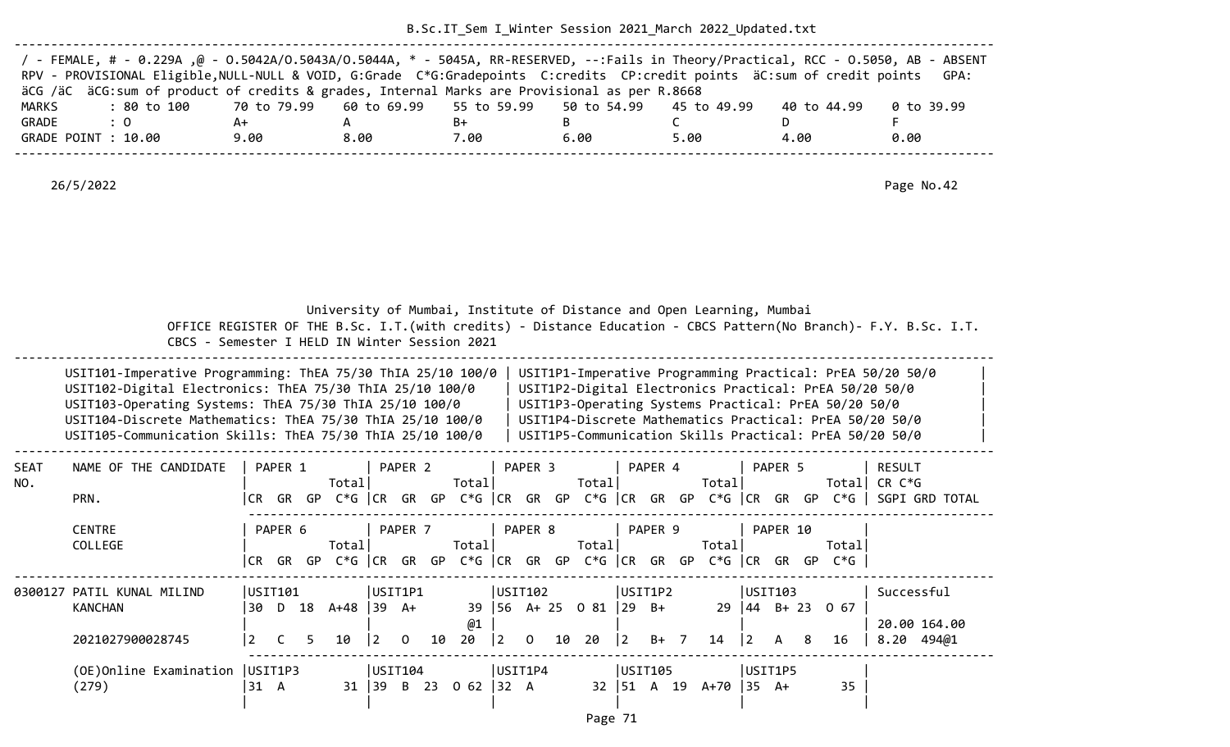| / - FEMALE, # - 0.229A ,@ - 0.5042A/0.5043A/0.5044A, * - 5045A, RR-RESERVED, --:Fails in Theory/Practical, RCC - 0.5050, AB - ABSENT<br>RPV - PROVISIONAL Eligible, NULL-NULL & VOID, G:Grade C*G:Gradepoints C:credits CP:credit points äC:sum of credit points |      |      |      |      |      |             | GPA:       |
|------------------------------------------------------------------------------------------------------------------------------------------------------------------------------------------------------------------------------------------------------------------|------|------|------|------|------|-------------|------------|
| äCG /äC äCG:sum of product of credits & grades, Internal Marks are Provisional as per R.8668                                                                                                                                                                     |      |      |      |      |      |             |            |
| : 80 to 100    70 to 79.99   60 to 69.99   55 to 59.99   50 to 54.99   45 to 49.99<br>MARKS                                                                                                                                                                      |      |      |      |      |      | 40 to 44.99 | 0 to 39.99 |
| GRADE<br>$\therefore$ 0                                                                                                                                                                                                                                          | A+   |      | B+   |      |      |             |            |
| GRADE POINT : 10.00                                                                                                                                                                                                                                              | 9.00 | 8.00 | 7.00 | 6.00 | 5.00 | 4.00        | 0.00       |
|                                                                                                                                                                                                                                                                  |      |      |      |      |      |             |            |

|             | CBCS - Semester I HELD IN Winter Session 2021                                                                                                                                                                                                                                                               |                |         |            |                  |           |                                        |    |             |                                       |                    |                                 |             |                   | University of Mumbai, Institute of Distance and Open Learning, Mumbai           |                  |                        |    |                                                      | OFFICE REGISTER OF THE B.Sc. I.T. (with credits) - Distance Education - CBCS Pattern (No Branch) - F.Y. B.Sc. I.T.                                                                                                                        |
|-------------|-------------------------------------------------------------------------------------------------------------------------------------------------------------------------------------------------------------------------------------------------------------------------------------------------------------|----------------|---------|------------|------------------|-----------|----------------------------------------|----|-------------|---------------------------------------|--------------------|---------------------------------|-------------|-------------------|---------------------------------------------------------------------------------|------------------|------------------------|----|------------------------------------------------------|-------------------------------------------------------------------------------------------------------------------------------------------------------------------------------------------------------------------------------------------|
|             | USIT101-Imperative Programming: ThEA 75/30 ThIA 25/10 100/0<br>USIT102-Digital Electronics: ThEA 75/30 ThIA 25/10 100/0<br>USIT103-Operating Systems: ThEA 75/30 ThIA 25/10 100/0<br>USIT104-Discrete Mathematics: ThEA 75/30 ThIA 25/10 100/0<br>USIT105-Communication Skills: ThEA 75/30 ThIA 25/10 100/0 |                |         |            |                  |           |                                        |    |             |                                       |                    |                                 |             |                   |                                                                                 |                  |                        |    | USIT1P3-Operating Systems Practical: PrEA 50/20 50/0 | USIT1P1-Imperative Programming Practical: PrEA 50/20 50/0<br>USIT1P2-Digital Electronics Practical: PrEA 50/20 50/0<br>USIT1P4-Discrete Mathematics Practical: PrEA 50/20 50/0<br>USIT1P5-Communication Skills Practical: PrEA 50/20 50/0 |
| SEAT<br>NO. | NAME OF THE CANDIDATE<br>PRN.                                                                                                                                                                                                                                                                               | CR.            | PAPER 1 |            | Totall           |           | PAPER <sub>2</sub>                     |    | Totall      |                                       | PAPER <sub>3</sub> | Total                           |             | PAPER 4           | Totall                                                                          |                  | PAPER 5                |    |                                                      | <b>RESULT</b><br>Total CR $C*G$<br>GR GP C*G CR GR GP C*G CR GR GP C*G CR GR GP C*G CR GR GP C*G SGPI GRD TOTAL                                                                                                                           |
|             | <b>CENTRE</b><br><b>COLLEGE</b>                                                                                                                                                                                                                                                                             |                | PAPER 6 |            | Total            |           | PAPER <sub>7</sub>                     |    | Total       |                                       | PAPER 8            | Total                           |             | PAPER 9           | Totall<br> CR GR GP C*G  CR GR GP C*G  CR GR GP C*G  CR GR GP C*G  CR GR GP C*G |                  | PAPER 10               |    | Totall                                               |                                                                                                                                                                                                                                           |
|             | 0300127 PATIL KUNAL MILIND<br><b>KANCHAN</b><br>2021027900028745                                                                                                                                                                                                                                            | 30<br>2        | USTI01  | D 18<br>5. | A+48 39 A+<br>10 | $\vert$ 2 | USIT1P1<br>$\Omega$                    | 10 | @1<br>20    | $\begin{vmatrix} 2 & 0 \end{vmatrix}$ | USIT102            | 39 56 A+ 25 0 81 29 B+<br>10 20 | $ 2\rangle$ | USIT1P2<br>$B+$ 7 | 14                                                                              | $ 2\rangle$      | USTI03<br>$\mathsf{A}$ | -8 | $29 \mid 44 \mid B + 23 \mid 0 \mid 67$<br>16        | Successful<br>20.00 164.00<br>8.20 494@1                                                                                                                                                                                                  |
|             | (OE) Online Examination   USIT1P3<br>(279)                                                                                                                                                                                                                                                                  | $31 \text{ A}$ |         |            |                  |           | USIT104<br>$31 \mid 39 \mid B \mid 23$ |    | $0 62$ 32 A |                                       | USIT1P4            |                                 |             | USIT105           | $32 \mid 51 \text{ A} 19 \text{ A} + 70$                                        | $135 \text{ A+}$ | USIT1P5                |    | 35                                                   |                                                                                                                                                                                                                                           |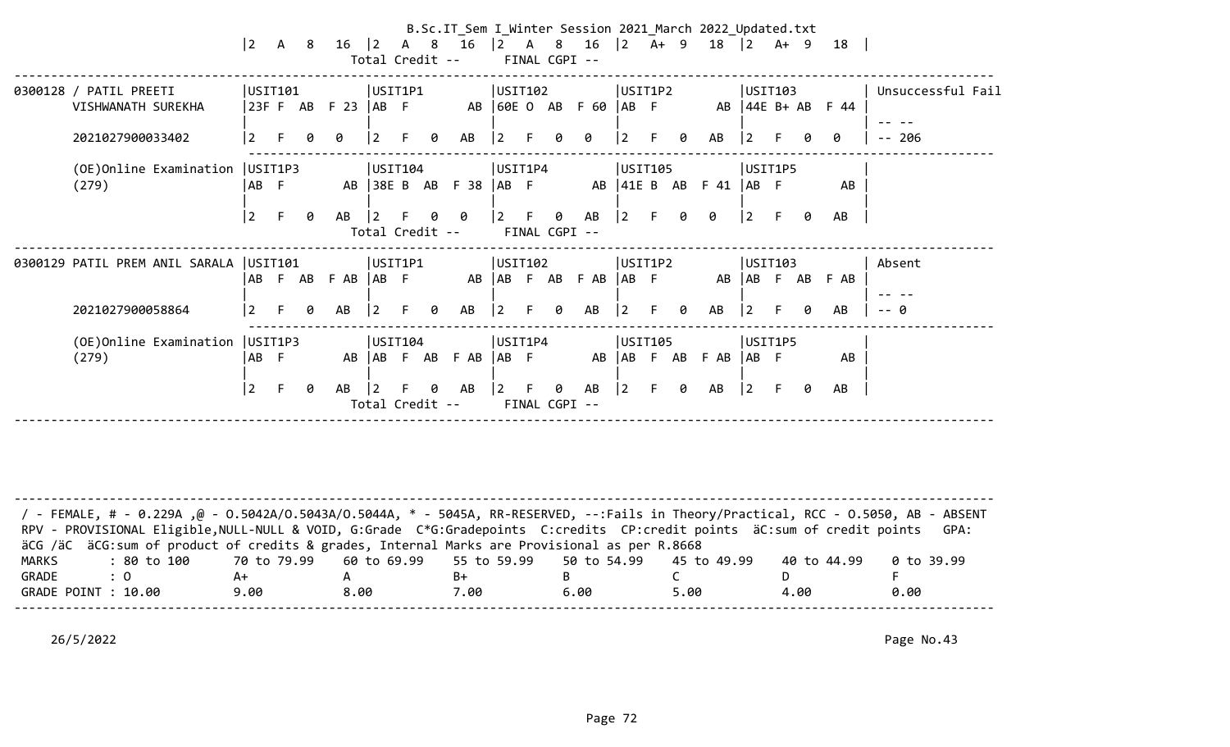|                                              | $ 2\rangle$     |    |   |               |                              |    |   | B.Sc.IT_Sem I_Winter Session 2021_March 2022_Updated.txt<br>A 8 16  2 A 8 16  2 A 8 16  2 A + 9 18  2 A + 9 18<br>Total Credit -- FINAL CGPI -- |             |    |          |                       |                |    |   |                                                                   |                   |         |    |                          |                   |
|----------------------------------------------|-----------------|----|---|---------------|------------------------------|----|---|-------------------------------------------------------------------------------------------------------------------------------------------------|-------------|----|----------|-----------------------|----------------|----|---|-------------------------------------------------------------------|-------------------|---------|----|--------------------------|-------------------|
| 0300128 / PATIL PREETI<br>VISHWANATH SUREKHA | USIT101         |    |   | 23FFABF23 ABF | USIT1P1                      |    |   | AB 60E O AB F 60  AB F                                                                                                                          | USIT102     |    |          |                       | USIT1P2        |    |   |                                                                   |                   | USIT103 |    | AB $\vert 44E B+AB$ F 44 | Unsuccessful Fail |
| 2021027900033402                             | <u> 2</u>       | F. | 0 | 0             | $\overline{2}$               |    | 0 | AB                                                                                                                                              | l 2         | F. | Ø.       | ø                     | 2              | F. | 0 | AB                                                                | l 2               |         |    | ø                        | $- - 206$         |
| (OE) Online Examination   USIT1P3<br>(279)   | IAB F           |    |   |               | USIT104                      |    |   | AB 38E B AB F 38   AB F                                                                                                                         | USIT1P4     |    |          |                       | USIT105        |    |   | AB $\vert 41E \vert B \vert AB \vert F \vert 41 \vert AB \vert F$ |                   | USIT1P5 |    | AB                       |                   |
|                                              | 2               | F. | 0 | AB            | $\vert$ 2<br>Total Credit -- | F. |   | 00                                                                                                                                              | $ 2 \tF$    |    |          | 0 AB<br>FINAL CGPI -- | $\vert$ 2      |    | 0 | 0                                                                 | $\vert 2 \vert$ F |         | Ø  | AB                       |                   |
| 0300129 PATIL PREM ANIL SARALA   USIT101     |                 |    |   | ABFABFABABF   | USIT1P1                      |    |   | AB   AB F AB F AB   AB F                                                                                                                        | USIT102     |    |          |                       | USIT1P2        |    |   |                                                                   |                   | USIT103 |    | AB AB F AB F AB          | Absent            |
| 2021027900058864                             |                 | F. | 0 | AB            | <u> 2</u>                    | F. | 0 | AB                                                                                                                                              | $ 2\rangle$ |    | 0        | AB                    | $\overline{2}$ | F. | 0 | AB                                                                | l 2               |         | Ø. | AB                       | -- 0              |
| (OE) Online Examination   USIT1P3<br>(279)   | IAB F           |    |   |               | USIT104                      |    |   | AB AB F AB F AB AB F                                                                                                                            | USIT1P4     |    |          |                       | USIT105        |    |   | AB AB F AB F AB AB F                                              |                   | USIT1P5 |    | AB                       |                   |
|                                              | $\vert 2 \vert$ | F. | 0 | AB            | $\vert 2 \vert$              |    |   | $\theta$ AB<br>Total Credit --                                                                                                                  | $ 2\rangle$ | F. | $\theta$ | AB<br>FINAL CGPI --   | $ 2\rangle$    | E. | 0 | AB                                                                | $\vert 2 \vert$ F |         | 0  | AB                       |                   |
|                                              |                 |    |   |               |                              |    |   |                                                                                                                                                 |             |    |          |                       |                |    |   |                                                                   |                   |         |    |                          |                   |

-------------------------------------------------------------------------------------------------------------------------------------- / - FEMALE, # - 0.229A ,@ - O.5042A/O.5043A/O.5044A, \* - 5045A, RR-RESERVED, --:Fails in Theory/Practical, RCC - O.5050, AB - ABSENT RPV - PROVISIONAL Eligible, NULL-NULL & VOID, G:Grade C\*G:Gradepoints C:credits CP:credit points äC:sum of credit points GPA: äCG /äC äCG:sum of product of credits & grades, Internal Marks are Provisional as per R.8668 MARKS : 80 to 100 70 to 79.99 60 to 69.99 55 to 59.99 50 to 54.99 45 to 49.99 40 to 44.99 0 to 39.99 GRADE : 0 A+ A B+ B C D F GRADE POINT : 10.00 0.00 8.00 7.00 6.00 5.00 4.00 0.00 --------------------------------------------------------------------------------------------------------------------------------------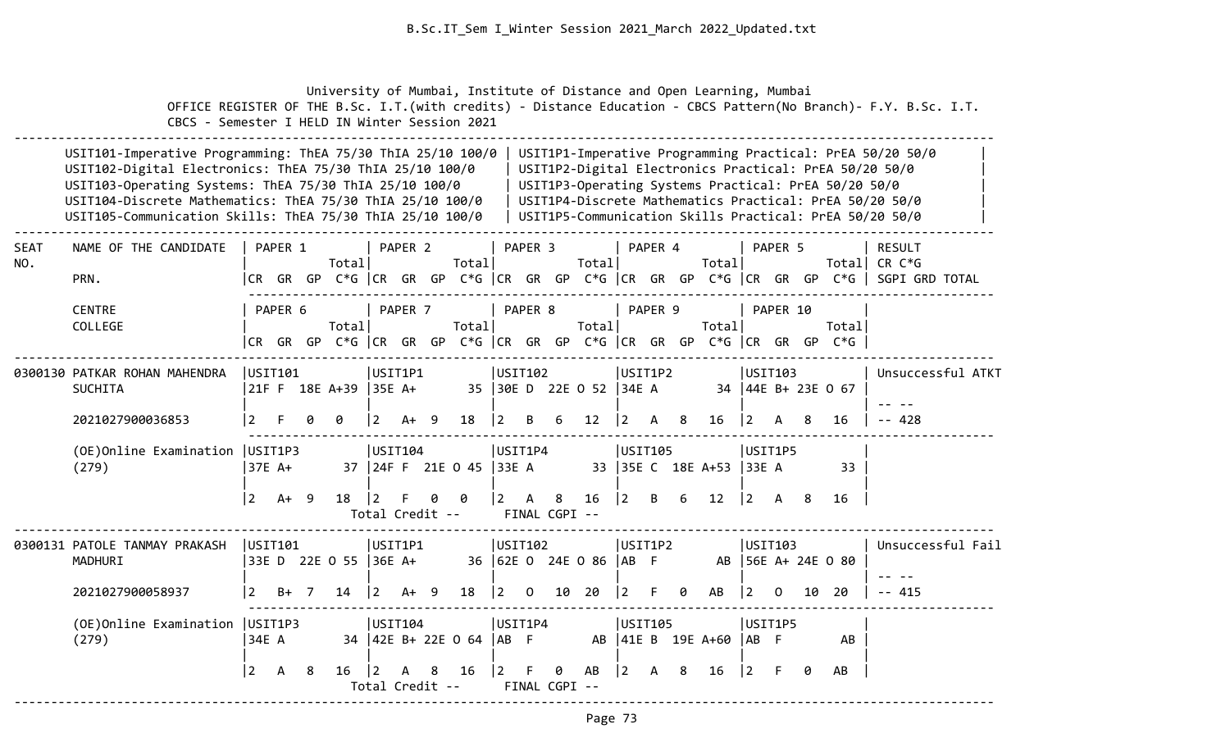University of Mumbai, Institute of Distance and Open Learning, Mumbai OFFICE REGISTER OF THE B.Sc. I.T.(with credits) - Distance Education - CBCS Pattern(No Branch)- F.Y. B.Sc. I.T. CBCS - Semester I HELD IN Winter Session 2021

|                    | USIT101-Imperative Programming: ThEA 75/30 ThIA 25/10 100/0<br>USIT102-Digital Electronics: ThEA 75/30 ThIA 25/10 100/0<br>USIT103-Operating Systems: ThEA 75/30 ThIA 25/10 100/0<br>USIT104-Discrete Mathematics: ThEA 75/30 ThIA 25/10 100/0<br>USIT105-Communication Skills: ThEA 75/30 ThIA 25/10 100/0 |                 |         |                    |                                                                                |                |                    |     |                   |                |                    |               |                         | USIT1P3-Operating Systems Practical: PrEA 50/20 50/0 | USIT1P1-Imperative Programming Practical: PrEA 50/20 50/0<br>USIT1P2-Digital Electronics Practical: PrEA 50/20 50/0<br>USIT1P4-Discrete Mathematics Practical: PrEA 50/20 50/0<br>USIT1P5-Communication Skills Practical: PrEA 50/20 50/0 |     |                     |                      |              |    |                      |                                                                                                                          |
|--------------------|-------------------------------------------------------------------------------------------------------------------------------------------------------------------------------------------------------------------------------------------------------------------------------------------------------------|-----------------|---------|--------------------|--------------------------------------------------------------------------------|----------------|--------------------|-----|-------------------|----------------|--------------------|---------------|-------------------------|------------------------------------------------------|-------------------------------------------------------------------------------------------------------------------------------------------------------------------------------------------------------------------------------------------|-----|---------------------|----------------------|--------------|----|----------------------|--------------------------------------------------------------------------------------------------------------------------|
| <b>SEAT</b><br>NO. | NAME OF THE CANDIDATE<br>PRN.                                                                                                                                                                                                                                                                               |                 | PAPER 1 |                    | Total                                                                          |                | PAPER <sub>2</sub> |     | Total             |                | PAPER 3            |               | Total                   |                                                      | PAPER 4                                                                                                                                                                                                                                   |     | Total               |                      | PAPER 5      |    |                      | <b>RESULT</b><br>Total  CR C*G<br> CR GR GP C*G  CR GR GP C*G  CR GR GP C*G  CR GR GP C*G  CR GR GP C*G   SGPI GRD TOTAL |
|                    | <b>CENTRE</b><br>COLLEGE                                                                                                                                                                                                                                                                                    |                 | PAPER 6 |                    | Total<br> CR GR GP C*G  CR GR GP C*G  CR GR GP C*G  CR GR GP C*G  CR GR GP C*G |                | PAPER 7            |     | Total             |                | PAPER 8            |               | Total                   |                                                      | PAPER 9                                                                                                                                                                                                                                   |     | Total               |                      | PAPER 10     |    | Total                |                                                                                                                          |
|                    | 0300130 PATKAR ROHAN MAHENDRA<br><b>SUCHITA</b>                                                                                                                                                                                                                                                             |                 | USTI01  |                    | 21F F 18E A+39                                                                 | $ 35E$ A+      | USIT1P1            |     |                   |                | USIT102            |               | 35 30E D 22E O 52 34E A |                                                      | USIT1P2                                                                                                                                                                                                                                   |     |                     | USIT103              |              |    | 34   44E B+ 23E 0 67 | Unsuccessful ATKT                                                                                                        |
|                    | 2021027900036853                                                                                                                                                                                                                                                                                            | 2               |         |                    | g                                                                              | 2              | A+                 | - 9 | 18                | $\overline{2}$ | B                  | 6             | $12 \overline{ }$       | $\vert$ 2                                            | $\mathsf{A}$                                                                                                                                                                                                                              | - 8 | 16                  | 2                    | A            | 8  | 16                   | $- - 428$                                                                                                                |
|                    | (OE) Online Examination   USIT1P3<br>(279)                                                                                                                                                                                                                                                                  |                 | 37E A+  |                    |                                                                                |                | USTI04             |     | 37 24F F 21E 0 45 | 33E A          | USIT1P4            |               |                         |                                                      | USIT105                                                                                                                                                                                                                                   |     | 33 35E C 18E A+53   | USIT1P5<br> 33E A    |              |    | 33                   |                                                                                                                          |
|                    |                                                                                                                                                                                                                                                                                                             | $\vert 2 \vert$ | $A+ 9$  |                    | 18                                                                             | $\overline{2}$ | Total Credit --    | 0   | - 0               |                | $2 \overline{A} 8$ | FINAL CGPI -- | 16                      | $ 2\rangle$                                          | B                                                                                                                                                                                                                                         | 6   | 12                  | $\vert 2 \vert$      | $\mathsf{A}$ | -8 | 16                   |                                                                                                                          |
|                    | 0300131 PATOLE TANMAY PRAKASH<br>MADHURI                                                                                                                                                                                                                                                                    |                 | USIT101 |                    | 33E D 22E 0 55 36E A+                                                          |                | USIT1P1            |     |                   |                | USIT102            |               | 36 62E 0 24E 0 86 AB F  |                                                      | USIT1P2                                                                                                                                                                                                                                   |     | AB                  | USIT103              |              |    | $ 56E A+ 24E O 80$   | Unsuccessful Fail                                                                                                        |
|                    | 2021027900058937                                                                                                                                                                                                                                                                                            | <u>2</u>        | $B+ 7$  |                    | 14                                                                             | $\overline{2}$ | A+                 | - 9 | 18                | <u> 2</u>      | $\overline{0}$     | 10            | 20                      | 12                                                   | F.                                                                                                                                                                                                                                        | 0   | AB                  | <u>2</u>             | $\Omega$     | 10 | -20                  | 415                                                                                                                      |
|                    | (OE) Online Examination   USIT1P3<br> USTI04<br>(279)<br>34E A<br>34   42E B+ 22E 0 64                                                                                                                                                                                                                      |                 |         |                    |                                                                                |                |                    |     |                   |                |                    |               |                         |                                                      | USIT105                                                                                                                                                                                                                                   |     | AB   41E B 19E A+60 | USIT1P5<br>$ AB \tF$ |              |    | AB                   |                                                                                                                          |
|                    |                                                                                                                                                                                                                                                                                                             |                 |         | 0<br>FINAL CGPI -- | AB                                                                             | l 2            | А                  | 8   | 16                | 2              |                    |               | AB                      |                                                      |                                                                                                                                                                                                                                           |     |                     |                      |              |    |                      |                                                                                                                          |

--------------------------------------------------------------------------------------------------------------------------------------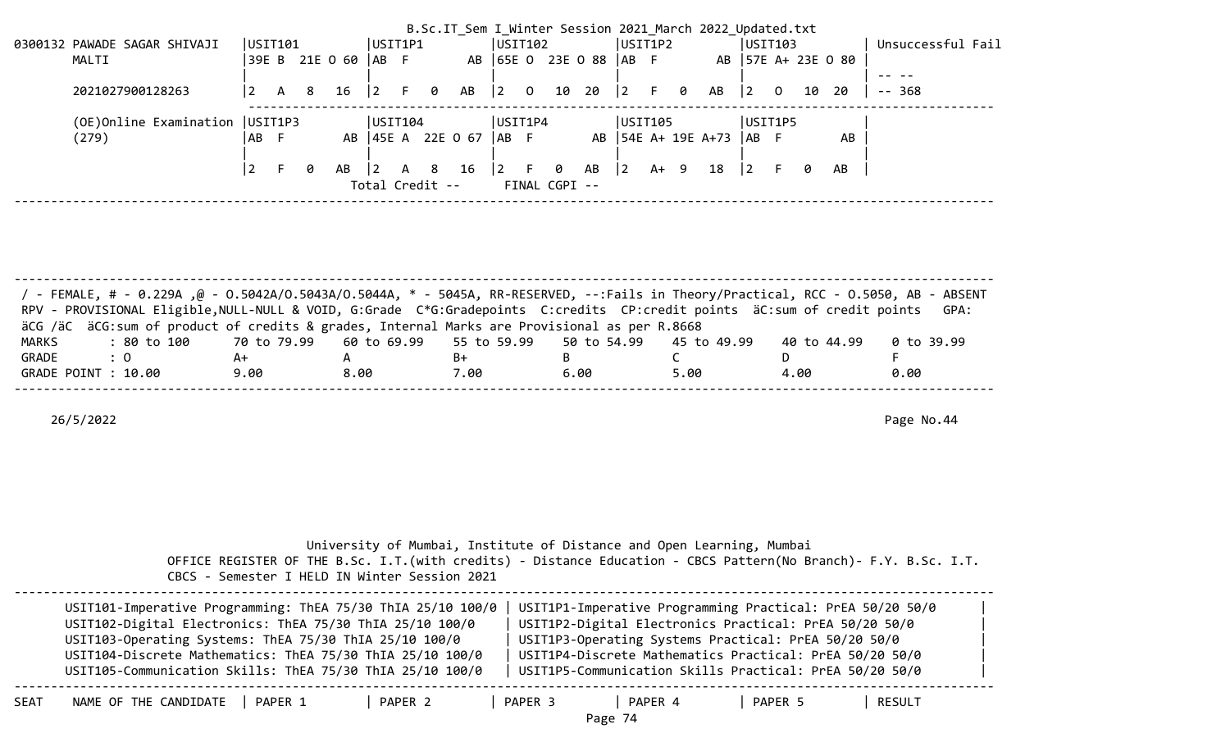|                                                                                                                     |                                   |         |     |     |                |                |  |  |                            |                                       |  |    |                        |         |     |   | B.Sc.IT Sem I Winter Session 2021 March 2022 Updated.txt |                |                |    |                    |                   |  |
|---------------------------------------------------------------------------------------------------------------------|-----------------------------------|---------|-----|-----|----------------|----------------|--|--|----------------------------|---------------------------------------|--|----|------------------------|---------|-----|---|----------------------------------------------------------|----------------|----------------|----|--------------------|-------------------|--|
|                                                                                                                     | 0300132 PAWADE SAGAR SHIVAJI      | USIT101 |     |     |                | UST1P1         |  |  |                            | USIT102                               |  |    |                        | USIT1P2 |     |   |                                                          |                | USIT103        |    |                    | Unsuccessful Fail |  |
|                                                                                                                     | MALTI                             |         |     |     | 39E B 21E O 60 | IAB F          |  |  |                            |                                       |  |    | AB 65E 0 23E 0 88 AB F |         |     |   |                                                          |                |                |    | AB 57E A+ 23E 0 80 |                   |  |
|                                                                                                                     |                                   |         |     |     |                |                |  |  |                            |                                       |  |    |                        |         |     |   |                                                          |                |                |    |                    |                   |  |
|                                                                                                                     | 2021027900128263                  |         | A 8 |     | 16             | $\overline{2}$ |  |  | F 0 AB                     | $\begin{bmatrix} 2 & 0 \end{bmatrix}$ |  | 10 | 20   2                 |         | - F | 0 | AB                                                       | $\overline{2}$ | $\overline{O}$ | 10 | - 20               | -- 368            |  |
|                                                                                                                     |                                   |         |     |     |                |                |  |  |                            |                                       |  |    |                        |         |     |   |                                                          |                |                |    |                    |                   |  |
|                                                                                                                     | (OE) Online Examination   USIT1P3 |         |     |     |                | USIT104        |  |  |                            | USIT1P4                               |  |    |                        | USIT105 |     |   |                                                          | USIT1P5        |                |    |                    |                   |  |
|                                                                                                                     | (279)                             | IAB F   |     |     |                |                |  |  | AB   45E A 22E O 67   AB F |                                       |  |    |                        |         |     |   | AB   54E A+ 19E A+73   AB F                              |                |                |    | AB                 |                   |  |
|                                                                                                                     |                                   |         |     |     |                |                |  |  |                            |                                       |  |    |                        |         |     |   |                                                          |                |                |    |                    |                   |  |
|                                                                                                                     |                                   |         |     | - 0 |                |                |  |  |                            |                                       |  |    |                        |         |     |   |                                                          | $\overline{2}$ |                | 0  | AB                 |                   |  |
| $\begin{vmatrix} 2 & F & \theta & AB \end{vmatrix}$ 2<br>AB 2 A 8 16<br>A+ 9 18<br>Total Credit --<br>FINAL CGPI -- |                                   |         |     |     |                |                |  |  |                            |                                       |  |    |                        |         |     |   |                                                          |                |                |    |                    |                   |  |
|                                                                                                                     |                                   |         |     |     |                |                |  |  |                            |                                       |  |    |                        |         |     |   |                                                          |                |                |    |                    |                   |  |

| / - FEMALE, # - 0.229A ,@ - 0.5042A/0.5043A/0.5044A, * - 5045A, RR-RESERVED, --:Fails in Theory/Practical, RCC - 0.5050, AB - ABSENT<br>RPV - PROVISIONAL Eligible, NULL-NULL & VOID, G:Grade C*G:Gradepoints C:credits CP:credit points äC:sum of credit points GPA: |      |      |      |      |      |             |            |
|-----------------------------------------------------------------------------------------------------------------------------------------------------------------------------------------------------------------------------------------------------------------------|------|------|------|------|------|-------------|------------|
|                                                                                                                                                                                                                                                                       |      |      |      |      |      |             |            |
| äCG /äC äCG:sum of product of credits & grades, Internal Marks are Provisional as per R.8668                                                                                                                                                                          |      |      |      |      |      |             |            |
| : 80 to 100    70 to 79.99   60 to 69.99   55 to 59.99   50 to 54.99   45 to 49.99<br>MARKS                                                                                                                                                                           |      |      |      |      |      | 40 to 44.99 | 0 to 39.99 |
| GRADE<br>$\therefore$ 0                                                                                                                                                                                                                                               | A+   |      | B+   |      |      |             |            |
| GRADE POINT : 10.00                                                                                                                                                                                                                                                   | 9.00 | 8.00 | 7.00 | 6.00 | 5.00 | 4.00        | 0.00       |
|                                                                                                                                                                                                                                                                       |      |      |      |      |      |             |            |

|                               | OFFICE REGISTER OF THE B.Sc. I.T. (with credits) - Distance Education - CBCS Pattern (No Branch) - F.Y. B.Sc. I.T.<br>CBCS - Semester I HELD IN Winter Session 2021                                                                                                                                         | University of Mumbai, Institute of Distance and Open Learning, Mumbai |                    |         |                                                                                                                                                                                                                                                                                                   |        |  |
|-------------------------------|-------------------------------------------------------------------------------------------------------------------------------------------------------------------------------------------------------------------------------------------------------------------------------------------------------------|-----------------------------------------------------------------------|--------------------|---------|---------------------------------------------------------------------------------------------------------------------------------------------------------------------------------------------------------------------------------------------------------------------------------------------------|--------|--|
|                               | USIT101-Imperative Programming: ThEA 75/30 ThIA 25/10 100/0<br>USIT102-Digital Electronics: ThEA 75/30 ThIA 25/10 100/0<br>USIT103-Operating Systems: ThEA 75/30 ThIA 25/10 100/0<br>USIT104-Discrete Mathematics: ThEA 75/30 ThIA 25/10 100/0<br>USIT105-Communication Skills: ThEA 75/30 ThIA 25/10 100/0 |                                                                       |                    |         | USIT1P1-Imperative Programming Practical: PrEA 50/20 50/0<br>USIT1P2-Digital Electronics Practical: PrEA 50/20 50/0<br>USIT1P3-Operating Systems Practical: PrEA 50/20 50/0<br>USIT1P4-Discrete Mathematics Practical: PrEA 50/20 50/0<br>USIT1P5-Communication Skills Practical: PrEA 50/20 50/0 |        |  |
| NAME OF THE CANDIDATE<br>SEAT | PAPER 1                                                                                                                                                                                                                                                                                                     | PAPER 2                                                               | PAPER 3<br>Page 74 | PAPER 4 | PAPER 5                                                                                                                                                                                                                                                                                           | RESULT |  |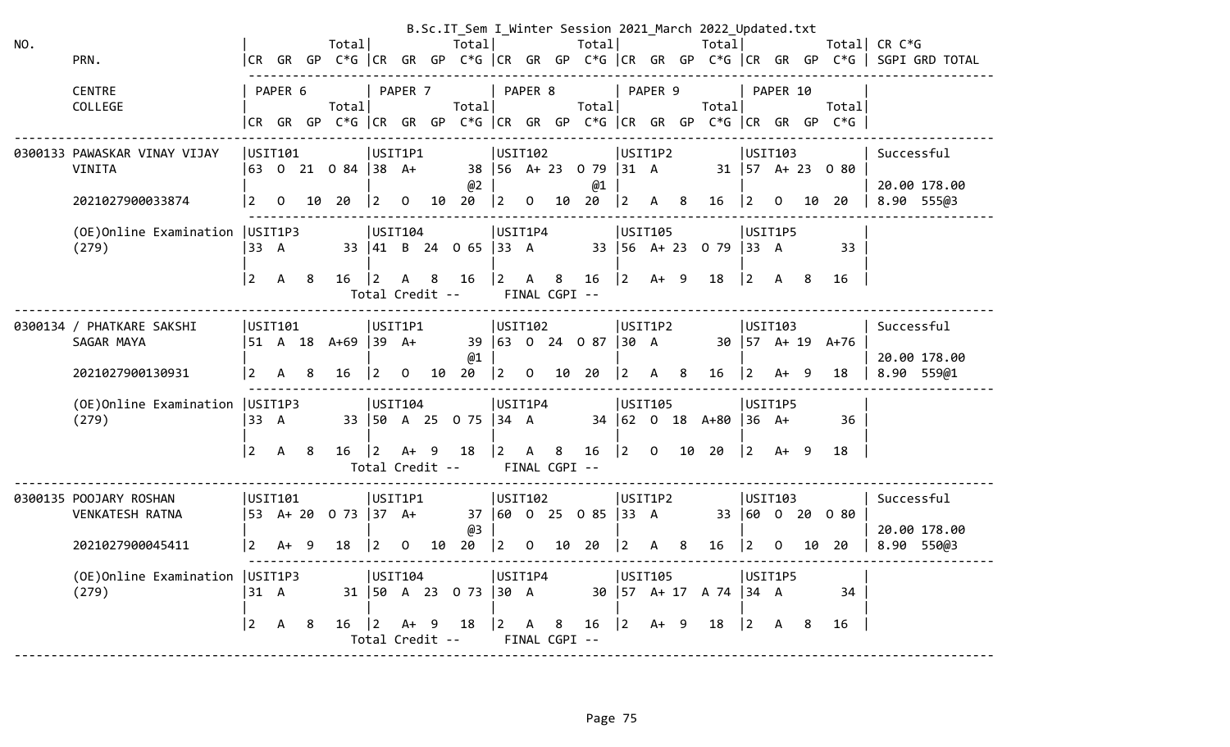|     |                                           |                 |                |    |                     |                                |                |    |                          |             |                |                    |                  |                  |                           |   | B.Sc.IT Sem I Winter Session 2021 March 2022 Updated.txt |                           |              |    |                                                                      |              |                                                                                            |
|-----|-------------------------------------------|-----------------|----------------|----|---------------------|--------------------------------|----------------|----|--------------------------|-------------|----------------|--------------------|------------------|------------------|---------------------------|---|----------------------------------------------------------|---------------------------|--------------|----|----------------------------------------------------------------------|--------------|--------------------------------------------------------------------------------------------|
| NO. |                                           |                 |                |    | Total               |                                |                |    | Total                    |             |                |                    | Total            |                  |                           |   | Totall                                                   |                           |              |    |                                                                      | Total CR C*G |                                                                                            |
|     | PRN.                                      |                 |                |    |                     |                                |                |    |                          |             |                |                    |                  |                  |                           |   |                                                          |                           |              |    |                                                                      |              | CR GR GP C*G   CR GR GP C*G   CR GR GP C*G   CR GR GP C*G   CR GR GP C*G    SGPI GRD TOTAL |
|     | <b>CENTRE</b>                             |                 | PAPER 6        |    |                     |                                | PAPER 7        |    |                          |             | PAPER 8        |                    |                  |                  | PAPER 9                   |   |                                                          |                           | PAPER 10     |    |                                                                      |              |                                                                                            |
|     | COLLEGE                                   |                 |                |    | Total               |                                |                |    | Total                    |             |                |                    | Total            |                  |                           |   | Total                                                    |                           |              |    | Total                                                                |              |                                                                                            |
|     |                                           |                 |                |    |                     |                                |                |    |                          |             |                |                    |                  |                  |                           |   |                                                          |                           |              |    | CR GR GP C*G  CR GR GP C*G  CR GR GP C*G  CR GR GP C*G  CR GR GP C*G |              |                                                                                            |
|     |                                           |                 |                |    |                     |                                |                |    |                          |             |                |                    |                  |                  |                           |   |                                                          |                           |              |    |                                                                      |              |                                                                                            |
|     | 0300133 PAWASKAR VINAY VIJAY              |                 | USIT101        |    |                     | USIT1P1                        |                |    |                          | USIT102     |                |                    |                  |                  | USIT1P2                   |   |                                                          | USIT103                   |              |    |                                                                      | Successful   |                                                                                            |
|     | <b>VINITA</b>                             |                 |                |    | 63 0 21 0 84 38 A+  |                                |                |    |                          |             |                |                    | 38 56 A+ 23 0 79 | $ 31 \tA$        |                           |   |                                                          |                           |              |    | $31 \mid 57 \quad A + 23 \quad 0 \quad 80$                           |              |                                                                                            |
|     |                                           |                 |                |    |                     |                                |                |    | @2                       |             |                |                    | @1               |                  |                           |   |                                                          |                           |              |    |                                                                      |              | 20.00 178.00                                                                               |
|     | 2021027900033874                          | $\vert 2 \vert$ | $\overline{0}$ |    | 10 20               | $\vert 2 \vert$                | $\overline{0}$ | 10 | 20                       | $ 2\rangle$ | $\overline{0}$ | 10                 | 20               | $ 2\rangle$      | A 8                       |   | 16                                                       | 2                         | $\mathbf{O}$ | 10 | 20                                                                   |              | 8.90 555@3                                                                                 |
|     | (OE) Online Examination   USIT1P3         |                 |                |    |                     | USIT104                        |                |    |                          | USIT1P4     |                |                    |                  |                  | USIT105                   |   |                                                          | USIT1P5                   |              |    |                                                                      |              |                                                                                            |
|     | (279)                                     | 33 A            |                |    |                     |                                |                |    | 33 41 B 24 0 65 33 A     |             |                |                    |                  |                  | $33 \mid 56 \quad A + 23$ |   | $079$ 33 A                                               |                           |              |    | 33                                                                   |              |                                                                                            |
|     |                                           |                 |                |    |                     |                                |                |    |                          |             |                |                    |                  |                  |                           |   |                                                          |                           |              |    |                                                                      |              |                                                                                            |
|     |                                           | $\overline{2}$  | A              | -8 | 16                  | $ 2\rangle$                    |                |    | A 8 16                   | $ 2\rangle$ | $\mathsf{A}$   | 8                  | 16               | $ 2\rangle$      | $A+ 9$                    |   | 18                                                       | $ 2\rangle$               | A 8          |    | 16                                                                   |              |                                                                                            |
|     |                                           |                 |                |    |                     | Total Credit --                |                |    |                          |             |                | FINAL CGPI --      |                  |                  |                           |   |                                                          |                           |              |    |                                                                      |              |                                                                                            |
|     | 0300134 / PHATKARE SAKSHI                 |                 | USIT101        |    |                     | USIT1P1                        |                |    |                          | USTI02      |                |                    |                  |                  | USIT1P2                   |   |                                                          | USIT103                   |              |    |                                                                      | Successful   |                                                                                            |
|     | SAGAR MAYA                                |                 |                |    | 51 A 18 A+69 39 A+  |                                |                |    |                          |             |                |                    | 39 63 0 24 0 87  | $ 30 \tA$        |                           |   |                                                          | $30 \mid 57 \quad A + 19$ |              |    | $A+76$                                                               |              |                                                                                            |
|     |                                           |                 |                |    |                     |                                |                |    | @1                       |             |                |                    |                  |                  |                           |   |                                                          |                           |              |    |                                                                      |              | 20.00 178.00                                                                               |
|     | 2021027900130931                          | $\overline{2}$  | $\mathsf{A}$   | 8  | 16                  | $\overline{2}$                 | $\mathbf{0}$   | 10 | 20                       | $ 2\rangle$ | $\mathbf{0}$   |                    | 10 20            | 2                | $\mathsf{A}$              | 8 | 16                                                       | 2                         | A+           | -9 | 18                                                                   |              | 8.90 559@1                                                                                 |
|     |                                           |                 |                |    |                     |                                |                |    |                          |             |                |                    |                  |                  |                           |   |                                                          |                           |              |    |                                                                      |              |                                                                                            |
|     | (OE) Online Examination   USIT1P3         |                 |                |    |                     | USTI04                         |                |    |                          | USIT1P4     |                |                    |                  |                  | USIT105                   |   |                                                          | USIT1P5                   |              |    |                                                                      |              |                                                                                            |
|     | (279)                                     | 33 A            |                |    |                     |                                |                |    | 33   50 A 25 0 75   34 A |             |                |                    |                  |                  |                           |   | 34 62 0 18 A+80                                          | $36 \, A+$                |              |    | 36                                                                   |              |                                                                                            |
|     |                                           | $\overline{2}$  |                |    |                     |                                |                |    |                          |             |                |                    |                  |                  |                           |   |                                                          |                           | $A+ 9$       |    | 18                                                                   |              |                                                                                            |
|     |                                           |                 | A              | -8 | 16                  | $ 2\rangle$<br>Total Credit -- | $A+ 9$         |    | 18                       | $ 2\rangle$ | $\mathsf{A}$   | 8<br>FINAL CGPI -- | 16               | $ 2\rangle$      | $\overline{0}$            |   | 10 20                                                    | $ 2\rangle$               |              |    |                                                                      |              |                                                                                            |
|     |                                           |                 |                |    |                     |                                |                |    |                          |             |                |                    |                  |                  |                           |   |                                                          |                           |              |    |                                                                      |              |                                                                                            |
|     | 0300135 POOJARY ROSHAN                    |                 | USIT101        |    |                     | USIT1P1                        |                |    |                          | USIT102     |                |                    |                  |                  | USIT1P2                   |   |                                                          | USIT103                   |              |    |                                                                      | Successful   |                                                                                            |
|     | <b>VENKATESH RATNA</b>                    |                 |                |    | 53 A+ 20 0 73 37 A+ |                                |                |    |                          |             |                |                    | 37 60 0 25 0 85  | $ 33 \ \text{A}$ |                           |   |                                                          |                           |              |    | 33 60 0 20 0 80                                                      |              |                                                                                            |
|     |                                           |                 |                |    |                     |                                |                |    | @3                       |             |                |                    |                  |                  |                           |   |                                                          |                           |              |    |                                                                      |              | 20.00 178.00                                                                               |
|     | 2021027900045411                          | 2               | A+             | -9 | 18                  |                                | 0              | 10 | 20                       | $ 2\rangle$ | $\mathbf{0}$   | 10                 | 20               | 2                | A                         | 8 | 16                                                       | 2                         | 0            | 10 | 20                                                                   |              | 8.90 550@3                                                                                 |
|     |                                           |                 |                |    |                     | USIT104                        |                |    |                          | USIT1P4     |                |                    |                  |                  | USIT105                   |   |                                                          | USIT1P5                   |              |    |                                                                      |              |                                                                                            |
|     | (OE)Online Examination   USIT1P3<br>(279) | 31 A            |                |    |                     | 31   50 A 23                   |                |    | $073$ 30 A               |             |                |                    |                  |                  | 30   57 A+ 17             |   | A 74   34 A                                              |                           |              |    | 34                                                                   |              |                                                                                            |
|     |                                           |                 |                |    |                     |                                |                |    |                          |             |                |                    |                  |                  |                           |   |                                                          |                           |              |    |                                                                      |              |                                                                                            |
|     |                                           | 2               | A              | 8  | $16 \quad  2$       |                                | A+ 9           |    | 18                       | $ 2\rangle$ | A              | 8                  | 16               | $ 2\rangle$      | A+ 9                      |   | 18                                                       | $ 2\rangle$               | A            | 8  | 16                                                                   |              |                                                                                            |
|     |                                           |                 |                |    |                     | Total Credit --                |                |    |                          |             |                | FINAL CGPI --      |                  |                  |                           |   |                                                          |                           |              |    |                                                                      |              |                                                                                            |
|     |                                           |                 |                |    |                     |                                |                |    |                          |             |                |                    |                  |                  |                           |   |                                                          |                           |              |    |                                                                      |              |                                                                                            |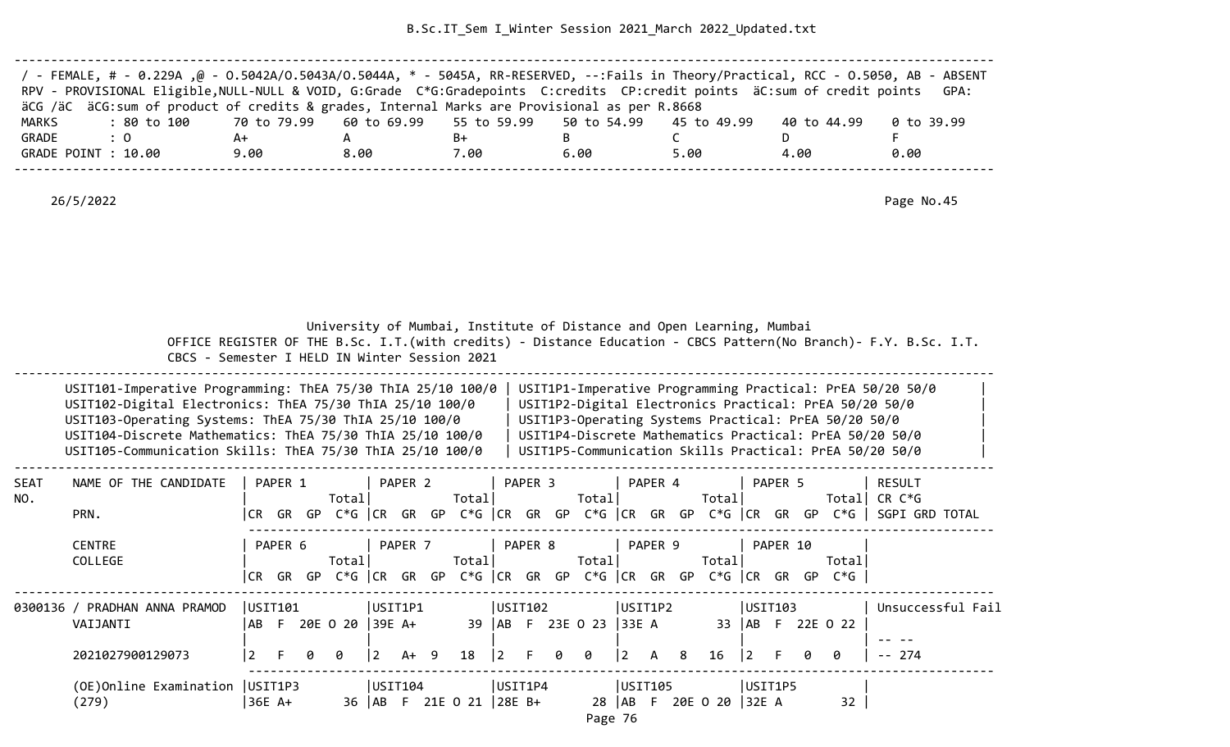| / - FEMALE, # - 0.229A ,@ - 0.5042A/O.5043A/O.5044A, * - 5045A, RR-RESERVED, --:Fails in Theory/Practical, RCC - 0.5050, AB - ABSENT |      |      |      |      |      |             |            |
|--------------------------------------------------------------------------------------------------------------------------------------|------|------|------|------|------|-------------|------------|
| RPV - PROVISIONAL Eligible, NULL-NULL & VOID, G:Grade C*G:Gradepoints C:credits CP:credit points äC:sum of credit points             |      |      |      |      |      |             | GPA:       |
| äCG /äC äCG:sum of product of credits & grades, Internal Marks are Provisional as per R.8668                                         |      |      |      |      |      |             |            |
| : 80 to 100      70 to 79.99    60 to 69.99    55 to 59.99    50 to 54.99    45 to 49.99<br>MARKS                                    |      |      |      |      |      | 40 to 44.99 | 0 to 39.99 |
| GRADE<br>$\therefore$ 0                                                                                                              | A+   |      | B+   |      |      |             |            |
| GRADE POINT : 10.00                                                                                                                  | 9.00 | 8.00 | 7.00 | 6.00 | 5.00 | 4.00        | 0.00       |
|                                                                                                                                      |      |      |      |      |      |             |            |

26/5/2022 Page No.45

|                    | CBCS - Semester I HELD IN Winter Session 2021                                                                                                                                                                                                                                                               |                         |                  |   |                        |              |         |                             |                        |         |   | University of Mumbai, Institute of Distance and Open Learning, Mumbai                   |                                  |         |   |                            |                |          |    |                                                      | OFFICE REGISTER OF THE B.Sc. I.T. (with credits) - Distance Education - CBCS Pattern (No Branch) - F.Y. B.Sc. I.T.                                                                                                                        |  |
|--------------------|-------------------------------------------------------------------------------------------------------------------------------------------------------------------------------------------------------------------------------------------------------------------------------------------------------------|-------------------------|------------------|---|------------------------|--------------|---------|-----------------------------|------------------------|---------|---|-----------------------------------------------------------------------------------------|----------------------------------|---------|---|----------------------------|----------------|----------|----|------------------------------------------------------|-------------------------------------------------------------------------------------------------------------------------------------------------------------------------------------------------------------------------------------------|--|
|                    | USIT101-Imperative Programming: ThEA 75/30 ThIA 25/10 100/0<br>USIT102-Digital Electronics: ThEA 75/30 ThIA 25/10 100/0<br>USIT103-Operating Systems: ThEA 75/30 ThIA 25/10 100/0<br>USIT104-Discrete Mathematics: ThEA 75/30 ThIA 25/10 100/0<br>USIT105-Communication Skills: ThEA 75/30 ThIA 25/10 100/0 |                         |                  |   |                        |              |         |                             |                        |         |   |                                                                                         |                                  |         |   |                            |                |          |    | USIT1P3-Operating Systems Practical: PrEA 50/20 50/0 | USIT1P1-Imperative Programming Practical: PrEA 50/20 50/0<br>USIT1P2-Digital Electronics Practical: PrEA 50/20 50/0<br>USIT1P4-Discrete Mathematics Practical: PrEA 50/20 50/0<br>USIT1P5-Communication Skills Practical: PrEA 50/20 50/0 |  |
| <b>SEAT</b><br>NO. | NAME OF THE CANDIDATE<br>PRN.                                                                                                                                                                                                                                                                               |                         | PAPER 1          |   | Total                  |              | PAPER 2 | Total                       |                        | PAPER 3 |   | Total                                                                                   |                                  | PAPER 4 |   | Total                      |                | PAPER 5  |    | Total                                                | RESULT<br>CR C*G<br> CR GR GP C*G  CR GR GP C*G  CR GR GP C*G  CR GR GP C*G  CR GR GP C*G   SGPI GRD TOTAL                                                                                                                                |  |
|                    | <b>CENTRE</b><br>COLLEGE                                                                                                                                                                                                                                                                                    |                         | PAPER 6          |   | Total                  |              | PAPER 7 | Total                       |                        | PAPER 8 |   | Total<br>$ CR$ GR GP C*G $ CR$ GR GP C*G $ CR$ GR GP C*G $ CR$ GR GP C*G $ CR$ GR GR GP |                                  | PAPER 9 |   | Total                      |                | PAPER 10 |    | Totall<br>$C*G$                                      |                                                                                                                                                                                                                                           |  |
|                    | 0300136 / PRADHAN ANNA PRAMOD<br>VAIJANTI<br>2021027900129073                                                                                                                                                                                                                                               | l AB-<br>$\overline{2}$ | USIT101          | 0 | F 20E O 20 39E A+<br>ø | USIT1P1<br>2 | $A+ 9$  | 18                          | USIT102<br>$ 2\rangle$ | F.      | ø | 39   AB F 23E 0 23<br>0                                                                 | USIT1P2<br> 33E A<br>$ 2\rangle$ | A       | 8 | 16                         | USIT103<br>l 2 |          | Ø. | 33   AB F 22E 0 22<br>ø                              | Unsuccessful Fail<br>$-- 274$                                                                                                                                                                                                             |  |
|                    | (OE)Online Examination<br>(279)                                                                                                                                                                                                                                                                             |                         | UST1P3<br>36E A+ |   |                        | USIT104      |         | 36   AB F 21E O 21   28E B+ | USIT1P4                |         |   |                                                                                         |                                  | USIT105 |   | 28   AB F 20E O 20   32E A |                | USIT1P5  |    | 32                                                   |                                                                                                                                                                                                                                           |  |

Page 76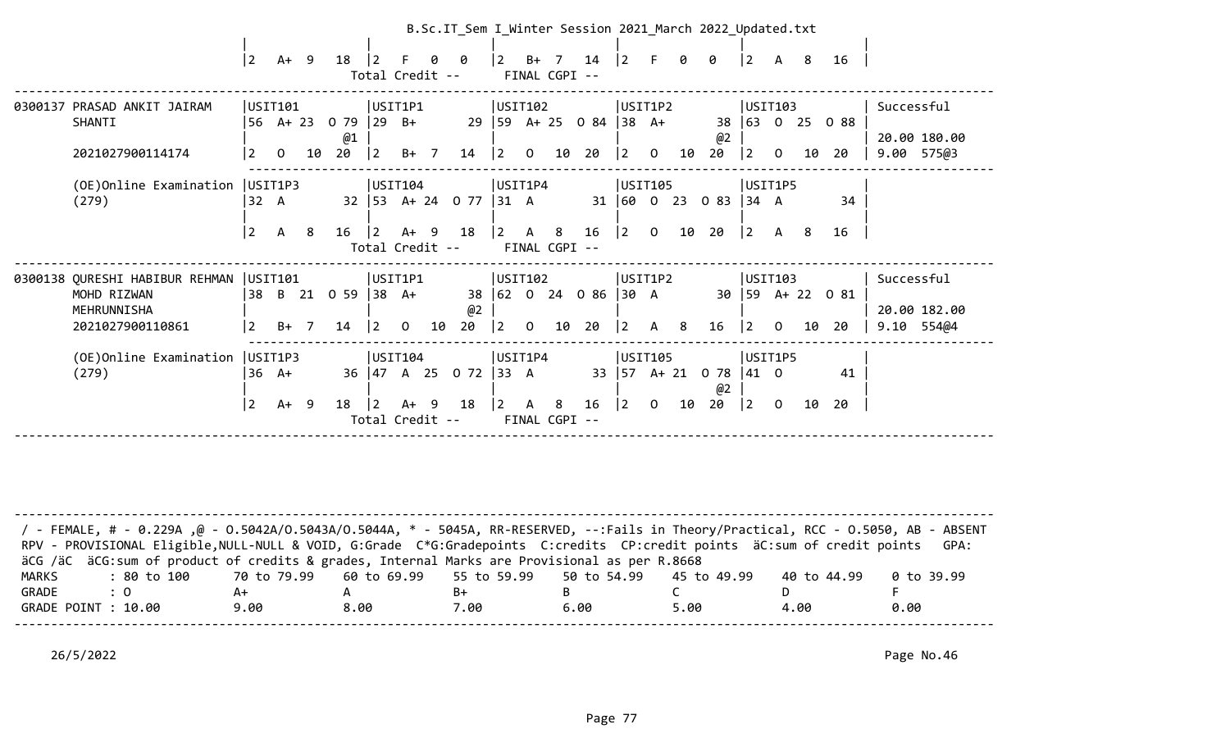|                                                                                  | $ 2\rangle$                    | $A+ 9$                    |     | 18                        |                               | ø<br>Total Credit --                                                    | B.Sc.IT_Sem I_Winter Session 2021_March 2022_Updated.txt<br>0 | $\overline{2}$         | $B+ 7$<br>FINAL CGPI --       |    | 14                                 | $ 2\rangle$                                            |                | 0  | 0                | $ 2\rangle$                     | A 8                     |    | 16                |                                            |
|----------------------------------------------------------------------------------|--------------------------------|---------------------------|-----|---------------------------|-------------------------------|-------------------------------------------------------------------------|---------------------------------------------------------------|------------------------|-------------------------------|----|------------------------------------|--------------------------------------------------------|----------------|----|------------------|---------------------------------|-------------------------|----|-------------------|--------------------------------------------|
| 0300137 PRASAD ANKIT JAIRAM<br>SHANTI<br>2021027900114174                        | 2                              | USIT101<br>$\Omega$       | 10  | 56 A+ 23 0 79<br>@1<br>20 | $ 29 \text{ B+}$<br>$\vert$ 2 | USIT1P1<br>$B+ 7$                                                       | 29<br>14                                                      | $\vert$ 2              | USIT102<br>$\Omega$           | 10 | $ 59 \tA+25 \tO 84  38 \tA+$<br>20 | USIT1P2<br>$ 2\rangle$                                 | $\overline{0}$ | 10 | 38<br>@2<br>20   | 63 <br> 2                       | USIT103<br>$\Omega$     | 10 | $0$ 25 0 88<br>20 | Successful<br>20.00 180.00<br>9.00 575@3   |
| (OE)Online Examination<br>(279)                                                  | USIT1P3<br> 32 A<br> 2         | $\mathsf{A}$              | - 8 | 16                        | $\vert 2 \vert$               | USIT104<br>-9<br>A+<br>Total Credit --                                  | 32 53 A+ 24 0 77<br>18                                        | $ 31 \tA$<br>$\vert$ 2 | USIT1P4<br>A<br>FINAL CGPI -- | 8  | 16                                 | USIT105<br>$31 \mid 60 \mid 0$<br> 2                   | $\overline{O}$ | 10 | 23 0 83<br>20    | $ 34 \ \text{A}$<br>$ 2\rangle$ | USIT1P5<br>A 8          |    | 34<br>16          |                                            |
| 0300138 QURESHI HABIBUR REHMAN<br>MOHD RIZWAN<br>MEHRUNNISHA<br>2021027900110861 | USTI01<br>38<br>$\overline{2}$ | B 21<br>$B+ 7$            |     | 0 59<br>14                | 38 A+<br> 2                   | USIT1P1<br>$\Omega$                                                     | 38<br>@2<br>20<br>10                                          | $\vert 2 \vert$        | USIT102<br>$\Omega$           | 10 | $ 62 \t0 \t24 \t086  30 \tA$<br>20 | USIT1P2<br>$\overline{2}$                              | $\mathsf{A}$   | -8 | 16               | 30   59<br>$\overline{2}$       | USIT103<br>$\Omega$     | 10 | A+ 22 0 81<br>-20 | Successful<br>20.00 182.00<br>$9.10$ 554@4 |
| (OE)Online Examination<br>(279)                                                  | USIT1P3<br>$\vert$ 2           | $36 \text{ A+}$<br>$A+ 9$ |     | 18                        | l 2                           | USIT104<br>$36 \mid 47 \quad A \quad 25$<br>-9<br>A+<br>Total Credit -- | 0 72<br>18                                                    | 33 A<br>$\overline{2}$ | USIT1P4<br>A<br>FINAL CGPI -- | 8  | 16                                 | USIT105<br>$33 \mid 57 \quad A + 21$<br>$\overline{2}$ | $\overline{0}$ | 10 | 0 78<br>@2<br>20 | $ 41 \quad 0$<br>$ 2\rangle$    | USIT1P5<br>$\mathsf{O}$ | 10 | 41<br>20          |                                            |

| / - FEMALE, # - 0.229A ,@ - 0.5042A/0.5043A/0.5044A, * - 5045A, RR-RESERVED, --:Fails in Theory/Practical, RCC - 0.5050, AB - ABSENT |      |      |      |      |      |             |            |
|--------------------------------------------------------------------------------------------------------------------------------------|------|------|------|------|------|-------------|------------|
| RPV - PROVISIONAL Eligible, NULL-NULL & VOID, G:Grade C*G:Gradepoints C:credits CP:credit points äC:sum of credit points             |      |      |      |      |      |             | GPA:       |
| äCG /äC äCG:sum of product of credits & grades, Internal Marks are Provisional as per R.8668                                         |      |      |      |      |      |             |            |
| : 80 to 100    70 to 79.99   60 to 69.99   55 to 59.99   50 to 54.99   45 to 49.99<br>MARKS                                          |      |      |      |      |      | 40 to 44.99 | 0 to 39.99 |
| GRADE<br>$\therefore$ 0                                                                                                              | A+   |      | B+   |      |      |             |            |
| GRADE POINT : 10.00                                                                                                                  | 9.00 | 8.00 | 7.00 | 6.00 | 5.00 | 4.00        | 0.00       |
|                                                                                                                                      |      |      |      |      |      |             |            |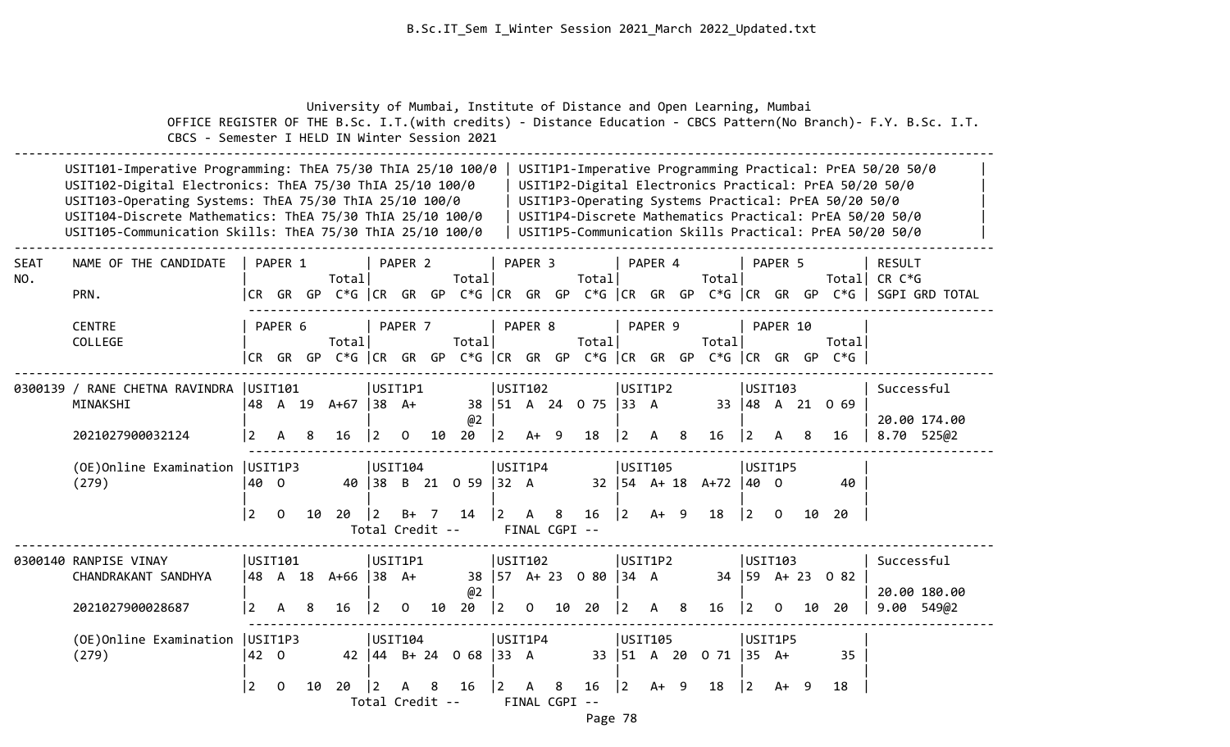University of Mumbai, Institute of Distance and Open Learning, Mumbai

 OFFICE REGISTER OF THE B.Sc. I.T.(with credits) - Distance Education - CBCS Pattern(No Branch)- F.Y. B.Sc. I.T. CBCS - Semester I HELD IN Winter Session 2021 -------------------------------------------------------------------------------------------------------------------------------------- USIT101-Imperative Programming: ThEA 75/30 ThIA 25/10 100/0 | USIT1P1-Imperative Programming Practical: PrEA 50/20 50/0 USIT102-Digital Electronics: ThEA 75/30 ThIA 25/10 100/0 | USIT1P2-Digital Electronics Practical: PrEA 50/20 50/0 | USIT103-Operating Systems: ThEA 75/30 ThIA 25/10 100/0 | USIT1P3-Operating Systems Practical: PrEA 50/20 50/0 | USIT104-Discrete Mathematics: ThEA 75/30 ThIA 25/10 100/0 | USIT1P4-Discrete Mathematics Practical: PrEA 50/20 50/0 USIT105-Communication Skills: ThEA 75/30 ThIA 25/10 100/0 | USIT1P5-Communication Skills Practical: PrEA 50/20 50/0 | -------------------------------------------------------------------------------------------------------------------------------------- SEAT NAME OF THE CANDIDATE | PAPER 1 | PAPER 2 | PAPER 3 | PAPER 4 | PAPER 5 | RESULT NO. | Total| Total| Total| Total| Total| CR C\*G PRN.  $|CR \t{GR} \t{GP} C*G \t{CR} \t{GP} C*G \t{CR} \t{GP} C*G \t{CR} \t{GP} C*G \t{CR} \t{GP} C*G \t{CR} \t{GP} C*G \t{CR} \t{GP} C*G \t{CR} \t{GP} C*G \t{CR} \t{GP} C*G \t{CR} \t{GP} C*G \t{CR} \t{GP} C*G \t{CR} \t{GP} C*G \t{CR} \t{GP} C*G \t{GP} C*G \t{GP} C*G \t{GP} C*G \t{GP} C*G \t{GP} C*G \t{GP}$  ------------------------------------------------------------------------------------------------------ CENTRE | PAPER 6 | PAPER 8 | PAPER 9 | PAPER 10 COLLEGE | Total| Total| Total| Total| Total| |CR GR GP C\*G |CR GR GP C\*G |CR GR GP C\*G |CR GR GP C\*G |CR GR GP C\*G | -------------------------------------------------------------------------------------------------------------------------------------- 0300139 / RANE CHETNA RAVINDRA |USIT101 |USIT102 |USIT1P2 |USIT103 | Successful MINAKSHI |48 A 19 A+67 |38 A+ 38 |51 A 24 O 75 |33 A 33 |48 A 21 O 69 |  $\begin{array}{|c|c|c|c|c|c|c|c|}\hline \rule{0.2cm}{0.2cm} & \rule{0.2cm}{0.2cm} & \rule{0.2cm}{0.2cm} & \rule{0.2cm}{0.2cm} & \rule{0.2cm}{0.2cm} & \rule{0.2cm}{0.2cm} & \rule{0.2cm}{0.2cm} & \rule{0.2cm}{0.2cm} & \rule{0.2cm}{0.2cm} & \rule{0.2cm}{0.2cm} & \rule{0.2cm}{0.2cm} & \rule{0.2cm}{0.2cm} & \rule{0.2cm}{0.2cm} & \rule{0.2cm}{0.2cm}$  2021027900032124 |2 A 8 16 |2 O 10 20 |2 A+ 9 18 |2 A 8 16 |2 A 8 16 | 8.70 525@2 ------------------------------------------------------------------------------------------------------ (OE)Online Examination |USIT1P3 |USIT104 |USIT1P4 |USIT105 |USIT1P5 | (279) |40 O 40 |38 B 21 O 59 |32 A 32 |54 A+ 18 A+72 |40 O 40 | | | | | | |2 O 10 20 |2 B+ 7 14 |2 A 8 16 |2 A+ 9 18 |2 O 10 20 | Total Credit -- FINAL CGPI -- -------------------------------------------------------------------------------------------------------------------------------------- 0300140 RANPISE VINAY |USIT101 |USIT1P1 |USIT102 |USIT103 | Successful CHANDRAKANT SANDHYA |48 A 18 A+66 |38 A+ 38 |57 A+ 23 O 80 |34 A 34 |59 A+ 23 O 82 |  $\boxed{02}$   $\boxed{20.00180.00}$  2021027900028687 |2 A 8 16 |2 O 10 20 |2 O 10 20 |2 A 8 16 |2 O 10 20 | 9.00 549@2 ------------------------------------------------------------------------------------------------------

| (OE) Online Examination   USIT1P3 |      |  |  |  | USIT104 |  |  |                            |  | USIT1P4       |  | USIT105 |  |                           | USIT1P5 |  |      |
|-----------------------------------|------|--|--|--|---------|--|--|----------------------------|--|---------------|--|---------|--|---------------------------|---------|--|------|
| (279)                             | 42 0 |  |  |  |         |  |  | 42   44 B + 24 0 68   33 A |  |               |  |         |  | 33   51 A 20 0 71   35 A+ |         |  | 35   |
|                                   |      |  |  |  |         |  |  |                            |  |               |  |         |  |                           |         |  |      |
|                                   |      |  |  |  |         |  |  |                            |  |               |  |         |  |                           |         |  | - 18 |
| Total Credit --                   |      |  |  |  |         |  |  |                            |  | FINAL CGPI -- |  |         |  |                           |         |  |      |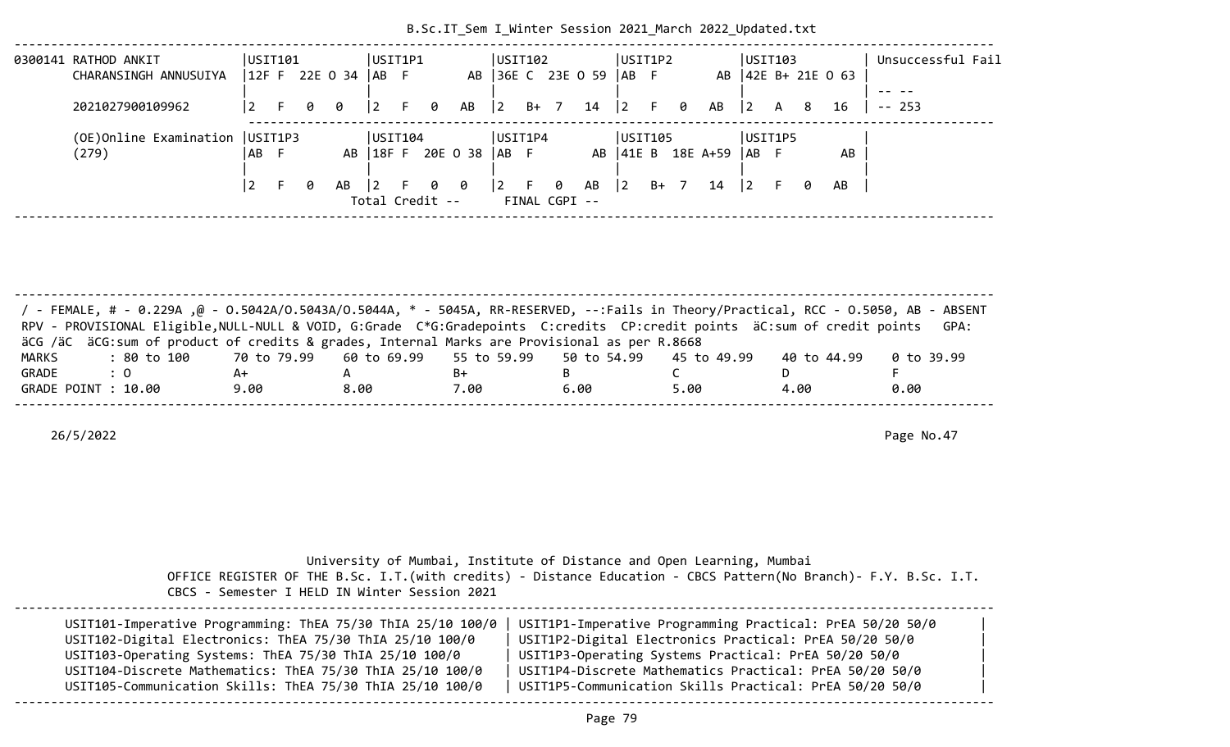| 0300141 RATHOD ANKIT              | USIT101 |     |   |                |         | USIT1P1 |                 |                     | USTI102                                   |        |               |                   |           | USIT1P2 |   |                     | USIT103   |     |   |                     |           | Unsuccessful Fail |  |
|-----------------------------------|---------|-----|---|----------------|---------|---------|-----------------|---------------------|-------------------------------------------|--------|---------------|-------------------|-----------|---------|---|---------------------|-----------|-----|---|---------------------|-----------|-------------------|--|
| CHARANSINGH ANNUSUIYA             |         |     |   | 12F F 22E 0 34 | IAB F   |         |                 |                     |                                           |        |               | AB 36E C 23E 0 59 | $ AB \tF$ |         |   | AB                  |           |     |   | $ 42E B+ 21E O 63 $ |           |                   |  |
| 2021027900109962                  | l 2     | - F | 0 | - 0            | 2       | F 0     |                 | AB                  | $ 2\rangle$                               | $B+$ 7 |               | $14 \mid 2$       |           | -F.     | 0 | AB                  | $\vert$ 2 | A 8 |   | 16                  | $- - - -$ | $- - 253$         |  |
|                                   |         |     |   |                |         |         |                 |                     |                                           |        |               |                   |           |         |   |                     |           |     |   |                     |           |                   |  |
| (OE) Online Examination   USIT1P3 |         |     |   |                | USIT104 |         |                 |                     | USIT1P4                                   |        |               |                   |           | USIT105 |   |                     | USIT1P5   |     |   |                     |           |                   |  |
| (279)                             | IAB F   |     |   | AB             |         |         |                 | 18FF 20E 0 38  AB F |                                           |        |               |                   |           |         |   | AB   41E B 18E A+59 | IAB F     |     |   | AB                  |           |                   |  |
|                                   |         |     |   |                |         |         |                 |                     |                                           |        |               |                   |           |         |   |                     |           |     |   |                     |           |                   |  |
|                                   |         |     | 0 | $AB$  2        |         |         | F 0 0           |                     | $\begin{bmatrix} 2 & F & 0 \end{bmatrix}$ |        |               | AB                | 2         | B+      |   | 14                  |           |     | 0 | AB                  |           |                   |  |
|                                   |         |     |   |                |         |         | Total Credit -- |                     |                                           |        | FINAL CGPI -- |                   |           |         |   |                     |           |     |   |                     |           |                   |  |
|                                   |         |     |   |                |         |         |                 |                     |                                           |        |               |                   |           |         |   |                     |           |     |   |                     |           |                   |  |

| / FEMALE, # - 0.229A ,@ - 0.5042A/0.5043A/0.5044A, * - 5045A, RR-RESERVED, --:Fails in Theory/Practical, RCC - 0.5050, AB - ABSENT<br>RPV - PROVISIONAL Eligible, NULL-NULL & VOID, G:Grade C*G:Gradepoints C:credits CP:credit points äC:sum of credit points |      |      |      |      |      |             | GPA:       |
|----------------------------------------------------------------------------------------------------------------------------------------------------------------------------------------------------------------------------------------------------------------|------|------|------|------|------|-------------|------------|
| äCG /äC äCG:sum of product of credits & grades, Internal Marks are Provisional as per R.8668                                                                                                                                                                   |      |      |      |      |      |             |            |
| : 80 to 100    70 to 79.99   60 to 69.99   55 to 59.99   50 to 54.99   45 to 49.99<br>MARKS                                                                                                                                                                    |      |      |      |      |      | 40 to 44.99 | 0 to 39.99 |
| GRADE<br>$\therefore$ 0                                                                                                                                                                                                                                        | A+   |      | B+   |      |      |             |            |
| GRADE POINT : 10.00                                                                                                                                                                                                                                            | 9.00 | 8.00 | 7.00 | 6.00 | 5.00 | 4.00        | 0.00       |
|                                                                                                                                                                                                                                                                |      |      |      |      |      |             |            |

26/5/2022 Page No.47

| CBCS - Semester I HELD IN Winter Session 2021               | University of Mumbai, Institute of Distance and Open Learning, Mumbai<br>OFFICE REGISTER OF THE B.Sc. I.T. (with credits) - Distance Education - CBCS Pattern (No Branch) - F.Y. B.Sc. I.T. |
|-------------------------------------------------------------|---------------------------------------------------------------------------------------------------------------------------------------------------------------------------------------------|
| USIT101-Imperative Programming: ThEA 75/30 ThIA 25/10 100/0 | USIT1P1-Imperative Programming Practical: PrEA 50/20 50/0                                                                                                                                   |
| USIT102-Digital Electronics: ThEA 75/30 ThIA 25/10 100/0    | USIT1P2-Digital Electronics Practical: PrEA 50/20 50/0                                                                                                                                      |
| USIT103-Operating Systems: ThEA 75/30 ThIA 25/10 100/0      | USIT1P3-Operating Systems Practical: PrEA 50/20 50/0                                                                                                                                        |
| USIT104-Discrete Mathematics: ThEA 75/30 ThIA 25/10 100/0   | USIT1P4-Discrete Mathematics Practical: PrEA 50/20 50/0                                                                                                                                     |
| USIT105-Communication Skills: ThEA 75/30 ThIA 25/10 100/0   | USIT1P5-Communication Skills Practical: PrEA 50/20 50/0                                                                                                                                     |

--------------------------------------------------------------------------------------------------------------------------------------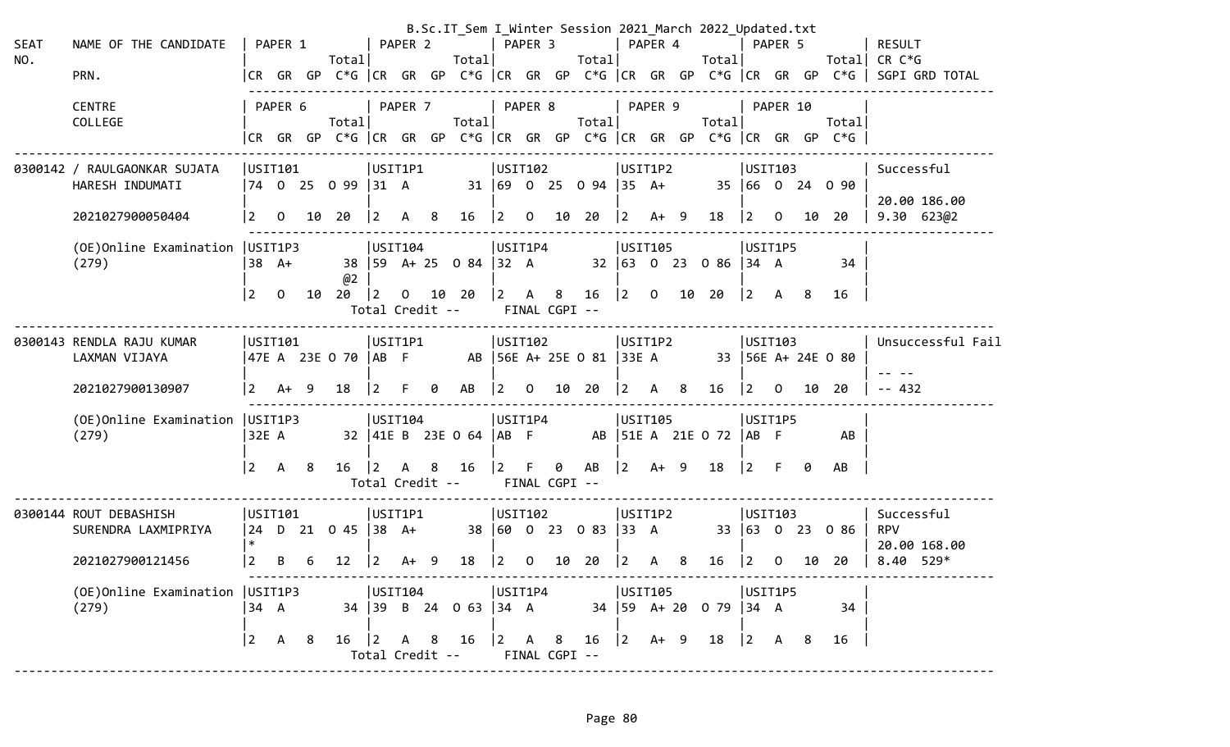| <b>SEAT</b><br>NO. | NAME OF THE CANDIDATE<br>PRN.                                       |                         | PAPER 1        |    | Totall                  |                        | PAPER 2      |                      | Total                               | PAPER 3                                               |                |                    | Totall                                                           |                             | PAPER 4         |                | B.Sc.IT_Sem I_Winter Session 2021 March 2022 Updated.txt<br>Total |                      | PAPER 5        |    | Totall                                                                          | RESULT<br>CR C*G<br> CR GR GP C*G  CR GR GP C*G  CR GR GP C*G  CR GR GP C*G  CR GR GP C*G   SGPI GRD TOTAL |
|--------------------|---------------------------------------------------------------------|-------------------------|----------------|----|-------------------------|------------------------|--------------|----------------------|-------------------------------------|-------------------------------------------------------|----------------|--------------------|------------------------------------------------------------------|-----------------------------|-----------------|----------------|-------------------------------------------------------------------|----------------------|----------------|----|---------------------------------------------------------------------------------|------------------------------------------------------------------------------------------------------------|
|                    | <b>CENTRE</b><br>COLLEGE                                            |                         | PAPER 6        |    | Total                   |                        | PAPER 7      |                      | Totall                              | PAPER 8                                               |                |                    | Total                                                            |                             | PAPER 9         |                | Total                                                             |                      | PAPER 10       |    | Totall<br> CR GR GP C*G  CR GR GP C*G  CR GR GP C*G  CR GR GP C*G  CR GR GP C*G |                                                                                                            |
|                    | 0300142 / RAULGAONKAR SUJATA<br>HARESH INDUMATI<br>2021027900050404 | USIT101<br>$\vert$ 2    | $\overline{0}$ | 10 | 74 0 25 0 99 31 A<br>20 | USIT1P1<br>$ 2\rangle$ | A            | 8                    | 16                                  | USIT102<br>$\begin{vmatrix} 2 & 0 & 10 \end{vmatrix}$ |                |                    | $31 \mid 69 \mid 0 \mid 25 \mid 0 \mid 94 \mid 35 \mid A+$<br>20 | $ 2\rangle$                 | USIT1P2<br>A+ 9 |                | 18                                                                | USIT103<br>$\vert$ 2 | $\overline{0}$ | 10 | 35 66 0 24 0 90<br>20                                                           | Successful<br>20.00 186.00<br>$9.30$ $623@2$                                                               |
|                    | (OE) Online Examination   USIT1P3<br>(279)                          | 38 A+<br>$\overline{2}$ | $\mathbf 0$    | 10 | @2<br>$20 \t 2$         | USTI104                | $\mathbf{O}$ |                      | 38   59 A + 25 0 84   32 A<br>10 20 | USIT1P4<br>$\vert 2 \vert$                            | A              | 8                  | 16                                                               | USIT105<br>$ 2\rangle$      | $\mathsf{O}$    | 10             | 32 63 0 23 0 86 34 A<br>20                                        | USIT1P5<br>$\vert$ 2 | A 8            |    | 34<br>16                                                                        |                                                                                                            |
|                    |                                                                     |                         |                |    |                         |                        |              | Total Credit --      |                                     |                                                       |                | FINAL CGPI --      |                                                                  |                             |                 |                |                                                                   |                      |                |    |                                                                                 |                                                                                                            |
|                    | 0300143 RENDLA RAJU KUMAR<br>LAXMAN VIJAYA                          | USIT101                 |                |    | 47E A 23E O 70  AB F    | USIT1P1                |              |                      |                                     | USIT102                                               |                |                    | AB 56E A+ 25E 0 81 33E A                                         | USIT1P2                     |                 |                |                                                                   | USIT103              |                |    | 33 56E A+ 24E 0 80                                                              | Unsuccessful Fail                                                                                          |
|                    | 2021027900130907                                                    | $\vert$ 2               | $A+ 9$         |    | 18                      | $\vert 2 \vert$        |              | 0                    | AB                                  | <u> 2</u>                                             | $\overline{0}$ | 10                 | 20                                                               | $\overline{2}$              | $\mathsf{A}$    | 8 <sup>8</sup> | 16                                                                | $ 2\rangle$          | $\overline{0}$ | 10 | 20                                                                              | $-- 432$                                                                                                   |
|                    | (OE)Online Examination<br>(279)                                     | USIT1P3<br>32E A        |                |    |                         | USIT104                |              |                      | 32 41E B 23E 0 64 AB F              | USIT1P4                                               |                |                    |                                                                  | USIT105                     |                 |                | AB   51E A 21E O 72   AB F                                        | USIT1P5              |                |    | AB                                                                              |                                                                                                            |
|                    |                                                                     | 2                       | A              | 8  | 16                      | $ 2\rangle$            | A            | 8<br>Total Credit -- | 16                                  | $ 2\rangle$                                           | -F             | 0<br>FINAL CGPI -- | AB                                                               | $ 2\rangle$                 | $A+ 9$          |                | 18                                                                | $ 2\rangle$          |                | ø  | AB                                                                              |                                                                                                            |
|                    | 0300144 ROUT DEBASHISH<br>SURENDRA LAXMIPRIYA                       | USTI01<br> 24           |                |    | D 21 0 45 38 A+         | USIT1P1                |              |                      |                                     | USIT102                                               |                |                    | 38 60 0 23 0 83                                                  | USIT1P2<br>$ 33 \ \text{A}$ |                 |                |                                                                   | USTI03               |                |    | 33 63 0 23 0 86                                                                 | Successful<br><b>RPV</b><br>20.00 168.00                                                                   |
|                    | 2021027900121456                                                    | $\overline{2}$          | B              | 6  | 12                      | $ 2\rangle$            | $A+ 9$       |                      | 18                                  | $\vert$ 2                                             | $\mathbf 0$    | 10                 | 20                                                               | $\overline{2}$              | A               | 8              | 16                                                                | $ 2\rangle$          | 0              |    | 10 20                                                                           | $8.40$ 529*                                                                                                |
|                    |                                                                     |                         |                |    |                         |                        |              |                      |                                     |                                                       |                |                    |                                                                  |                             |                 |                |                                                                   |                      |                |    |                                                                                 |                                                                                                            |
|                    |                                                                     | $\vert 2 \vert$         | A 8            |    |                         |                        |              |                      | Total Credit -- FINAL CGPI --       |                                                       |                |                    |                                                                  |                             |                 |                | 16   2 A 8 16   2 A 8 16   2 A + 9 18   2 A 8                     |                      |                |    | 16                                                                              |                                                                                                            |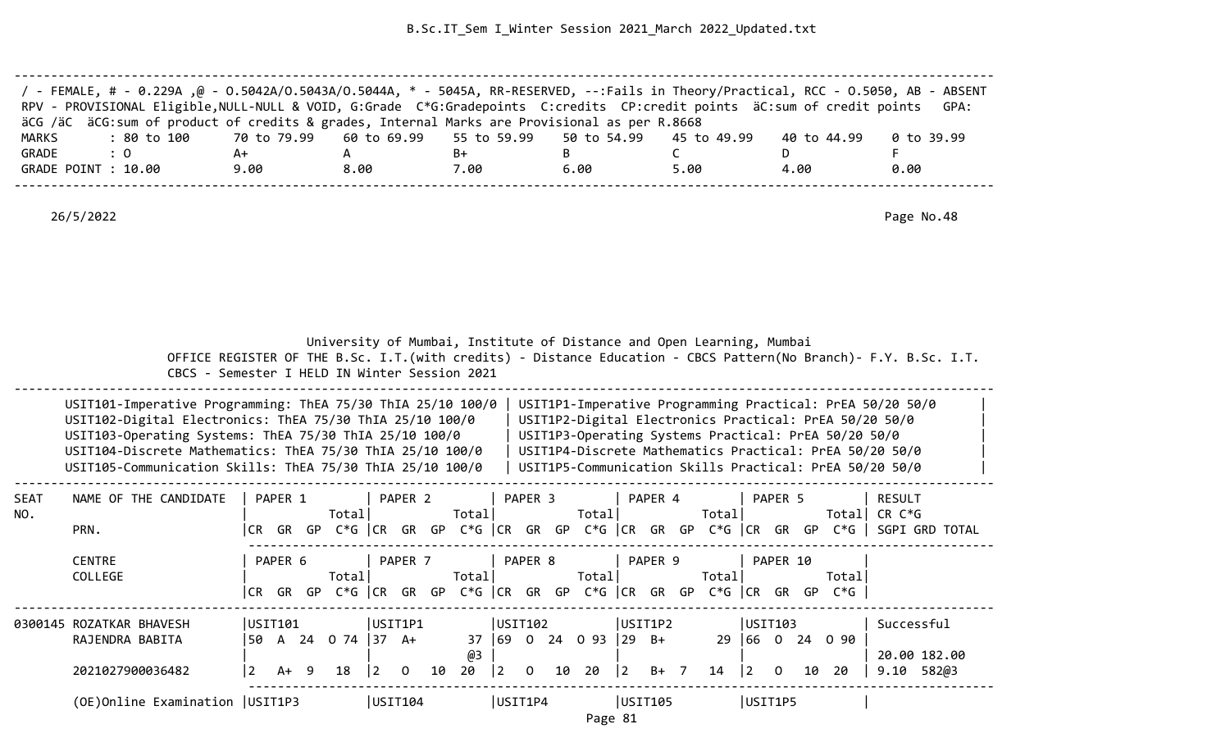| / - FEMALE, # - 0.229A ,@ - 0.5042A/0.5043A/0.5044A, * - 5045A, RR-RESERVED, --:Fails in Theory/Practical, RCC - 0.5050, AB - ABSENT<br>RPV - PROVISIONAL Eligible, NULL-NULL & VOID, G:Grade C*G:Gradepoints C:credits CP:credit points äC:sum of credit points GPA: |                                                                         |      |      |      |      |             |            |
|-----------------------------------------------------------------------------------------------------------------------------------------------------------------------------------------------------------------------------------------------------------------------|-------------------------------------------------------------------------|------|------|------|------|-------------|------------|
| äCG /äC äCG:sum of product of credits & grades, Internal Marks are Provisional as per R.8668                                                                                                                                                                          |                                                                         |      |      |      |      |             |            |
| MARKS<br>: 80 to 100                                                                                                                                                                                                                                                  | 70 to 79.99    60 to 69.99    55 to 59.99    50 to 54.99    45 to 49.99 |      |      |      |      | 40 to 44.99 | 0 to 39.99 |
| GRADE<br>$\cdot$ 0                                                                                                                                                                                                                                                    | A+                                                                      |      | B+   |      |      |             |            |
| GRADE POINT : 10.00                                                                                                                                                                                                                                                   | 9.00                                                                    | 8.00 | 7.00 | 6.00 | 5.00 | 4.00        | 0.00       |
|                                                                                                                                                                                                                                                                       |                                                                         |      |      |      |      |             |            |

 University of Mumbai, Institute of Distance and Open Learning, Mumbai OFFICE REGISTER OF THE B.Sc. I.T.(with credits) - Distance Education - CBCS Pattern(No Branch)- F.Y. B.Sc. I.T.

CBCS - Semester I HELD IN Winter Session 2021

| USIT101-Imperative Programming: ThEA 75/30 ThIA 25/10 100/0 | USIT1P1-Imperative Programming Practical: PrEA 50/20 50/0 |  |
|-------------------------------------------------------------|-----------------------------------------------------------|--|
| USIT102-Digital Electronics: ThEA 75/30 ThIA 25/10 100/0    | USIT1P2-Digital Electronics Practical: PrEA 50/20 50/0    |  |
| USIT103-Operating Systems: ThEA 75/30 ThIA 25/10 100/0      | USIT1P3-Operating Systems Practical: PrEA 50/20 50/0      |  |
| USIT104-Discrete Mathematics: ThEA 75/30 ThIA 25/10 100/0   | USIT1P4-Discrete Mathematics Practical: PrEA 50/20 50/0   |  |
| USIT105-Communication Skills: ThEA 75/30 ThIA 25/10 100/0   | USIT1P5-Communication Skills Practical: PrEA 50/20 50/0   |  |
|                                                             |                                                           |  |

| <b>SEAT</b><br>NO. | NAME OF THE CANDIDATE             |                | PAPER 1 |     | Total       |         | PAPER 2  |    | Total       |             | PAPER <sub>3</sub> |    | Total    |              | PAPER 4 |    | Total       |      | PAPER 5      |     | Totall | RESULT<br>CR C*G |              |  |
|--------------------|-----------------------------------|----------------|---------|-----|-------------|---------|----------|----|-------------|-------------|--------------------|----|----------|--------------|---------|----|-------------|------|--------------|-----|--------|------------------|--------------|--|
|                    | PRN.                              | l CR           | GR      | GP. | $C*G$ $ CR$ |         | GR       | GP | $C*G$ $ CR$ |             | GR                 | GP | C*G   CR |              | GR      | GP | $C*G$ $ CR$ |      | GR           | GP  | $C*G$  | SGPI GRD         | TOTAL        |  |
|                    | <b>CENTRE</b>                     |                | PAPER 6 |     |             |         | PAPER 7  |    |             |             | PAPER 8            |    |          |              | PAPER 9 |    |             |      | PAPER 10     |     |        |                  |              |  |
|                    | COLLEGE                           |                |         |     | Total       |         |          |    | Total       |             |                    |    | Total    |              |         |    | Total       |      |              |     | Totall |                  |              |  |
|                    |                                   | I CR-          | GR      | GP  | C*G  CR     |         | GR       | GP | $C*G$ $ CR$ |             | GR                 | GP | C*G  CR  |              | GR      | GP | $C*G$ $ CR$ |      | GR           | GP. | C*G l  |                  |              |  |
|                    | 0300145 ROZATKAR BHAVESH          | USIT101        |         |     |             | USIT1P1 |          |    |             | USIT102     |                    |    |          | USIT1P2      |         |    |             |      | USIT103      |     |        | Successful       |              |  |
|                    | RAJENDRA BABITA                   | 50             | A       | 24  | 0 74        | 37      | A+       |    | 37          | 169         | $\overline{0}$     | 24 | 0 93     | $ 29\rangle$ | - B+    |    | 29          | 166. | $\mathbf{0}$ | 24  | 090    |                  |              |  |
|                    |                                   |                |         |     |             |         |          |    | @3          |             |                    |    |          |              |         |    |             |      |              |     |        |                  | 20.00 182.00 |  |
|                    | 2021027900036482                  | $\overline{2}$ | A+      | -9  | 18          | 2       | $\Omega$ | 10 | 20          | $ 2\rangle$ | $\Omega$           | 10 | 20       | 2            | $B+$ 7  |    | 14          | 12.  | 0            | 10  | 20     | 9.10             | 582@3        |  |
|                    | (OE) Online Examination   USIT1P3 |                |         |     |             | USTI04  |          |    |             | USIT1P4     |                    |    |          | USIT105      |         |    |             |      | USIT1P5      |     |        |                  |              |  |

Page 81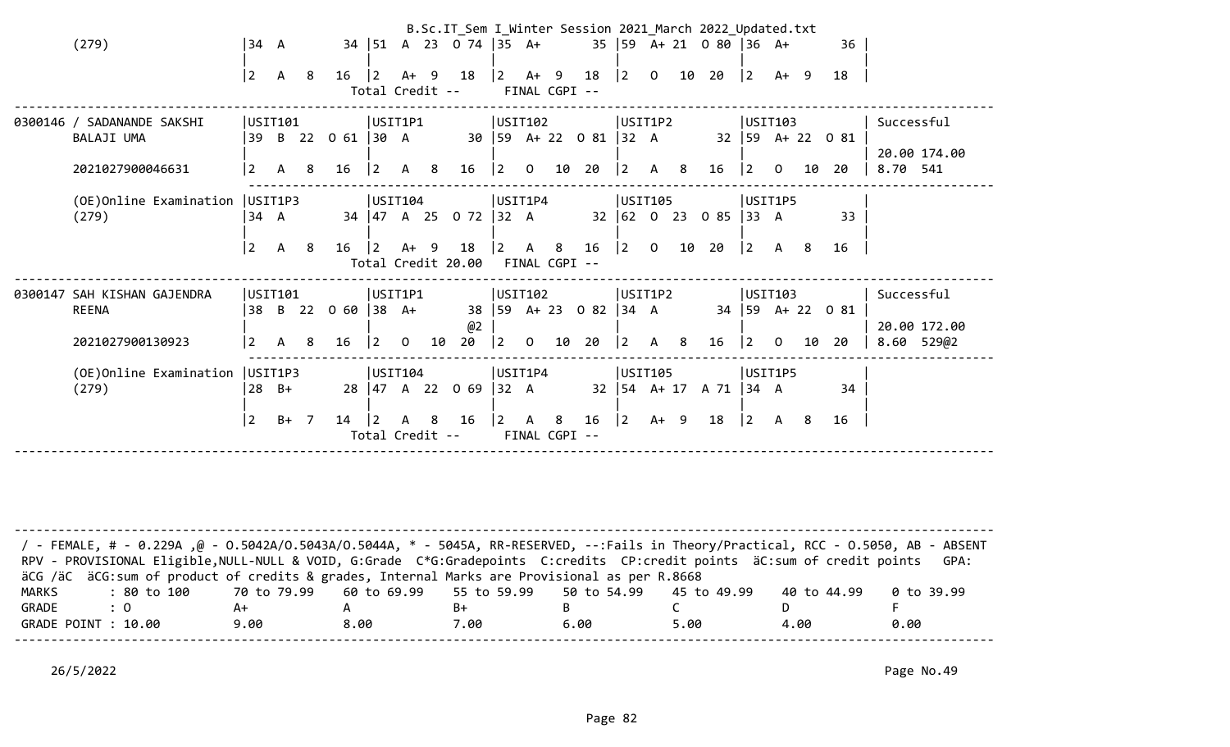| (279)                                                           | 34 A                   |                         |                |                          |                                                  |      |    | B.Sc.IT_Sem I_Winter Session 2021 March 2022 Updated.txt<br>34   51 A 23 0 74   35 A+           |         |               |                                     |                                                      |  | $35   59 \tA+ 21 \tO 80   36 \tA+$                          |                                                  |    | 36                         |                                          |  |
|-----------------------------------------------------------------|------------------------|-------------------------|----------------|--------------------------|--------------------------------------------------|------|----|-------------------------------------------------------------------------------------------------|---------|---------------|-------------------------------------|------------------------------------------------------|--|-------------------------------------------------------------|--------------------------------------------------|----|----------------------------|------------------------------------------|--|
|                                                                 | $\overline{2}$         | A 8                     |                |                          | Total Credit --                                  |      |    | $16$ $\begin{array}{ccc} 2 & 4 & 9 & 18 \end{array}$ $\begin{array}{ccc} 2 & 4 & 9 \end{array}$ |         | FINAL CGPI -- | 18                                  |                                                      |  | $\begin{array}{ccc} \n\boxed{2} & 0 & 10 & 20\n\end{array}$ | $ 2 \tA+ 9$                                      |    | 18                         |                                          |  |
| 0300146 / SADANANDE SAKSHI<br>BALAJI UMA<br>2021027900046631    | 2                      | USTT101                 |                | A 8 16 2 A 8             | USIT1P1                                          |      |    | 39 B 22 O 61   30 A 30   59 A+ 22 O 81   32 A                                                   | USIT102 |               |                                     | USIT1P2                                              |  | 16 2 0 10 20 2 A 8 16 2 0                                   | USIT103                                          | 10 | 32   59 A + 22 0 81<br>-20 | Successful<br>20.00 174.00<br>8.70 541   |  |
| (OE) Online Examination   USIT1P3<br>(279)                      | 34 A<br>$\overline{2}$ | $\mathsf{A}$            | 8 <sup>8</sup> | 16                       | USIT104<br>$\vert$ 2                             | A+ 9 |    | 34   47 A 25 O 72   32 A<br>18<br>Total Credit 20.00 FINAL CGPI --                              | USIT1P4 |               |                                     | USIT105                                              |  | 32 62 0 23 0 85 33 A                                        | USIT1P5                                          |    | 33<br>16                   |                                          |  |
| 0300147 SAH KISHAN GAJENDRA<br><b>REENA</b><br>2021027900130923 | 2                      | USIT101<br>$\mathsf{A}$ | - 8            | 38 B 22 0 60 38 A+<br>16 | USIT1P1<br>$\begin{bmatrix} 2 & 0 \end{bmatrix}$ |      | 10 | @2<br>$20 \t  2 \t0$                                                                            | USIT102 |               | 38   59 A + 23 0 82   34 A<br>10 20 | USIT1P2<br>$\begin{vmatrix} 2 & A & 8 \end{vmatrix}$ |  | 16                                                          | USIT103<br>$\begin{bmatrix} 2 & 0 \end{bmatrix}$ | 10 | 34 59 A+ 22 0 81<br>-20    | Successful<br>20.00 172.00<br>8.60 529@2 |  |
| (OE) Online Examination   USIT1P3<br>(279)                      | $\overline{2}$         | $28 B +$<br>$B+$ 7      |                | 14                       | USIT104                                          |      |    | 28 47 A 22 0 69 32 A<br>Total Credit -- FINAL CGPI --                                           | USIT1P4 |               | 16                                  | USTI05<br>$\begin{vmatrix} 2 & A+ & 9 \end{vmatrix}$ |  | 32   54 A + 17 A 71   34 A<br>18   2 A 8                    | USIT1P5                                          |    | 34<br>16                   |                                          |  |
|                                                                 |                        |                         |                |                          |                                                  |      |    |                                                                                                 |         |               |                                     |                                                      |  |                                                             |                                                  |    |                            |                                          |  |

| / - FEMALE, # - 0.229A ,@ - 0.5042A/O.5043A/O.5044A, * - 5045A, RR-RESERVED, --:Fails in Theory/Practical, RCC - 0.5050, AB - ABSENT<br>RPV - PROVISIONAL Eligible, NULL-NULL & VOID, G:Grade C*G:Gradepoints C:credits CP:credit points äC:sum of credit points |      |      |      |      |      |             | GPA:       |
|------------------------------------------------------------------------------------------------------------------------------------------------------------------------------------------------------------------------------------------------------------------|------|------|------|------|------|-------------|------------|
| äCG /äC äCG:sum of product of credits & grades, Internal Marks are Provisional as per R.8668                                                                                                                                                                     |      |      |      |      |      |             |            |
| : 80 to 100    70 to 79.99   60 to 69.99   55 to 59.99   50 to 54.99   45 to 49.99<br>MARKS                                                                                                                                                                      |      |      |      |      |      | 40 to 44.99 | 0 to 39.99 |
| GRADE<br>$\therefore$ 0                                                                                                                                                                                                                                          | A+   |      | B+   |      |      |             |            |
| GRADE POINT : 10.00                                                                                                                                                                                                                                              | 9.00 | 8.00 | 7.00 | 6.00 | 5.00 | 4.00        | 0.00       |
|                                                                                                                                                                                                                                                                  |      |      |      |      |      |             |            |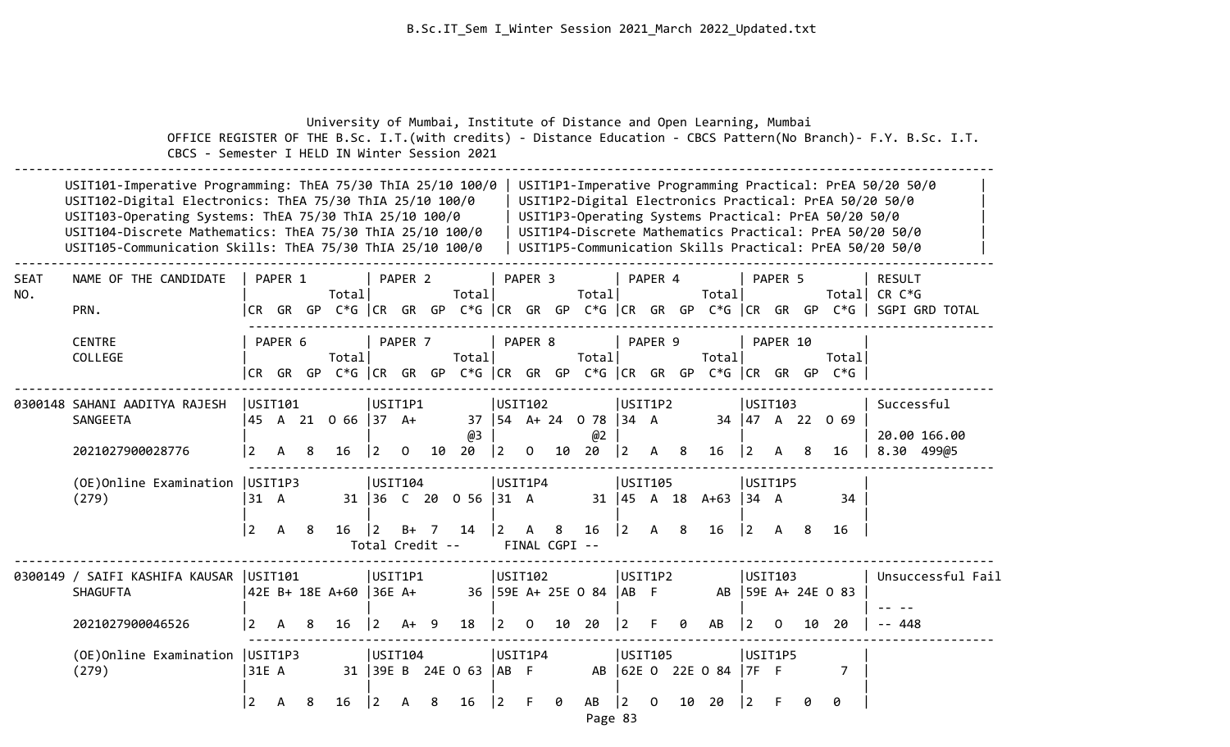|                    | CBCS - Semester I HELD IN Winter Session 2021                                                                                                                                                                                                                                                               |                           |              |    | University of Mumbai, Institute of Distance and Open Learning, Mumbai |                                                  |                    |                |                              |                         |                    |                                 |                                               |                        |          |    |                                |                                                  |          |    |                                                                                 | OFFICE REGISTER OF THE B.Sc. I.T. (with credits) - Distance Education - CBCS Pattern (No Branch) - F.Y. B.Sc. I.T.                                                                                                                        |
|--------------------|-------------------------------------------------------------------------------------------------------------------------------------------------------------------------------------------------------------------------------------------------------------------------------------------------------------|---------------------------|--------------|----|-----------------------------------------------------------------------|--------------------------------------------------|--------------------|----------------|------------------------------|-------------------------|--------------------|---------------------------------|-----------------------------------------------|------------------------|----------|----|--------------------------------|--------------------------------------------------|----------|----|---------------------------------------------------------------------------------|-------------------------------------------------------------------------------------------------------------------------------------------------------------------------------------------------------------------------------------------|
|                    | USIT101-Imperative Programming: ThEA 75/30 ThIA 25/10 100/0<br>USIT102-Digital Electronics: ThEA 75/30 ThIA 25/10 100/0<br>USIT103-Operating Systems: ThEA 75/30 ThIA 25/10 100/0<br>USIT104-Discrete Mathematics: ThEA 75/30 ThIA 25/10 100/0<br>USIT105-Communication Skills: ThEA 75/30 ThIA 25/10 100/0 |                           |              |    |                                                                       |                                                  |                    |                |                              |                         |                    |                                 |                                               |                        |          |    |                                |                                                  |          |    | USIT1P3-Operating Systems Practical: PrEA 50/20 50/0                            | USIT1P1-Imperative Programming Practical: PrEA 50/20 50/0<br>USIT1P2-Digital Electronics Practical: PrEA 50/20 50/0<br>USIT1P4-Discrete Mathematics Practical: PrEA 50/20 50/0<br>USIT1P5-Communication Skills Practical: PrEA 50/20 50/0 |
| <b>SEAT</b><br>NO. | NAME OF THE CANDIDATE<br>PRN.                                                                                                                                                                                                                                                                               |                           | PAPER 1      |    | Total                                                                 |                                                  | PAPER <sub>2</sub> |                | Total                        |                         | PAPER <sub>3</sub> |                                 | Total                                         |                        | PAPER 4  |    | Total                          |                                                  | PAPER 5  |    |                                                                                 | <b>RESULT</b><br>Total CR C*G<br> CR GR GP C*G  CR GR GP C*G  CR GR GP C*G  CR GR GP C*G  CR GR GP C*G   SGPI GRD TOTAL                                                                                                                   |
|                    | <b>CENTRE</b><br>COLLEGE                                                                                                                                                                                                                                                                                    |                           | PAPER 6      |    | Totall                                                                |                                                  | PAPER 7            |                | Total                        |                         | PAPER 8            |                                 | Total                                         |                        | PAPER 9  |    | Total                          |                                                  | PAPER 10 |    | Totall<br> CR GR GP C*G  CR GR GP C*G  CR GR GP C*G  CR GR GP C*G  CR GR GP C*G |                                                                                                                                                                                                                                           |
|                    | 0300148 SAHANI AADITYA RAJESH<br>SANGEETA<br>2021027900028776                                                                                                                                                                                                                                               | USIT101<br>$\overline{2}$ | $\mathsf{A}$ | 8  | 45 A 21 0 66 37 A+<br>16                                              | USIT1P1<br>$\begin{vmatrix} 2 & 0 \end{vmatrix}$ |                    |                | @3<br>10 20                  | USIT102<br> 2           |                    |                                 | 37   54 A + 24 0 78   34 A<br>@2<br>$0$ 10 20 | USIT1P2<br> 2          | A 8      |    | 16                             | USIT103<br>$ 2\rangle$                           | A        | 8  | 34 47 A 22 0 69<br>16                                                           | Successful<br>20.00 166.00<br>8.30 499@5                                                                                                                                                                                                  |
|                    | (OE) Online Examination   USIT1P3<br>(279)                                                                                                                                                                                                                                                                  | 31 A<br>$\vert 2 \vert$   | A            | -8 | $16 \mid 2$                                                           | USTI04 <br>Total Credit --                       | $B+$               | $\overline{7}$ | 31 36 C 20 0 56 31 A<br>14   | USIT1P4<br>$ 2 \rangle$ | $\mathsf{A}$       | 8 <sup>2</sup><br>FINAL CGPI -- | 16                                            | USIT105<br>$ 2\rangle$ | A 8      |    | 31   45 A 18 A+63   34 A<br>16 | USIT1P5<br>$\begin{vmatrix} 2 & A \end{vmatrix}$ |          | -8 | 34<br>16                                                                        |                                                                                                                                                                                                                                           |
|                    | 0300149 / SAIFI KASHIFA KAUSAR   USIT101<br><b>SHAGUFTA</b>                                                                                                                                                                                                                                                 |                           |              |    | 42E B+ 18E A+60   36E A+                                              | USIT1P1                                          |                    |                |                              | USIT102                 |                    |                                 | 36   59E A+ 25E 0 84   AB F                   | USIT1P2                |          |    |                                | USIT103                                          |          |    | AB 59E A+ 24E 0 83                                                              | Unsuccessful Fail                                                                                                                                                                                                                         |
|                    | 2021027900046526                                                                                                                                                                                                                                                                                            | <u>2</u>                  | A            | 8  | 16                                                                    | l 2.                                             | A+                 | - 9            | 18                           | $ 2\rangle$             | $\overline{0}$     | 10                              | 20                                            | l 2                    |          | ø  | AB                             | $\overline{2}$                                   | $\Omega$ | 10 | 20                                                                              | -- 448                                                                                                                                                                                                                                    |
|                    | (OE) Online Examination   USIT1P3<br>(279)                                                                                                                                                                                                                                                                  | 31E A<br>$\overline{2}$   | A            | 8  | 16                                                                    | USTI04<br>$ 2\rangle$                            | A                  | 8              | 31 39E B 24E 0 63 AB F<br>16 | USIT1P4<br> 2           | F                  | 0                               | AB                                            | USIT105<br>$ 2\rangle$ | $\Omega$ | 10 | AB 62E 0 22E 0 84<br>20        | USIT1P5<br>$17F$ F<br>$\overline{2}$             |          | ø  | $\overline{7}$<br>ø                                                             |                                                                                                                                                                                                                                           |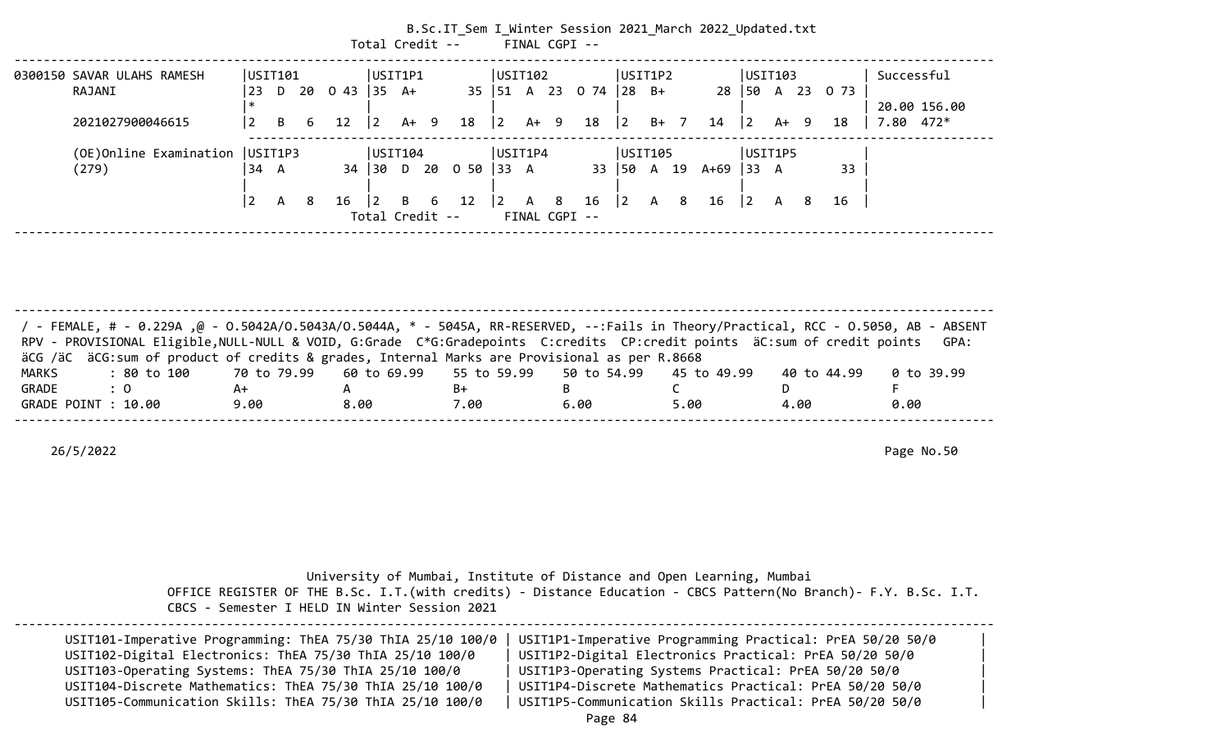|                            |                |   |   |                 | Total Credit --       |     |        | B.Sc.IT_Sem I_Winter Session 2021 March 2022 Updated.txt |             |              |      | FINAL CGPI --             |              |   |        |      |             |   |        |                 |                             |  |
|----------------------------|----------------|---|---|-----------------|-----------------------|-----|--------|----------------------------------------------------------|-------------|--------------|------|---------------------------|--------------|---|--------|------|-------------|---|--------|-----------------|-----------------------------|--|
| 0300150 SAVAR ULAHS RAMESH | USTI01         |   |   |                 | USIT1P1               |     |        |                                                          | USTI02      |              |      |                           | USIT1P2      |   |        |      | USTI103     |   |        |                 | Successful                  |  |
| RAJANI                     | 23             |   |   | D 20 0 43 35 A+ |                       |     |        |                                                          |             |              |      | 35   51 A 23 0 74   28 B+ |              |   |        |      |             |   |        | 28 50 A 23 0 73 |                             |  |
| 2021027900046615           | $\overline{2}$ | B | 6 | 12              | $\overline{2}$        |     | $A+ 9$ | $18 \mid 2$                                              |             |              | A+ 9 | 18                        | $ 2\rangle$  |   | $B+$ 7 | 14   | $ 2\rangle$ |   | $A+ 9$ | 18              | 20.00 156.00<br>$7.80$ 472* |  |
| (OE)Online Examination     | UST1P3         |   |   |                 | USTI04                |     |        |                                                          | USIT1P4     |              |      |                           | USIT105      |   |        |      | USIT1P5     |   |        |                 |                             |  |
| (279)                      | 34 A           |   |   |                 |                       |     |        | 34 30 D 20 0 50 33 A                                     |             |              |      |                           | 33   50 A 19 |   |        | A+69 | $ 33 \ \ A$ |   |        | 33              |                             |  |
|                            | 2              | A | 8 | 16              | 2 <br>Total Credit -- | B — | 6      | 12                                                       | $ 2\rangle$ | $\mathsf{A}$ | 8    | 16<br>FINAL CGPI --       | $ 2\rangle$  | A | 8      | 16   | $ 2\rangle$ | A | 8      | 16              |                             |  |

-------------------------------------------------------------------------------------------------------------------------------------- / - FEMALE, # - 0.229A ,@ - O.5042A/O.5043A/O.5044A, \* - 5045A, RR-RESERVED, --:Fails in Theory/Practical, RCC - O.5050, AB - ABSENT RPV - PROVISIONAL Eligible,NULL-NULL & VOID, G:Grade C\*G:Gradepoints C:credits CP:credit points äC:sum of credit points GPA: äCG /äC äCG:sum of product of credits & grades, Internal Marks are Provisional as per R.8668 MARKS : 80 to 100 70 to 79.99 60 to 69.99 55 to 59.99 50 to 54.99 45 to 49.99 40 to 44.99 0 to 39.99 GRADE : 0 A+ A B+ B C D F GRADE POINT : 10.00 9.00 8.00 7.00 6.00 5.00 4.00 0.00 --------------------------------------------------------------------------------------------------------------------------------------

26/5/2022 Page No.50

|  |  | University of Mumbai, Institute of Distance and Open Learning, Mumbai |  |  |
|--|--|-----------------------------------------------------------------------|--|--|
|  |  |                                                                       |  |  |

 OFFICE REGISTER OF THE B.Sc. I.T.(with credits) - Distance Education - CBCS Pattern(No Branch)- F.Y. B.Sc. I.T. CBCS - Semester I HELD IN Winter Session 2021

| USIT101-Imperative Programming: ThEA 75/30 ThIA 25/10 100/0<br>USIT102-Digital Electronics: ThEA 75/30 ThIA 25/10 100/0 | USIT1P1-Imperative Programming Practical: PrEA 50/20 50/0<br>USIT1P2-Digital Electronics Practical: PrEA 50/20 50/0 |  |
|-------------------------------------------------------------------------------------------------------------------------|---------------------------------------------------------------------------------------------------------------------|--|
| USIT103-Operating Systems: ThEA 75/30 ThIA 25/10 100/0                                                                  | USIT1P3-Operating Systems Practical: PrEA 50/20 50/0                                                                |  |
| USIT104-Discrete Mathematics: ThEA 75/30 ThIA 25/10 100/0                                                               | USIT1P4-Discrete Mathematics Practical: PrEA 50/20 50/0                                                             |  |
| USIT105-Communication Skills: ThEA 75/30 ThIA 25/10 100/0                                                               | USIT1P5-Communication Skills Practical: PrEA 50/20 50/0                                                             |  |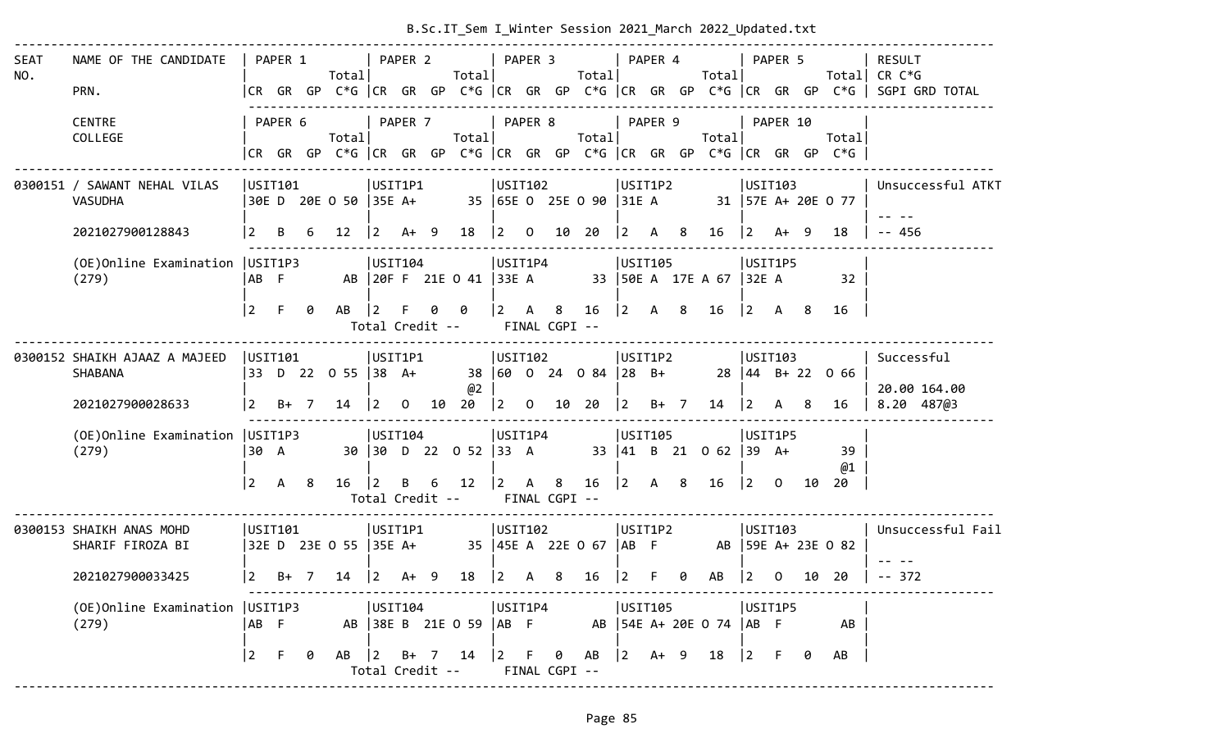| <b>SEAT</b><br>NO. | NAME OF THE CANDIDATE<br>PRN.                |           |         |                                                                       | Total                                                                                                                               |         |  | Total                                                         |           |     | Total |         |  | PAPER 1   PAPER 2   PAPER 3   PAPER 4   PAPER 5<br>Total                        |                                           |  |                                                                                | RESULT<br>Total  CR C*G<br> CR GR GP C*G  CR GR GP C*G  CR GR GP C*G  CR GR GP C*G  CR GR GP C*G   SGPI GRD TOTAL |
|--------------------|----------------------------------------------|-----------|---------|-----------------------------------------------------------------------|-------------------------------------------------------------------------------------------------------------------------------------|---------|--|---------------------------------------------------------------|-----------|-----|-------|---------|--|---------------------------------------------------------------------------------|-------------------------------------------|--|--------------------------------------------------------------------------------|-------------------------------------------------------------------------------------------------------------------|
|                    | <b>CENTRE</b><br>COLLEGE                     |           | PAPER 6 |                                                                       | Total                                                                                                                               | PAPER 7 |  | Total                                                         |           |     |       |         |  | PAPER 8   PAPER 9   PAPER 10                                                    |                                           |  | Total<br> CR GR GP C*G  CR GR GP C*G  CR GR GP C*G  CR GR GP C*G  CR GR GP C*G |                                                                                                                   |
|                    | 0300151 / SAWANT NEHAL VILAS<br>VASUDHA      |           |         |                                                                       | USIT101  USIT1P1                                                                                                                    |         |  | $\overline{\bigcup_{i=1}^{n}}$ $\overline{\bigcup_{i=1}^{n}}$ |           |     |       | USIT1P2 |  | USIT103                                                                         |                                           |  | 30E D 20E O 50  35E A+     35  65E O 25E O 90  31E A     31  57E A+ 20E O 77   | Unsuccessful ATKT                                                                                                 |
|                    | 2021027900128843                             |           |         |                                                                       |                                                                                                                                     |         |  |                                                               |           |     |       |         |  | 2  B  6  12   2  A  +  9  18   2  0  10  20   2  A  8  16   2  A  +  9          |                                           |  | 18                                                                             | $\vert$ -- 456                                                                                                    |
|                    | (279)                                        |           |         |                                                                       |                                                                                                                                     |         |  |                                                               |           |     |       |         |  | ABF AB  20FF21E041  33EA 33  50EA 17EA 67  32EA                                 | USIT1P5                                   |  | -32                                                                            |                                                                                                                   |
|                    |                                              |           |         |                                                                       |                                                                                                                                     |         |  | Total Credit -- FINAL CGPI --                                 |           |     |       |         |  | 2 F Ø AB  2 F Ø Ø  2 A 8 16  2 A 8 16  2 A 8 16                                 |                                           |  |                                                                                |                                                                                                                   |
|                    | 0300152 SHAIKH AJAAZ A MAJEED<br>SHABANA     | USIT101   |         |                                                                       |                                                                                                                                     |         |  | @2                                                            |           |     |       |         |  |                                                                                 |                                           |  | 33 D 22 0 55  38 A+ 38  60 0 24 0 84  28 B+ 28  44 B+ 22 0 66                  | Successful<br>20.00 164.00                                                                                        |
|                    | 2021027900028633                             |           |         |                                                                       | $\begin{vmatrix} 2 & B+ & 7 & 14 \end{vmatrix}$                                                                                     |         |  |                                                               |           |     |       |         |  | 14                                                                              | $\begin{vmatrix} 2 & A & 8 \end{vmatrix}$ |  | 16                                                                             | 8.20 487003                                                                                                       |
|                    | (OE)Online Examination   USIT1P3<br>(279)    |           |         |                                                                       | USIT104                                                                                                                             |         |  |                                                               |           |     |       |         |  |                                                                                 | USIT1P5                                   |  | 39<br>@1                                                                       |                                                                                                                   |
|                    |                                              |           |         | $\begin{array}{ccc} \n\boxed{2} & \boxed{A} & \boxed{8}\n\end{array}$ | $16 \quad \vert 2$                                                                                                                  |         |  | Total Credit -- FINAL CGPI --                                 |           |     |       |         |  | B 6 12   2 A 8 16   2 A 8 16   2 0 10 20                                        |                                           |  |                                                                                |                                                                                                                   |
|                    | 0300153 SHAIKH ANAS MOHD<br>SHARIF FIROZA BI |           |         |                                                                       |                                                                                                                                     |         |  |                                                               |           |     |       |         |  | USIT1P2<br> 32E D 23E O 55  35E A+ 35  45E A 22E O 67  AB F AB  59E A+ 23E O 82 |                                           |  | USIT103                                                                        | Unsuccessful Fail                                                                                                 |
|                    | 2021027900033425                             |           |         |                                                                       | $\begin{array}{ c c c c c c c c } \hline 2 & B+ & 7 & 14 & \begin{array}{ c c c c } 2 & A+ & 9 & 18 \end{array} \hline \end{array}$ |         |  |                                                               | $\vert$ 2 | A 8 | 16    |         |  | $\begin{bmatrix} 2 & F & \theta & AB \end{bmatrix}$                             | $\begin{bmatrix} 2 & 0 \end{bmatrix}$     |  | 10 20                                                                          | $-- 372$                                                                                                          |
|                    | (279)                                        |           |         |                                                                       |                                                                                                                                     |         |  |                                                               |           |     |       |         |  | ABF AB  38EB21E059   ABF AB  54EA+20E074   ABF                                  |                                           |  | AB                                                                             |                                                                                                                   |
|                    |                                              | $\vert$ 2 | - F     |                                                                       |                                                                                                                                     |         |  | Total Credit -- FINAL CGPI --                                 |           |     |       |         |  | 0 AB   2 B + 7 14   2 F 0 AB   2 A + 9 18   2 F 0                               |                                           |  | AB                                                                             |                                                                                                                   |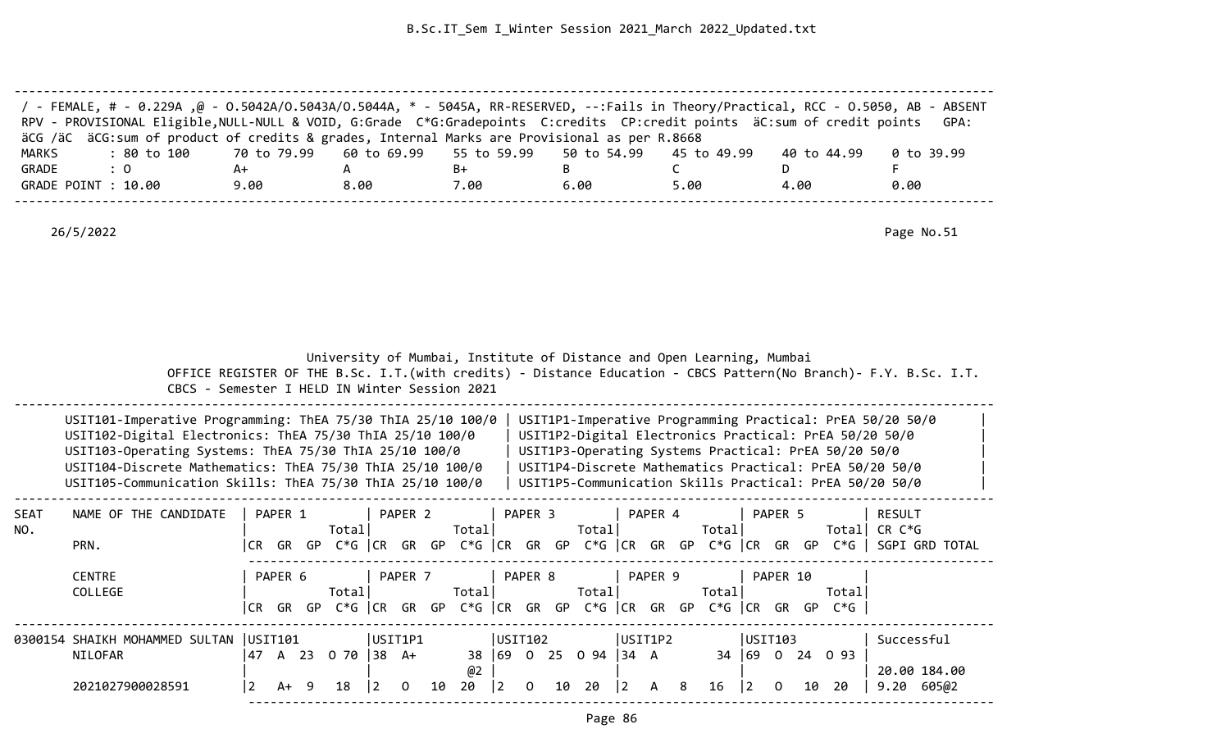| / - FEMALE, # - 0.229A ,@ - 0.5042A/0.5043A/0.5044A, * - 5045A, RR-RESERVED, --:Fails in Theory/Practical, RCC - 0.5050, AB - ABSENT<br>RPV - PROVISIONAL Eligible, NULL-NULL & VOID, G:Grade C*G:Gradepoints C:credits CP:credit points äC:sum of credit points |                                                                         |      |      |      |      |             | GPA:       |
|------------------------------------------------------------------------------------------------------------------------------------------------------------------------------------------------------------------------------------------------------------------|-------------------------------------------------------------------------|------|------|------|------|-------------|------------|
| äCG /äC äCG:sum of product of credits & grades, Internal Marks are Provisional as per R.8668                                                                                                                                                                     |                                                                         |      |      |      |      |             |            |
| MARKS<br>: 80 to 100                                                                                                                                                                                                                                             | 70 to 79.99    60 to 69.99    55 to 59.99    50 to 54.99    45 to 49.99 |      |      |      |      | 40 to 44.99 | 0 to 39.99 |
| GRADE<br>$\therefore$ 0                                                                                                                                                                                                                                          | A+                                                                      |      | B+   |      |      |             |            |
| GRADE POINT : 10.00                                                                                                                                                                                                                                              | 9.00                                                                    | 8.00 | 7.00 | 6.00 | 5.00 | 4.00        | 0.00       |
|                                                                                                                                                                                                                                                                  |                                                                         |      |      |      |      |             |            |

|                    |                                                                                                                                                                                                                                                                                                             |      |         |    |                       |                            |         |         |          |                      |          |    | University of Mumbai, Institute of Distance and Open Learning, Mumbai |             |              |    |        |                |          |    |                                                      |                                                                                                                                                                                                                                           |  |
|--------------------|-------------------------------------------------------------------------------------------------------------------------------------------------------------------------------------------------------------------------------------------------------------------------------------------------------------|------|---------|----|-----------------------|----------------------------|---------|---------|----------|----------------------|----------|----|-----------------------------------------------------------------------|-------------|--------------|----|--------|----------------|----------|----|------------------------------------------------------|-------------------------------------------------------------------------------------------------------------------------------------------------------------------------------------------------------------------------------------------|--|
|                    | CBCS - Semester I HELD IN Winter Session 2021                                                                                                                                                                                                                                                               |      |         |    |                       |                            |         |         |          |                      |          |    |                                                                       |             |              |    |        |                |          |    |                                                      | OFFICE REGISTER OF THE B.Sc. I.T. (with credits) - Distance Education - CBCS Pattern (No Branch) - F.Y. B.Sc. I.T.                                                                                                                        |  |
|                    | USIT101-Imperative Programming: ThEA 75/30 ThIA 25/10 100/0<br>USIT102-Digital Electronics: ThEA 75/30 ThIA 25/10 100/0<br>USIT103-Operating Systems: ThEA 75/30 ThIA 25/10 100/0<br>USIT104-Discrete Mathematics: ThEA 75/30 ThIA 25/10 100/0<br>USIT105-Communication Skills: ThEA 75/30 ThIA 25/10 100/0 |      |         |    |                       |                            |         |         |          |                      |          |    |                                                                       |             |              |    |        |                |          |    | USIT1P3-Operating Systems Practical: PrEA 50/20 50/0 | USIT1P1-Imperative Programming Practical: PrEA 50/20 50/0<br>USIT1P2-Digital Electronics Practical: PrEA 50/20 50/0<br>USIT1P4-Discrete Mathematics Practical: PrEA 50/20 50/0<br>USIT1P5-Communication Skills Practical: PrEA 50/20 50/0 |  |
| <b>SEAT</b><br>NO. | NAME OF THE CANDIDATE<br>PRN.                                                                                                                                                                                                                                                                               | CR . | PAPER 1 |    | Totall                |                            |         | PAPER 2 | Total    |                      | PAPER 3  |    | Totall                                                                |             | PAPER 4      |    | Totall |                | PAPER 5  |    | Totall                                               | RESULT<br>CR C*G<br>GR GP C*G CR GR GP C*G CR GR GP C*G CR GR GP C*G CR GR GP C*G SGPI GRD TOTAL                                                                                                                                          |  |
|                    | <b>CENTRE</b><br>COLLEGE                                                                                                                                                                                                                                                                                    | CR.  | PAPER 6 |    | Totall                |                            | PAPER 7 |         | Total    |                      | PAPER 8  |    | Total <br>GR GP C*G CR GR GP C*G CR GR GP C*G CR GR GP C*G CR GR GP   |             | PAPER 9      |    | Totall |                | PAPER 10 |    | Totall<br>C*G l                                      |                                                                                                                                                                                                                                           |  |
|                    | 0300154 SHAIKH MOHAMMED SULTAN   USIT101<br>NILOFAR<br>2021027900028591                                                                                                                                                                                                                                     | 47   | A+      | -9 | A 23 0 70 38 A+<br>18 | USIT1P1<br>$\vert 2 \vert$ | 0       | 10      | @2<br>20 | USIT102<br>$\vert$ 2 | $\Omega$ | 10 | 38 69 0 25 0 94 34 A<br>20                                            | $ 2\rangle$ | USIT1P2<br>A | -8 | 16     | USIT103<br>12. | 0        | 10 | 34 69 0 24 0 93<br>-20                               | Successful<br>20.00 184.00<br>9.20<br>605@2                                                                                                                                                                                               |  |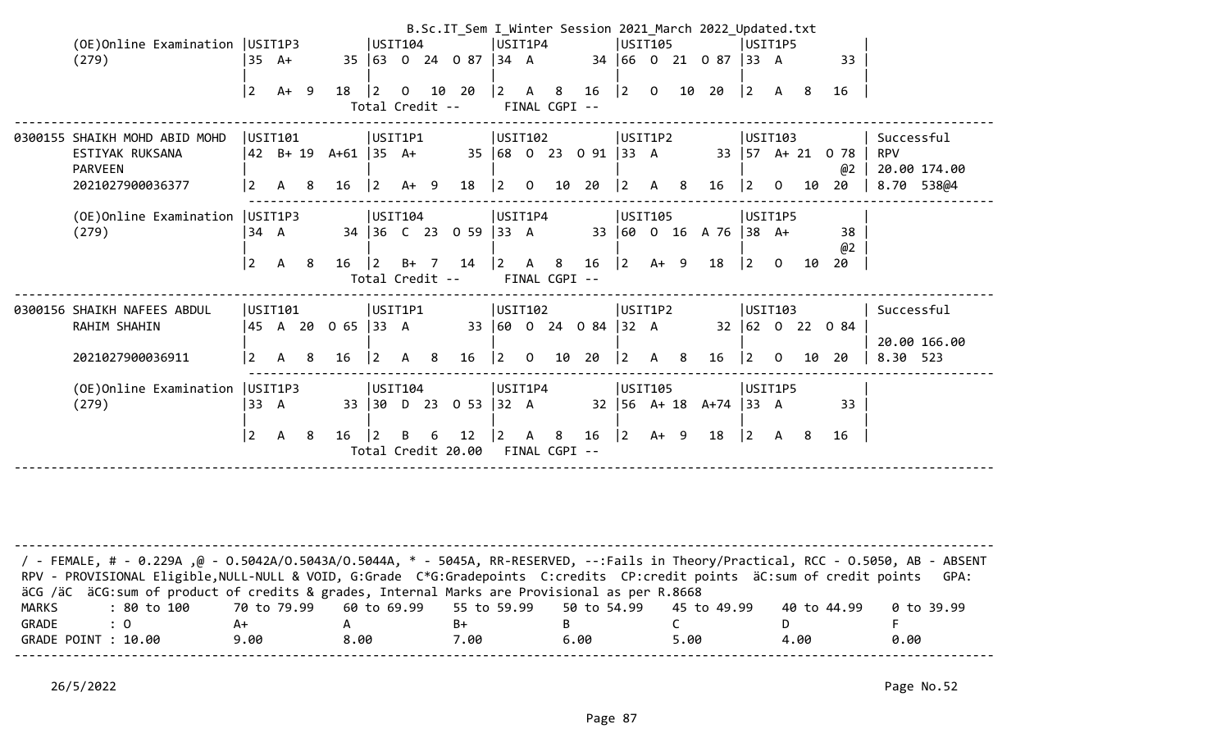|                                                                                                                                                                                                                                                                      |                |                     |                     |           |                                           | B.Sc.IT_Sem I_Winter Session 2021 March 2022 Updated.txt |                                       |                |                                           |                 |                  |                                           |  |                      |                                       |                                           |    |                 |              |
|----------------------------------------------------------------------------------------------------------------------------------------------------------------------------------------------------------------------------------------------------------------------|----------------|---------------------|---------------------|-----------|-------------------------------------------|----------------------------------------------------------|---------------------------------------|----------------|-------------------------------------------|-----------------|------------------|-------------------------------------------|--|----------------------|---------------------------------------|-------------------------------------------|----|-----------------|--------------|
| (OE) Online Examination   USIT1P3                                                                                                                                                                                                                                    |                |                     |                     |           | USTI04                                    |                                                          | USIT1P4                               |                |                                           |                 |                  | USIT105                                   |  |                      |                                       | USIT1P5                                   |    |                 |              |
| (279)                                                                                                                                                                                                                                                                |                | 35 A+               |                     |           | 35 63 0 24 0 87 34 A                      |                                                          |                                       |                |                                           |                 |                  |                                           |  | 34 66 0 21 0 87 33 A |                                       |                                           |    | 33              |              |
|                                                                                                                                                                                                                                                                      |                |                     |                     |           |                                           |                                                          |                                       |                |                                           |                 |                  |                                           |  |                      |                                       |                                           |    |                 |              |
|                                                                                                                                                                                                                                                                      | 2              | A+ 9                | 18                  | $\vert$ 2 | $\overline{0}$                            | 10 20                                                    |                                       |                | $\begin{vmatrix} 2 & A & 8 \end{vmatrix}$ | 16              | $ 2\rangle$      | $\overline{0}$                            |  | 10 20                | $ 2\rangle$                           | A 8                                       |    | 16              |              |
|                                                                                                                                                                                                                                                                      |                |                     |                     |           | Total Credit --                           |                                                          |                                       |                | FINAL CGPI --                             |                 |                  |                                           |  |                      |                                       |                                           |    |                 |              |
| 0300155 SHAIKH MOHD ABID MOHD                                                                                                                                                                                                                                        |                | USIT101             |                     |           | USIT1P1                                   |                                                          | USIT102                               |                |                                           |                 |                  | USIT1P2                                   |  |                      |                                       | USIT103                                   |    |                 | Successful   |
| ESTIYAK RUKSANA                                                                                                                                                                                                                                                      |                |                     | 42 B+ 19 A+61 35 A+ |           |                                           | 35 68 0 23 0 91                                          |                                       |                |                                           |                 | $ 33 \ \text{A}$ |                                           |  |                      |                                       | $33 \mid 57 \quad A + 21$                 |    | 078             | <b>RPV</b>   |
| <b>PARVEEN</b>                                                                                                                                                                                                                                                       |                |                     |                     |           |                                           |                                                          |                                       |                |                                           |                 |                  |                                           |  |                      |                                       |                                           |    | @2              | 20.00 174.00 |
| 2021027900036377                                                                                                                                                                                                                                                     | 2              | A 8                 | 16                  |           | $ 2 \tA+ 9$                               | 18                                                       | $\begin{bmatrix} 2 & 0 \end{bmatrix}$ |                |                                           | 10 20           |                  | $\begin{vmatrix} 2 & A & 8 \end{vmatrix}$ |  | 16                   | $ 2\rangle$                           | $\overline{0}$                            | 10 | 20              | 8.70 538@4   |
|                                                                                                                                                                                                                                                                      |                |                     |                     |           |                                           |                                                          |                                       |                |                                           |                 |                  |                                           |  |                      |                                       |                                           |    |                 |              |
| USIT104<br>USIT1P4<br>USIT105<br>(OE) Online Examination   USIT1P3<br>USIT1P5<br>34 A<br>34 36 C 23 0 59 33 A<br>(279)<br>33 60 0 16 A 76<br>$ 38 \tA+$<br>38                                                                                                        |                |                     |                     |           |                                           |                                                          |                                       |                |                                           |                 |                  |                                           |  |                      |                                       |                                           |    |                 |              |
|                                                                                                                                                                                                                                                                      |                |                     |                     |           |                                           |                                                          |                                       |                |                                           |                 |                  |                                           |  |                      |                                       |                                           |    |                 |              |
|                                                                                                                                                                                                                                                                      |                |                     |                     |           |                                           |                                                          |                                       |                |                                           |                 |                  |                                           |  |                      |                                       |                                           |    |                 |              |
| @2<br>$ 2\rangle$<br>$\begin{vmatrix} 2 & A & 8 \end{vmatrix}$<br>$ 2\rangle$<br>18<br>$\begin{vmatrix} 2 & B+ & 7 & 14 \end{vmatrix}$<br>16<br>$A+ 9$<br>$ 2\rangle$<br>$\overline{0}$<br>$\mathsf{A}$<br>- 8<br>16<br>10<br>20<br>Total Credit --<br>FINAL CGPI -- |                |                     |                     |           |                                           |                                                          |                                       |                |                                           |                 |                  |                                           |  |                      |                                       |                                           |    |                 |              |
|                                                                                                                                                                                                                                                                      |                |                     |                     |           |                                           |                                                          |                                       |                |                                           |                 |                  |                                           |  |                      |                                       |                                           |    |                 |              |
| 0300156 SHAIKH NAFEES ABDUL                                                                                                                                                                                                                                          |                | USIT101             |                     |           | USIT1P1                                   |                                                          | USIT102                               |                |                                           |                 |                  | USIT1P2                                   |  |                      |                                       | USIT103                                   |    |                 | Successful   |
| RAHIM SHAHIN                                                                                                                                                                                                                                                         |                |                     | 45 A 20 O 65  33 A  |           |                                           |                                                          |                                       |                |                                           | 33 60 0 24 0 84 |                  | $32 \text{ A}$                            |  |                      |                                       |                                           |    | 32 62 0 22 0 84 |              |
|                                                                                                                                                                                                                                                                      |                |                     |                     |           |                                           |                                                          |                                       |                |                                           |                 |                  |                                           |  |                      |                                       |                                           |    |                 | 20.00 166.00 |
| 2021027900036911                                                                                                                                                                                                                                                     | $\overline{2}$ | A 8                 | 16                  |           | $\begin{vmatrix} 2 & A & 8 \end{vmatrix}$ | 16                                                       | 2                                     | $\overline{0}$ |                                           | 10 20           |                  | $\begin{vmatrix} 2 & A & 8 \end{vmatrix}$ |  | 16                   | $\begin{vmatrix} 2 & 0 \end{vmatrix}$ |                                           | 10 | 20              | 8.30 523     |
| (OE) Online Examination   USIT1P3                                                                                                                                                                                                                                    |                |                     |                     |           | USTI04                                    |                                                          | USIT1P4                               |                |                                           |                 |                  | USIT105                                   |  |                      |                                       | USIT1P5                                   |    |                 |              |
| (279)                                                                                                                                                                                                                                                                | 33 A           |                     |                     |           | 33 30 D 23                                | 0 53 32 A                                                |                                       |                |                                           |                 |                  | $32 \mid 56 \quad A + 18$                 |  | $A+74$ 33 A          |                                       |                                           |    | 33              |              |
|                                                                                                                                                                                                                                                                      |                |                     |                     |           |                                           |                                                          |                                       |                |                                           |                 |                  |                                           |  |                      |                                       |                                           |    |                 |              |
|                                                                                                                                                                                                                                                                      | $ 2\rangle$    | $\mathsf{A}$<br>- 8 | 16                  | $\vert$ 2 | 6<br>B.                                   | 12                                                       | $ 2\rangle$                           | $\overline{A}$ | 8                                         | 16              | $ 2\rangle$      | $A+ 9$                                    |  | 18                   |                                       | $\begin{vmatrix} 2 & A & 8 \end{vmatrix}$ |    | 16              |              |
|                                                                                                                                                                                                                                                                      |                |                     |                     |           | Total Credit 20.00                        |                                                          |                                       |                | FINAL CGPI --                             |                 |                  |                                           |  |                      |                                       |                                           |    |                 |              |
|                                                                                                                                                                                                                                                                      |                |                     |                     |           |                                           |                                                          |                                       |                |                                           |                 |                  |                                           |  |                      |                                       |                                           |    |                 |              |
|                                                                                                                                                                                                                                                                      |                |                     |                     |           |                                           |                                                          |                                       |                |                                           |                 |                  |                                           |  |                      |                                       |                                           |    |                 |              |
|                                                                                                                                                                                                                                                                      |                |                     |                     |           |                                           |                                                          |                                       |                |                                           |                 |                  |                                           |  |                      |                                       |                                           |    |                 |              |

| / FEMALE, # - 0.229A ,@ - 0.5042A/0.5043A/0.5044A, * - 5045A, RR-RESERVED, --:Fails in Theory/Practical, RCC - 0.5050, AB - ABSENT<br>RPV - PROVISIONAL Eligible, NULL-NULL & VOID, G:Grade C*G:Gradepoints C:credits CP:credit points äC:sum of credit points |      |      |      |      |      |             | GPA:       |
|----------------------------------------------------------------------------------------------------------------------------------------------------------------------------------------------------------------------------------------------------------------|------|------|------|------|------|-------------|------------|
| äCG /äC äCG:sum of product of credits & grades, Internal Marks are Provisional as per R.8668                                                                                                                                                                   |      |      |      |      |      |             |            |
| : 80 to 100    70 to 79.99   60 to 69.99   55 to 59.99   50 to 54.99   45 to 49.99<br>MARKS                                                                                                                                                                    |      |      |      |      |      | 40 to 44.99 | 0 to 39.99 |
| GRADE<br>$\therefore$ 0                                                                                                                                                                                                                                        | A+   |      | B+   |      |      |             |            |
| GRADE POINT : 10.00                                                                                                                                                                                                                                            | 9.00 | 8.00 | 7.00 | 6.00 | 5.00 | 4.00        | 0.00       |
|                                                                                                                                                                                                                                                                |      |      |      |      |      |             |            |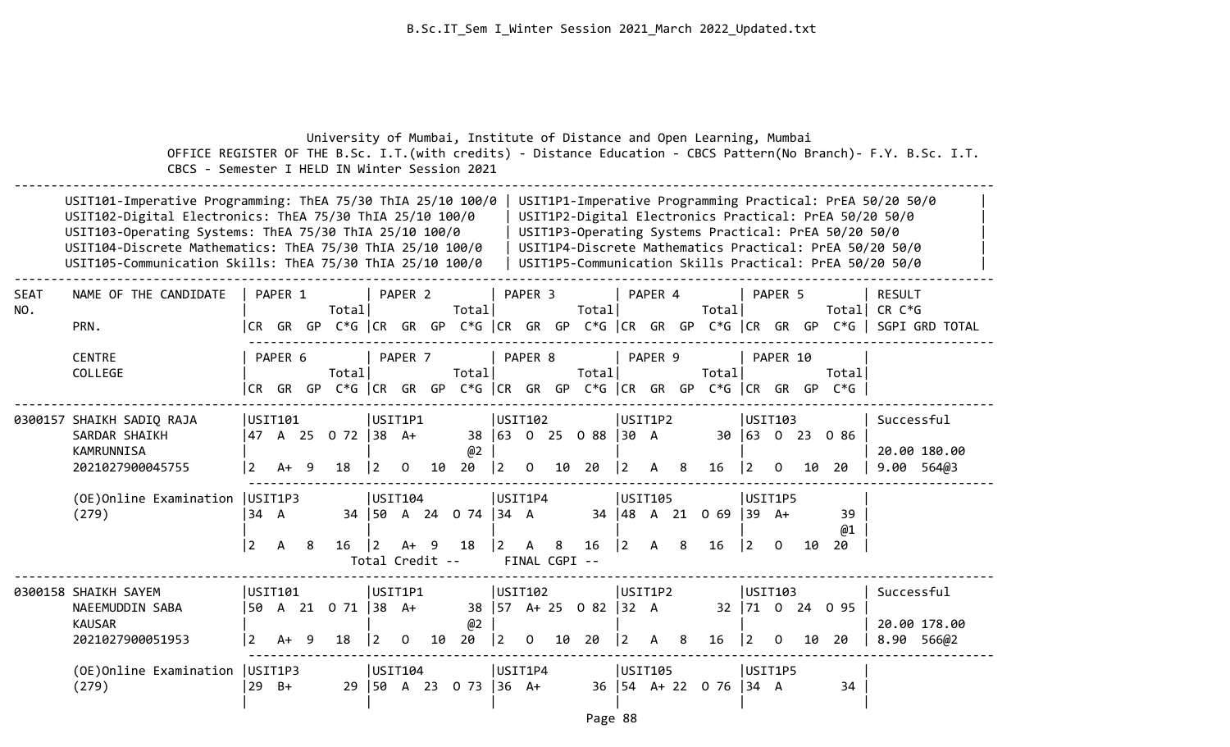|             | OFFICE REGISTER OF THE B.Sc. I.T. (with credits) - Distance Education - CBCS Pattern (No Branch) - F.Y. B.Sc. I.T.<br>CBCS - Semester I HELD IN Winter Session 2021                                                                                                                                         |                                   |              |     | University of Mumbai, Institute of Distance and Open Learning, Mumbai     |                        |                                         |    |                                |                        |                |                    |                                  |                                       |                           |                |                             |                        |                |    |                                                      |                                                                                                                                                                                                                                           |                                                                                                           |
|-------------|-------------------------------------------------------------------------------------------------------------------------------------------------------------------------------------------------------------------------------------------------------------------------------------------------------------|-----------------------------------|--------------|-----|---------------------------------------------------------------------------|------------------------|-----------------------------------------|----|--------------------------------|------------------------|----------------|--------------------|----------------------------------|---------------------------------------|---------------------------|----------------|-----------------------------|------------------------|----------------|----|------------------------------------------------------|-------------------------------------------------------------------------------------------------------------------------------------------------------------------------------------------------------------------------------------------|-----------------------------------------------------------------------------------------------------------|
|             | USIT101-Imperative Programming: ThEA 75/30 ThIA 25/10 100/0<br>USIT102-Digital Electronics: ThEA 75/30 ThIA 25/10 100/0<br>USIT103-Operating Systems: ThEA 75/30 ThIA 25/10 100/0<br>USIT104-Discrete Mathematics: ThEA 75/30 ThIA 25/10 100/0<br>USIT105-Communication Skills: ThEA 75/30 ThIA 25/10 100/0 |                                   |              |     |                                                                           |                        |                                         |    |                                |                        |                |                    |                                  |                                       |                           |                |                             |                        |                |    | USIT1P3-Operating Systems Practical: PrEA 50/20 50/0 | USIT1P1-Imperative Programming Practical: PrEA 50/20 50/0<br>USIT1P2-Digital Electronics Practical: PrEA 50/20 50/0<br>USIT1P4-Discrete Mathematics Practical: PrEA 50/20 50/0<br>USIT1P5-Communication Skills Practical: PrEA 50/20 50/0 |                                                                                                           |
| <b>SEAT</b> | NAME OF THE CANDIDATE                                                                                                                                                                                                                                                                                       |                                   | PAPER 1      |     |                                                                           |                        | PAPER <sub>2</sub>                      |    |                                |                        | PAPER 3        |                    |                                  |                                       | PAPER 4                   |                |                             |                        | PAPER 5        |    |                                                      | <b>RESULT</b>                                                                                                                                                                                                                             |                                                                                                           |
| NO.         | PRN.                                                                                                                                                                                                                                                                                                        |                                   |              |     | Total                                                                     |                        |                                         |    | Total                          |                        |                |                    | Totall                           |                                       |                           |                | Total                       |                        |                |    |                                                      | Total  CR C*G                                                                                                                                                                                                                             | CR GR GP $C*G$ $ CR$ GR GP $C*G$ $ CR$ GR GP $C*G$ $ CR$ GR GP $C*G$ $ CR$ GR GP $C*G$ $ $ SGPI GRD TOTAL |
|             | <b>CENTRE</b><br>COLLEGE                                                                                                                                                                                                                                                                                    |                                   | PAPER 6      |     | Total<br>CR GR GP C*G CR GR GP C*G CR GR GP C*G CR GR GP C*G CR GR GP C*G |                        | PAPER 7                                 |    | Total                          |                        | PAPER 8        |                    | Total                            |                                       | PAPER 9                   |                | Total                       |                        | PAPER 10       |    | Totall                                               |                                                                                                                                                                                                                                           |                                                                                                           |
|             | 0300157 SHAIKH SADIQ RAJA<br>SARDAR SHAIKH<br>KAMRUNNISA<br>2021027900045755                                                                                                                                                                                                                                | USIT101<br>$\overline{2}$         | A+           | 9   | 47 A 25 0 72 38 A+<br>18                                                  | $\vert$ 2              | USIT1P1<br>$\mathbf{O}$                 | 10 | @2<br>20                       | USIT102<br>$ 2\rangle$ | $\overline{0}$ | 10                 | 38 63 0 25 0 88 30 A<br>20       | $\begin{vmatrix} 2 & A \end{vmatrix}$ | USIT1P2                   | 8 <sup>8</sup> | 16                          | USIT103<br><u>  2</u>  | $\mathbf{O}$   | 10 | 30 63 0 23 0 86<br>-20                               | Successful                                                                                                                                                                                                                                | 20.00 180.00<br>9.00 564@3                                                                                |
|             | (OE)Online Examination<br>(279)                                                                                                                                                                                                                                                                             | USIT1P3<br>34 A<br>$\overline{2}$ | $\mathsf{A}$ | - 8 | 16                                                                        | $ 2\rangle$            | USTI04 <br>- 9<br>A+<br>Total Credit -- |    | 34   50 A 24 0 74   34 A<br>18 | USIT1P4<br>$ 2\rangle$ | A              | 8<br>FINAL CGPI -- | 16                               | $ 2\rangle$                           | USIT105<br>$\overline{A}$ | 8              | 34 48 A 21 0 69 39 A+<br>16 | USIT1P5<br><u> 2</u>   | $\Omega$       | 10 | 39<br>@1<br>20                                       |                                                                                                                                                                                                                                           |                                                                                                           |
|             | 0300158 SHAIKH SAYEM<br>NAEEMUDDIN SABA<br><b>KAUSAR</b><br>2021027900051953                                                                                                                                                                                                                                | USIT101<br>$\overline{2}$         | $A+$         | 9   | 50 A 21 0 71 38 A+<br>18                                                  | USIT1P1<br>$ 2\rangle$ | $\overline{0}$                          | 10 | @2<br>20                       | USIT102<br>$ 2\rangle$ | $\overline{0}$ | 10                 | 38   57 A + 25 0 82   32 A<br>20 | $\begin{vmatrix} 2 & A \end{vmatrix}$ | USIT1P2                   | 8 <sup>8</sup> | 16                          | USIT103<br>$ 2\rangle$ | $\overline{0}$ | 10 | 32 71 0 24 0 95<br>20                                | Successful                                                                                                                                                                                                                                | 20.00 178.00<br>8.90 566@2                                                                                |
|             | (OE) Online Examination   USIT1P3<br>(279)                                                                                                                                                                                                                                                                  | $29$ B+                           |              |     | 29                                                                        |                        | USIT104                                 |    | $ 50 \tA} 23 \tO} 73  36 \tA+$ | USIT1P4                |                |                    |                                  |                                       | USIT105                   |                | 36 54 A+ 22 0 76            | USIT1P5<br>34 A        |                |    | 34                                                   |                                                                                                                                                                                                                                           |                                                                                                           |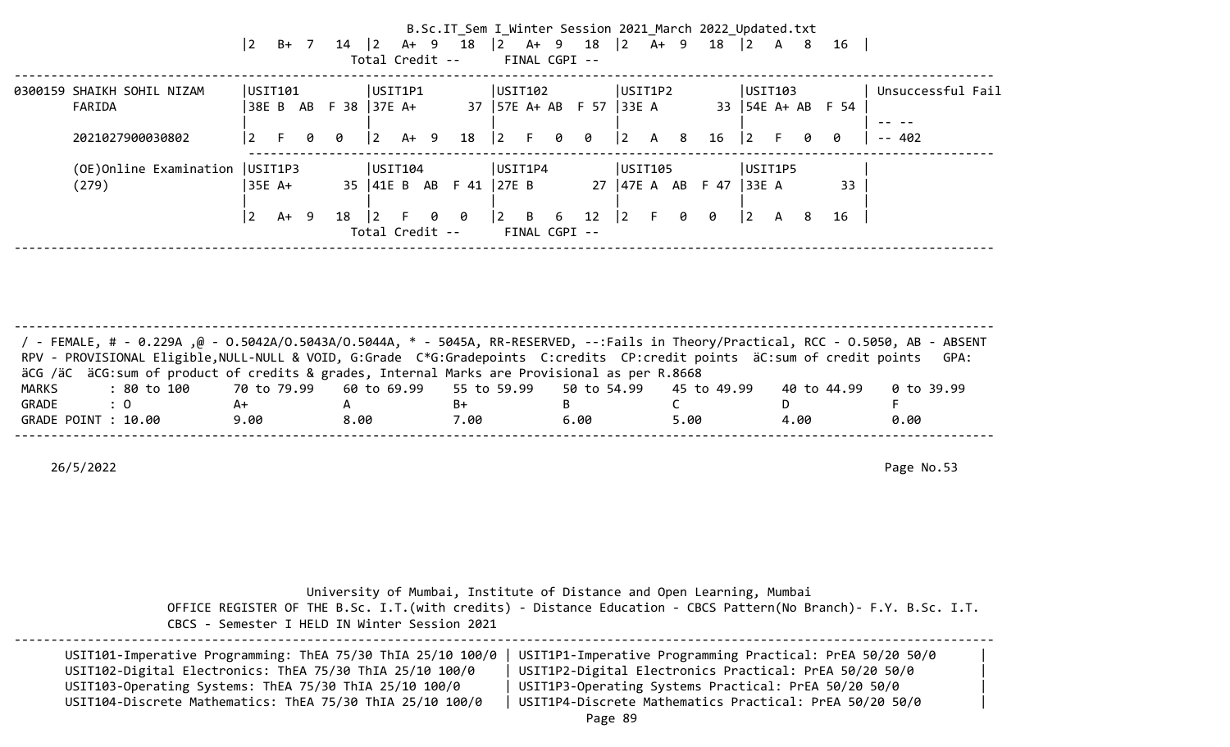|                                                          | $ 2\rangle$    | $B+$ 7                   | $14 \mid 2 \quad A+ \quad 9$ | Total Credit --              |      |   | B.Sc.IT Sem I Winter Session 2021 March 2022 Updated.txt<br>18 |                 |                                                      |   | $\begin{vmatrix} 2 & 4 & 9 & 18 \end{vmatrix}$<br>FINAL CGPI -- | $ 2\rangle$                      | A+ 9         |                | 18   | $\begin{array}{ccc} \n\boxed{2} & A & 8\n\end{array}$ |           |   | 16                       |                                             |
|----------------------------------------------------------|----------------|--------------------------|------------------------------|------------------------------|------|---|----------------------------------------------------------------|-----------------|------------------------------------------------------|---|-----------------------------------------------------------------|----------------------------------|--------------|----------------|------|-------------------------------------------------------|-----------|---|--------------------------|---------------------------------------------|
| 0300159 SHAIKH SOHIL NIZAM<br>FARIDA<br>2021027900030802 | $\overline{2}$ | USIT101<br>38E B AB<br>F | $F$ 38 37E A+<br>00          | USIT1P1<br> 2                | A+ 9 |   | 18                                                             |                 | USTI02 <br>$\begin{bmatrix} 2 & F & 0 \end{bmatrix}$ |   | 37 57E A+ AB F 57<br>0                                          | USIT1P2<br> 33E A<br>$ 2\rangle$ | $\mathsf{A}$ | 8 <sup>1</sup> | 16   | USTI103<br>$ 2\rangle$                                | $-$ F $-$ | 0 | 33   54E A+ AB F 54<br>0 | Unsuccessful Fail<br>$- - - -$<br>$- - 402$ |
| (OE) Online Examination   USIT1P3<br>(279)               |                | 35E A+                   |                              | USIT104                      |      |   | 35   41E B AB F 41                                             | 27E B           | USIT1P4                                              |   | 27                                                              | USIT105<br> 47E A AB             |              |                | F 47 | USIT1P5<br> 33E A                                     |           |   | 33                       |                                             |
|                                                          | $\overline{2}$ | A+ 9                     | 18                           | $\vert$ 2<br>Total Credit -- |      | 0 | 0                                                              | $\vert 2 \vert$ | B                                                    | 6 | 12<br>FINAL CGPI --                                             | $\vert$ 2                        | F.           | $\theta$       | 0    | $\overline{2}$                                        | A         | 8 | 16                       |                                             |

-------------------------------------------------------------------------------------------------------------------------------------- / - FEMALE, # - 0.229A ,@ - O.5042A/O.5043A/O.5044A, \* - 5045A, RR-RESERVED, --:Fails in Theory/Practical, RCC - O.5050, AB - ABSENT RPV - PROVISIONAL Eligible,NULL-NULL & VOID, G:Grade C\*G:Gradepoints C:credits CP:credit points äC:sum of credit points GPA: äCG /äC äCG:sum of product of credits & grades, Internal Marks are Provisional as per R.8668 MARKS : 80 to 100 70 to 79.99 60 to 69.99 55 to 59.99 50 to 54.99 45 to 49.99 40 to 44.99 0 to 39.99 GRADE : 0 A+ A B+ B C D F GRADE POINT : 10.00 9.00 8.00 7.00 6.00 5.00 4.00 0.00 --------------------------------------------------------------------------------------------------------------------------------------

26/5/2022 Page No.53

 University of Mumbai, Institute of Distance and Open Learning, Mumbai OFFICE REGISTER OF THE B.Sc. I.T.(with credits) - Distance Education - CBCS Pattern(No Branch)- F.Y. B.Sc. I.T. CBCS - Semester I HELD IN Winter Session 2021

| USIT101-Imperative Programming: ThEA 75/30 ThIA 25/10 100/0 | USIT1P1-Imperative Programming Practical: PrEA 50/20 50/0 |  |
|-------------------------------------------------------------|-----------------------------------------------------------|--|
| USIT102-Digital Electronics: ThEA 75/30 ThIA 25/10 100/0    | USIT1P2-Digital Electronics Practical: PrEA 50/20 50/0    |  |
| USIT103-Operating Systems: ThEA 75/30 ThIA 25/10 100/0      | USIT1P3-Operating Systems Practical: PrEA 50/20 50/0      |  |
| USIT104-Discrete Mathematics: ThEA 75/30 ThIA 25/10 100/0   | USIT1P4-Discrete Mathematics Practical: PrEA 50/20 50/0   |  |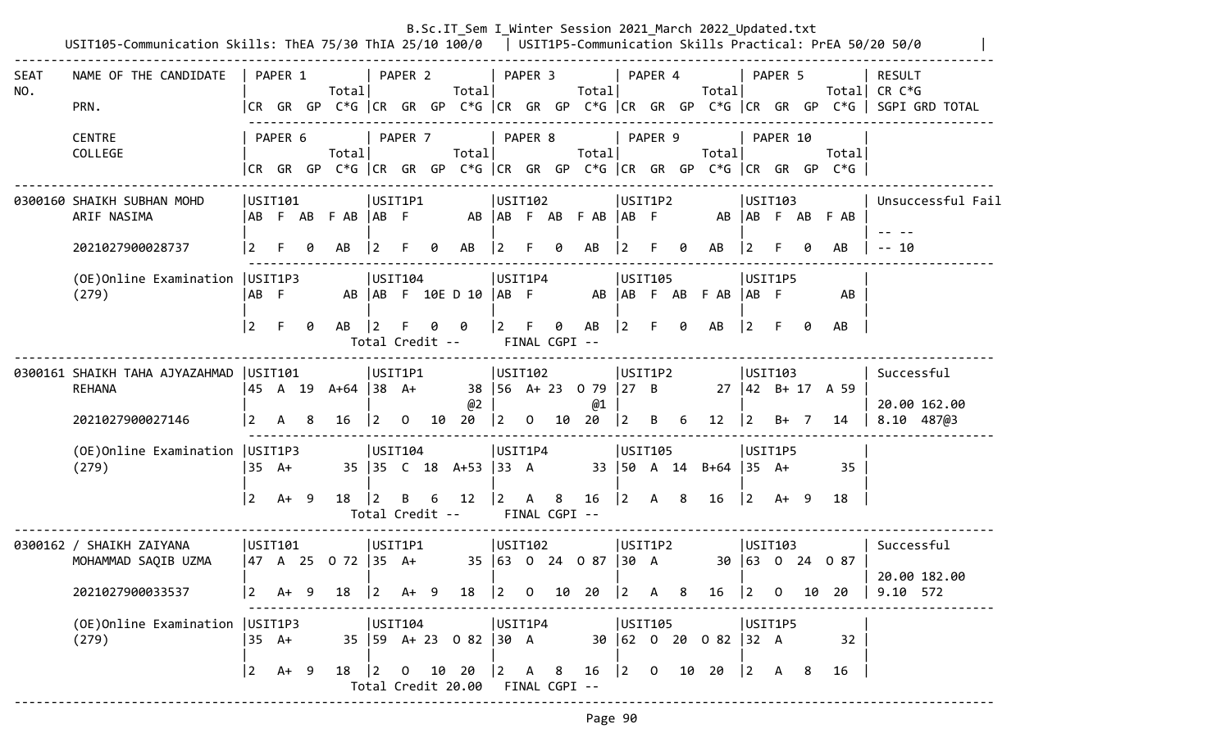|             | USIT105-Communication Skills: ThEA 75/30 ThIA 25/10 100/0   USIT1P5-Communication Skills Practical: PrEA 50/20 50/0                                                                                                                                                                                                                                 |                 |         |    |                     |                |              |                      |                            |            |                                                            |   |                                                 |                |              |    | B.Sc.IT_Sem I_Winter Session 2021_March 2022_Updated.txt                        |                |                                           |                         |                                                                                                                                |
|-------------|-----------------------------------------------------------------------------------------------------------------------------------------------------------------------------------------------------------------------------------------------------------------------------------------------------------------------------------------------------|-----------------|---------|----|---------------------|----------------|--------------|----------------------|----------------------------|------------|------------------------------------------------------------|---|-------------------------------------------------|----------------|--------------|----|---------------------------------------------------------------------------------|----------------|-------------------------------------------|-------------------------|--------------------------------------------------------------------------------------------------------------------------------|
| SEAT<br>NO. | NAME OF THE CANDIDATE<br>PRN.                                                                                                                                                                                                                                                                                                                       |                 | PAPER 1 |    | Totall              |                | PAPER 2      |                      | Totall                     |            | $ $ PAPER 3                                                |   | Total                                           |                | PAPER 4      |    | Total                                                                           |                | PAPER 5                                   |                         | <b>RESULT</b><br>Total CR $C*G$<br> CR GR GP C*G   CR GR GP C*G   CR GR GP C*G   CR GR GP C*G   CR GR GP C*G    SGPI GRD TOTAL |
|             | <b>CENTRE</b><br>COLLEGE                                                                                                                                                                                                                                                                                                                            |                 | PAPER 6 |    | Total               |                | PAPER 7      |                      | Total                      |            | PAPER 8                                                    |   | Total                                           |                | PAPER 9      |    | Totall<br> CR GR GP C*G  CR GR GP C*G  CR GR GP C*G  CR GR GP C*G  CR GR GP C*G |                | PAPER 10                                  | Total                   |                                                                                                                                |
|             | 0300160 SHAIKH SUBHAN MOHD<br>ARIF NASIMA                                                                                                                                                                                                                                                                                                           | USTI101         |         |    | ABFABFAB ABF        | USIT1P1        |              |                      |                            |            | USIT102                                                    |   | AB AB F AB F AB AB F                            |                | USIT1P2      |    |                                                                                 |                | USTI03                                    | AB   AB F AB F AB       | Unsuccessful Fail                                                                                                              |
|             | 2021027900028737                                                                                                                                                                                                                                                                                                                                    | $\vert 2 \vert$ |         | 0  | AB                  | 12             |              | 0                    | AB                         | $\sqrt{2}$ |                                                            | 0 | AB                                              | l 2.           |              | 0  | AB                                                                              | $ 2\rangle$    |                                           | AB                      | $-- 10$                                                                                                                        |
|             | USIT104<br>USIT1P4<br>USIT105<br>(OE) Online Examination   USIT1P3<br>USIT1P5<br>AB   AB F 10E D 10   AB F<br>AB   AB F AB F AB<br> AB <br>(279)<br>AB F<br>AB<br>$\vert 2 \vert$<br>AB<br>$ 2\rangle$<br>$ 2\rangle$<br>- F<br>AB<br>0<br>F<br>0<br>AB<br>F.<br>0<br>ø<br>0<br>$\overline{2}$<br>-F<br>AB<br>0<br>FINAL CGPI --<br>Total Credit -- |                 |         |    |                     |                |              |                      |                            |            |                                                            |   |                                                 |                |              |    |                                                                                 |                |                                           |                         |                                                                                                                                |
|             | USIT1P1<br>USIT1P2<br>0300161 SHAIKH TAHA AJYAZAHMAD  USIT101<br>USIT102<br> USTI03                                                                                                                                                                                                                                                                 |                 |         |    |                     |                |              |                      |                            |            |                                                            |   |                                                 |                |              |    |                                                                                 |                |                                           |                         |                                                                                                                                |
|             | <b>REHANA</b>                                                                                                                                                                                                                                                                                                                                       |                 | 45 A 19 |    | A+64 38 A+          |                |              |                      | @2                         |            |                                                            |   | 38 56 A+ 23 0 79 27 B<br>@1                     |                |              |    |                                                                                 |                |                                           | $27 \mid 42$ B+ 17 A 59 | Successful<br>20.00 162.00                                                                                                     |
|             | 2021027900027146                                                                                                                                                                                                                                                                                                                                    | 2               | A       | -8 | 16                  | $\overline{2}$ | $\mathbf{0}$ |                      | $10 \t20 \t 2$             |            |                                                            |   | $0$ 10 20                                       | $ 2\rangle$    | B            | 6  | $12 \mid 2$                                                                     |                | B+ 7                                      | 14                      | 8.10 487@3                                                                                                                     |
|             | (OE) Online Examination   USIT1P3<br>(279)                                                                                                                                                                                                                                                                                                          | $35 \text{ A+}$ |         |    |                     | USTI04         |              |                      | 35 35 C 18 A+53 33 A       |            | USIT1P4                                                    |   |                                                 |                | USIT105      |    | 33   50 A 14 B+64   35 A+                                                       |                | USIT1P5                                   | 35                      |                                                                                                                                |
|             |                                                                                                                                                                                                                                                                                                                                                     | $\overline{2}$  | A+ 9    |    | 18                  | l 2.           | B            | 6<br>Total Credit -- | 12                         | $\vert$ 2  | $\mathsf{A}$<br>FINAL CGPI --                              | 8 | 16                                              | $ 2\rangle$    | A 8          |    | 16                                                                              | $ 2\rangle$    | A+ 9                                      | 18                      |                                                                                                                                |
|             | 0300162 / SHAIKH ZAIYANA<br>MOHAMMAD SAQIB UZMA                                                                                                                                                                                                                                                                                                     | USTI01          |         |    | 47 A 25 O 72  35 A+ | USIT1P1        |              |                      |                            |            | USTI02                                                     |   | 35 63 0 24 0 87 30 A                            |                | USIT1P2      |    |                                                                                 |                | USTI03                                    | 30 63 0 24 0 87         | Successful<br>20.00 182.00                                                                                                     |
|             | 2021027900033537                                                                                                                                                                                                                                                                                                                                    | $\vert$ 2       | A+ 9    |    | 18                  | $ 2\rangle$    | A+ 9         |                      | 18                         |            |                                                            |   | $\begin{bmatrix} 2 & 0 & 10 & 20 \end{bmatrix}$ | $\overline{2}$ | $\mathsf{A}$ | -8 | 16                                                                              | $\overline{2}$ | $\overline{0}$                            | 10 20                   | 9.10 572                                                                                                                       |
|             | (OE) Online Examination   USIT1P3<br>(279)                                                                                                                                                                                                                                                                                                          | $35 \text{ A+}$ |         |    |                     | USIT104        |              |                      | 35   59 A + 23 0 82   30 A |            | USIT1P4                                                    |   |                                                 |                | USIT105      |    | 30 62 0 20 0 82 32 A                                                            |                | USIT1P5                                   | 32                      |                                                                                                                                |
|             |                                                                                                                                                                                                                                                                                                                                                     | $\vert$ 2       | $A+ 9$  |    | 18   2 0            |                |              | 10 20                | Total Credit 20.00         |            | $\begin{vmatrix} 2 & A & 8 \end{vmatrix}$<br>FINAL CGPI -- |   | 16                                              |                |              |    | $\begin{vmatrix} 2 & 0 & 10 & 20 \end{vmatrix}$                                 |                | $\begin{vmatrix} 2 & A & B \end{vmatrix}$ | 16                      |                                                                                                                                |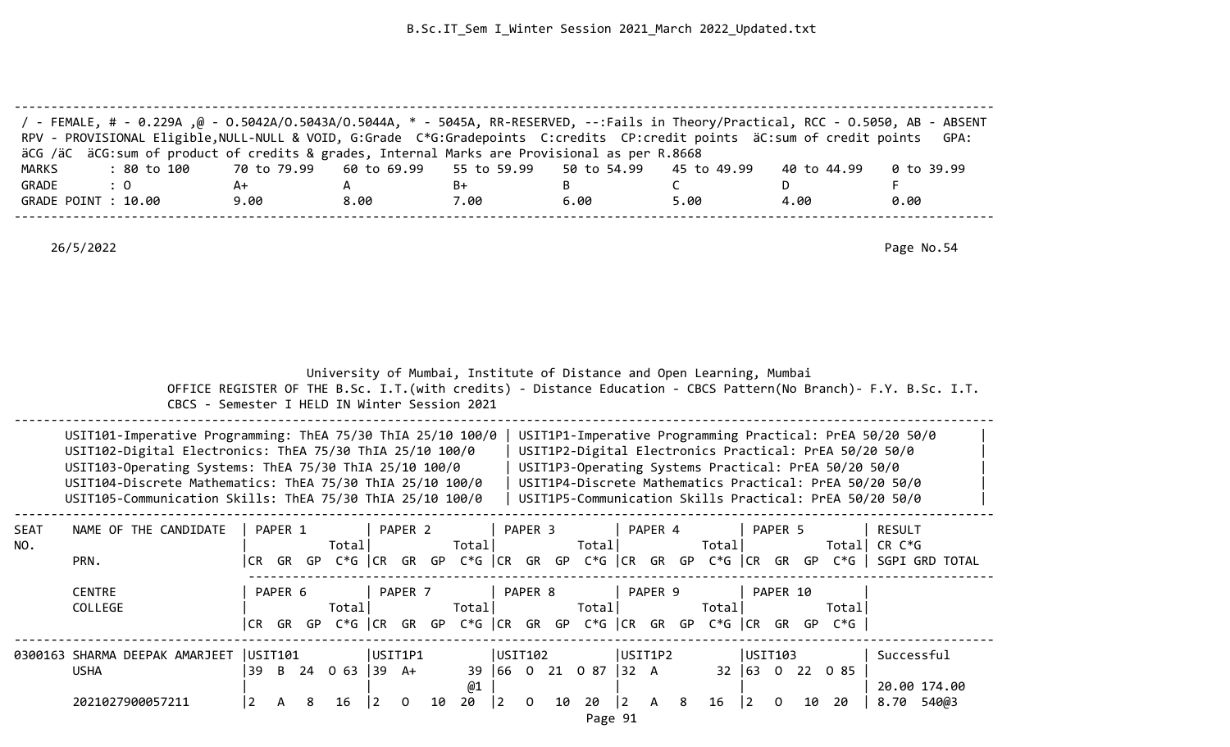|              | / FEMALE, # - 0.229A ,@ - 0.5042A/0.5043A/0.5044A, * - 5045A, RR-RESERVED, --:Fails in Theory/Practical, RCC - 0.5050, AB - ABSENT<br>RPV - PROVISIONAL Eligible, NULL-NULL & VOID, G:Grade C*G:Gradepoints C:credits CP:credit points äC:sum of credit points<br>äCG /äC äCG:sum of product of credits & grades, Internal Marks are Provisional as per R.8668 |                 |         |                                                                       |             |                    |             |             |         |   |                      |           |         |      |                       |         |          |                                                      | GPA:                                                                                                                                                                                                                                      |  |
|--------------|----------------------------------------------------------------------------------------------------------------------------------------------------------------------------------------------------------------------------------------------------------------------------------------------------------------------------------------------------------------|-----------------|---------|-----------------------------------------------------------------------|-------------|--------------------|-------------|-------------|---------|---|----------------------|-----------|---------|------|-----------------------|---------|----------|------------------------------------------------------|-------------------------------------------------------------------------------------------------------------------------------------------------------------------------------------------------------------------------------------------|--|
| <b>MARKS</b> | : 80 to 100                                                                                                                                                                                                                                                                                                                                                    | 70 to 79.99     |         |                                                                       | 60 to 69.99 |                    | 55 to 59.99 |             |         |   | 50 to 54.99          |           |         |      | 45 to 49.99           |         |          | 40 to 44.99                                          | $0$ to 39.99                                                                                                                                                                                                                              |  |
| GRADE        | $\therefore$ 0                                                                                                                                                                                                                                                                                                                                                 | A+              |         | $\mathsf{A}$                                                          |             |                    | B+          |             |         | B |                      |           |         | C    |                       |         | D        |                                                      | F                                                                                                                                                                                                                                         |  |
|              | GRADE POINT : 10.00                                                                                                                                                                                                                                                                                                                                            | 9.00            |         | 8.00                                                                  |             |                    | 7.00        |             |         |   | 6.00                 |           |         | 5.00 |                       |         | 4.00     |                                                      | 0.00                                                                                                                                                                                                                                      |  |
|              | 26/5/2022                                                                                                                                                                                                                                                                                                                                                      |                 |         |                                                                       |             |                    |             |             |         |   |                      |           |         |      |                       |         |          |                                                      | Page No.54                                                                                                                                                                                                                                |  |
|              | CBCS - Semester I HELD IN Winter Session 2021                                                                                                                                                                                                                                                                                                                  |                 |         | University of Mumbai, Institute of Distance and Open Learning, Mumbai |             |                    |             |             |         |   |                      |           |         |      |                       |         |          |                                                      | OFFICE REGISTER OF THE B.Sc. I.T. (with credits) - Distance Education - CBCS Pattern (No Branch) - F.Y. B.Sc. I.T.                                                                                                                        |  |
|              | USIT101-Imperative Programming: ThEA 75/30 ThIA 25/10 100/0<br>USIT102-Digital Electronics: ThEA 75/30 ThIA 25/10 100/0<br>USIT103-Operating Systems: ThEA 75/30 ThIA 25/10 100/0<br>USIT104-Discrete Mathematics: ThEA 75/30 ThIA 25/10 100/0<br>USIT105-Communication Skills: ThEA 75/30 ThIA 25/10 100/0                                                    |                 |         |                                                                       |             |                    |             |             |         |   |                      |           |         |      |                       |         |          | USIT1P3-Operating Systems Practical: PrEA 50/20 50/0 | USIT1P1-Imperative Programming Practical: PrEA 50/20 50/0<br>USIT1P2-Digital Electronics Practical: PrEA 50/20 50/0<br>USIT1P4-Discrete Mathematics Practical: PrEA 50/20 50/0<br>USIT1P5-Communication Skills Practical: PrEA 50/20 50/0 |  |
| SEAT         | NAME OF THE CANDIDATE                                                                                                                                                                                                                                                                                                                                          |                 | PAPER 1 |                                                                       |             | PAPER <sub>2</sub> |             |             | PAPER 3 |   |                      |           | PAPER 4 |      |                       |         | PAPER 5  |                                                      | <b>RESULT</b>                                                                                                                                                                                                                             |  |
| NO.          |                                                                                                                                                                                                                                                                                                                                                                |                 |         | Total                                                                 |             |                    | Total       |             |         |   | Total                |           |         |      | Total                 |         |          |                                                      | Total CR C*G                                                                                                                                                                                                                              |  |
|              | PRN.                                                                                                                                                                                                                                                                                                                                                           |                 |         |                                                                       |             |                    |             |             |         |   |                      |           |         |      |                       |         |          |                                                      | CR GR GP C*G  CR GR GP C*G  CR GR GP C*G  CR GR GP C*G  CR GR GP C*G   SGPI GRD TOTAL                                                                                                                                                     |  |
|              |                                                                                                                                                                                                                                                                                                                                                                |                 |         |                                                                       |             |                    |             |             |         |   |                      |           |         |      |                       |         |          |                                                      |                                                                                                                                                                                                                                           |  |
|              | <b>CENTRE</b>                                                                                                                                                                                                                                                                                                                                                  |                 | PAPER 6 |                                                                       |             | PAPER 7            |             |             | PAPER 8 |   |                      |           | PAPER 9 |      |                       |         | PAPER 10 |                                                      |                                                                                                                                                                                                                                           |  |
|              | COLLEGE                                                                                                                                                                                                                                                                                                                                                        |                 |         | Total                                                                 |             |                    | Total       |             |         |   | Totall               |           |         |      | Total                 |         |          | Totall                                               |                                                                                                                                                                                                                                           |  |
|              |                                                                                                                                                                                                                                                                                                                                                                |                 |         | CR GR GP C*G  CR GR GP C*G  CR GR GP C*G  CR GR GP C*G  CR GR GP C*G  |             |                    |             |             |         |   |                      |           |         |      |                       |         |          |                                                      |                                                                                                                                                                                                                                           |  |
|              | 0300163 SHARMA DEEPAK AMARJEET                                                                                                                                                                                                                                                                                                                                 | USTI101         |         |                                                                       | USIT1P1     |                    |             | USTI02      |         |   |                      |           | USIT1P2 |      |                       | USIT103 |          |                                                      | Successful                                                                                                                                                                                                                                |  |
|              | <b>USHA</b>                                                                                                                                                                                                                                                                                                                                                    |                 |         | $ 39 \t B \t 24 \t 0 \t 63 \t  39 \t A+$                              |             |                    |             |             |         |   | 39 66 0 21 0 87 32 A |           |         |      |                       |         |          | 32 63 0 22 0 85                                      |                                                                                                                                                                                                                                           |  |
|              |                                                                                                                                                                                                                                                                                                                                                                |                 |         |                                                                       |             |                    | @1          |             |         |   |                      |           |         |      |                       |         |          |                                                      | 20.00 174.00                                                                                                                                                                                                                              |  |
|              | 2021027900057211                                                                                                                                                                                                                                                                                                                                               |                 |         | 16                                                                    |             |                    |             |             |         |   |                      |           |         |      |                       |         |          | 10 20                                                | 8.70 540@3                                                                                                                                                                                                                                |  |
|              |                                                                                                                                                                                                                                                                                                                                                                | $\vert 2 \vert$ | A 8     |                                                                       | 2           | $\overline{0}$     | 10 20       | $ 2\rangle$ |         |   | $0$ 10 20            | $\vert$ 2 | A 8     |      | $16 \quad  2 \quad 0$ |         |          |                                                      |                                                                                                                                                                                                                                           |  |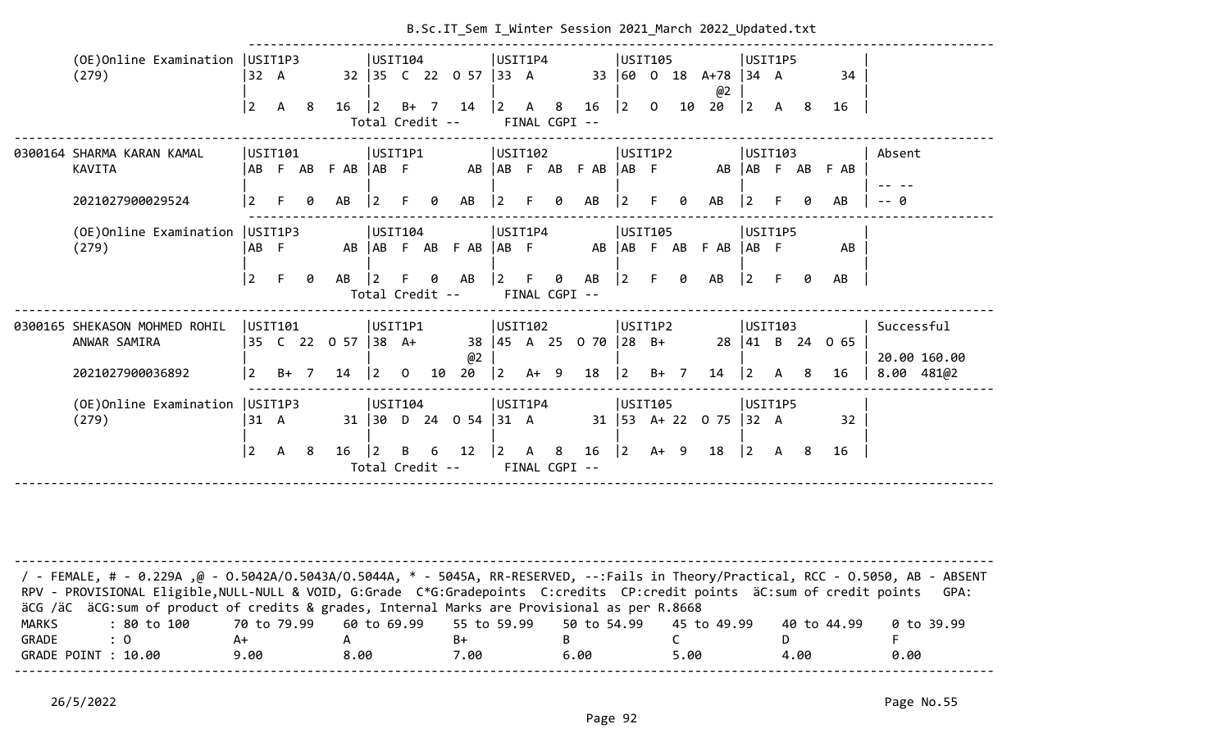|                       |                                                                                                                                                                                                                                                                                                                                                                  |                 |              |    |                    |                                   |                |    | B.Sc.IT_Sem I_Winter Session 2021 March 2022 Updated.txt |                                       |                      |                 |                             |              |    |                            |                                           |              |    |                 |                            |
|-----------------------|------------------------------------------------------------------------------------------------------------------------------------------------------------------------------------------------------------------------------------------------------------------------------------------------------------------------------------------------------------------|-----------------|--------------|----|--------------------|-----------------------------------|----------------|----|----------------------------------------------------------|---------------------------------------|----------------------|-----------------|-----------------------------|--------------|----|----------------------------|-------------------------------------------|--------------|----|-----------------|----------------------------|
|                       | (OE) Online Examination   USIT1P3<br>(279)                                                                                                                                                                                                                                                                                                                       | 32 A            |              |    |                    | USIT104                           |                |    | 32 35 C 22 0 57 33 A                                     | USIT1P4                               |                      |                 | 33 60                       | USIT105      |    | $0$ 18 A+78 34 A<br>@2     | USIT1P5                                   |              |    | 34              |                            |
|                       |                                                                                                                                                                                                                                                                                                                                                                  | $\overline{2}$  | $\mathsf{A}$ | -8 | $16 \quad  2$      | Total Credit --                   |                |    | $B+ 7 14$                                                | $\begin{vmatrix} 2 & A \end{vmatrix}$ | 8<br>FINAL CGPI --   | 16              | $ 2\rangle$                 | $\mathbf{0}$ |    | 10 20                      | $\begin{vmatrix} 2 & A & 8 \end{vmatrix}$ |              |    | 16              |                            |
|                       | 0300164 SHARMA KARAN KAMAL<br><b>KAVITA</b>                                                                                                                                                                                                                                                                                                                      | AB              | USIT101      |    | F AB F AB   AB F   | USIT1P1                           |                |    |                                                          | USIT102                               |                      | AB AB F AB F AB | USIT1P2<br>$ AB \tF$        |              |    |                            | USIT103                                   |              |    | AB AB F AB F AB | Absent                     |
|                       | 2021027900029524                                                                                                                                                                                                                                                                                                                                                 | $\overline{2}$  |              |    | AB                 | <u>2</u>                          |                |    | AB                                                       |                                       |                      | AB              |                             | F.           | 0  | AB                         |                                           |              |    | AB              | -- 0                       |
|                       | (OE)Online Examination<br>(279)                                                                                                                                                                                                                                                                                                                                  | USIT1P3<br>AB F |              |    |                    | USIT104                           |                |    | AB AB F AB F AB                                          | USIT1P4<br>$ AB \tF$                  |                      |                 | USIT105<br>AB   AB F AB     |              |    | $F$ AB $ AB$ $F$           | USIT1P5                                   |              |    | AB              |                            |
|                       |                                                                                                                                                                                                                                                                                                                                                                  | $\overline{2}$  | F.           | 0  | AB                 | $\overline{2}$<br>Total Credit -- |                | 0  | AB                                                       | $\mathbf{2}$                          | 0<br>FINAL CGPI --   | AB              | 2                           | F.           | 0  | AB                         | $\vert$ 2                                 | F.           | 0  | AB              |                            |
|                       | 0300165 SHEKASON MOHMED ROHIL<br>ANWAR SAMIRA                                                                                                                                                                                                                                                                                                                    | USTI01          |              |    | 35 C 22 0 57 38 A+ | USIT1P1                           |                |    | @2                                                       | USIT102                               |                      | 38 45 A 25 0 70 | USIT1P2<br>$ 28 \text{ B+}$ |              |    |                            | <b>USIT103</b>                            |              |    | 28 41 B 24 0 65 | Successful<br>20.00 160.00 |
|                       | 2021027900036892                                                                                                                                                                                                                                                                                                                                                 | $\overline{2}$  | $B+ 7$       |    | 14                 | $ 2\rangle$                       | $\overline{0}$ | 10 | 20                                                       | $\vert$ 2                             | $A+ 9$               | 18              | $ 2\rangle$                 | $B+ 7$       |    | 14                         | $\vert$ 2                                 | $\mathsf{A}$ | -8 | 16              | $8.00$ $481@2$             |
|                       | (OE) Online Examination   USIT1P3<br>(279)                                                                                                                                                                                                                                                                                                                       | 31 A            |              |    |                    | USIT104                           |                |    | 31 30 D 24 0 54                                          | USIT1P4<br>$ 31 \tA$                  |                      |                 | USIT105                     |              |    | 31   53 A + 22 0 75   32 A | USIT1P5                                   |              |    | 32              |                            |
|                       |                                                                                                                                                                                                                                                                                                                                                                  | $\vert 2 \vert$ | $\mathsf{A}$ | 8  | 16                 | $\overline{2}$<br>Total Credit -- | B              | 6  | 12                                                       | $\vert$ 2                             | A 8<br>FINAL CGPI -- | 16              | $ 2\rangle$                 | $A+ 9$       |    | 18                         | $\begin{vmatrix} 2 & A & 8 \end{vmatrix}$ |              |    | 16              |                            |
|                       |                                                                                                                                                                                                                                                                                                                                                                  |                 |              |    |                    |                                   |                |    |                                                          |                                       |                      |                 |                             |              |    |                            |                                           |              |    |                 |                            |
|                       | FEMALE, # - 0.229A ,@ - 0.5042A/0.5043A/0.5044A, * - 5045A, RR-RESERVED, --:Fails in Theory/Practical, RCC - 0.5050, AB - ABSENT - /<br>RPV - PROVISIONAL Eligible, NULL-NULL & VOID, G:Grade C*G:Gradepoints C:credits CP:credit points äC:sum of credit points<br>äCG /äC äCG:sum of product of credits & grades, Internal Marks are Provisional as per R.8668 |                 |              |    |                    |                                   |                |    |                                                          |                                       |                      |                 |                             |              |    |                            |                                           |              |    |                 | GPA:                       |
|                       | : 80 to 100                                                                                                                                                                                                                                                                                                                                                      | 70 to 79.99     |              |    |                    | 60 to 69.99                       |                |    | 55 to 59.99                                              |                                       |                      | 50 to 54.99     |                             |              |    | 45 to 49.99                |                                           |              |    | 40 to 44.99     | 0 to 39.99                 |
| <b>MARKS</b><br>GRADE | : 0                                                                                                                                                                                                                                                                                                                                                              | A+              |              |    | A                  |                                   |                |    | $B+$                                                     |                                       | B                    |                 |                             |              | C. |                            |                                           | D.           |    |                 | F                          |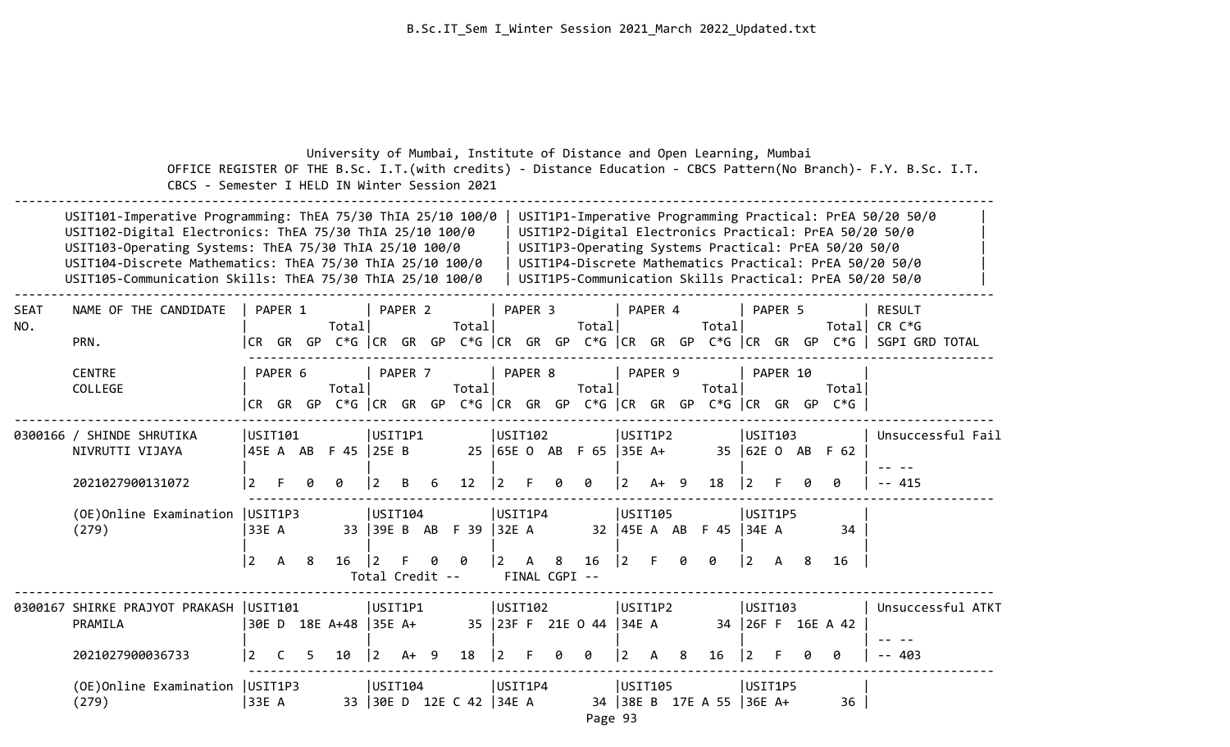|                    | CBCS - Semester I HELD IN Winter Session 2021                                                                                                                                                                                                                                                               |                         |         |   |                          |                |                 |    |                             |                     |              |   |                                  |                           |         |   | University of Mumbai, Institute of Distance and Open Learning, Mumbai |                |          |    |                                                                                     | OFFICE REGISTER OF THE B.Sc. I.T. (with credits) - Distance Education - CBCS Pattern (No Branch) - F.Y. B.Sc. I.T.                                                                                                                        |
|--------------------|-------------------------------------------------------------------------------------------------------------------------------------------------------------------------------------------------------------------------------------------------------------------------------------------------------------|-------------------------|---------|---|--------------------------|----------------|-----------------|----|-----------------------------|---------------------|--------------|---|----------------------------------|---------------------------|---------|---|-----------------------------------------------------------------------|----------------|----------|----|-------------------------------------------------------------------------------------|-------------------------------------------------------------------------------------------------------------------------------------------------------------------------------------------------------------------------------------------|
|                    | USIT101-Imperative Programming: ThEA 75/30 ThIA 25/10 100/0<br>USIT102-Digital Electronics: ThEA 75/30 ThIA 25/10 100/0<br>USIT103-Operating Systems: ThEA 75/30 ThIA 25/10 100/0<br>USIT104-Discrete Mathematics: ThEA 75/30 ThIA 25/10 100/0<br>USIT105-Communication Skills: ThEA 75/30 ThIA 25/10 100/0 |                         |         |   |                          |                |                 |    |                             |                     |              |   |                                  |                           |         |   |                                                                       |                |          |    | USIT1P3-Operating Systems Practical: PrEA 50/20 50/0                                | USIT1P1-Imperative Programming Practical: PrEA 50/20 50/0<br>USIT1P2-Digital Electronics Practical: PrEA 50/20 50/0<br>USIT1P4-Discrete Mathematics Practical: PrEA 50/20 50/0<br>USIT1P5-Communication Skills Practical: PrEA 50/20 50/0 |
| <b>SEAT</b><br>NO. | NAME OF THE CANDIDATE<br>PRN.                                                                                                                                                                                                                                                                               | PAPER 1                 |         |   | Total                    |                | PAPER 2         |    | Total                       |                     | PAPER 3      |   | Total                            |                           | PAPER 4 |   | Total                                                                 |                | PAPER 5  |    |                                                                                     | <b>RESULT</b><br>Total CR C*G<br> CR GR GP C*G   CR GR GP C*G   CR GR GP C*G   CR GR GP C*G   CR GR GP C*G    SGPI GRD TOTAL                                                                                                              |
|                    | <b>CENTRE</b><br>COLLEGE                                                                                                                                                                                                                                                                                    |                         | PAPER 6 |   | Totall                   |                | PAPER 7         |    | Totall                      |                     | PAPER 8      |   | Total                            |                           | PAPER 9 |   | Totall                                                                |                | PAPER 10 |    | Total<br>CR GR GP C*G CR GR GP C*G CR GR GP C*G CR GR GP C*G CR GR GP C*G GR GP C*G |                                                                                                                                                                                                                                           |
|                    | 0300166 / SHINDE SHRUTIKA<br>NIVRUTTI VIJAYA<br>2021027900131072                                                                                                                                                                                                                                            | USIT101                 |         |   | 45E A AB F 45 25E B<br>ø |                | USIT1P1<br>В    | 6  | 12                          | USIT102<br> 2       |              | 0 | 25   65E O AB F 65   35E A+<br>0 | USIT1P2<br>$\overline{2}$ | $A+ 9$  |   | 18                                                                    | USIT103<br> 2  |          |    | 35 62E 0 AB F 62<br>0                                                               | Unsuccessful Fail<br>$- - 415$                                                                                                                                                                                                            |
|                    | (OE)Online Examination<br>(279)                                                                                                                                                                                                                                                                             | USIT1P3<br> 33E A<br> 2 | A       | 8 | 16                       | $ 2\rangle$    | USIT104<br>F.   | ø  | 33 39E B AB F 39 32E A<br>ø | USIT1P4<br><u>2</u> | $\mathsf{A}$ | 8 | 16                               | USIT105<br>$ 2\rangle$    |         |   | 32   45E A AB F 45   34E A<br>ø                                       | USIT1P5<br>l 2 | A        | -8 | 34<br>16                                                                            |                                                                                                                                                                                                                                           |
|                    |                                                                                                                                                                                                                                                                                                             |                         |         |   |                          |                | Total Credit -- |    |                             |                     |              |   | FINAL CGPI --                    |                           |         |   |                                                                       |                |          |    |                                                                                     |                                                                                                                                                                                                                                           |
|                    | 0300167 SHIRKE PRAJYOT PRAKASH   USIT101<br>PRAMILA                                                                                                                                                                                                                                                         |                         |         |   | 30E D 18E A+48           | $ 35E A+$      | USIT1P1         |    |                             | USIT102             |              |   | 35 23F F 21E 0 44                | USIT1P2<br> 34E A         |         |   |                                                                       | USIT103        |          |    | 34 26F F 16E A 42                                                                   | Unsuccessful ATKT                                                                                                                                                                                                                         |
|                    | 2021027900036733                                                                                                                                                                                                                                                                                            | 2                       | C       | 5 | 10                       | $\overline{2}$ | A+              | -9 | 18                          | $\overline{2}$      | E            | ø | 0                                | 2                         | A       | 8 | 16                                                                    | 2              | F        | ø  | 0                                                                                   | 403                                                                                                                                                                                                                                       |
|                    | (OE) Online Examination   USIT1P3<br>(279)                                                                                                                                                                                                                                                                  | 33E A                   |         |   |                          |                | USIT104         |    | 33 30E D 12E C 42 34E A     | USIT1P4             |              |   |                                  | USIT105                   |         |   | 34 38E B 17E A 55 36E A+                                              | USIT1P5        |          |    | 36                                                                                  |                                                                                                                                                                                                                                           |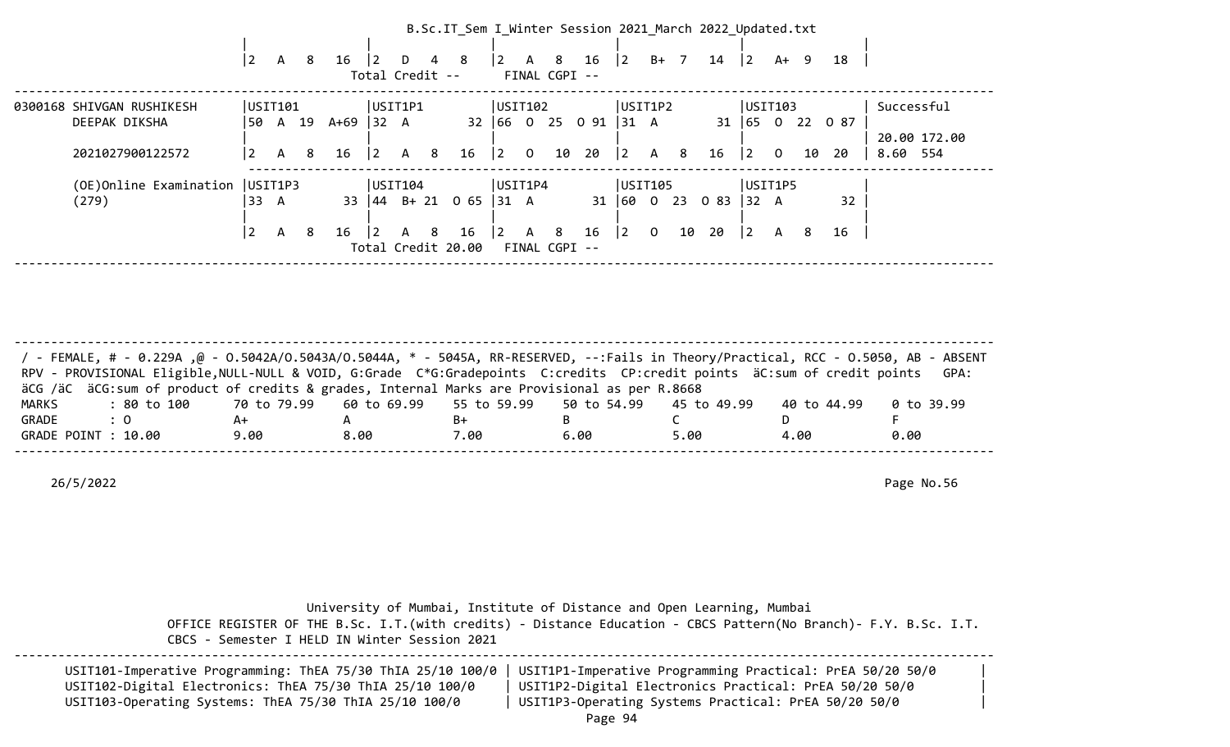|                           |                |   |    |      |                 |   |   | B.Sc.IT Sem I Winter Session 2021 March 2022 Updated.txt |                |              |               |      |              |                |        |      |              |                |        |      |              |
|---------------------------|----------------|---|----|------|-----------------|---|---|----------------------------------------------------------|----------------|--------------|---------------|------|--------------|----------------|--------|------|--------------|----------------|--------|------|--------------|
|                           |                |   |    |      |                 |   |   |                                                          |                |              |               |      |              |                |        |      |              |                |        |      |              |
|                           | $\overline{2}$ | А | 8  | 16   | $ 2\rangle$     | D | 4 | -8                                                       | $\overline{2}$ | $\mathsf{A}$ | -8            | 16   | $ 2\rangle$  |                | $B+ 7$ | 14   | 2            |                | $A+ 9$ | 18   |              |
|                           |                |   |    |      | Total Credit -- |   |   |                                                          |                |              | FINAL CGPI -- |      |              |                |        |      |              |                |        |      |              |
| 0300168 SHIVGAN RUSHIKESH | USIT101        |   |    |      | USIT1P1         |   |   |                                                          | USIT102        |              |               |      | USIT1P2      |                |        |      | USIT103      |                |        |      | Successful   |
| DEEPAK DIKSHA             | 50             | A | 19 | A+69 | 32 A            |   |   | 32                                                       | $ 66 \t0$      |              | 25            | 0 91 | 31 A         |                |        |      | $31 \mid 65$ | $\overline{0}$ | 22     | 0 87 |              |
|                           |                |   |    |      |                 |   |   |                                                          |                |              |               |      |              |                |        |      |              |                |        |      | 20.00 172.00 |
| 2021027900122572          | 2              | A | 8  | 16   | 2               | A | 8 | 16                                                       | $ 2\rangle$    | $\mathbf 0$  | 10            | 20   | $ 2\rangle$  | A              | 8      | 16   | 2            | $\overline{0}$ | 10     | -20  | 8.60 554     |
|                           |                |   |    |      |                 |   |   |                                                          |                |              |               |      |              |                |        |      |              |                |        |      |              |
| (OE)Online Examination    | USIT1P3        |   |    |      | USIT104         |   |   |                                                          | USIT1P4        |              |               |      | USIT105      |                |        |      | USIT1P5      |                |        |      |              |
| (279)                     | ' 33           | A |    | 33   |                 |   |   | $ 44 \t B+21 \t 065$                                     | 31             | A            |               |      | 31   60 0 23 |                |        | 0 83 | 32 A         |                |        | 32   |              |
|                           |                |   |    |      |                 |   |   |                                                          |                |              |               |      |              |                |        |      |              |                |        |      |              |
|                           | $\overline{2}$ | A | -8 | 16   | $\vert 2 \vert$ | A | 8 | 16                                                       | $\vert$ 2      | $\mathsf{A}$ | 8             | 16   | 2            | $\overline{0}$ | 10     | 20   | $ 2\rangle$  | A              | 8      | 16   |              |
|                           |                |   |    |      |                 |   |   | Total Credit 20.00                                       |                |              | FINAL CGPI -- |      |              |                |        |      |              |                |        |      |              |
|                           |                |   |    |      |                 |   |   |                                                          |                |              |               |      |              |                |        |      |              |                |        |      |              |

| / - FEMALE, # - 0.229A ,@ - 0.5042A/0.5043A/0.5044A, * - 5045A, RR-RESERVED, --:Fails in Theory/Practical, RCC - 0.5050, AB - ABSENT<br>RPV - PROVISIONAL Eligible, NULL-NULL & VOID, G:Grade C*G:Gradepoints C:credits CP:credit points äC:sum of credit points GPA: |      |      |      |      |      |             |            |
|-----------------------------------------------------------------------------------------------------------------------------------------------------------------------------------------------------------------------------------------------------------------------|------|------|------|------|------|-------------|------------|
| äCG /äC äCG:sum of product of credits & grades, Internal Marks are Provisional as per R.8668                                                                                                                                                                          |      |      |      |      |      |             |            |
| : 80 to 100    70 to 79.99   60 to 69.99   55 to 59.99   50 to 54.99   45 to 49.99<br>MARKS                                                                                                                                                                           |      |      |      |      |      | 40 to 44.99 | 0 to 39.99 |
| GRADE<br>$\therefore$ 0                                                                                                                                                                                                                                               | A+   |      | B+   |      |      |             |            |
| GRADE POINT : 10.00                                                                                                                                                                                                                                                   | 9.00 | 8.00 | 7.00 | 6.00 | 5.00 | 4.00        | 0.00       |
|                                                                                                                                                                                                                                                                       |      |      |      |      |      |             |            |

| CBCS - Semester I HELD IN Winter Session 2021                                                                                                                                     | University of Mumbai, Institute of Distance and Open Learning, Mumbai<br>OFFICE REGISTER OF THE B.Sc. I.T. (with credits) - Distance Education - CBCS Pattern (No Branch) - F.Y. B.Sc. I.T. |  |
|-----------------------------------------------------------------------------------------------------------------------------------------------------------------------------------|---------------------------------------------------------------------------------------------------------------------------------------------------------------------------------------------|--|
| USIT101-Imperative Programming: ThEA 75/30 ThIA 25/10 100/0<br>USIT102-Digital Electronics: ThEA 75/30 ThIA 25/10 100/0<br>USIT103-Operating Systems: ThEA 75/30 ThIA 25/10 100/0 | USIT1P1-Imperative Programming Practical: PrEA 50/20 50/0<br>USIT1P2-Digital Electronics Practical: PrEA 50/20 50/0<br>USIT1P3-Operating Systems Practical: PrEA 50/20 50/0<br>$D = -2$     |  |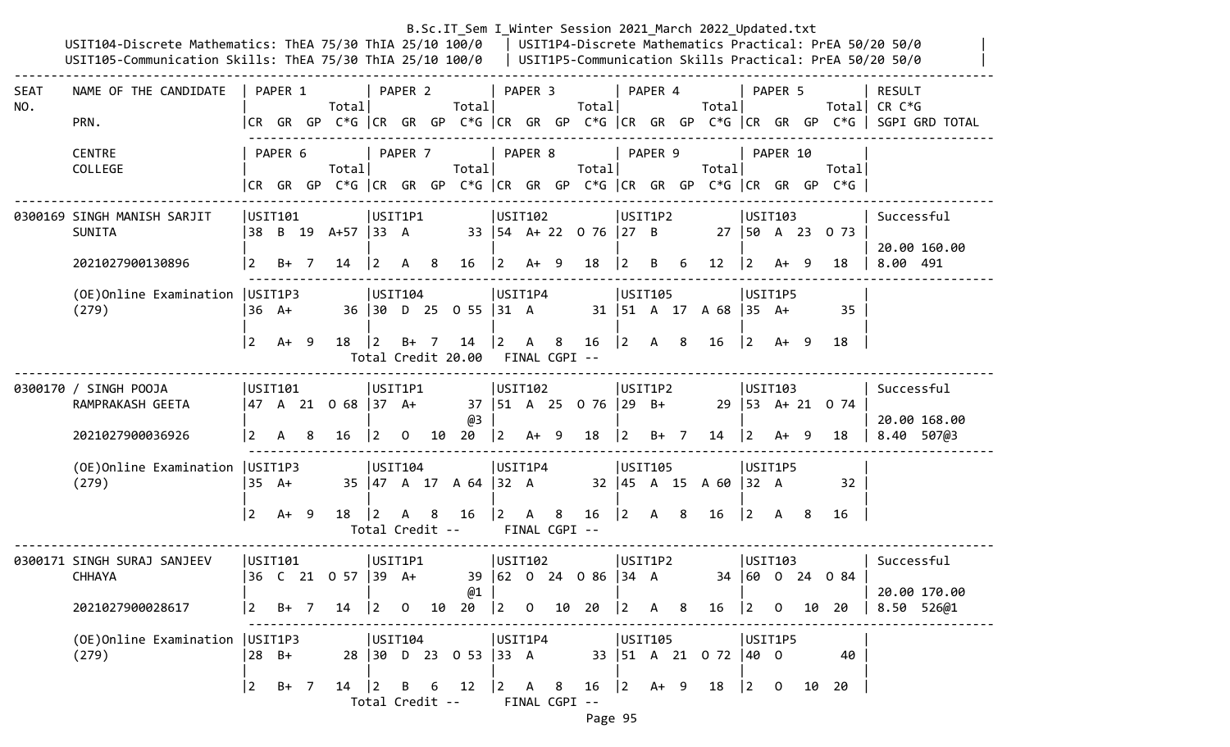|             | USIT104-Discrete Mathematics: ThEA 75/30 ThIA 25/10 100/0   USIT1P4-Discrete Mathematics Practical: PrEA 50/20 50/0<br>USIT105-Communication Skills: ThEA 75/30 ThIA 25/10 100/0   USIT1P5-Communication Skills Practical: PrEA 50/20 50/0 |                 |                   |   |                           |                                       |              |        |                                        |                                           |              |                    |                                                 |                |                                           |   | B.Sc.IT_Sem I_Winter Session 2021 March 2022 Updated.txt |                                            |                |    |                                                                                |                                                                                                                         |
|-------------|--------------------------------------------------------------------------------------------------------------------------------------------------------------------------------------------------------------------------------------------|-----------------|-------------------|---|---------------------------|---------------------------------------|--------------|--------|----------------------------------------|-------------------------------------------|--------------|--------------------|-------------------------------------------------|----------------|-------------------------------------------|---|----------------------------------------------------------|--------------------------------------------|----------------|----|--------------------------------------------------------------------------------|-------------------------------------------------------------------------------------------------------------------------|
| SEAT<br>NO. | NAME OF THE CANDIDATE<br>PRN.                                                                                                                                                                                                              |                 | PAPER 1           |   | Totall                    |                                       | PAPER 2      |        | Totall                                 |                                           | PAPER 3      |                    | Total                                           |                | PAPER 4                                   |   | Total                                                    |                                            | PAPER 5        |    |                                                                                | <b>RESULT</b><br>Total CR C*G<br> CR GR GP C*G  CR GR GP C*G  CR GR GP C*G  CR GR GP C*G  CR GR GP C*G   SGPI GRD TOTAL |
|             | <b>CENTRE</b><br>COLLEGE                                                                                                                                                                                                                   |                 | PAPER 6           |   | Total                     |                                       | PAPER 7      |        | Total                                  |                                           | PAPER 8      |                    | Total                                           |                | PAPER 9                                   |   | Total                                                    |                                            | PAPER 10       |    | Total<br> CR GR GP C*G  CR GR GP C*G  CR GR GP C*G  CR GR GP C*G  CR GR GP C*G |                                                                                                                         |
|             | 0300169 SINGH MANISH SARJIT<br>SUNITA<br>2021027900130896                                                                                                                                                                                  | 2               | USIT101<br>$B+ 7$ |   | 38 B 19 A+57  33 A<br>14  | USIT1P1<br>$ 2\rangle$                | A            | - 8    | 16                                     | USIT102<br>$ 2\rangle$                    | $A+9$        |                    | 33   54 A + 22 0 76   27 B<br>18                | $\overline{2}$ | USIT1P2<br>B                              | 6 | 12 <sup>2</sup>                                          | USTI03<br> 2                               | A+ 9           |    | 27   50 A 23 0 73<br>18                                                        | Successful<br>20.00 160.00<br>8.00 491                                                                                  |
|             | (OE) Online Examination   USIT1P3<br>(279)                                                                                                                                                                                                 | 36 A+           |                   |   |                           | USTI04                                |              |        | 36 30 D 25 0 55 31 A                   | USIT1P4                                   |              |                    |                                                 |                | USIT105                                   |   | 31   51 A 17 A 68   35 A+                                | USIT1P5                                    |                |    | 35                                                                             |                                                                                                                         |
|             |                                                                                                                                                                                                                                            | $\vert$ 2       | A+ 9              |   | $18 \quad  2$             |                                       |              | $B+$ 7 | 14<br>Total Credit 20.00 FINAL CGPI -- | $\begin{vmatrix} 2 & A & 8 \end{vmatrix}$ |              |                    | 16                                              |                | $\begin{vmatrix} 2 & A & 8 \end{vmatrix}$ |   | - 16                                                     | $ 2\rangle$                                | A+ 9           |    | 18                                                                             |                                                                                                                         |
|             | 0300170 / SINGH POOJA<br>RAMPRAKASH GEETA<br>2021027900036926                                                                                                                                                                              | 2               | USTI01<br>A       | 8 | 47 A 21 O 68  37 A+<br>16 | USIT1P1<br>$ 2\rangle$                | $\mathbf{0}$ |        | @3<br>$10 \t20 \t 2 \tA+ 9 \t18$       | USIT102                                   |              |                    | 37   51 A 25 0 76   29 B+                       | 2              | USIT1P2<br>B+ 7                           |   | 14                                                       | USIT103<br>$29 \mid 53 \quad A + 21$<br> 2 | $A+ 9$         |    | 0 74<br>18                                                                     | Successful<br>20.00 168.00<br>8.40 507@3                                                                                |
|             | (OE) Online Examination   USIT1P3<br>(279)                                                                                                                                                                                                 |                 | 35 A+             |   |                           | USTI04                                |              |        | 35   47 A 17 A 64   32 A               | USIT1P4                                   |              |                    |                                                 |                | USIT105                                   |   | 32   45 A 15 A 60   32 A                                 | USIT1P5                                    |                |    | 32                                                                             |                                                                                                                         |
|             |                                                                                                                                                                                                                                            | 2               | A+ 9              |   | 18                        | $ 2\rangle$<br>Total Credit --        | A            | 8      | 16                                     | $\vert$ 2                                 | $\mathsf{A}$ | 8<br>FINAL CGPI -- | 16                                              |                | $\begin{vmatrix} 2 & A & 8 \end{vmatrix}$ |   | 16                                                       | $\vert$ 2                                  | A 8            |    | 16                                                                             |                                                                                                                         |
|             | 0300171 SINGH SURAJ SANJEEV<br><b>CHHAYA</b>                                                                                                                                                                                               |                 | USIT101           |   | 36 C 21 0 57 39 A+        |                                       | USIT1P1      |        | @1                                     | USIT102                                   |              |                    | 39 62 0 24 0 86 34 A                            |                | USIT1P2                                   |   |                                                          | USIT103<br>34 600                          |                |    | 24 0 84                                                                        | Successful<br>20.00 170.00                                                                                              |
|             | 2021027900028617                                                                                                                                                                                                                           | $\vert$ 2       | $B+ 7$            |   | 14                        | $\begin{vmatrix} 2 & 0 \end{vmatrix}$ |              | 10     | 20                                     |                                           |              |                    | $\begin{vmatrix} 2 & 0 & 10 & 20 \end{vmatrix}$ |                | $\begin{vmatrix} 2 & A & 8 \end{vmatrix}$ |   | 16                                                       | $\begin{bmatrix} 2 & 0 \end{bmatrix}$      |                | 10 | 20                                                                             | 8.50 526@1                                                                                                              |
|             | (OE) Online Examination   USIT1P3<br>(279)                                                                                                                                                                                                 |                 | 28 B+             |   |                           | USTI04                                |              |        | 28 30 D 23 0 53 33 A                   | USIT1P4                                   |              |                    |                                                 |                | USIT105                                   |   | 33   51 A 21 0 72   40 0                                 | USIT1P5                                    |                |    | 40                                                                             |                                                                                                                         |
|             |                                                                                                                                                                                                                                            | $\vert 2 \vert$ | B+ 7              |   | $14 \mid 2$               | Total Credit --                       |              |        | B 6 12                                 | $\begin{vmatrix} 2 & A & 8 \end{vmatrix}$ |              |                    | $16 \t  2 \tA+ 9$<br>FINAL CGPI --              |                |                                           |   | 18                                                       | $ 2\rangle$                                | $\overline{0}$ | 10 | 20                                                                             |                                                                                                                         |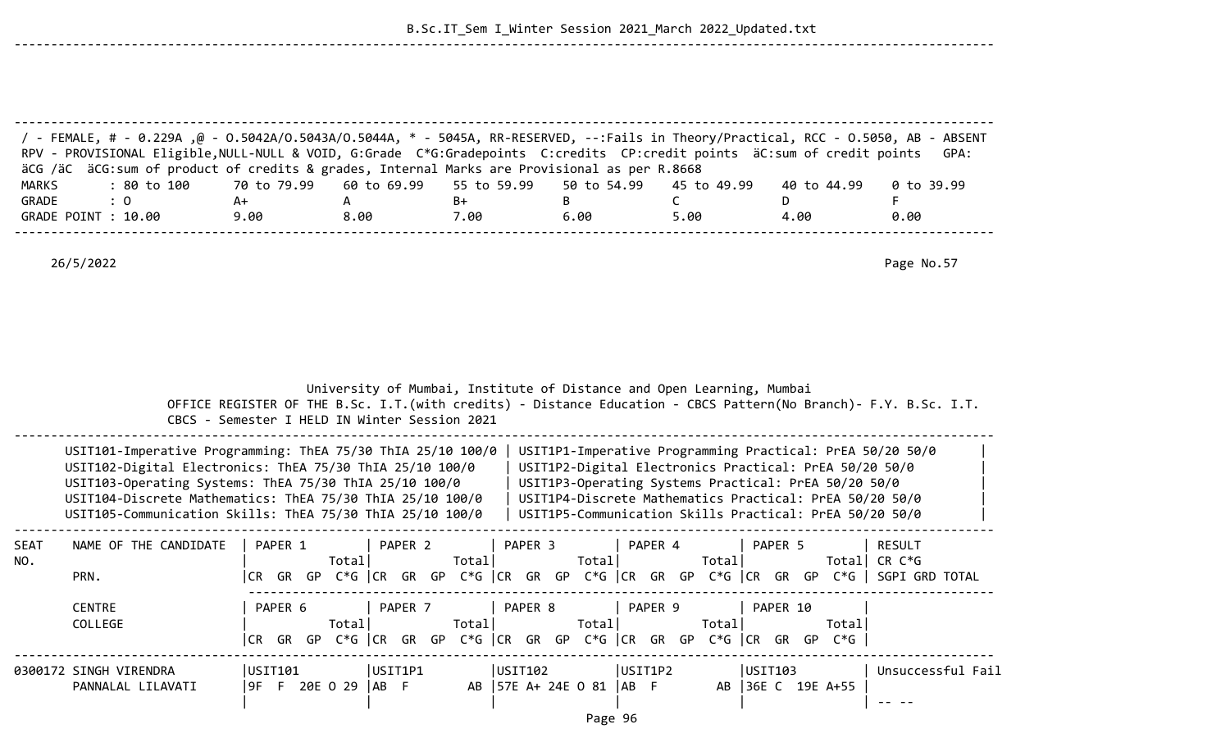|              | P - FEMALE, # - 0.229A ,@ - 0.5042A/0.5043A/0.5044A, * - 5045A, RR-RESERVED, --:Fails in Theory/Practical, RCC - 0.5050, AB - ABSENT /<br>RPV - PROVISIONAL Eligible, NULL-NULL & VOID, G:Grade C*G:Gradepoints C:credits CP:credit points äC:sum of credit points<br>äCG /äC äCG: sum of product of credits & grades, Internal Marks are Provisional as per R.8668 |                               |                                               |                  |                                                                       |             |                                                                                                                                                                                                                                                                                                   | GPA:                            |
|--------------|---------------------------------------------------------------------------------------------------------------------------------------------------------------------------------------------------------------------------------------------------------------------------------------------------------------------------------------------------------------------|-------------------------------|-----------------------------------------------|------------------|-----------------------------------------------------------------------|-------------|---------------------------------------------------------------------------------------------------------------------------------------------------------------------------------------------------------------------------------------------------------------------------------------------------|---------------------------------|
| <b>MARKS</b> | : 80 to 100                                                                                                                                                                                                                                                                                                                                                         | 70 to 79.99                   | 60 to 69.99                                   | 55 to 59.99      | 50 to 54.99                                                           | 45 to 49.99 | 40 to 44.99                                                                                                                                                                                                                                                                                       | 0 to 39.99                      |
| GRADE        | : 0                                                                                                                                                                                                                                                                                                                                                                 | A+                            | A                                             | B+               | B                                                                     | C           | D                                                                                                                                                                                                                                                                                                 | F                               |
|              | GRADE POINT : 10.00                                                                                                                                                                                                                                                                                                                                                 | 9.00                          | 8.00                                          | 7.00             | 6.00                                                                  | 5.00        | 4.00                                                                                                                                                                                                                                                                                              | 0.00                            |
|              | 26/5/2022                                                                                                                                                                                                                                                                                                                                                           |                               |                                               |                  |                                                                       |             |                                                                                                                                                                                                                                                                                                   | Page No.57                      |
|              |                                                                                                                                                                                                                                                                                                                                                                     |                               | CBCS - Semester I HELD IN Winter Session 2021 |                  | University of Mumbai, Institute of Distance and Open Learning, Mumbai |             | OFFICE REGISTER OF THE B.Sc. I.T. (with credits) - Distance Education - CBCS Pattern (No Branch) - F.Y. B.Sc. I.T.                                                                                                                                                                                |                                 |
|              | USIT101-Imperative Programming: ThEA 75/30 ThIA 25/10 100/0<br>USIT102-Digital Electronics: ThEA 75/30 ThIA 25/10 100/0<br>USIT103-Operating Systems: ThEA 75/30 ThIA 25/10 100/0<br>USIT104-Discrete Mathematics: ThEA 75/30 ThIA 25/10 100/0<br>USIT105-Communication Skills: ThEA 75/30 ThIA 25/10 100/0                                                         |                               |                                               |                  |                                                                       |             | USIT1P1-Imperative Programming Practical: PrEA 50/20 50/0<br>USIT1P2-Digital Electronics Practical: PrEA 50/20 50/0<br>USIT1P3-Operating Systems Practical: PrEA 50/20 50/0<br>USIT1P4-Discrete Mathematics Practical: PrEA 50/20 50/0<br>USIT1P5-Communication Skills Practical: PrEA 50/20 50/0 |                                 |
| SEAT<br>NO.  | NAME OF THE CANDIDATE<br>PRN.                                                                                                                                                                                                                                                                                                                                       | PAPER 1                       | PAPER <sub>2</sub><br>Total                   | PAPER 3<br>Total | PAPER 4<br>Total                                                      | Total       | PAPER 5<br> CR GR GP C*G   CR GR GP C*G   CR GR GP C*G   CR GR GP C*G   CR GR GP C*G    SGPI GRD TOTAL                                                                                                                                                                                            | <b>RESULT</b><br>Total $CR C*G$ |
|              | <b>CENTRE</b><br>COLLEGE                                                                                                                                                                                                                                                                                                                                            | PAPER 6                       | PAPER 7<br>Totall                             | PAPER 8<br>Total | PAPER 9<br>Total                                                      | Total       | PAPER 10<br>Totall<br> CR GR GP C*G  CR GR GP C*G  CR GR GP C*G  CR GR GP C*G  CR GR GP C*G                                                                                                                                                                                                       |                                 |
|              | 0300172 SINGH VIRENDRA<br>PANNALAL LILAVATI                                                                                                                                                                                                                                                                                                                         | USIT101<br>9F F 20E 0 29   AB | USIT1P1<br>-F                                 | USIT102          | USIT1P2<br>AB   57E A+ 24E 0 81   AB F<br>$\sim$                      |             | USTI03<br>AB 36E C 19E A+55                                                                                                                                                                                                                                                                       | Unsuccessful Fail               |

--------------------------------------------------------------------------------------------------------------------------------------

--------------------------------------------------------------------------------------------------------------------------------------

Page 96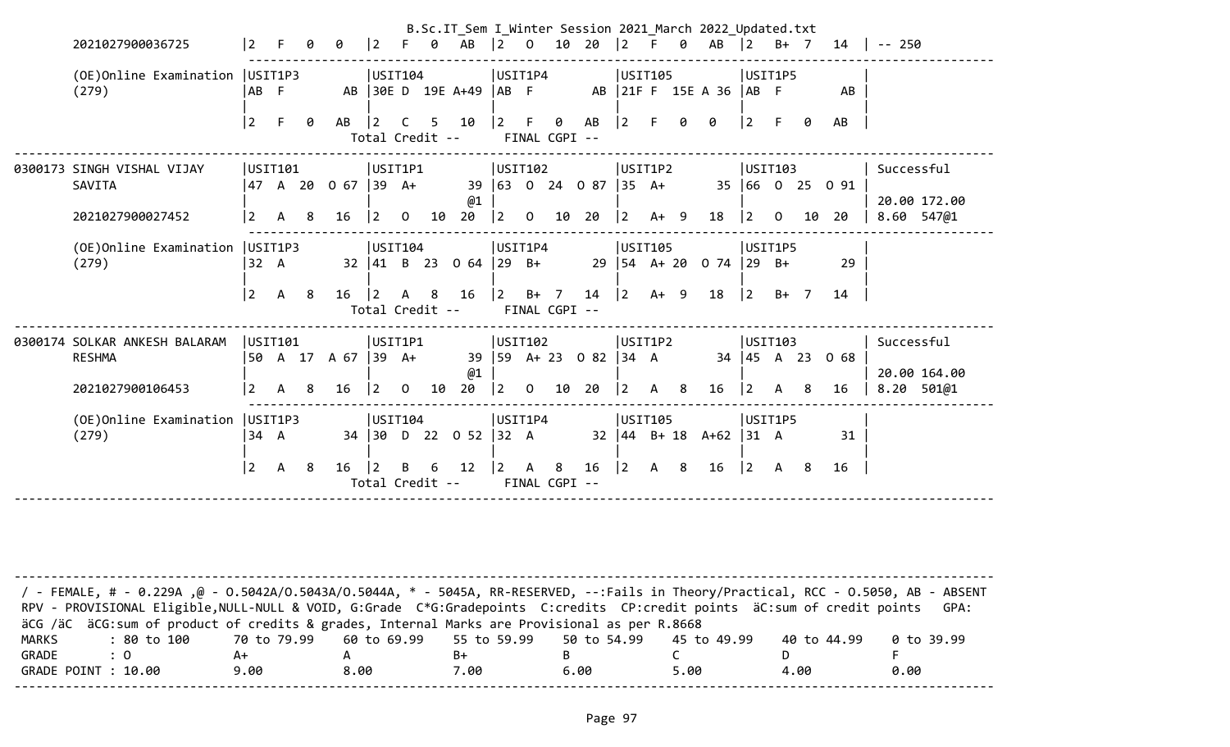| 2021027900036725                           | $\vert$ 2      |              | ø   | 0                   | 2                                     | -F.            | 0  | B.Sc.IT Sem I Winter Session 2021 March 2022 Updated.txt<br>AB | $\begin{bmatrix} 2 & 0 \end{bmatrix}$ |                | 10 20                   |                            | $\begin{array}{ccc} \n\boxed{2} & \text{F} & \text{O}\n\end{array}$ |      |      | AB                                                  | $\vert$ 2                                 |                | B+ 7 | 14              | $-- 250$   |              |
|--------------------------------------------|----------------|--------------|-----|---------------------|---------------------------------------|----------------|----|----------------------------------------------------------------|---------------------------------------|----------------|-------------------------|----------------------------|---------------------------------------------------------------------|------|------|-----------------------------------------------------|-------------------------------------------|----------------|------|-----------------|------------|--------------|
| (OE) Online Examination   USIT1P3<br>(279) | IAB F          |              |     |                     | USIT104                               |                |    | AB 30E D 19E A+49  AB F                                        | USIT1P4                               |                |                         |                            | USIT105                                                             |      |      | AB 21F F 15E A 36 AB F                              | USIT1P5                                   |                |      | AB              |            |              |
|                                            | $\overline{2}$ | F.           | 0   | AB                  | $ 2\rangle$<br>Total Credit --        |                |    | $C$ 5 10                                                       | $ 2\rangle$                           | F              | 0<br>FINAL CGPI --      | AB                         | $\vert 2 \vert$                                                     | -F   | Ø    | 0                                                   | $\overline{2}$                            | F.             | 0    | AB              |            |              |
| 0300173 SINGH VISHAL VIJAY                 | USTI01         |              |     | 47 A 20 O 67  39 A+ | USIT1P1                               |                |    |                                                                | USIT102                               |                |                         | 39 63 0 24 0 87 35 A+      | USIT1P2                                                             |      |      |                                                     | USTI103                                   |                |      | 35 66 0 25 0 91 | Successful |              |
| SAVITA<br>2021027900027452                 | l 2            | A 8          |     | 16                  | $\begin{bmatrix} 2 & 0 \end{bmatrix}$ |                | 10 | @1<br>20                                                       | 2                                     | $\overline{0}$ |                         | 10 20                      | $ 2 \rangle$                                                        | A+ 9 |      | 18                                                  | $ 2\rangle$                               | $\overline{0}$ | 10   | 20              | 8.60 547@1 | 20.00 172.00 |
| (OE) Online Examination   USIT1P3<br>(279) | 32 A           |              |     |                     | USIT104                               |                |    | $32 \begin{array}{ccc} 41 & B & 23 & 0 & 64 \end{array}$ 29 B+ | USIT1P4                               |                |                         |                            | USIT105                                                             |      |      | 29   54 A + 20 0 74   29 B +                        | USIT1P5                                   |                |      | 29              |            |              |
|                                            | 2              | $\mathsf{A}$ | 8   | 16                  | $ 2\rangle$<br>Total Credit --        | A 8            |    | 16                                                             | 2                                     |                | $B+$ 7<br>FINAL CGPI -- | 14                         | $\vert$ 2                                                           |      | A+ 9 | 18                                                  | 2                                         | $B+ 7$         |      | 14              |            |              |
| 0300174 SOLKAR ANKESH BALARAM              | USTI01         |              |     |                     | USIT1P1                               |                |    |                                                                | USIT102                               |                |                         |                            | USIT1P2                                                             |      |      |                                                     | USTI03                                    |                |      |                 | Successful |              |
| <b>RESHMA</b>                              |                |              |     | 50 A 17 A 67  39 A+ |                                       |                |    | @1                                                             |                                       |                |                         | 39   59 A + 23 0 82   34 A |                                                                     |      |      |                                                     |                                           |                |      | 34 45 A 23 0 68 |            | 20.00 164.00 |
| 2021027900106453                           | <u> 2</u>      | $\mathsf{A}$ | - 8 | 16                  | $\vert 2 \vert$                       | $\overline{0}$ | 10 | 20                                                             | 2                                     | $\overline{0}$ | 10 20                   |                            | $\begin{vmatrix} 2 & A & B \end{vmatrix}$                           |      |      | 16                                                  | $ 2\rangle$                               | A              | 8    | 16              | 8.20 501@1 |              |
| (OE) Online Examination   USIT1P3<br>(279) | 34 A           |              |     |                     | USIT104                               |                |    | 34 30 D 22 0 52 32 A                                           | USIT1P4                               |                |                         |                            | USIT105                                                             |      |      | $32 \mid 44 \mid B + 18 \mid A + 62 \mid 31 \mid A$ | USIT1P5                                   |                |      | 31              |            |              |
|                                            | $\overline{2}$ | $\mathsf{A}$ | - 8 | 16                  | $ 2\rangle$<br>Total Credit --        | B —            |    | 6 12                                                           | $ 2\rangle$                           | $\overline{A}$ | -8<br>FINAL CGPI --     | 16                         | $ 2 \rangle$                                                        | A 8  |      | 16                                                  | $\begin{vmatrix} 2 & A & 8 \end{vmatrix}$ |                |      | 16              |            |              |
|                                            |                |              |     |                     |                                       |                |    |                                                                |                                       |                |                         |                            |                                                                     |      |      |                                                     |                                           |                |      |                 |            |              |

| FEMALE, # - 0.229A ,@ - 0.5042A/0.5043A/0.5044A, * - 5045A, RR-RESERVED, --:Fails in Theory/Practical, RCC - 0.5050, AB - ABSENT / |                                                                         |      |      |      |      |             |            |
|------------------------------------------------------------------------------------------------------------------------------------|-------------------------------------------------------------------------|------|------|------|------|-------------|------------|
| RPV - PROVISIONAL Eligible, NULL-NULL & VOID, G:Grade C*G:Gradepoints C:credits CP:credit points äC:sum of credit points           |                                                                         |      |      |      |      |             | GPA:       |
| äCG /äC äCG:sum of product of credits & grades, Internal Marks are Provisional as per R.8668                                       |                                                                         |      |      |      |      |             |            |
| MARKS<br>: 80 to 100                                                                                                               | 70 to 79.99    60 to 69.99    55 to 59.99    50 to 54.99    45 to 49.99 |      |      |      |      | 40 to 44.99 | 0 to 39.99 |
| GRADE<br>$\cdot$ 0                                                                                                                 | A+                                                                      |      | B+   |      |      |             |            |
| GRADE POINT : 10.00                                                                                                                | 9.00                                                                    | 8.00 | 7.00 | 6.00 | 5.00 | 4.00        | 0.00       |
|                                                                                                                                    |                                                                         |      |      |      |      |             |            |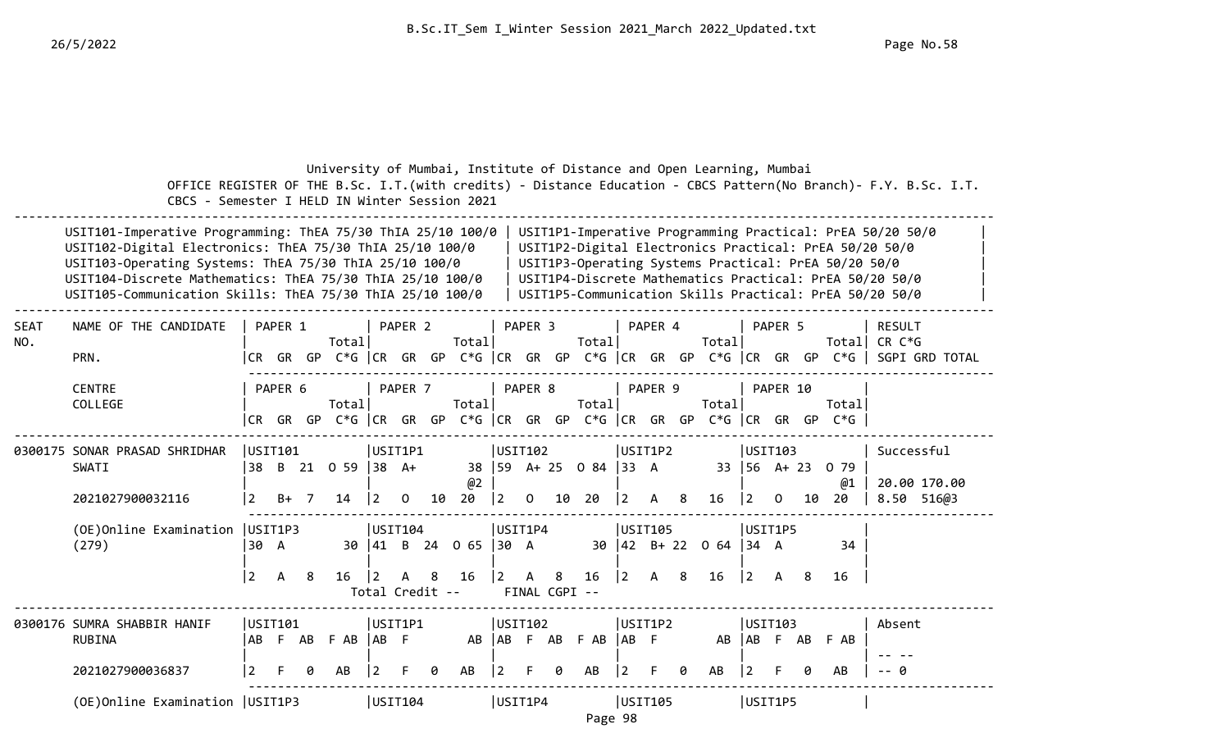|             | CBCS - Semester I HELD IN Winter Session 2021                                                                                                                                                                                                                                                               |                       |         |    |                                |                                              |                    |    |                         |                                        |                    |                    | University of Mumbai, Institute of Distance and Open Learning, Mumbai      |                        |         |   |                                    |                      |                     |    |                                                      | OFFICE REGISTER OF THE B.Sc. I.T. (with credits) - Distance Education - CBCS Pattern (No Branch) - F.Y. B.Sc. I.T.                                                                                                                        |
|-------------|-------------------------------------------------------------------------------------------------------------------------------------------------------------------------------------------------------------------------------------------------------------------------------------------------------------|-----------------------|---------|----|--------------------------------|----------------------------------------------|--------------------|----|-------------------------|----------------------------------------|--------------------|--------------------|----------------------------------------------------------------------------|------------------------|---------|---|------------------------------------|----------------------|---------------------|----|------------------------------------------------------|-------------------------------------------------------------------------------------------------------------------------------------------------------------------------------------------------------------------------------------------|
|             | USIT101-Imperative Programming: ThEA 75/30 ThIA 25/10 100/0<br>USIT102-Digital Electronics: ThEA 75/30 ThIA 25/10 100/0<br>USIT103-Operating Systems: ThEA 75/30 ThIA 25/10 100/0<br>USIT104-Discrete Mathematics: ThEA 75/30 ThIA 25/10 100/0<br>USIT105-Communication Skills: ThEA 75/30 ThIA 25/10 100/0 |                       |         |    |                                |                                              |                    |    |                         |                                        |                    |                    |                                                                            |                        |         |   |                                    |                      |                     |    | USIT1P3-Operating Systems Practical: PrEA 50/20 50/0 | USIT1P1-Imperative Programming Practical: PrEA 50/20 50/0<br>USIT1P2-Digital Electronics Practical: PrEA 50/20 50/0<br>USIT1P4-Discrete Mathematics Practical: PrEA 50/20 50/0<br>USIT1P5-Communication Skills Practical: PrEA 50/20 50/0 |
| SEAT<br>NO. | NAME OF THE CANDIDATE<br>PRN.                                                                                                                                                                                                                                                                               | CR GR GP              | PAPER 1 |    | Total<br>$C*G$ $ CR$ $GR$ $GP$ |                                              | PAPER <sub>2</sub> |    | Total                   |                                        | PAPER <sub>3</sub> |                    | Total<br>$C*G$ $ CR$ $GR$ $GP$ $C*G$ $ CR$ $GR$ $GP$ $C*G$ $ CR$ $GR$ $GP$ |                        | PAPER 4 |   | Total                              |                      | PAPER 5             |    | Total<br>C*G l                                       | <b>RESULT</b><br>CR C*G<br><b>SGPI GRD TOTAL</b>                                                                                                                                                                                          |
|             | <b>CENTRE</b><br>COLLEGE                                                                                                                                                                                                                                                                                    | ICR GR GP             | PAPER 6 |    | Total<br>C*G   CR GR GP        |                                              | PAPER 7            |    | Total                   |                                        | PAPER 8            |                    | Total<br>$C*G$ $ CR$ $GR$ $GP$ $C*G$ $ CR$ $GR$ $GP$ $C*G$ $ CR$ $GR$ $GP$ |                        | PAPER 9 |   | Total                              |                      | PAPER 10            |    | Total<br>$C*G$                                       |                                                                                                                                                                                                                                           |
|             | 0300175 SONAR PRASAD SHRIDHAR<br><b>SWATI</b><br>2021027900032116                                                                                                                                                                                                                                           | USIT101<br>38<br>l 2. | B+      |    | B 21 0 59<br>14                | USIT1P1<br>$ 38 \text{ A+}$                  | 0                  | 10 | 38<br>@2<br>20          | USTI02<br>$ 2\rangle$                  | 0                  | 10                 | 59 A+ 25 0 84  33 A<br>20                                                  | USIT1P2                | A       | 8 | 16                                 | l 2.                 | USIT103<br>$\Omega$ | 10 | 33 56 A+ 23 0 79<br>@1<br>20                         | Successful<br>20.00 170.00<br>8.50 516@3                                                                                                                                                                                                  |
|             | (OE) Online Examination   USIT1P3<br>(279)                                                                                                                                                                                                                                                                  | 130 A<br> 2           | A       | 8  | 16                             | USIT104<br>$\overline{2}$<br>Total Credit -- | A                  | 8  | 30   41 B 24 0 65<br>16 | USIT1P4<br>$ 30 \tA$<br>$\overline{2}$ | А                  | 8<br>FINAL CGPI -- | 16                                                                         | USIT105<br>$ 2\rangle$ | A       | 8 | $30 \mid 42$ B+ 22 0 64 34 A<br>16 | USIT1P5<br>$\vert$ 2 | A                   | 8  | 34<br>16                                             |                                                                                                                                                                                                                                           |
|             | 0300176 SUMRA SHABBIR HANIF<br><b>RUBINA</b><br>2021027900036837                                                                                                                                                                                                                                            | USIT101<br>AB F       |         | AB | F AB<br>AB                     | USIT1P1<br>$ AB \tF$                         |                    |    | AB<br>AB                | USIT102                                |                    |                    | AB F AB F AB<br>AB                                                         | USIT1P2<br>$ AB \tF$   |         |   | AB<br>AB                           | AB F                 | USIT103             | AB | F AB                                                 | Absent                                                                                                                                                                                                                                    |
|             | (OE) Online Examination   USIT1P3                                                                                                                                                                                                                                                                           |                       |         |    |                                | USIT104                                      |                    |    |                         | USIT1P4                                |                    |                    | Page 98                                                                    | USIT105                |         |   |                                    | USIT1P5              |                     |    | AВ                                                   |                                                                                                                                                                                                                                           |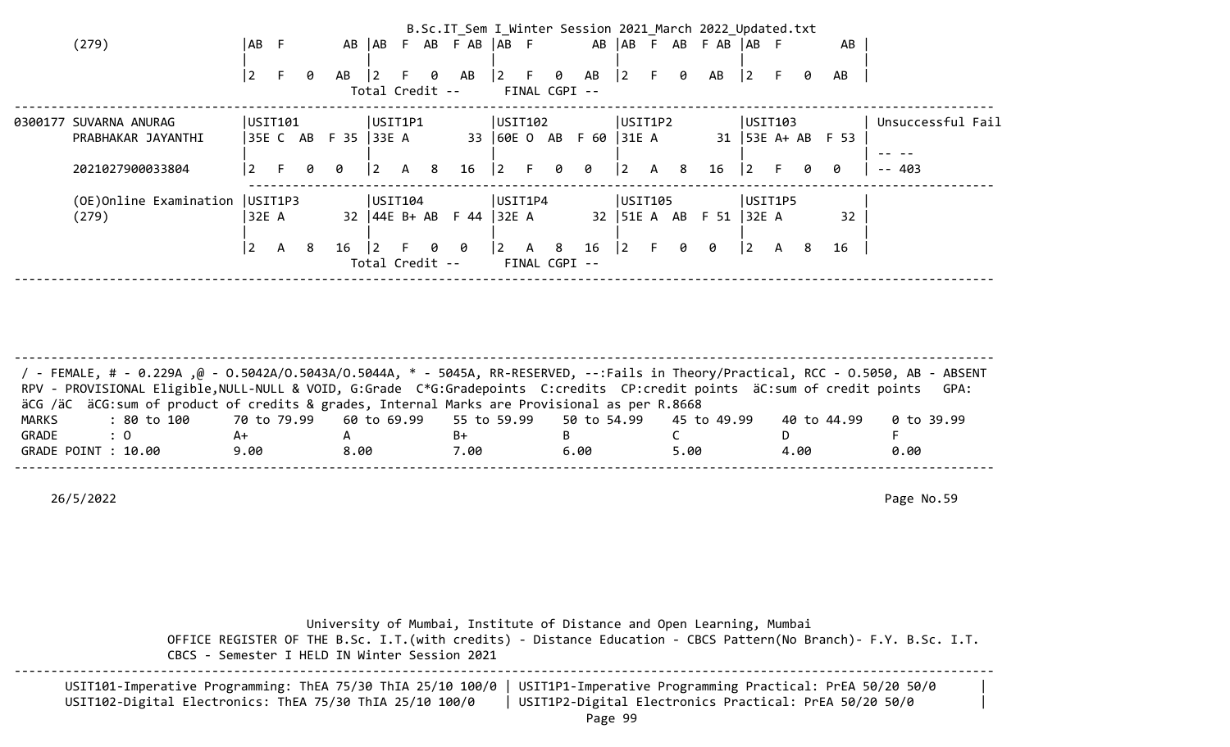|                                   |         |              |   |                      |                 |              |   |                             |                                                |                                       |   |                        |             |              |   | B.Sc.IT_Sem I_Winter Session 2021 March 2022 Updated.txt |             |           |   |                     |                   |  |
|-----------------------------------|---------|--------------|---|----------------------|-----------------|--------------|---|-----------------------------|------------------------------------------------|---------------------------------------|---|------------------------|-------------|--------------|---|----------------------------------------------------------|-------------|-----------|---|---------------------|-------------------|--|
| (279)                             | AB F    |              |   |                      |                 |              |   | AB AB F AB F AB AB F        |                                                |                                       |   |                        |             |              |   | AB   AB F AB F AB   AB F                                 |             |           |   | AB                  |                   |  |
|                                   | 2       |              | 0 | AB                   | $\overline{2}$  | F.           | 0 | AB                          | $\begin{vmatrix} 2 & F & \theta \end{vmatrix}$ |                                       |   | AB                     | $ 2\rangle$ | F.           | 0 | AB                                                       | $ 2\rangle$ |           | 0 | AB                  |                   |  |
|                                   |         |              |   |                      | Total Credit -- |              |   |                             | FINAL CGPI --                                  |                                       |   |                        |             |              |   |                                                          |             |           |   |                     |                   |  |
| 0300177 SUVARNA ANURAG            | USIT101 |              |   |                      | USIT1P1         |              |   |                             | USTI102                                        |                                       |   |                        | USIT1P2     |              |   |                                                          | USTI03      |           |   |                     | Unsuccessful Fail |  |
| PRABHAKAR JAYANTHI                |         |              |   | 35E C AB F 35  33E A |                 |              |   |                             |                                                |                                       |   | 33 60E O AB F 60 31E A |             |              |   |                                                          |             |           |   | 31   53E A+ AB F 53 |                   |  |
| 2021027900033804                  | l 2     |              | 0 | 0                    | $ 2\rangle$     | $\mathsf{A}$ | 8 | 16                          | $\vert 2 \vert$                                | $-$ F $-$                             | 0 | 0                      | $ 2\rangle$ | $\mathsf{A}$ | 8 | 16                                                       | $ 2\rangle$ | $-$ F $-$ | 0 | 0                   | $- - 403$         |  |
| (OE) Online Examination   USIT1P3 |         |              |   |                      | USTI104         |              |   |                             | USIT1P4                                        |                                       |   |                        | USIT105     |              |   |                                                          | USIT1P5     |           |   |                     |                   |  |
| (279)                             | 32E A   |              |   |                      |                 |              |   | 32   44E B+ AB F 44   32E A |                                                |                                       |   |                        |             |              |   | 32   51E A AB F 51   32E A                               |             |           |   | 32                  |                   |  |
|                                   | 2       | $\mathsf{A}$ | 8 | 16                   | l 2             | F.           | 0 | - 0                         |                                                | $\begin{vmatrix} 2 & A \end{vmatrix}$ | 8 | 16                     | $ 2\rangle$ | F.           | 0 | 0                                                        | $ 2\rangle$ | A         | 8 | 16                  |                   |  |
|                                   |         |              |   |                      | Total Credit -- |              |   |                             |                                                | FINAL CGPI --                         |   |                        |             |              |   |                                                          |             |           |   |                     |                   |  |
|                                   |         |              |   |                      |                 |              |   |                             |                                                |                                       |   |                        |             |              |   |                                                          |             |           |   |                     |                   |  |

-------------------------------------------------------------------------------------------------------------------------------------- / - FEMALE, # - 0.229A ,@ - O.5042A/O.5043A/O.5044A, \* - 5045A, RR-RESERVED, --:Fails in Theory/Practical, RCC - O.5050, AB - ABSENT RPV - PROVISIONAL Eligible, NULL-NULL & VOID, G:Grade C\*G:Gradepoints C:credits CP:credit points äC:sum of credit points GPA: äCG /äC äCG:sum of product of credits & grades, Internal Marks are Provisional as per R.8668 MARKS : 80 to 100 70 to 79.99 60 to 69.99 55 to 59.99 50 to 54.99 45 to 49.99 40 to 44.99 0 to 39.99 GRADE : 0 A+ A B+ B C D F GRADE POINT : 10.00 9.00 8.00 7.00 6.00 5.00 4.00 0.00 --------------------------------------------------------------------------------------------------------------------------------------

26/5/2022 Page No.59

 University of Mumbai, Institute of Distance and Open Learning, Mumbai OFFICE REGISTER OF THE B.Sc. I.T.(with credits) - Distance Education - CBCS Pattern(No Branch)- F.Y. B.Sc. I.T. CBCS - Semester I HELD IN Winter Session 2021 --------------------------------------------------------------------------------------------------------------------------------------

| USIT101-Imperative Programming: ThEA 75/30 ThIA 25/10 100/0   USIT1P1-Imperative Programming Practical: PrEA 50/20 50/0 |                                                        |  |
|-------------------------------------------------------------------------------------------------------------------------|--------------------------------------------------------|--|
| USIT102-Digital Electronics: ThEA 75/30 ThIA 25/10 100/0                                                                | USIT1P2-Digital Electronics Practical: PrEA 50/20 50/0 |  |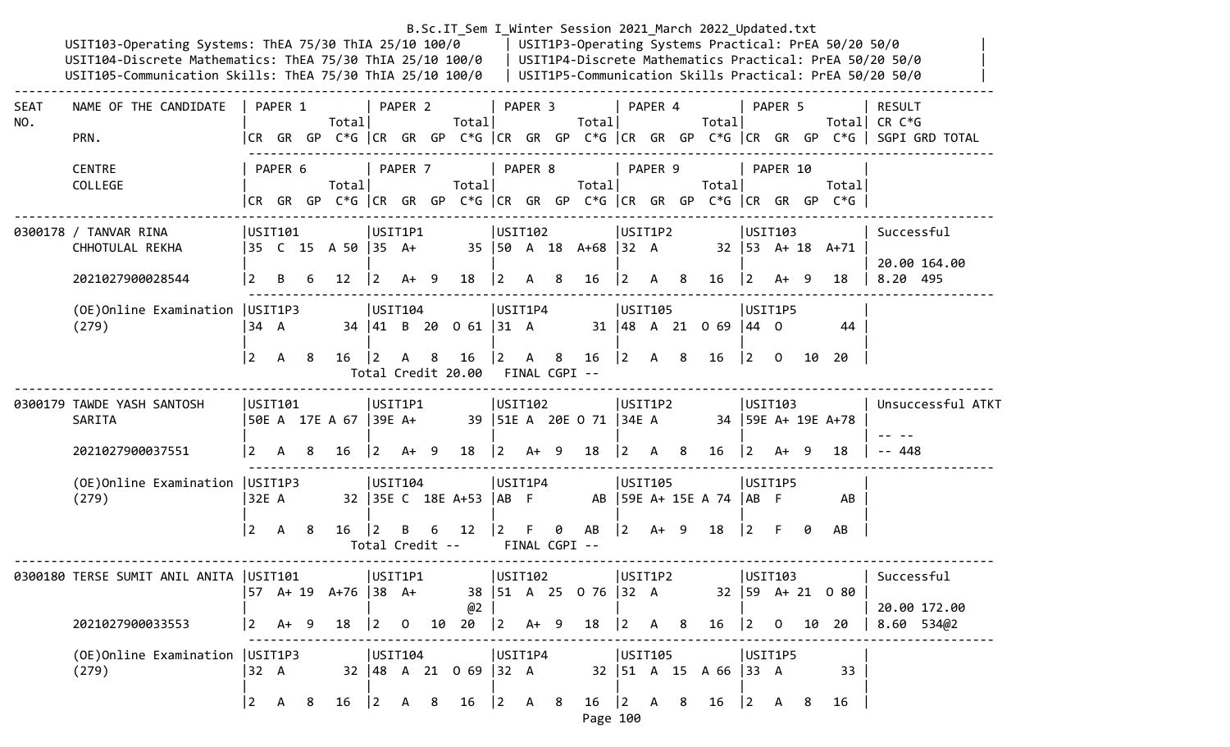|             | USIT103-Operating Systems: ThEA 75/30 ThIA 25/10 100/0<br>USIT104-Discrete Mathematics: ThEA 75/30 ThIA 25/10 100/0  <br>USIT105-Communication Skills: ThEA 75/30 ThIA 25/10 100/0 |                   |                                            |     |                                                                                |             |                                                  |    |                                                  |                 |                                                      |   | B.Sc.IT Sem I Winter Session 2021 March 2022 Updated.txt |             |                                                      |    |                                 |                 |                                                      |     | USIT1P3-Operating Systems Practical: PrEA 50/20 50/0 | USIT1P4-Discrete Mathematics Practical: PrEA 50/20 50/0<br>  USIT1P5-Communication Skills Practical: PrEA 50/20 50/0          |
|-------------|------------------------------------------------------------------------------------------------------------------------------------------------------------------------------------|-------------------|--------------------------------------------|-----|--------------------------------------------------------------------------------|-------------|--------------------------------------------------|----|--------------------------------------------------|-----------------|------------------------------------------------------|---|----------------------------------------------------------|-------------|------------------------------------------------------|----|---------------------------------|-----------------|------------------------------------------------------|-----|------------------------------------------------------|-------------------------------------------------------------------------------------------------------------------------------|
| SEAT<br>NO. | NAME OF THE CANDIDATE<br>PRN.                                                                                                                                                      |                   | PAPER 1                                    |     | Total                                                                          |             | PAPER 2                                          |    | Total                                            |                 | PAPER 3                                              |   | Totall                                                   |             | PAPER 4                                              |    | Total                           |                 | PAPER 5                                              |     |                                                      | <b>RESULT</b><br>Total  CR C*G<br> CR GR GP C*G   CR GR GP C*G   CR GR GP C*G   CR GR GP C*G   CR GR GP C*G    SGPI GRD TOTAL |
|             | <b>CENTRE</b><br>COLLEGE                                                                                                                                                           |                   | PAPER 6                                    |     | Total<br> CR GR GP C*G  CR GR GP C*G  CR GR GP C*G  CR GR GP C*G  CR GR GP C*G |             | PAPER 7                                          |    | Total                                            |                 | PAPER 8                                              |   | Total                                                    |             | PAPER 9                                              |    | Total                           |                 | PAPER 10                                             |     | Total                                                |                                                                                                                               |
|             | 0300178 / TANVAR RINA<br>CHHOTULAL REKHA<br>2021027900028544                                                                                                                       | l 2               | USTI101<br>B                               | -6  | 35 C 15 A 50 35 A+<br>$12 \overline{ }$                                        | $ 2\rangle$ | USIT1P1<br>$A+ 9$                                |    | 18                                               | $ 2 \rangle$    | USIT102<br>A 8                                       |   | 35   50 A 18 A+68   32 A<br>16                           | $ 2\rangle$ | USIT1P2<br>A 8                                       |    | $16 \t 2$                       |                 | USTI03<br>A+ 9                                       |     | $32 \mid 53 \quad A+18 \quad A+71$<br>18             | Successful<br>20.00 164.00<br>8.20 495                                                                                        |
|             | (OE) Online Examination   USIT1P3<br>(279)                                                                                                                                         | 34 A<br><u> 2</u> | $\overline{A}$                             | 8   | 16                                                                             | $\vert$ 2   | USTI04<br>A                                      | 8  | 34 41 B 20 0 61 31 A<br>16<br>Total Credit 20.00 | $\vert 2 \vert$ | USIT1P4<br>A 8                                       |   | 16<br>FINAL CGPI --                                      |             | USIT105<br>$\begin{vmatrix} 2 & A & 8 \end{vmatrix}$ |    | 31   48 A 21 0 69   44 0<br>16  | $\vert 2 \vert$ | USIT1P5<br>$\mathbf{O}$                              |     | 44<br>10 20                                          |                                                                                                                               |
|             | 0300179 TAWDE YASH SANTOSH<br>SARITA<br>2021027900037551                                                                                                                           | l 2.              | USIT101<br>A                               | -8  | 50E A 17E A 67  39E A+<br>16                                                   | $ 2\rangle$ | USIT1P1<br>A+ 9                                  |    | 18                                               | $ 2\rangle$     | USIT102<br>$A+ 9$                                    |   | 39   51E A 20E O 71   34E A<br>18                        | 12.         | USIT1P2<br>A                                         | -8 | 16                              | $\vert$ 2       | USTI03<br>A+                                         | - 9 | 34   59E A+ 19E A+78<br>18                           | Unsuccessful ATKT<br>$- - 448$                                                                                                |
|             | (OE) Online Examination   USIT1P3<br>(279)                                                                                                                                         | 32E A<br> 2       | $\mathsf{A}$                               | - 8 | 16                                                                             | 2           | USTI04<br>B<br>Total Credit --                   | 6  | 32 35E C 18E A+53 AB F<br>12                     | $ 2 \tF$        | USIT1P4                                              | 0 | AB<br>FINAL CGPI --                                      | $ 2\rangle$ | USIT105<br>$A+ 9$                                    |    | AB 59E A+ 15E A 74   AB F<br>18 | $ 2\rangle$     | USIT1P5<br>- F                                       | 0   | AB<br>AB                                             |                                                                                                                               |
|             | 0300180 TERSE SUMIT ANIL ANITA  USIT101<br>2021027900033553                                                                                                                        |                   | $\begin{vmatrix} 2 & A+ & 9 \end{vmatrix}$ |     | 57 A+ 19 A+76  38 A+<br>18                                                     |             | USIT1P1<br>$\begin{vmatrix} 2 & 0 \end{vmatrix}$ | 10 | @2<br>20                                         |                 | USTI02 <br>$ 2 \tA+ 9$                               |   | 38   51 A 25 0 76   32 A 32   59 A + 21 0 80<br>18       | $ 2\rangle$ | USIT1P2<br>A 8                                       |    | $16 \t  2 \t0$                  |                 | USTI03                                               |     | 10 20                                                | Successful<br>20.00 172.00<br>$8.60$ 534@2                                                                                    |
|             | (OE) Online Examination   USIT1P3<br>(279)                                                                                                                                         | 32 A              | $\begin{vmatrix} 2 & A & B \end{vmatrix}$  |     | $16 \mid 2 \mid A \mid 8$                                                      |             | USIT104                                          |    | 32   48 A 21 0 69   32 A<br>16                   |                 | USIT1P4<br>$\begin{vmatrix} 2 & A & 8 \end{vmatrix}$ |   | 16                                                       |             | USIT105<br>$\begin{vmatrix} 2 & A & 8 \end{vmatrix}$ |    | 32   51 A 15 A 66   33 A<br>16  |                 | USIT1P5<br>$\begin{vmatrix} 2 & A & 8 \end{vmatrix}$ |     | 33<br>16                                             |                                                                                                                               |

Page 100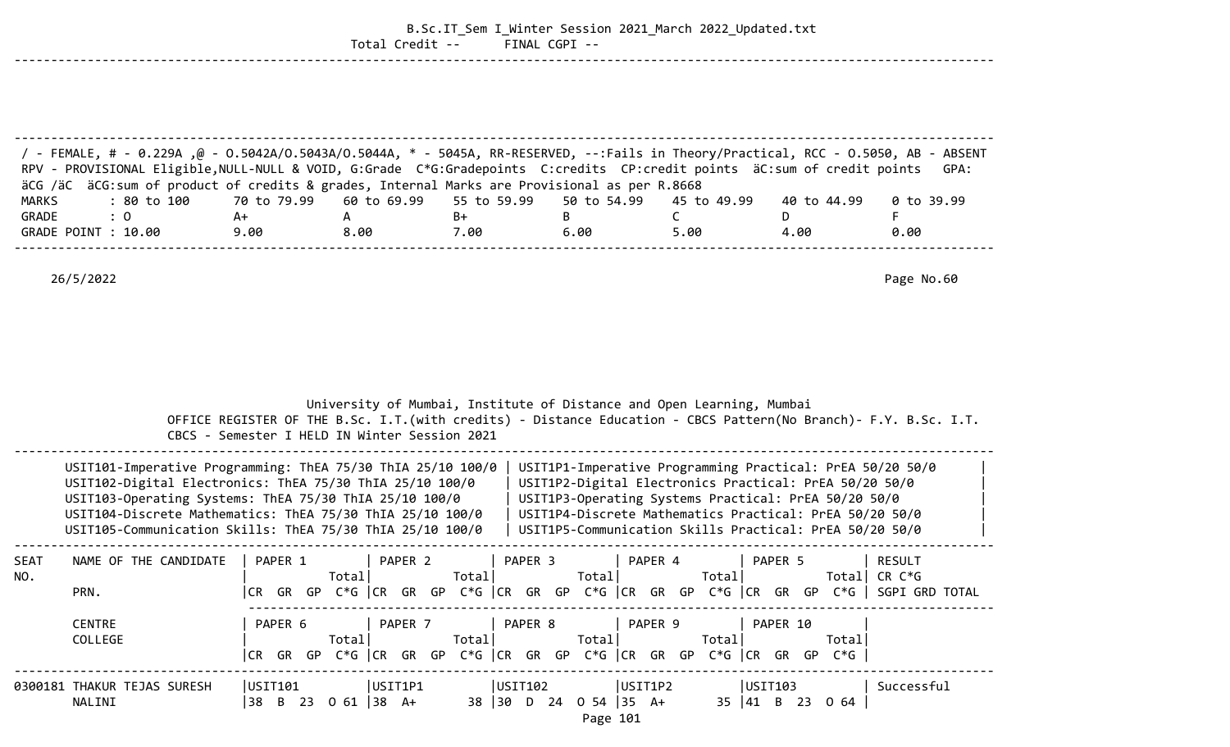|             |                                                                                                                                                                                                                                                                                                                                                                |             | Total Credit --                               |                    | FINAL CGPI -- | B.Sc.IT_Sem I_Winter Session 2021_March 2022_Updated.txt                                                                                                                                                                                                 |             |                                                                                                         |
|-------------|----------------------------------------------------------------------------------------------------------------------------------------------------------------------------------------------------------------------------------------------------------------------------------------------------------------------------------------------------------------|-------------|-----------------------------------------------|--------------------|---------------|----------------------------------------------------------------------------------------------------------------------------------------------------------------------------------------------------------------------------------------------------------|-------------|---------------------------------------------------------------------------------------------------------|
|             |                                                                                                                                                                                                                                                                                                                                                                |             |                                               |                    |               |                                                                                                                                                                                                                                                          |             |                                                                                                         |
|             | / FEMALE, # - 0.229A ,@ - 0.5042A/0.5043A/0.5044A, * - 5045A, RR-RESERVED, --:Fails in Theory/Practical, RCC - 0.5050, AB - ABSENT<br>RPV - PROVISIONAL Eligible, NULL-NULL & VOID, G:Grade C*G:Gradepoints C:credits CP:credit points äC:sum of credit points<br>äCG /äC äCG:sum of product of credits & grades, Internal Marks are Provisional as per R.8668 |             |                                               |                    |               |                                                                                                                                                                                                                                                          |             | GPA:                                                                                                    |
| MARKS       | : 80 to 100                                                                                                                                                                                                                                                                                                                                                    | 70 to 79.99 | 60 to 69.99                                   | 55 to 59.99        | 50 to 54.99   | 45 to 49.99                                                                                                                                                                                                                                              | 40 to 44.99 | 0 to 39.99                                                                                              |
| GRADE       | : 0                                                                                                                                                                                                                                                                                                                                                            | A+          | A                                             | B+                 | B             | $\mathsf{C}$                                                                                                                                                                                                                                             | D           | F                                                                                                       |
|             | GRADE POINT : 10.00                                                                                                                                                                                                                                                                                                                                            | 9.00        | 8.00                                          | 7.00               | 6.00          | 5.00                                                                                                                                                                                                                                                     | 4.00        | 0.00                                                                                                    |
|             | 26/5/2022                                                                                                                                                                                                                                                                                                                                                      |             |                                               |                    |               |                                                                                                                                                                                                                                                          |             | Page No.60                                                                                              |
|             | USIT101-Imperative Programming: ThEA 75/30 ThIA 25/10 100/0                                                                                                                                                                                                                                                                                                    |             | CBCS - Semester I HELD IN Winter Session 2021 |                    |               | University of Mumbai, Institute of Distance and Open Learning, Mumbai<br>OFFICE REGISTER OF THE B.Sc. I.T. (with credits) - Distance Education - CBCS Pattern (No Branch) - F.Y. B.Sc. I.T.<br>USIT1P1-Imperative Programming Practical: PrEA 50/20 50/0 |             |                                                                                                         |
|             | USIT102-Digital Electronics: ThEA 75/30 ThIA 25/10 100/0<br>USIT103-Operating Systems: ThEA 75/30 ThIA 25/10 100/0<br>USIT104-Discrete Mathematics: ThEA 75/30 ThIA 25/10 100/0<br>USIT105-Communication Skills: ThEA 75/30 ThIA 25/10 100/0                                                                                                                   |             |                                               |                    |               | USIT1P2-Digital Electronics Practical: PrEA 50/20 50/0<br>USIT1P3-Operating Systems Practical: PrEA 50/20 50/0<br>USIT1P4-Discrete Mathematics Practical: PrEA 50/20 50/0<br>USIT1P5-Communication Skills Practical: PrEA 50/20 50/0                     |             |                                                                                                         |
| SEAT<br>NO. | NAME OF THE CANDIDATE<br>PRN.                                                                                                                                                                                                                                                                                                                                  | PAPER 1     | PAPER <sub>2</sub><br>Total                   | PAPER <sub>3</sub> |               | PAPER 4                                                                                                                                                                                                                                                  | PAPER 5     | <b>RESULT</b><br> CR GR GP C*G  CR GR GP C*G  CR GR GP C*G  CR GR GP C*G  CR GR GP C*G   SGPI GRD TOTAL |
|             | <b>CENTRE</b><br>COLLEGE                                                                                                                                                                                                                                                                                                                                       |             |                                               |                    |               | PAPER 6   PAPER 7   PAPER 8   PAPER 9   PAPER 10<br>Total Total Total Total Total Total Total<br> CR GR GP C*G  CR GR GP C*G  CR GR GP C*G  CR GR GP C*G  CR GR GP C*G                                                                                   |             |                                                                                                         |
|             | 0300181 THAKUR TEJAS SURESH<br>NALINI                                                                                                                                                                                                                                                                                                                          |             |                                               |                    | Page 101      | USIT101  USIT1P1  USIT102  USIT1P2  USIT103  Successful<br> 38 B 23 O 61  38 A+ 38  30 D 24 O 54  35 A+ 35  41 B 23 O 64                                                                                                                                 |             |                                                                                                         |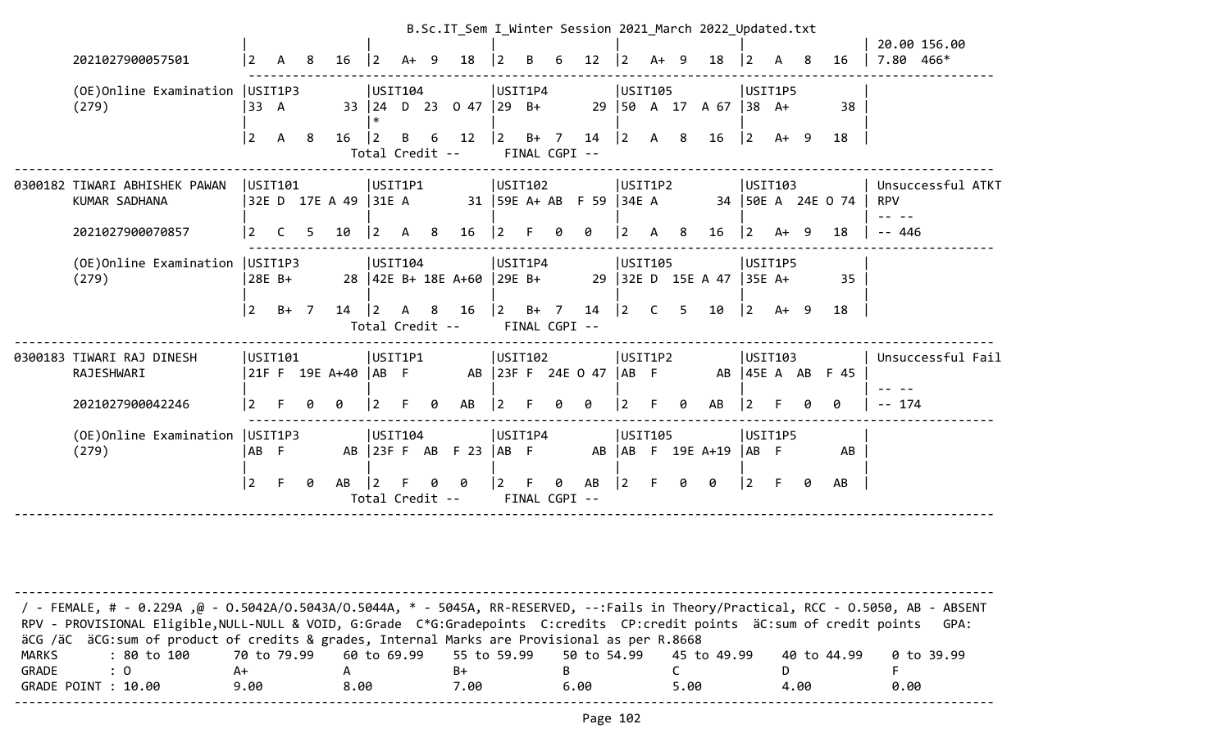|                                                                    |                   |                     |    |                             |                                   |         |     |                           |                 |                                    |        |                                  |                        |              |                | B.Sc.IT_Sem I_Winter Session 2021 March 2022 Updated.txt |                                 |                   |     |                           | 20.00 156.00                                 |  |
|--------------------------------------------------------------------|-------------------|---------------------|----|-----------------------------|-----------------------------------|---------|-----|---------------------------|-----------------|------------------------------------|--------|----------------------------------|------------------------|--------------|----------------|----------------------------------------------------------|---------------------------------|-------------------|-----|---------------------------|----------------------------------------------|--|
| 2021027900057501                                                   | $ 2\rangle$       | A                   | -8 | 16                          | $ 2\rangle$                       | A+      | - 9 | 18                        | $\overline{2}$  | B                                  | 6      | 12                               | $ 2\rangle$            | $A+ 9$       |                | 18                                                       | <u>2</u>                        | A                 | 8   | 16                        | 7.80<br>466*                                 |  |
| (OE)Online Examination<br>(279)                                    | 33 A<br>$\vert$ 2 | USIT1P3<br>A        | 8  | $33 \mid 24$<br>16          | USIT104<br>12.<br>Total Credit -- | B       | 6   | D 23 0 47 29 B+<br>12     | 2               | USIT1P4<br>$B+ 7$<br>FINAL CGPI -- |        | 14                               | USIT105<br>$ 2\rangle$ | $\mathsf{A}$ | 8              | 29   50 A 17 A 67<br>16                                  | $ 38 \text{ A+}$<br>$ 2\rangle$ | USIT1P5<br>$A+ 9$ |     | 38<br>18                  |                                              |  |
| 0300182 TIWARI ABHISHEK PAWAN<br>KUMAR SADHANA<br>2021027900070857 | 2                 | USIT101             | 5  | 32E D 17E A 49  31E A<br>10 | USIT1P1<br>$\overline{2}$         | A       | 8   | 16                        |                 | USIT102                            | ø      | 31   59E A+ AB F 59   34E A<br>0 | USIT1P2<br>2           | A            | 8              | 16                                                       | 2                               | USIT103<br>A+     | - 9 | 34   50E A 24E O 74<br>18 | Unsuccessful ATKT<br><b>RPV</b><br>$- - 446$ |  |
|                                                                    |                   |                     |    |                             |                                   |         |     |                           |                 |                                    |        |                                  |                        |              |                |                                                          |                                 |                   |     |                           |                                              |  |
| (OE)Online Examination<br>(279)                                    |                   | USIT1P3<br>$28E B+$ |    |                             | USTI04                            |         |     | 28 42E B+ 18E A+60 29E B+ |                 | USIT1P4                            |        |                                  | USIT105                |              |                | 29 32E D 15E A 47                                        | USIT1P5<br>$ 35E$ A+            |                   |     | 35                        |                                              |  |
|                                                                    | $\vert$ 2         | $B+ 7$              |    | 14                          | $\vert$ 2<br>Total Credit --      | A       | 8   | 16                        | $\vert 2 \vert$ | FINAL CGPI --                      | $B+ 7$ | 14                               | 2                      | C.           | 5 <sup>1</sup> | 10                                                       | $\vert$ 2                       | $A+ 9$            |     | 18                        |                                              |  |
| 0300183 TIWARI RAJ DINESH<br>RAJESHWARI                            |                   | USIT101             |    | 21F F 19E A+40              | USIT1P1<br> AB F                  |         |     |                           |                 | USTI02                             |        | AB   23F F 24E 0 47              | USIT1P2<br>$AB$ F      |              |                |                                                          |                                 | USIT103           |     | AB 45E A AB F 45          | Unsuccessful Fail                            |  |
| 2021027900042246                                                   | $\vert$ 2         |                     | ø  | 0                           | 2                                 |         | ø   | AB                        |                 |                                    | a      | ø                                |                        |              | ø              | AB                                                       | 2                               |                   |     | 0                         | $- - 174$                                    |  |
| (OE)Online Examination<br>(279)                                    | ∣AB F             | USIT1P3             |    | AB                          |                                   | USIT104 |     | 23F F AB F 23   AB F      |                 | USIT1P4                            |        |                                  | USIT105<br>AB   AB     |              |                | F 19E A+19                                               | $AB$ F                          | USIT1P5           |     | AB                        |                                              |  |
|                                                                    | $ 2\rangle$       | F.                  | 0  | AB                          | l 2<br>Total Credit --            |         |     | Ø.                        | $\overline{2}$  | FINAL CGPI --                      | 0      | AB                               | $ 2\rangle$            | F            | 0              | 0                                                        | $ 2\rangle$                     | - F               | ø   | AB                        |                                              |  |
|                                                                    |                   |                     |    |                             |                                   |         |     |                           |                 |                                    |        |                                  |                        |              |                |                                                          |                                 |                   |     |                           |                                              |  |

| / - FEMALE, # - 0.229A ,@ - 0.5042A/0.5043A/0.5044A, * - 5045A, RR-RESERVED, --:Fails in Theory/Practical, RCC - 0.5050, AB - ABSENT |                                                                         |      |      |      |      |             |            |
|--------------------------------------------------------------------------------------------------------------------------------------|-------------------------------------------------------------------------|------|------|------|------|-------------|------------|
| RPV - PROVISIONAL Eligible, NULL-NULL & VOID, G:Grade C*G:Gradepoints C:credits CP:credit points äC:sum of credit points             |                                                                         |      |      |      |      |             | GPA:       |
| äCG /äC äCG:sum of product of credits & grades, Internal Marks are Provisional as per R.8668                                         |                                                                         |      |      |      |      |             |            |
| MARKS<br>: 80 to 100                                                                                                                 | 70 to 79.99    60 to 69.99    55 to 59.99    50 to 54.99    45 to 49.99 |      |      |      |      | 40 to 44.99 | 0 to 39.99 |
| GRADE<br>$\therefore$ 0                                                                                                              |                                                                         |      | B+   |      |      |             |            |
| GRADE POINT : 10.00                                                                                                                  | 9.00                                                                    | 8.00 | 7.00 | 6.00 | 5.00 | 4.00        | 0.00       |
|                                                                                                                                      |                                                                         |      |      |      |      |             |            |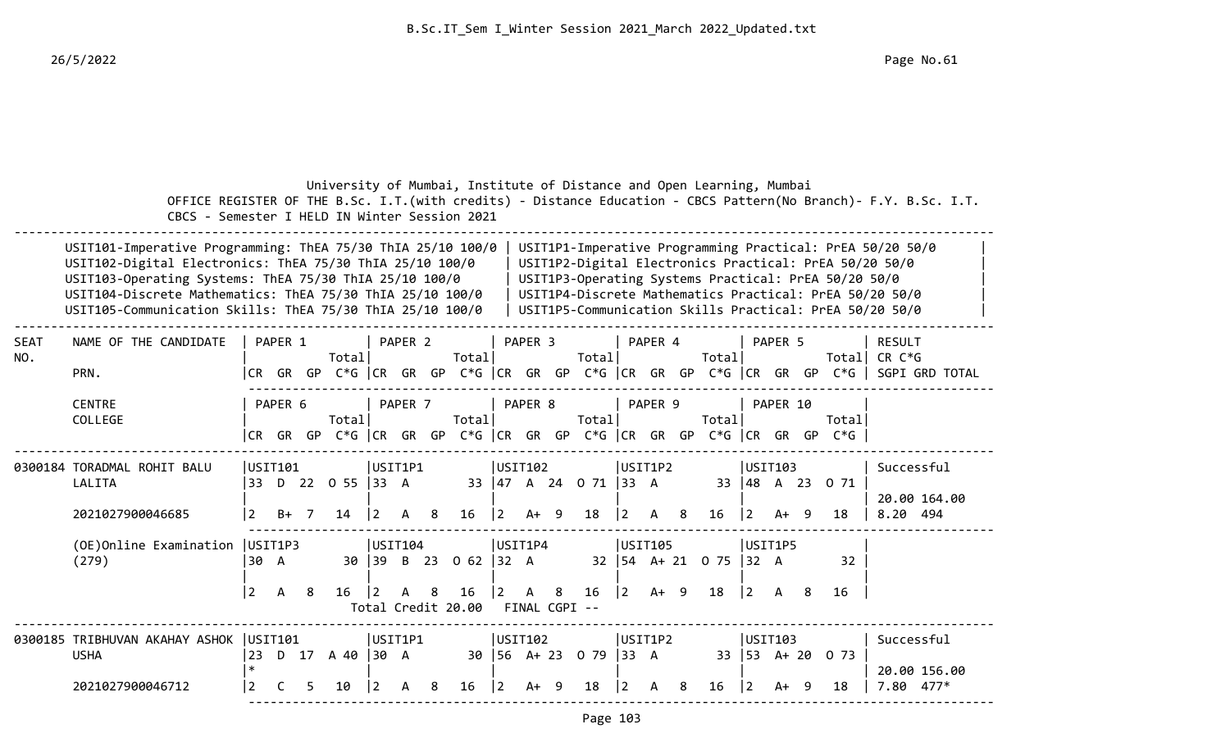|             | CBCS - Semester I HELD IN Winter Session 2021                                                                                                                                                                                                                                                                                                                                                                                                                                                                                                                                                                    |                                |                   |    |                         |                 |                    |    | University of Mumbai, Institute of Distance and Open Learning, Mumbai       |             |                               |   |                                               |                                 |                         |   |                                  |                 |                                |     |                       | OFFICE REGISTER OF THE B.Sc. I.T. (with credits) - Distance Education - CBCS Pattern (No Branch) - F.Y. B.Sc. I.T.        |
|-------------|------------------------------------------------------------------------------------------------------------------------------------------------------------------------------------------------------------------------------------------------------------------------------------------------------------------------------------------------------------------------------------------------------------------------------------------------------------------------------------------------------------------------------------------------------------------------------------------------------------------|--------------------------------|-------------------|----|-------------------------|-----------------|--------------------|----|-----------------------------------------------------------------------------|-------------|-------------------------------|---|-----------------------------------------------|---------------------------------|-------------------------|---|----------------------------------|-----------------|--------------------------------|-----|-----------------------|---------------------------------------------------------------------------------------------------------------------------|
|             | USIT1P1-Imperative Programming Practical: PrEA 50/20 50/0<br>USIT101-Imperative Programming: ThEA 75/30 ThIA 25/10 100/0<br>USIT102-Digital Electronics: ThEA 75/30 ThIA 25/10 100/0<br>USIT1P2-Digital Electronics Practical: PrEA 50/20 50/0<br>USIT103-Operating Systems: ThEA 75/30 ThIA 25/10 100/0<br>USIT1P3-Operating Systems Practical: PrEA 50/20 50/0<br>USIT104-Discrete Mathematics: ThEA 75/30 ThIA 25/10 100/0<br>USIT1P4-Discrete Mathematics Practical: PrEA 50/20 50/0<br>USIT105-Communication Skills: ThEA 75/30 ThIA 25/10 100/0<br>USIT1P5-Communication Skills Practical: PrEA 50/20 50/0 |                                |                   |    |                         |                 |                    |    |                                                                             |             |                               |   |                                               |                                 |                         |   |                                  |                 |                                |     |                       |                                                                                                                           |
| SEAT<br>NO. | NAME OF THE CANDIDATE<br>PRN.                                                                                                                                                                                                                                                                                                                                                                                                                                                                                                                                                                                    |                                | PAPER 1           |    | Totall                  |                 | PAPER <sub>2</sub> |    | Totall                                                                      |             | PAPER 3                       |   | Totall                                        |                                 | PAPER 4                 |   | Total                            |                 | PAPER 5                        |     |                       | <b>RESULT</b><br>Total CR $C*G$<br> CR GR GP C*G  CR GR GP C*G  CR GR GP C*G  CR GR GP C*G  CR GR GP C*G   SGPI GRD TOTAL |
|             | <b>CENTRE</b><br>COLLEGE                                                                                                                                                                                                                                                                                                                                                                                                                                                                                                                                                                                         |                                | PAPER 6           |    | Totall                  |                 | PAPER 7            |    | Totall<br> CR GR GP C*G  CR GR GP C*G  CR GR GP C*G  CR GR GP C*G  CR GR GP |             | PAPER 8                       |   | Totall                                        |                                 | PAPER 9                 |   | Total                            |                 | PAPER 10                       |     | Totall<br>$C*G$       |                                                                                                                           |
|             | 0300184 TORADMAL ROHIT BALU<br>LALITA<br>2021027900046685                                                                                                                                                                                                                                                                                                                                                                                                                                                                                                                                                        | $\vert 2 \vert$                | USTT101<br>$B+ 7$ |    | 33 D 22 O 55 33 A<br>14 | $\overline{2}$  | USIT1P1<br>A       | -8 | 16                                                                          | $ 2\rangle$ | USIT102<br>$A+ 9$             |   | 33 47 A 24 0 71 33 A<br>18                    | $ 2\rangle$                     | USIT1P2<br>$\mathsf{A}$ | 8 | 16                               | 2               | USIT103<br>A+ 9                |     | 33 48 A 23 0 71<br>18 | Successful<br>20.00 164.00<br>8.20 494                                                                                    |
|             | (OE) Online Examination   USIT1P3<br>(279)                                                                                                                                                                                                                                                                                                                                                                                                                                                                                                                                                                       | 30 A<br>$\overline{2}$         | A                 | -8 | 16                      | l 2             | USTI04<br>A        | 8  | 30 39 B 23 0 62 32 A<br>16<br>Total Credit 20.00                            | 2           | USIT1P4<br>A<br>FINAL CGPI -- | 8 | 16                                            | $ 2\rangle$                     | USIT105<br>$A+ 9$       |   | 32   54 A + 21 0 75   32 A<br>18 | $\vert 2 \vert$ | USIT1P5<br>A                   | - 8 | 32<br>16              |                                                                                                                           |
|             | 0300185 TRIBHUVAN AKAHAY ASHOK  USIT101<br><b>USHA</b><br>2021027900046712                                                                                                                                                                                                                                                                                                                                                                                                                                                                                                                                       | 23<br>$\ast$<br>$\overline{2}$ | C                 | 5. | D 17 A 40 30 A<br>10    | $\vert 2 \vert$ | USIT1P1<br>A       | 8  | 16                                                                          | $ 2\rangle$ | USIT102<br>$A+ 9$             |   | $30 \mid 56 \mid A + 23 \mid 0 \mid 79$<br>18 | $ 33 \ \text{A}$<br>$ 2\rangle$ | USIT1P2<br>A            | 8 | 16                               | $ 2\rangle$     | USIT103<br>33 53 A+ 20<br>A+ 9 |     | 0 73<br>18            | Successful<br>20.00 156.00<br>7.80 477*                                                                                   |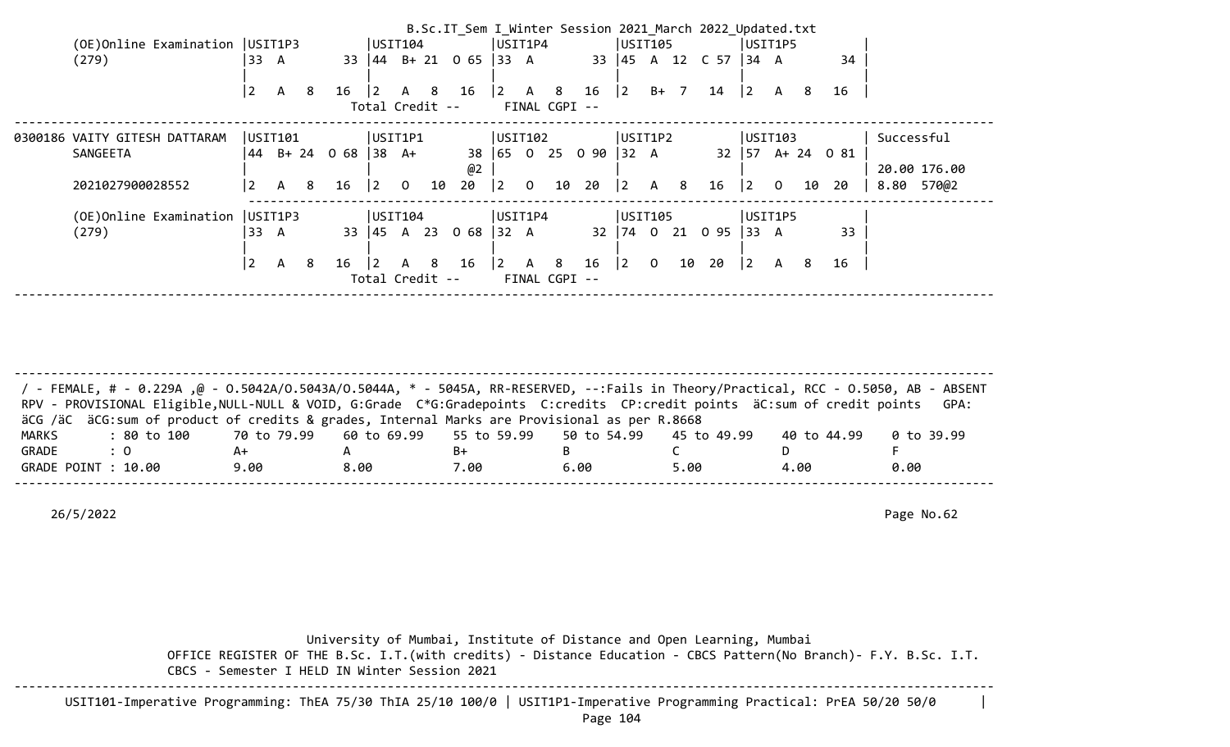| (OE) Online Examination   USIT1P3<br>USIT1P4<br>USIT1P5<br>USIT104<br>USIT105<br>33 $\begin{vmatrix} 44 & 8+21 & 0 & 65 \end{vmatrix}$ 33 A<br>33 45 A 12 C 57<br>(279)<br>33<br>34<br>134 A<br>A<br>$\overline{2}$<br>$16 \quad  2 \quad A$<br>14<br>$ 2\rangle$<br>8<br>8<br>16<br> 2 <br>$B+$ 7<br>A<br>A 8<br>16<br>$\vert$ 2<br>16<br>A<br>8<br>Total Credit --<br>FINAL CGPI -- |                                                                  | B.Sc.IT Sem I Winter Session 2021 March 2022 Updated.txt |
|---------------------------------------------------------------------------------------------------------------------------------------------------------------------------------------------------------------------------------------------------------------------------------------------------------------------------------------------------------------------------------------|------------------------------------------------------------------|----------------------------------------------------------|
|                                                                                                                                                                                                                                                                                                                                                                                       |                                                                  |                                                          |
|                                                                                                                                                                                                                                                                                                                                                                                       |                                                                  |                                                          |
|                                                                                                                                                                                                                                                                                                                                                                                       |                                                                  |                                                          |
|                                                                                                                                                                                                                                                                                                                                                                                       |                                                                  |                                                          |
|                                                                                                                                                                                                                                                                                                                                                                                       | USTTIPI <br> USTI02 <br>USIT101<br>0300186 VAITY GITESH DATTARAM | USIT1P2<br>Successful<br> USTI03                         |
| 38 65 0 25 0 90 32 A<br>$32 \mid 57 \text{ A} + 24 \text{ O} 81$<br>SANGEETA<br>B+ 24<br>$0.68$ 38 A+<br>44                                                                                                                                                                                                                                                                           |                                                                  |                                                          |
| @2<br>20.00 176.00                                                                                                                                                                                                                                                                                                                                                                    |                                                                  |                                                          |
| 2 <br>20<br>10 20<br>2021027900028552<br> 2 <br>10<br>$\overline{0}$<br>$ 2\rangle$<br>16<br>$ 2\rangle$<br>A 8<br>16<br>$\mathbf 0$<br>20<br>8.80 570@2<br>$\mathbf{2}$<br>-8<br>$\overline{0}$<br>10<br>A                                                                                                                                                                           |                                                                  |                                                          |
| (OE)Online Examination<br>USIT1P3<br>USIT104<br>USIT1P4<br>USIT105<br>USIT1P5                                                                                                                                                                                                                                                                                                         |                                                                  |                                                          |
| 33<br>$\begin{vmatrix} 45 & A & 23 \end{vmatrix}$<br>0 68<br>0 95<br>(279)<br>33<br>32 A<br>$32 \mid 74 \mid 0$<br>21<br>33<br>133 A<br>A                                                                                                                                                                                                                                             |                                                                  |                                                          |
| $\overline{2}$<br>10<br>20<br> 2 <br> 2 <br>$\overline{0}$<br>$ 2\rangle$<br>$\mathsf{A}$<br>16<br>8<br>16<br>8<br>16<br>8<br>$\mathsf{A}$<br>8<br>$\vert$ 2<br>$\mathsf{A}$<br>16<br>A                                                                                                                                                                                               |                                                                  |                                                          |
| Total Credit --<br>FINAL CGPI --                                                                                                                                                                                                                                                                                                                                                      |                                                                  |                                                          |

-------------------------------------------------------------------------------------------------------------------------------------- / - FEMALE, # - 0.229A ,@ - O.5042A/O.5043A/O.5044A, \* - 5045A, RR-RESERVED, --:Fails in Theory/Practical, RCC - O.5050, AB - ABSENT RPV - PROVISIONAL Eligible, NULL-NULL & VOID, G:Grade C\*G:Gradepoints C:credits CP:credit points äC:sum of credit points GPA: äCG /äC äCG:sum of product of credits & grades, Internal Marks are Provisional as per R.8668 MARKS : 80 to 100 70 to 79.99 60 to 69.99 55 to 59.99 50 to 54.99 45 to 49.99 40 to 44.99 0 to 39.99 GRADE : 0 A+ A B+ B C D F GRADE POINT : 10.00 9.00 8.00 7.00 6.00 5.00 4.00 0.00 --------------------------------------------------------------------------------------------------------------------------------------

26/5/2022 Page No.62

 University of Mumbai, Institute of Distance and Open Learning, Mumbai OFFICE REGISTER OF THE B.Sc. I.T.(with credits) - Distance Education - CBCS Pattern(No Branch)- F.Y. B.Sc. I.T. CBCS - Semester I HELD IN Winter Session 2021 --------------------------------------------------------------------------------------------------------------------------------------

USIT101-Imperative Programming: ThEA 75/30 ThIA 25/10 100/0 | USIT1P1-Imperative Programming Practical: PrEA 50/20 50/0 |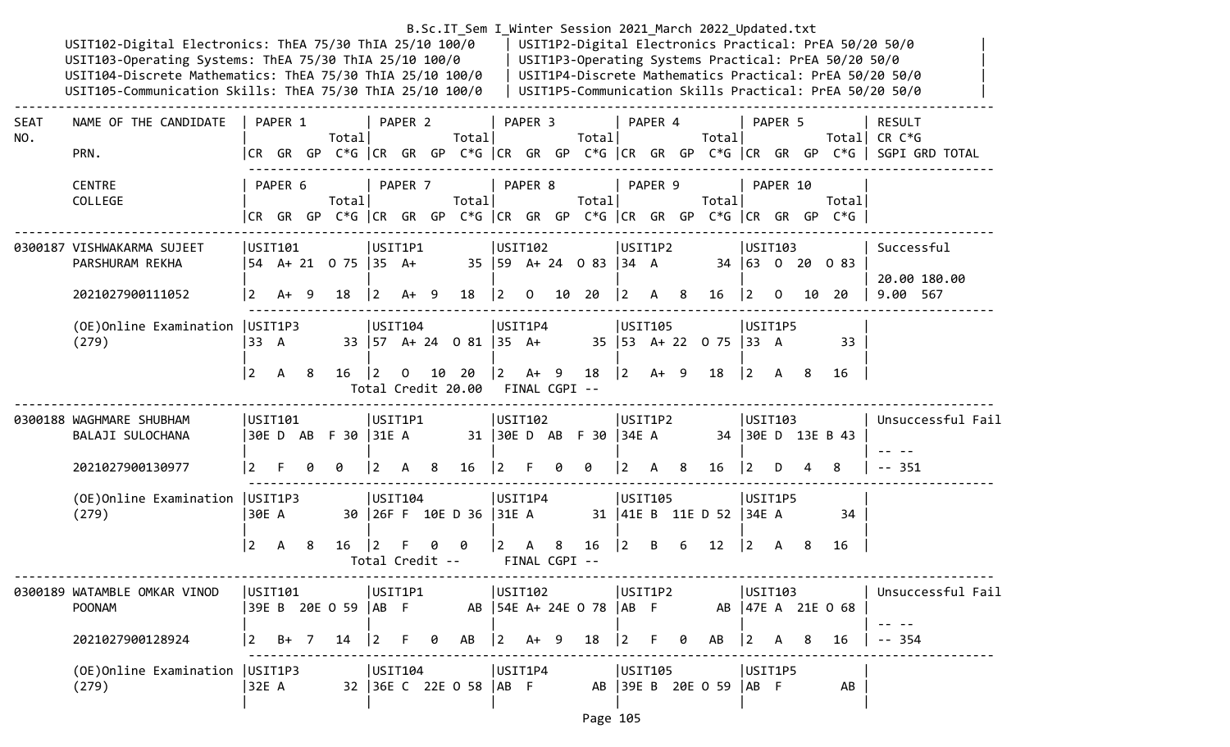|             | USIT102-Digital Electronics: ThEA 75/30 ThIA 25/10 100/0<br>USIT103-Operating Systems: ThEA 75/30 ThIA 25/10 100/0<br>USIT104-Discrete Mathematics: ThEA 75/30 ThIA 25/10 100/0<br>USIT105-Communication Skills: ThEA 75/30 ThIA 25/10 100/0 |                   |                   |    |                            |                            |                |     |                                                             |                                          |                    |   |                                     |                                                       |                |    | B.Sc.IT_Sem I_Winter Session 2021 March 2022 Updated.txt                                                                          |                           |          |     | USIT1P3-Operating Systems Practical: PrEA 50/20 50/0                           | USIT1P2-Digital Electronics Practical: PrEA 50/20 50/0<br>USIT1P4-Discrete Mathematics Practical: PrEA 50/20 50/0<br>USIT1P5-Communication Skills Practical: PrEA 50/20 50/0 |
|-------------|----------------------------------------------------------------------------------------------------------------------------------------------------------------------------------------------------------------------------------------------|-------------------|-------------------|----|----------------------------|----------------------------|----------------|-----|-------------------------------------------------------------|------------------------------------------|--------------------|---|-------------------------------------|-------------------------------------------------------|----------------|----|-----------------------------------------------------------------------------------------------------------------------------------|---------------------------|----------|-----|--------------------------------------------------------------------------------|------------------------------------------------------------------------------------------------------------------------------------------------------------------------------|
| SEAT<br>NO. | NAME OF THE CANDIDATE<br>PRN.                                                                                                                                                                                                                |                   | PAPER 1           |    | Total                      |                            | PAPER 2        |     | Total                                                       |                                          | PAPER 3            |   | Total                               |                                                       | PAPER 4        |    | Total                                                                                                                             |                           | PAPER 5  |     |                                                                                | <b>RESULT</b><br>Total CR $C*G$<br> CR GR GP C*G  CR GR GP C*G  CR GR GP C*G  CR GR GP C*G  CR GR GP C*G   SGPI GRD TOTAL                                                    |
|             | <b>CENTRE</b><br>COLLEGE                                                                                                                                                                                                                     |                   | PAPER 6           |    | Totall                     |                            | PAPER 7        |     | Total                                                       |                                          | PAPER 8            |   | Total                               |                                                       | PAPER 9        |    | Total                                                                                                                             |                           | PAPER 10 |     | Total<br> CR GR GP C*G  CR GR GP C*G  CR GR GP C*G  CR GR GP C*G  CR GR GP C*G |                                                                                                                                                                              |
|             | 0300187 VISHWAKARMA SUJEET<br>PARSHURAM REKHA<br>2021027900111052                                                                                                                                                                            |                   | USIT101<br>$A+ 9$ |    | 54 A+ 21 0 75  35 A+<br>18 | USIT1P1<br>$\overline{2}$  | $A+ 9$         |     | 18                                                          | USIT102<br>$\vert 2 \vert$               | $\Omega$           |   | 35   59 A + 24 0 83   34 A<br>10 20 | USIT1P2<br>2                                          | A              | 8  | 16                                                                                                                                | USTI03<br>$ 2\rangle$     | 0        |     | 34 63 0 20 0 83<br>10 20                                                       | Successful<br>20.00 180.00<br>9.00 567                                                                                                                                       |
|             | (OE) Online Examination   USIT1P3<br>(279)                                                                                                                                                                                                   | 33 A<br>$\vert$ 2 | $\mathsf{A}$      | -8 | 16                         | USIT104<br> 2              | $\overline{0}$ |     | 33   57 A + 24 0 81   35 A +<br>10 20<br>Total Credit 20.00 | USIT1P4<br>$ 2 \tA+ 9$                   |                    |   | 18                                  | USIT105<br>$\begin{vmatrix} 2 & A+ & 9 \end{vmatrix}$ |                |    | 35   53 A + 22 0 75   33 A<br>18                                                                                                  | USIT1P5<br>$\vert$ 2      | A 8      |     | 33<br>16                                                                       |                                                                                                                                                                              |
|             | 0300188 WAGHMARE SHUBHAM<br>BALAJI SULOCHANA<br>2021027900130977                                                                                                                                                                             |                   | USIT101           |    | 30ED AB F30 31EA<br>0      | USIT1P1<br>l 2             | A              | - 8 | 16                                                          | FINAL CGPI --<br> USTI02 <br>$ 2\rangle$ | E                  | 0 | 31   30E D AB F 30   34E A<br>0     | USIT1P2<br>2                                          | A              | -8 | 16                                                                                                                                | USTI03<br>$ 2\rangle$     | D        |     | 34 30E D 13E B 43<br>8                                                         | Unsuccessful Fail<br>$-- 351$                                                                                                                                                |
|             | (OE) Online Examination   USIT1P3<br>(279)                                                                                                                                                                                                   | 30E A<br> 2       | A                 | 8  | $16 \mid 2$                | USIT104<br>Total Credit -- |                |     | 30 26F F 10E D 36 31E A<br>0                                | USIT1P4<br>$\vert 2 \vert$               | A<br>FINAL CGPI -- | 8 | 16                                  | USIT105<br>$ 2\rangle$                                | B <sub>a</sub> | -6 | 31   41E B 11E D 52   34E A<br>12                                                                                                 | USIT1P5<br>$\overline{2}$ | A        | - 8 | 34<br>16                                                                       |                                                                                                                                                                              |
|             | 0300189 WATAMBLE OMKAR VINOD<br><b>POONAM</b><br>2021027900128924                                                                                                                                                                            |                   |                   |    |                            |                            |                |     |                                                             |                                          |                    |   |                                     |                                                       |                |    | 0511101<br> 39E B 20E O 59  AB F AB  54E A+ 24E O 78  AB F AB  47E A 21E O 68<br> 2 B+ 7 14  2 F 0 AB  2 A+ 9 18  2 F 0 AB  2 A 8 |                           |          |     | 16                                                                             | USIT101             USIT1P1             USIT102            USIT1P2            USIT103             Unsuccessful Fail<br>$-- 354$                                              |
|             | (279)                                                                                                                                                                                                                                        |                   |                   |    |                            |                            |                |     |                                                             |                                          |                    |   |                                     |                                                       |                |    | <br> 32E A            32   36E C   22E   0  58   AB   F             AB     39E   B   20E   0  59   AB   F                         |                           |          |     | AB                                                                             |                                                                                                                                                                              |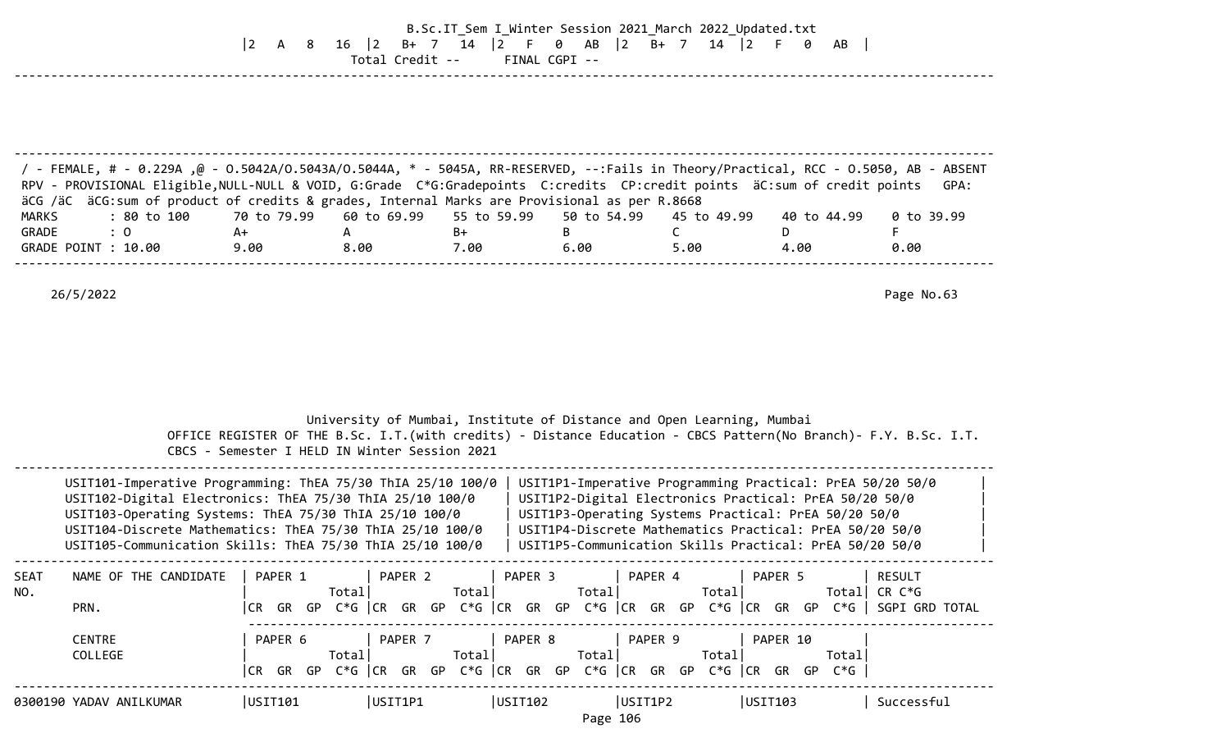## B.Sc.IT\_Sem I\_Winter Session 2021\_March 2022\_Updated.txt |2 A 8 16 |2 B+ 7 14 |2 F 0 AB |2 B+ 7 14 |2 F 0 AB | Total Credit -- FINAL CGPI --

| / - FEMALE, # - 0.229A ,@ - 0.5042A/0.5043A/0.5044A, * - 5045A, RR-RESERVED, --:Fails in Theory/Practical, RCC - 0.5050, AB - ABSENT<br>RPV - PROVISIONAL Eligible, NULL-NULL & VOID, G:Grade C*G:Gradepoints C:credits CP:credit points äC:sum of credit points GPA: |      |      |      |      |      |             |            |
|-----------------------------------------------------------------------------------------------------------------------------------------------------------------------------------------------------------------------------------------------------------------------|------|------|------|------|------|-------------|------------|
| äCG /äC äCG:sum of product of credits & grades, Internal Marks are Provisional as per R.8668                                                                                                                                                                          |      |      |      |      |      |             |            |
| : 80 to 100      70 to 79.99    60 to 69.99    55 to 59.99    50 to 54.99    45 to 49.99<br>MARKS                                                                                                                                                                     |      |      |      |      |      | 40 to 44.99 | 0 to 39.99 |
| GRADE<br>$\therefore$ 0                                                                                                                                                                                                                                               | A+   |      | B+   |      |      |             |            |
| GRADE POINT : 10.00                                                                                                                                                                                                                                                   | 9.00 | 8.00 | 7.00 | 6.00 | 5.00 | 4.00        | 0.00       |
|                                                                                                                                                                                                                                                                       |      |      |      |      |      |             |            |

--------------------------------------------------------------------------------------------------------------------------------------

|                    |                                                                                                                                                                                                                                                                                                             | CBCS - Semester I HELD IN Winter Session 2021 |                  |                     | University of Mumbai, Institute of Distance and Open Learning, Mumbai<br>OFFICE REGISTER OF THE B.Sc. I.T. (with credits) - Distance Education - CBCS Pattern (No Branch) - F.Y. B.Sc. I.T.                                                                                                       |                    |                         |
|--------------------|-------------------------------------------------------------------------------------------------------------------------------------------------------------------------------------------------------------------------------------------------------------------------------------------------------------|-----------------------------------------------|------------------|---------------------|---------------------------------------------------------------------------------------------------------------------------------------------------------------------------------------------------------------------------------------------------------------------------------------------------|--------------------|-------------------------|
|                    | USIT101-Imperative Programming: ThEA 75/30 ThIA 25/10 100/0<br>USIT102-Digital Electronics: ThEA 75/30 ThIA 25/10 100/0<br>USIT103-Operating Systems: ThEA 75/30 ThIA 25/10 100/0<br>USIT104-Discrete Mathematics: ThEA 75/30 ThIA 25/10 100/0<br>USIT105-Communication Skills: ThEA 75/30 ThIA 25/10 100/0 |                                               |                  |                     | USIT1P1-Imperative Programming Practical: PrEA 50/20 50/0<br>USIT1P2-Digital Electronics Practical: PrEA 50/20 50/0<br>USIT1P3-Operating Systems Practical: PrEA 50/20 50/0<br>USIT1P4-Discrete Mathematics Practical: PrEA 50/20 50/0<br>USIT1P5-Communication Skills Practical: PrEA 50/20 50/0 |                    |                         |
| <b>SEAT</b><br>NO. | NAME OF THE CANDIDATE<br>PRN.                                                                                                                                                                                                                                                                               | PAPER 1<br>Totall                             | PAPER 2<br>Total | PAPER 3<br>Total    | PAPER 4<br>Total <br> CR GR GP C*G  CR GR GP C*G  CR GR GP C*G  CR GR GP C*G  CR GR GP C*G   SGPI GRD TOTAL                                                                                                                                                                                       | PAPER 5<br>Totall  | <b>RESULT</b><br>CR C*G |
|                    | <b>CENTRE</b><br>COLLEGE                                                                                                                                                                                                                                                                                    | PAPER 6<br>Total<br>CR                        | PAPER 7<br>Total | PAPER 8<br>Total    | PAPER 9<br>Totall<br>GR GP C*G CR GR GP C*G CR GR GP C*G CR GR GP C*G CR GR GP C*G $ $                                                                                                                                                                                                            | PAPER 10<br>Totall |                         |
|                    | 0300190 YADAV ANILKUMAR                                                                                                                                                                                                                                                                                     | USIT101                                       | USIT1P1          | USIT102<br>Page 106 | USIT1P2                                                                                                                                                                                                                                                                                           | USIT103            | Successful              |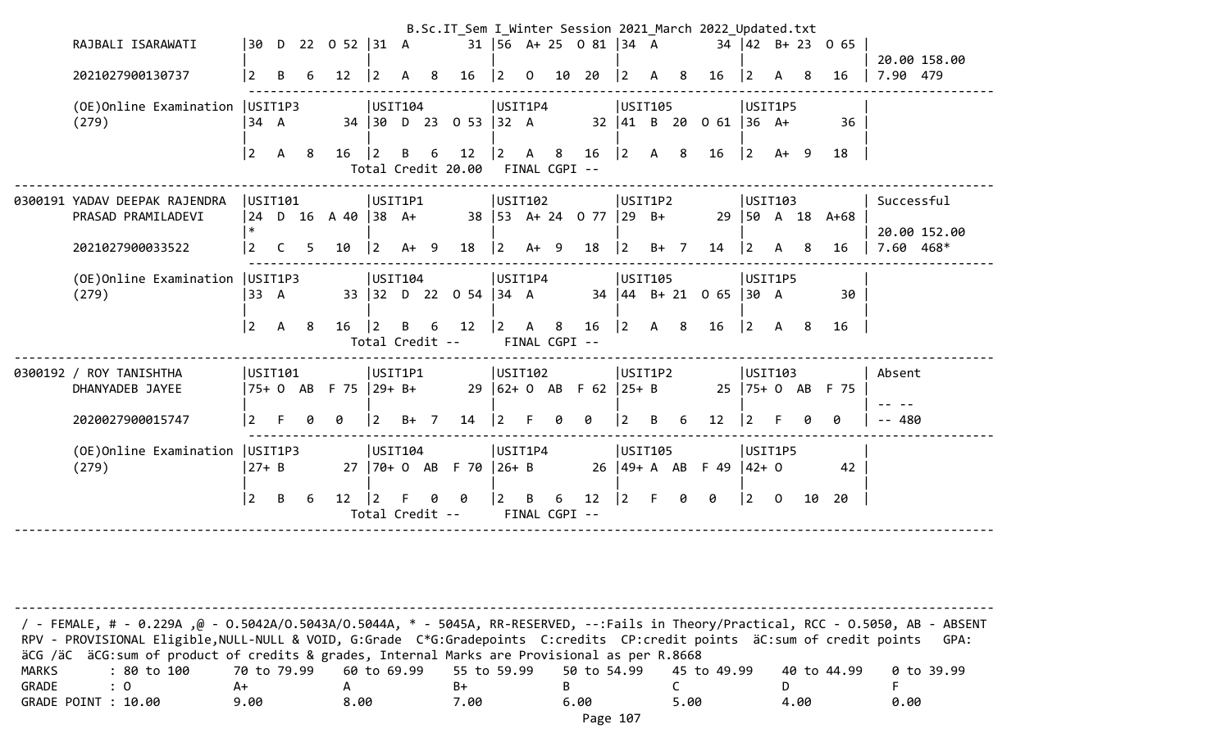|                                            |                |              |                |                               |                |                                            | B.Sc.IT_Sem I_Winter Session 2021_March 2022_Updated.txt |                |                |   |                            |             |                                           |   |                                 |                 |                |    |                                         |              |  |
|--------------------------------------------|----------------|--------------|----------------|-------------------------------|----------------|--------------------------------------------|----------------------------------------------------------|----------------|----------------|---|----------------------------|-------------|-------------------------------------------|---|---------------------------------|-----------------|----------------|----|-----------------------------------------|--------------|--|
| RAJBALI ISARAWATI                          |                |              |                | $ 30 \tD} 22 \tD} 52  31 \tA$ |                |                                            |                                                          |                |                |   | 31   56 A + 25 0 81   34 A |             |                                           |   |                                 |                 |                |    | $34 \mid 42 \mid B + 23 \mid 0 \mid 65$ |              |  |
|                                            |                |              |                |                               |                |                                            |                                                          |                |                |   |                            |             |                                           |   |                                 |                 |                |    |                                         | 20.00 158.00 |  |
| 2021027900130737                           | $\overline{2}$ | B            | 6              | 12                            | $\overline{2}$ | $\mathsf{A}$<br>8                          | 16                                                       | $\vert$ 2      | $\overline{0}$ |   | 10 20                      | $ 2\rangle$ | A 8                                       |   | 16                              | 2               | A              | -8 | 16                                      | 7.90 479     |  |
| (OE)Online Examination                     |                | USIT1P3      |                |                               |                | USIT104                                    |                                                          |                | USIT1P4        |   |                            |             | USIT105                                   |   |                                 | USIT1P5         |                |    |                                         |              |  |
| (279)                                      | 34 A           |              |                |                               |                |                                            | 34 30 D 23 0 53 32 A                                     |                |                |   |                            |             |                                           |   | 32   41   B   20   0 61   36 A+ |                 |                |    | 36                                      |              |  |
|                                            |                |              |                |                               |                |                                            |                                                          |                |                |   |                            |             |                                           |   |                                 |                 |                |    |                                         |              |  |
|                                            | $\overline{2}$ |              | A 8            | $16 \mid 2$                   |                | B                                          | 12<br>6                                                  | 2              | $\mathsf{A}$   | 8 | 16                         |             | $\begin{vmatrix} 2 & A & 8 \end{vmatrix}$ |   | 16                              | $ 2\rangle$     | $A+ 9$         |    | 18                                      |              |  |
|                                            |                |              |                |                               |                |                                            | Total Credit 20.00                                       |                | FINAL CGPI --  |   |                            |             |                                           |   |                                 |                 |                |    |                                         |              |  |
| 0300191 YADAV DEEPAK RAJENDRA              | USIT101        |              |                |                               |                | USIT1P1                                    |                                                          |                | USIT102        |   |                            |             | USIT1P2                                   |   |                                 | USIT103         |                |    |                                         | Successful   |  |
| PRASAD PRAMILADEVI                         |                |              |                | $24$ D 16 A 40 38 A+          |                |                                            | 38 53 A+ 24 0 77                                         |                |                |   |                            |             | $ 29 \text{ B+}$                          |   |                                 |                 |                |    | 29 50 A 18 A+68                         |              |  |
|                                            | $\ast$         |              |                |                               |                |                                            |                                                          |                |                |   |                            |             |                                           |   |                                 |                 |                |    |                                         | 20.00 152.00 |  |
| 2021027900033522                           | $\overline{2}$ |              | C <sub>5</sub> | 10                            |                | $\begin{vmatrix} 2 & A+ & 9 \end{vmatrix}$ | 18                                                       | $ 2\rangle$    | $A+ 9$         |   | 18                         | $\vert$ 2   | $B+$ 7                                    |   | 14                              | $ 2\rangle$     | A              | -8 | 16                                      | 7.60 468*    |  |
| (OE) Online Examination   USIT1P3          |                |              |                |                               |                | USIT104                                    |                                                          |                | USIT1P4        |   |                            |             | USIT105                                   |   |                                 | USIT1P5         |                |    |                                         |              |  |
| (279)                                      | 33 A           |              |                |                               |                |                                            | 33 32 D 22 0 54 34 A                                     |                |                |   |                            |             |                                           |   | 34 44 B+ 21 0 65                | 30 A            |                |    | 30                                      |              |  |
|                                            |                |              |                |                               |                |                                            |                                                          |                |                |   |                            |             |                                           |   |                                 |                 |                |    |                                         |              |  |
|                                            | $\overline{2}$ | $\mathsf{A}$ | 8 <sup>8</sup> | 16                            | $\overline{2}$ | B                                          | 12<br>6                                                  | 2              | A 8            |   | 16                         | $ 2\rangle$ | A 8                                       |   | 16                              | $ 2\rangle$     | A 8            |    | 16                                      |              |  |
|                                            |                |              |                |                               |                |                                            | Total Credit --                                          |                | FINAL CGPI --  |   |                            |             |                                           |   |                                 |                 |                |    |                                         |              |  |
| 0300192 / ROY TANISHTHA                    | USIT101        |              |                |                               |                | USIT1P1                                    |                                                          |                | USIT102        |   |                            |             | USIT1P2                                   |   |                                 | USIT103         |                |    |                                         | Absent       |  |
| DHANYADEB JAYEE                            |                |              |                | $75+0$ AB F 75 $ 29+ B+$      |                |                                            |                                                          |                |                |   | 29 62+ 0 AB F 62 25+ B     |             |                                           |   |                                 |                 |                |    | 25   75+ 0 AB F 75                      |              |  |
|                                            |                |              |                |                               |                |                                            |                                                          |                |                |   |                            |             |                                           |   |                                 |                 |                |    |                                         |              |  |
| 2020027900015747                           | $\overline{2}$ | F.           | 0              | 0                             | $\vert$ 2      | $B+ 7$                                     | 14                                                       | $\overline{2}$ | F              | 0 | 0                          | l 2.        | B                                         | 6 | 12                              | I 2             |                | ø  | 0                                       | $-- 480$     |  |
|                                            |                |              |                |                               |                | USIT104                                    |                                                          |                | USIT1P4        |   |                            |             |                                           |   |                                 |                 |                |    |                                         |              |  |
| (OE) Online Examination   USIT1P3<br>(279) | $27 + B$       |              |                |                               |                |                                            | 27   70 + 0 AB F 70   26 + B                             |                |                |   |                            |             | USIT105                                   |   | $26$ $ 49+ A$ AB F 49 $ 42+ 0$  | USIT1P5         |                |    | 42                                      |              |  |
|                                            |                |              |                |                               |                |                                            |                                                          |                |                |   |                            |             |                                           |   |                                 |                 |                |    |                                         |              |  |
|                                            | $ 2\rangle$    | B            | 6              | $12 \mid 2$                   |                | E.                                         | - 0<br>Ø                                                 | 2              | B              | 6 | 12                         | $ 2\rangle$ | E.                                        | 0 | 0                               | $\vert 2 \vert$ | $\overline{0}$ | 10 | 20                                      |              |  |
|                                            |                |              |                |                               |                | Total Credit --                            |                                                          |                | FINAL CGPI --  |   |                            |             |                                           |   |                                 |                 |                |    |                                         |              |  |
|                                            |                |              |                |                               |                |                                            |                                                          |                |                |   |                            |             |                                           |   |                                 |                 |                |    |                                         |              |  |

-------------------------------------------------------------------------------------------------------------------------------------- / - FEMALE, # - 0.229A ,@ - O.5042A/O.5043A/O.5044A, \* - 5045A, RR-RESERVED, --:Fails in Theory/Practical, RCC - O.5050, AB - ABSENT RPV - PROVISIONAL Eligible, NULL-NULL & VOID, G:Grade C\*G:Gradepoints C:credits CP:credit points äC:sum of credit points GPA: äCG /äC äCG:sum of product of credits & grades, Internal Marks are Provisional as per R.8668 MARKS : 80 to 100 70 to 79.99 60 to 69.99 55 to 59.99 50 to 54.99 45 to 49.99 40 to 44.99 0 to 39.99 GRADE : 0 A+ A B+ B C D F GRADE POINT : 10.00 9.00 8.00 7.00 6.00 5.00 4.00 0.00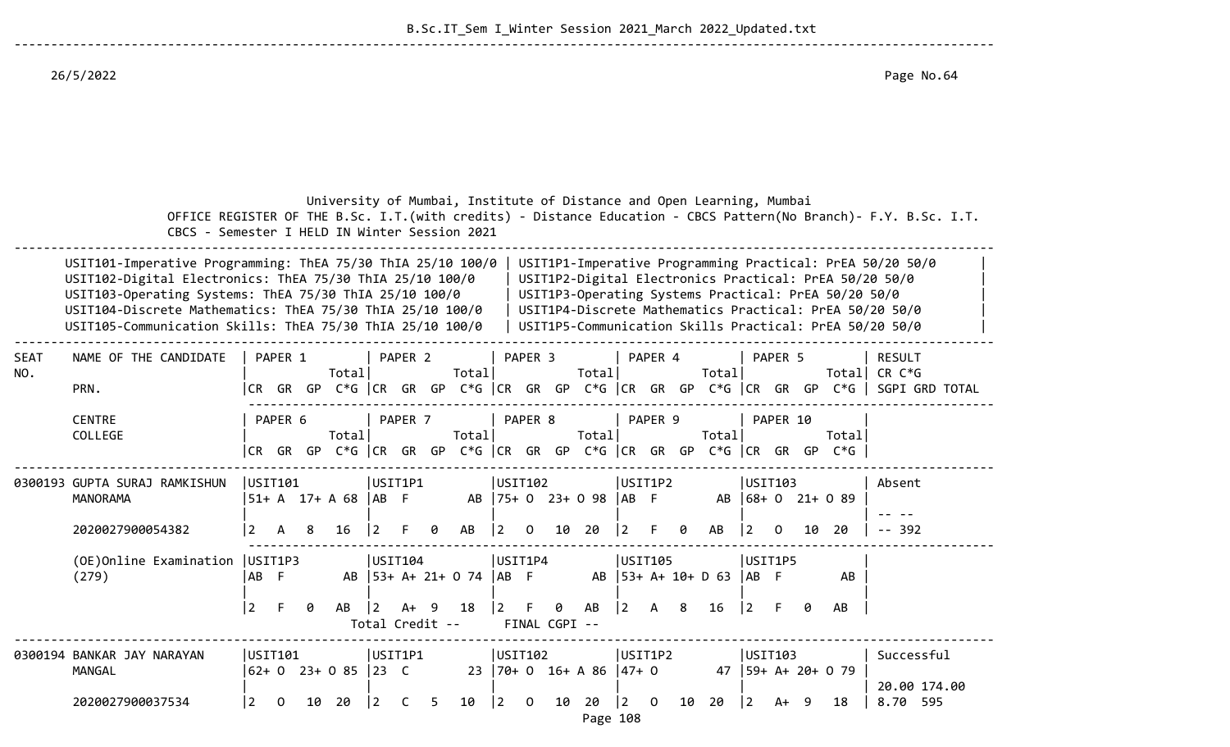26/5/2022 Page No.64

|                    | CBCS - Semester I HELD IN Winter Session 2021                                                                                                                                                                                                                                                                                                                                                                                                                                                                                                                                                                    |                                   |         |    | University of Mumbai, Institute of Distance and Open Learning, Mumbai        |                          |                    |                 |                                   |                        |                    |               |                           |                 |                |    |                           |                         |                    |    |                        | OFFICE REGISTER OF THE B.Sc. I.T. (with credits) - Distance Education - CBCS Pattern (No Branch) - F.Y. B.Sc. I.T.      |
|--------------------|------------------------------------------------------------------------------------------------------------------------------------------------------------------------------------------------------------------------------------------------------------------------------------------------------------------------------------------------------------------------------------------------------------------------------------------------------------------------------------------------------------------------------------------------------------------------------------------------------------------|-----------------------------------|---------|----|------------------------------------------------------------------------------|--------------------------|--------------------|-----------------|-----------------------------------|------------------------|--------------------|---------------|---------------------------|-----------------|----------------|----|---------------------------|-------------------------|--------------------|----|------------------------|-------------------------------------------------------------------------------------------------------------------------|
|                    | USIT1P1-Imperative Programming Practical: PrEA 50/20 50/0<br>USIT101-Imperative Programming: ThEA 75/30 ThIA 25/10 100/0<br>USIT102-Digital Electronics: ThEA 75/30 ThIA 25/10 100/0<br>USIT1P2-Digital Electronics Practical: PrEA 50/20 50/0<br>USIT103-Operating Systems: ThEA 75/30 ThIA 25/10 100/0<br>USIT1P3-Operating Systems Practical: PrEA 50/20 50/0<br>USIT104-Discrete Mathematics: ThEA 75/30 ThIA 25/10 100/0<br>USIT1P4-Discrete Mathematics Practical: PrEA 50/20 50/0<br>USIT105-Communication Skills: ThEA 75/30 ThIA 25/10 100/0<br>USIT1P5-Communication Skills Practical: PrEA 50/20 50/0 |                                   |         |    |                                                                              |                          |                    |                 |                                   |                        |                    |               |                           |                 |                |    |                           |                         |                    |    |                        |                                                                                                                         |
| <b>SEAT</b><br>NO. | NAME OF THE CANDIDATE<br>PRN.                                                                                                                                                                                                                                                                                                                                                                                                                                                                                                                                                                                    |                                   | PAPER 1 |    | Total                                                                        |                          | PAPER <sub>2</sub> |                 | Total                             |                        | PAPER <sub>3</sub> |               | Total                     |                 | PAPER 4        |    | Total                     |                         | PAPER <sub>5</sub> |    |                        | <b>RESULT</b><br>Total CR C*G<br> CR GR GP C*G  CR GR GP C*G  CR GR GP C*G  CR GR GP C*G  CR GR GP C*G   SGPI GRD TOTAL |
|                    | <b>CENTRE</b><br>COLLEGE                                                                                                                                                                                                                                                                                                                                                                                                                                                                                                                                                                                         | I CR –                            | PAPER 6 |    | Total<br>GR GP C*G CR GR GP C*G CR GR GP C*G CR GR GP C*G CR GR GP C*G CR GR |                          | PAPER 7            |                 | Total                             |                        | PAPER 8            |               | Total                     |                 | PAPER 9        |    | Totall                    |                         | PAPER 10           | GP | Total<br>$C*G$         |                                                                                                                         |
|                    | 0300193 GUPTA SURAJ RAMKISHUN<br><b>MANORAMA</b><br>2020027900054382                                                                                                                                                                                                                                                                                                                                                                                                                                                                                                                                             | USIT101<br>2                      | A       | 8  | 51+ A 17+ A 68  AB F<br>16                                                   | USIT1P1                  |                    | ø               | AB                                | USIT102                | ∩                  | 10            | AB   75+ 0 23+ 0 98<br>20 | AB              | USIT1P2        | ø  | AB<br>AB                  |                         | USIT103            | 10 | $ 68+0 21+ 0 89$<br>20 | Absent<br>-- 392                                                                                                        |
|                    | (OE)Online Examination<br>(279)                                                                                                                                                                                                                                                                                                                                                                                                                                                                                                                                                                                  | USIT1P3<br>AB F<br>$\overline{2}$ | F       | 0  | AB                                                                           | USTI04<br>$\overline{2}$ | A+ 9               |                 | AB   53+ A+ 21+ 0 74   AB F<br>18 | USIT1P4<br>$ 2\rangle$ | -F                 | 0             | AB<br>AB                  | $\vert 2 \vert$ | USIT105<br>A   | -8 | $ 53+ A+ 10+ D 63 $<br>16 | USIT1P5<br>IAB F<br>12. |                    | ø  | AB<br>AB               |                                                                                                                         |
|                    | 0300194 BANKAR JAY NARAYAN<br>MANGAL                                                                                                                                                                                                                                                                                                                                                                                                                                                                                                                                                                             | USIT101                           |         |    | $\begin{vmatrix} 62 + 0 & 23 + 0 & 85 & 23 & C \end{vmatrix}$                | USIT1P1                  |                    | Total Credit -- |                                   | USTI102                |                    | FINAL CGPI -- | $23 \mid 70 + 0$ 16+ A 86 | $ 47+0$         | USIT1P2        |    | 47                        | USIT103                 |                    |    | $ 59+ A+ 20+ 0 79$     | Successful<br>20.00 174.00                                                                                              |
|                    | 2020027900037534                                                                                                                                                                                                                                                                                                                                                                                                                                                                                                                                                                                                 | 2                                 | 0       | 10 | 20                                                                           |                          |                    | 5               | 10                                | 2                      | $\Omega$           | 10            | 20<br>Page 108            | $\overline{2}$  | $\overline{0}$ | 10 | 20                        | l 2                     | A+                 |    | 18                     | 8.70 595                                                                                                                |

--------------------------------------------------------------------------------------------------------------------------------------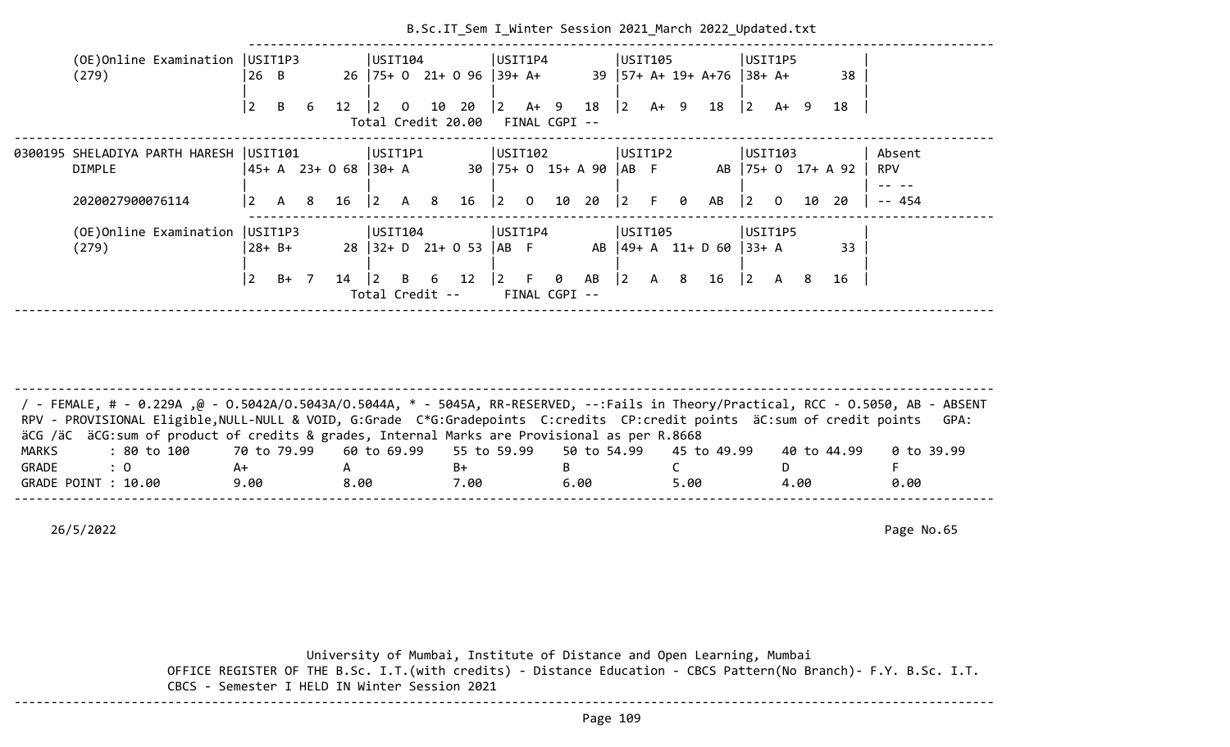| (OE) Online Examination   USIT1P3<br>USIT104<br>USIT1P4<br>USIT105<br>USIT1P5<br>26 B<br>$26$  75+ 0 21+ 0 96  39+ A+<br>39   57+ A+ 19+ A+76   38+ A+<br>38<br>(279)<br>10 20<br>$\begin{vmatrix} 2 & 4 & 9 & 18 \end{vmatrix}$ 2<br>B<br>18<br>$\overline{2}$<br>A+ 9<br> 2 <br>12<br>$\mathbf{0}$<br>A+ 9<br>18<br>6<br>$\overline{2}$<br>Total Credit 20.00 FINAL CGPI --<br> UST1P1<br>USIT102<br>0300195 SHELADIYA PARTH HARESH  USIT101<br>USIT1P2<br>USIT103<br>Absent<br> 45+ A 23+ O 68  30+ A<br>30   75+ 0 15+ A 90   AB F<br>AB   75+ 0 17+ A 92<br>DIMPLE<br><b>RPV</b><br>F 0<br>$16 \quad  2 \quad 0$<br>10 20<br>$ 2\rangle$<br>A 8 16<br>$ 2\rangle$<br>AB<br>$\begin{vmatrix} 2 & 0 \end{vmatrix}$<br>$- - 454$<br>2020027900076114<br>A 8<br>20<br>10<br>l 2<br>(OE)Online Examination<br>USIT1P3<br>USIT104<br>USIT1P4<br>USIT105<br>USIT1P5<br>$28$ $ 32 + D$ $21 + O$ 53<br>AB   49+ A 11+ D 60   33+ A<br>33<br>$28 + B +$<br>IAB F<br>(279)<br>$\overline{2}$<br>B 6 12<br>$\vert 2 \vert$ F<br>$B+ 7$<br>0<br>AB<br>$ 2\rangle$<br>A 8<br>16<br>$\begin{vmatrix} 2 & A \end{vmatrix}$<br>16<br>14<br>8<br>$\overline{2}$ |  |  |  |  |  |  |  |  | B.Sc.IT Sem I Winter Session 2021 March 2022 Updated.txt |  |  |  |
|----------------------------------------------------------------------------------------------------------------------------------------------------------------------------------------------------------------------------------------------------------------------------------------------------------------------------------------------------------------------------------------------------------------------------------------------------------------------------------------------------------------------------------------------------------------------------------------------------------------------------------------------------------------------------------------------------------------------------------------------------------------------------------------------------------------------------------------------------------------------------------------------------------------------------------------------------------------------------------------------------------------------------------------------------------------------------------------------------------------------------------------------------|--|--|--|--|--|--|--|--|----------------------------------------------------------|--|--|--|
|                                                                                                                                                                                                                                                                                                                                                                                                                                                                                                                                                                                                                                                                                                                                                                                                                                                                                                                                                                                                                                                                                                                                                    |  |  |  |  |  |  |  |  |                                                          |  |  |  |
|                                                                                                                                                                                                                                                                                                                                                                                                                                                                                                                                                                                                                                                                                                                                                                                                                                                                                                                                                                                                                                                                                                                                                    |  |  |  |  |  |  |  |  |                                                          |  |  |  |
|                                                                                                                                                                                                                                                                                                                                                                                                                                                                                                                                                                                                                                                                                                                                                                                                                                                                                                                                                                                                                                                                                                                                                    |  |  |  |  |  |  |  |  |                                                          |  |  |  |
|                                                                                                                                                                                                                                                                                                                                                                                                                                                                                                                                                                                                                                                                                                                                                                                                                                                                                                                                                                                                                                                                                                                                                    |  |  |  |  |  |  |  |  |                                                          |  |  |  |
|                                                                                                                                                                                                                                                                                                                                                                                                                                                                                                                                                                                                                                                                                                                                                                                                                                                                                                                                                                                                                                                                                                                                                    |  |  |  |  |  |  |  |  |                                                          |  |  |  |
|                                                                                                                                                                                                                                                                                                                                                                                                                                                                                                                                                                                                                                                                                                                                                                                                                                                                                                                                                                                                                                                                                                                                                    |  |  |  |  |  |  |  |  |                                                          |  |  |  |
|                                                                                                                                                                                                                                                                                                                                                                                                                                                                                                                                                                                                                                                                                                                                                                                                                                                                                                                                                                                                                                                                                                                                                    |  |  |  |  |  |  |  |  |                                                          |  |  |  |
|                                                                                                                                                                                                                                                                                                                                                                                                                                                                                                                                                                                                                                                                                                                                                                                                                                                                                                                                                                                                                                                                                                                                                    |  |  |  |  |  |  |  |  |                                                          |  |  |  |
| Total Credit --<br>FINAL CGPI --                                                                                                                                                                                                                                                                                                                                                                                                                                                                                                                                                                                                                                                                                                                                                                                                                                                                                                                                                                                                                                                                                                                   |  |  |  |  |  |  |  |  |                                                          |  |  |  |

|                     | / - FEMALE, # - 0.229A ,@ - 0.5042A/0.5043A/0.5044A, * - 5045A, RR-RESERVED, --:Fails in Theory/Practical, RCC - 0.5050, AB - ABSENT<br>RPV - PROVISIONAL Eligible, NULL-NULL & VOID, G:Grade C*G:Gradepoints C:credits CP:credit points äC:sum of credit points<br>GPA:<br>äCG /äC äCG:sum of product of credits & grades, Internal Marks are Provisional as per R.8668<br>: 80 to 100    70 to 79.99   60 to 69.99   55 to 59.99   50 to 54.99   45 to 49.99<br>0 to 39.99<br>40 to 44.99<br>$\therefore$ 0<br>B+<br>A+<br>9.00<br>5.00<br>8.00<br>6.00<br>0.00<br>7.00<br>4.00 |  |  |  |  |
|---------------------|-----------------------------------------------------------------------------------------------------------------------------------------------------------------------------------------------------------------------------------------------------------------------------------------------------------------------------------------------------------------------------------------------------------------------------------------------------------------------------------------------------------------------------------------------------------------------------------|--|--|--|--|
| MARKS               |                                                                                                                                                                                                                                                                                                                                                                                                                                                                                                                                                                                   |  |  |  |  |
| GRADE               |                                                                                                                                                                                                                                                                                                                                                                                                                                                                                                                                                                                   |  |  |  |  |
| GRADE POINT : 10.00 |                                                                                                                                                                                                                                                                                                                                                                                                                                                                                                                                                                                   |  |  |  |  |
|                     |                                                                                                                                                                                                                                                                                                                                                                                                                                                                                                                                                                                   |  |  |  |  |

26/5/2022 Page No.65

 University of Mumbai, Institute of Distance and Open Learning, Mumbai OFFICE REGISTER OF THE B.Sc. I.T.(with credits) - Distance Education - CBCS Pattern(No Branch)- F.Y. B.Sc. I.T. CBCS - Semester I HELD IN Winter Session 2021 --------------------------------------------------------------------------------------------------------------------------------------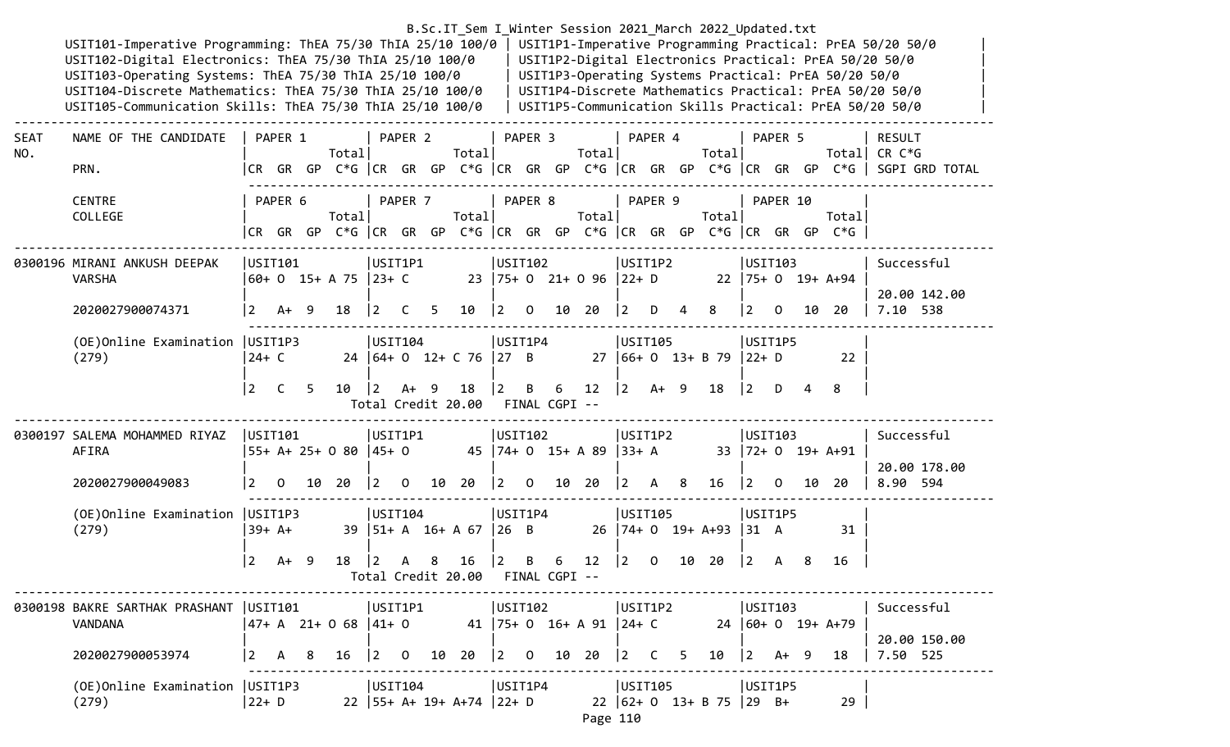## B.Sc.IT\_Sem I\_Winter Session 2021\_March 2022\_Updated.txt

USIT101-Imperative Programming: ThEA 75/30 ThIA 25/10 100/0 | USIT1P1-Imperative Programming Practical: PrEA 50/20 50/0<br>USIT102-Digital Electronics: ThEA 75/30 ThIA 25/10 100/0 | USIT1P2-Digital Electronics Practical: PrEA USIT102-Digital Electronics: ThEA 75/30 ThIA 25/10 100/0 USIT103-Operating Systems: ThEA 75/30 ThIA 25/10 100/0 | USIT1P3-Operating Systems Practical: PrEA 50/20 50/0 USIT104-Discrete Mathematics: ThEA 75/30 ThIA 25/10 100/0 | USIT1P4-Discrete Mathematics Practical: PrEA 50/20 50/0 USIT105-Communication Skills: ThEA 75/30 ThIA 25/10 100/0 | USIT1P5-Communication Skills Practical: PrEA 50/20 50/0

| <b>SEAT</b><br>NO. | NAME OF THE CANDIDATE                                         |                                           | PAPER 1 | PAPER 2                 PAPER 3               PAPER 4             PAPER 5<br>Totall                 |  |                                       |  | Total rotal Total                            |                                           |  | Totall                                                       |          |  |                                                                      | RESULT<br>Totall CR C*G                                                             |                                                                                       |
|--------------------|---------------------------------------------------------------|-------------------------------------------|---------|-----------------------------------------------------------------------------------------------------|--|---------------------------------------|--|----------------------------------------------|-------------------------------------------|--|--------------------------------------------------------------|----------|--|----------------------------------------------------------------------|-------------------------------------------------------------------------------------|---------------------------------------------------------------------------------------|
|                    | PRN.                                                          |                                           |         |                                                                                                     |  |                                       |  |                                              |                                           |  |                                                              |          |  |                                                                      |                                                                                     | CR GR GP C*G  CR GR GP C*G  CR GR GP C*G  CR GR GP C*G  CR GR GP C*G   SGPI GRD TOTAL |
|                    |                                                               |                                           |         |                                                                                                     |  |                                       |  |                                              |                                           |  |                                                              |          |  |                                                                      |                                                                                     |                                                                                       |
|                    | <b>CENTRE</b>                                                 |                                           | PAPER 6 |                                                                                                     |  |                                       |  | PAPER 7   PAPER 8   PAPER 9                  |                                           |  |                                                              | PAPER 10 |  |                                                                      |                                                                                     |                                                                                       |
|                    | COLLEGE                                                       |                                           |         | Totall                                                                                              |  | Total                                 |  | Total                                        |                                           |  | Totall                                                       |          |  | Totall                                                               |                                                                                     |                                                                                       |
|                    |                                                               |                                           |         |                                                                                                     |  |                                       |  |                                              |                                           |  |                                                              |          |  | CR GR GP C*G  CR GR GP C*G  CR GR GP C*G  CR GR GP C*G  CR GR GP C*G |                                                                                     |                                                                                       |
|                    | 0300196 MIRANI ANKUSH DEEPAK                                  |                                           |         | USIT101  USIT1P1                                                                                    |  |                                       |  |                                              |                                           |  |                                                              | USIT103  |  |                                                                      | Successful                                                                          |                                                                                       |
|                    | <b>VARSHA</b>                                                 |                                           |         | 60+ 0 15+ A 75  23+ C 23  75+ 0 21+ 0 96  22+ D 22  75+ 0 19+ A+94                                  |  |                                       |  |                                              |                                           |  |                                                              |          |  |                                                                      |                                                                                     |                                                                                       |
|                    |                                                               |                                           |         |                                                                                                     |  |                                       |  |                                              |                                           |  |                                                              |          |  |                                                                      |                                                                                     | 20.00 142.00                                                                          |
|                    | 2020027900074371                                              | $ 2 + 9 $                                 |         |                                                                                                     |  | 18   2   2   5   10   2   0   10   20 |  |                                              |                                           |  | $\begin{array}{ccccccccc} 2 & D & 4 & 8 & 2 & 0 \end{array}$ |          |  | 10 20                                                                | 7.10 538                                                                            |                                                                                       |
|                    | (OE)Online Examination   USIT1P3                              |                                           |         |                                                                                                     |  |                                       |  | USIT105                                      |                                           |  |                                                              | USIT1P5  |  |                                                                      |                                                                                     |                                                                                       |
|                    | (279)                                                         | $ 24+C$                                   |         | 24   64+ 0 12+ C 76   27 B 27   66+ 0 13+ B 79   22+ D                                              |  |                                       |  |                                              |                                           |  |                                                              |          |  | $\overline{\phantom{2}}$ 22                                          |                                                                                     |                                                                                       |
|                    |                                                               |                                           |         |                                                                                                     |  |                                       |  |                                              |                                           |  |                                                              |          |  |                                                                      |                                                                                     |                                                                                       |
|                    |                                                               |                                           |         | 2 C 5 10  2 A + 9 18  2 B 6 12  2 A + 9 18  2 D 4 8                                                 |  |                                       |  |                                              |                                           |  |                                                              |          |  |                                                                      |                                                                                     |                                                                                       |
|                    |                                                               |                                           |         |                                                                                                     |  | Total Credit 20.00 FINAL CGPI --      |  |                                              |                                           |  |                                                              |          |  |                                                                      |                                                                                     |                                                                                       |
|                    |                                                               |                                           |         |                                                                                                     |  |                                       |  |                                              |                                           |  |                                                              |          |  |                                                                      |                                                                                     |                                                                                       |
|                    | 0300197 SALEMA MOHAMMED RIYAZ  USIT101  USIT1P1  USIT102      |                                           |         |                                                                                                     |  |                                       |  |                                              |                                           |  |                                                              |          |  | USIT103                                                              | Successful                                                                          |                                                                                       |
|                    | AFIRA                                                         |                                           |         | <br>55+ A+ 25+ 0 80  45+ 0               45  74+ 0   15+ A 89  33+ A           33  72+ 0   19+ A+91 |  |                                       |  | USIT1P2                                      |                                           |  |                                                              |          |  |                                                                      |                                                                                     |                                                                                       |
|                    |                                                               |                                           |         |                                                                                                     |  |                                       |  |                                              |                                           |  |                                                              |          |  |                                                                      |                                                                                     | 20.00 178.00                                                                          |
|                    | 2020027900049083                                              |                                           |         |                                                                                                     |  |                                       |  |                                              |                                           |  |                                                              |          |  |                                                                      | 2  0  10  20   2  0  10  20   2  0  10  20   2  A  8  16   2  0  10  20   8.90  594 |                                                                                       |
|                    | (OE)Online Examination   USIT1P3                              |                                           |         |                                                                                                     |  |                                       |  |                                              |                                           |  |                                                              | USIT1P5  |  |                                                                      |                                                                                     |                                                                                       |
|                    | (279)                                                         |                                           |         |                                                                                                     |  |                                       |  |                                              |                                           |  |                                                              |          |  | 31                                                                   |                                                                                     |                                                                                       |
|                    |                                                               |                                           |         |                                                                                                     |  |                                       |  |                                              |                                           |  |                                                              |          |  |                                                                      |                                                                                     |                                                                                       |
|                    |                                                               | $12 \tA+ 9$                               |         |                                                                                                     |  |                                       |  | 18   2 A 8 16   2 B 6 12   2 0 10 20   2 A 8 |                                           |  |                                                              |          |  | -16                                                                  |                                                                                     |                                                                                       |
|                    |                                                               |                                           |         |                                                                                                     |  | Total Credit 20.00 FINAL CGPI --      |  |                                              |                                           |  |                                                              |          |  |                                                                      |                                                                                     |                                                                                       |
|                    | 0300198 BAKRE SARTHAK PRASHANT   USIT101   USIT1P1   USIT102  |                                           |         |                                                                                                     |  |                                       |  |                                              | USIT1P2                                   |  |                                                              |          |  |                                                                      | USIT103   Successful                                                                |                                                                                       |
|                    | VANDANA                                                       |                                           |         | $ 47+ A \t21+ 0 \t68  41+ 0$ 41  75+ 0 16+ A 91  24+ C 24  60+ 0 19+ A+79                           |  |                                       |  |                                              |                                           |  |                                                              |          |  |                                                                      |                                                                                     |                                                                                       |
|                    |                                                               |                                           |         |                                                                                                     |  |                                       |  |                                              |                                           |  |                                                              |          |  |                                                                      |                                                                                     | 20.00 150.00                                                                          |
|                    | 2020027900053974                                              | $\begin{vmatrix} 2 & A & B \end{vmatrix}$ |         |                                                                                                     |  | 16   2 0 10 20   2 0 10 20            |  |                                              | $\begin{bmatrix} 2 & C & 5 \end{bmatrix}$ |  | $10 \t 2 + 9$                                                |          |  | 18                                                                   | 7.50 525                                                                            |                                                                                       |
|                    |                                                               |                                           |         |                                                                                                     |  |                                       |  |                                              |                                           |  |                                                              |          |  |                                                                      |                                                                                     |                                                                                       |
|                    | (OE)Online Examination   USIT1P3   USIT104   USIT1P4<br>(279) |                                           |         |                                                                                                     |  |                                       |  | USIT105                                      |                                           |  |                                                              | USIT1P5  |  | 29                                                                   |                                                                                     |                                                                                       |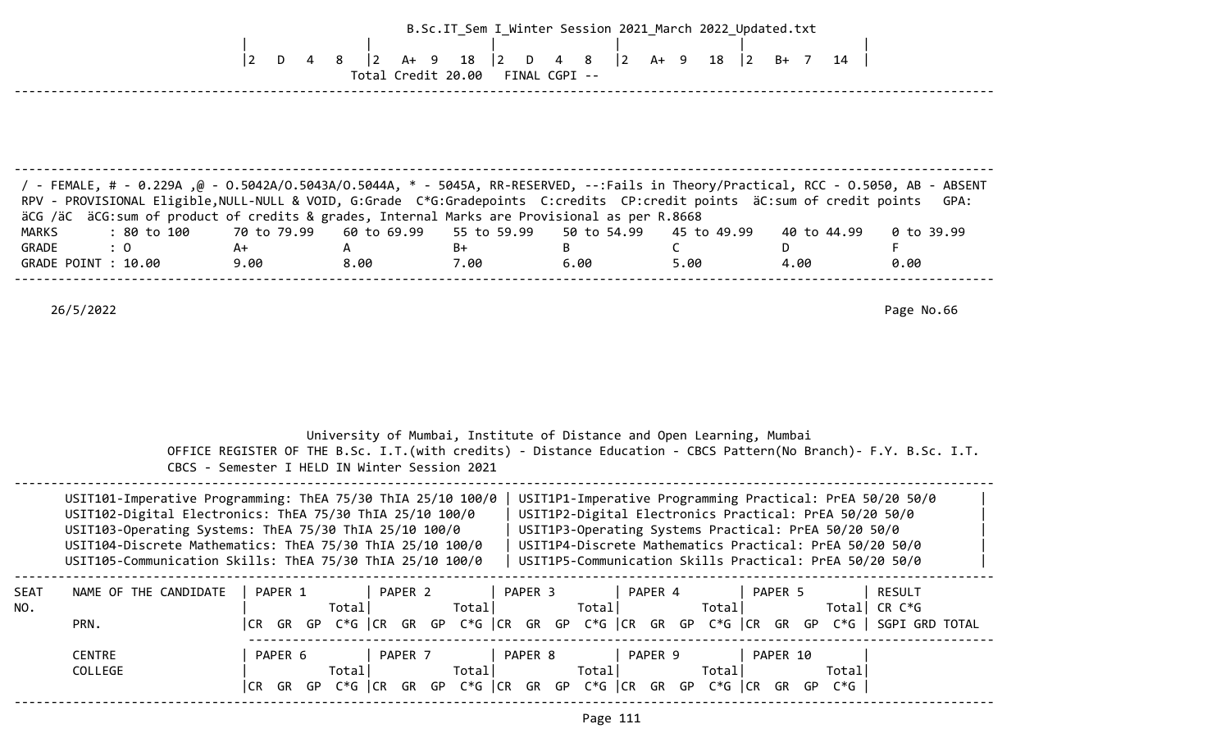|                              |                                                                                                                                                                                                                                                                                                                                                                               |                       |                                               |                                                    | B.Sc.IT_Sem I_Winter Session 2021_March 2022_Updated.txt                                                                                                                                                                                                                                          |                                                |             |                    |
|------------------------------|-------------------------------------------------------------------------------------------------------------------------------------------------------------------------------------------------------------------------------------------------------------------------------------------------------------------------------------------------------------------------------|-----------------------|-----------------------------------------------|----------------------------------------------------|---------------------------------------------------------------------------------------------------------------------------------------------------------------------------------------------------------------------------------------------------------------------------------------------------|------------------------------------------------|-------------|--------------------|
|                              |                                                                                                                                                                                                                                                                                                                                                                               | $ 2\rangle$<br>D<br>4 | $ 2\rangle$<br>$A+ 9$                         | 18<br> 2 <br>D<br>Total Credit 20.00 FINAL CGPI -- | 8                                                                                                                                                                                                                                                                                                 | $\begin{vmatrix} 2 & 4 & 9 & 18 \end{vmatrix}$ | B+ 7 14     |                    |
| MARKS                        | FemALE, # - 0.229A ,@ - 0.5042A/O.5043A/O.5044A, * - 5045A, RR-RESERVED, --:Fails in Theory/Practical, RCC - 0.5050, AB - ABSENT /<br>RPV - PROVISIONAL Eligible, NULL-NULL & VOID, G:Grade C*G:Gradepoints C:credits CP:credit points äC:sum of credit points<br>äCG /äC äCG:sum of product of credits & grades, Internal Marks are Provisional as per R.8668<br>: 80 to 100 | 70 to 79.99           | 60 to 69.99                                   | 55 to 59.99                                        | 50 to 54.99                                                                                                                                                                                                                                                                                       | 45 to 49.99                                    | 40 to 44.99 | GPA:<br>0 to 39.99 |
| GRADE<br>GRADE POINT : 10.00 | : 0                                                                                                                                                                                                                                                                                                                                                                           | A+<br>9.00            | A<br>8.00                                     | $B+$<br>7.00                                       | B<br>6.00                                                                                                                                                                                                                                                                                         | C.<br>5.00                                     | D.<br>4.00  | F.<br>0.00         |
|                              |                                                                                                                                                                                                                                                                                                                                                                               |                       | CBCS - Semester I HELD IN Winter Session 2021 |                                                    | University of Mumbai, Institute of Distance and Open Learning, Mumbai<br>OFFICE REGISTER OF THE B.Sc. I.T.(with credits) - Distance Education - CBCS Pattern(No Branch)- F.Y. B.Sc. I.T.                                                                                                          |                                                |             |                    |
|                              | USIT101-Imperative Programming: ThEA 75/30 ThIA 25/10 100/0<br>USIT102-Digital Electronics: ThEA 75/30 ThIA 25/10 100/0<br>USIT103-Operating Systems: ThEA 75/30 ThIA 25/10 100/0<br>USIT104-Discrete Mathematics: ThEA 75/30 ThIA 25/10 100/0<br>USIT105-Communication Skills: ThEA 75/30 ThIA 25/10 100/0                                                                   |                       |                                               |                                                    | USIT1P1-Imperative Programming Practical: PrEA 50/20 50/0<br>USIT1P2-Digital Electronics Practical: PrEA 50/20 50/0<br>USIT1P3-Operating Systems Practical: PrEA 50/20 50/0<br>USIT1P4-Discrete Mathematics Practical: PrEA 50/20 50/0<br>USIT1P5-Communication Skills Practical: PrEA 50/20 50/0 |                                                |             |                    |
| SEAT<br>NO.<br>PRN.          | NAME OF THE CANDIDATE   PAPER 1   PAPER 2   PAPER 3   PAPER 4   PAPER 5   RESULT                                                                                                                                                                                                                                                                                              |                       |                                               |                                                    | CR GR GP C*G  CR GR GP C*G  CR GR GP C*G  CR GR GP C*G  CR GR GP C*G   SGPI GRD TOTAL                                                                                                                                                                                                             |                                                |             |                    |
| <b>CENTRE</b><br>COLLEGE     |                                                                                                                                                                                                                                                                                                                                                                               |                       |                                               |                                                    | PAPER 6   PAPER 7   PAPER 8   PAPER 9   PAPER 10<br>Total   Total   Total   Total   Total   Total  <br>CR GR GP C*G   CR GR GP C*G   CR GR GP C*G   CR GR GP C*G   CR GR GP C*G                                                                                                                   |                                                |             |                    |

--------------------------------------------------------------------------------------------------------------------------------------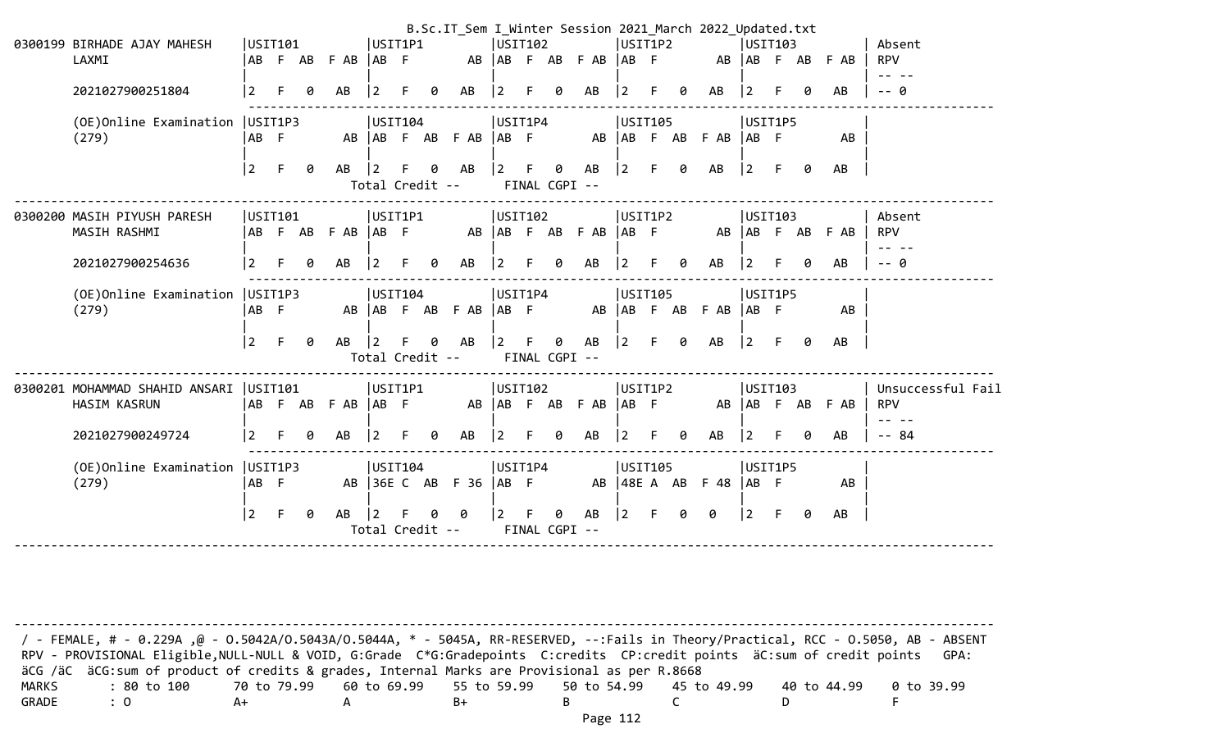|                                          |                |    |   |                   |                 |    |   | B.Sc.IT_Sem I_Winter Session 2021_March 2022_Updated.txt |                 |         |               |                 |                |         |   |                           |                |     |   |                 |                   |
|------------------------------------------|----------------|----|---|-------------------|-----------------|----|---|----------------------------------------------------------|-----------------|---------|---------------|-----------------|----------------|---------|---|---------------------------|----------------|-----|---|-----------------|-------------------|
| 0300199 BIRHADE AJAY MAHESH              | USIT101        |    |   |                   | USIT1P1         |    |   |                                                          | USIT102         |         |               |                 | USIT1P2        |         |   |                           | <b>USIT103</b> |     |   |                 | Absent            |
| LAXMI                                    |                |    |   | AB F AB F AB      | AB              |    |   | AB                                                       |                 |         |               | AB F AB F AB    | $AB$ F         |         |   |                           | AB AB F AB     |     |   | F AB            | <b>RPV</b>        |
|                                          |                |    |   |                   |                 |    |   |                                                          |                 |         |               |                 |                |         |   |                           |                |     |   |                 | -- --             |
| 2021027900251804                         | 2              |    | A | AB                |                 |    |   | AB                                                       |                 |         | 0             | AB              | 2              |         | g | AB                        | 2              |     |   | AB              | -- 0              |
| (OE)Online Examination                   | USIT1P3        |    |   |                   | USIT104         |    |   |                                                          | USIT1P4         |         |               |                 | <b>USIT105</b> |         |   |                           | USIT1P5        |     |   |                 |                   |
| (279)                                    | AB F           |    |   |                   |                 |    |   | AB AB F AB F AB                                          | AB F            |         |               |                 |                |         |   | AB   AB F AB F AB   AB F  |                |     |   | AB              |                   |
|                                          |                |    |   |                   |                 |    |   |                                                          |                 |         |               |                 |                |         |   |                           |                |     |   |                 |                   |
|                                          | $\vert$ 2      | F  | ø | AB                | $\overline{2}$  |    | ø | AB                                                       | $ 2\rangle$     | -F      | 0             | AB              | $ 2\rangle$    |         | ø | AB                        | $ 2\rangle$    |     | a | AB              |                   |
|                                          |                |    |   |                   | Total Credit -- |    |   |                                                          |                 |         | FINAL CGPI -- |                 |                |         |   |                           |                |     |   |                 |                   |
|                                          |                |    |   |                   |                 |    |   |                                                          |                 |         |               |                 |                |         |   |                           |                |     |   |                 |                   |
| 0300200 MASIH PIYUSH PARESH              | USIT101        |    |   |                   | USIT1P1         |    |   |                                                          | USTI02          |         |               |                 | USIT1P2        |         |   |                           | USTI03         |     |   |                 | Absent            |
| MASIH RASHMI                             |                |    |   | AB F AB F AB AB F |                 |    |   |                                                          |                 |         |               | AB AB F AB F AB | $AB$ F         |         |   |                           |                |     |   | AB AB F AB F AB | <b>RPV</b>        |
|                                          |                |    |   |                   |                 |    |   |                                                          |                 |         |               |                 |                |         |   |                           |                |     |   |                 | - --              |
| 2021027900254636                         | 2              |    | 0 | AB                | $\overline{2}$  |    | a | AB                                                       | $\overline{2}$  | F       | 0             | AB              | 2              | F       | g | AB                        | 2              |     | a | AB              | -- Q              |
|                                          |                |    |   |                   |                 |    |   |                                                          |                 |         |               |                 |                |         |   |                           |                |     |   |                 |                   |
| (OE)Online Examination                   | USIT1P3        |    |   |                   | USIT104         |    |   |                                                          |                 | USIT1P4 |               |                 |                | USIT105 |   |                           | USIT1P5        |     |   |                 |                   |
| (279)                                    | ∣AB F          |    |   |                   |                 |    |   | AB   AB F AB F AB                                        | $ AB \tF$       |         |               |                 |                |         |   | AB   AB F AB F AB   AB F  |                |     |   | AB              |                   |
|                                          |                |    |   |                   |                 |    |   |                                                          |                 |         |               |                 |                |         |   |                           |                |     |   |                 |                   |
|                                          | $\vert$ 2      | E  | 0 | AB                | $\vert$ 2       |    | ø | AB                                                       | $\vert 2 \vert$ |         | 0             | AB              | $ 2\rangle$    | F.      | ø | AB                        | $ 2\rangle$    | -F. | 0 | AB              |                   |
|                                          |                |    |   |                   | Total Credit -- |    |   |                                                          |                 |         | FINAL CGPI -- |                 |                |         |   |                           |                |     |   |                 |                   |
|                                          |                |    |   |                   |                 |    |   |                                                          |                 |         |               |                 |                |         |   |                           |                |     |   |                 |                   |
| 0300201 MOHAMMAD SHAHID ANSARI   USIT101 |                |    |   |                   | USIT1P1         |    |   |                                                          | USIT102         |         |               |                 | USIT1P2        |         |   |                           | USIT103        |     |   |                 | Unsuccessful Fail |
| HASIM KASRUN                             |                |    |   | ABFABFAB ABF      |                 |    |   |                                                          |                 |         |               | AB AB F AB F AB | $AB$ F         |         |   |                           |                |     |   | AB AB F AB F AB | <b>RPV</b>        |
|                                          |                |    |   |                   |                 |    |   |                                                          |                 |         |               |                 |                |         |   |                           |                |     |   |                 |                   |
| 2021027900249724                         | $\overline{2}$ |    | 0 | AB                | $\vert 2 \vert$ |    | ø | AB                                                       |                 |         | 0             | AB              | 2              |         | ø | AB                        |                |     |   | AB              | $- - 84$          |
|                                          |                |    |   |                   |                 |    |   |                                                          |                 |         |               |                 |                |         |   |                           |                |     |   |                 |                   |
| (OE) Online Examination   USIT1P3        |                |    |   |                   | USIT104         |    |   |                                                          | USIT1P4         |         |               |                 | <b>USIT105</b> |         |   |                           | USIT1P5        |     |   |                 |                   |
| (279)                                    | ∣AB F          |    |   |                   |                 |    |   | AB 36E C AB F 36   AB F                                  |                 |         |               |                 |                |         |   | AB   48E A AB F 48   AB F |                |     |   | AB              |                   |
|                                          |                |    |   |                   |                 |    |   |                                                          |                 |         |               |                 |                |         |   |                           |                |     |   |                 |                   |
|                                          | $\boxed{2}$    | F. | 0 | AB                | $\vert$ 2       | F. |   | 0                                                        | $\overline{2}$  |         | 0             | AB              | 2              | F       | Ø | ø                         | l 2            | -F  | 0 | AB              |                   |
|                                          |                |    |   |                   | Total Credit -- |    |   |                                                          |                 |         | FINAL CGPI -- |                 |                |         |   |                           |                |     |   |                 |                   |
|                                          |                |    |   |                   |                 |    |   |                                                          |                 |         |               |                 |                |         |   |                           |                |     |   |                 |                   |

-------------------------------------------------------------------------------------------------------------------------------------- / - FEMALE, # - 0.229A ,@ - O.5042A/O.5043A/O.5044A, \* - 5045A, RR-RESERVED, --:Fails in Theory/Practical, RCC - O.5050, AB - ABSENT RPV - PROVISIONAL Eligible, NULL-NULL & VOID, G:Grade C\*G:Gradepoints C:credits CP:credit points äC:sum of credit points GPA: äCG /äC äCG:sum of product of credits & grades, Internal Marks are Provisional as per R.8668 MARKS : 80 to 100 70 to 79.99 60 to 69.99 55 to 59.99 50 to 54.99 45 to 49.99 40 to 44.99 0 to 39.99 GRADE : 0 A+ A B+ B C D F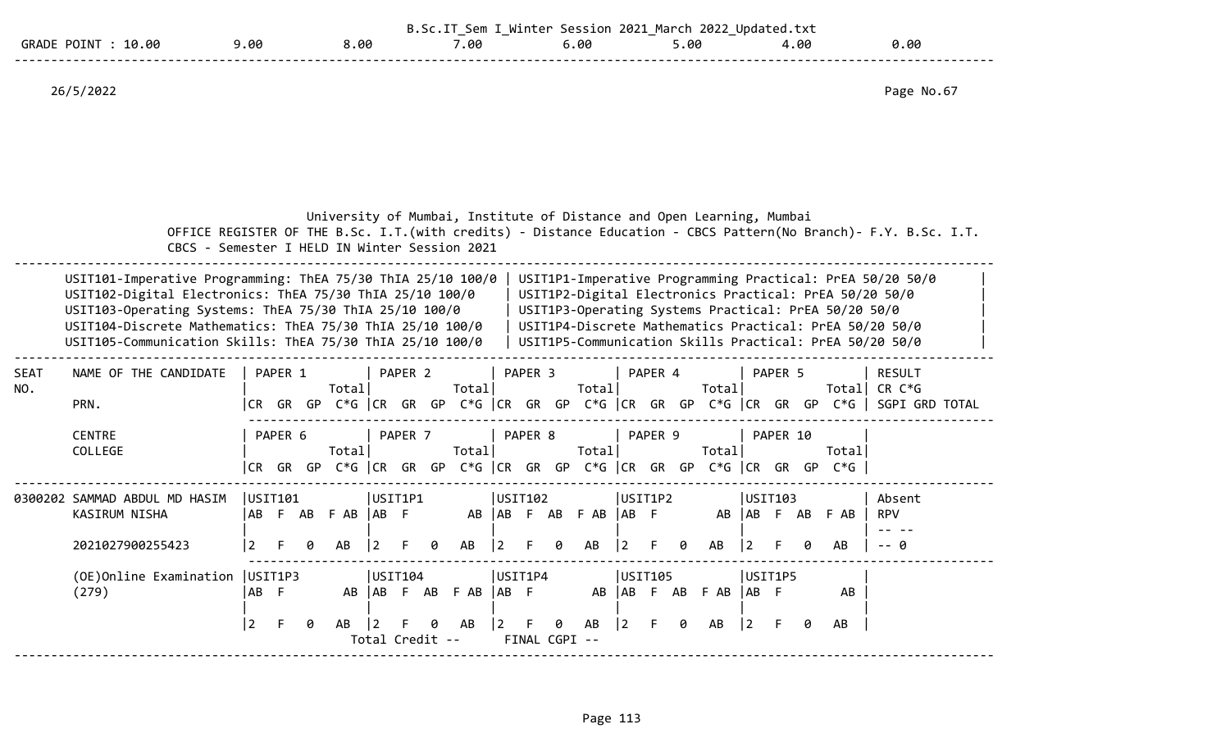|                                      |     |      | $\overline{\phantom{0}}$ | Session<br>t o r | 2022<br>2021<br>March | Undat.<br>ed.txt |      |
|--------------------------------------|-----|------|--------------------------|------------------|-----------------------|------------------|------|
| GRADE<br>.0.00<br><b>POTN</b><br>1 Q | .00 | 8.00 | .00                      | .00              | ,.00                  | 4.00             | 00.ر |
|                                      |     |      |                          |                  |                       |                  |      |

26/5/2022 Page No.67

|                    | CBCS - Semester I HELD IN Winter Session 2021                                                                                                                                                                                                                                                               |                   |               |       |            |                            |                    |   | University of Mumbai, Institute of Distance and Open Learning, Mumbai      |                                   |                    |               |                      |         |         |   |                           |                        |               |     |                                                      | OFFICE REGISTER OF THE B.Sc. I.T. (with credits) - Distance Education - CBCS Pattern(No Branch)- F.Y. B.Sc. I.T.                                                                                                                          |
|--------------------|-------------------------------------------------------------------------------------------------------------------------------------------------------------------------------------------------------------------------------------------------------------------------------------------------------------|-------------------|---------------|-------|------------|----------------------------|--------------------|---|----------------------------------------------------------------------------|-----------------------------------|--------------------|---------------|----------------------|---------|---------|---|---------------------------|------------------------|---------------|-----|------------------------------------------------------|-------------------------------------------------------------------------------------------------------------------------------------------------------------------------------------------------------------------------------------------|
|                    | USIT101-Imperative Programming: ThEA 75/30 ThIA 25/10 100/0<br>USIT102-Digital Electronics: ThEA 75/30 ThIA 25/10 100/0<br>USIT103-Operating Systems: ThEA 75/30 ThIA 25/10 100/0<br>USIT104-Discrete Mathematics: ThEA 75/30 ThIA 25/10 100/0<br>USIT105-Communication Skills: ThEA 75/30 ThIA 25/10 100/0 |                   |               |       |            |                            |                    |   |                                                                            |                                   |                    |               |                      |         |         |   |                           |                        |               |     | USIT1P3-Operating Systems Practical: PrEA 50/20 50/0 | USIT1P1-Imperative Programming Practical: PrEA 50/20 50/0<br>USIT1P2-Digital Electronics Practical: PrEA 50/20 50/0<br>USIT1P4-Discrete Mathematics Practical: PrEA 50/20 50/0<br>USIT1P5-Communication Skills Practical: PrEA 50/20 50/0 |
| <b>SEAT</b><br>NO. | NAME OF THE CANDIDATE<br>PRN.                                                                                                                                                                                                                                                                               | CR.               | PAPER 1<br>GR | GP    | Total      |                            | PAPER 2            |   | Total<br>C*G CR GR GP C*G CR GR GP C*G CR GR GP C*G CR GR GR GP            |                                   | PAPER <sub>3</sub> |               | Total                |         | PAPER 4 |   | Total                     |                        | PAPER 5       |     | Totall<br>C*G l                                      | <b>RESULT</b><br>CR C*G<br>SGPI GRD TOTAL                                                                                                                                                                                                 |
|                    | <b>CENTRE</b><br>COLLEGE                                                                                                                                                                                                                                                                                    | CR.               | PAPER 6       | GR GP | Total      |                            | PAPER <sub>7</sub> |   | Total<br>$C*G$ $ CR$ $GR$ $GP$ $C*G$ $ CR$ $GR$ $GP$ $C*G$ $ CR$ $GR$ $GP$ |                                   | PAPER 8            |               | Total                |         | PAPER 9 |   | Total<br>$C*G$ $ CR$ $GR$ |                        | PAPER 10      | GP. | Totall<br>$C*G$                                      |                                                                                                                                                                                                                                           |
|                    | 0300202 SAMMAD ABDUL MD HASIM<br>KASIRUM NISHA<br>2021027900255423                                                                                                                                                                                                                                          | USIT101<br>l AB I | F AB          | a     | F AB<br>AB | USIT1P1<br>IAB F           |                    | ø | AB<br>AB                                                                   | USIT102<br>l AB<br>$\overline{2}$ |                    | F AB<br>a     | $F$ AB $ AB$ F<br>AB | USIT1P2 |         | ø | AB<br>AB                  | I AB<br>  2            | USIT103<br>F. | AB  | F AB<br>AB                                           | Absent<br><b>RPV</b><br>-- a                                                                                                                                                                                                              |
|                    | (OE) Online Examination   USIT1P3<br>(279)                                                                                                                                                                                                                                                                  | AB<br>2           | - F           |       | AB         | USIT104<br>Total Credit -- |                    |   | AB AB F AB F AB<br>AB                                                      | USIT1P4<br> AB F<br>2             |                    | FINAL CGPI -- | AB                   | USIT105 |         | ø | AB AB F AB F AB<br>AB     | USIT1P5<br> AB F<br>12 |               |     | AB<br>AB                                             |                                                                                                                                                                                                                                           |